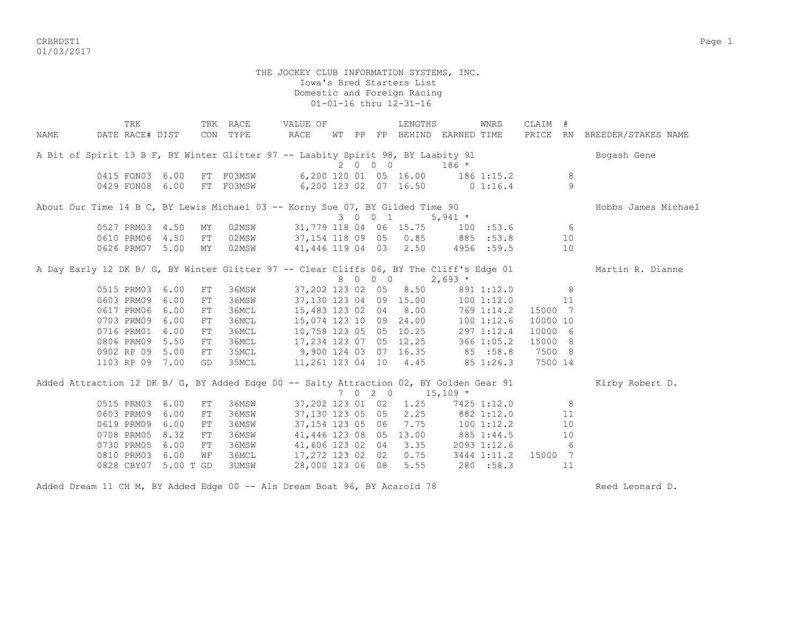criteria and the control of the control of the control of the control of the control of the control of the control of the control of the control of the control of the control of the control of the control of the control of 01/03/2017

> THE JOCKEY CLUB INFORMATION SYSTEMS, INC. Iowa's Bred Starters List Domestic and Foreign Racing 01-01-16 thru 12-31-16

|      | TRK                                                                                     |            | TRK RACE  | VALUE OF                               |  |         | LENGTHS                           |          | WNRS           | CLAIM #  |                |                              |
|------|-----------------------------------------------------------------------------------------|------------|-----------|----------------------------------------|--|---------|-----------------------------------|----------|----------------|----------|----------------|------------------------------|
| NAME | DATE RACE# DIST                                                                         |            | CON TYPE  | RACE                                   |  |         | WT PP FP BEHIND EARNED TIME       |          |                |          |                | PRICE RN BREEDER/STAKES NAME |
|      | A Bit of Spirit 13 B F, BY Winter Glitter 97 -- Laabity Spirit 98, BY Laabity 91        |            |           |                                        |  |         |                                   |          |                |          |                | Bogash Gene                  |
|      |                                                                                         |            |           |                                        |  | 2 0 0 0 |                                   | $186 *$  |                |          |                |                              |
|      | 0415 FON03 6.00                                                                         |            | FT F03MSW |                                        |  |         | 6,200 120 01 05 16.00 186 1:15.2  |          |                |          | 8              |                              |
|      | 0429 FON08                                                                              | 6.00       | FT F03MSW |                                        |  |         | 6,200 123 02 07 16.50 0 1:16.4    |          |                |          | $\overline{9}$ |                              |
|      | About Our Time 14 B C, BY Lewis Michael 03 -- Korny Sue 07, BY Gilded Time 90           |            |           |                                        |  |         |                                   |          |                |          |                | Hobbs James Michael          |
|      |                                                                                         |            |           |                                        |  |         | 3 0 0 1 5,941 $\star$             |          |                |          |                |                              |
|      | 0527 PRM03 4.50                                                                         | MY         |           | 02MSW 31,779 118 04 06 15.75 100 :53.6 |  |         |                                   |          |                |          | 6              |                              |
|      | 0610 PRM06 4.50                                                                         | FT         | 02MSW     | 37,154 118 09 05 0.85 885 :53.8        |  |         |                                   |          |                |          | 10             |                              |
|      | 0626 PRM07 5.00                                                                         | MY         | 02MSW     | 41,446 119 04 03 2.50 4956 :59.5       |  |         |                                   |          |                |          | 10             |                              |
|      | A Day Early 12 DK B/ G, BY Winter Glitter 97 -- Clear Cliffs 06, BY The Cliff's Edge 01 |            |           |                                        |  |         |                                   |          |                |          |                | Martin R. Dianne             |
|      |                                                                                         |            |           |                                        |  |         | 8 0 0 0                           | $2,693*$ |                |          |                |                              |
|      | 0515 PRM03 6.00                                                                         | FT         | 36MSW     |                                        |  |         | 37,202 123 02 05 8.50             |          | 891 1:12.0     |          | 8              |                              |
|      | 0603 PRM09                                                                              | 6.00<br>FT | 36MSW     |                                        |  |         | 37,130 123 04 09 15.00            |          | 100 1:12.0     |          | 11             |                              |
|      | 0617 PRM06                                                                              | 6.00<br>FT | 36MCL     |                                        |  |         | 15,483 123 02 04 8.00             |          | $769$ $1:14.2$ | 15000 7  |                |                              |
|      | 0703 PRM09                                                                              | 6.00<br>FT | 36MCL     |                                        |  |         | 15,074 123 10 09 24.00            |          | 1001:12.6      | 10000 10 |                |                              |
|      | 0716 PRM01 6.00                                                                         | FT         | 36MCL     | 10,758 123 05 05 10.25                 |  |         |                                   |          | 297 1:12.4     | 10000 6  |                |                              |
|      | 0806 PRM09 5.50                                                                         | FT         | 36MCL     | 17,234 123 07 05 12.25 366 1:05.2      |  |         |                                   |          |                | 15000 8  |                |                              |
|      | 0902 RP 09                                                                              | 5.00<br>FT | 35MCL     | $9,900$ 124 03 07 16.35 85 :58.8       |  |         |                                   |          |                | 7500 8   |                |                              |
|      | 1103 RP 09 7.00                                                                         | GD         | 35MCL     | 11,261 123 04 10 4.45 85 1:26.3        |  |         |                                   |          |                | 7500 14  |                |                              |
|      | Added Attraction 12 DK B/ G, BY Added Edge 00 -- Salty Attraction 02, BY Golden Gear 91 |            |           |                                        |  |         |                                   |          |                |          |                | Kirby Robert D.              |
|      |                                                                                         |            |           |                                        |  |         | $7 \t0 \t2 \t0 \t15,109$ *        |          |                |          |                |                              |
|      | 0515 PRM03                                                                              | 6.00<br>FT | 36MSW     |                                        |  |         | 37,202 123 01 02 1.25             |          | 7425 1:12.0    |          | 8              |                              |
|      | 0603 PRM09                                                                              | 6.00<br>FT | 36MSW     |                                        |  |         | 37,130 123 05 05 2.25             |          | 882 1:12.0     |          | 11             |                              |
|      | 0619 PRM09                                                                              | 6.00<br>FT | 36MSW     |                                        |  |         | 37, 154 123 05 06 7.75 100 1:12.2 |          |                |          | 10             |                              |
|      | 0708 PRM05 8.32                                                                         | ${\rm FT}$ | 36MSW     |                                        |  |         | 41,446 123 08 05 13.00 885 1:44.5 |          |                |          | 10             |                              |
|      | 0730 PRM05                                                                              | 6.00<br>FT | 36MSW     |                                        |  |         | 41,606 123 02 04 3.35             |          | 2093 1:12.6    |          | - 6            |                              |
|      | 0810 PRM03                                                                              | 6.00<br>WF | 36MCL     | 17,272 123 02 02 0.75                  |  |         |                                   |          | 3444 1:11.2    | 15000 7  |                |                              |
|      | 0828 CBY07 5.00 T GD                                                                    |            | 3UMSW     | 28,000 123 06 08                       |  |         | 5.55                              |          | 280 :58.3      |          | 11             |                              |

Added Dream 11 CH M, BY Added Edge 00 -- Als Dream Boat 96, BY Acaroid 78 Reed Leonard D.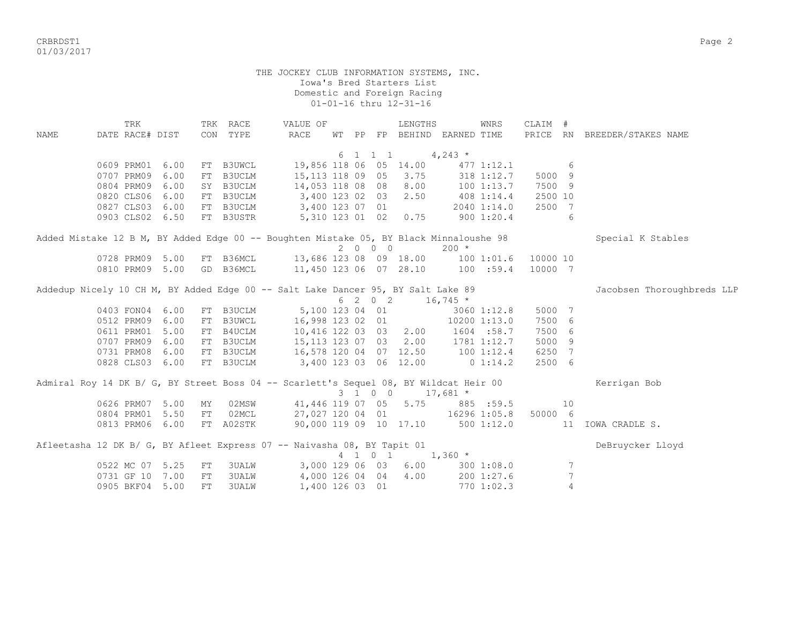CRBRDST1 Page 2 01/03/2017

> THE JOCKEY CLUB INFORMATION SYSTEMS, INC. Iowa's Bred Starters List Domestic and Foreign Racing 01-01-16 thru 12-31-16

TRK TRK RACE WALUE OF TRENGTHS WINRS CLAIM # NAME DATE RACE# DIST CON TYPE RACE WT PP FP BEHIND EARNED TIME PRICE RN BREEDER/STAKES NAME 6 1 1 1  $4,243$  \* 0609 PRM01 6.00 FT B3UWCL 19,856 118 06 05 14.00 477 1:12.1 6 0707 PRM09 6.00 FT B3UCLM 15,113 118 09 05 3.75 318 1:12.7 5000 9 0804 PRM09 6.00 SY B3UCLM 14,053 118 08 08 8.00 100 1:13.7 7500 9 0820 CLS06 6.00 FT B3UCLM 3,400 123 02 03 2.50 408 1:14.4 2500 10 0827 CLS03 6.00 FT B3UCLM 3,400 123 07 01 2040 1:14.0 2500 7 0903 CLS02 6.50 FT B3USTR 5,310 123 01 02 0.75 900 1:20.4 6 Added Mistake 12 B M, BY Added Edge 00 -- Boughten Mistake 05, BY Black Minnaloushe 98 Special K Stables  $2 \t 0 \t 0 \t 200 \t \times$ <br>13,686 123 08 09 18.00 100 0728 PRM09 5.00 FT B36MCL 13,686 123 08 09 18.00 100 1:01.6 10000 10 0810 PRM09 5.00 GD B36MCL 11,450 123 06 07 28.10 100 :59.4 10000 7 Addedup Nicely 10 CH M, BY Added Edge 00 -- Salt Lake Dancer 95, BY Salt Lake 89 Jacobsen Thoroughbreds LLP  $6 \quad 2 \quad 0 \quad 2 \quad 16,745 \atop 5,100 \quad 123 \quad 04 \quad 01 \quad 3060$  0403 FON04 6.00 FT B3UCLM 5,100 123 04 01 3060 1:12.8 5000 7 0512 PRM09 6.00 FT B3UWCL 16,998 123 02 01 10200 1:13.0 7500 6 0611 PRM01 5.00 FT B4UCLM 10,416 122 03 03 2.00 1604 :58.7 7500 6 0707 PRM09 6.00 FT B3UCLM 15,113 123 07 03 2.00 1781 1:12.7 5000 9 0731 PRM08 6.00 FT B3UCLM 16,578 120 04 07 12.50 100 1:12.4 6250 7 0828 CLS03 6.00 FT B3UCLM 3,400 123 03 06 12.00 0 1:14.2 2500 6 Admiral Roy 14 DK B/ G, BY Street Boss 04 -- Scarlett's Sequel 08, BY Wildcat Heir 00 Kerrigan Bob  $3 \quad 1 \quad 0 \quad 0 \quad 17.681 \star$ 0626 PRM07 5.00 MY 02MSW 41,446 119 07 05 5.75 885 :59.5 10<br>0804 PRM01 5.50 FT 02MCL 27,027 120 04 01 16296 1:05.8 50000 6 0804 PRM01 5.50 FT 02MCL 0813 PRM06 6.00 FT A02STK 90,000 119 09 10 17.10 500 1:12.0 11 IOWA CRADLE S. Afleetasha 12 DK B/ G, BY Afleet Express 07 -- Naivasha 08, BY Tapit 01 Debruycker Lloyd 4 1 0 1 1,360 \* 0522 MC 07 5.25 FT 3UALW 3,000 129 06 03 6.00 300 1:08.0 7 0731 GF 10 7.00 FT 3UALW 4,000 126 04 04 4.00 200 1:27.6 7 0905 BKF04 5.00 FT 3UALW 1,400 126 03 01 770 1:02.3 4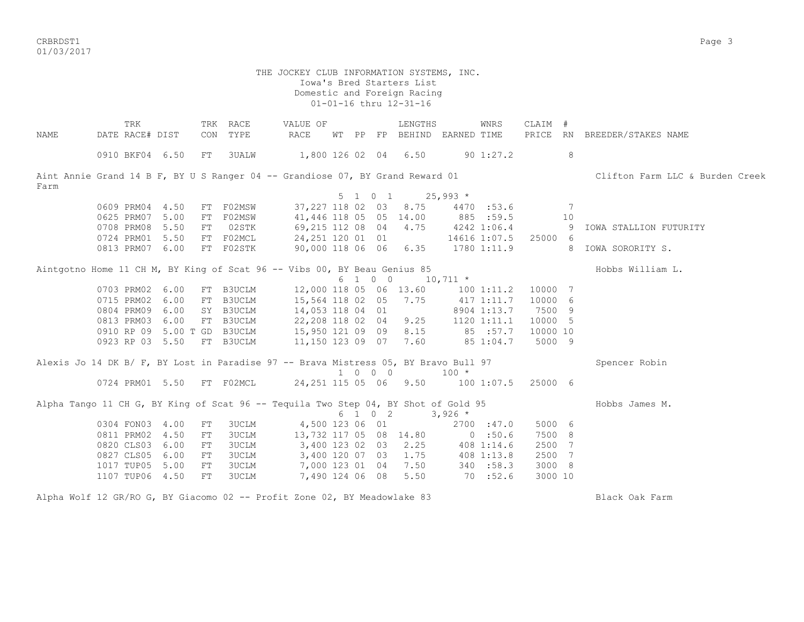CRBRDST1 Page 3 01/03/2017

| NAME | TRK<br>DATE RACE# DIST |      | CON | TRK RACE<br>TYPE                                                                    | VALUE OF<br><b>RACE</b>          |  |         | LENGTHS<br>WT PP FP BEHIND EARNED TIME |             | WNRS           | CLAIM #  |    | PRICE RN BREEDER/STAKES NAME    |
|------|------------------------|------|-----|-------------------------------------------------------------------------------------|----------------------------------|--|---------|----------------------------------------|-------------|----------------|----------|----|---------------------------------|
|      |                        |      |     |                                                                                     |                                  |  |         |                                        |             |                |          |    |                                 |
|      | 0910 BKF04 6.50        |      | FT  | 3UALW                                                                               | 1,800 126 02 04 6.50             |  |         |                                        |             | $90 \; 1:27.2$ |          | 8  |                                 |
| Farm |                        |      |     | Aint Annie Grand 14 B F, BY U S Ranger 04 -- Grandiose 07, BY Grand Reward 01       |                                  |  |         |                                        |             |                |          |    | Clifton Farm LLC & Burden Creek |
|      |                        |      |     |                                                                                     |                                  |  | 5 1 0 1 |                                        | $25,993$ *  |                |          |    |                                 |
|      | 0609 PRM04 4.50        |      |     | FT F02MSW                                                                           |                                  |  |         | 37, 227 118 02 03 8.75                 |             | 4470 :53.6     |          | 7  |                                 |
|      | 0625 PRM07             | 5.00 | FT  | F02MSW                                                                              | 41,446 118 05 05 14.00           |  |         |                                        | 885 :59.5   |                |          | 10 |                                 |
|      | 0708 PRM08             | 5.50 | FT  | 02STK                                                                               | 69,215 112 08 04 4.75            |  |         |                                        | 4242 1:06.4 |                |          | 9  | IOWA STALLION FUTURITY          |
|      | 0724 PRM01             | 5.50 |     | FT F02MCL                                                                           | 24,251 120 01 01                 |  |         |                                        |             | 14616 1:07.5   | 25000 6  |    |                                 |
|      | 0813 PRM07 6.00        |      |     | FT F02STK                                                                           |                                  |  |         | 90,000 118 06 06 6.35                  |             | 1780 1:11.9    |          |    | 8 IOWA SORORITY S.              |
|      |                        |      |     | Aintgotno Home 11 CH M, BY King of Scat 96 -- Vibs 00, BY Beau Genius 85            |                                  |  |         |                                        |             |                |          |    | Hobbs William L.                |
|      |                        |      |     |                                                                                     |                                  |  | 6 1 0 0 |                                        | $10,711$ *  |                |          |    |                                 |
|      | 0703 PRM02 6.00        |      |     | FT B3UCLM                                                                           | 12,000 118 05 06 13.60           |  |         |                                        |             | 100 1:11.2     | 10000 7  |    |                                 |
|      | 0715 PRM02             | 6.00 | FT  | B3UCLM                                                                              | 15,564 118 02 05 7.75            |  |         |                                        |             | 417 1:11.7     | 10000 6  |    |                                 |
|      | 0804 PRM09 6.00        |      |     | SY B3UCLM                                                                           | 14,053 118 04 01                 |  |         |                                        |             | 8904 1:13.7    | 7500 9   |    |                                 |
|      | 0813 PRM03             | 6.00 |     | FT B3UCLM                                                                           | 22,208 118 02 04 9.25            |  |         |                                        |             | 1120 1:11.1    | 10000 5  |    |                                 |
|      |                        |      |     | 0910 RP 09 5.00 T GD B3UCLM                                                         | 15,950 121 09 09 8.15            |  |         |                                        | 85 :57.7    |                | 10000 10 |    |                                 |
|      | 0923 RP 03 5.50        |      |     | FT B3UCLM                                                                           | 11,150 123 09 07 7.60            |  |         |                                        |             | 85 1:04.7      | 5000 9   |    |                                 |
|      |                        |      |     | Alexis Jo 14 DK B/ F, BY Lost in Paradise 97 -- Brava Mistress 05, BY Bravo Bull 97 |                                  |  | 1 0 0 0 |                                        | $100 *$     |                |          |    | Spencer Robin                   |
|      |                        |      |     | 0724 PRM01 5.50 FT F02MCL                                                           | 24,251 115 05 06 9.50 100 1:07.5 |  |         |                                        |             |                | 25000 6  |    |                                 |
|      |                        |      |     | Alpha Tango 11 CH G, BY King of Scat 96 -- Tequila Two Step 04, BY Shot of Gold 95  |                                  |  | 6 1 0 2 |                                        | $3,926$ *   |                |          |    | Hobbs James M.                  |
|      | 0304 FON03 4.00        |      | FT  | <b>3UCLM</b>                                                                        | 4,500 123 06 01                  |  |         |                                        |             | 2700 : 47.0    | 5000 6   |    |                                 |
|      | 0811 PRM02             | 4.50 | FT  | <b>3UCLM</b>                                                                        | 13,732 117 05 08 14.80           |  |         |                                        |             | $0$ :50.6      | 7500 8   |    |                                 |
|      | 0820 CLS03             | 6.00 | FT  | <b>3UCLM</b>                                                                        | 3,400 123 02 03                  |  |         | 2.25                                   |             | 408 1:14.6     | 2500 7   |    |                                 |
|      | 0827 CLS05             | 6.00 | FT  | 3UCLM                                                                               | 3,400 120 07 03                  |  |         | 1.75                                   |             | 408 1:13.8     | 2500 7   |    |                                 |
|      | 1017 TUP05             | 5.00 | FT  | 3UCLM                                                                               | 7,000 123 01 04                  |  |         | 7.50                                   |             | 340 : 58.3     | 3000 8   |    |                                 |
|      | 1107 TUP06 4.50        |      | FT  | 3UCLM                                                                               | 7,490 124 06 08                  |  |         | 5.50                                   |             | 70:52.6        | 3000 10  |    |                                 |
|      |                        |      |     | Alpha Wolf 12 GR/RO G, BY Giacomo 02 -- Profit Zone 02, BY Meadowlake 83            |                                  |  |         |                                        |             |                |          |    | Black Oak Farm                  |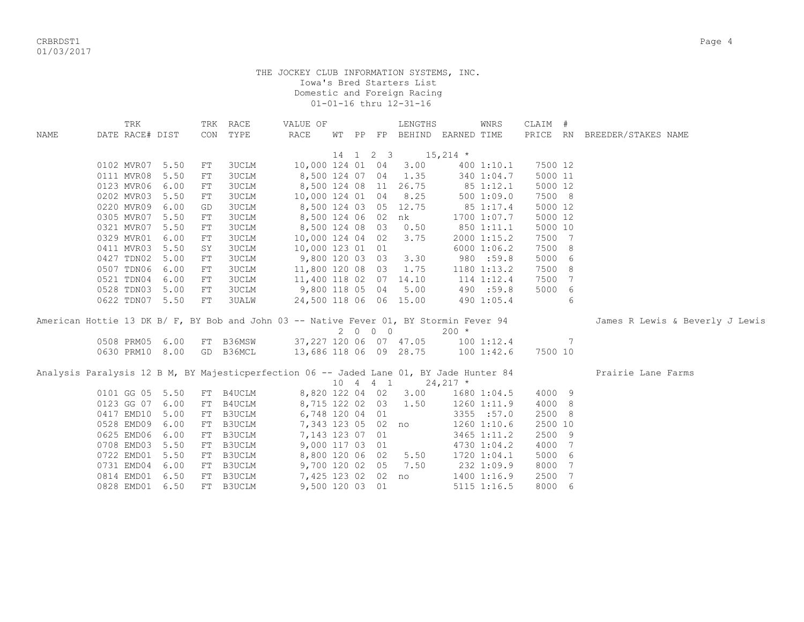criteria and the control of the control of the control of the control of the control of the control of the control of the control of the control of the control of the control of the control of the control of the control of 01/03/2017

|             | TRK                                                                                     |      | TRK        | RACE          | VALUE OF               |    |                     | LENGTHS               | WNRS                        | CLAIM # |   |                                 |
|-------------|-----------------------------------------------------------------------------------------|------|------------|---------------|------------------------|----|---------------------|-----------------------|-----------------------------|---------|---|---------------------------------|
| <b>NAME</b> | DATE RACE# DIST                                                                         |      |            | CON TYPE      | <b>RACE</b>            |    |                     |                       | WT PP FP BEHIND EARNED TIME |         |   | PRICE RN BREEDER/STAKES NAME    |
|             |                                                                                         |      |            |               |                        | 14 | $1 \quad 2 \quad 3$ | $15,214$ *            |                             |         |   |                                 |
|             | 0102 MVR07                                                                              | 5.50 | FT         | <b>3UCLM</b>  | 10,000 124 01 04       |    |                     | 3.00                  | 400 1:10.1                  | 7500 12 |   |                                 |
|             | 0111 MVR08                                                                              | 5.50 | FT         | <b>3UCLM</b>  | 8,500 124 07 04        |    |                     | 1.35                  | 340 1:04.7                  | 5000 11 |   |                                 |
|             | 0123 MVR06 6.00                                                                         |      | FT         | <b>3UCLM</b>  |                        |    |                     | 8,500 124 08 11 26.75 | 85 1:12.1                   | 5000 12 |   |                                 |
|             | 0202 MVR03                                                                              | 5.50 | ${\rm FT}$ | <b>3UCLM</b>  | 10,000 124 01 04       |    |                     | 8.25                  | 500 1:09.0                  | 7500 8  |   |                                 |
|             | 0220 MVR09 6.00                                                                         |      | GD         | <b>3UCLM</b>  |                        |    |                     | 8,500 124 03 05 12.75 | 85 1:17.4                   | 5000 12 |   |                                 |
|             | 0305 MVR07 5.50                                                                         |      | ${\rm FT}$ | <b>3UCLM</b>  |                        |    |                     | 8,500 124 06 02 nk    | 1700 1:07.7                 | 5000 12 |   |                                 |
|             | 0321 MVR07 5.50                                                                         |      | ${\rm FT}$ | 3UCLM         | 8,500 124 08 03 0.50   |    |                     |                       | 850 1:11.1                  | 5000 10 |   |                                 |
|             | 0329 MVR01 6.00                                                                         |      | FT         | 3UCLM         | 10,000 124 04 02       |    |                     | 3.75                  | 2000 1:15.2                 | 7500 7  |   |                                 |
|             | 0411 MVR03 5.50                                                                         |      | SY         | <b>3UCLM</b>  | 10,000 123 01 01       |    |                     |                       | 6000 1:06.2                 | 7500 8  |   |                                 |
|             | 0427 TDN02 5.00                                                                         |      |            |               |                        |    |                     |                       |                             |         |   |                                 |
|             |                                                                                         |      | ${\rm FT}$ | 3UCLM         | 9,800 120 03 03        |    |                     | 3.30                  | 980 :59.8                   | 5000 6  |   |                                 |
|             | 0507 TDN06 6.00                                                                         |      | ${\rm FT}$ | <b>3UCLM</b>  | 11,800 120 08 03       |    |                     | 1.75                  | 1180 1:13.2                 | 7500 8  |   |                                 |
|             | 0521 TDN04 6.00                                                                         |      | ${\rm FT}$ | <b>3UCLM</b>  | 11,400 118 02 07 14.10 |    |                     |                       | 114 1:12.4                  | 7500 7  |   |                                 |
|             | 0528 TDN03 5.00                                                                         |      | ${\rm FT}$ | <b>3UCLM</b>  | 9,800 118 05 04        |    |                     | 5.00                  | 490 :59.8                   | 5000 6  |   |                                 |
|             | 0622 TDN07 5.50                                                                         |      | ${\rm FT}$ | 3UALW         | 24,500 118 06 06 15.00 |    |                     |                       | 490 1:05.4                  |         | 6 |                                 |
|             | American Hottie 13 DK B/ F, BY Bob and John 03 -- Native Fever 01, BY Stormin Fever 94  |      |            |               |                        |    |                     |                       |                             |         |   | James R Lewis & Beverly J Lewis |
|             |                                                                                         |      |            |               |                        |    | 2 0 0 0             |                       | $200 *$                     |         |   |                                 |
|             | 0508 PRM05 6.00                                                                         |      |            | FT B36MSW     | 37,227 120 06 07 47.05 |    |                     |                       | 1001:12.4                   |         | 7 |                                 |
|             | 0630 PRM10 8.00                                                                         |      |            | GD B36MCL     | 13,686 118 06 09 28.75 |    |                     |                       | 100 1:42.6                  | 7500 10 |   |                                 |
|             |                                                                                         |      |            |               |                        |    |                     |                       |                             |         |   |                                 |
|             | Analysis Paralysis 12 B M, BY Majesticperfection 06 -- Jaded Lane 01, BY Jade Hunter 84 |      |            |               |                        |    |                     |                       |                             |         |   | Prairie Lane Farms              |
|             |                                                                                         |      |            |               |                        |    | 10 4 4 1            | $24,217$ *            |                             |         |   |                                 |
|             | 0101 GG 05 5.50                                                                         |      |            | FT B4UCLM     | 8,820 122 04 02        |    |                     | 3.00                  | 1680 1:04.5                 | 4000 9  |   |                                 |
|             | 0123 GG 07 6.00                                                                         |      | FT         | B4UCLM        | 8,715 122 02 03        |    |                     | 1.50                  | 1260 1:11.9                 | 4000 8  |   |                                 |
|             | 0417 EMD10                                                                              | 5.00 | FT         | B3UCLM        | 6,748 120 04 01        |    |                     |                       | 3355 :57.0                  | 2500 8  |   |                                 |
|             |                                                                                         | 6.00 |            | <b>B3UCLM</b> | 7,343 123 05 02 no     |    |                     |                       | 1260 1:10.6                 | 2500 10 |   |                                 |
|             | 0528 EMD09                                                                              |      | FT         |               |                        |    |                     |                       |                             |         |   |                                 |
|             | 0625 EMD06                                                                              | 6.00 | FT         | <b>B3UCLM</b> | 7,143 123 07 01        |    |                     |                       | 3465 1:11.2                 | 2500 9  |   |                                 |
|             | 0708 EMD03                                                                              | 5.50 | FT         | <b>B3UCLM</b> | 9,000 117 03 01        |    |                     |                       | 4730 1:04.2                 | 4000 7  |   |                                 |
|             | 0722 EMD01 5.50                                                                         |      | FT         | <b>B3UCLM</b> | 8,800 120 06 02        |    |                     | 5.50                  | 1720 1:04.1                 | 5000 6  |   |                                 |
|             | 0731 EMD04 6.00                                                                         |      | FT         | B3UCLM        | 9,700 120 02 05        |    |                     | 7.50                  | 232 1:09.9                  | 8000 7  |   |                                 |
|             | 0814 EMD01 6.50                                                                         |      |            | FT B3UCLM     | 7,425 123 02 02        |    |                     | no                    | 1400 1:16.9                 | 2500 7  |   |                                 |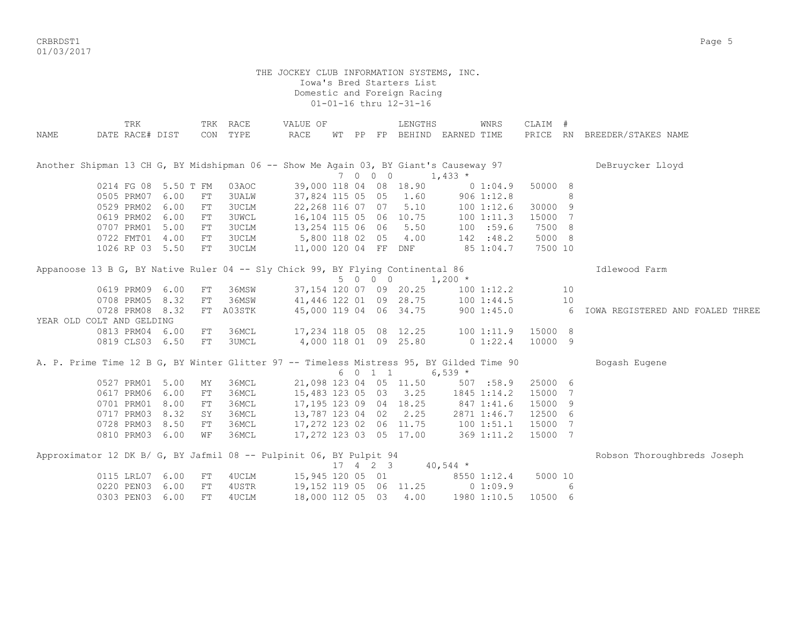criteria and the control of the control of the control of the control of the control of the control of the control of the control of the control of the control of the control of the control of the control of the control of 01/03/2017

|                           | TRK             |                      |            | TRK RACE                                                                                 | VALUE OF                |       |          | LENGTHS                 |                | WNRS         | CLAIM # |    |                                  |
|---------------------------|-----------------|----------------------|------------|------------------------------------------------------------------------------------------|-------------------------|-------|----------|-------------------------|----------------|--------------|---------|----|----------------------------------|
| NAME                      | DATE RACE# DIST |                      |            | CON TYPE                                                                                 | RACE                    | WT PP |          | FP BEHIND               | EARNED TIME    |              |         |    | PRICE RN BREEDER/STAKES NAME     |
|                           |                 |                      |            |                                                                                          |                         |       |          |                         |                |              |         |    |                                  |
|                           |                 |                      |            |                                                                                          |                         |       |          |                         |                |              |         |    |                                  |
|                           |                 |                      |            | Another Shipman 13 CH G, BY Midshipman 06 -- Show Me Again 03, BY Giant's Causeway 97    |                         |       |          |                         |                |              |         |    | DeBruycker Lloyd                 |
|                           |                 |                      |            |                                                                                          |                         |       | 7 0 0 0  |                         | $1,433*$       |              |         |    |                                  |
|                           |                 | 0214 FG 08 5.50 T FM |            | 03AOC                                                                                    |                         |       |          | 39,000 118 04 08 18.90  |                | 01:04.9      | 50000 8 |    |                                  |
|                           | 0505 PRM07      | 6.00                 | FT         | <b>3UALW</b>                                                                             |                         |       |          | 37,824 115 05 05 1.60   |                | $906$ 1:12.8 |         | 8  |                                  |
|                           | 0529 PRM02      | 6.00                 | FT         | 3UCLM                                                                                    | 22,268 116 07 07        |       |          | 5.10                    |                | 1001:12.6    | 30000 9 |    |                                  |
|                           | 0619 PRM02      | 6.00                 | FT         | <b>3UWCL</b>                                                                             | 16,104 115 05 06 10.75  |       |          |                         |                | 1001:11.3    | 15000 7 |    |                                  |
|                           | 0707 PRM01      | 5.00                 | FT         | 3UCLM                                                                                    | 13,254 115 06 06 5.50   |       |          |                         |                | 100 :59.6    | 7500 8  |    |                                  |
|                           |                 | 0722 FMT01 4.00      | FT         | 3UCLM                                                                                    | 5,800 118 02 05 4.00    |       |          |                         |                | 142 : 48.2   | 5000 8  |    |                                  |
|                           |                 | 1026 RP 03 5.50      | FT         | <b>3UCLM</b>                                                                             | 11,000 120 04 FF DNF    |       |          |                         |                | 85 1:04.7    | 7500 10 |    |                                  |
|                           |                 |                      |            | Appanoose 13 B G, BY Native Ruler 04 -- Sly Chick 99, BY Flying Continental 86           |                         |       |          |                         |                |              |         |    | Idlewood Farm                    |
|                           |                 |                      |            |                                                                                          |                         |       | 5 0 0 0  |                         | $1,200$ *      |              |         |    |                                  |
|                           | 0619 PRM09      | 6.00                 | FT         | 36MSW                                                                                    |                         |       |          | 37,154 120 07 09 20.25  |                | 100 1:12.2   |         | 10 |                                  |
|                           | 0708 PRM05      | 8.32                 | ${\rm FT}$ | 36MSW                                                                                    | 41,446 122 01 09 28.75  |       |          |                         |                | 1001:44.5    |         | 10 |                                  |
|                           | 0728 PRM08      | 8.32                 |            | FT A03STK                                                                                | 45,000 119 04 06 34.75  |       |          |                         |                | 9001:45.0    |         | 6  | IOWA REGISTERED AND FOALED THREE |
| YEAR OLD COLT AND GELDING |                 |                      |            |                                                                                          |                         |       |          |                         |                |              |         |    |                                  |
|                           |                 | 0813 PRM04 6.00      | FT         | 36MCL                                                                                    |                         |       |          | 17,234 118 05 08 12.25  |                | 1001:11.9    | 15000 8 |    |                                  |
|                           |                 | 0819 CLS03 6.50      | FT         | <b>3UMCL</b>                                                                             | 4,000 118 01 09 25.80   |       |          |                         |                | $0\;1:22.4$  | 10000 9 |    |                                  |
|                           |                 |                      |            |                                                                                          |                         |       |          |                         |                |              |         |    |                                  |
|                           |                 |                      |            | A. P. Prime Time 12 B G, BY Winter Glitter 97 -- Timeless Mistress 95, BY Gilded Time 90 |                         |       |          |                         |                |              |         |    | Bogash Eugene                    |
|                           |                 |                      |            |                                                                                          |                         |       | 6 0 1 1  |                         | $6,539$ *      |              |         |    |                                  |
|                           | 0527 PRM01      | 5.00                 | MΥ         | 36MCL                                                                                    |                         |       |          | 21,098 123 04 05 11.50  |                | 507 : 58.9   | 25000 6 |    |                                  |
|                           | 0617 PRM06      | 6.00                 | FT         | 36MCL                                                                                    |                         |       |          | 15,483 123 05 03 3.25   |                | 1845 1:14.2  | 15000 7 |    |                                  |
|                           | 0701 PRM01      | 8.00                 | FT         | 36MCL                                                                                    | 17, 195 123 09 04 18.25 |       |          |                         | 847 1:41.6     |              | 15000 9 |    |                                  |
|                           | 0717 PRM03      | 8.32                 | SY         | 36MCL                                                                                    | 13,787 123 04 02 2.25   |       |          |                         |                | 2871 1:46.7  | 12500 6 |    |                                  |
|                           | 0728 PRM03      | 8.50                 | FT         | 36MCL                                                                                    | 17,272 123 02 06 11.75  |       |          |                         | $100$ $1:51.1$ |              | 15000 7 |    |                                  |
|                           | 0810 PRM03      | 6.00                 | WF         | 36MCL                                                                                    |                         |       |          | 17,272 123 03 05 17.00  |                | 369 1:11.2   | 15000 7 |    |                                  |
|                           |                 |                      |            | Approximator 12 DK B/ G, BY Jafmil 08 -- Pulpinit 06, BY Pulpit 94                       |                         |       |          |                         |                |              |         |    | Robson Thoroughbreds Joseph      |
|                           |                 |                      |            |                                                                                          |                         |       | 17 4 2 3 |                         | $40,544$ *     |              |         |    |                                  |
|                           | 0115 LRL07      | 6.00                 | FT         | 4UCLM                                                                                    | 15,945 120 05 01        |       |          |                         |                | 8550 1:12.4  | 5000 10 |    |                                  |
|                           | 0220 PEN03      | 6.00                 | FT         | 4USTR                                                                                    |                         |       |          | 19, 152 119 05 06 11.25 |                | 01:09.9      |         | 6  |                                  |
|                           | 0303 PEN03      | 6.00                 | FT         | 4UCLM                                                                                    | 18,000 112 05 03        |       |          | 4.00                    |                | 1980 1:10.5  | 10500 6 |    |                                  |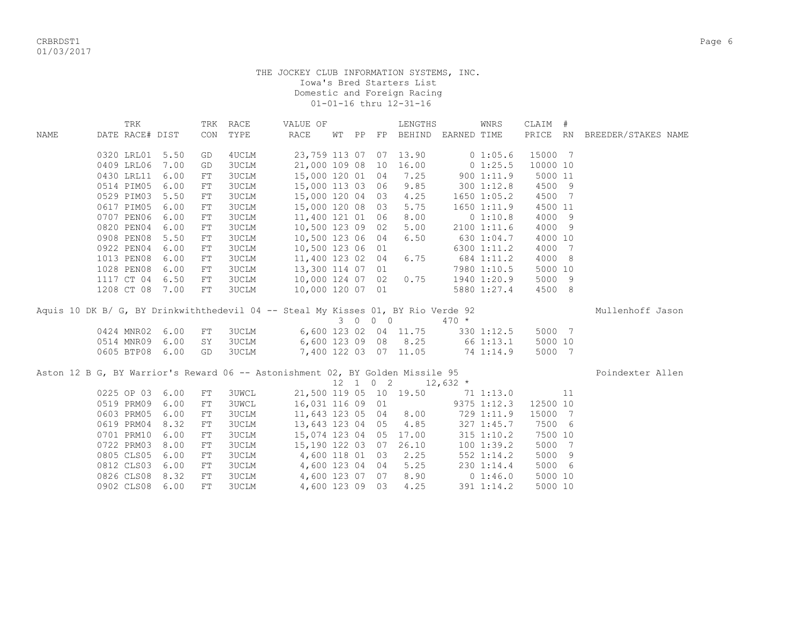|             | TRK             |      | TRK        | RACE         | VALUE OF                                                                         |       |                              | LENGTHS                |                       | WNRS            | CLAIM #  |    |                              |
|-------------|-----------------|------|------------|--------------|----------------------------------------------------------------------------------|-------|------------------------------|------------------------|-----------------------|-----------------|----------|----|------------------------------|
| <b>NAME</b> | DATE RACE# DIST |      | CON        | TYPE         | <b>RACE</b>                                                                      | WT PP |                              |                        | FP BEHIND EARNED TIME |                 |          |    | PRICE RN BREEDER/STAKES NAME |
|             |                 |      |            |              |                                                                                  |       |                              |                        |                       |                 |          |    |                              |
|             | 0320 LRL01      | 5.50 | GD         | 4UCLM        | 23,759 113 07                                                                    |       |                              | 07 13.90               |                       | 0 1:05.6        | 15000 7  |    |                              |
|             | 0409 LRL06      | 7.00 | GD         | 3UCLM        | 21,000 109 08                                                                    |       | 10                           | 16.00                  |                       | 0 1:25.5        | 10000 10 |    |                              |
|             | 0430 LRL11      | 6.00 | ${\rm FT}$ | <b>3UCLM</b> | 15,000 120 01 04                                                                 |       |                              | 7.25                   |                       | 9001:11.9       | 5000 11  |    |                              |
|             | 0514 PIM05      | 6.00 | FT         | <b>3UCLM</b> | 15,000 113 03 06                                                                 |       |                              | 9.85                   |                       | 300 1:12.8      | 4500 9   |    |                              |
|             | 0529 PIM03      | 5.50 | ${\rm FT}$ | <b>3UCLM</b> | 15,000 120 04 03                                                                 |       |                              | 4.25                   |                       | $1650$ $1:05.2$ | 4500 7   |    |                              |
|             | 0617 PIM05      | 6.00 | ${\rm FT}$ | <b>3UCLM</b> | 15,000 120 08 03                                                                 |       |                              | 5.75                   |                       | 1650 1:11.9     | 4500 11  |    |                              |
|             | 0707 PEN06      | 6.00 | ${\rm FT}$ | 3UCLM        | 11,400 121 01 06                                                                 |       |                              | 8.00                   |                       | 0 1:10.8        | 4000 9   |    |                              |
|             | 0820 PEN04      | 6.00 | ${\rm FT}$ | 3UCLM        | 10,500 123 09 02                                                                 |       |                              | 5.00                   |                       | 2100 1:11.6     | 4000 9   |    |                              |
|             | 0908 PEN08      | 5.50 | ${\rm FT}$ | <b>3UCLM</b> | 10,500 123 06 04                                                                 |       |                              | 6.50                   |                       | 630 1:04.7      | 4000 10  |    |                              |
|             | 0922 PEN04      | 6.00 | ${\rm FT}$ | <b>3UCLM</b> | 10,500 123 06 01                                                                 |       |                              |                        |                       | 6300 1:11.2     | 4000 7   |    |                              |
|             | 1013 PEN08      | 6.00 | ${\rm FT}$ | <b>3UCLM</b> | 11,400 123 02 04                                                                 |       |                              | 6.75                   |                       | 684 1:11.2      | 4000 8   |    |                              |
|             | 1028 PEN08      | 6.00 | ${\rm FT}$ | <b>3UCLM</b> | 13,300 114 07 01                                                                 |       |                              |                        |                       | 7980 1:10.5     | 5000 10  |    |                              |
|             | 1117 CT 04      | 6.50 | FT         | <b>3UCLM</b> | 10,000 124 07 02                                                                 |       |                              | 0.75                   |                       | 1940 1:20.9     | 5000 9   |    |                              |
|             | 1208 CT 08 7.00 |      | ${\rm FT}$ | <b>3UCLM</b> | 10,000 120 07 01                                                                 |       |                              |                        |                       | 5880 1:27.4     | 4500 8   |    |                              |
|             |                 |      |            |              | Aquis 10 DK B/ G, BY Drinkwiththedevil 04 -- Steal My Kisses 01, BY Rio Verde 92 |       |                              |                        |                       |                 |          |    | Mullenhoff Jason             |
|             |                 |      |            |              |                                                                                  |       | 3 0 0 0                      |                        | $470*$                |                 |          |    |                              |
|             | 0424 MNR02      | 6.00 | FT         | 3UCLM        |                                                                                  |       |                              | 6,600 123 02 04 11.75  |                       | 330 1:12.5      | 5000 7   |    |                              |
|             | 0514 MNR09 6.00 |      | SY         | 3UCLM        |                                                                                  |       |                              | 6,600 123 09 08 8.25   | 66 1:13.1             |                 | 5000 10  |    |                              |
|             | 0605 BTP08 6.00 |      | GD         | 3UCLM        |                                                                                  |       |                              | 7,400 122 03 07 11.05  | 74 1:14.9             |                 | 5000 7   |    |                              |
|             |                 |      |            |              |                                                                                  |       |                              |                        |                       |                 |          |    |                              |
|             |                 |      |            |              | Aston 12 B G, BY Warrior's Reward 06 -- Astonishment 02, BY Golden Missile 95    |       |                              |                        |                       |                 |          |    | Poindexter Allen             |
|             |                 |      |            |              |                                                                                  |       | $12 \quad 1 \quad 0 \quad 2$ |                        | $12,632$ *            |                 |          |    |                              |
|             | 0225 OP 03      | 6.00 | ${\rm FT}$ | <b>3UWCL</b> |                                                                                  |       |                              | 21,500 119 05 10 19.50 |                       | 71 1:13.0       |          | 11 |                              |
|             | 0519 PRM09      | 6.00 | ${\rm FT}$ | <b>3UWCL</b> | 16,031 116 09 01                                                                 |       |                              |                        |                       | 9375 1:12.3     | 12500 10 |    |                              |
|             | 0603 PRM05      | 6.00 | ${\rm FT}$ | <b>3UCLM</b> | 11,643 123 05 04                                                                 |       |                              | 8.00                   |                       | 729 1:11.9      | 15000 7  |    |                              |
|             | 0619 PRM04      | 8.32 | ${\rm FT}$ | <b>3UCLM</b> | 13,643 123 04 05                                                                 |       |                              | 4.85                   |                       | 327 1:45.7      | 7500 6   |    |                              |
|             | 0701 PRM10      | 6.00 | ${\rm FT}$ | 3UCLM        |                                                                                  |       |                              | 15,074 123 04 05 17.00 |                       | $315$ $1:10.2$  | 7500 10  |    |                              |
|             | 0722 PRM03      | 8.00 | ${\rm FT}$ | <b>3UCLM</b> | 15,190 122 03 07                                                                 |       |                              | 26.10                  |                       | 1001:39.2       | 5000 7   |    |                              |
|             | 0805 CLS05      | 6.00 | FT         | <b>3UCLM</b> | 4,600 118 01 03                                                                  |       |                              | 2.25                   |                       | 552 1:14.2      | 5000 9   |    |                              |
|             | 0812 CLS03      | 6.00 | ${\rm FT}$ | 3UCLM        | 4,600 123 04 04                                                                  |       |                              | 5.25                   |                       | 230 1:14.4      | 5000 6   |    |                              |
|             | 0826 CLS08      | 8.32 | FT         | <b>3UCLM</b> | 4,600 123 07 07                                                                  |       |                              | 8.90                   |                       | 0 1:46.0        | 5000 10  |    |                              |
|             | 0902 CLS08      | 6.00 | FT         | <b>3UCLM</b> | 4,600 123 09 03                                                                  |       |                              | 4.25                   |                       | 391 1:14.2      | 5000 10  |    |                              |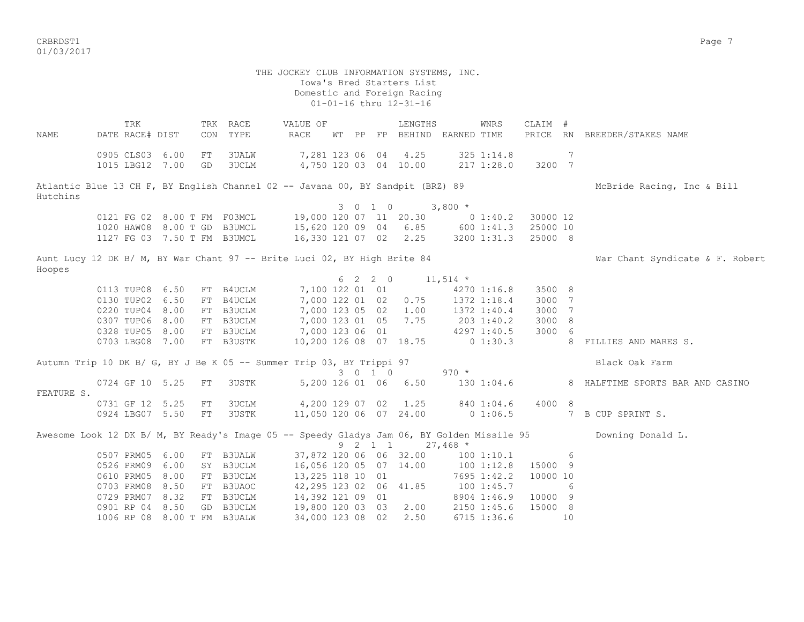$\,$  CRBRDST1  $\,$  Page  $\,$  7  $\,$ 01/03/2017

 THE JOCKEY CLUB INFORMATION SYSTEMS, INC. Iowa's Bred Starters List Domestic and Foreign Racing 01-01-16 thru 12-31-16 TRK TRK RACE VALUE OF LENGTHS WNRS CLAIM # NAME DATE RACE# DIST CON TYPE RACE WT PP FP BEHIND EARNED TIME PRICE RN BREEDER/STAKES NAME 0905 CLS03 6.00 FT 3UALW 7,281 123 06 04 4.25 325 1:14.8 7 1015 LBG12 7.00 GD 3UCLM 4,750 120 03 04 10.00 217 1:28.0 3200 7 Atlantic Blue 13 CH F, BY English Channel 02 -- Javana 00, BY Sandpit (BRZ) 89 McBride Racing, Inc & Bill Hutchins 3 0 1 0 3,800 \* 0121 FG 02 8.00 T FM F03MCL 19,000 120 07 11 20.30 0 1:40.2 30000 12 1020 HAW08 8.00 T GD B3UMCL 15,620 120 09 04 6.85 600 1:41.3 25000 10 1127 FG 03 7.50 T FM B3UMCL 16,330 121 07 02 2.25 3200 1:31.3 25000 8 Aunt Lucy 12 DK B/ M, BY War Chant 97 -- Brite Luci 02, BY High Brite 84 Was War Chant Syndicate & F. Robert Hoopes  $6 \quad 2 \quad 2 \quad 0 \quad 11,514 \quad *$ 0113 TUP08 6.50 FT B4UCLM 7,100 122 01 01 4270 1:16.8 3500 8 0130 TUP02 6.50 FT B4UCLM 7,000 122 01 02 0.75 1372 1:18.4 3000 7 0220 TUP04 8.00 FT B3UCLM 7,000 123 05 02 1.00 1372 1:40.4 3000 7 0307 TUP06 8.00 FT B3UCLM 7,000 123 01 05 7.75 203 1:40.2 3000 8 0328 TUP05 8.00 FT B3UCLM 7,000 123 06 01 4297 1:40.5 3000 6 0703 LBG08 7.00 FT B3USTK 10,200 126 08 07 18.75 0 1:30.3 8 FILLIES AND MARES S. Autumn Trip 10 DK B/ G, BY J Be K 05 -- Summer Trip 03, BY Trippi 97 Black Oak Farm 3 0 1 0 970 \* 0724 GF 10 5.25 FT 3USTK 5,200 126 01 06 6.50 130 1:04.6 8 HALFTIME SPORTS BAR AND CASINO FEATURE S. 0731 GF 12 5.25 FT 3UCLM 4,200 129 07 02 1.25 840 1:04.6 4000 8<br>0924 LBG07 5.50 FT 3USTK 11,050 120 06 07 24.00 0 1:06.5 7 11,050 120 06 07 24.00 0 1:06.5 7 B CUP SPRINT S. Awesome Look 12 DK B/ M, BY Ready's Image 05 -- Speedy Gladys Jam 06, BY Golden Missile 95 Downing Donald L. 9 2 1 1 27,468  $\star$  0507 PRM05 6.00 FT B3UALW 37,872 120 06 06 32.00 100 1:10.1 6 0526 PRM09 6.00 SY B3UCLM 16,056 120 05 07 14.00 100 1:12.8 15000 9 0610 PRM05 8.00 FT B3UCLM 13,225 118 10 01 7695 1:42.2 10000 10 0703 PRM08 8.50 FT B3UAOC 42, 295 123 02 06 41.85 100 1:45.7 6 0729 PRM07 8.32 FT B3UCLM 14,392 121 09 01 8904 1:46.9 10000 9 0901 RP 04 8.50 GD B3UCLM 19,800 120 03 03 2.00 2150 1:45.6 15000 8 1006 RP 08 8.00 T FM B3UALW 34,000 123 08 02 2.50 6715 1:36.6 10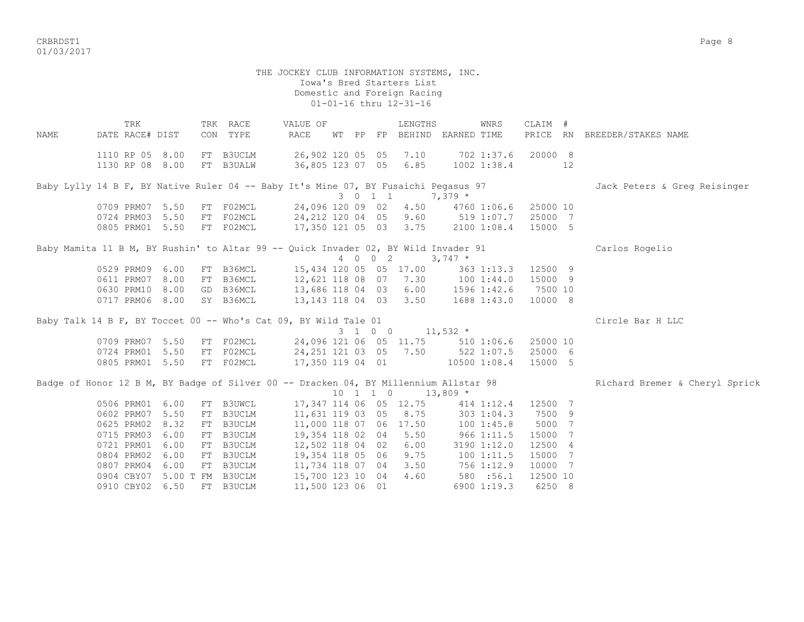criterion of the control of the control of the control of the control of the control of the control of the control of the control of the control of the control of the control of the control of the control of the control of 01/03/2017

#### THE JOCKEY CLUB INFORMATION SYSTEMS, INC. Iowa's Bred Starters List Domestic and Foreign Racing 01-01-16 thru 12-31-16

TRK TRK RACE VALUE OF LENGTHS WNRS CLAIM # NAME DATE RACE# DIST CON TYPE RACE WT PP FP BEHIND EARNED TIME PRICE RN BREEDER/STAKES NAME 1110 RP 05 8.00 FT B3UCLM 26,902 120 05 05 7.10 702 1:37.6 20000 8 1130 RP 08 8.00 FT B3UALW 36,805 123 07 05 6.85 1002 1:38.4 12 Baby Lylly 14 B F, BY Native Ruler 04 -- Baby It's Mine 07, BY Fusaichi Pegasus 97 Jack Peters & Greg Reisinger 3 0 1 1 7,379 \* 0709 PRM07 5.50 FT F02MCL 24,096 120 09 02 4.50 4760 1:06.6 25000 10 0724 PRM03 5.50 FT F02MCL 24,212 120 04 05 9.60 519 1:07.7 25000 7 0805 PRM01 5.50 FT F02MCL 17,350 121 05 03 3.75 2100 1:08.4 15000 5 Baby Mamita 11 B M, BY Rushin' to Altar 99 -- Quick Invader 02, BY Wild Invader 91 Carlos Rogelio 4 0 0 2 3,747 \* 0529 PRM09 6.00 FT B36MCL 15,434 120 05 05 17.00 363 1:13.3 12500 9 0611 PRM07 8.00 FT B36MCL 12,621 118 08 07 7.30 100 1:44.0 15000 9 0630 PRM10 8.00 GD B36MCL 13,686 118 04 03 6.00 1596 1:42.6 7500 10 0717 PRM06 8.00 SY B36MCL 13,143 118 04 03 3.50 1688 1:43.0 10000 8 Baby Talk 14 B F, BY Toccet 00 -- Who's Cat 09, BY Wild Tale 01 Circle Bar H LLC 3 1 0 0 11,532 \* 0709 PRM07 5.50 FT F02MCL 24,096 121 06 05 11.75 510 1:06.6 25000 10 0724 PRM01 5.50 FT F02MCL 24,251 121 03 05 7.50 522 1:07.5 25000 6 0805 PRM01 5.50 FT F02MCL 17,350 119 04 01 10500 1:08.4 15000 5 Badge of Honor 12 B M, BY Badge of Silver 00 -- Dracken 04, BY Millennium Allstar 98 Richard Bremer & Cheryl Sprick  $10 \quad 1 \quad 1 \quad 0 \quad 13,809 \star$ 0506 PRM01 6.00 FT B3UWCL 17,347 114 06 05 12.75 414 1:12.4 12500 7<br>0602 PRM07 5.50 FT B3UCLM 11,631 119 03 05 8.75 303 1:04.3 7500 9 0602 PRM07 5.50 FT B3UCLM 0625 PRM02 8.32 FT B3UCLM 11,000 118 07 06 17.50 100 1:45.8 5000 7 0715 PRM03 6.00 FT B3UCLM 19,354 118 02 04 5.50 966 1:11.5 15000 7 0721 PRM01 6.00 FT B3UCLM 12,502 118 04 02 6.00 3190 1:12.0 12500 4 0804 PRM02 6.00 FT B3UCLM 19,354 118 05 06 9.75 100 1:11.5 15000 7 0807 PRM04 6.00 FT B3UCLM 11,734 118 07 04 3.50 756 1:12.9 10000 7 0904 CBY07 5.00 T FM B3UCLM 15,700 123 10 04 4.60 580 :56.1 12500 10 0910 CBY02 6.50 FT B3UCLM 11,500 123 06 01 6900 1:19.3 6250 8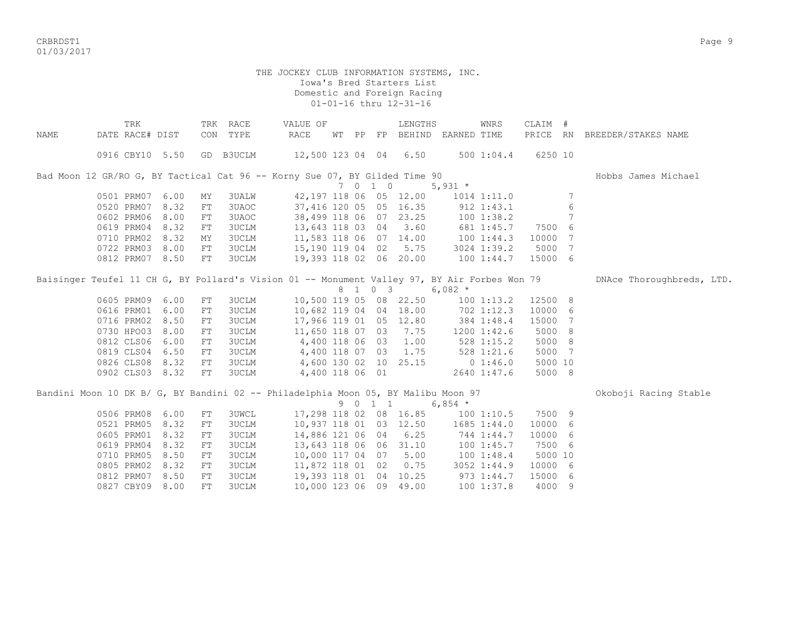CRBRDST1 Page 9 01/03/2017

|      |                 | TRK |      |    | TRK RACE     | VALUE OF                                                                                     |       |         | LENGTHS                |                       | <b>WNRS</b>    | CLAIM #  |     |                           |
|------|-----------------|-----|------|----|--------------|----------------------------------------------------------------------------------------------|-------|---------|------------------------|-----------------------|----------------|----------|-----|---------------------------|
| NAME | DATE RACE# DIST |     |      |    | CON TYPE     | <b>RACE</b>                                                                                  | WT PP |         |                        | FP BEHIND EARNED TIME |                | PRICE RN |     | BREEDER/STAKES NAME       |
|      | 0916 CBY10 5.50 |     |      |    | GD B3UCLM    | 12,500 123 04 04 6.50                                                                        |       |         |                        |                       | 500 1:04.4     | 6250 10  |     |                           |
|      |                 |     |      |    |              |                                                                                              |       |         |                        |                       |                |          |     |                           |
|      |                 |     |      |    |              | Bad Moon 12 GR/RO G, BY Tactical Cat 96 -- Korny Sue 07, BY Gilded Time 90                   |       |         |                        |                       |                |          |     | Hobbs James Michael       |
|      |                 |     |      |    |              |                                                                                              |       | 7 0 1 0 |                        | 5,931 $*$             |                |          |     |                           |
|      | 0501 PRM07      |     | 6.00 | MY | <b>3UALW</b> |                                                                                              |       |         | 42,197 118 06 05 12.00 |                       | 1014 1:11.0    |          | 7   |                           |
|      | 0520 PRM07      |     | 8.32 | FT | 3UAOC        |                                                                                              |       |         | 37,416 120 05 05 16.35 |                       | 912 1:43.1     |          | 6   |                           |
|      | 0602 PRM06      |     | 8.00 | FT | 3UAOC        |                                                                                              |       |         | 38,499 118 06 07 23.25 | $100$ $1:38.2$        |                |          | 7   |                           |
|      | 0619 PRM04      |     | 8.32 | FT | 3UCLM        | 13,643 118 03 04                                                                             |       |         | 3.60                   |                       | 681 1:45.7     | 7500     | 6   |                           |
|      | 0710 PRM02      |     | 8.32 | MY | 3UCLM        | 11,583 118 06 07 14.00                                                                       |       |         |                        | 100 1:44.3            |                | 10000    | 7   |                           |
|      | 0722 PRM03      |     | 8.00 | FT | 3UCLM        | 15,190 119 04 02                                                                             |       |         | 5.75                   |                       | 3024 1:39.2    | 5000     | 7   |                           |
|      | 0812 PRM07      |     | 8.50 | FT | <b>3UCLM</b> | 19,393 118 02 06 20.00                                                                       |       |         |                        |                       | 100 1:44.7     | 15000    | - 6 |                           |
|      |                 |     |      |    |              | Baisinger Teufel 11 CH G, BY Pollard's Vision 01 -- Monument Valley 97, BY Air Forbes Won 79 |       |         |                        |                       |                |          |     | DNAce Thoroughbreds, LTD. |
|      |                 |     |      |    |              |                                                                                              |       | 8 1 0 3 |                        | $6,082$ *             |                |          |     |                           |
|      | 0605 PRM09      |     | 6.00 | FT | 3UCLM        |                                                                                              |       |         | 10,500 119 05 08 22.50 |                       | 100 1:13.2     | 12500 8  |     |                           |
|      | 0616 PRM01      |     | 6.00 | FT | <b>3UCLM</b> |                                                                                              |       |         | 10,682 119 04 04 18.00 | 702 1:12.3            |                | 10000    | - 6 |                           |
|      | 0716 PRM02      |     | 8.50 | FT | <b>3UCLM</b> |                                                                                              |       |         | 17,966 119 01 05 12.80 |                       | 384 1:48.4     | 15000    | 7   |                           |
|      | 0730 HPO03      |     | 8.00 | FT | 3UCLM        | 11,650 118 07 03                                                                             |       |         | 7.75                   |                       | 1200 1:42.6    | 5000     | 8   |                           |
|      | 0812 CLS06      |     | 6.00 | FT | 3UCLM        | 4,400 118 06 03                                                                              |       |         | 1.00                   |                       | 528 1:15.2     | 5000     | - 8 |                           |
|      | 0819 CLS04      |     | 6.50 | FT | 3UCLM        | 4,400 118 07 03                                                                              |       |         | 1.75                   |                       | 528 1:21.6     | 5000     | 7   |                           |
|      | 0826 CLS08 8.32 |     |      | FT | 3UCLM        |                                                                                              |       |         | 4,600 130 02 10 25.15  |                       | 01:46.0        | 5000 10  |     |                           |
|      | 0902 CLS03 8.32 |     |      | FT | 3UCLM        | 4,400 118 06 01                                                                              |       |         |                        |                       | 2640 1:47.6    | 5000 8   |     |                           |
|      |                 |     |      |    |              | Bandini Moon 10 DK B/ G, BY Bandini 02 -- Philadelphia Moon 05, BY Malibu Moon 97            |       |         |                        |                       |                |          |     | Okoboji Racing Stable     |
|      |                 |     |      |    |              |                                                                                              |       | 9 0 1 1 |                        | 6,854 $*$             |                |          |     |                           |
|      | 0506 PRM08      |     | 6.00 | FT | <b>3UWCL</b> |                                                                                              |       |         | 17,298 118 02 08 16.85 |                       | 1001:10.5      | 7500 9   |     |                           |
|      | 0521 PRM05      |     | 8.32 | FT | <b>3UCLM</b> |                                                                                              |       |         | 10,937 118 01 03 12.50 |                       | 1685 1:44.0    | 10000 6  |     |                           |
|      | 0605 PRM01      |     | 8.32 | FT | <b>3UCLM</b> | 14,886 121 06 04                                                                             |       |         | 6.25                   |                       | 744 1:44.7     | 10000    | -6  |                           |
|      | 0619 PRM04      |     | 8.32 | FT | <b>3UCLM</b> | 13,643 118 06 06                                                                             |       |         | 31.10                  |                       | 1001:45.7      | 7500 6   |     |                           |
|      | 0710 PRM05      |     | 8.50 | FT | 3UCLM        | 10,000 117 04 07                                                                             |       |         | 5.00                   |                       | 1001:48.4      | 5000 10  |     |                           |
|      | 0805 PRM02      |     | 8.32 | FT | 3UCLM        | 11,872 118 01 02                                                                             |       |         | 0.75                   |                       | 3052 1:44.9    | 10000 6  |     |                           |
|      | 0812 PRM07      |     | 8.50 | FT | 3UCLM        | 19,393 118 01 04                                                                             |       |         | 10.25                  |                       | 973 1:44.7     | 15000    | - 6 |                           |
|      | 0827 CBY09      |     | 8.00 | FT | <b>3UCLM</b> | 10,000 123 06 09                                                                             |       |         | 49.00                  |                       | $100$ $1:37.8$ | 4000 9   |     |                           |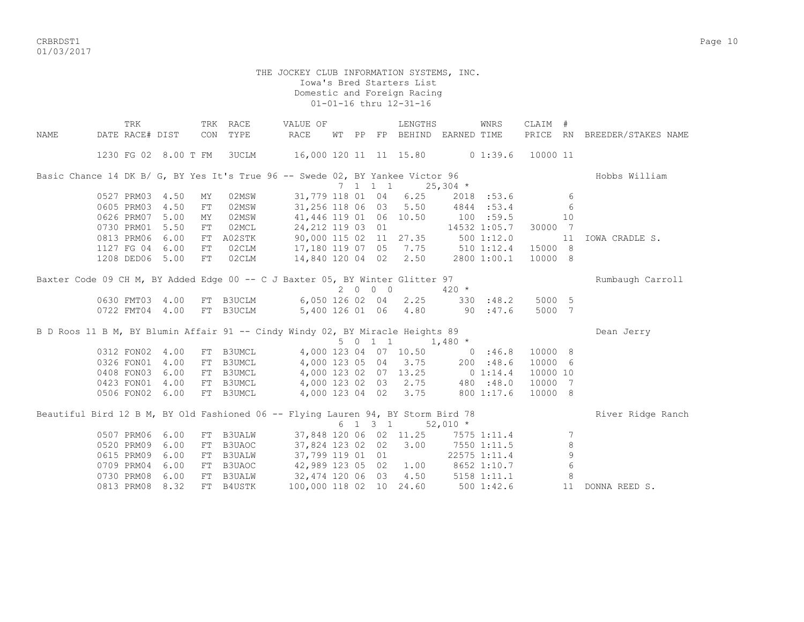CRBRDST1 Page 10 01/03/2017

|      | TRK             |      |     | TRK RACE  | VALUE OF                                                                           |       |         | LENGTHS                     |                                    | WNRS        | CLAIM #  |            |                              |
|------|-----------------|------|-----|-----------|------------------------------------------------------------------------------------|-------|---------|-----------------------------|------------------------------------|-------------|----------|------------|------------------------------|
| NAME | DATE RACE# DIST |      | CON | TYPE      | RACE                                                                               | WT PP |         |                             | FP BEHIND EARNED TIME              |             |          |            | PRICE RN BREEDER/STAKES NAME |
|      |                 |      |     |           | 1230 FG 02 8.00 T FM 3UCLM 16,000 120 11 11 15.80 0 1:39.6                         |       |         |                             |                                    |             | 10000 11 |            |                              |
|      |                 |      |     |           | Basic Chance 14 DK B/ G, BY Yes It's True 96 -- Swede 02, BY Yankee Victor 96      |       |         |                             |                                    |             |          |            | Hobbs William                |
|      |                 |      |     |           |                                                                                    |       | 7 1 1 1 |                             | $25,304$ *                         |             |          |            |                              |
|      | 0527 PRM03 4.50 |      | MY  | 02MSW     | 31,779 118 01 04                                                                   |       |         | 6.25                        |                                    | 2018 :53.6  |          | -6         |                              |
|      | 0605 PRM03      | 4.50 | FT  | 02MSW     |                                                                                    |       |         | 31,256 118 06 03 5.50       |                                    | 4844:53.4   |          | 6          |                              |
|      | 0626 PRM07      | 5.00 | MY  | 02MSW     |                                                                                    |       |         | 41,446 119 01 06 10.50      | 100 :59.5                          |             |          | 10         |                              |
|      | 0730 PRM01      | 5.50 | FT  | 02MCL     | 24, 212 119 03 01                                                                  |       |         |                             | 14532 1:05.7                       |             | 30000 7  |            |                              |
|      | 0813 PRM06 6.00 |      | FT  |           | A02STK 90,000 115 02 11 27.35 500 1:12.0<br>02CLM 17,180 119 07 05 7.75 510 1:12.4 |       |         |                             |                                    |             |          | 11         | IOWA CRADLE S.               |
|      | 1127 FG 04 6.00 |      | FT  |           |                                                                                    |       |         |                             |                                    |             | 15000 8  |            |                              |
|      | 1208 DED06 5.00 |      | FT  | 02CLM     | 14,840 120 04 02 2.50                                                              |       |         |                             |                                    | 2800 1:00.1 | 10000 8  |            |                              |
|      |                 |      |     |           | Baxter Code 09 CH M, BY Added Edge 00 -- C J Baxter 05, BY Winter Glitter 97       |       |         |                             |                                    |             |          |            | Rumbaugh Carroll             |
|      |                 |      |     |           |                                                                                    |       | 2000    |                             | $420 *$                            |             |          |            |                              |
|      | 0630 FMT03 4.00 |      |     |           | FT B3UCLM 6,050 126 02 04 2.25                                                     |       |         |                             | 330 : 48.2 5000 5                  |             |          |            |                              |
|      | 0722 FMT04 4.00 |      |     | FT B3UCLM | 5,400 126 01 06 4.80                                                               |       |         |                             | 90:47.6                            |             | 5000 7   |            |                              |
|      |                 |      |     |           | B D Roos 11 B M, BY Blumin Affair 91 -- Cindy Windy 02, BY Miracle Heights 89      |       |         |                             |                                    |             |          |            | Dean Jerry                   |
|      |                 |      |     |           |                                                                                    |       |         | $5 \t0 \t1 \t1 \t1.480 \t*$ |                                    |             |          |            |                              |
|      | 0312 FON02 4.00 |      |     | FT B3UMCL |                                                                                    |       |         | 4,000 123 04 07 10.50       | 0.36.8                             |             | 10000 8  |            |                              |
|      | 0326 FON01 4.00 |      |     | FT B3UMCL |                                                                                    |       |         |                             | 4,000 123 05 04 3.75 200 :48.6     |             | 10000 6  |            |                              |
|      | 0408 FON03 6.00 |      |     | FT B3UMCL |                                                                                    |       |         | 4,000 123 02 07 13.25       |                                    | 0 1:14.4    | 10000 10 |            |                              |
|      | 0423 FON01 4.00 |      |     | FT B3UMCL |                                                                                    |       |         | 4,000 123 02 03 2.75        |                                    | 480 :48.0   | 10000 7  |            |                              |
|      | 0506 FON02 6.00 |      |     | FT B3UMCL | 4,000 123 04 02 3.75                                                               |       |         |                             |                                    | 800 1:17.6  | 10000 8  |            |                              |
|      |                 |      |     |           | Beautiful Bird 12 B M, BY Old Fashioned 06 -- Flying Lauren 94, BY Storm Bird 78   |       |         |                             |                                    |             |          |            | River Ridge Ranch            |
|      |                 |      |     |           |                                                                                    |       | 6 1 3 1 |                             | $52,010$ *                         |             |          |            |                              |
|      | 0507 PRM06 6.00 |      |     | FT B3UALW |                                                                                    |       |         |                             | 37,848 120 06 02 11.25 7575 1:11.4 |             |          | 7          |                              |
|      | 0520 PRM09      | 6.00 | FT  | B3UAOC    |                                                                                    |       |         | 37,824 123 02 02 3.00       | $7550$ 1:11.5                      |             |          | 8          |                              |
|      | 0615 PRM09      | 6.00 |     | FT B3UALW | 37,799 119 01 01                                                                   |       |         |                             | 22575 1:11.4                       |             |          | 9          |                              |
|      | 0709 PRM04      | 6.00 |     |           | FT B3UAOC 42,989 123 05 02                                                         |       |         | 1.00                        | 8652 1:10.7                        |             |          | $\epsilon$ |                              |
|      | 0730 PRM08 6.00 |      |     | FT B3UALW | 32, 474 120 06 03 4.50 5158 1:11.1                                                 |       |         |                             |                                    |             |          | 8          |                              |
|      | 0813 PRM08      | 8.32 |     | FT B4USTK | 100,000 118 02 10 24.60                                                            |       |         |                             | 500 1:42.6                         |             |          | 11         | DONNA REED S.                |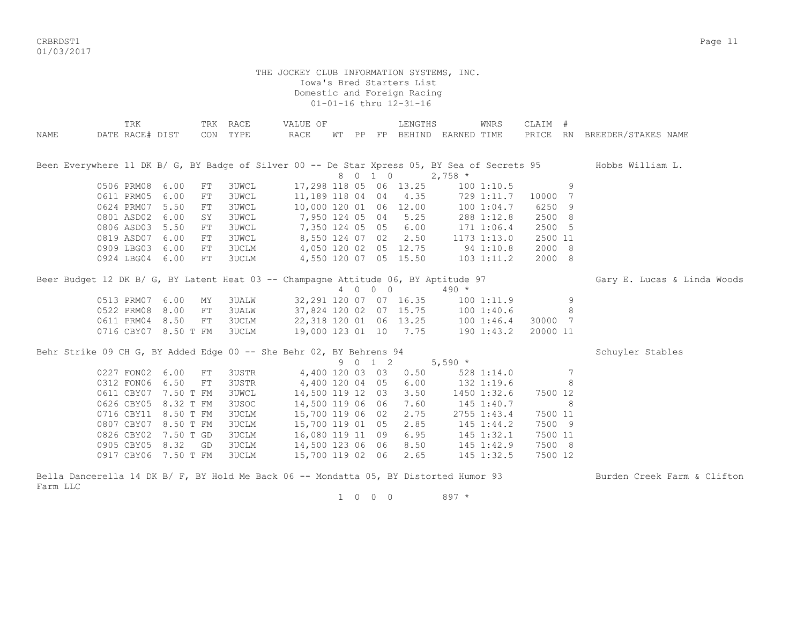CRBRDST1 Page 11 01/03/2017

#### THE JOCKEY CLUB INFORMATION SYSTEMS, INC. Iowa's Bred Starters List Domestic and Foreign Racing 01-01-16 thru 12-31-16

| NAME | TRK<br>DATE RACE# DIST                                                                |            | TRK RACE<br>CON TYPE | VALUE OF<br>RACE                  |  |         | LENGTHS<br>WT PP FP BEHIND EARNED TIME |                | WNRS        | CLAIM #<br>PRICE RN |   | BREEDER/STAKES NAME                                                                                           |
|------|---------------------------------------------------------------------------------------|------------|----------------------|-----------------------------------|--|---------|----------------------------------------|----------------|-------------|---------------------|---|---------------------------------------------------------------------------------------------------------------|
|      |                                                                                       |            |                      |                                   |  |         |                                        |                |             |                     |   | Been Everywhere 11 DK B/ G, BY Badge of Silver 00 -- De Star Xpress 05, BY Sea of Secrets 95 Hobbs William L. |
|      |                                                                                       |            |                      |                                   |  | 8 0 1 0 |                                        | $2,758$ *      |             |                     |   |                                                                                                               |
|      | 0506 PRM08 6.00                                                                       | FT         | 3UWCL                |                                   |  |         | 17,298 118 05 06 13.25                 |                | 1001:10.5   |                     | 9 |                                                                                                               |
|      | 0611 PRM05                                                                            | 6.00<br>FT | 3UWCL                | 11, 189 118 04 04 4.35            |  |         |                                        |                | 729 1:11.7  | 10000 7             |   |                                                                                                               |
|      | 0624 PRM07                                                                            | 5.50<br>FT | <b>3UWCL</b>         | 10,000 120 01 06 12.00            |  |         |                                        |                | 100 1:04.7  | 6250 9              |   |                                                                                                               |
|      | 0801 ASD02                                                                            | 6.00<br>SY | 3UWCL                | 7,950 124 05 04 5.25              |  |         |                                        |                | 288 1:12.8  | 2500 8              |   |                                                                                                               |
|      | 0806 ASD03 5.50                                                                       | FT         | <b>3UWCL</b>         | 7,350 124 05 05 6.00              |  |         |                                        |                | 171 1:06.4  | 2500 5              |   |                                                                                                               |
|      | 0819 ASD07 6.00                                                                       | FT         | <b>3UWCL</b>         |                                   |  |         | 8,550 124 07 02 2.50                   |                | 1173 1:13.0 | 2500 11             |   |                                                                                                               |
|      | 0909 LBG03 6.00                                                                       | FT         | 3UCLM                | 4,050 120 02 05 12.75             |  |         |                                        |                | 94 1:10.8   | 2000 8              |   |                                                                                                               |
|      | 0924 LBG04 6.00                                                                       | FT         | 3UCLM                |                                   |  |         | 4,550 120 07 05 15.50                  | $103$ $1:11.2$ |             | 2000 8              |   |                                                                                                               |
|      | Beer Budget 12 DK B/ G, BY Latent Heat 03 -- Champagne Attitude 06, BY Aptitude 97    |            |                      |                                   |  |         |                                        |                |             |                     |   | Gary E. Lucas & Linda Woods                                                                                   |
|      |                                                                                       |            |                      |                                   |  | 4 0 0 0 |                                        | $490 *$        |             |                     |   |                                                                                                               |
|      | 0513 PRM07 6.00                                                                       | MY         | 3UALW                |                                   |  |         | 32, 291 120 07 07 16.35 100 1:11.9     |                |             |                     | 9 |                                                                                                               |
|      | 0522 PRM08 8.00                                                                       | FT         | 3UALW                |                                   |  |         | 37,824 120 02 07 15.75 100 1:40.6      |                |             |                     | 8 |                                                                                                               |
|      | 0611 PRM04 8.50                                                                       | FT         | 3UCLM                | 22,318 120 01 06 13.25 100 1:46.4 |  |         |                                        |                |             | 30000 7             |   |                                                                                                               |
|      | 0716 CBY07 8.50 T FM                                                                  |            | 3UCLM                | 19,000 123 01 10 7.75             |  |         |                                        |                | 190 1:43.2  | 20000 11            |   |                                                                                                               |
|      | Behr Strike 09 CH G, BY Added Edge 00 -- She Behr 02, BY Behrens 94                   |            |                      |                                   |  |         |                                        |                |             |                     |   | Schuyler Stables                                                                                              |
|      |                                                                                       |            |                      |                                   |  |         | 9 0 1 2                                | $5,590 *$      |             |                     |   |                                                                                                               |
|      | 0227 FON02 6.00                                                                       | FT         | 3USTR                |                                   |  |         | 4,400 120 03 03 0.50                   |                | 528 1:14.0  |                     | 7 |                                                                                                               |
|      | 0312 FON06 6.50                                                                       | FT         | 3USTR                | 4,400 120 04 05 6.00              |  |         |                                        |                | 132 1:19.6  |                     | 8 |                                                                                                               |
|      | 0611 CBY07 7.50 T FM                                                                  |            | <b>3UWCL</b>         | 14,500 119 12 03                  |  |         | 3.50                                   |                | 1450 1:32.6 | 7500 12             |   |                                                                                                               |
|      | 0626 CBY05 8.32 T FM                                                                  |            | 3USOC                | 14,500 119 06 06                  |  |         | 7.60                                   |                | 145 1:40.7  |                     | 8 |                                                                                                               |
|      | 0716 CBY11 8.50 T FM                                                                  |            | 3UCLM                | 15,700 119 06 02                  |  |         | 2.75                                   |                | 2755 1:43.4 | 7500 11             |   |                                                                                                               |
|      | 0807 CBY07 8.50 T FM                                                                  |            | 3UCLM                | 15,700 119 01 05                  |  |         | 2.85                                   |                | 145 1:44.2  | 7500 9              |   |                                                                                                               |
|      | 0826 CBY02 7.50 T GD                                                                  |            | 3UCLM                | 16,080 119 11 09                  |  |         | 6.95                                   |                | 145 1:32.1  | 7500 11             |   |                                                                                                               |
|      | 0905 CBY05 8.32 GD                                                                    |            | 3UCLM                | 14,500 123 06 06 8.50             |  |         |                                        |                | 145 1:42.9  | 7500 8              |   |                                                                                                               |
|      | 0917 CBY06 7.50 T FM                                                                  |            | 3UCLM                | 15,700 119 02 06 2.65             |  |         |                                        |                | 145 1:32.5  | 7500 12             |   |                                                                                                               |
|      | Bella Dancerella 14 DK B/ F, BY Hold Me Back 06 -- Mondatta 05, BY Distorted Humor 93 |            |                      |                                   |  |         |                                        |                |             |                     |   | Burden Creek Farm & Clifton                                                                                   |

Farm LLC

1 0 0 0 897 \*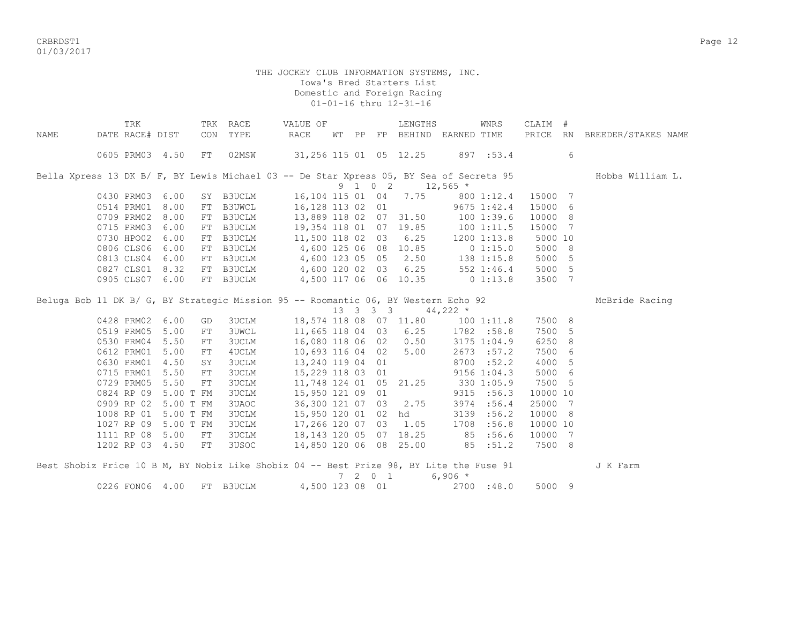CRBRDST1 Page 12 01/03/2017

## THE JOCKEY CLUB INFORMATION SYSTEMS, INC. Iowa's Bred Starters List Domestic and Foreign Racing 01-01-16 thru 12-31-16

|      | TRK             |                 |            | TRK RACE      | VALUE OF                                                                                |       |                | LENGTHS                           |             | WNRS        | CLAIM #  |                |                              |
|------|-----------------|-----------------|------------|---------------|-----------------------------------------------------------------------------------------|-------|----------------|-----------------------------------|-------------|-------------|----------|----------------|------------------------------|
| NAME | DATE RACE# DIST |                 | CON        | TYPE          | RACE                                                                                    | WT PP | FP             | BEHIND EARNED TIME                |             |             |          |                | PRICE RN BREEDER/STAKES NAME |
|      |                 | 0605 PRM03 4.50 | FT         | 02MSW         |                                                                                         |       |                | 31, 256 115 01 05 12.25           | 897 :53.4   |             |          | 6              |                              |
|      |                 |                 |            |               | Bella Xpress 13 DK B/ F, BY Lewis Michael 03 -- De Star Xpress 05, BY Sea of Secrets 95 |       |                |                                   |             |             |          |                | Hobbs William L.             |
|      |                 |                 |            |               |                                                                                         |       |                | 9 1 0 2 12,565 $*$                |             |             |          |                |                              |
|      | 0430 PRM03      | 6.00            |            | SY B3UCLM     | 16,104 115 01                                                                           |       |                | 04 7.75                           |             | 800 1:12.4  | 15000    | $\overline{7}$ |                              |
|      | 0514 PRM01      | 8.00            | FT         | B3UWCL        | 16,128 113 02 01                                                                        |       |                |                                   |             | 9675 1:42.4 | 15000    | 6              |                              |
|      | 0709 PRM02      | 8.00            | FT         | B3UCLM        | 13,889 118 02 07 31.50                                                                  |       |                |                                   | 1001:39.6   |             | 10000 8  |                |                              |
|      | 0715 PRM03      | 6.00            | FT         | <b>B3UCLM</b> |                                                                                         |       |                | 19,354 118 01 07 19.85 100 1:11.5 |             |             | 15000    | - 7            |                              |
|      | 0730 HPO02      | 6.00            |            | FT B3UCLM     | 11,500 118 02 03                                                                        |       |                | 6.25                              |             | 1200 1:13.8 | 5000 10  |                |                              |
|      | 0806 CLS06      | 6.00            |            |               | FT B3UCLM 4,600 125 06 08                                                               |       |                | 10.85                             |             | 0 1:15.0    | 5000     | - 8            |                              |
|      |                 | 0813 CLS04 6.00 |            |               | FT B3UCLM 4,600 123 05 05                                                               |       |                | 2.50                              | 138 1:15.8  |             | 5000     | 5              |                              |
|      |                 | 0827 CLS01 8.32 |            |               | FT B3UCLM 4,600 120 02 03                                                               |       |                | 6.25                              |             | 552 1:46.4  | 5000     | 5              |                              |
|      |                 | 0905 CLS07 6.00 |            | FT B3UCLM     | 4,500 117 06 06 10.35                                                                   |       |                |                                   | $0\;1:13.8$ |             | 3500     | 7              |                              |
|      |                 |                 |            |               |                                                                                         |       |                |                                   |             |             |          |                | McBride Racing               |
|      |                 |                 |            |               | Beluga Bob 11 DK B/ G, BY Strategic Mission 95 -- Roomantic 06, BY Western Echo 92      |       | 13   3   3   3 |                                   | 44,222 $*$  |             |          |                |                              |
|      | 0428 PRM02      | 6.00            | GD         | 3UCLM         |                                                                                         |       |                | 18,574 118 08 07 11.80 100 1:11.8 |             |             | 7500 8   |                |                              |
|      | 0519 PRM05      | 5.00            | ${\rm FT}$ | 3UWCL         | 11,665 118 04 03                                                                        |       |                | 6.25                              |             | 1782 :58.8  | 7500     | 5              |                              |
|      | 0530 PRM04      | 5.50            | ${\rm FT}$ | 3UCLM         | 16,080 118 06 02                                                                        |       |                | 0.50                              |             | 3175 1:04.9 | 6250     | 8              |                              |
|      | 0612 PRM01      | 5.00            | ${\rm FT}$ | 4UCLM         | 10,693 116 04 02                                                                        |       |                | 5.00                              |             | 2673 : 57.2 | 7500     | 6              |                              |
|      | 0630 PRM01      | 4.50            | SY         | 3UCLM         | 13,240 119 04 01                                                                        |       |                |                                   |             | 8700 : 52.2 | 4000     | 5              |                              |
|      | 0715 PRM01      | 5.50            | ${\rm FT}$ | 3UCLM         | 15,229 118 03 01                                                                        |       |                |                                   |             | 9156 1:04.3 | 5000     | 6              |                              |
|      | 0729 PRM05      | 5.50            | ${\rm FT}$ | 3UCLM         | 11,748 124 01 05                                                                        |       |                | 21.25                             |             | 330 1:05.9  | 7500     | 5              |                              |
|      | 0824 RP 09      | 5.00 T FM       |            | 3UCLM         | 15,950 121 09 01                                                                        |       |                |                                   |             | 9315 :56.3  | 10000 10 |                |                              |
|      | 0909 RP 02      | 5.00 T FM       |            | 3UAOC         | 36,300 121 07 03                                                                        |       |                | 2.75                              | 3974        | :56.4       | 25000    | 7              |                              |
|      | 1008 RP 01      | 5.00 T FM       |            | 3UCLM         | 15,950 120 01 02                                                                        |       |                | hd                                | 3139        | :56.2       | 10000    | - 8            |                              |
|      | 1027 RP 09      | 5.00 T FM       |            | <b>3UCLM</b>  | 17,266 120 07 03                                                                        |       |                | 1.05                              | 1708        | :56.8       | 10000 10 |                |                              |
|      | 1111 RP 08      | 5.00            | FT         | 3UCLM         | 18,143 120 05 07                                                                        |       |                | 18.25 85                          |             | :56.6       | 10000    | 7              |                              |
|      |                 | 1202 RP 03 4.50 | FT         | 3USOC         | 14,850 120 06 08 25.00 85 :51.2                                                         |       |                |                                   |             |             | 7500 8   |                |                              |
|      |                 |                 |            |               |                                                                                         |       |                |                                   |             |             |          |                |                              |
|      |                 |                 |            |               | Best Shobiz Price 10 B M, BY Nobiz Like Shobiz 04 -- Best Prize 98, BY Lite the Fuse 91 | 7     | 2 0 1          |                                   | $6,906 *$   |             |          |                | J K Farm                     |

0226 FON06 4.00 FT B3UCLM 4,500 123 08 01 2700 :48.0 5000 9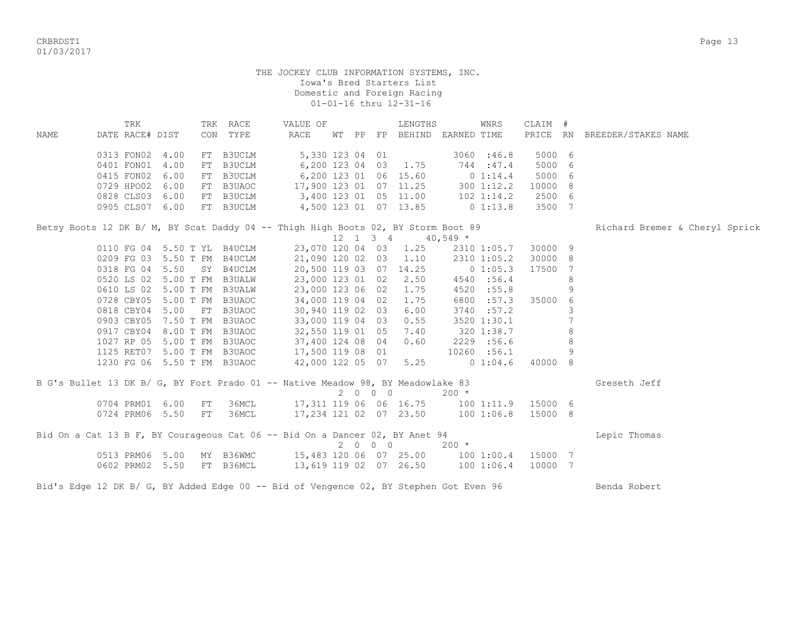CRBRDST1 Page 13 01/03/2017

#### THE JOCKEY CLUB INFORMATION SYSTEMS, INC. Iowa's Bred Starters List Domestic and Foreign Racing 01-01-16 thru 12-31-16

 TRK TRK RACE VALUE OF LENGTHS WNRS CLAIM # NAME DATE RACE# DIST CON TYPE RACE WT PP FP BEHIND EARNED TIME PRICE RN BREEDER/STAKES NAME 0313 FON02 4.00 FT B3UCLM 5,330 123 04 01 3060 :46.8 5000 6 0401 FON01 4.00 FT B3UCLM 6,200 123 04 03 1.75 744 :47.4 5000 6 0415 FON02 6.00 FT B3UCLM 6,200 123 01 06 15.60 0 1:14.4 5000 6 0729 HPO02 6.00 FT B3UAOC 17,900 123 01 07 11.25 300 1:12.2 10000 8 0828 CLS03 6.00 FT B3UCLM 3,400 123 01 05 11.00 102 1:14.2 2500 6 0905 CLS07 6.00 FT B3UCLM 4,500 123 01 07 13.85 0 1:13.8 3500 7 Betsy Boots 12 DK B/ M, BY Scat Daddy 04 -- Thigh High Boots 02, BY Storm Boot 89 Richard Bremer & Cheryl Sprick<br>12 1 3 4 40,549 \*  $12 \quad 1 \quad 3 \quad 4$ 0110 FG 04 5.50 T YL B4UCLM 23,070 120 04 03 1.25 2310 1:05.7 30000 9<br>0209 FG 03 5.50 T FM B4UCLM 21,090 120 02 03 1.10 2310 1:05.2 30000 8 0209 FG 03 5.50 T FM B4UCLM 21,090 120 02 03 1.10 2310 1:05.2 30000 8 0318 FG 04 5.50 SY B4UCLM 20,500 119 03 07 14.25 0 1:05.3 17500 7 0520 LS 02 5.00 T FM B3UALW 23,000 123 01 02 2.50 4540 :56.4 8 0610 LS 02 5.00 T FM B3UALW 23,000 123 06 02 1.75 4520 :55.8 9 0728 CBY05 5.00 T FM B3UAOC 34,000 119 04 02 1.75 6800 :57.3 35000 6 0818 CBY04 5.00 FT B3UAOC 30,940 119 02 03 6.00 3740 :57.2 3 0903 CBY05 7.50 T FM B3UAOC 33,000 119 04 03 0.55 3520 1:30.1 7 0917 CBY04 8.00 T FM B3UAOC 32,550 119 01 05 7.40 320 1:38.7 8 1027 RP 05 5.00 T FM B3UAOC 37,400 124 08 04 0.60 2229 :56.6 8 1125 RET07 5.00 T FM B3UAOC 17,500 119 08 01 10260 :56.1 9 1230 FG 06 5.50 T FM B3UAOC 42,000 122 05 07 5.25 0 1:04.6 40000 8 B G's Bullet 13 DK B/ G, BY Fort Prado 01 -- Native Meadow 98, BY Meadowlake 83 Greseth Jeff  $2 \t 0 \t 0 \t 200 \t \star$ 0704 PRM01 6.00 FT 36MCL 17,311 119 06 06 16.75 100 1:11.9 15000 6<br>0724 PRM06 5.50 FT 36MCL 17,234 121 02 07 23.50 100 1:06.8 15000 8 0724 PRM06 5.50 FT 36MCL 17,234 121 02 07 23.50 100 1:06.8 15000 8 Bid On a Cat 13 B F, BY Courageous Cat 06 -- Bid On a Dancer 02, BY Anet 94 Lepic Thomas 2 0 0 0 200 \* 0513 PRM06 5.00 MY B36WMC 15,483 120 06 07 25.00 100 1:00.4 15000 7 0602 PRM02 5.50 FT B36MCL 13,619 119 02 07 26.50 100 1:06.4 10000 7

Bid's Edge 12 DK B/ G, BY Added Edge 00 -- Bid of Vengence 02, BY Stephen Got Even 96 Benda Robert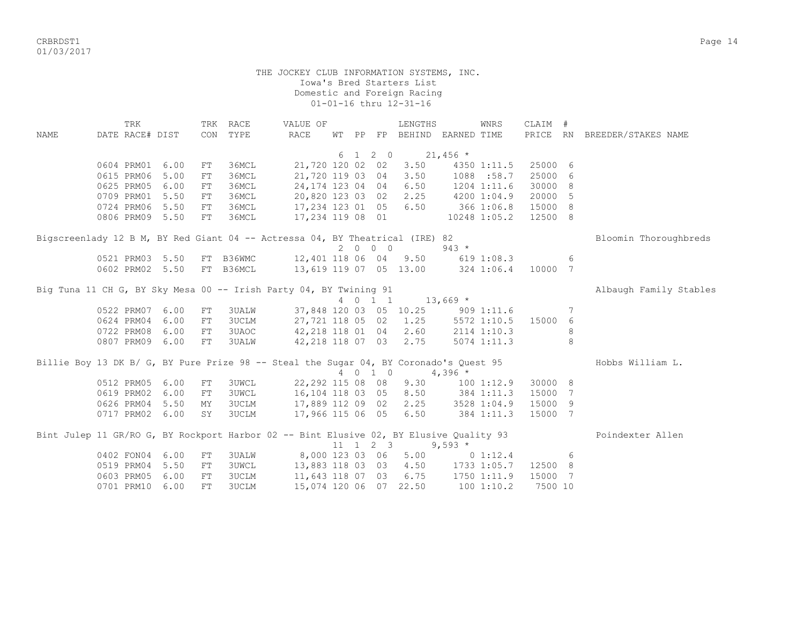CRBRDST1 Page 14 01/03/2017

> THE JOCKEY CLUB INFORMATION SYSTEMS, INC. Iowa's Bred Starters List Domestic and Foreign Racing 01-01-16 thru 12-31-16

 TRK TRK RACE VALUE OF LENGTHS WNRS CLAIM # NAME DATE RACE# DIST CON TYPE RACE WT PP FP BEHIND EARNED TIME PRICE RN BREEDER/STAKES NAME 6 1 2 0 21,456  $*$  0604 PRM01 6.00 FT 36MCL 21,720 120 02 02 3.50 4350 1:11.5 25000 6 0615 PRM06 5.00 FT 36MCL 21,720 119 03 04 3.50 1088 :58.7 25000 6 0625 PRM05 6.00 FT 36MCL 24,174 123 04 04 6.50 1204 1:11.6 30000 8 0709 PRM01 5.50 FT 36MCL 20,820 123 03 02 2.25 4200 1:04.9 20000 5 0724 PRM06 5.50 FT 36MCL 17,234 123 01 05 6.50 366 1:06.8 15000 8 0806 PRM09 5.50 FT 36MCL 17,234 119 08 01 10248 1:05.2 12500 8 Bigscreenlady 12 B M, BY Red Giant 04 -- Actressa 04, BY Theatrical (IRE) 82 Bloomin Thoroughbreds  $2 0 0 0$  943 \*<br>12,401 118 06 04 9.50 619 1 0521 PRM03 5.50 FT B36WMC 12,401 118 06 04 9.50 619 1:08.3 6 0602 PRM02 5.50 FT B36MCL 13,619 119 07 05 13.00 324 1:06.4 10000 7 Big Tuna 11 CH G, BY Sky Mesa 00 -- Irish Party 04, BY Twining 91 Albaugh Family Stables 4 0 1 1 13,669 \* 0522 PRM07 6.00 FT 3UALW 37,848 120 03 05 10.25 909 1:11.6 7 0624 PRM04 6.00 FT 3UCLM 27,721 118 05 02 1.25 5572 1:10.5 15000 6 0722 PRM08 6.00 FT 3UAOC 42, 218 118 01 04 2.60 2114 1:10.3 8 0807 PRM09 6.00 FT 3UALW 42,218 118 07 03 2.75 5074 1:11.3 8 Billie Boy 13 DK B/ G, BY Pure Prize 98 -- Steal the Sugar 04, BY Coronado's Ouest 95 Hobbs William L. 4 0 1 0 4,396 \* 0512 PRM05 6.00 FT 3UWCL 22,292 115 08 08 9.30 100 1:12.9 30000 8 0619 PRM02 6.00 FT 3UWCL 16,104 118 03 05 8.50 384 1:11.3 15000 7 0626 PRM04 5.50 MY 3UCLM 17,889 112 09 02 2.25 3528 1:04.9 15000 9 0717 PRM02 6.00 SY 3UCLM 17,966 115 06 05 6.50 384 1:11.3 15000 7 Bint Julep 11 GR/RO G, BY Rockport Harbor 02 -- Bint Elusive 02, BY Elusive Ouality 93 Poindexter Allen  $11 \quad 1 \quad 2 \quad 3 \quad 9.593 \star$  0402 FON04 6.00 FT 3UALW 8,000 123 03 06 5.00 0 1:12.4 6 0519 PRM04 5.50 FT 3UWCL 13,883 118 03 03 4.50 1733 1:05.7 12500 8 0603 PRM05 6.00 FT 3UCLM 11,643 118 07 03 6.75 1750 1:11.9 15000 7 0701 PRM10 6.00 FT 3UCLM 15,074 120 06 07 22.50 100 1:10.2 7500 10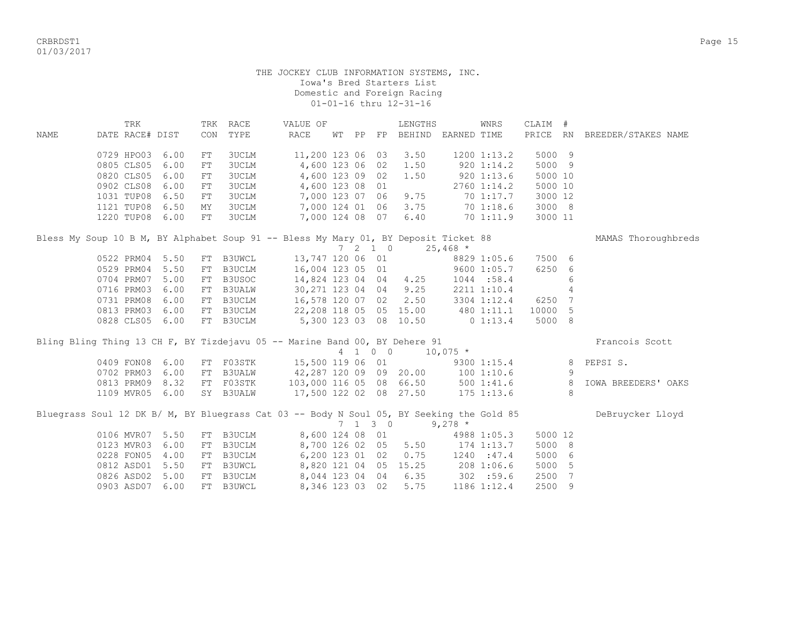CRBRDST1 Page 15 01/03/2017

|      | TRK                                                                                      |      | TRK | RACE          | VALUE OF                                 |  |                          | LENGTHS              |                             | WNRS            | CLAIM #     |                |                            |
|------|------------------------------------------------------------------------------------------|------|-----|---------------|------------------------------------------|--|--------------------------|----------------------|-----------------------------|-----------------|-------------|----------------|----------------------------|
| NAME | DATE RACE# DIST                                                                          |      | CON | TYPE          | RACE                                     |  |                          |                      | WT PP FP BEHIND EARNED TIME |                 | PRICE RN    |                | BREEDER/STAKES NAME        |
|      | 0729 HPO03                                                                               | 6.00 | FT  | <b>3UCLM</b>  | 11,200 123 06 03                         |  |                          | 3.50                 |                             | 1200 1:13.2     | 5000 9      |                |                            |
|      | 0805 CLS05                                                                               | 6.00 | FT  | <b>3UCLM</b>  | 4,600 123 06 02                          |  |                          | 1.50                 |                             | $920 \; 1:14.2$ | 5000 9      |                |                            |
|      | 0820 CLS05                                                                               | 6.00 | FT  | 3UCLM         | 4,600 123 09 02                          |  |                          | 1.50                 |                             | 9201:13.6       | 5000 10     |                |                            |
|      | 0902 CLS08                                                                               | 6.00 | FT  | 3UCLM         | 4,600 123 08 01                          |  |                          |                      |                             | $2760$ 1:14.2   | 5000 10     |                |                            |
|      | 1031 TUP08                                                                               | 6.50 | FT  | 3UCLM         | 7,000 123 07 06                          |  |                          | 9.75                 |                             | 70 1:17.7       | 3000 12     |                |                            |
|      | 1121 TUP08 6.50                                                                          |      | MY  | <b>3UCLM</b>  | 7,000 124 01 06                          |  |                          | 3.75                 |                             | 701:18.6        | 3000 8      |                |                            |
|      | 1220 TUP08 6.00                                                                          |      | FT  | <b>3UCLM</b>  | 7,000 124 08 07                          |  |                          | 6.40                 |                             | 70 1:11.9       | 3000 11     |                |                            |
|      | Bless My Soup 10 B M, BY Alphabet Soup 91 -- Bless My Mary 01, BY Deposit Ticket 88      |      |     |               |                                          |  |                          |                      |                             |                 |             |                | MAMAS Thoroughbreds        |
|      |                                                                                          |      |     |               |                                          |  | $7\quad 2\quad 1\quad 0$ |                      | $25,468$ *                  |                 |             |                |                            |
|      | 0522 PRM04                                                                               | 5.50 |     | FT B3UWCL     | 13,747 120 06 01                         |  |                          |                      |                             | 8829 1:05.6     | 7500 6      |                |                            |
|      | 0529 PRM04                                                                               | 5.50 | FT  | B3UCLM        | 16,004 123 05 01                         |  |                          |                      |                             | 9600 1:05.7     | 6250 6      |                |                            |
|      | 0704 PRM07                                                                               | 5.00 | FT  | B3USOC        | 14,824 123 04 04                         |  |                          | 4.25                 |                             | 1044:58.4       |             | 6              |                            |
|      | 0716 PRM03                                                                               | 6.00 | FT  | <b>B3UALW</b> | 30,271 123 04 04                         |  |                          | 9.25                 |                             | 2211 1:10.4     |             | $\overline{4}$ |                            |
|      | 0731 PRM08                                                                               | 6.00 | FT  | <b>B3UCLM</b> | 16,578 120 07 02                         |  |                          | 2.50                 |                             | 3304 1:12.4     | 6250 7      |                |                            |
|      | 0813 PRM03                                                                               | 6.00 | FT  |               | B3UCLM 22,208 118 05 05 15.00 480 1:11.1 |  |                          |                      |                             |                 | 10000       | 5              |                            |
|      | 0828 CLS05 6.00                                                                          |      |     | FT B3UCLM     | 5,300 123 03 08                          |  |                          |                      | $10.50$ 0 1:13.4            |                 | 5000 8      |                |                            |
|      | Bling Bling Thing 13 CH F, BY Tizdejavu 05 -- Marine Band 00, BY Dehere 91               |      |     |               |                                          |  |                          |                      |                             |                 |             |                | Francois Scott             |
|      |                                                                                          |      |     |               |                                          |  | 4 1 0 0                  |                      | $10,075$ *                  |                 |             |                |                            |
|      | 0409 FON08                                                                               | 6.00 |     |               | FT F03STK 15,500 119 06 01               |  |                          |                      |                             |                 | 9300 1:15.4 | 8              | PEPSI S.                   |
|      | 0702 PRM03                                                                               | 6.00 | FT  | <b>B3UALW</b> | 42,287 120 09 09 20.00 100 1:10.6        |  |                          |                      |                             |                 |             | 9              |                            |
|      | 0813 PRM09                                                                               | 8.32 |     | FT F03STK     | 103,000 116 05 08 66.50                  |  |                          |                      |                             |                 | 500 1:41.6  | 8              | <b>IOWA BREEDERS' OAKS</b> |
|      | 1109 MVR05                                                                               | 6.00 |     | SY B3UALW     | 17,500 122 02 08 27.50                   |  |                          |                      |                             | $175$ $1:13.6$  |             | 8              |                            |
|      | Bluegrass Soul 12 DK B/ M, BY Bluegrass Cat 03 -- Body N Soul 05, BY Seeking the Gold 85 |      |     |               |                                          |  |                          |                      |                             |                 |             |                | DeBruycker Lloyd           |
|      |                                                                                          |      |     |               |                                          |  | $7 \t1 \t3 \t0$          |                      | $9,278$ *                   |                 |             |                |                            |
|      | 0106 MVR07                                                                               | 5.50 | FT  | <b>B3UCLM</b> | 8,600 124 08 01                          |  |                          |                      |                             | 4988 1:05.3     | 5000 12     |                |                            |
|      | 0123 MVR03                                                                               | 6.00 | FT  | <b>B3UCLM</b> | 8,700 126 02 05                          |  |                          | 5.50                 | 174 1:13.7                  |                 | 5000 8      |                |                            |
|      | 0228 FON05                                                                               | 4.00 | FT  | <b>B3UCLM</b> |                                          |  |                          | 6,200 123 01 02 0.75 |                             | 1240 : 47.4     | 5000 6      |                |                            |
|      | 0812 ASD01 5.50                                                                          |      | FT  | B3UWCL        | 8,820 121 04 05                          |  |                          | 15.25                |                             | 208 1:06.6      | 5000        | 5              |                            |
|      | 0826 ASD02                                                                               | 5.00 | FT  | B3UCLM        | 8,044 123 04 04                          |  |                          | 6.35                 | 302 : 59.6                  |                 | 2500        | 7              |                            |
|      | 0903 ASD07                                                                               | 6.00 | FT  | <b>B3UWCL</b> | 8,346 123 03 02                          |  |                          | 5.75                 |                             | 1186 1:12.4     | 2500        | 9              |                            |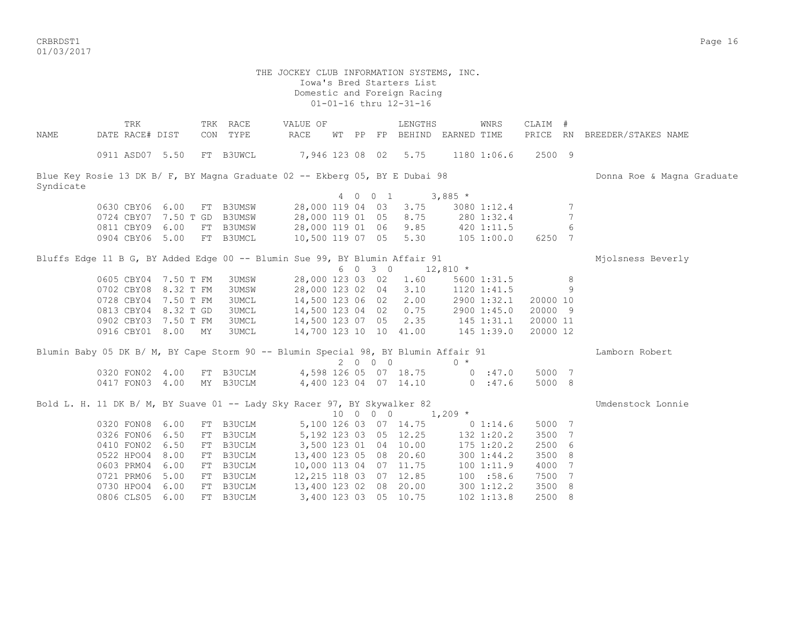CRBRDST1 Page 16 01/03/2017

 Iowa's Bred Starters List Domestic and Foreign Racing 01-01-16 thru 12-31-16 TRK TRK RACE VALUE OF LENGTHS WNRS CLAIM # NAME DATE RACE# DIST CON TYPE RACE WT PP FP BEHIND EARNED TIME PRICE RN BREEDER/STAKES NAME 0911 ASD07 5.50 FT B3UWCL 7,946 123 08 02 5.75 1180 1:06.6 2500 9 Blue Key Rosie 13 DK B/ F, BY Magna Graduate 02 -- Ekberg 05, BY E Dubai 98 Donna Donna Roe & Magna Graduate Syndicate 4 0 0 1 3,885 \* 0630 CBY06 6.00 FT B3UMSW 28,000 119 04 03 3.75 3080 1:12.4 7 0724 CBY07 7.50 T GD B3UMSW 28,000 119 01 05 8.75 280 1:32.4 7 0811 CBY09 6.00 FT B3UMSW 28,000 119 01 06 9.85 420 1:11.5 6 0904 CBY06 5.00 FT B3UMCL 10,500 119 07 05 5.30 105 1:00.0 6250 7 Bluffs Edge 11 B G, BY Added Edge 00 -- Blumin Sue 99, BY Blumin Affair 91 Michael Michaels Beverly  $6 \t0 \t3 \t0 \t12,810 \t*$ 0605 CBY04 7.50 T FM 3UMSW 28,000 123 03 02 1.60 5600 1:31.5 8 0702 CBY08 8.32 T FM 3UMSW 28,000 123 02 04 3.10 1120 1:41.5 9 0728 CBY04 7.50 T FM 3UMCL 14,500 123 06 02 2.00 2900 1:32.1 20000 10<br>0813 CBY04 8.32 T GD 3UMCL 14,500 123 04 02 0.75 2900 1:45.0 20000 9 3UMCL 14,500 123 04 02 0.75 2900 1:45.0 20000 9 0902 CBY03 7.50 T FM 3UMCL 14,500 123 07 05 2.35 145 1:31.1 20000 11 0916 CBY01 8.00 MY 3UMCL 14,700 123 10 10 41.00 145 1:39.0 20000 12 Blumin Baby 05 DK B/ M, BY Cape Storm 90 -- Blumin Special 98, BY Blumin Affair 91 Lamborn Robert<br>
2 0 0 0 0 x  $2 0 0 0$  0320 FON02 4.00 FT B3UCLM 4,598 126 05 07 18.75 0 :47.0 5000 7 0417 FON03 4.00 MY B3UCLM 4,400 123 04 07 14.10 0 :47.6 5000 8 Bold L. H. 11 DK B/ M, BY Suave 01 -- Lady Sky Racer 97, BY Skywalker 82 Umdenstock Lonnie  $10 \t 0 \t 0 \t 1,209$  \* 0320 FON08 6.00 FT B3UCLM 5,100 126 03 07 14.75 0 1:14.6 5000 7 0326 FON06 6.50 FT B3UCLM 5,192 123 03 05 12.25 132 1:20.2 3500 7 0410 FON02 6.50 FT B3UCLM 3,500 123 01 04 10.00 175 1:20.2 2500 6 0522 HPO04 8.00 FT B3UCLM 13,400 123 05 08 20.60 300 1:44.2 3500 8 0603 PRM04 6.00 FT B3UCLM 10,000 113 04 07 11.75 100 1:11.9 4000 7 0721 PRM06 5.00 FT B3UCLM 12,215 118 03 07 12.85 100 :58.6 7500 7 0730 HPO04 6.00 FT B3UCLM 13,400 123 02 08 20.00 300 1:12.2 3500 8

0806 CLS05 6.00 FT B3UCLM 3,400 123 03 05 10.75 102 1:13.8 2500 8

THE JOCKEY CLUB INFORMATION SYSTEMS, INC.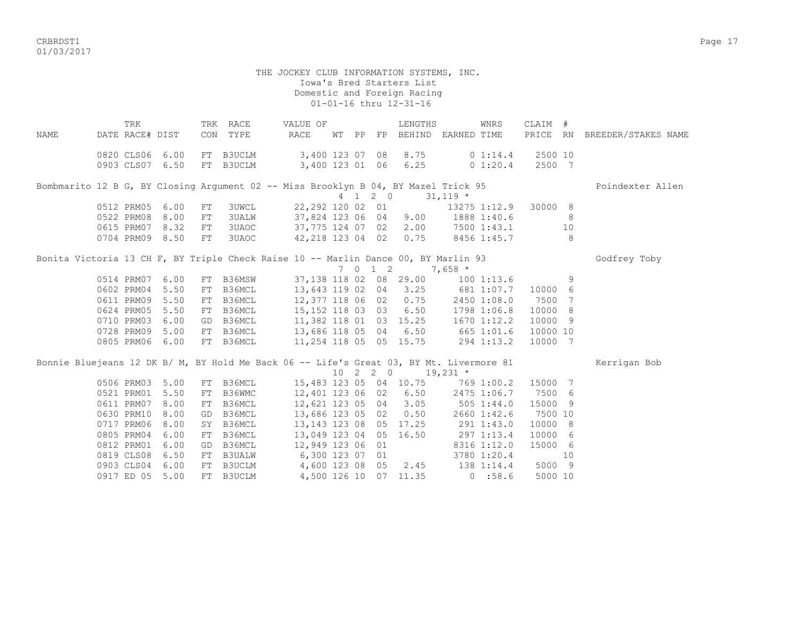CRBRDST1 Page 17 01/03/2017

|             | TRK             |      |            | TRK RACE     | VALUE OF                                                                                      |       |         | LENGTHS                           |              | WNRS         | CLAIM #  |     |                              |
|-------------|-----------------|------|------------|--------------|-----------------------------------------------------------------------------------------------|-------|---------|-----------------------------------|--------------|--------------|----------|-----|------------------------------|
| <b>NAME</b> | DATE RACE# DIST |      |            | CON TYPE     | RACE                                                                                          | WT PP |         | FP BEHIND EARNED TIME             |              |              |          |     | PRICE RN BREEDER/STAKES NAME |
|             | 0820 CLS06 6.00 |      |            | FT B3UCLM    | 3,400 123 07 08                                                                               |       |         | 8.75                              |              | 0 1:14.4     | 2500 10  |     |                              |
|             | 0903 CLS07 6.50 |      |            | FT B3UCLM    | 3,400 123 01 06 6.25                                                                          |       |         |                                   |              | $0\;1:20.4$  | 2500 7   |     |                              |
|             |                 |      |            |              | Bombmarito 12 B G, BY Closing Argument 02 -- Miss Brooklyn B 04, BY Mazel Trick 95            |       |         |                                   |              |              |          |     | Poindexter Allen             |
|             |                 |      |            |              |                                                                                               |       |         | 4 1 2 0                           | $31,119$ *   |              |          |     |                              |
|             | 0512 PRM05      | 6.00 | FT         | <b>3UWCL</b> |                                                                                               |       |         | 22,292 120 02 01                  |              | 13275 1:12.9 | 30000 8  |     |                              |
|             | 0522 PRM08      | 8.00 | ${\rm FT}$ | <b>3UALW</b> |                                                                                               |       |         | 37,824 123 06 04 9.00             |              | 1888 1:40.6  |          | 8   |                              |
|             | 0615 PRM07 8.32 |      | ${\rm FT}$ | 3UAOC        |                                                                                               |       |         | 37,775 124 07 02 2.00             |              | 7500 1:43.1  |          | 10  |                              |
|             | 0704 PRM09 8.50 |      | FT         |              | 3UAOC                                                                                         |       |         | $42,218$ 123 04 02 0.75           |              | 8456 1:45.7  |          | 8   |                              |
|             |                 |      |            |              | Bonita Victoria 13 CH F, BY Triple Check Raise 10 -- Marlin Dance 00, BY Marlin 93            |       |         |                                   |              |              |          |     | Godfrey Toby                 |
|             |                 |      |            |              |                                                                                               |       | 7 0 1 2 |                                   | $7,658*$     |              |          |     |                              |
|             | 0514 PRM07      | 6.00 |            | FT B36MSW    |                                                                                               |       |         | 37,138 118 02 08 29.00            | $100$ 1:13.6 |              |          | 9   |                              |
|             | 0602 PRM04      | 5.50 | FT         |              | B36MCL 13,643 119 02 04 3.25 681 1:07.7 10000                                                 |       |         |                                   |              |              |          | 6   |                              |
|             | 0611 PRM09 5.50 |      | FT         | B36MCL       |                                                                                               |       |         | 12,377 118 06 02 0.75 2450 1:08.0 |              |              | 7500     | 7   |                              |
|             | 0624 PRM05      | 5.50 |            |              | FT B36MCL 15, 152 118 03 03 6.50 1798 1:06.8<br>GD B36MCL 11, 382 118 01 03 15.25 1670 1:12.2 |       |         |                                   |              |              | 10000 8  |     |                              |
|             | 0710 PRM03      | 6.00 |            |              |                                                                                               |       |         |                                   |              |              | 10000 9  |     |                              |
|             | 0728 PRM09 5.00 |      |            | FT B36MCL    | 13,686 118 05 04 6.50 665 1:01.6                                                              |       |         |                                   |              |              | 10000 10 |     |                              |
|             | 0805 PRM06      | 6.00 |            | FT B36MCL    | 11,254 118 05 05 15.75                                                                        |       |         |                                   | 294 1:13.2   |              | 10000    | 7   |                              |
|             |                 |      |            |              | Bonnie Bluejeans 12 DK B/ M, BY Hold Me Back 06 -- Life's Great 03, BY Mt. Livermore 81       |       |         |                                   |              |              |          |     | Kerrigan Bob                 |
|             |                 |      |            |              |                                                                                               |       |         | $10 \t2 \t2 \t0 \t19,231 \t*$     |              |              |          |     |                              |
|             | 0506 PRM03      | 5.00 | FT         | B36MCL       |                                                                                               |       |         | 15,483 123 05 04 10.75            |              | 769 1:00.2   | 15000 7  |     |                              |
|             | 0521 PRM01      | 5.50 | FT         | B36WMC       | 12,401 123 06 02 6.50                                                                         |       |         |                                   |              | 2475 1:06.7  | 7500 6   |     |                              |
|             | 0611 PRM07      | 8.00 | FT         | B36MCL       | 12,621 123 05 04                                                                              |       |         | 3.05                              | 505 1:44.0   |              | 15000    | - 9 |                              |
|             | 0630 PRM10      | 8.00 | GD         | B36MCL       | 13,686 123 05 02                                                                              |       |         | 0.50                              |              | 2660 1:42.6  | 7500 10  |     |                              |
|             | 0717 PRM06      | 8.00 | SY         | B36MCL       | 13, 143 123 08 05 17.25                                                                       |       |         |                                   | 291 1:43.0   |              | 10000    | - 8 |                              |
|             | 0805 PRM04      | 6.00 | FT         | B36MCL       | 13,049 123 04 05 16.50                                                                        |       |         |                                   | 297 1:13.4   |              | 10000 6  |     |                              |
|             | 0812 PRM01      | 6.00 | GD         | B36MCL       | 12,949 123 06 01                                                                              |       |         |                                   |              | 8316 1:12.0  | 15000 6  |     |                              |
|             | 0819 CLS08      | 6.50 | FT         |              | B3UALW 6,300 123 07 01                                                                        |       |         |                                   |              | 3780 1:20.4  |          | 10  |                              |
|             | 0903 CLS04      | 6.00 | FT         |              | B3UCLM 4,600 123 08 05 2.45 138 1:14.4                                                        |       |         |                                   |              |              | 5000 9   |     |                              |
|             | 0917 ED 05      | 5.00 |            | FT B3UCLM    |                                                                                               |       |         | 4,500 126 10 07 11.35             |              | 0.58.6       | 5000 10  |     |                              |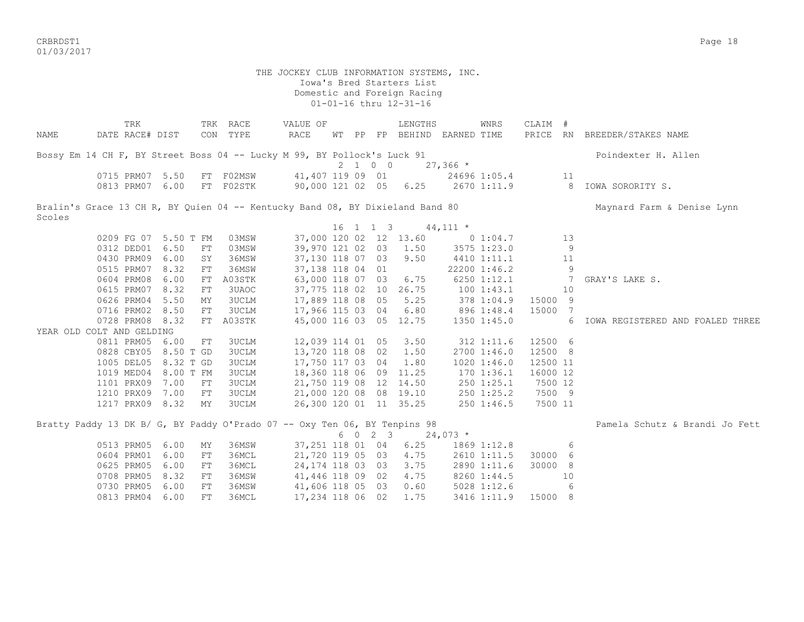CRBRDST1 Page 18 01/03/2017

 THE JOCKEY CLUB INFORMATION SYSTEMS, INC. Iowa's Bred Starters List Domestic and Foreign Racing 01-01-16 thru 12-31-16 TRK TRK RACE VALUE OF LENGTHS WNRS CLAIM # NAME DATE RACE# DIST CON TYPE RACE WT PP FP BEHIND EARNED TIME PRICE RN BREEDER/STAKES NAME Bossy Em 14 CH F, BY Street Boss 04 -- Lucky M 99, BY Pollock's Luck 91 Poindexter H. Allen 2 1 0 0 27,366 \* 0715 PRM07 5.50 FT F02MSW 41,407 119 09 01 24696 1:05.4 11 0813 PRM07 6.00 FT F02STK 90,000 121 02 05 6.25 2670 1:11.9 8 IOWA SORORITY S. Bralin's Grace 13 CH R, BY Quien 04 -- Kentucky Band 08, BY Dixieland Band 80 Maynard Farm & Denise Lynn Scoles 16 1 1 3 44,111 \* 0209 FG 07 5.50 T FM 03MSW 37,000 120 02 12 13.60 0 1:04.7 13 0312 DED01 6.50 FT 03MSW 39,970 121 02 03 1.50 3575 1:23.0 9<br>0430 PRM09 6.00 SY 36MSW 37,130 118 07 03 9.50 4410 1:11.1 11 0430 PRM09 6.00 SY 36MSW 37,130 118 07 03 9.50 4410 1:11.1 11 0515 PRM07 8.32 FT 36MSW 37,138 118 04 01 22200 1:46.2 9 0604 PRM08 6.00 FT A03STK 63,000 118 07 03 6.75 6250 1:12.1 7 GRAY'S LAKE S. 0615 PRM07 8.32 FT 3UAOC 37,775 118 02 10 26.75 100 1:43.1 10 0626 PRM04 5.50 MY 3UCLM 17,889 118 08 05 5.25 378 1:04.9 15000 9 0716 PRM02 8.50 FT 3UCLM 17,966 115 03 04 6.80 896 1:48.4 15000 7 0728 PRM08 8.32 FT A03STK 45,000 116 03 05 12.75 1350 1:45.0 6 IOWA REGISTERED AND FOALED THREE YEAR OLD COLT AND GELDING 0811 PRM05 6.00 FT 3UCLM 12,039 114 01 05 3.50 312 1:11.6 12500 6 0828 CBY05 8.50 T GD 3UCLM 13,720 118 08 02 1.50 2700 1:46.0 12500 8<br>1005 DEL05 8.32 T GD 3UCLM 17,750 117 03 04 1.80 1020 1:46.0 12500 11 1005 DEL05 8.32 T GD 3UCLM 17,750 117 03 04 1.80 1019 MED04 8.00 T FM 3UCLM 18,360 118 06 09 11.25 170 1:36.1 16000 12 1101 PRX09 7.00 FT 3UCLM 21,750 119 08 12 14.50 250 1:25.1 7500 12 1210 PRX09 7.00 FT 3UCLM 21,000 120 08 08 19.10 250 1:25.2 7500 9 1217 PRX09 8.32 MY 3UCLM 26,300 120 01 11 35.25 250 1:46.5 7500 11 Bratty Paddy 13 DK B/ G, BY Paddy O'Prado 07 -- Oxy Ten 06, BY Tenpins 98 Pamela Schutz & Brandi Jo Fett  $6 \t 0 \t 2 \t 3 \t 24,073 \t \star$  0513 PRM05 6.00 MY 36MSW 37,251 118 01 04 6.25 1869 1:12.8 6 0604 PRM01 6.00 FT 36MCL 21,720 119 05 03 4.75 2610 1:11.5 30000 6 0625 PRM05 6.00 FT 36MCL 24,174 118 03 03 3.75 2890 1:11.6 30000 8

| 0625 PRM05 6.00 FT 36MCL |  |  | 24,174 118 03 03 3.75 |  |  | 2890 1:11.6 30000 8                       |      |  |
|--------------------------|--|--|-----------------------|--|--|-------------------------------------------|------|--|
| 0708 PRM05 8.32 FT 36MSW |  |  | 41,446 118 09 02 4.75 |  |  | 8260 1:44.5                               | - 10 |  |
| 0730 PRM05 6.00 FT 36MSW |  |  | 41,606 118 05 03 0.60 |  |  | 5028 1:12.6                               | - 6  |  |
| 0813 PRM04 6.00 FT 36MCL |  |  |                       |  |  | 17,234 118 06 02 1.75 3416 1:11.9 15000 8 |      |  |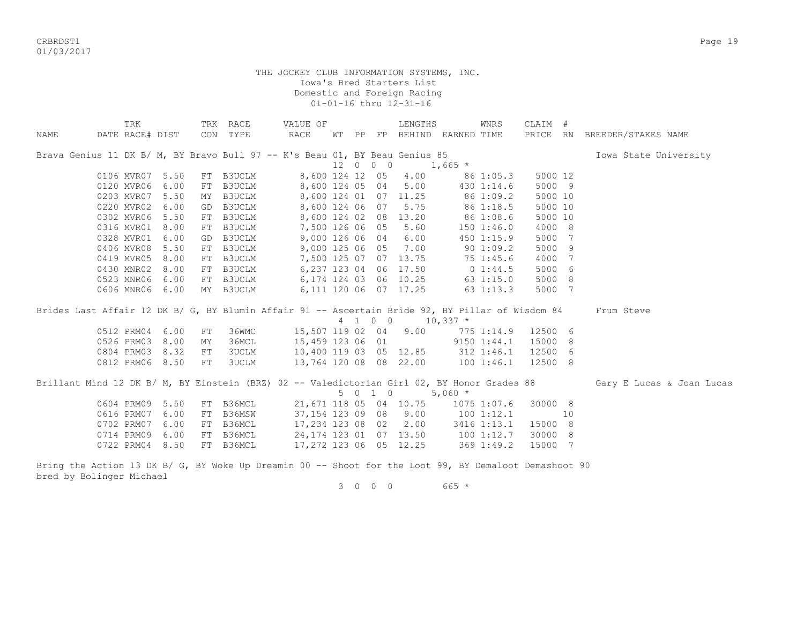CRBRDST1 Page 19 01/03/2017

> THE JOCKEY CLUB INFORMATION SYSTEMS, INC. Iowa's Bred Starters List Domestic and Foreign Racing 01-01-16 thru 12-31-16

|      |                                                                                                  | TRK             |      |    | TRK RACE      | VALUE OF               |  |          | LENGTHS                |                                    | WNRS               | CLAIM #  |    |                           |
|------|--------------------------------------------------------------------------------------------------|-----------------|------|----|---------------|------------------------|--|----------|------------------------|------------------------------------|--------------------|----------|----|---------------------------|
| NAME |                                                                                                  | DATE RACE# DIST |      |    | CON TYPE      | RACE                   |  |          |                        | WT PP FP BEHIND EARNED TIME        |                    | PRICE RN |    | BREEDER/STAKES NAME       |
|      | Brava Genius 11 DK B/ M, BY Bravo Bull 97 -- K's Beau 01, BY Beau Genius 85                      |                 |      |    |               |                        |  |          |                        |                                    |                    |          |    | Iowa State University     |
|      |                                                                                                  |                 |      |    |               |                        |  | 12 0 0 0 |                        | $1,665$ *                          |                    |          |    |                           |
|      |                                                                                                  | 0106 MVR07      | 5.50 |    | FT B3UCLM     | 8,600 124 12 05        |  |          | 4.00                   |                                    | 86 1:05.3          | 5000 12  |    |                           |
|      |                                                                                                  | 0120 MVR06      | 6.00 | FT | B3UCLM        | 8,600 124 05 04        |  |          | 5.00                   |                                    | 430 1:14.6         | 5000 9   |    |                           |
|      |                                                                                                  | 0203 MVR07      | 5.50 | MY | B3UCLM        | 8,600 124 01 07        |  |          | 11.25                  |                                    | 86 1:09.2          | 5000 10  |    |                           |
|      |                                                                                                  | 0220 MVR02      | 6.00 | GD | B3UCLM        | 8,600 124 06 07        |  |          | 5.75                   |                                    | 86 1:18.5          | 5000 10  |    |                           |
|      |                                                                                                  | 0302 MVR06      | 5.50 | FT | <b>B3UCLM</b> |                        |  |          | 8,600 124 02 08 13.20  |                                    | 86 1:08.6          | 5000 10  |    |                           |
|      |                                                                                                  | 0316 MVR01      | 8.00 | FT | B3UCLM        | 7,500 126 06 05        |  |          | 5.60                   |                                    | 1501:46.0          | 4000 8   |    |                           |
|      |                                                                                                  | 0328 MVR01      | 6.00 | GD | B3UCLM        | 9,000 126 06 04        |  |          | 6.00                   |                                    | 450 1:15.9         | 5000 7   |    |                           |
|      |                                                                                                  | 0406 MVR08      | 5.50 | FT | B3UCLM        | 9,000 125 06 05        |  |          | 7.00                   |                                    | 901:09.2           | 5000 9   |    |                           |
|      |                                                                                                  | 0419 MVR05      | 8.00 | FT | B3UCLM        | 7,500 125 07 07        |  |          | 13.75                  |                                    | 75 1:45.6          | 4000     | 7  |                           |
|      |                                                                                                  | 0430 MNR02      | 8.00 | FT | B3UCLM        |                        |  |          | 6,237 123 04 06 17.50  |                                    | $0\;1:44.5$        | 5000 6   |    |                           |
|      |                                                                                                  | 0523 MNR06 6.00 |      |    | FT B3UCLM     |                        |  |          | 6,174 124 03 06 10.25  |                                    | 63 1:15.0          | 5000 8   |    |                           |
|      |                                                                                                  | 0606 MNR06 6.00 |      |    | MY B3UCLM     |                        |  |          | 6,111 120 06 07 17.25  |                                    | 63 1:13.3          | 5000 7   |    |                           |
|      | Brides Last Affair 12 DK B/ G, BY Blumin Affair 91 -- Ascertain Bride 92, BY Pillar of Wisdom 84 |                 |      |    |               |                        |  |          |                        |                                    |                    |          |    | Frum Steve                |
|      |                                                                                                  |                 |      |    |               |                        |  |          | 4 1 0 0 10,337 *       |                                    |                    |          |    |                           |
|      |                                                                                                  | 0512 PRM04      | 6.00 | FT | 36WMC         | 15,507 119 02 04 9.00  |  |          |                        |                                    | 775 1:14.9 12500 6 |          |    |                           |
|      |                                                                                                  | 0526 PRM03      | 8.00 | ΜY | 36MCL         | 15,459 123 06 01       |  |          |                        |                                    | 9150 1:44.1        | 15000 8  |    |                           |
|      |                                                                                                  | 0804 PRM03      | 8.32 | FT | 3UCLM         |                        |  |          |                        | 10,400 119 03 05 12.85 312 1:46.1  |                    | 12500 6  |    |                           |
|      |                                                                                                  | 0812 PRM06 8.50 |      | FT | 3UCLM         |                        |  |          |                        | 13,764 120 08 08 22.00 100 1:46.1  |                    | 12500 8  |    |                           |
|      | Brillant Mind 12 DK B/ M, BY Einstein (BRZ) 02 -- Valedictorian Girl 02, BY Honor Grades 88      |                 |      |    |               |                        |  |          |                        |                                    |                    |          |    | Gary E Lucas & Joan Lucas |
|      |                                                                                                  |                 |      |    |               |                        |  | 5 0 1 0  |                        | $5,060*$                           |                    |          |    |                           |
|      |                                                                                                  | 0604 PRM09      | 5.50 |    | FT B36MCL     |                        |  |          | 21,671 118 05 04 10.75 |                                    | 1075 1:07.6        | 30000 8  |    |                           |
|      |                                                                                                  | 0616 PRM07      | 6.00 | FT | B36MSW        |                        |  |          | 37,154 123 09 08 9.00  |                                    | 1001:12.1          |          | 10 |                           |
|      |                                                                                                  | 0702 PRM07      | 6.00 | FT | B36MCL        | 17,234 123 08 02       |  |          | 2.00                   |                                    | 3416 1:13.1        | 15000 8  |    |                           |
|      |                                                                                                  | 0714 PRM09      | 6.00 | FT | B36MCL        |                        |  |          |                        | 24, 174 123 01 07 13.50 100 1:12.7 |                    | 30000 8  |    |                           |
|      |                                                                                                  | 0722 PRM04      | 8.50 |    | FT B36MCL     | 17,272 123 06 05 12.25 |  |          |                        |                                    | 369 1:49.2         | 15000    | 7  |                           |
|      |                                                                                                  |                 |      |    |               |                        |  |          |                        |                                    |                    |          |    |                           |

Bring the Action 13 DK B/ G, BY Woke Up Dreamin 00 -- Shoot for the Loot 99, BY Demaloot Demashoot 90 bred by Bolinger Michael

3 0 0 0 665 \*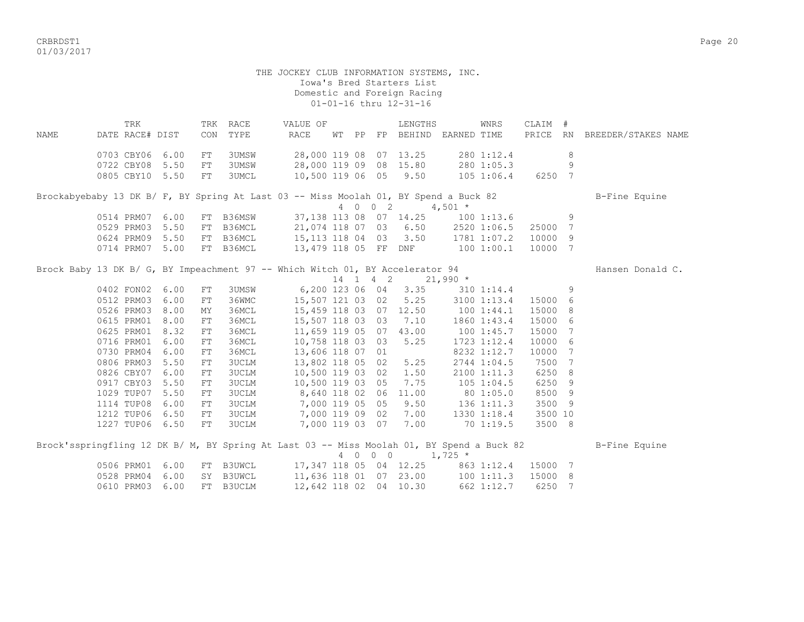CRBRDST1 Page 20 01/03/2017

 THE JOCKEY CLUB INFORMATION SYSTEMS, INC. Iowa's Bred Starters List Domestic and Foreign Racing 01-01-16 thru 12-31-16

 TRK TRK RACE VALUE OF LENGTHS WNRS CLAIM # NAME DATE RACE# DIST CON TYPE RACE WT PP FP BEHIND EARNED TIME PRICE RN BREEDER/STAKES NAME 0703 CBY06 6.00 FT 3UMSW 28,000 119 08 07 13.25 280 1:12.4 8 0722 CBY08 5.50 FT 3UMSW 28,000 119 09 08 15.80 280 1:05.3 9 0805 CBY10 5.50 FT 3UMCL 10,500 119 06 05 9.50 105 1:06.4 6250 7 Brockabyebaby 13 DK B/ F, BY Spring At Last 03 -- Miss Moolah 01, BY Spend a Buck 82 B-Fine Equine 4 0 0 2 4,501  $*$ 0514 PRM07 6.00 FT B36MSW 37,138 113 08 07 14.25 100 1:13.6 9 0529 PRM03 5.50 FT B36MCL 21,074 118 07 03 6.50 2520 1:06.5 25000 7 0624 PRM09 5.50 FT B36MCL 15,113 118 04 03 3.50 1781 1:07.2 10000 9 0714 PRM07 5.00 FT B36MCL 13,479 118 05 FF DNF 100 1:00.1 10000 7 Brock Baby 13 DK B/ G, BY Impeachment 97 -- Which Witch 01, BY Accelerator 94 Hansen Donald C. 14 1 4 2 21,990 \* 0402 FON02 6.00 FT 3UMSW 6,200 123 06 04 3.35 310 1:14.4 9 0512 PRM03 6.00 FT 36WMC 15,507 121 03 02 5.25 3100 1:13.4 15000 6 0526 PRM03 8.00 MY 36MCL 15,459 118 03 07 12.50 100 1:44.1 15000 8 0615 PRM01 8.00 FT 36MCL 15,507 118 03 03 7.10 1860 1:43.4 15000 6 0625 PRM01 8.32 FT 36MCL 11,659 119 05 07 43.00 100 1:45.7 15000 7 0716 PRM01 6.00 FT 36MCL 10,758 118 03 03 5.25 1723 1:12.4 10000 6 0730 PRM04 6.00 FT 36MCL 13,606 118 07 01 8232 1:12.7 10000 7 0806 PRM03 5.50 FT 3UCLM 13,802 118 05 02 5.25 2744 1:04.5 7500 7 0826 CBY07 6.00 FT 3UCLM 10,500 119 03 02 1.50 2100 1:11.3 6250 8 0917 CBY03 5.50 FT 3UCLM 10,500 119 03 05 7.75 105 1:04.5 6250 9 1029 TUP07 5.50 FT 3UCLM 8,640 118 02 06 11.00 80 1:05.0 8500 9 1114 TUP08 6.00 FT 3UCLM 7,000 119 05 05 9.50 136 1:11.3 3500 9 1212 TUP06 6.50 FT 3UCLM 7,000 119 09 02 7.00 1330 1:18.4 3500 10 1227 TUP06 6.50 FT 3UCLM 7,000 119 03 07 7.00 70 1:19.5 3500 8 Brock'sspringfling 12 DK B/ M, BY Spring At Last 03 -- Miss Moolah 01, BY Spend a Buck 82 B-Fine Equine  $4 \t0 \t0 \t0 \t1,725 \t*$  0506 PRM01 6.00 FT B3UWCL 17,347 118 05 04 12.25 863 1:12.4 15000 7 0528 PRM04 6.00 SY B3UWCL 11,636 118 01 07 23.00 100 1:11.3 15000 8 0610 PRM03 6.00 FT B3UCLM 12,642 118 02 04 10.30 662 1:12.7 6250 7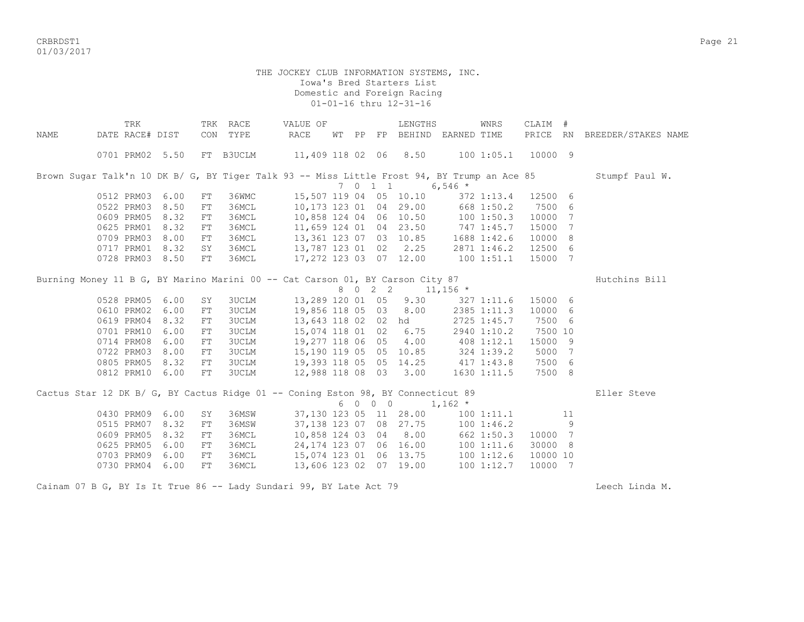CRBRDST1 Page 21 01/03/2017

## THE JOCKEY CLUB INFORMATION SYSTEMS, INC. Iowa's Bred Starters List Domestic and Foreign Racing 01-01-16 thru 12-31-16

|      | TRK             |                 |            | TRK RACE     | VALUE OF                                                                                    |       |     |             | LENGTHS            |            | <b>WNRS</b> | CLAIM #  |     |                     |
|------|-----------------|-----------------|------------|--------------|---------------------------------------------------------------------------------------------|-------|-----|-------------|--------------------|------------|-------------|----------|-----|---------------------|
| NAME | DATE RACE# DIST |                 | CON        | TYPE         | RACE                                                                                        | WT PP |     | FP          | BEHIND EARNED TIME |            |             | PRICE RN |     | BREEDER/STAKES NAME |
|      |                 | 0701 PRM02 5.50 |            | FT B3UCLM    | 11,409 118 02 06                                                                            |       |     |             | 8.50               |            | 100 1:05.1  | 10000 9  |     |                     |
|      |                 |                 |            |              | Brown Sugar Talk'n 10 DK B/ G, BY Tiger Talk 93 -- Miss Little Frost 94, BY Trump an Ace 85 |       |     |             |                    |            |             |          |     | Stumpf Paul W.      |
|      |                 |                 |            |              |                                                                                             |       |     | 7 0 1 1     |                    | 6,546 $*$  |             |          |     |                     |
|      | 0512 PRM03      | 6.00            | ${\rm FT}$ | 36WMC        | 15,507 119 04 05 10.10                                                                      |       |     |             |                    |            | 372 1:13.4  | 12500 6  |     |                     |
|      | 0522 PRM03      | 8.50            | ${\rm FT}$ | 36MCL        | 10,173 123 01 04 29.00                                                                      |       |     |             |                    |            | 668 1:50.2  | 7500     | 6   |                     |
|      | 0609 PRM05      | 8.32            | ${\rm FT}$ | 36MCL        | 10,858 124 04 06 10.50                                                                      |       |     |             |                    |            | 1001:50.3   | 10000    | 7   |                     |
|      | 0625 PRM01      | 8.32            | FT         | 36MCL        | 11,659 124 01 04 23.50                                                                      |       |     |             |                    | 747 1:45.7 |             | 15000    | 7   |                     |
|      | 0709 PRM03      | 8.00            | FT         | 36MCL        | 13, 361 123 07 03 10.85                                                                     |       |     |             |                    |            | 1688 1:42.6 | 10000    | 8   |                     |
|      | 0717 PRM01      | 8.32            | SY         | 36MCL        | 13,787 123 01 02                                                                            |       |     |             | 2.25               |            | 2871 1:46.2 | 12500    | -6  |                     |
|      | 0728 PRM03 8.50 |                 | FT         | 36MCL        | 17,272 123 03 07 12.00                                                                      |       |     |             |                    | 1001:51.1  |             | 15000    | -7  |                     |
|      |                 |                 |            |              | Burning Money 11 B G, BY Marino Marini 00 -- Cat Carson 01, BY Carson City 87               |       |     |             |                    |            |             |          |     | Hutchins Bill       |
|      |                 |                 |            |              |                                                                                             |       | 8 0 | $2 \quad 2$ |                    | $11,156$ * |             |          |     |                     |
|      | 0528 PRM05      | 6.00            | SY         | 3UCLM        | 13,289 120 01 05                                                                            |       |     |             | 9.30               |            | 327 1:11.6  | 15000 6  |     |                     |
|      | 0610 PRM02      | 6.00            | ${\rm FT}$ | <b>3UCLM</b> | 19,856 118 05 03                                                                            |       |     |             | 8.00               |            | 2385 1:11.3 | 10000    | 6   |                     |
|      | 0619 PRM04      | 8.32            | ${\rm FT}$ | <b>3UCLM</b> | 13,643 118 02 02                                                                            |       |     |             | hd                 |            | 2725 1:45.7 | 7500     | - 6 |                     |
|      | 0701 PRM10      | 6.00            | ${\rm FT}$ | <b>3UCLM</b> | 15,074 118 01 02                                                                            |       |     |             | 6.75               |            | 2940 1:10.2 | 7500 10  |     |                     |
|      | 0714 PRM08      | 6.00            | ${\rm FT}$ | <b>3UCLM</b> | 19,277 118 06 05                                                                            |       |     |             | 4.00               |            | 408 1:12.1  | 15000    | - 9 |                     |
|      | 0722 PRM03      | 8.00            | FT         | <b>3UCLM</b> | 15,190 119 05 05                                                                            |       |     |             | 10.85              |            | 324 1:39.2  | 5000     | 7   |                     |
|      | 0805 PRM05      | 8.32            | FT         | <b>3UCLM</b> | 19,393 118 05 05 14.25                                                                      |       |     |             |                    |            | 417 1:43.8  | 7500     | - 6 |                     |
|      | 0812 PRM10      | 6.00            | ${\rm FT}$ | 3UCLM        | 12,988 118 08 03                                                                            |       |     |             | 3.00               |            | 1630 1:11.5 | 7500 8   |     |                     |
|      |                 |                 |            |              | Cactus Star 12 DK B/ G, BY Cactus Ridge 01 -- Coning Eston 98, BY Connecticut 89            |       |     |             |                    |            |             |          |     | Eller Steve         |
|      |                 |                 |            |              |                                                                                             |       |     | 6 0 0 0     |                    | $1,162$ *  |             |          |     |                     |
|      | 0430 PRM09      | 6.00            | SY         | 36MSW        | 37,130 123 05 11 28.00                                                                      |       |     |             |                    |            | 1001:11.1   |          | 11  |                     |
|      | 0515 PRM07      | 8.32            | ${\rm FT}$ | 36MSW        | 37, 138 123 07 08 27.75                                                                     |       |     |             |                    |            | 1001:46.2   |          | 9   |                     |
|      | 0609 PRM05      | 8.32            | ${\rm FT}$ | 36MCL        | 10,858 124 03 04                                                                            |       |     |             | 8.00               |            | 662 1:50.3  | 10000 7  |     |                     |
|      | 0625 PRM05      | 6.00            | ${\rm FT}$ | 36MCL        | 24, 174 123 07 06 16.00                                                                     |       |     |             |                    |            | 1001:11.6   | 30000    | 8   |                     |
|      | 0703 PRM09      | 6.00            | ${\rm FT}$ | 36MCL        | 15,074 123 01 06 13.75                                                                      |       |     |             |                    |            | 1001:12.6   | 10000 10 |     |                     |
|      | 0730 PRM04      | 6.00            | FT         | 36MCL        | 13,606 123 02 07 19.00                                                                      |       |     |             |                    |            | 100 1:12.7  | 10000    | 7   |                     |
|      |                 |                 |            |              |                                                                                             |       |     |             |                    |            |             |          |     |                     |

Cainam 07 B G, BY Is It True 86 -- Lady Sundari 99, BY Late Act 79 Second Communication Cheech Linda M.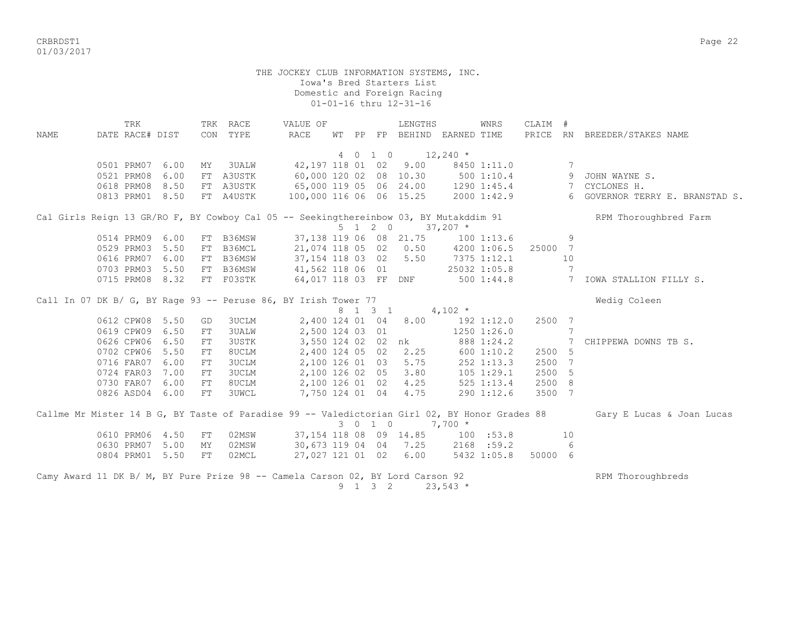CRBRDST1 Page 22 01/03/2017

> THE JOCKEY CLUB INFORMATION SYSTEMS, INC. Iowa's Bred Starters List Domestic and Foreign Racing 01-01-16 thru 12-31-16

TRK TRK RACE VALUE OF LENGTHS WNRS CLAIM # NAME DATE RACE# DIST CON TYPE RACE WT PP FP BEHIND EARNED TIME PRICE RN BREEDER/STAKES NAME 4 0 1 0 12,240 \* 0501 PRM07 6.00 MY 3UALW 42,197 118 01 02 9.00 8450 1:11.0 7 0521 PRM08 6.00 FT A3USTK 60,000 120 02 08 10.30 500 1:10.4 9 JOHN WAYNE S. 0618 PRM08 8.50 FT A3USTK 65,000 119 05 06 24.00 1290 1:45.4 7 CYCLONES H. 0813 PRM01 8.50 FT A4USTK 100,000 116 06 06 15.25 2000 1:42.9 6 GOVERNOR TERRY E. BRANSTAD S. Cal Girls Reign 13 GR/RO F, BY Cowboy Cal 05 -- Seekingthereinbow 03, BY Mutakddim 91 RPM Thoroughbred Farm  $5 \t1 \t2 \t0 \t37,207$  \* 0514 PRM09 6.00 FT B36MSW 37,138 119 06 08 21.75 100 1:13.6 9 0529 PRM03 5.50 FT B36MCL 21,074 118 05 02 0.50 4200 1:06.5 25000 7 0616 PRM07 6.00 FT B36MSW 37,154 118 03 02 5.50 7375 1:12.1 10 0703 PRM03 5.50 FT B36MSW 41,562 118 06 01 25032 1:05.8 7 0715 PRM08 8.32 FT F03STK 64,017 118 03 FF DNF 500 1:44.8 7 IOWA STALLION FILLY S. Call In 07 DK B/ G, BY Rage 93 -- Peruse 86, BY Irish Tower 77 8 1 3 1 4,102 \* 0612 CPW08 5.50 GD 3UCLM 2,400 124 01 04 8.00 192 1:12.0 2500 7 0619 CPW09 6.50 FT 3UALW 2,500 124 03 01 1250 1:26.0 7 0626 CPW06 6.50 FT 3USTK 3,550 124 02 02 nk 888 1:24.2 7 CHIPPEWA DOWNS TB S.<br>0702 CPW06 5.50 FT 8UCLM 2,400 124 05 02 2.25 600 1:10.2 2500 5  $2,400$  124 05 02 2.25 600 1:10.2 2500 5 0716 FAR07 6.00 FT 3UCLM 2,100 126 01 03 5.75 252 1:13.3 2500 7<br>0724 FAR03 7.00 FT 3UCLM 2,100 126 02 05 3.80 105 1:29.1 2500 5  $2,100$  126 02 05 3.80 105 1:29.1 2500 5 0730 FAR07 6.00 FT 8UCLM 2,100 126 01 02 4.25 525 1:13.4 2500 8 0826 ASD04 6.00 FT 3UWCL 7,750 124 01 04 4.75 290 1:12.6 3500 7 Callme Mr Mister 14 B G, BY Taste of Paradise 99 -- Valedictorian Girl 02, BY Honor Grades 88 Gary E Lucas & Joan Lucas 3 0 1 0 7,700 \* 0610 PRM06 4.50 FT 02MSW 37,154 118 08 09 14.85 100 :53.8 10 0630 PRM07 5.00 MY 02MSW 30,673 119 04 04 7.25 2168 :59.2 6 0804 PRM01 5.50 FT 02MCL 27,027 121 01 02 6.00 5432 1:05.8 50000 6 Camy Award 11 DK B/ M, BY Pure Prize 98 -- Camela Carson 02, BY Lord Carson 92 RPM Thoroughbreds 9 1 3 2 23,543 \*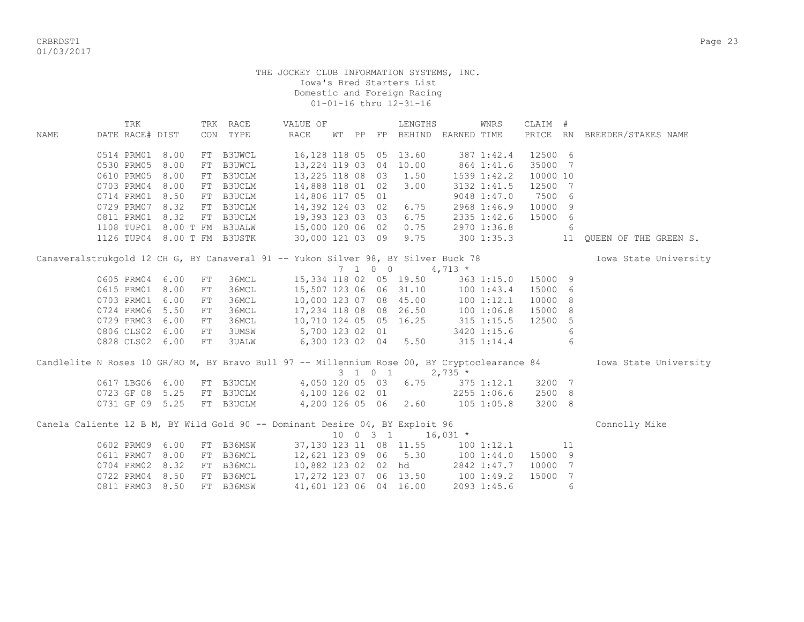CRBRDST1 Page 23 01/03/2017

|      | TRK             |      |            | TRK RACE                    | VALUE OF                                                                          |    |    |                          | LENGTHS              |                | WNRS           | CLAIM #  |                |                                                                                                                        |
|------|-----------------|------|------------|-----------------------------|-----------------------------------------------------------------------------------|----|----|--------------------------|----------------------|----------------|----------------|----------|----------------|------------------------------------------------------------------------------------------------------------------------|
| NAME | DATE RACE# DIST |      |            | CON TYPE                    | <b>RACE</b>                                                                       | WТ | PP | FP                       | BEHIND EARNED TIME   |                |                |          |                | PRICE RN BREEDER/STAKES NAME                                                                                           |
|      | 0514 PRM01      | 8.00 | FT         | <b>B3UWCL</b>               | 16,128 118 05 05                                                                  |    |    |                          | 13.60                |                | 387 1:42.4     | 12500 6  |                |                                                                                                                        |
|      | 0530 PRM05      | 8.00 | FT         | <b>B3UWCL</b>               | 13, 224 119 03 04                                                                 |    |    |                          | 10.00                |                | 864 1:41.6     | 35000 7  |                |                                                                                                                        |
|      | 0610 PRM05      | 8.00 | FT         | B3UCLM                      | 13,225 118 08 03                                                                  |    |    |                          | 1.50                 |                | 1539 1:42.2    | 10000 10 |                |                                                                                                                        |
|      | 0703 PRM04      | 8.00 | FT         | B3UCLM                      | 14,888 118 01 02                                                                  |    |    |                          | 3.00                 |                | 3132 1:41.5    | 12500 7  |                |                                                                                                                        |
|      | 0714 PRM01      | 8.50 | FT         | B3UCLM                      | 14,806 117 05 01                                                                  |    |    |                          |                      |                | 9048 1:47.0    | 7500 6   |                |                                                                                                                        |
|      | 0729 PRM07      | 8.32 | FT         | B3UCLM                      | 14,392 124 03 02                                                                  |    |    |                          | 6.75                 |                | 2968 1:46.9    | 10000 9  |                |                                                                                                                        |
|      | 0811 PRM01      | 8.32 |            | FT B3UCLM                   | 19,393 123 03 03                                                                  |    |    |                          | 6.75                 |                | 2335 1:42.6    | 15000 6  |                |                                                                                                                        |
|      | 1108 TUP01      |      |            | 8.00 T FM B3UALW            | 15,000 120 06 02                                                                  |    |    |                          | 0.75                 |                | 2970 1:36.8    |          | - 6            |                                                                                                                        |
|      |                 |      |            | 1126 TUP04 8.00 T FM B3USTK | 30,000 121 03 09 9.75                                                             |    |    |                          |                      |                | 300 1:35.3     |          | 11             | QUEEN OF THE GREEN S.                                                                                                  |
|      |                 |      |            |                             | Canaveralstrukgold 12 CH G, BY Canaveral 91 -- Yukon Silver 98, BY Silver Buck 78 |    |    |                          |                      |                |                |          |                | Iowa State University                                                                                                  |
|      |                 |      |            |                             |                                                                                   |    |    | $7\quad 1\quad 0\quad 0$ |                      | $4,713*$       |                |          |                |                                                                                                                        |
|      | 0605 PRM04      | 6.00 | ${\rm FT}$ | 36MCL                       | 15,334 118 02 05 19.50                                                            |    |    |                          |                      |                | 363 1:15.0     | 15000 9  |                |                                                                                                                        |
|      | 0615 PRM01      | 8.00 | ${\rm FT}$ | 36MCL                       | 15,507 123 06 06 31.10                                                            |    |    |                          |                      |                | 1001:43.4      | 15000 6  |                |                                                                                                                        |
|      | 0703 PRM01      | 6.00 | FT         | 36MCL                       | 10,000 123 07 08 45.00                                                            |    |    |                          |                      |                | 1001:12.1      | 10000 8  |                |                                                                                                                        |
|      | 0724 PRM06      | 5.50 | FT         | 36MCL                       | 17,234 118 08 08 26.50                                                            |    |    |                          |                      | 1001:06.8      |                | 15000 8  |                |                                                                                                                        |
|      | 0729 PRM03      | 6.00 | FT         | 36MCL                       | 10,710 124 05 05 16.25                                                            |    |    |                          |                      | $315$ 1:15.5   |                | 12500 5  |                |                                                                                                                        |
|      | 0806 CLS02      | 6.00 | FT         | <b>3UMSW</b>                | 5,700 123 02 01                                                                   |    |    |                          |                      |                | 3420 1:15.6    |          | 6              |                                                                                                                        |
|      | 0828 CLS02 6.00 |      | FT         | <b>3UALW</b>                |                                                                                   |    |    |                          | 6,300 123 02 04 5.50 |                | 315 1:14.4     |          | -6             |                                                                                                                        |
|      |                 |      |            |                             |                                                                                   |    |    |                          | 3 1 0 1              | $2,735$ *      |                |          |                | Candlelite N Roses 10 GR/RO M, BY Bravo Bull 97 -- Millennium Rose 00, BY Cryptoclearance 84 100 Iowa State University |
|      | 0617 LBG06      | 6.00 |            | FT B3UCLM                   | 4,050 120 05 03 6.75                                                              |    |    |                          |                      | $375$ $1:12.1$ |                | 3200 7   |                |                                                                                                                        |
|      | 0723 GF 08      | 5.25 |            | FT B3UCLM                   | 4,100 126 02 01                                                                   |    |    |                          |                      |                | 2255 1:06.6    | 2500 8   |                |                                                                                                                        |
|      | 0731 GF 09 5.25 |      |            | FT B3UCLM                   | 4,200 126 05 06 2.60                                                              |    |    |                          |                      |                | $105$ $1:05.8$ | 3200 8   |                |                                                                                                                        |
|      |                 |      |            |                             | Canela Caliente 12 B M, BY Wild Gold 90 -- Dominant Desire 04, BY Exploit 96      |    |    | $10 \t 0 \t 3 \t 1$      |                      | $16,031$ *     |                |          |                | Connolly Mike                                                                                                          |
|      | 0602 PRM09      | 6.00 |            | FT B36MSW                   | 37,130 123 11 08 11.55                                                            |    |    |                          |                      |                | 1001:12.1      |          | 11             |                                                                                                                        |
|      | 0611 PRM07      | 8.00 | FT         | B36MCL                      | 12,621 123 09 06 5.30                                                             |    |    |                          |                      |                | 1001:44.0      | 15000 9  |                |                                                                                                                        |
|      | 0704 PRM02      | 8.32 | FT         | B36MCL                      | 10,882 123 02 02                                                                  |    |    |                          | hd                   |                | 2842 1:47.7    | 10000 7  |                |                                                                                                                        |
|      | 0722 PRM04      | 8.50 |            | FT B36MCL                   | 17,272 123 07 06 13.50                                                            |    |    |                          |                      | 100 1:49.2     |                | 15000    | $\overline{7}$ |                                                                                                                        |
|      | 0811 PRM03      | 8.50 |            | FT B36MSW                   | 41,601 123 06 04 16.00                                                            |    |    |                          |                      |                | 2093 1:45.6    |          | 6              |                                                                                                                        |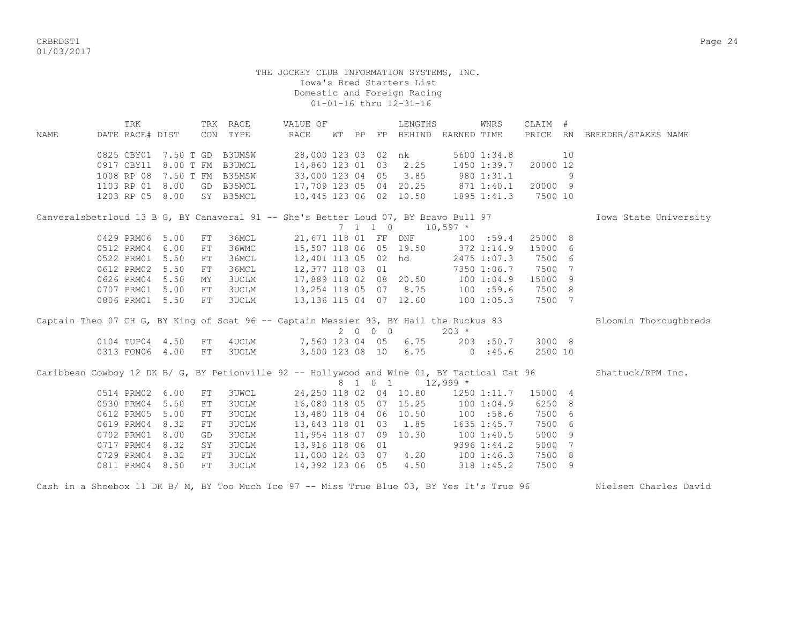CRBRDST1 Page 24 01/03/2017

#### THE JOCKEY CLUB INFORMATION SYSTEMS, INC. Iowa's Bred Starters List Domestic and Foreign Racing 01-01-16 thru 12-31-16

| <b>NAME</b>                                                                                 | DATE RACE# DIST | TRK |                             |    | TRK RACE<br>CON TYPE | VALUE OF<br>RACE       | WТ               | PP |                             | LENGTHS<br>FP BEHIND EARNED TIME    |            | WNRS        | CLAIM #  |    | PRICE RN BREEDER/STAKES NAME |
|---------------------------------------------------------------------------------------------|-----------------|-----|-----------------------------|----|----------------------|------------------------|------------------|----|-----------------------------|-------------------------------------|------------|-------------|----------|----|------------------------------|
|                                                                                             |                 |     |                             |    |                      |                        |                  |    |                             |                                     |            |             |          |    |                              |
|                                                                                             |                 |     | 0825 CBY01 7.50 T GD B3UMSW |    |                      |                        |                  |    |                             | 28,000 123 03 02 nk                 |            | 5600 1:34.8 |          | 10 |                              |
|                                                                                             | 0917 CBY11      |     |                             |    | 8.00 T FM B3UMCL     | 14,860 123 01 03       |                  |    |                             | 2.25                                |            | 1450 1:39.7 | 20000 12 |    |                              |
|                                                                                             | 1008 RP 08      |     |                             |    | 7.50 T FM B35MSW     | 33,000 123 04 05       |                  |    |                             | 3.85                                | 9801:31.1  |             |          | 9  |                              |
|                                                                                             | 1103 RP 01 8.00 |     |                             |    | GD B35MCL            |                        |                  |    |                             | 17,709 123 05 04 20.25 871 1:40.1   |            |             | 20000 9  |    |                              |
|                                                                                             | 1203 RP 05 8.00 |     |                             |    | SY B35MCL            |                        |                  |    |                             | 10,445 123 06 02 10.50              |            | 1895 1:41.3 | 7500 10  |    |                              |
| Canveralsbetrloud 13 B G, BY Canaveral 91 -- She's Better Loud 07, BY Bravo Bull 97         |                 |     |                             |    |                      |                        |                  |    |                             |                                     |            |             |          |    | Iowa State University        |
|                                                                                             |                 |     |                             |    |                      |                        |                  |    | $7 \quad 1 \quad 1 \quad 0$ |                                     | $10,597$ * |             |          |    |                              |
|                                                                                             | 0429 PRM06 5.00 |     |                             | FT | 36MCL                |                        |                  |    |                             | 21,671 118 01 FF DNF                |            | 100 : 59.4  | 25000 8  |    |                              |
|                                                                                             | 0512 PRM04      |     | 6.00                        | FT | 36WMC                | 15,507 118 06 05 19.50 |                  |    |                             |                                     | 372 1:14.9 |             | 15000 6  |    |                              |
|                                                                                             | 0522 PRM01      |     | 5.50                        | FT | 36MCL                |                        |                  |    |                             | 12,401 113 05 02 hd                 |            | 2475 1:07.3 | 7500 6   |    |                              |
|                                                                                             | 0612 PRM02      |     | 5.50                        | FT | 36MCL                | 12,377 118 03 01       |                  |    |                             |                                     |            | 7350 1:06.7 | 7500 7   |    |                              |
|                                                                                             | 0626 PRM04      |     | 5.50                        | MY | <b>3UCLM</b>         |                        |                  |    |                             | 17,889 118 02 08 20.50 100 1:04.9   |            |             | 15000 9  |    |                              |
|                                                                                             | 0707 PRM01      |     | 5.00                        | FT | <b>3UCLM</b>         |                        |                  |    |                             | 13,254 118 05 07 8.75 100 :59.6     |            |             | 7500 8   |    |                              |
|                                                                                             | 0806 PRM01      |     | 5.50                        | FT | 3UCLM                |                        |                  |    |                             | 13,136 115 04 07 12.60              | 1001:05.3  |             | 7500 7   |    |                              |
| Captain Theo 07 CH G, BY King of Scat 96 -- Captain Messier 93, BY Hail the Ruckus 83       |                 |     |                             |    |                      |                        |                  |    |                             |                                     |            |             |          |    | Bloomin Thoroughbreds        |
|                                                                                             |                 |     |                             |    |                      |                        |                  |    | 2 0 0 0                     |                                     | $203 *$    |             |          |    |                              |
|                                                                                             | 0104 TUP04 4.50 |     |                             | FT | 4UCLM                |                        |                  |    |                             | 7,560 123 04 05 6.75                |            | 203 :50.7   | 3000 8   |    |                              |
|                                                                                             | 0313 FON06 4.00 |     |                             | FT | 3UCLM                |                        |                  |    |                             | 3,500 123 08 10 6.75                | 0.145.6    |             | 2500 10  |    |                              |
| Caribbean Cowboy 12 DK B/ G, BY Petionville 92 -- Hollywood and Wine 01, BY Tactical Cat 96 |                 |     |                             |    |                      |                        |                  |    |                             |                                     |            |             |          |    | Shattuck/RPM Inc.            |
|                                                                                             |                 |     |                             |    |                      |                        |                  |    | 8 1 0 1                     | $12,999$ *                          |            |             |          |    |                              |
|                                                                                             | 0514 PRM02      |     | 6.00                        | FT | <b>3UWCL</b>         |                        |                  |    |                             | 24, 250 118 02 04 10.80 1250 1:11.7 |            |             | 15000 4  |    |                              |
|                                                                                             | 0530 PRM04      |     | 5.50                        | FT | <b>3UCLM</b>         |                        |                  |    |                             | 16,080 118 05 07 15.25              | 1001:04.9  |             | 6250 8   |    |                              |
|                                                                                             | 0612 PRM05      |     | 5.00                        | FT | <b>3UCLM</b>         |                        |                  |    |                             | 13,480 118 04 06 10.50              | 100 : 58.6 |             | 7500 6   |    |                              |
|                                                                                             | 0619 PRM04      |     | 8.32                        | FT | 3UCLM                | 13,643 118 01 03       |                  |    |                             | 1.85                                |            | 1635 1:45.7 | 7500 6   |    |                              |
|                                                                                             | 0702 PRM01      |     | 8.00                        | GD | <b>3UCLM</b>         |                        |                  |    |                             | 11,954 118 07 09 10.30              |            | 1001:40.5   | 5000 9   |    |                              |
|                                                                                             | 0717 PRM04      |     | 8.32                        | SY | <b>3UCLM</b>         | 13,916 118 06 01       |                  |    |                             |                                     |            | 9396 1:44.2 | 5000 7   |    |                              |
|                                                                                             | 0729 PRM04      |     | 8.32                        | FT | <b>3UCLM</b>         |                        |                  |    |                             | 11,000 124 03 07 4.20               | 1001:46.3  |             | 7500 8   |    |                              |
|                                                                                             | 0811 PRM04 8.50 |     |                             | FT | 3UCLM                |                        | 14,392 123 06 05 |    |                             | 4.50                                | 318 1:45.2 |             | 7500 9   |    |                              |

Cash in a Shoebox 11 DK B/ M, BY Too Much Ice 97 -- Miss True Blue 03, BY Yes It's True 96 Nielsen Charles David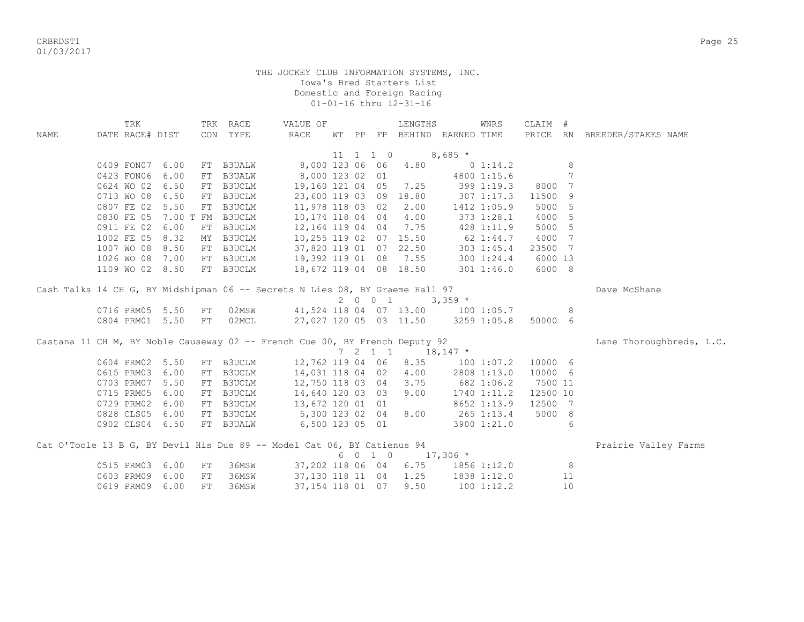CRBRDST1 Page 25 01/03/2017

|             | TRK                                                                          |      |    | TRK RACE         | VALUE OF              |  |                              | LENGTHS                            |             | WNRS           | CLAIM #  |    |                              |  |
|-------------|------------------------------------------------------------------------------|------|----|------------------|-----------------------|--|------------------------------|------------------------------------|-------------|----------------|----------|----|------------------------------|--|
| <b>NAME</b> | DATE RACE# DIST                                                              |      |    | CON TYPE         | RACE                  |  |                              | WT PP FP BEHIND EARNED TIME        |             |                |          |    | PRICE RN BREEDER/STAKES NAME |  |
|             |                                                                              |      |    |                  |                       |  |                              |                                    |             |                |          |    |                              |  |
|             |                                                                              |      |    |                  |                       |  | $11 \quad 1 \quad 1 \quad 0$ |                                    | $8,685*$    |                |          |    |                              |  |
|             | 0409 FON07                                                                   | 6.00 |    | FT B3UALW        | 8,000 123 06 06       |  |                              | 4.80                               |             | 0 1:14.2       |          | 8  |                              |  |
|             | 0423 FON06                                                                   | 6.00 |    | FT B3UALW        | 8,000 123 02 01       |  |                              |                                    |             | 4800 1:15.6    |          | 7  |                              |  |
|             | 0624 WO 02                                                                   | 6.50 |    | FT B3UCLM        | 19,160 121 04 05      |  |                              | 7.25                               |             | 399 1:19.3     | 8000     | 7  |                              |  |
|             | 0713 WO 08                                                                   | 6.50 |    | FT B3UCLM        | 23,600 119 03 09      |  |                              | 18.80                              |             | $307$ $1:17.3$ | 11500    | 9  |                              |  |
|             | 0807 FE 02                                                                   | 5.50 |    | FT B3UCLM        | 11,978 118 03 02      |  |                              | 2.00                               | 1412 1:05.9 |                | 5000     | 5  |                              |  |
|             | 0830 FE 05                                                                   |      |    | 7.00 T FM B3UCLM | 10,174 118 04 04      |  |                              | 4.00                               |             | 373 1:28.1     | 4000     | 5  |                              |  |
|             | 0911 FE 02                                                                   | 6.00 |    | FT B3UCLM        | 12,164 119 04 04      |  |                              | 7.75                               |             | 428 1:11.9     | 5000     | 5  |                              |  |
|             | 1002 FE 05                                                                   | 8.32 |    | MY B3UCLM        |                       |  |                              | 10,255 119 02 07 15.50             |             | $62 \t1:44.7$  | 4000 7   |    |                              |  |
|             | 1007 WO 08                                                                   | 8.50 |    | FT B3UCLM        |                       |  |                              | 37,820 119 01 07 22.50             |             | 303 1:45.4     | 23500 7  |    |                              |  |
|             | 1026 WO 08                                                                   | 7.00 |    | FT B3UCLM        | 19,392 119 01 08 7.55 |  |                              |                                    |             | 300 1:24.4     | 6000 13  |    |                              |  |
|             | 1109 WO 02 8.50                                                              |      |    | FT B3UCLM        |                       |  |                              | 18,672 119 04 08 18.50             |             | 301 1:46.0     | 6000 8   |    |                              |  |
|             |                                                                              |      |    |                  |                       |  |                              |                                    |             |                |          |    |                              |  |
|             | Cash Talks 14 CH G, BY Midshipman 06 -- Secrets N Lies 08, BY Graeme Hall 97 |      |    |                  |                       |  |                              |                                    |             |                |          |    | Dave McShane                 |  |
|             |                                                                              |      |    |                  |                       |  | 2001                         |                                    | $3,359$ *   |                |          |    |                              |  |
|             | 0716 PRM05 5.50                                                              |      | FT | 02MSW            |                       |  |                              | 41,524 118 04 07 13.00 100 1:05.7  |             |                |          | 8  |                              |  |
|             | 0804 PRM01 5.50                                                              |      | FT | 02MCL            |                       |  |                              | 27,027 120 05 03 11.50 3259 1:05.8 |             |                | 50000 6  |    |                              |  |
|             | Castana 11 CH M, BY Noble Causeway 02 -- French Cue 00, BY French Deputy 92  |      |    |                  |                       |  |                              |                                    |             |                |          |    | Lane Thoroughbreds, L.C.     |  |
|             |                                                                              |      |    |                  |                       |  |                              | 7 2 1 1 18,147 $*$                 |             |                |          |    |                              |  |
|             | 0604 PRM02                                                                   | 5.50 |    | FT B3UCLM        | 12,762 119 04 06      |  |                              | 8.35                               |             | 100 1:07.2     | 10000 6  |    |                              |  |
|             | 0615 PRM03                                                                   | 6.00 |    | FT B3UCLM        | 14,031 118 04 02      |  |                              | 4.00                               |             | 2808 1:13.0    | 10000 6  |    |                              |  |
|             | 0703 PRM07                                                                   | 5.50 |    | FT B3UCLM        | 12,750 118 03 04      |  |                              | 3.75                               | 682 1:06.2  |                | 7500 11  |    |                              |  |
|             | 0715 PRM05                                                                   | 6.00 |    | FT B3UCLM        | 14,640 120 03 03      |  |                              | 9.00                               | 1740 1:11.2 |                | 12500 10 |    |                              |  |
|             | 0729 PRM02                                                                   | 6.00 |    | FT B3UCLM        | 13,672 120 01 01      |  |                              |                                    |             | 8652 1:13.9    | 12500 7  |    |                              |  |
|             | 0828 CLS05                                                                   | 6.00 |    | FT B3UCLM        | 5,300 123 02 04       |  |                              | 8.00                               | 265 1:13.4  |                | 5000 8   |    |                              |  |
|             | 0902 CLS04 6.50                                                              |      |    | FT B3UALW        | 6,500 123 05 01       |  |                              |                                    |             | 3900 1:21.0    |          | 6  |                              |  |
|             |                                                                              |      |    |                  |                       |  |                              |                                    |             |                |          |    |                              |  |
|             | Cat O'Toole 13 B G, BY Devil His Due 89 -- Model Cat 06, BY Catienus 94      |      |    |                  |                       |  |                              |                                    |             |                |          |    | Prairie Valley Farms         |  |
|             |                                                                              |      |    |                  |                       |  | 6 0 1 0                      |                                    | $17,306$ *  |                |          |    |                              |  |
|             | 0515 PRM03                                                                   | 6.00 | FT | 36MSW            | 37,202 118 06 04      |  |                              | 6.75                               |             | 1856 1:12.0    |          | 8  |                              |  |
|             | 0603 PRM09                                                                   | 6.00 | FT | 36MSW            | 37,130 118 11 04      |  |                              | 1.25                               |             | 1838 1:12.0    |          | 11 |                              |  |
|             | 0619 PRM09                                                                   | 6.00 | FT | 36MSW            | 37, 154 118 01 07     |  |                              | 9.50                               |             | 100 1:12.2     |          | 10 |                              |  |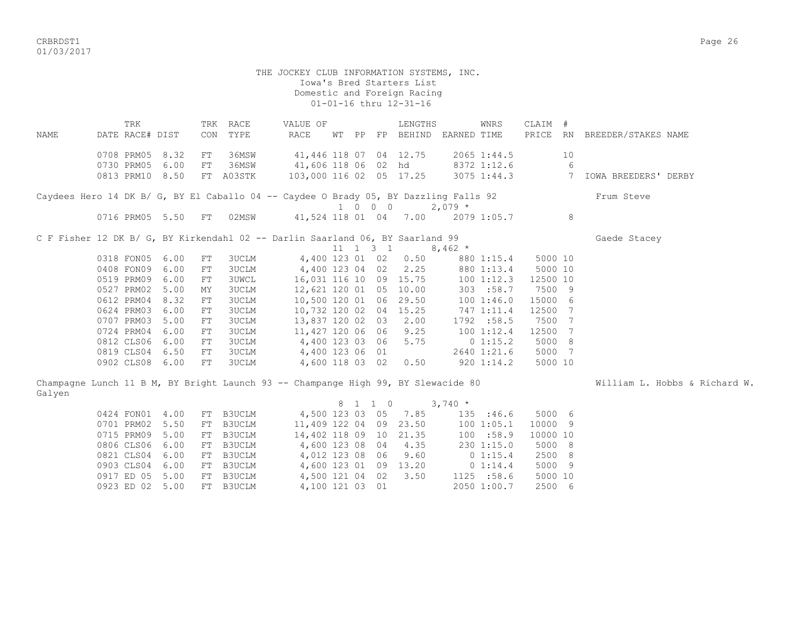CRBRDST1 Page 26 01/03/2017

# THE JOCKEY CLUB INFORMATION SYSTEMS, INC. Iowa's Bred Starters List Domestic and Foreign Racing 01-01-16 thru 12-31-16 TRK TRK RACE VALUE OF LENGTHS WNRS CLAIM #

NAME DATE RACE# DIST CON TYPE RACE WT PP FP BEHIND EARNED TIME PRICE RN BREEDER/STAKES NAME 0708 PRM05 8.32 FT 36MSW 41,446 118 07 04 12.75 2065 1:44.5 10 0730 PRM05 6.00 FT 36MSW 41,606 118 06 02 hd 8372 1:12.6 6 0813 PRM10 8.50 FT A03STK 103,000 116 02 05 17.25 3075 1:44.3 7 IOWA BREEDERS' DERBY Caydees Hero 14 DK B/ G, BY El Caballo 04 -- Caydee O Brady 05, BY Dazzling Falls 92 Frum Steve  $1 \t0 \t0 \t0 \t2,079 \t\t*$  0716 PRM05 5.50 FT 02MSW 41,524 118 01 04 7.00 2079 1:05.7 8 C F Fisher 12 DK B/ G, BY Kirkendahl 02 -- Darlin Saarland 06, BY Saarland 99 Gaede Stacey 11 1 3 1 8,462  $*$  0318 FON05 6.00 FT 3UCLM 4,400 123 01 02 0.50 880 1:15.4 5000 10 0408 FON09 6.00 FT 3UCLM 4,400 123 04 02 2.25 880 1:13.4 5000 10 0519 PRM09 6.00 FT 3UWCL 16,031 116 10 09 15.75 100 1:12.3 12500 10 0527 PRM02 5.00 MY 3UCLM 12,621 120 01 05 10.00 303 :58.7 7500 9 0612 PRM04 8.32 FT 3UCLM 10,500 120 01 06 29.50 100 1:46.0 15000 6 0624 PRM03 6.00 FT 3UCLM 10,732 120 02 04 15.25 747 1:11.4 12500 7 0707 PRM03 5.00 FT 3UCLM 13,837 120 02 03 2.00 1792 :58.5 7500 7 0724 PRM04 6.00 FT 3UCLM 11,427 120 06 06 9.25 100 1:12.4 12500 7 0812 CLS06 6.00 FT 3UCLM 4,400 123 03 06 5.75 0 1:15.2 5000 8 0819 CLS04 6.50 FT 3UCLM 4,400 123 06 01 2640 1:21.6 5000 7<br>0902 CLS08 6.00 FT 3UCLM 4,600 118 03 02 0.50 920 1:14.2 5000 10 0902 CLS08 6.00 FT 3UCLM 4,600 118 03 02 0.50 920 1:14.2 5000 10 Champagne Lunch 11 B M, BY Bright Launch 93 -- Champange High 99, BY Slewacide 80 William L. Hobbs & Richard W. Galyen 8 1 1 0 3,740 \* 0424 FON01 4.00 FT B3UCLM 4,500 123 03 05 7.85 135 :46.6 5000 6 0701 PRM02 5.50 FT B3UCLM 11,409 122 04 09 23.50 100 1:05.1 10000 9 0715 PRM09 5.00 FT B3UCLM 14,402 118 09 10 21.35 100 :58.9 10000 10 0806 CLS06 6.00 FT B3UCLM 4,600 123 08 04 4.35 230 1:15.0 5000 8<br>0821 CLS04 6.00 FT B3UCLM 4,012 123 08 06 9.60 0 1:15.4 2500 8<br>0903 CLS04 6.00 FT B3UCLM 4,600 123 01 09 13.20 0 1:14.4 5000 9 0821 CLS04 6.00 FT B3UCLM 4,012 123 08 06 9.60 0 1:15.4 2500 8 0903 CLS04 6.00 FT B3UCLM 4,600 123 01 09 13.20 0 1:14.4 5000 9 0917 ED 05 5.00 FT B3UCLM 4,500 121 04 02 3.50 1125 :58.6 5000 10

0923 ED 02 5.00 FT B3UCLM 4,100 121 03 01 2050 1:00.7 2500 6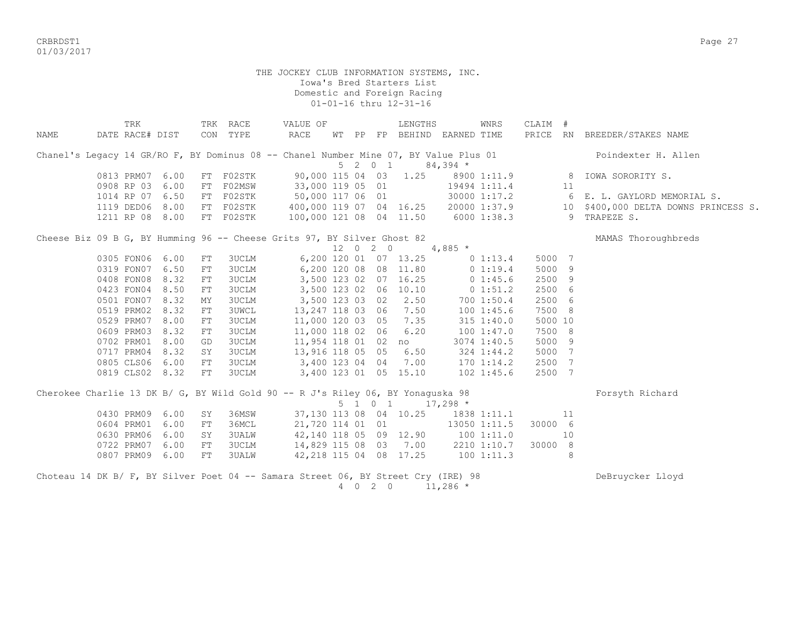CRBRDST1 Page 27 01/03/2017

|                                                                                      | TRK             |    | TRK RACE     | VALUE OF                             |                 |                     | LENGTHS                     |             | WNRS           | CLAIM # |                |                                      |
|--------------------------------------------------------------------------------------|-----------------|----|--------------|--------------------------------------|-----------------|---------------------|-----------------------------|-------------|----------------|---------|----------------|--------------------------------------|
| NAME                                                                                 | DATE RACE# DIST |    | CON TYPE     | RACE                                 |                 |                     | WT PP FP BEHIND EARNED TIME |             |                |         |                | PRICE RN BREEDER/STAKES NAME         |
| Chanel's Legacy 14 GR/RO F, BY Dominus 08 -- Chanel Number Mine 07, BY Value Plus 01 |                 |    |              |                                      |                 |                     |                             |             |                |         |                | Poindexter H. Allen                  |
|                                                                                      |                 |    |              |                                      |                 | $5$ 2 0 1           |                             | $84,394$ *  |                |         |                |                                      |
|                                                                                      | 0813 PRM07 6.00 |    | FT F02STK    | 90,000 115 04 03                     |                 |                     | 1.25                        |             |                |         |                | 8900 1:11.9 8 IOWA SORORITY S.       |
|                                                                                      | 0908 RP 03 6.00 | FT | F02MSW       | 33,000 119 05 01                     |                 |                     |                             |             | 19494 1:11.4   | 11      |                |                                      |
|                                                                                      | 1014 RP 07 6.50 |    | FT F02STK    | 50,000 117 06 01                     |                 |                     |                             |             | 30000 1:17.2   |         |                | 6 E. L. GAYLORD MEMORIAL S.          |
|                                                                                      | 1119 DED06 8.00 |    | FT F02STK    | 400,000 119 07 04 16.25 20000 1:37.9 |                 |                     |                             |             |                |         |                | 10 \$400,000 DELTA DOWNS PRINCESS S. |
|                                                                                      | 1211 RP 08 8.00 |    | FT F02STK    | 100,000 121 08 04 11.50              |                 |                     |                             |             | 6000 1:38.3    |         | 9              | TRAPEZE S.                           |
| Cheese Biz 09 B G, BY Humming 96 -- Cheese Grits 97, BY Silver Ghost 82              |                 |    |              |                                      |                 |                     |                             |             |                |         |                | MAMAS Thoroughbreds                  |
|                                                                                      |                 |    |              |                                      |                 | 12 0 2 0            |                             | 4,885 $*$   |                |         |                |                                      |
|                                                                                      | 0305 FON06 6.00 | FT | 3UCLM        |                                      |                 |                     | 6,200 120 01 07 13.25       |             | 0 1:13.4       | 5000 7  |                |                                      |
|                                                                                      | 0319 FON07 6.50 | FT | 3UCLM        |                                      |                 |                     | 6,200 120 08 08 11.80       | $0\;1:19.4$ |                | 5000    | 9              |                                      |
|                                                                                      | 0408 FON08 8.32 | FT | 3UCLM        |                                      |                 |                     | 3,500 123 02 07 16.25       | $0\;1:45.6$ |                | 2500    | -9             |                                      |
|                                                                                      | 0423 FON04 8.50 | FT | <b>3UCLM</b> |                                      |                 |                     | 3,500 123 02 06 10.10       |             | 0 1:51.2       | 2500 6  |                |                                      |
|                                                                                      | 0501 FON07 8.32 | ΜY | <b>3UCLM</b> | 3,500 123 03 02                      |                 |                     | 2.50                        |             | 700 1:50.4     | 2500 6  |                |                                      |
|                                                                                      | 0519 PRM02 8.32 | FT | <b>3UWCL</b> | 13,247 118 03 06                     |                 |                     | 7.50                        |             | 1001:45.6      | 7500 8  |                |                                      |
|                                                                                      | 0529 PRM07 8.00 | FT | 3UCLM        | 11,000 120 03 05                     |                 |                     | 7.35                        |             | $315$ $1:40.0$ | 5000 10 |                |                                      |
|                                                                                      | 0609 PRM03 8.32 | FT | 3UCLM        | 11,000 118 02 06                     |                 |                     | 6.20                        |             | 100 1:47.0     | 7500 8  |                |                                      |
|                                                                                      | 0702 PRM01 8.00 | GD | 3UCLM        | 11,954 118 01 02 no                  |                 |                     |                             |             | 3074 1:40.5    | 5000 9  |                |                                      |
|                                                                                      | 0717 PRM04 8.32 | SY | 3UCLM        | 13,916 118 05 05                     |                 |                     | 6.50                        |             | 324 1:44.2     | 5000    | $\overline{7}$ |                                      |
|                                                                                      | 0805 CLS06 6.00 | FT | 3UCLM        | 3,400 123 04 04                      |                 |                     | 7.00                        |             | $170$ $1:14.2$ | 2500    | 7              |                                      |
|                                                                                      | 0819 CLS02 8.32 | FT | 3UCLM        | 3,400 123 01 05 15.10                |                 |                     |                             |             | $102$ $1:45.6$ | 2500 7  |                |                                      |
| Cherokee Charlie 13 DK B/ G, BY Wild Gold 90 -- R J's Riley 06, BY Yonaguska 98      |                 |    |              |                                      |                 |                     |                             |             |                |         |                | Forsyth Richard                      |
|                                                                                      |                 |    |              |                                      |                 | $5 \t1 \t0 \t1$     |                             | $17,298$ *  |                |         |                |                                      |
|                                                                                      | 0430 PRM09 6.00 | SY | 36MSW        |                                      |                 |                     | 37,130 113 08 04 10.25      |             | 1838 1:11.1    |         | 11             |                                      |
|                                                                                      | 0604 PRM01 6.00 | FT | 36MCL        | 21,720 114 01 01                     |                 |                     |                             |             | 13050 1:11.5   | 30000 6 |                |                                      |
|                                                                                      | 0630 PRM06 6.00 | SY | <b>3UALW</b> | 42,140 118 05 09 12.90               |                 |                     |                             | 1001:11.0   |                |         | 10             |                                      |
|                                                                                      | 0722 PRM07 6.00 | FT | 3UCLM        | 14,829 115 08 03 7.00                |                 |                     |                             |             | 2210 1:10.7    | 30000 8 |                |                                      |
|                                                                                      | 0807 PRM09 6.00 | FT | 3UALW        | 42,218 115 04 08 17.25               |                 |                     |                             | 1001:11.3   |                |         | 8              |                                      |
| Choteau 14 DK B/ F, BY Silver Poet 04 -- Samara Street 06, BY Street Cry (IRE) 98    |                 |    |              |                                      | $4\overline{ }$ | $0 \quad 2 \quad 0$ |                             | $11,286$ *  |                |         |                | DeBruycker Lloyd                     |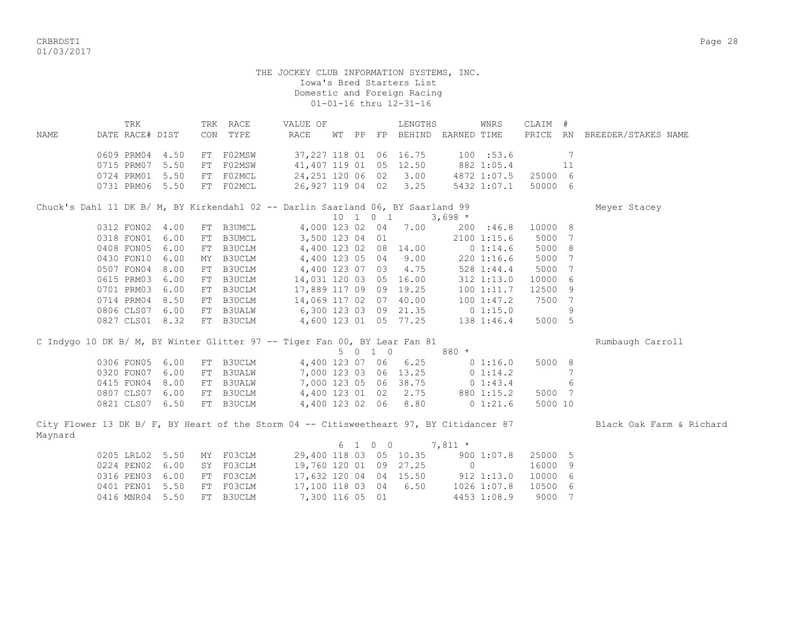CRBRDST1 Page 28 01/03/2017

#### THE JOCKEY CLUB INFORMATION SYSTEMS, INC. Iowa's Bred Starters List Domestic and Foreign Racing 01-01-16 thru 12-31-16

|      | TRK             |      | TRK | RACE   | VALUE OF                                                                        |    |    |          | LENGTHS  |             | WNRS        | CLAIM # |     |                     |  |
|------|-----------------|------|-----|--------|---------------------------------------------------------------------------------|----|----|----------|----------|-------------|-------------|---------|-----|---------------------|--|
| NAME | DATE RACE# DIST |      | CON | TYPE   | RACE                                                                            | WТ | PP | FP       | BEHIND   | EARNED TIME |             | PRICE   | RN  | BREEDER/STAKES NAME |  |
|      | 0609 PRM04      | 4.50 | FT  | F02MSW | 37,227 118 01                                                                   |    |    |          | 06 16.75 |             | 100 : 53.6  |         |     |                     |  |
|      |                 |      |     |        |                                                                                 |    |    |          |          |             |             |         |     |                     |  |
|      | 0715 PRM07      | 5.50 | FT  | F02MSW | 41,407 119 01                                                                   |    |    | 05       | 12.50    |             | 882 1:05.4  |         | 11  |                     |  |
|      | 0724 PRM01      | 5.50 | FT  | F02MCL | 24, 251 120 06 02                                                               |    |    |          | 3.00     |             | 4872 1:07.5 | 25000   | -6  |                     |  |
|      | 0731 PRM06      | 5.50 | FT  | F02MCL | 26,927 119 04                                                                   |    |    | 02       | 3.25     |             | 5432 1:07.1 | 50000   | 6   |                     |  |
|      |                 |      |     |        | Chuck's Dahl 11 DK B/ M, BY Kirkendahl 02 -- Darlin Saarland 06, BY Saarland 99 |    |    |          |          |             |             |         |     | Meyer Stacey        |  |
|      |                 |      |     |        |                                                                                 |    |    | 10 1 0 1 |          | $3,698$ *   |             |         |     |                     |  |
|      | 0312 FON02      | 4.00 | FT  | B3UMCL | 4,000 123 02                                                                    |    |    | 04       | 7.00     | 200         | :46.8       | 10000   | - 8 |                     |  |
|      | 0318 FON01      | 6.00 | FT  | B3UMCL | 3,500 123 04                                                                    |    |    | 01       |          |             | 2100 1:15.6 | 5000    |     |                     |  |
|      | 0408 FON05      | 6.00 | FT. | B3UCLM | 4,400 123 02                                                                    |    |    | 08       | 14.00    |             | $0\;1:14.6$ | 5000    | 8   |                     |  |
|      | 0430 FON10      | 6.00 | MY  | B3UCLM | 4,400 123 05 04                                                                 |    |    |          | 9.00     |             | 2201:16.6   | 5000    |     |                     |  |
|      | 0507 FON04      | 8.00 | FT  | B3UCLM | 4,400 123 07                                                                    |    |    | 03       | 4.75     |             | 528 1:44.4  | 5000    |     |                     |  |
|      | 0615 PRM03      | 6.00 | FT  | B3UCLM | 14,031 120 03                                                                   |    |    | 05       | 16.00    |             | 312 1:13.0  | 10000   | 6   |                     |  |
|      | 0701 PRM03      | 6.00 | FT  | B3UCLM | 17,889 117 09                                                                   |    |    | 09       | 19.25    |             | 1001:11.7   | 12500   | 9   |                     |  |
|      | 0714 PRM04      | 8.50 | FT  | B3UCLM | 14,069 117 02                                                                   |    |    | 07       | 40.00    |             | 1001:47.2   | 7500    | 7   |                     |  |
|      | 0806 CLS07      | 6.00 | FT  | B3UALW | 6,300 123 03                                                                    |    |    | 09       | 21.35    |             | 0 1:15.0    |         | 9   |                     |  |
|      | 0827 CLS01      | 8.32 | FT  | B3UCLM | 4,600 123 01                                                                    |    |    | 05       | 77.25    |             | 138 1:46.4  | 5000    | 5   |                     |  |

| C Indygo 10 DK B/ M, BY Winter Glitter 97 -- Tiger Fan 00, BY Lear Fan 81 |                           |  |                       |                       |             |         | Rumbaugh Carroll |
|---------------------------------------------------------------------------|---------------------------|--|-----------------------|-----------------------|-------------|---------|------------------|
|                                                                           |                           |  | 5 0 1 0               |                       | 880 *       |         |                  |
|                                                                           | 0306 FON05 6.00 FT B3UCLM |  |                       | 4,400 123 07 06 6.25  | $0\;1:16.0$ | 5000 8  |                  |
|                                                                           | 0320 FON07 6.00 FT B3UALW |  |                       | 7,000 123 03 06 13.25 | $0\;1:14.2$ |         |                  |
|                                                                           | 0415 FON04 8.00 FT B3UALW |  | 7,000 123 05 06 38.75 |                       | $0\;1:43.4$ |         |                  |
|                                                                           | 0807 CLS07 6.00 FT B3UCLM |  | 4,400 123 01 02 2.75  |                       | 880 1:15.2  | 5000 7  |                  |
|                                                                           | 0821 CLS07 6.50 FT B3UCLM |  |                       | 4,400 123 02 06 8.80  | $0\;1:21.6$ | 5000 10 |                  |

City Flower 13 DK B/ F, BY Heart of the Storm 04 -- Citisweetheart 97, BY Citidancer 87 Black Oak Farm & Richard Maynard

|  |  |                           |                        |  |  | 6 1 0 0 7.811 * |                |                    |  |
|--|--|---------------------------|------------------------|--|--|-----------------|----------------|--------------------|--|
|  |  | 0205 LRL02 5.50 MY F03CLM | 29,400 118 03 05 10.35 |  |  |                 |                | 900 1:07.8 25000 5 |  |
|  |  | 0224 PEN02 6.00 SY F03CLM | 19,760 120 01 09 27.25 |  |  |                 | $\overline{0}$ | 16000 9            |  |
|  |  | 0316 PEN03 6.00 FT F03CLM | 17,632 120 04 04 15.50 |  |  |                 |                | 912 1:13.0 10000 6 |  |
|  |  | 0401 PEN01 5.50 FT F03CLM | 17,100 118 03 04 6.50  |  |  |                 | 1026 1:07.8    | 10500 6            |  |
|  |  | 0416 MNR04 5.50 FT B3UCLM | 7,300 116 05 01        |  |  |                 | 4453 1:08.9    | 9000 7             |  |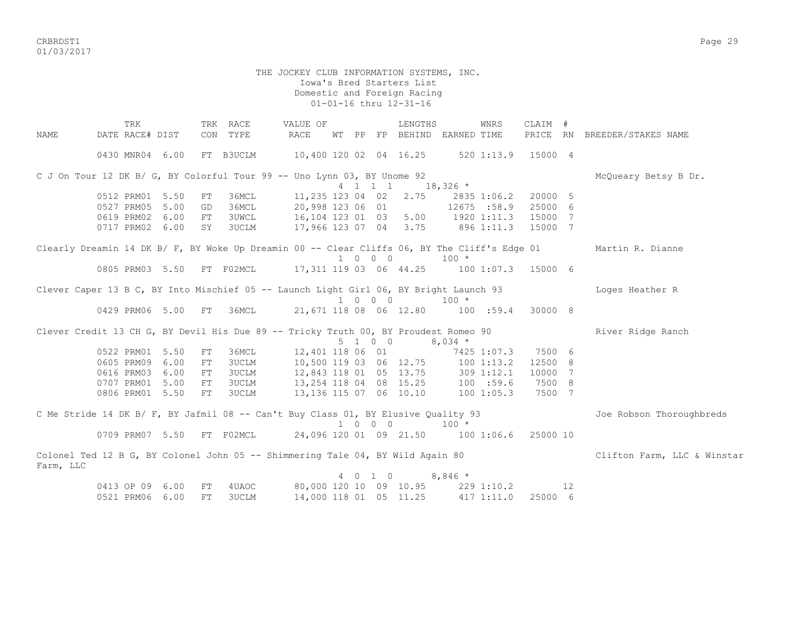CRBRDST1 Page 29 01/03/2017

#### THE JOCKEY CLUB INFORMATION SYSTEMS, INC. Iowa's Bred Starters List Domestic and Foreign Racing 01-01-16 thru 12-31-16

 TRK TRK RACE VALUE OF LENGTHS WNRS CLAIM # NAME DATE RACE# DIST CON TYPE RACE WT PP FP BEHIND EARNED TIME PRICE RN BREEDER/STAKES NAME 0430 MNR04 6.00 FT B3UCLM 10,400 120 02 04 16.25 520 1:13.9 15000 4 C J On Tour 12 DK B/ G, BY Colorful Tour 99 -- Uno Lynn 03, BY Unome 92 McQueary Betsy B Dr. 4 1 1 1 18,326 \* 0512 PRM01 5.50 FT 36MCL 11,235 123 04 02 2.75 2835 1:06.2 20000 5 0527 PRM05 5.00 GD 36MCL 20,998 123 06 01 12675 :58.9 25000 6 0619 PRM02 6.00 FT 3UWCL 16,104 123 01 03 5.00 1920 1:11.3 15000 7 0717 PRM02 6.00 SY 3UCLM 17,966 123 07 04 3.75 896 1:11.3 15000 7 Clearly Dreamin 14 DK B/ F, BY Woke Up Dreamin 00 -- Clear Cliffs 06, BY The Cliff's Edge 01 Martin R. Dianne  $1 \t 0 \t 0 \t 100 \t \star$  0805 PRM03 5.50 FT F02MCL 17,311 119 03 06 44.25 100 1:07.3 15000 6 Clever Caper 13 B C, BY Into Mischief 05 -- Launch Light Girl 06, BY Bright Launch 93 Loges Heather R 1 0 0 0 100 \*<br>0429 PRM06 5.00 FT 36MCL 21.671 118 08 06 12.80 100 0429 PRM06 5.00 FT 36MCL 21,671 118 08 06 12.80 100 :59.4 30000 8 Clever Credit 13 CH G, BY Devil His Due 89 -- Tricky Truth 00, BY Proudest Romeo 90 River Ridge Ranch  $5 \t1 \t0 \t0 \t8.034$  \* 0522 PRM01 5.50 FT 36MCL 12,401 118 06 01 7425 1:07.3 7500 6 0605 PRM09 6.00 FT 3UCLM 10,500 119 03 06 12.75 100 1:13.2 12500 8 0616 PRM03 6.00 FT 3UCLM 12,843 118 01 05 13.75 309 1:12.1 10000 7 0707 PRM01 5.00 FT 3UCLM 13,254 118 04 08 15.25 100 :59.6 7500 8 0806 PRM01 5.50 FT 3UCLM 13,136 115 07 06 10.10 100 1:05.3 7500 7 C Me Stride 14 DK B/ F, BY Jafmil 08 -- Can't Buy Class 01, BY Elusive Quality 93 Joe Robson Thoroughbreds 1 0 0 0 100 \* 0709 PRM07 5.50 FT F02MCL 24,096 120 01 09 21.50 100 1:06.6 25000 10 Colonel Ted 12 B G, BY Colonel John 05 -- Shimmering Tale 04, BY Wild Again 80 Clifton Farm, LLC & Winstar Farm, LLC 4 0 1 0 8,846 \* 0413 OP 09 6.00 FT 4UAOC 80,000 120 10 09 10.95 229 1:10.2 12 0521 PRM06 6.00 FT 3UCLM 14,000 118 01 05 11.25 417 1:11.0 25000 6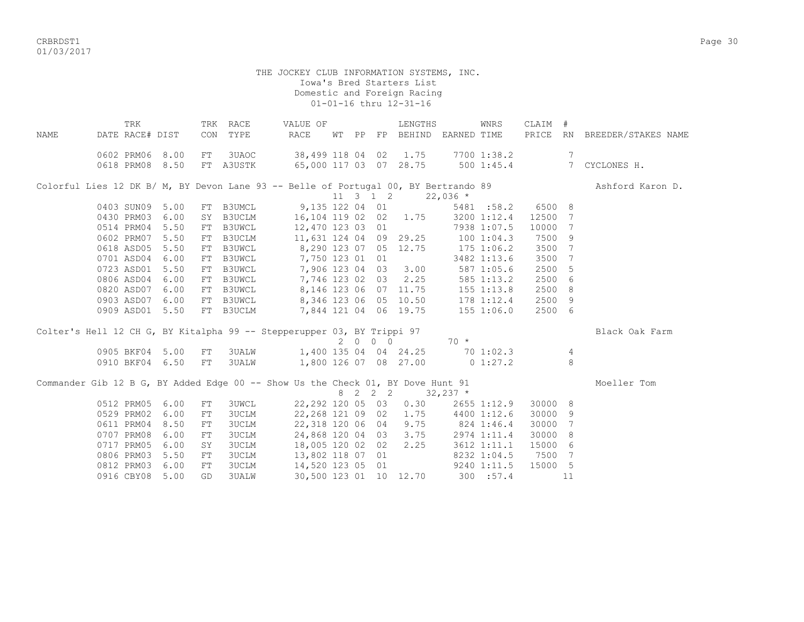CRBRDST1 Page 30 01/03/2017

| NAME | DATE RACE# DIST | TRK |      |    | TRK RACE<br>CON TYPE | VALUE OF<br>RACE                                                                    |  |         | LENGTHS               | WT PP FP BEHIND EARNED TIME    | WNRS              | CLAIM # |                 | PRICE RN BREEDER/STAKES NAME |
|------|-----------------|-----|------|----|----------------------|-------------------------------------------------------------------------------------|--|---------|-----------------------|--------------------------------|-------------------|---------|-----------------|------------------------------|
|      | 0602 PRM06 8.00 |     |      | FT | 3UAOC                | 38,499 118 04 02 1.75                                                               |  |         |                       |                                | 7700 1:38.2       |         | $7\phantom{.0}$ |                              |
|      | 0618 PRM08 8.50 |     |      |    | FT A3USTK            | 65,000 117 03 07 28.75                                                              |  |         |                       | 500 1:45.4                     |                   |         | $7\overline{ }$ | CYCLONES H.                  |
|      |                 |     |      |    |                      | Colorful Lies 12 DK B/ M, BY Devon Lane 93 -- Belle of Portugal 00, BY Bertrando 89 |  |         |                       |                                |                   |         |                 | Ashford Karon D.             |
|      |                 |     |      |    |                      |                                                                                     |  |         | 11 3 1 2 22,036 $*$   |                                |                   |         |                 |                              |
|      | 0403 SUN09      |     | 5.00 | FT | <b>B3UMCL</b>        | 9,135 122 04 01                                                                     |  |         |                       |                                | 5481 :58.2 6500 8 |         |                 |                              |
|      | 0430 PRM03      |     | 6.00 | SY | <b>B3UCLM</b>        | 16, 104 119 02 02 1.75                                                              |  |         |                       |                                | 3200 1:12.4       | 12500   | 7               |                              |
|      | 0514 PRM04      |     | 5.50 | FT | B3UWCL               | 12,470 123 03 01                                                                    |  |         |                       |                                | 7938 1:07.5       | 10000   | 7               |                              |
|      | 0602 PRM07      |     | 5.50 | FT | B3UCLM               | 11,631 124 04 09 29.25                                                              |  |         |                       |                                | 100 1:04.3        | 7500    | -9              |                              |
|      | 0618 ASD05      |     | 5.50 | FT | B3UWCL               | 8,290 123 07 05 12.75                                                               |  |         |                       | $175$ $1:06.2$                 |                   | 3500    | 7               |                              |
|      | 0701 ASD04      |     | 6.00 | FT | B3UWCL               | 7,750 123 01 01                                                                     |  |         |                       |                                | 3482 1:13.6       | 3500    | 7               |                              |
|      | 0723 ASD01      |     | 5.50 | FT |                      | B3UWCL 7,906 123 04 03 3.00                                                         |  |         |                       | 587 1:05.6                     |                   | 2500    | -5              |                              |
|      | 0806 ASD04      |     | 6.00 | FT |                      | B3UWCL 7,746 123 02 03 2.25                                                         |  |         |                       | $585$ 1:13.2                   |                   | 2500    | 6               |                              |
|      | 0820 ASD07      |     | 6.00 |    |                      | FT B3UWCL 8,146 123 06 07 11.75                                                     |  |         |                       |                                | $155$ $1:13.8$    | 2500    | - 8             |                              |
|      | 0903 ASD07 6.00 |     |      |    |                      | FT B3UWCL 8,346 123 06 05 10.50                                                     |  |         |                       |                                | 178 1:12.4        | 2500    | - 9             |                              |
|      | 0909 ASD01 5.50 |     |      |    |                      | FT B3UCLM 7,844 121 04 06 19.75                                                     |  |         |                       |                                | 155 1:06.0        | 2500 6  |                 |                              |
|      |                 |     |      |    |                      | Colter's Hell 12 CH G, BY Kitalpha 99 -- Stepperupper 03, BY Trippi 97              |  |         |                       |                                |                   |         |                 | Black Oak Farm               |
|      |                 |     |      |    |                      |                                                                                     |  | 2 0 0 0 |                       | $70 \times$                    |                   |         |                 |                              |
|      | 0905 BKF04 5.00 |     |      | FT | <b>3UALW</b>         |                                                                                     |  |         | 1,400 135 04 04 24.25 |                                | 70 1:02.3         |         | $\overline{4}$  |                              |
|      | 0910 BKF04 6.50 |     |      | FT | <b>3UALW</b>         |                                                                                     |  |         |                       | 1,800 126 07 08 27.00 0 1:27.2 |                   |         | 8               |                              |
|      |                 |     |      |    |                      | Commander Gib 12 B G, BY Added Edge 00 -- Show Us the Check 01, BY Dove Hunt 91     |  |         |                       |                                |                   |         |                 | Moeller Tom                  |
|      |                 |     |      |    |                      |                                                                                     |  |         | 8 2 2 2 32, 237 *     |                                |                   |         |                 |                              |
|      | 0512 PRM05      |     | 6.00 | FT | 3UWCL                | 22,292 120 05 03                                                                    |  |         | 0.30                  |                                | $2655$ $1:12.9$   | 30000 8 |                 |                              |
|      | 0529 PRM02      |     | 6.00 | FT | <b>3UCLM</b>         | 22,268 121 09 02                                                                    |  |         | 1.75                  |                                | 4400 1:12.6       | 30000   | -9              |                              |
|      | 0611 PRM04      |     | 8.50 | FT | <b>3UCLM</b>         | 22,318 120 06 04                                                                    |  |         |                       | $9.75$ $824$ 1:46.4            |                   | 30000   | 7               |                              |
|      | 0707 PRM08      |     | 6.00 | FT | 3UCLM                | 24,868 120 04 03                                                                    |  |         | 3.75                  |                                | 2974 1:11.4       | 30000   | 8               |                              |
|      | 0717 PRM05      |     | 6.00 | SY | <b>3UCLM</b>         | 18,005 120 02 02                                                                    |  |         | 2.25                  |                                | 3612 1:11.1       | 15000   | 6               |                              |
|      | 0806 PRM03      |     | 5.50 | FT | 3UCLM                | 13,802 118 07 01                                                                    |  |         |                       |                                | 8232 1:04.5       | 7500    | 7               |                              |
|      | 0812 PRM03      |     | 6.00 | FT | <b>3UCLM</b>         | 14,520 123 05 01                                                                    |  |         |                       |                                | 9240 1:11.5       | 15000 5 |                 |                              |
|      | 0916 CBY08      |     | 5.00 | GD | 3UALW                | 30,500 123 01 10 12.70                                                              |  |         |                       |                                | 300 : 57.4        |         | 11              |                              |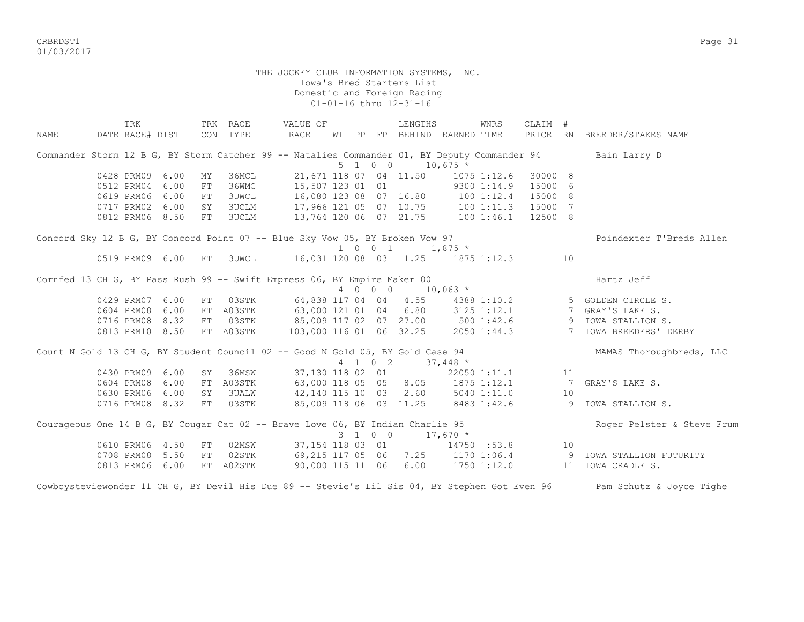CRBRDST1 Page 31 01/03/2017

> THE JOCKEY CLUB INFORMATION SYSTEMS, INC. Iowa's Bred Starters List Domestic and Foreign Racing 01-01-16 thru 12-31-16

TRK TRK RACE VALUE OF TRENGTHS WINRS CLAIM # NAME DATE RACE# DIST CON TYPE RACE WT PP FP BEHIND EARNED TIME PRICE RN BREEDER/STAKES NAME Commander Storm 12 B G, BY Storm Catcher 99 -- Natalies Commander 01, BY Deputy Commander 94 Bain Larry D  $5 \quad 1 \quad 0 \quad 0 \quad 10.675 \star$  0428 PRM09 6.00 MY 36MCL 21,671 118 07 04 11.50 1075 1:12.6 30000 8 0512 PRM04 6.00 FT 36WMC 15,507 123 01 01 9300 1:14.9 15000 6 0619 PRM06 6.00 FT 3UWCL 16,080 123 08 07 16.80 100 1:12.4 15000 8 0717 PRM02 6.00 SY 3UCLM 17,966 121 05 07 10.75 100 1:11.3 15000 7 0812 PRM06 8.50 FT 3UCLM 13,764 120 06 07 21.75 100 1:46.1 12500 8 Concord Sky 12 B G, BY Concord Point 07 -- Blue Sky Vow 05, BY Broken Vow 97 Poindexter T'Breds Allen 0519 PRM09 6.00 FT 3UWCL 16,031 120 08 03 1.25 1875 1:12 16,031 120 08 03 1.25 1875 1:12.3 10 Cornfed 13 CH G, BY Pass Rush 99 -- Swift Empress 06, BY Empire Maker 00 Hartz Jeff 4 0 0 0 10,063 \* 0429 PRM07 6.00 FT 03STK 64,838 117 04 04 4.55 4388 1:10.2 5 GOLDEN CIRCLE S.<br>0604 PRM08 6.00 FT A03STK 63,000 121 01 04 6.80 3125 1:12.1 7 GRAY'S LAKE S. 0604 PRM08 6.00 FT A03STK 63,000 121 01 04 6.80 0716 PRM08 8.32 FT 03STK 85,009 117 02 07 27.00 500 1:42.6 9 IOWA STALLION S.<br>0813 PRM10 8.50 FT A03STK 103,000 116 01 06 32.25 2050 1:44.3 7 IOWA BREEDERS' DERBY 0813 PRM10 8.50 FT A03STK 103,000 116 01 06 32.25 Count N Gold 13 CH G, BY Student Council 02 -- Good N Gold 05, BY Gold Case 94 MAMAS Thoroughbreds, LLC 4 1 0 2 37,448 \* 0430 PRM09 6.00 SY 36MSW 37,130 118 02 01 22050 1:11.1 11 11 0604 PRM08 6.00 FT A03STK 63,000 118 05 05 8.05 1875 1:12.1 7 GRAY'S LAKE S. 0630 PRM06 6.00 SY 3UALW 42,140 115 10 03 2.60 5040 1:11.0 10 0716 PRM08 8.32 FT 03STK 85,009 118 06 03 11.25 8483 1:42.6 9 IOWA STALLION S. Courageous One 14 B G, BY Cougar Cat 02 -- Brave Love 06, BY Indian Charlie 95 Roger Pelster & Steve Frum  $3 \quad 1 \quad 0 \quad 0 \quad 17.670 \quad *$ 0610 PRM06 4.50 FT 02MSW 37,154 118 03 01 14750 :53.8 10<br>0708 PRM08 5.50 FT 02STK 69,215 117 05 06 7.25 1170 1:06.4 9 0708 PRM08 5.50 FT 02STK 69,215 117 05 06 7.25 1170 1:06.4 9 IOWA STALLION FUTURITY 0813 PRM06 6.00 FT A02STK 90,000 115 11 06 6.00 1750 1:12.0 11 IOWA CRADLE S.

Cowboysteviewonder 11 CH G, BY Devil His Due 89 -- Stevie's Lil Sis 04, BY Stephen Got Even 96 Pam Schutz & Joyce Tighe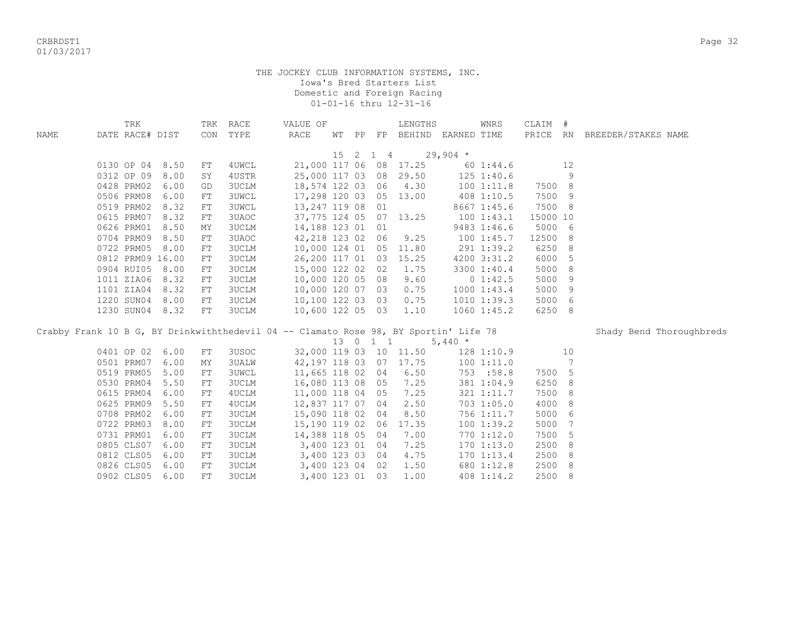|                                                                                      | TRK              |      |            | TRK RACE     | VALUE OF                |  |          | LENGTHS                     |            | WNRS            | CLAIM #  |    |                              |  |
|--------------------------------------------------------------------------------------|------------------|------|------------|--------------|-------------------------|--|----------|-----------------------------|------------|-----------------|----------|----|------------------------------|--|
| NAME                                                                                 | DATE RACE# DIST  |      |            | CON TYPE     | RACE                    |  |          | WT PP FP BEHIND EARNED TIME |            |                 |          |    | PRICE RN BREEDER/STAKES NAME |  |
|                                                                                      |                  |      |            |              |                         |  |          |                             |            |                 |          |    |                              |  |
|                                                                                      |                  |      |            |              |                         |  | 15 2 1 4 |                             | $29,904$ * |                 |          |    |                              |  |
|                                                                                      | 0130 OP 04       | 8.50 | FT         | 4UWCL        |                         |  |          | 21,000 117 06 08 17.25      |            | 601:44.6        |          | 12 |                              |  |
|                                                                                      | 0312 OP 09       | 8.00 | SY         | 4USTR        |                         |  |          | 25,000 117 03 08 29.50      |            | $125$ $1:40.6$  |          | 9  |                              |  |
|                                                                                      | 0428 PRM02       | 6.00 | GD         | <b>3UCLM</b> |                         |  |          | 18,574 122 03 06 4.30       |            | 100 1:11.8      | 7500 8   |    |                              |  |
|                                                                                      | 0506 PRM08       | 6.00 | ${\rm FT}$ | <b>3UWCL</b> | 17,298 120 03 05 13.00  |  |          |                             |            | 408 1:10.5      | 7500     | 9  |                              |  |
|                                                                                      | 0519 PRM02       | 8.32 | FT         | <b>3UWCL</b> | 13, 247 119 08 01       |  |          |                             |            | 8667 1:45.6     | 7500 8   |    |                              |  |
|                                                                                      | 0615 PRM07       | 8.32 | FT         | 3UAOC        | 37, 775 124 05 07 13.25 |  |          |                             |            | 1001:43.1       | 15000 10 |    |                              |  |
|                                                                                      | 0626 PRM01       | 8.50 | MΥ         | <b>3UCLM</b> | 14,188 123 01 01        |  |          |                             |            | 9483 1:46.6     | 5000 6   |    |                              |  |
|                                                                                      | 0704 PRM09       | 8.50 | ${\rm FT}$ | 3UAOC        | 42,218 123 02 06        |  |          | 9.25                        |            | 1001:45.7       | 12500    | 8  |                              |  |
|                                                                                      | 0722 PRM05       | 8.00 | FT         | 3UCLM        | 10,000 124 01 05 11.80  |  |          |                             |            | 291 1:39.2      | 6250     | 8  |                              |  |
|                                                                                      | 0812 PRM09 16.00 |      | FT         | <b>3UCLM</b> | 26,200 117 01 03 15.25  |  |          |                             |            | 4200 3:31.2     | 6000     | 5  |                              |  |
|                                                                                      | 0904 RUI05       | 8.00 | FT         | <b>3UCLM</b> | 15,000 122 02 02        |  |          | 1.75                        |            | 3300 1:40.4     | 5000     | 8  |                              |  |
|                                                                                      | 1011 ZIA06       | 8.32 | FT         | <b>3UCLM</b> | 10,000 120 05 08        |  |          | 9.60                        |            | 0 1:42.5        | 5000     | 9  |                              |  |
|                                                                                      | 1101 ZIA04       | 8.32 | FT         | <b>3UCLM</b> | 10,000 120 07 03        |  |          | 0.75                        |            | 10001:43.4      | 5000     | 9  |                              |  |
|                                                                                      | 1220 SUN04       | 8.00 | FT         | <b>3UCLM</b> | 10,100 122 03 03        |  |          | 0.75                        |            | 1010 1:39.3     | 5000 6   |    |                              |  |
|                                                                                      | 1230 SUN04 8.32  |      | FT         | <b>3UCLM</b> | 10,600 122 05 03        |  |          | 1.10                        |            | $1060$ $1:45.2$ | 6250 8   |    |                              |  |
|                                                                                      |                  |      |            |              |                         |  |          |                             |            |                 |          |    |                              |  |
| Crabby Frank 10 B G, BY Drinkwiththedevil 04 -- Clamato Rose 98, BY Sportin' Life 78 |                  |      |            |              |                         |  |          |                             |            |                 |          |    | Shady Bend Thoroughbreds     |  |
|                                                                                      |                  |      |            |              |                         |  | 13 0 1 1 |                             | 5,440 $*$  |                 |          |    |                              |  |
|                                                                                      | 0401 OP 02       | 6.00 | FT         | 3USOC        |                         |  |          | 32,000 119 03 10 11.50      |            | 128 1:10.9      |          | 10 |                              |  |
|                                                                                      | 0501 PRM07       | 6.00 | ΜY         | <b>3UALW</b> |                         |  |          | 42, 197 118 03 07 17.75     |            | 1001:11.0       |          | 7  |                              |  |
|                                                                                      | 0519 PRM05       | 5.00 | FT         | <b>3UWCL</b> | 11,665 118 02 04        |  |          | 6.50                        |            | 753 :58.8       | 7500 5   |    |                              |  |
|                                                                                      | 0530 PRM04       | 5.50 | FT         | <b>3UCLM</b> | 16,080 113 08 05        |  |          | 7.25                        |            | 381 1:04.9      | 6250     | 8  |                              |  |
|                                                                                      | 0615 PRM04       | 6.00 | FT         | 4UCLM        | 11,000 118 04 05        |  |          | 7.25                        |            | 321 1:11.7      | 7500     | 8  |                              |  |
|                                                                                      | 0625 PRM09       | 5.50 | ${\rm FT}$ | 4UCLM        | 12,837 117 07 04        |  |          | 2.50                        |            | 703 1:05.0      | 4000     | 8  |                              |  |
|                                                                                      | 0708 PRM02       | 6.00 | FT         | <b>3UCLM</b> | 15,090 118 02 04        |  |          | 8.50                        |            | 756 1:11.7      | 5000     | 6  |                              |  |
|                                                                                      | 0722 PRM03       | 8.00 | FT         | <b>3UCLM</b> | 15,190 119 02 06        |  |          | 17.35                       |            | 1001:39.2       | 5000     | 7  |                              |  |
|                                                                                      | 0731 PRM01       | 6.00 | ${\rm FT}$ | <b>3UCLM</b> | 14,388 118 05 04        |  |          | 7.00                        |            | 770 1:12.0      | 7500     | 5  |                              |  |
|                                                                                      | 0805 CLS07       | 6.00 | FT         | <b>3UCLM</b> | 3,400 123 01 04         |  |          | 7.25                        |            | $170$ $1:13.0$  | 2500     | 8  |                              |  |
|                                                                                      | 0812 CLS05       | 6.00 | FT         | <b>3UCLM</b> | 3,400 123 03 04         |  |          | 4.75                        |            | $170$ $1:13.4$  | 2500     | 8  |                              |  |
|                                                                                      | 0826 CLS05       | 6.00 | FT         | <b>3UCLM</b> | 3,400 123 04 02         |  |          | 1.50                        |            | 680 1:12.8      | 2500     | 8  |                              |  |
|                                                                                      | 0902 CLS05       | 6.00 | FT         | <b>3UCLM</b> | 3,400 123 01 03         |  |          | 1.00                        |            | 408 1:14.2      | 2500 8   |    |                              |  |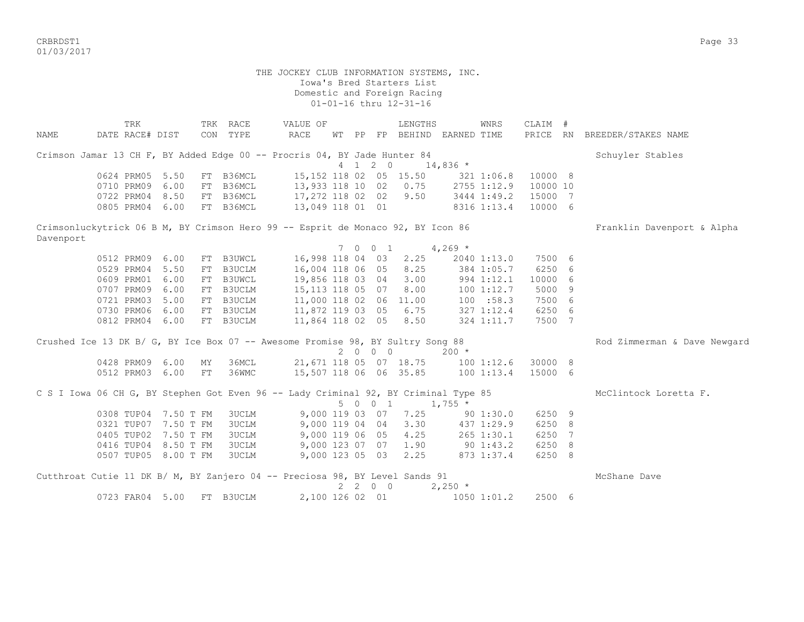CRBRDST1 Page 33 01/03/2017

| NAME      | TRK<br>DATE RACE# DIST                                                              |      |    | TRK RACE<br>CON TYPE | VALUE OF<br>RACE                  |  |                          | LENGTHS<br>WT PP FP BEHIND EARNED TIME |            | WNRS                      | CLAIM #<br>PRICE RN |   | BREEDER/STAKES NAME          |
|-----------|-------------------------------------------------------------------------------------|------|----|----------------------|-----------------------------------|--|--------------------------|----------------------------------------|------------|---------------------------|---------------------|---|------------------------------|
|           | Crimson Jamar 13 CH F, BY Added Edge 00 -- Procris 04, BY Jade Hunter 84            |      |    |                      |                                   |  |                          |                                        |            |                           |                     |   | Schuyler Stables             |
|           | 0624 PRM05                                                                          | 5.50 |    | FT B36MCL            | 15, 152 118 02 05 15.50           |  | 4 1 2 0                  |                                        | $14,836$ * |                           | 10000 8             |   |                              |
|           | 0710 PRM09                                                                          | 6.00 | FT | B36MCL               | 13,933 118 10 02 0.75             |  |                          |                                        |            | 321 1:06.8<br>2755 1:12.9 | 10000 10            |   |                              |
|           | 0722 PRM04                                                                          | 8.50 |    | FT B36MCL            | 17,272 118 02 02 9.50             |  |                          |                                        |            | 3444 1:49.2               | 15000 7             |   |                              |
|           | 0805 PRM04 6.00                                                                     |      |    | FT B36MCL            | 13,049 118 01 01                  |  |                          |                                        |            | 8316 1:13.4               | 10000 6             |   |                              |
|           | Crimsonluckytrick 06 B M, BY Crimson Hero 99 -- Esprit de Monaco 92, BY Icon 86     |      |    |                      |                                   |  |                          |                                        |            |                           |                     |   | Franklin Davenport & Alpha   |
| Davenport |                                                                                     |      |    |                      |                                   |  |                          |                                        |            |                           |                     |   |                              |
|           |                                                                                     |      |    |                      |                                   |  | 7 0 0 1                  |                                        | $4,269$ *  |                           |                     |   |                              |
|           | 0512 PRM09                                                                          | 6.00 |    | FT B3UWCL            | 16,998 118 04 03                  |  |                          | 2.25                                   |            | 2040 1:13.0               | 7500 6              |   |                              |
|           | 0529 PRM04                                                                          | 5.50 | FT | B3UCLM               | 16,004 118 06 05 8.25             |  |                          |                                        |            | 384 1:05.7                | 6250                | 6 |                              |
|           | 0609 PRM01                                                                          | 6.00 | FT | <b>B3UWCL</b>        | 19,856 118 03 04 3.00             |  |                          |                                        |            | 994 1:12.1                | 10000               | 6 |                              |
|           | 0707 PRM09                                                                          | 6.00 | FT | B3UCLM               | 15,113 118 05 07 8.00             |  |                          |                                        |            | 1001:12.7                 | 5000                | 9 |                              |
|           | 0721 PRM03                                                                          | 5.00 |    | FT B3UCLM            | 11,000 118 02 06 11.00            |  |                          |                                        |            | 100 : 58.3                | 7500 6              |   |                              |
|           | 0730 PRM06 6.00                                                                     |      |    | FT B3UCLM            | 11,872 119 03 05 6.75             |  |                          |                                        |            | $327$ $1:12.4$            | 6250 6              |   |                              |
|           | 0812 PRM04 6.00                                                                     |      |    | FT B3UCLM            | 11,864 118 02 05 8.50             |  |                          |                                        |            | 324 1:11.7                | 7500 7              |   |                              |
|           | Crushed Ice 13 DK B/ G, BY Ice Box 07 -- Awesome Promise 98, BY Sultry Song 88      |      |    |                      |                                   |  |                          |                                        |            |                           |                     |   | Rod Zimmerman & Dave Newgard |
|           |                                                                                     |      |    |                      |                                   |  | 2 0 0 0                  |                                        | $200 *$    |                           |                     |   |                              |
|           | 0428 PRM09 6.00                                                                     |      | MY | 36MCL                |                                   |  |                          | 21,671 118 05 07 18.75 100 1:12.6      |            |                           | 30000 8             |   |                              |
|           | 0512 PRM03 6.00                                                                     |      | FT | 36WMC                | 15,507 118 06 06 35.85 100 1:13.4 |  |                          |                                        |            |                           | 15000 6             |   |                              |
|           | C S I Iowa 06 CH G, BY Stephen Got Even 96 -- Lady Criminal 92, BY Criminal Type 85 |      |    |                      |                                   |  | 5 0 0 1                  |                                        | $1,755$ *  |                           |                     |   | McClintock Loretta F.        |
|           | 0308 TUP04 7.50 T FM                                                                |      |    | <b>3UCLM</b>         |                                   |  |                          | 9,000 119 03 07 7.25                   |            | 901:30.0                  | 6250 9              |   |                              |
|           | 0321 TUP07 7.50 T FM                                                                |      |    | 3UCLM                |                                   |  |                          | 9,000 119 04 04 3.30                   | 437 1:29.9 |                           | 6250 8              |   |                              |
|           | 0405 TUP02 7.50 T FM                                                                |      |    | 3UCLM                |                                   |  |                          | 9,000 119 06 05 4.25 265 1:30.1        |            |                           | 6250                | 7 |                              |
|           | 0416 TUP04 8.50 T FM                                                                |      |    | 3UCLM                |                                   |  |                          | 9,000 123 07 07 1.90                   |            | 90 1:43.2                 | 6250 8              |   |                              |
|           | 0507 TUP05 8.00 T FM                                                                |      |    | 3UCLM                |                                   |  |                          | 9,000 123 05 03 2.25 873 1:37.4        |            |                           | 6250 8              |   |                              |
|           |                                                                                     |      |    |                      |                                   |  |                          |                                        |            |                           |                     |   |                              |
|           | Cutthroat Cutie 11 DK B/ M, BY Zanjero 04 -- Preciosa 98, BY Level Sands 91         |      |    |                      |                                   |  |                          |                                        |            |                           |                     |   | McShane Dave                 |
|           |                                                                                     |      |    |                      |                                   |  | $2\quad 2\quad 0\quad 0$ |                                        | $2,250$ *  |                           |                     |   |                              |
|           | 0723 FAR04 5.00                                                                     |      |    | FT B3UCLM            | 2,100 126 02 01                   |  |                          |                                        |            | 1050 1:01.2               | 2500 6              |   |                              |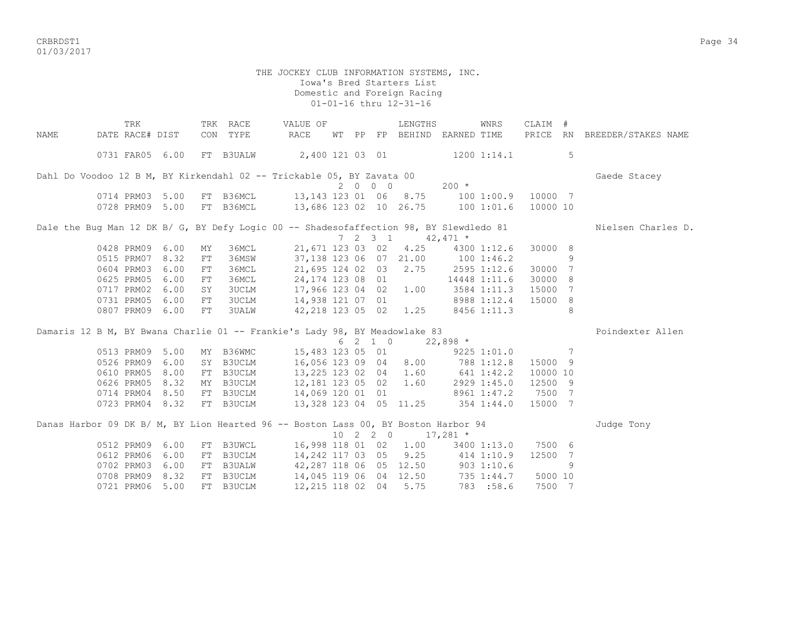CRBRDST1 Page 34 01/03/2017

|      | TRK                                                                                    |      |     | TRK RACE     | VALUE OF                                    |       |          | LENGTHS                      |                                   | WNRS        | CLAIM #        |   |                              |
|------|----------------------------------------------------------------------------------------|------|-----|--------------|---------------------------------------------|-------|----------|------------------------------|-----------------------------------|-------------|----------------|---|------------------------------|
| NAME | DATE RACE# DIST                                                                        |      | CON | TYPE         | RACE                                        | WT PP |          |                              | FP BEHIND EARNED TIME             |             |                |   | PRICE RN BREEDER/STAKES NAME |
|      | 0731 FAR05 6.00                                                                        |      |     | FT B3UALW    | 2,400 121 03 01 1200 1:14.1                 |       |          |                              |                                   |             |                | 5 |                              |
|      | Dahl Do Voodoo 12 B M, BY Kirkendahl 02 -- Trickable 05, BY Zavata 00                  |      |     |              |                                             |       |          |                              |                                   |             |                |   | Gaede Stacey                 |
|      |                                                                                        |      |     |              |                                             |       | 2000     |                              | $200 *$                           |             |                |   |                              |
|      | 0714 PRM03 5.00                                                                        |      |     | FT B36MCL    | 13, 143 123 01 06 8.75                      |       |          |                              | 100 1:00.9 10000 7                |             |                |   |                              |
|      | 0728 PRM09 5.00                                                                        |      |     |              | FT B36MCL 13,686 123 02 10 26.75 100 1:01.6 |       |          |                              |                                   |             | 10000 10       |   |                              |
|      | Dale the Bug Man 12 DK B/ G, BY Defy Logic 00 -- Shadesofaffection 98, BY Slewdledo 81 |      |     |              |                                             |       |          |                              |                                   |             |                |   | Nielsen Charles D.           |
|      |                                                                                        |      |     |              |                                             |       |          | $7 \t2 \t3 \t1 \t42,471 \t*$ |                                   |             |                |   |                              |
|      | 0428 PRM09 6.00                                                                        |      | MY  | 36MCL        |                                             |       |          |                              | 21,671 123 03 02 4.25 4300 1:12.6 |             | 30000 8        |   |                              |
|      | 0515 PRM07                                                                             | 8.32 | FT  | 36MSW        |                                             |       |          | 37,138 123 06 07 21.00       | 100 1:46.2                        |             |                | 9 |                              |
|      | 0604 PRM03                                                                             | 6.00 | FT  | 36MCL        | 21,695 124 02 03                            |       |          | 2.75                         | 2595 1:12.6                       |             | 30000 7        |   |                              |
|      | 0625 PRM05                                                                             | 6.00 | FT  | 36MCL        | 24,174 123 08 01                            |       |          |                              | 14448 1:11.6                      |             | 30000 8        |   |                              |
|      | 0717 PRM02                                                                             | 6.00 | SY  | 3UCLM        | 17,966 123 04 02                            |       |          | 1.00                         |                                   | 3584 1:11.3 | 15000          | 7 |                              |
|      | 0731 PRM05                                                                             | 6.00 | FT  | <b>3UCLM</b> | 14,938 121 07 01                            |       |          |                              | 8988 1:12.4                       |             | 15000 8        |   |                              |
|      | 0807 PRM09                                                                             | 6.00 | FT  | <b>3UALW</b> | 42,218 123 05 02 1.25                       |       |          |                              |                                   | 8456 1:11.3 |                | 8 |                              |
|      | Damaris 12 B M, BY Bwana Charlie 01 -- Frankie's Lady 98, BY Meadowlake 83             |      |     |              |                                             |       |          |                              |                                   |             |                |   | Poindexter Allen             |
|      |                                                                                        |      |     |              |                                             |       |          | $621022,898*$                |                                   |             |                |   |                              |
|      | 0513 PRM09 5.00                                                                        |      |     | MY B36WMC    |                                             |       |          | 15,483 123 05 01             |                                   | 9225 1:01.0 | $\overline{7}$ |   |                              |
|      | 0526 PRM09                                                                             | 6.00 |     | SY B3UCLM    | 16,056 123 09 04 8.00                       |       |          |                              |                                   | 788 1:12.8  | 15000 9        |   |                              |
|      | 0610 PRM05                                                                             | 8.00 |     |              | FT B3UCLM 13,225 123 02 04                  |       |          | 1.60                         | 641 1:42.2                        |             | 10000 10       |   |                              |
|      | 0626 PRM05                                                                             | 8.32 |     | MY B3UCLM    | 12, 181 123 05 02                           |       |          | 1.60                         |                                   | 2929 1:45.0 | 12500 9        |   |                              |
|      | 0714 PRM04                                                                             | 8.50 |     | FT B3UCLM    | 14,069 120 01 01                            |       |          |                              | 8961 1:47.2                       |             | 7500 7         |   |                              |
|      | 0723 PRM04 8.32                                                                        |      |     | FT B3UCLM    | 13,328 123 04 05 11.25 354 1:44.0           |       |          |                              |                                   |             | 15000 7        |   |                              |
|      | Danas Harbor 09 DK B/ M, BY Lion Hearted 96 -- Boston Lass 00, BY Boston Harbor 94     |      |     |              |                                             |       |          |                              |                                   |             |                |   | Judge Tony                   |
|      |                                                                                        |      |     |              |                                             |       | 10 2 2 0 |                              | $17,281$ *                        |             |                |   |                              |
|      | 0512 PRM09 6.00                                                                        |      |     | FT B3UWCL    |                                             |       |          |                              | 16,998 118 01 02 1.00 3400 1:13.0 |             | 7500 6         |   |                              |
|      | 0612 PRM06                                                                             | 6.00 | FT  | B3UCLM       | 14,242 117 03 05                            |       |          |                              | $9.25$ $414$ $1:10.9$             |             | 12500 7        |   |                              |
|      | 0702 PRM03                                                                             | 6.00 | FT  |              | B3UALW 42,287 118 06 05 12.50               |       |          |                              |                                   | 903 1:10.6  |                | 9 |                              |
|      | 0708 PRM09                                                                             | 8.32 |     | FT B3UCLM    | 14,045 119 06 04 12.50                      |       |          |                              |                                   | 735 1:44.7  | 5000 10        |   |                              |
|      | 0721 PRM06                                                                             | 5.00 |     | FT B3UCLM    | 12,215 118 02 04                            |       |          | 5.75                         |                                   | 783 :58.6   | 7500 7         |   |                              |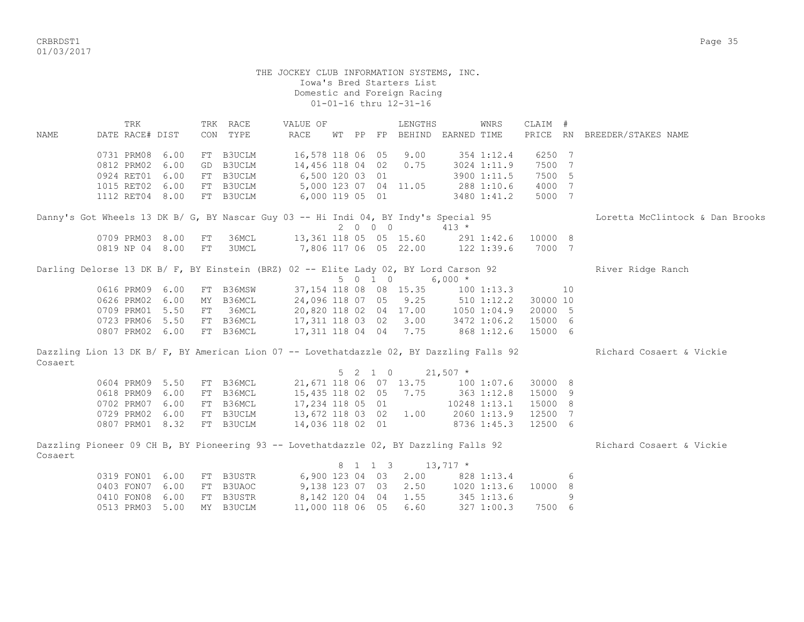CRBRDST1 Page 35 01/03/2017

 THE JOCKEY CLUB INFORMATION SYSTEMS, INC. Iowa's Bred Starters List Domestic and Foreign Racing 01-01-16 thru 12-31-16 TRK TRK RACE WALUE OF TRENGTHS WINRS CLAIM # NAME DATE RACE# DIST CON TYPE RACE WT PP FP BEHIND EARNED TIME PRICE RN BREEDER/STAKES NAME 0731 PRM08 6.00 FT B3UCLM 16,578 118 06 05 9.00 354 1:12.4 6250 7 0812 PRM02 6.00 GD B3UCLM 14,456 118 04 02 0.75 3024 1:11.9 7500 7 0924 RET01 6.00 FT B3UCLM 6,500 120 03 01 3900 1:11.5 7500 5 1015 RET02 6.00 FT B3UCLM 5,000 123 07 04 11.05 288 1:10.6 4000 7 1112 RET04 8.00 FT B3UCLM 6,000 119 05 01 3480 1:41.2 5000 7 Danny's Got Wheels 13 DK B/ G, BY Nascar Guy 03 -- Hi Indi 04, BY Indy's Special 95 Loretta McClintock & Dan Brooks 2 0 0 0 413 \* 0709 PRM03 8.00 FT 36MCL 13,361 118 05 05 15.60 291 1:42.6 10000 8 0819 NP 04 8.00 FT 3UMCL 7,806 117 06 05 22.00 122 1:39.6 7000 7 Darling Delorse 13 DK B/ F, BY Einstein (BRZ) 02 -- Elite Lady 02, BY Lord Carson 92 River Ridge Ranch 5 0 1 0 6,000 \* 0616 PRM09 6.00 FT B36MSW 37,154 118 08 08 15.35 100 1:13.3 10 0626 PRM02 6.00 MY B36MCL 24,096 118 07 05 9.25 510 1:12.2 30000 10 0709 PRM01 5.50 FT 36MCL 20,820 118 02 04 17.00 1050 1:04.9 20000 5 0723 PRM06 5.50 FT B36MCL 17,311 118 03 02 3.00 3472 1:06.2 15000 6 0807 PRM02 6.00 FT B36MCL 17,311 118 04 04 7.75 868 1:12.6 15000 6 Dazzling Lion 13 DK B/ F, BY American Lion 07 -- Lovethatdazzle 02, BY Dazzling Falls 92 Richard Cosaert & Vickie Cosaert 5 2 1 0 21,507 \* 0604 PRM09 5.50 FT B36MCL 21,671 118 06 07 13.75 100 1:07.6 30000 8 0618 PRM09 6.00 FT B36MCL 15,435 118 02 05 7.75 363 1:12.8 15000 9 0702 PRM07 6.00 FT B36MCL 17,234 118 05 01 10248 1:13.1 15000 8<br>0729 PRM02 6.00 FT B3UCLM 13,672 118 03 02 1.00 2060 1:13.9 12500 7 0729 PRM02 6.00 FT B3UCLM 13,672 118 03 02 1.00 2060 1:13.9 12500 7 0807 PRM01 8.32 FT B3UCLM 14,036 118 02 01 8736 1:45.3 12500 6 Dazzling Pioneer 09 CH B, BY Pioneering 93 -- Lovethatdazzle 02, BY Dazzling Falls 92 Richard Cosaert & Vickie Cosaert 8 1 1 3 13,717 \* 0319 FON01 6.00 FT B3USTR 6,900 123 04 03 2.00 828 1:13.4 6<br>0403 FON07 6.00 FT B3UAOC 9,138 123 07 03 2.50 1020 1:13.6 10000 8 0403 FON07 6.00 FT B3UAOC 9,138 123 07 03 2.50 1020 1:13.6 10000 8 0410 FON08 6.00 FT B3USTR 8,142 120 04 04 1.55 345 1:13.6 9 0513 PRM03 5.00 MY B3UCLM 11,000 118 06 05 6.60 327 1:00.3 7500 6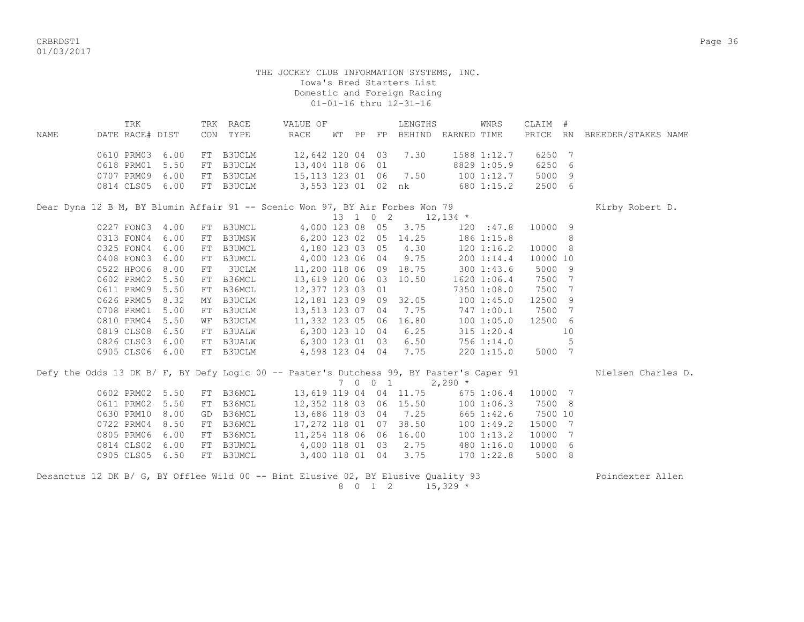CRBRDST1 Page 36 01/03/2017

#### THE JOCKEY CLUB INFORMATION SYSTEMS, INC. Iowa's Bred Starters List Domestic and Foreign Racing 01-01-16 thru 12-31-16

|      |                 | TRK |  | TRK RACE                         | VALUE OF                                                                     |       |          | LENGTHS |             | WNRS            | CLAIM #     |     |                     |  |
|------|-----------------|-----|--|----------------------------------|------------------------------------------------------------------------------|-------|----------|---------|-------------|-----------------|-------------|-----|---------------------|--|
| NAME | DATE RACE# DIST |     |  | CON TYPE                         | RACE                                                                         | WT PP | $\rm FP$ | BEHIND  | EARNED TIME |                 | PRICE RN    |     | BREEDER/STAKES NAME |  |
|      | 0610 PRM03 6.00 |     |  | FT B3UCLM                        | 12,642 120 04 03                                                             |       |          | 7.30    |             | 1588 1:12.7     | 6250        | - 7 |                     |  |
|      | 0618 PRM01 5.50 |     |  | FT B3UCLM                        | 13,404 118 06 01                                                             |       |          |         |             | 8829 1:05.9     | 6250        | - 6 |                     |  |
|      | 0707 PRM09 6.00 |     |  | FT B3UCLM                        | 15, 113 123 01 06 7.50                                                       |       |          |         |             | 100 1:12.7      | 5000 9      |     |                     |  |
|      | 0814 CLS05 6.00 |     |  | FT B3UCLM                        | 3,553 123 01 02 nk                                                           |       |          |         |             | 680 1:15.2      | 2500 6      |     |                     |  |
|      |                 |     |  |                                  | Dear Dyna 12 B M, BY Blumin Affair 91 -- Scenic Won 97, BY Air Forbes Won 79 |       |          |         |             |                 |             |     | Kirby Robert D.     |  |
|      |                 |     |  |                                  |                                                                              |       | 13 1 0 2 |         | $12,134$ *  |                 |             |     |                     |  |
|      |                 |     |  | $0.227$ FONICE $A$ OO FEE DRIMAT |                                                                              |       |          |         |             | $100 \cdot 170$ | $10000 - 0$ |     |                     |  |

| 0227 FON03      | 4.00 |    | FT B3UMCL     | 4,000 123 08     |  | 05 | 3.75  | 120 : 47.8      | 10000 9  |    |
|-----------------|------|----|---------------|------------------|--|----|-------|-----------------|----------|----|
| 0313 FON04      | 6.00 | FT | <b>B3UMSW</b> | 6,200 123 02     |  | 05 | 14.25 | 1861:15.8       |          | 8  |
| 0325 FON04      | 6.00 | FT | B3UMCL        | 4,180 123 03     |  | 05 | 4.30  | 1201:16.2       | 10000 8  |    |
| 0408 FON03      | 6.00 | FT | B3UMCL        | 4,000 123 06     |  | 04 | 9.75  | 2001:14.4       | 10000 10 |    |
| 0522 HPO06 8.00 |      | FT | 3UCLM         | 11,200 118 06    |  | 09 | 18.75 | 300 1:43.6      | 5000 9   |    |
| 0602 PRM02 5.50 |      |    | FT B36MCL     | 13,619 120 06    |  | 03 | 10.50 | $1620$ $1:06.4$ | 7500 7   |    |
| 0611 PRM09      | 5.50 | FT | B36MCL        | 12,377 123 03 01 |  |    |       | 7350 1:08.0     | 7500 7   |    |
| 0626 PRM05 8.32 |      |    | MY B3UCLM     | 12,181 123 09    |  | 09 | 32.05 | 1001:45.0       | 12500 9  |    |
| 0708 PRM01 5.00 |      | FT | B3UCLM        | 13,513 123 07    |  | 04 | 7.75  | 747 1:00.1      | 7500 7   |    |
| 0810 PRM04 5.50 |      | WF | B3UCLM        | 11,332 123 05    |  | 06 | 16.80 | 1001:05.0       | 12500 6  |    |
| 0819 CLS08      | 6.50 | FT | <b>B3UALW</b> | 6,300 123 10     |  | 04 | 6.25  | $315$ $1:20.4$  |          | 10 |
| 0826 CLS03      | 6.00 | FT | <b>B3UALW</b> | 6,300 123 01     |  | 03 | 6.50  | 756 1:14.0      |          | 5  |
| 0905 CLS06      | 6.00 | FT | B3UCLM        | 4,598 123 04     |  | 04 | 7.75  | 2201:15.0       | 5000 7   |    |
|                 |      |    |               |                  |  |    |       |                 |          |    |

| Defy the Odds 13 DK B/ F, BY Defy Logic 00 -- Paster's Dutchess 99, BY Paster's Caper 91 |                           |           |                        |  | 7 0 0 1 |                      | $2,290$ *                         |         | Nielsen Charles D. |
|------------------------------------------------------------------------------------------|---------------------------|-----------|------------------------|--|---------|----------------------|-----------------------------------|---------|--------------------|
|                                                                                          | 0602 PRM02 5.50           | FT B36MCL | 13,619 119 04 04 11.75 |  |         |                      | 6751:06.4                         | 10000 7 |                    |
|                                                                                          | 0611 PRM02 5.50 FT B36MCL |           |                        |  |         |                      | 12,352 118 03 06 15.50 100 1:06.3 | 7500 8  |                    |
| 0630 PRM10 8.00                                                                          |                           | GD B36MCL | 13,686 118 03 04 7.25  |  |         |                      | 665 1:42.6                        | 7500 10 |                    |
|                                                                                          | 0722 PRM04 8.50 FT B36MCL |           | 17,272 118 01 07 38.50 |  |         |                      | 1001:49.2                         | 15000 7 |                    |
| 0805 PRM06 6.00                                                                          |                           | FT B36MCL | 11,254 118 06 06 16.00 |  |         |                      | 100 1:13.2                        | 10000 7 |                    |
|                                                                                          | 0814 CLS02 6.00 FT B3UMCL |           |                        |  |         | 4,000 118 01 03 2.75 | 480 1:16.0                        | 10000 6 |                    |
|                                                                                          | 0905 CLS05 6.50           | FT B3UMCL | 3,400 118 01 04        |  |         | 3.75                 | 170 1:22.8                        | 5000 8  |                    |
|                                                                                          |                           |           |                        |  |         |                      |                                   |         |                    |

Desanctus 12 DK B/ G, BY Offlee Wild 00 -- Bint Elusive 02, BY Elusive Quality 93 Poindexter Allen  $8 \t0 \t1 \t2 \t15,329 \t*$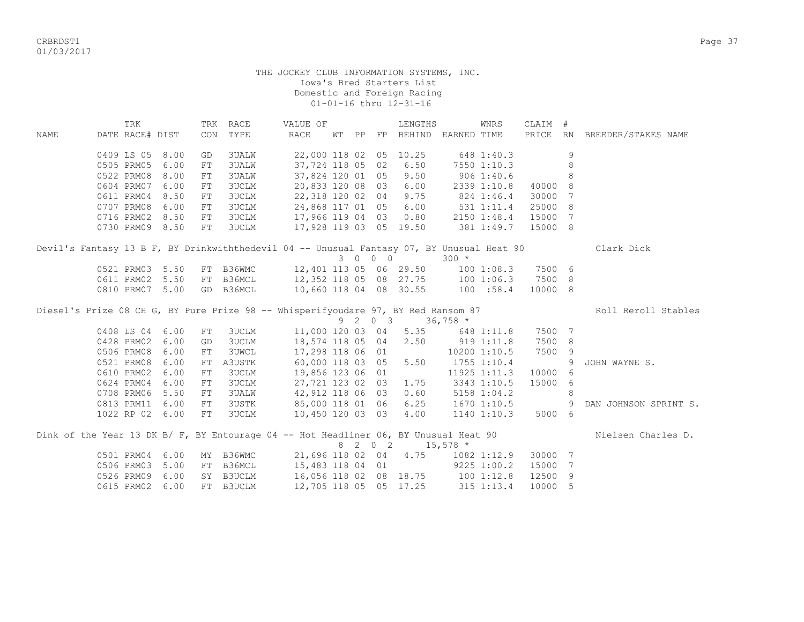CRBRDST1 Page 37 01/03/2017

|      | TRK                           |                 |            | TRK RACE            | VALUE OF                                                                                  |  |         | LENGTHS                          |             | WNRS                   | CLAIM # |   |                              |
|------|-------------------------------|-----------------|------------|---------------------|-------------------------------------------------------------------------------------------|--|---------|----------------------------------|-------------|------------------------|---------|---|------------------------------|
| NAME | DATE RACE# DIST               |                 |            | CON TYPE            | RACE                                                                                      |  |         | WT PP FP BEHIND EARNED TIME      |             |                        |         |   | PRICE RN BREEDER/STAKES NAME |
|      |                               |                 |            |                     |                                                                                           |  |         |                                  |             |                        |         |   |                              |
|      | 0409 LS 05 8.00               |                 | GD         | 3UALW               | 22,000 118 02 05 10.25                                                                    |  |         |                                  |             | 648 1:40.3             |         | 9 |                              |
|      | 0505 PRM05 6.00               |                 | FT         | <b>3UALW</b>        | 37,724 118 05 02                                                                          |  |         | 6.50                             | 7550 1:10.3 |                        |         | 8 |                              |
|      | 0522 PRM08 8.00               |                 | FT         | <b>3UALW</b>        | 37,824 120 01 05                                                                          |  |         | 9.50                             |             | $906$ 1:40.6           |         | 8 |                              |
|      | 0604 PRM07 6.00               |                 | FT         | <b>3UCLM</b>        | 20,833 120 08 03                                                                          |  |         | 6.00                             |             | 2339 1:10.8            | 40000   | 8 |                              |
|      | 0611 PRM04 8.50               |                 | ${\rm FT}$ | 3UCLM               | 22,318 120 02 04 9.75                                                                     |  |         |                                  |             | 824 1:46.4             | 30000   | 7 |                              |
|      | 0707 PRM08 6.00               |                 | FT         | 3UCLM               | 24,868 117 01 05 6.00                                                                     |  |         |                                  |             | 531 1:11.4             | 25000   | 8 |                              |
|      | 0716 PRM02 8.50               |                 | FT         | 3UCLM               | 17,966 119 04 03 0.80 2150 1:48.4                                                         |  |         |                                  |             |                        | 15000 7 |   |                              |
|      | 0730 PRM09 8.50               |                 | FT         | 3UCLM               | 17,928 119 03 05 19.50                                                                    |  |         |                                  |             | 381 1:49.7             | 15000 8 |   |                              |
|      |                               |                 |            |                     | Devil's Fantasy 13 B F, BY Drinkwiththedevil 04 -- Unusual Fantasy 07, BY Unusual Heat 90 |  |         |                                  |             |                        |         |   | Clark Dick                   |
|      |                               |                 |            |                     |                                                                                           |  | 3 0 0 0 |                                  | $300 *$     |                        |         |   |                              |
|      |                               | 0521 PRM03 5.50 |            |                     | FT B36WMC 12,401 113 05 06 29.50 100 1:08.3                                               |  |         |                                  |             |                        | 7500 6  |   |                              |
|      |                               | 0611 PRM02 5.50 |            | FT B36MCL           | 12,352 118 05 08 27.75 100 1:06.3                                                         |  |         |                                  |             |                        | 7500 8  |   |                              |
|      |                               | 0810 PRM07 5.00 |            | GD B36MCL           | 10,660 118 04 08 30.55 100 :58.4                                                          |  |         |                                  |             |                        | 10000 8 |   |                              |
|      |                               |                 |            |                     | Diesel's Prize 08 CH G, BY Pure Prize 98 -- Whisperifyoudare 97, BY Red Ransom 87         |  |         |                                  |             |                        |         |   | Roll Reroll Stables          |
|      |                               |                 |            |                     |                                                                                           |  |         | 9 2 0 3 36,758 *                 |             |                        |         |   |                              |
|      | 0408 LS 04 6.00               |                 | FT         | 3UCLM               |                                                                                           |  |         | 11,000 120 03 04 5.35 648 1:11.8 |             |                        | 7500 7  |   |                              |
|      | 0428 PRM02 6.00               |                 | GD         | 3UCLM               | 18,574 118 05 04 2.50                                                                     |  |         |                                  | 919 1:11.8  |                        | 7500 8  |   |                              |
|      | 0506 PRM08 6.00               |                 | FT         | <b>3UWCL</b>        | 17,298 118 06 01                                                                          |  |         |                                  |             | 10200 1:10.5           | 7500 9  |   |                              |
|      | 0521 PRM08 6.00               |                 | FT         | A3USTK              | 60,000 118 03 05                                                                          |  |         | 5.50                             |             | 1755 1:10.4            |         | 9 | JOHN WAYNE S.                |
|      | 0610 PRM02 6.00               |                 | ${\rm FT}$ | 3UCLM               | 19,856 123 06 01                                                                          |  |         |                                  |             | 11925 1:11.3           | 10000   | 6 |                              |
|      | 0624 PRM04 6.00               |                 | FT         | 3UCLM               | 27,721 123 02 03                                                                          |  |         | 1.75                             |             | 3343 1:10.5            | 15000   | 6 |                              |
|      | 0708 PRM06                    | 5.50            | FT         | <b>3UALW</b>        | 42,912 118 06 03                                                                          |  |         | 0.60                             |             | $5158$ $1:04.2$        |         | 8 |                              |
|      | 0813 PRM11 6.00               |                 | FT         | 3USTK               | 85,000 118 01 06                                                                          |  |         |                                  |             | $6.25$ 1670 1:10.5     |         | 9 | DAN JOHNSON SPRINT S.        |
|      |                               | 1022 RP 02 6.00 | FT         | 3UCLM               | 10,450 120 03 03                                                                          |  |         |                                  |             | $4.00$ $1140$ $1:10.3$ | 5000 6  |   |                              |
|      |                               |                 |            |                     | Dink of the Year 13 DK B/ F, BY Entourage 04 -- Hot Headliner 06, BY Unusual Heat 90      |  |         |                                  |             |                        |         |   | Nielsen Charles D.           |
|      |                               |                 |            |                     |                                                                                           |  |         | 8 2 0 2                          | $15,578$ *  |                        |         |   |                              |
|      |                               | 0501 PRM04 6.00 |            |                     | MY B36WMC 21,696 118 02 04 4.75 1082 1:12.9                                               |  |         |                                  |             |                        | 30000 7 |   |                              |
|      |                               |                 |            |                     |                                                                                           |  |         |                                  |             |                        |         |   |                              |
|      |                               | 5.00            | FT         |                     |                                                                                           |  |         |                                  |             |                        | 15000 7 |   |                              |
|      | 0506 PRM03<br>0526 PRM09 6.00 |                 |            | B36MCL<br>SY B3UCLM | 15,483 118 04 01 9225 1:00.2<br>16,056 118 02 08 18.75 100 1:12.8                         |  |         |                                  |             |                        | 12500   | 9 |                              |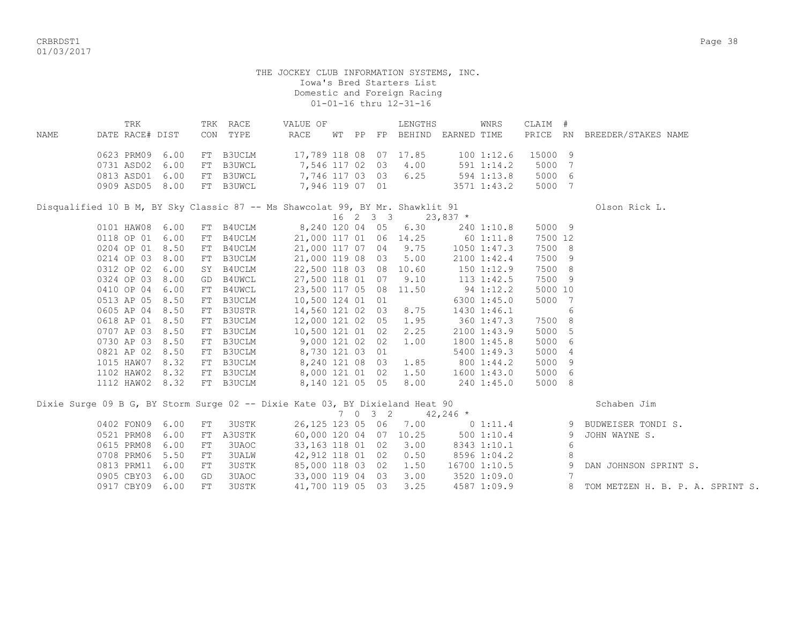CRBRDST1 Page 38 01/03/2017

> THE JOCKEY CLUB INFORMATION SYSTEMS, INC. Iowa's Bred Starters List Domestic and Foreign Racing 01-01-16 thru 12-31-16

|      | TRK             |      |     | TRK RACE      | VALUE OF                                                                      |    |    |          | LENGTHS |             | WNRS            | CLAIM # |     |                     |  |
|------|-----------------|------|-----|---------------|-------------------------------------------------------------------------------|----|----|----------|---------|-------------|-----------------|---------|-----|---------------------|--|
| NAME | DATE RACE# DIST |      | CON | TYPE          | RACE                                                                          | WТ | PP | FP       | BEHIND  | EARNED TIME |                 | PRICE   | RN  | BREEDER/STAKES NAME |  |
|      | 0623 PRM09      | 6.00 | FT  | <b>B3UCLM</b> | 17,789 118 08 07                                                              |    |    |          | 17.85   |             | 1001:12.6       | 15000   | 9   |                     |  |
|      | 0731 ASD02      | 6.00 | FT  | B3UWCL        | 7,546 117 02 03                                                               |    |    |          | 4.00    |             | 591 1:14.2      | 5000    | 7   |                     |  |
|      | 0813 ASD01      | 6.00 | FT  | B3UWCL        | 7,746 117 03 03                                                               |    |    |          | 6.25    |             | 594 1:13.8      | 5000    | 6   |                     |  |
|      | 0909 ASD05      | 8.00 | FT  | B3UWCL        | 7,946 119 07 01                                                               |    |    |          |         |             | 3571 1:43.2     | 5000    | 7   |                     |  |
|      |                 |      |     |               | Disqualified 10 B M, BY Sky Classic 87 -- Ms Shawcolat 99, BY Mr. Shawklit 91 |    |    |          |         |             |                 |         |     | Olson Rick L.       |  |
|      |                 |      |     |               |                                                                               |    |    | 16 2 3 3 |         | $23,837$ *  |                 |         |     |                     |  |
|      | 0101 HAW08      | 6.00 | FT  | B4UCLM        | 8,240 120 04 05                                                               |    |    |          | 6.30    |             | 240 1:10.8      | 5000 9  |     |                     |  |
|      | 0118 OP 01      | 6.00 | FT  | B4UCLM        | 21,000 117 01 06                                                              |    |    |          | 14.25   |             | 60 1:11.8       | 7500 12 |     |                     |  |
|      | 0204 OP 01      | 8.50 | FT  | B4UCLM        | 21,000 117 07 04                                                              |    |    |          | 9.75    |             | $1050$ $1:47.3$ | 7500    | - 8 |                     |  |
|      | 0214 OP 03      | 8.00 | FT  | <b>B3UCLM</b> | 21,000 119 08 03                                                              |    |    |          | 5.00    |             | 2100 1:42.4     | 7500    | 9   |                     |  |
|      | 0312 OP 02      | 6.00 | SY  | B4UCLM        | 22,500 118 03 08                                                              |    |    |          | 10.60   |             | 150 1:12.9      | 7500    | 8   |                     |  |
|      | 0324 OP 03      | 8.00 | GD  | B4UWCL        | 27,500 118 01 07                                                              |    |    |          | 9.10    |             | $113$ $1:42.5$  | 7500    | -9  |                     |  |
|      | 0410 OP 04      | 6.00 | FT  | B4UWCL        | 23,500 117 05                                                                 |    |    | 08       | 11.50   |             | 94 1:12.2       | 5000 10 |     |                     |  |
|      | 0513 AP 05      | 8.50 | FT  | B3UCLM        | 10,500 124 01                                                                 |    |    | 01       |         |             | 6300 1:45.0     | 5000    | 7   |                     |  |
|      | 0605 AP 04      | 8.50 | FT  | B3USTR        | 14,560 121 02                                                                 |    |    | 03       | 8.75    |             | 1430 1:46.1     |         | 6   |                     |  |
|      | 0618 AP 01      | 8.50 | FT  | <b>B3UCLM</b> | 12,000 121 02                                                                 |    |    | 05       | 1.95    |             | 360 1:47.3      | 7500    | 8   |                     |  |
|      | 0707 AP 03      | 8.50 | FT  | <b>B3UCLM</b> | 10,500 121 01                                                                 |    |    | 02       | 2.25    |             | 2100 1:43.9     | 5000    | 5   |                     |  |
|      | 0730 AP 03      | 8.50 | FT  | B3UCLM        | 9,000 121 02                                                                  |    |    | 02       | 1.00    |             | 1800 1:45.8     | 5000    | 6   |                     |  |
|      | 0821 AP 02      | 8.50 | FT  | B3UCLM        | 8,730 121 03                                                                  |    |    | 01       |         |             | 5400 1:49.3     | 5000    | 4   |                     |  |
|      | 1015 HAW07      | 8.32 | FT  | B3UCLM        | 8,240 121 08                                                                  |    |    | 03       | 1.85    |             | 800 1:44.2      | 5000    | 9   |                     |  |
|      | 1102 HAW02      | 8.32 | FT  | B3UCLM        | 8,000 121 01                                                                  |    |    | 02       | 1.50    |             | 1600 1:43.0     | 5000    | 6   |                     |  |

1112 HAW02 8.32 FT B3UCLM 8,140 121 05 05 8.00 240 1:45.0 5000 8

Dixie Surge 09 B G, BY Storm Surge 02 -- Dixie Kate 03, BY Dixieland Heat 90 Schaben Jim

| 0402 FON09 6.00 |    | FT 3USTK  | 26,125 123 05 06 7.00  |  | $0\;1:11.4$  | 9 BUDWEISER TONDI S.               |
|-----------------|----|-----------|------------------------|--|--------------|------------------------------------|
| 0521 PRM08 6.00 |    | FT A3USTK | 60,000 120 04 07 10.25 |  | 5001:10.4    | 9 JOHN WAYNE S.                    |
| 0615 PRM08 6.00 |    | FT 3UAOC  | 33,163 118 01 02 3.00  |  | 8343 1:10.1  |                                    |
| 0708 PRM06 5.50 | FT | 3UALW     | 42,912 118 01 02 0.50  |  | 8596 1:04.2  |                                    |
| 0813 PRM11 6.00 | FT | 3USTK     | 85,000 118 03 02 1.50  |  | 16700 1:10.5 | 9 DAN JOHNSON SPRINT S.            |
| 0905 CBY03 6.00 | GD | 3UAOC     | 33,000 119 04 03 3.00  |  | 3520 1:09.0  |                                    |
| 0917 CBY09 6.00 | FT | 3USTK     | 41,700 119 05 03 3.25  |  | 4587 1:09.9  | 8 TOM METZEN H. B. P. A. SPRINT S. |
|                 |    |           |                        |  |              |                                    |

 $7 \t0 \t3 \t2 \t42,246 \t*$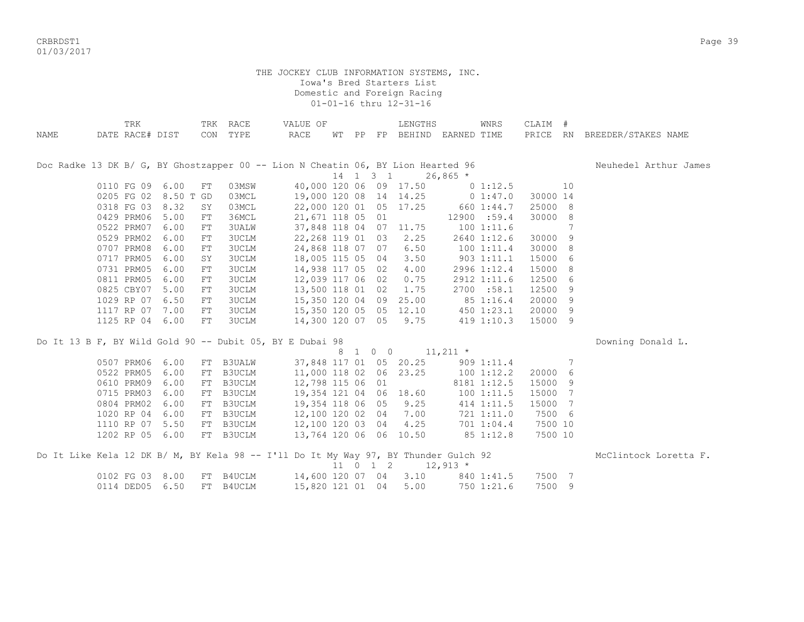CRBRDST1 Page 39 01/03/2017

|      | TRK                  |            | TRK RACE      | VALUE OF                                                                            |  | LENGTHS                             |            | WNRS        | CLAIM #  |    |                              |
|------|----------------------|------------|---------------|-------------------------------------------------------------------------------------|--|-------------------------------------|------------|-------------|----------|----|------------------------------|
| NAME | DATE RACE# DIST      |            | CON TYPE      | RACE                                                                                |  | WT PP FP BEHIND EARNED TIME         |            |             |          |    | PRICE RN BREEDER/STAKES NAME |
|      |                      |            |               | Doc Radke 13 DK B/ G, BY Ghostzapper 00 -- Lion N Cheatin 06, BY Lion Hearted 96    |  |                                     |            |             |          |    | Neuhedel Arthur James        |
|      |                      |            |               |                                                                                     |  | 14   1   3   1                      | $26,865$ * |             |          |    |                              |
|      | 0110 FG 09 6.00      | FT         | 03MSW         |                                                                                     |  | 40,000 120 06 09 17.50              |            | $0\;1:12.5$ |          | 10 |                              |
|      | 0205 FG 02 8.50 T GD |            | 03MCL         | 19,000 120 08 14 14.25 0 1:47.0                                                     |  |                                     |            |             | 30000 14 |    |                              |
|      | 0318 FG 03 8.32      | SY         | 03MCL         | 22,000 120 01 05 17.25 660 1:44.7                                                   |  |                                     |            |             | 25000 8  |    |                              |
|      | 0429 PRM06           | 5.00<br>FT | 36MCL         | 21,671 118 05 01                                                                    |  | 12900 :59.4                         |            |             | 30000 8  |    |                              |
|      | 0522 PRM07 6.00      | FT         | <b>3UALW</b>  | 37,848 118 04 07 11.75                                                              |  |                                     | 100 1:11.6 |             |          | 7  |                              |
|      | 0529 PRM02 6.00      | FT         | <b>3UCLM</b>  | 22, 268 119 01 03 2.25                                                              |  |                                     |            | 2640 1:12.6 | 30000 9  |    |                              |
|      | 0707 PRM08           | 6.00<br>FT | 3UCLM         | 24,868 118 07 07 6.50                                                               |  |                                     |            | 1001:11.4   | 30000 8  |    |                              |
|      | 0717 PRM05           | 6.00<br>SY | 3UCLM         | 18,005 115 05 04 3.50                                                               |  |                                     |            | 9031:11.1   | 15000    | -6 |                              |
|      | 0731 PRM05           | 6.00<br>FT | 3UCLM         | 14,938 117 05 02 4.00                                                               |  |                                     |            | 2996 1:12.4 | 15000    | 8  |                              |
|      | 0811 PRM05           | 6.00<br>FT | <b>3UCLM</b>  | 12,039 117 06 02 0.75                                                               |  |                                     |            | 2912 1:11.6 | 12500    | 6  |                              |
|      | 0825 CBY07 5.00      | ${\rm FT}$ | <b>3UCLM</b>  | 13,500 118 01 02 1.75                                                               |  |                                     |            | 2700 :58.1  | 12500    | 9  |                              |
|      | 1029 RP 07           | 6.50<br>FT | 3UCLM         | 15,350 120 04 09 25.00                                                              |  |                                     | 85 1:16.4  |             | 20000    | 9  |                              |
|      | 1117 RP 07 7.00      | FT         | <b>3UCLM</b>  | 15,350 120 05 05 12.10 450 1:23.1                                                   |  |                                     |            |             | 20000    | 9  |                              |
|      | 1125 RP 04 6.00      | $FT$       | 3UCLM         | 14,300 120 07 05 9.75 419 1:10.3                                                    |  |                                     |            |             | 15000 9  |    |                              |
|      |                      |            |               | Do It 13 B F, BY Wild Gold 90 -- Dubit 05, BY E Dubai 98                            |  |                                     |            |             |          |    | Downing Donald L.            |
|      |                      |            |               |                                                                                     |  | 8 1 0 0 11, 211 *                   |            |             |          |    |                              |
|      | 0507 PRM06 6.00      | FT         | B3UALW        | 37,848 117 01 05 20.25 909 1:11.4                                                   |  |                                     |            |             |          | 7  |                              |
|      | 0522 PRM05 6.00      | FT         | B3UCLM        | 11,000 118 02 06 23.25                                                              |  |                                     | 100 1:12.2 |             | 20000 6  |    |                              |
|      | 0610 PRM09 6.00      | FT         | B3UCLM        | 12,798 115 06 01                                                                    |  |                                     |            | 8181 1:12.5 | 15000 9  |    |                              |
|      | 0715 PRM03 6.00      | FT         | B3UCLM        | 19,354 121 04 06 18.60                                                              |  |                                     | 100 1:11.5 |             | 15000 7  |    |                              |
|      | 0804 PRM02           | 6.00<br>FT | <b>B3UCLM</b> | 19,354 118 06 05 9.25                                                               |  |                                     | 414 1:11.5 |             | 15000    | 7  |                              |
|      | 1020 RP 04 6.00      |            | FT B3UCLM     | 12,100 120 02 04 7.00                                                               |  |                                     |            | 721 1:11.0  | 7500 6   |    |                              |
|      | 1110 RP 07           | 5.50<br>FT | B3UCLM        | 12,100 120 03 04 4.25 701 1:04.4                                                    |  |                                     |            |             | 7500 10  |    |                              |
|      | 1202 RP 05 6.00      |            | FT B3UCLM     | 13,764 120 06 06 10.50 85 1:12.8                                                    |  |                                     |            |             | 7500 10  |    |                              |
|      |                      |            |               | Do It Like Kela 12 DK B/ M, BY Kela 98 -- I'll Do It My Way 97, BY Thunder Gulch 92 |  |                                     |            |             |          |    | McClintock Loretta F.        |
|      |                      |            |               |                                                                                     |  | $11 \t 0 \t 1 \t 2 \t 12,913 \t\t*$ |            |             |          |    |                              |
|      | 0102 FG 03 8.00      |            | FT B4UCLM     | 14,600 120 07 04 3.10 840 1:41.5                                                    |  |                                     |            |             | 7500 7   |    |                              |
|      | 0114 DED05 6.50      |            | FT B4UCLM     | 15,820 121 01 04 5.00 750 1:21.6                                                    |  |                                     |            |             | 7500 9   |    |                              |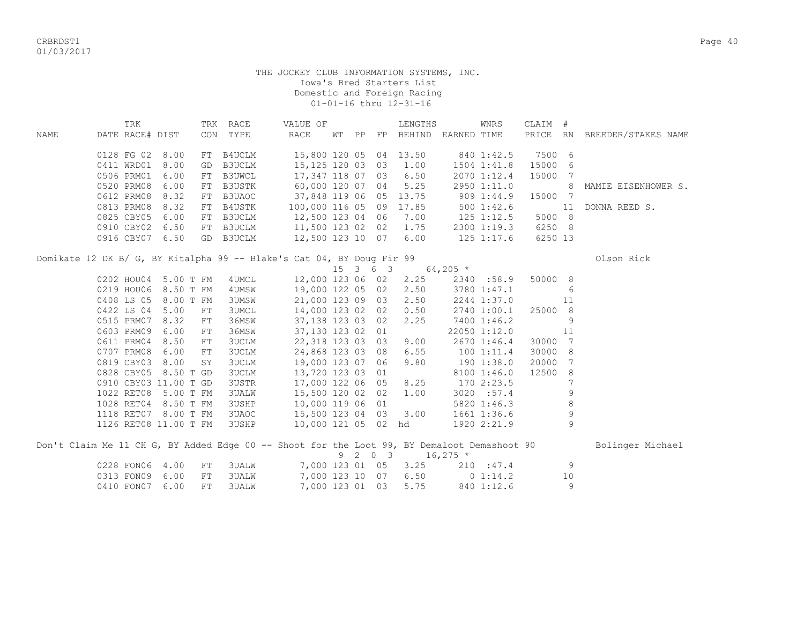CRBRDST1 Page 40 01/03/2017

## THE JOCKEY CLUB INFORMATION SYSTEMS, INC. Iowa's Bred Starters List Domestic and Foreign Racing 01-01-16 thru 12-31-16

|      | TRK             |      |     | TRK RACE  | VALUE OF |               |    |    | LENGTHS                 |             | WNRS           | CLAIM # |           |                     |
|------|-----------------|------|-----|-----------|----------|---------------|----|----|-------------------------|-------------|----------------|---------|-----------|---------------------|
| NAME | DATE RACE# DIST |      | CON | TYPE      | RACE     | WТ            | PP | FP | BEHIND                  | EARNED TIME |                | PRICE   | <b>RN</b> | BREEDER/STAKES NAME |
|      | 0128 FG 02 8.00 |      |     | FT B4UCLM |          |               |    |    | 15,800 120 05 04 13.50  |             | 840 1:42.5     | 7500 6  |           |                     |
|      | 0411 WRD01 8.00 |      |     | GD B3UCLM |          | 15,125 120 03 |    | 03 | 1.00                    |             | 1504 1:41.8    | 15000 6 |           |                     |
|      | 0506 PRM01 6.00 |      |     | FT B3UWCL |          | 17,347 118 07 |    | 03 | 6.50                    |             | 2070 1:12.4    | 15000 7 |           |                     |
|      | 0520 PRM08 6.00 |      |     | FT B3USTK |          | 60,000 120 07 |    | 04 | 5.25                    |             | 2950 1:11.0    |         | 8         | MAMIE EISENHOWER S. |
|      | 0612 PRM08 8.32 |      |     | FT B3UAOC |          |               |    |    | 37,848 119 06 05 13.75  |             | 9091:44.9      | 15000 7 |           |                     |
|      | 0813 PRM08 8.32 |      |     | FT B4USTK |          |               |    |    | 100,000 116 05 09 17.85 |             | 5001:42.6      |         | 11        | DONNA REED S.       |
|      | 0825 CBY05 6.00 |      |     | FT B3UCLM |          | 12,500 123 04 |    | 06 | 7.00                    |             | $125$ $1:12.5$ | 5000 8  |           |                     |
|      | 0910 CBY02 6.50 |      |     | FT B3UCLM |          | 11,500 123 02 |    | 02 | 1.75                    |             | 2300 1:19.3    | 6250 8  |           |                     |
|      | 0916 CBY07      | 6.50 |     | GD B3UCLM |          | 12,500 123 10 |    | 07 | 6.00                    |             | $125$ $1:17.6$ | 6250 13 |           |                     |

Domikate 12 DK B/ G, BY Kitalpha 99 -- Blake's Cat 04, BY Doug Fir 99 01500 Clson Rick

|            |                       |              | 15            | $\overline{\mathbf{3}}$ | 6 3 |      | $64,205$ *   |                         |
|------------|-----------------------|--------------|---------------|-------------------------|-----|------|--------------|-------------------------|
| 0202 HOU04 | 5.00 T FM             | 4UMCL        | 12,000 123 06 |                         | 02  | 2.25 | 2340 :58.9   | 50000<br>8 <sup>8</sup> |
| 0219 HOU06 | 8.50 T FM             | 4UMSW        | 19,000 122 05 |                         | 02  | 2.50 | 3780 1:47.1  | 6                       |
| 0408 LS 05 | 8.00 T FM             | 3UMSW        | 21,000 123 09 |                         | 03  | 2.50 | 2244 1:37.0  | 11                      |
| 0422 LS 04 | 5.00<br>FT            | 3UMCL        | 14,000 123 02 |                         | 02  | 0.50 | 2740 1:00.1  | 25000<br>- 8            |
| 0515 PRM07 | 8.32<br>FT            | 36MSW        | 37,138 123 03 |                         | 02  | 2.25 | 7400 1:46.2  | 9                       |
| 0603 PRM09 | 6.00<br>FT            | 36MSW        | 37,130 123 02 |                         | 01  |      | 22050 1:12.0 | 11                      |
| 0611 PRM04 | 8.50<br>FT            | 3UCLM        | 22,318 123 03 |                         | 03  | 9.00 | 2670 1:46.4  | 30000                   |
| 0707 PRM08 | 6.00<br>FT            | 3UCLM        | 24,868 123 03 |                         | 08  | 6.55 | 1001:11.4    | 30000<br>- 8            |
| 0819 CBY03 | 8.00<br>SY            | 3UCLM        | 19,000 123 07 |                         | 06  | 9.80 | 1901:38.0    | 20000<br>7              |
| 0828 CBY05 | 8.50 T GD             | 3UCLM        | 13,720 123 03 |                         | 01  |      | 8100 1:46.0  | 12500<br>-8             |
|            | 0910 CBY03 11.00 T GD | 3USTR        | 17,000 122 06 |                         | 05  | 8.25 | 1702:23.5    |                         |
| 1022 RET08 | 5.00 T FM             | <b>3UALW</b> | 15,500 120 02 |                         | 02  | 1.00 | 3020 : 57.4  | 9                       |
| 1028 RET04 | 8.50 T FM             | 3USHP        | 10,000 119 06 |                         | 01  |      | 5820 1:46.3  | 8                       |
| 1118 RET07 | 8.00 T FM             | 3UAOC        | 15,500 123 04 |                         | 03  | 3.00 | 1661 1:36.6  | 9                       |
| 1126 RET08 | 11.00 T FM            | <b>3USHP</b> | 10,000 121 05 |                         | 02  | hd   | 1920 2:21.9  | 9                       |

| Don't Claim Me 11 CH G, BY Added Edge 00 -- Shoot for the Loot 99, BY Demaloot Demashoot 90 |  |                          |  |  |                      |                                |             |  |                                                                                                                | Bolinger Michael |
|---------------------------------------------------------------------------------------------|--|--------------------------|--|--|----------------------|--------------------------------|-------------|--|----------------------------------------------------------------------------------------------------------------|------------------|
|                                                                                             |  |                          |  |  |                      | $9 \t2 \t0 \t3 \t16.275 \t*$   |             |  |                                                                                                                |                  |
|                                                                                             |  | 0228 FON06 4.00 FT 3UALW |  |  |                      | 7,000 123 01 05 3.25 210 :47.4 |             |  | a que de la contradicación de la contradición de la contradición de la contradición de la contradición de la c |                  |
|                                                                                             |  | 0313 FON09 6.00 FT 3UALW |  |  | 7,000 123 10 07 6.50 |                                | $0\;1:14.2$ |  | 10                                                                                                             |                  |
|                                                                                             |  | 0410 FON07 6.00 FT 3UALW |  |  | 7,000 123 01 03 5.75 |                                | 840 1:12.6  |  |                                                                                                                |                  |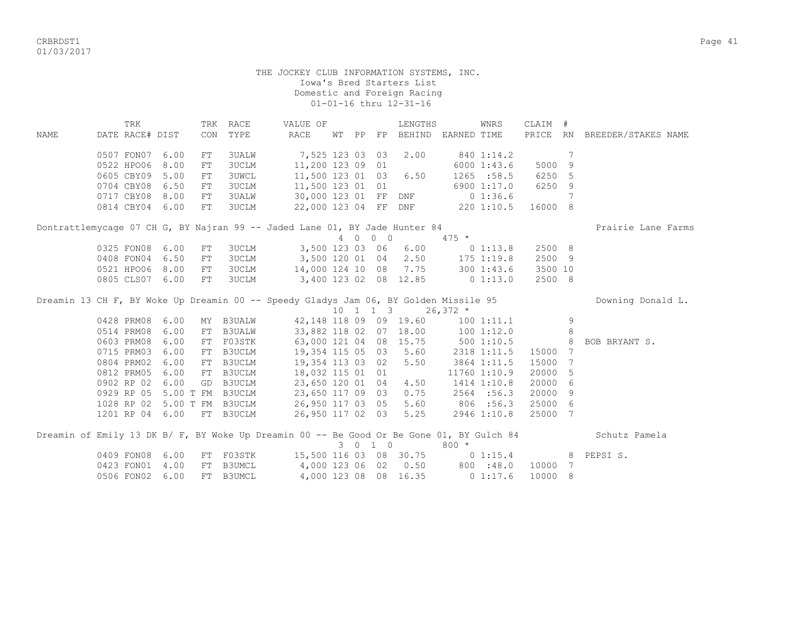CRBRDST1 Page 41 01/03/2017

#### THE JOCKEY CLUB INFORMATION SYSTEMS, INC. Iowa's Bred Starters List Domestic and Foreign Racing 01-01-16 thru 12-31-16

 TRK TRK RACE VALUE OF LENGTHS WNRS CLAIM # NAME DATE RACE# DIST CON TYPE RACE WT PP FP BEHIND EARNED TIME PRICE RN BREEDER/STAKES NAME 0507 FON07 6.00 FT 3UALW 7,525 123 03 03 2.00 840 1:14.2 7 0522 HPO06 8.00 FT 3UCLM 11,200 123 09 01 6000 1:43.6 5000 9 0605 CBY09 5.00 FT 3UWCL 11,500 123 01 03 6.50 1265 :58.5 6250 5 0704 CBY08 6.50 FT 3UCLM 11,500 123 01 01 6900 1:17.0 6250 9 0717 CBY08 8.00 FT 3UALW 30,000 123 01 FF DNF 0 1:36.6 7 0814 CBY04 6.00 FT 3UCLM 22,000 123 04 FF DNF 220 1:10.5 16000 8 Dontrattlemycage 07 CH G, BY Najran 99 -- Jaded Lane 01, BY Jade Hunter 84 Prairie Lane Farms 4 0 0 0 475 \* 0325 FON08 6.00 FT 3UCLM 3,500 123 03 06 6.00 0 1:13.8 2500 8 0408 FON04 6.50 FT 3UCLM 3,500 120 01 04 2.50 175 1:19.8 2500 9 0521 HPO06 8.00 FT 3UCLM 14,000 124 10 08 7.75 300 1:43.6 3500 10 0805 CLS07 6.00 FT 3UCLM 3,400 123 02 08 12.85 0 1:13.0 2500 8 Dreamin 13 CH F, BY Woke Up Dreamin 00 -- Speedy Gladys Jam 06, BY Golden Missile 95 Downing Donald L.  $10$  1 1 3 26,372  $*$ 0428 PRM08 6.00 MY B3UALW 42,148 118 09 09 19.60 100 1:11.1 9 0514 PRM08 6.00 FT B3UALW 33,882 118 02 07 18.00 100 1:12.0 8<br>0603 PRM08 6.00 FT FO3STK 63,000 121 04 08 15.75 500 1:10.5 8 BOB BRYANT S. 0603 PRM08 6.00 FT F03STK 63,000 121 04 08 15.75 500 1:10.5 0715 PRM03 6.00 FT B3UCLM 19,354 115 05 03 5.60 2318 1:11.5 15000 7 0804 PRM02 6.00 FT B3UCLM 19,354 113 03 02 5.50 3864 1:11.5 15000 7 0812 PRM05 6.00 FT B3UCLM 18,032 115 01 01 11760 1:10.9 20000 5 0902 RP 02 6.00 GD B3UCLM 23,650 120 01 04 4.50 1414 1:10.8 20000 6 0929 RP 05 5.00 T FM B3UCLM 23,650 117 09 03 0.75 2564 :56.3 20000 9 1028 RP 02 5.00 T FM B3UCLM 26,950 117 03 05 5.60 806 :56.3 25000 6 1201 RP 04 6.00 FT B3UCLM 26,950 117 02 03 5.25 2946 1:10.8 25000 7 Dreamin of Emily 13 DK B/ F, BY Woke Up Dreamin 00 -- Be Good Or Be Gone 01, BY Gulch 84 Schutz Pamela 3 0 1 0 800 \* 0409 FON08 6.00 FT F03STK 15,500 116 03 08 30.75 0 1:15.4 8 PEPSI S. 0423 FON01 4.00 FT B3UMCL 4,000 123 06 02 0.50 800 :48.0 10000 7 0506 FON02 6.00 FT B3UMCL 4,000 123 08 08 16.35 0 1:17.6 10000 8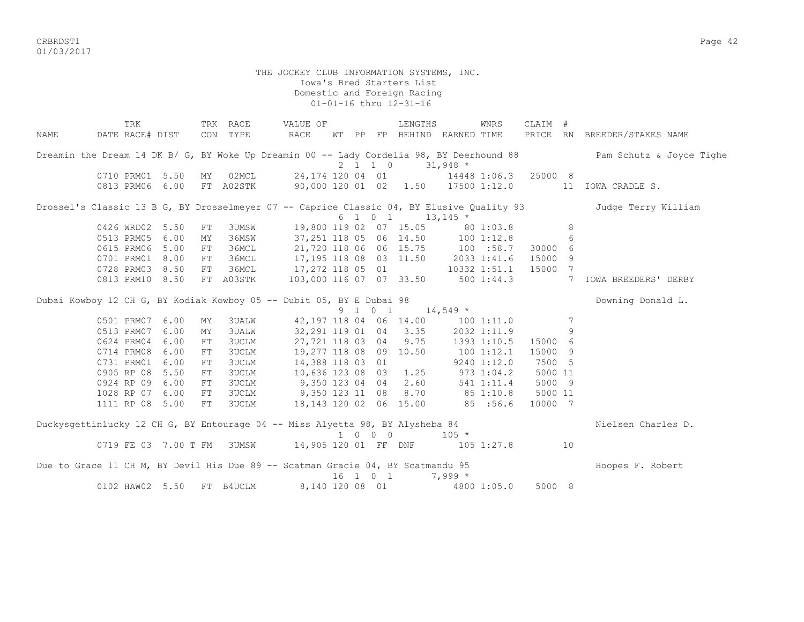CRBRDST1 Page 42 01/03/2017

#### THE JOCKEY CLUB INFORMATION SYSTEMS, INC. Iowa's Bred Starters List Domestic and Foreign Racing 01-01-16 thru 12-31-16

TRK TRK RACE VALUE OF LENGTHS WNRS CLAIM # NAME DATE RACE# DIST CON TYPE RACE WT PP FP BEHIND EARNED TIME PRICE RN BREEDER/STAKES NAME Dreamin the Dream 14 DK B/ G, BY Woke Up Dreamin 00 -- Lady Cordelia 98, BY Deerhound 88 Pam Schutz & Joyce Tighe 2 1 1 0 31,948 \* 0710 PRM01 5.50 MY 02MCL 24,174 120 04 01 14448 1:06.3 25000 8 0813 PRM06 6.00 FT A02STK 90,000 120 01 02 1.50 17500 1:12.0 11 IOWA CRADLE S. Drossel's Classic 13 B G, BY Drosselmeyer 07 -- Caprice Classic 04, BY Elusive Quality 93 Judge Terry William  $6 \quad 1 \quad 0 \quad 1 \quad 13,145 \star$ 0426 WRD02 5.50 FT 3UMSW 19,800 119 02 07 15.05 80 1:03.8 8 0513 PRM05 6.00 MY 36MSW 37,251 118 05 06 14.50 100 1:12.8 6 0615 PRM06 5.00 FT 36MCL 21,720 118 06 06 15.75 100 :58.7 30000 6 0701 PRM01 8.00 FT 36MCL 17,195 118 08 03 11.50 2033 1:41.6 15000 9 0728 PRM03 8.50 FT 36MCL 17,272 118 05 01 10332 1:51.1 15000 7 0813 PRM10 8.50 FT A03STK 103,000 116 07 07 33.50 500 1:44.3 7 IOWA BREEDERS' DERBY Dubai Kowboy 12 CH G, BY Kodiak Kowboy 05 -- Dubit 05, BY E Dubai 98 Downing Downing Donald L.  $9 \quad 1 \quad 0 \quad 1 \quad 14,549 \star$ 0501 PRM07 6.00 MY 3UALW 42,197 118 04 06 14.00 100 1:11.0 7 0513 PRM07 6.00 MY 3UALW 32,291 119 01 04 3.35 2032 1:11.9 9 0624 PRM04 6.00 FT 3UCLM 27,721 118 03 04 9.75 1393 1:10.5 15000 6 0714 PRM08 6.00 FT 3UCLM 19,277 118 08 09 10.50 100 1:12.1 15000 9 0731 PRM01 6.00 FT 3UCLM 14,388 118 03 01 9240 1:12.0 7500 5 0905 RP 08 5.50 FT 3UCLM 10,636 123 08 03 1.25 973 1:04.2 5000 11 0924 RP 09 6.00 FT 3UCLM 9,350 123 04 04 2.60 541 1:11.4 5000 9 1028 RP 07 6.00 FT 3UCLM 9,350 123 11 08 8.70 85 1:10.8 5000 11 1111 RP 08 5.00 FT 3UCLM 18,143 120 02 06 15.00 85 :56.6 10000 7 Duckysgettinlucky 12 CH G, BY Entourage 04 -- Miss Alyetta 98, BY Alysheba 84 Nielsen Charles D.  $1 \t 0 \t 0 \t 105 \t \star$ 0719 FE 03 7.00 T FM 3UMSW 14,905 120 01 FF DNF 105 1:27.8 10 Due to Grace 11 CH M, BY Devil His Due 89 -- Scatman Gracie 04, BY Scatmandu 95 Hoopes F. Robert 16 1 0 1 7,999 \* 0102 HAW02 5.50 FT B4UCLM 8,140 120 08 01 4800 1:05.0 5000 8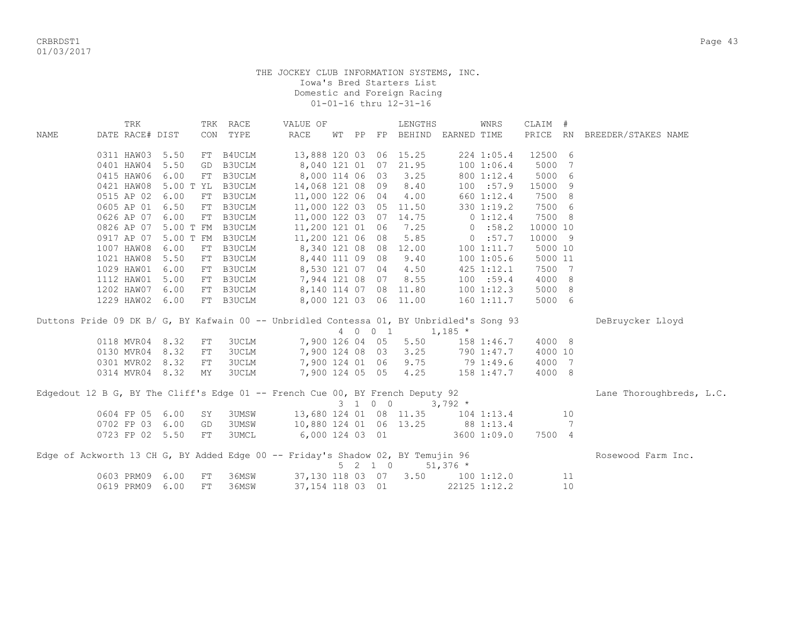| DATE RACE# DIST<br>TYPE<br>PRICE RN<br>RACE<br>FP BEHIND<br>EARNED TIME<br>BREEDER/STAKES NAME<br><b>NAME</b><br>CON<br>WТ<br>PP<br>13,888 120 03 06 15.25<br>12500 6<br>0311 HAW03<br>5.50<br>FT B4UCLM<br>224 1:05.4<br>21.95<br>0401 HAW04<br>5.50<br>GD B3UCLM<br>8,040 121 01<br>07<br>1001:06.4<br>5000<br>7<br>3.25<br>5000<br>0415 HAW06<br>6.00<br>FT B3UCLM<br>8,000 114 06 03<br>800 1:12.4<br>6<br>5.00 T YL B3UCLM<br>8.40<br>15000<br>0421 HAW08<br>14,068 121 08 09<br>100 : 57.9<br>9<br>0515 AP 02<br>6.00<br>FT B3UCLM<br>11,000 122 06 04<br>4.00<br>660 1:12.4<br>7500 8<br>7500 6<br>0605 AP 01<br>6.50<br>FT B3UCLM<br>11,000 122 03 05 11.50<br>330 1:19.2<br>7500 8<br>0626 AP 07<br>6.00<br>FT B3UCLM<br>11,000 122 03 07 14.75<br>0 1:12.4<br>5.00 T FM B3UCLM<br>11,200 121 01 06<br>7.25<br>0:58.2<br>10000 10<br>0826 AP 07<br>5.85<br>0:57.7<br>0917 AP 07<br>5.00 T FM B3UCLM<br>11,200 121 06 08<br>10000 9<br>1007 HAW08<br>FT B3UCLM<br>8,340 121 08 08 12.00<br>1001:11.7<br>5000 10<br>6.00<br>1021 HAW08<br>5.50<br>FT B3UCLM<br>8,440 111 09 08<br>9.40<br>1001:05.6<br>5000 11<br>1029 HAW01<br>6.00<br>FT B3UCLM<br>8,530 121 07 04<br>4.50<br>425 1:12.1<br>7500 7 |
|-------------------------------------------------------------------------------------------------------------------------------------------------------------------------------------------------------------------------------------------------------------------------------------------------------------------------------------------------------------------------------------------------------------------------------------------------------------------------------------------------------------------------------------------------------------------------------------------------------------------------------------------------------------------------------------------------------------------------------------------------------------------------------------------------------------------------------------------------------------------------------------------------------------------------------------------------------------------------------------------------------------------------------------------------------------------------------------------------------------------------------------------------------------------------------------------------------------|
|                                                                                                                                                                                                                                                                                                                                                                                                                                                                                                                                                                                                                                                                                                                                                                                                                                                                                                                                                                                                                                                                                                                                                                                                             |
|                                                                                                                                                                                                                                                                                                                                                                                                                                                                                                                                                                                                                                                                                                                                                                                                                                                                                                                                                                                                                                                                                                                                                                                                             |
|                                                                                                                                                                                                                                                                                                                                                                                                                                                                                                                                                                                                                                                                                                                                                                                                                                                                                                                                                                                                                                                                                                                                                                                                             |
|                                                                                                                                                                                                                                                                                                                                                                                                                                                                                                                                                                                                                                                                                                                                                                                                                                                                                                                                                                                                                                                                                                                                                                                                             |
|                                                                                                                                                                                                                                                                                                                                                                                                                                                                                                                                                                                                                                                                                                                                                                                                                                                                                                                                                                                                                                                                                                                                                                                                             |
|                                                                                                                                                                                                                                                                                                                                                                                                                                                                                                                                                                                                                                                                                                                                                                                                                                                                                                                                                                                                                                                                                                                                                                                                             |
|                                                                                                                                                                                                                                                                                                                                                                                                                                                                                                                                                                                                                                                                                                                                                                                                                                                                                                                                                                                                                                                                                                                                                                                                             |
|                                                                                                                                                                                                                                                                                                                                                                                                                                                                                                                                                                                                                                                                                                                                                                                                                                                                                                                                                                                                                                                                                                                                                                                                             |
|                                                                                                                                                                                                                                                                                                                                                                                                                                                                                                                                                                                                                                                                                                                                                                                                                                                                                                                                                                                                                                                                                                                                                                                                             |
|                                                                                                                                                                                                                                                                                                                                                                                                                                                                                                                                                                                                                                                                                                                                                                                                                                                                                                                                                                                                                                                                                                                                                                                                             |
|                                                                                                                                                                                                                                                                                                                                                                                                                                                                                                                                                                                                                                                                                                                                                                                                                                                                                                                                                                                                                                                                                                                                                                                                             |
|                                                                                                                                                                                                                                                                                                                                                                                                                                                                                                                                                                                                                                                                                                                                                                                                                                                                                                                                                                                                                                                                                                                                                                                                             |
|                                                                                                                                                                                                                                                                                                                                                                                                                                                                                                                                                                                                                                                                                                                                                                                                                                                                                                                                                                                                                                                                                                                                                                                                             |
| 1112 HAW01<br>7,944 121 08 07<br>8.55<br>100 : 59.4<br>4000 8<br>5.00<br>FT B3UCLM                                                                                                                                                                                                                                                                                                                                                                                                                                                                                                                                                                                                                                                                                                                                                                                                                                                                                                                                                                                                                                                                                                                          |
| 1202 HAW07<br>6.00<br>8,140 114 07 08 11.80<br>100 1:12.3<br>5000 8<br>FT B3UCLM                                                                                                                                                                                                                                                                                                                                                                                                                                                                                                                                                                                                                                                                                                                                                                                                                                                                                                                                                                                                                                                                                                                            |
| 1229 HAW02<br>FT B3UCLM<br>8,000 121 03 06 11.00<br>160 1:11.7<br>5000 6<br>6.00                                                                                                                                                                                                                                                                                                                                                                                                                                                                                                                                                                                                                                                                                                                                                                                                                                                                                                                                                                                                                                                                                                                            |
| Duttons Pride 09 DK B/ G, BY Kafwain 00 -- Unbridled Contessa 01, BY Unbridled's Song 93<br>DeBruycker Lloyd                                                                                                                                                                                                                                                                                                                                                                                                                                                                                                                                                                                                                                                                                                                                                                                                                                                                                                                                                                                                                                                                                                |
| 4 0 0 1<br>$1,185$ *                                                                                                                                                                                                                                                                                                                                                                                                                                                                                                                                                                                                                                                                                                                                                                                                                                                                                                                                                                                                                                                                                                                                                                                        |
| 0118 MVR04 8.32<br>7,900 126 04 05<br>5.50<br>4000 8<br><b>3UCLM</b><br>158 1:46.7<br>FT                                                                                                                                                                                                                                                                                                                                                                                                                                                                                                                                                                                                                                                                                                                                                                                                                                                                                                                                                                                                                                                                                                                    |
| 3.25<br>0130 MVR04<br><b>3UCLM</b><br>7,900 124 08 03<br>4000 10<br>8.32<br>790 1:47.7<br>FT                                                                                                                                                                                                                                                                                                                                                                                                                                                                                                                                                                                                                                                                                                                                                                                                                                                                                                                                                                                                                                                                                                                |
| 79 1:49.6<br>9.75<br>7,900 124 01 06<br>0301 MVR02 8.32<br><b>3UCLM</b><br>4000 7<br>FT                                                                                                                                                                                                                                                                                                                                                                                                                                                                                                                                                                                                                                                                                                                                                                                                                                                                                                                                                                                                                                                                                                                     |
| 0314 MVR04 8.32<br>7,900 124 05 05<br>4.25<br>3UCLM<br>158 1:47.7<br>4000 8<br>MY                                                                                                                                                                                                                                                                                                                                                                                                                                                                                                                                                                                                                                                                                                                                                                                                                                                                                                                                                                                                                                                                                                                           |
| Edgedout 12 B G, BY The Cliff's Edge 01 -- French Cue 00, BY French Deputy 92<br>Lane Thoroughbreds, L.C.                                                                                                                                                                                                                                                                                                                                                                                                                                                                                                                                                                                                                                                                                                                                                                                                                                                                                                                                                                                                                                                                                                   |
| 3 1 0 0<br>$3,792*$                                                                                                                                                                                                                                                                                                                                                                                                                                                                                                                                                                                                                                                                                                                                                                                                                                                                                                                                                                                                                                                                                                                                                                                         |
| 13,680 124 01 08 11.35<br>0604 FP 05<br>6.00<br><b>3UMSW</b><br>$104$ $1:13.4$<br>10<br>SY                                                                                                                                                                                                                                                                                                                                                                                                                                                                                                                                                                                                                                                                                                                                                                                                                                                                                                                                                                                                                                                                                                                  |
| 0702 FP 03<br>6.00<br><b>3UMSW</b><br>10,880 124 01 06 13.25<br>88 1:13.4<br>7<br>GD                                                                                                                                                                                                                                                                                                                                                                                                                                                                                                                                                                                                                                                                                                                                                                                                                                                                                                                                                                                                                                                                                                                        |
| <b>3UMCL</b><br>6,000 124 03 01<br>0723 FP 02 5.50<br>FT<br>3600 1:09.0<br>7500 4                                                                                                                                                                                                                                                                                                                                                                                                                                                                                                                                                                                                                                                                                                                                                                                                                                                                                                                                                                                                                                                                                                                           |
| Edge of Ackworth 13 CH G, BY Added Edge 00 -- Friday's Shadow 02, BY Temujin 96<br>Rosewood Farm Inc.                                                                                                                                                                                                                                                                                                                                                                                                                                                                                                                                                                                                                                                                                                                                                                                                                                                                                                                                                                                                                                                                                                       |
| $5 \t2 \t1 \t0$<br>$51,376$ *                                                                                                                                                                                                                                                                                                                                                                                                                                                                                                                                                                                                                                                                                                                                                                                                                                                                                                                                                                                                                                                                                                                                                                               |
| 36MSW<br>37,130 118 03 07<br>$3.50$ $100$ $1:12.0$<br>0603 PRM09<br>6.00<br>11<br>FT                                                                                                                                                                                                                                                                                                                                                                                                                                                                                                                                                                                                                                                                                                                                                                                                                                                                                                                                                                                                                                                                                                                        |
| 0619 PRM09<br>6.00<br>36MSW<br>10<br>FT<br>37, 154 118 03 01<br>22125 1:12.2                                                                                                                                                                                                                                                                                                                                                                                                                                                                                                                                                                                                                                                                                                                                                                                                                                                                                                                                                                                                                                                                                                                                |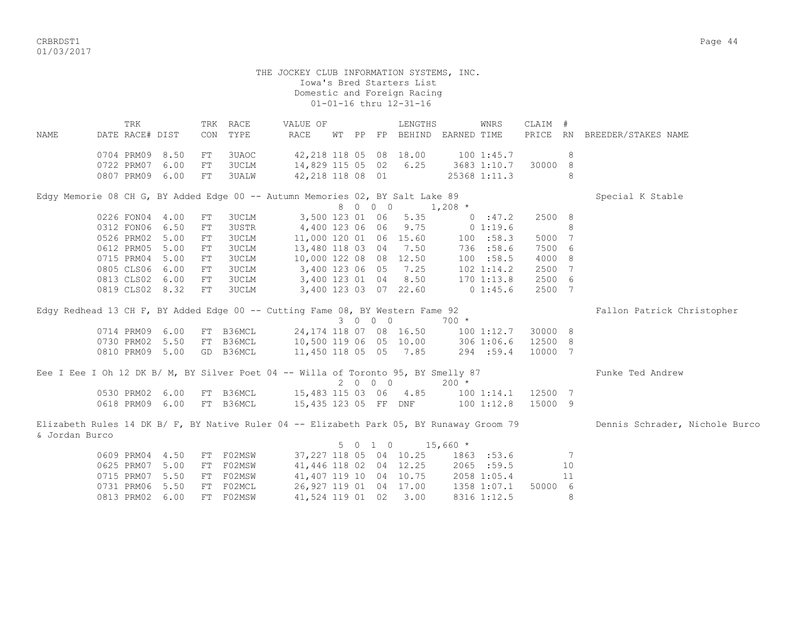CRBRDST1 Page 44 01/03/2017

> THE JOCKEY CLUB INFORMATION SYSTEMS, INC. Iowa's Bred Starters List Domestic and Foreign Racing 01-01-16 thru 12-31-16

 TRK TRK RACE VALUE OF LENGTHS WNRS CLAIM # NAME DATE RACE# DIST CON TYPE RACE WT PP FP BEHIND EARNED TIME PRICE RN BREEDER/STAKES NAME 0704 PRM09 8.50 FT 3UAOC 42, 218 118 05 08 18.00 100 1:45.7 8 0722 PRM07 6.00 FT 3UCLM 14,829 115 05 02 6.25 3683 1:10.7 30000 8 0807 PRM09 6.00 FT 3UALW 42,218 118 08 01 25368 1:11.3 8 Edgy Memorie 08 CH G, BY Added Edge 00 -- Autumn Memories 02, BY Salt Lake 89 Special K Stable  $8 \t0 \t0 \t0 \t1,208 \t\t*$  0226 FON04 4.00 FT 3UCLM 3,500 123 01 06 5.35 0 :47.2 2500 8 0312 FON06 6.50 FT 3USTR 4,400 123 06 06 9.75 0 1:19.6 8 0526 PRM02 5.00 FT 3UCLM 11,000 120 01 06 15.60 100 :58.3 5000 7 0612 PRM05 5.00 FT 3UCLM 13,480 118 03 04 7.50 736 :58.6 7500 6 0715 PRM04 5.00 FT 3UCLM 10,000 122 08 08 12.50 100 :58.5 4000 8 0805 CLS06 6.00 FT 3UCLM 3,400 123 06 05 7.25 102 1:14.2 2500 7 0813 CLS02 6.00 FT 3UCLM 3,400 123 01 04 8.50 170 1:13.8 2500 6 0819 CLS02 8.32 FT 3UCLM 3,400 123 03 07 22.60 0 1:45.6 2500 7 Edgy Redhead 13 CH F, BY Added Edge 00 -- Cutting Fame 08, BY Western Fame 92 Fallon Patrick Christopher 3 0 0 0 700 \* 0714 PRM09 6.00 FT B36MCL 24,174 118 07 08 16.50 100 1:12.7 30000 8 0730 PRM02 5.50 FT B36MCL 10,500 119 06 05 10.00 306 1:06.6 12500 8 0810 PRM09 5.00 GD B36MCL 11,450 118 05 05 7.85 294 :59.4 10000 7 Eee I Eee I Oh 12 DK B/ M, BY Silver Poet 04 -- Willa of Toronto 95, BY Smelly 87 Funke Ted Andrew 2 0 0 0 200 \* 0530 PRM02 6.00 FT B36MCL 15,483 115 03 06 4.85 100 1:14.1 12500 7 0618 PRM09 6.00 FT B36MCL 15,435 123 05 FF DNF 100 1:12.8 15000 9 Elizabeth Rules 14 DK B/ F, BY Native Ruler 04 -- Elizabeth Park 05, BY Runaway Groom 79 Dennis Schrader, Nichole Burco & Jordan Burco 5 0 1 0 15,660 \* 0609 PRM04 4.50 FT F02MSW 37,227 118 05 04 10.25 1863 :53.6 7 0625 PRM07 5.00 FT F02MSW 41,446 118 02 04 12.25 2065 :59.5 10 0715 PRM07 5.50 FT F02MSW 41,407 119 10 04 10.75 2058 1:05.4 11 0731 PRM06 5.50 FT F02MCL 26,927 119 01 04 17.00 1358 1:07.1 50000 6

0813 PRM02 6.00 FT F02MSW 41,524 119 01 02 3.00 8316 1:12.5 8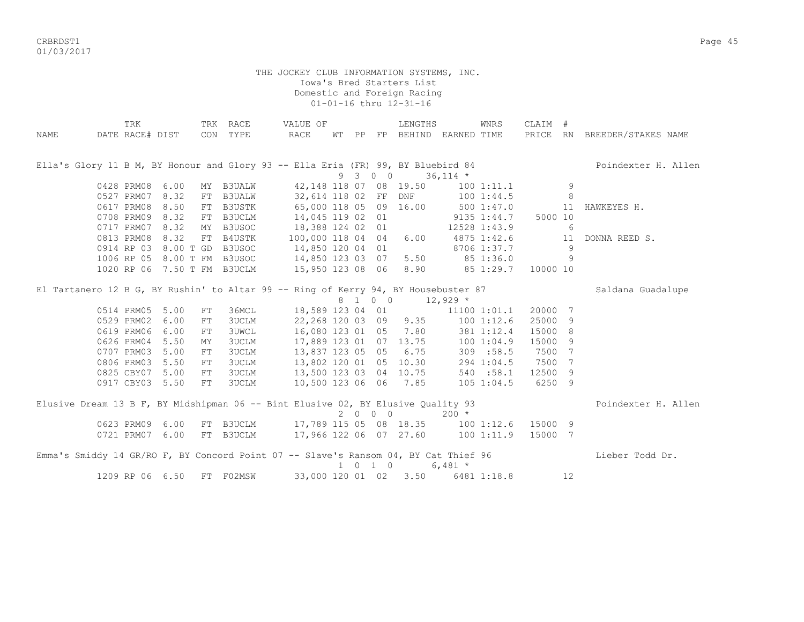CRBRDST1 Page 45 01/03/2017

|             | TRK             |                          |            | TRK RACE                    | VALUE OF                                                                            |  |                             | LENGTHS                     |                  | WNRS           | CLAIM # |    |                              |
|-------------|-----------------|--------------------------|------------|-----------------------------|-------------------------------------------------------------------------------------|--|-----------------------------|-----------------------------|------------------|----------------|---------|----|------------------------------|
| <b>NAME</b> |                 | DATE RACE# DIST CON TYPE |            |                             | RACE                                                                                |  |                             | WT PP FP BEHIND EARNED TIME |                  |                |         |    | PRICE RN BREEDER/STAKES NAME |
|             |                 |                          |            |                             |                                                                                     |  |                             |                             |                  |                |         |    |                              |
|             |                 |                          |            |                             |                                                                                     |  |                             |                             |                  |                |         |    |                              |
|             |                 |                          |            |                             | Ella's Glory 11 B M, BY Honour and Glory 93 -- Ella Eria (FR) 99, BY Bluebird 84    |  |                             |                             |                  |                |         |    | Poindexter H. Allen          |
|             |                 |                          |            |                             |                                                                                     |  | 9 3 0 0                     |                             | $36,114$ *       |                |         |    |                              |
|             | 0428 PRM08 6.00 |                          |            | MY B3UALW                   |                                                                                     |  |                             | 42,148 118 07 08 19.50      |                  | $100$ $1:11.1$ |         | 9  |                              |
|             | 0527 PRM07 8.32 |                          | FT         | <b>B3UALW</b>               | 32,614 118 02 FF DNF                                                                |  |                             |                             |                  | 1001:44.5      |         | 8  |                              |
|             | 0617 PRM08 8.50 |                          | FT         | B3USTK                      | 65,000 118 05 09 16.00                                                              |  |                             |                             | 500 1:47.0       |                |         | 11 | HAWKEYES H.                  |
|             | 0708 PRM09 8.32 |                          | FT         | B3UCLM                      | 14,045 119 02 01                                                                    |  |                             |                             | $9135$ $1:44.7$  |                | 5000 10 |    |                              |
|             | 0717 PRM07 8.32 |                          | MY         | B3USOC                      | 18,388 124 02 01                                                                    |  |                             |                             |                  | 12528 1:43.9   |         | 6  |                              |
|             | 0813 PRM08 8.32 |                          | FT         | B4USTK                      | 100,000 118 04 04                                                                   |  |                             | 6.00                        | 4875 1:42.6      |                |         | 11 | DONNA REED S.                |
|             |                 |                          |            | 0914 RP 03 8.00 T GD B3USOC | 14,850 120 04 01                                                                    |  |                             |                             | $8706$ 1:37.7    |                |         | 9  |                              |
|             |                 |                          |            | 1006 RP 05 8.00 T FM B3USOC | 14,850 123 03 07                                                                    |  |                             |                             | 5.50 85 1:36.0   |                |         | 9  |                              |
|             |                 |                          |            | 1020 RP 06 7.50 T FM B3UCLM | 15,950 123 08 06 8.90 85 1:29.7 10000 10                                            |  |                             |                             |                  |                |         |    |                              |
|             |                 |                          |            |                             |                                                                                     |  |                             |                             |                  |                |         |    |                              |
|             |                 |                          |            |                             | El Tartanero 12 B G, BY Rushin' to Altar 99 -- Ring of Kerry 94, BY Housebuster 87  |  |                             |                             |                  |                |         |    | Saldana Guadalupe            |
|             |                 |                          |            |                             |                                                                                     |  |                             | 8 1 0 0 12,929 *            |                  |                |         |    |                              |
|             | 0514 PRM05 5.00 |                          | FT         | 36MCL                       | 18,589 123 04 01                                                                    |  |                             |                             |                  | 11100 1:01.1   | 20000 7 |    |                              |
|             | 0529 PRM02 6.00 |                          | FT         | <b>3UCLM</b>                | 22,268 120 03 09 9.35 100 1:12.6                                                    |  |                             |                             |                  |                | 25000 9 |    |                              |
|             | 0619 PRM06 6.00 |                          | ${\rm FT}$ | <b>3UWCL</b>                | 16,080 123 01 05 7.80 381 1:12.4                                                    |  |                             |                             |                  |                | 15000 8 |    |                              |
|             | 0626 PRM04 5.50 |                          | MY         | <b>3UCLM</b>                | 17,889 123 01 07 13.75 100 1:04.9<br>13,837 123 05 05 6.75 309 :58.5                |  |                             |                             |                  |                | 15000 9 |    |                              |
|             | 0707 PRM03 5.00 |                          | FT         | <b>3UCLM</b>                | 13,837 123 05 05 6.75                                                               |  |                             |                             |                  |                | 7500 7  |    |                              |
|             | 0806 PRM03      | 5.50                     | FT         | <b>3UCLM</b>                | 13,802 120 01 05 10.30                                                              |  |                             |                             |                  | 294 1:04.5     | 7500 7  |    |                              |
|             | 0825 CBY07 5.00 |                          | FT         | <b>3UCLM</b>                | 13,500 123 03 04 10.75 540 :58.1                                                    |  |                             |                             |                  |                | 12500 9 |    |                              |
|             | 0917 CBY03 5.50 |                          | FT         | <b>3UCLM</b>                |                                                                                     |  |                             | 10,500 123 06 06 7.85       |                  | $105$ $1:04.5$ | 6250 9  |    |                              |
|             |                 |                          |            |                             |                                                                                     |  |                             |                             |                  |                |         |    |                              |
|             |                 |                          |            |                             | Elusive Dream 13 B F, BY Midshipman 06 -- Bint Elusive 02, BY Elusive Quality 93    |  |                             |                             |                  |                |         |    | Poindexter H. Allen          |
|             |                 |                          |            |                             |                                                                                     |  | 2000                        |                             | $200 *$          |                |         |    |                              |
|             | 0623 PRM09 6.00 |                          |            |                             | FT B3UCLM 17,789 115 05 08 18.35 100 1:12.6 15000 9                                 |  |                             |                             |                  |                |         |    |                              |
|             | 0721 PRM07 6.00 |                          |            | FT B3UCLM                   | 17,966 122 06 07 27.60 100 1:11.9                                                   |  |                             |                             |                  |                | 15000 7 |    |                              |
|             |                 |                          |            |                             |                                                                                     |  |                             |                             |                  |                |         |    |                              |
|             |                 |                          |            |                             | Emma's Smiddy 14 GR/RO F, BY Concord Point 07 -- Slave's Ransom 04, BY Cat Thief 96 |  |                             |                             |                  |                |         |    | Lieber Todd Dr.              |
|             |                 |                          |            |                             |                                                                                     |  | $1 \quad 0 \quad 1 \quad 0$ |                             | 6,481 $*$        |                |         |    |                              |
|             | 1209 RP 06 6.50 |                          |            | FT F02MSW                   | 33,000 120 01 02                                                                    |  |                             |                             | 3.50 6481 1:18.8 |                |         | 12 |                              |
|             |                 |                          |            |                             |                                                                                     |  |                             |                             |                  |                |         |    |                              |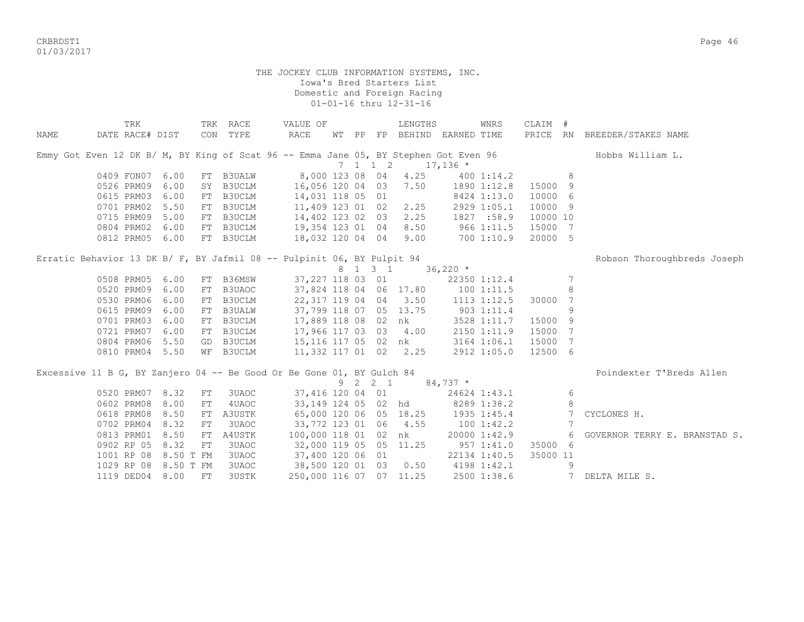CRBRDST1 Page 46 01/03/2017

|      | TRK                                                                                  |           |            | TRK RACE      | VALUE OF                |  |                             | LENGTHS                     |            | WNRS         | CLAIM #  |    |                               |
|------|--------------------------------------------------------------------------------------|-----------|------------|---------------|-------------------------|--|-----------------------------|-----------------------------|------------|--------------|----------|----|-------------------------------|
| NAME | DATE RACE# DIST                                                                      |           |            | CON TYPE      | RACE                    |  |                             | WT PP FP BEHIND EARNED TIME |            |              |          |    | PRICE RN BREEDER/STAKES NAME  |
|      | Emmy Got Even 12 DK B/ M, BY King of Scat 96 -- Emma Jane 05, BY Stephen Got Even 96 |           |            |               |                         |  |                             |                             |            |              |          |    | Hobbs William L.              |
|      |                                                                                      |           |            |               |                         |  | $7 \quad 1 \quad 1 \quad 2$ | $17,136$ *                  |            |              |          |    |                               |
|      | 0409 FON07                                                                           | 6.00      |            | FT B3UALW     |                         |  |                             | 8,000 123 08 04 4.25        |            | 4001:14.2    |          | 8  |                               |
|      | 0526 PRM09                                                                           | 6.00      |            | SY B3UCLM     | 16,056 120 04 03        |  |                             | 7.50                        |            | 1890 1:12.8  | 15000 9  |    |                               |
|      | 0615 PRM03                                                                           | 6.00      | FT         | B3UCLM        | 14,031 118 05 01        |  |                             |                             |            | 8424 1:13.0  | 10000 6  |    |                               |
|      | 0701 PRM02                                                                           | 5.50      | FT         | B3UCLM        | 11,409 123 01 02        |  |                             | 2.25                        |            | 2929 1:05.1  | 10000 9  |    |                               |
|      | 0715 PRM09                                                                           | 5.00      |            | FT B3UCLM     | 14,402 123 02 03        |  |                             | 2.25                        |            | 1827 :58.9   | 10000 10 |    |                               |
|      | 0804 PRM02                                                                           | 6.00      | FT         | B3UCLM        | 19,354 123 01 04        |  |                             | 8.50                        |            | 9661:11.5    | 15000 7  |    |                               |
|      | 0812 PRM05 6.00                                                                      |           |            | FT B3UCLM     | 18,032 120 04 04        |  |                             | 9.00                        | 7001:10.9  |              | 20000 5  |    |                               |
|      | Erratic Behavior 13 DK B/ F, BY Jafmil 08 -- Pulpinit 06, BY Pulpit 94               |           |            |               |                         |  |                             |                             |            |              |          |    | Robson Thoroughbreds Joseph   |
|      |                                                                                      |           |            |               |                         |  | 8 1 3 1                     |                             | $36,220$ * |              |          |    |                               |
|      | 0508 PRM05                                                                           | 6.00      | FT         | B36MSW        | 37,227 118 03 01        |  |                             |                             |            | 22350 1:12.4 |          | 7  |                               |
|      | 0520 PRM09                                                                           | 6.00      | FT         | B3UAOC        |                         |  |                             | 37,824 118 04 06 17.80      |            | 1001:11.5    |          | 8  |                               |
|      | 0530 PRM06                                                                           | 6.00      | FT         | B3UCLM        |                         |  |                             | 22, 317 119 04 04 3.50      |            | 1113 1:12.5  | 30000 7  |    |                               |
|      | 0615 PRM09                                                                           | 6.00      | FT         | <b>B3UALW</b> |                         |  |                             | 37,799 118 07 05 13.75      |            | 9031:11.4    |          | 9  |                               |
|      | 0701 PRM03                                                                           | 6.00      | FT         | B3UCLM        |                         |  |                             | 17,889 118 08 02 nk         |            | 3528 1:11.7  | 15000 9  |    |                               |
|      | 0721 PRM07                                                                           | 6.00      |            | FT B3UCLM     | 17,966 117 03 03 4.00   |  |                             |                             |            | 2150 1:11.9  | 15000 7  |    |                               |
|      | 0804 PRM06                                                                           | 5.50      |            | GD B3UCLM     | 15,116 117 05 02 nk     |  |                             |                             |            | 3164 1:06.1  | 15000 7  |    |                               |
|      | 0810 PRM04 5.50                                                                      |           | WF         | B3UCLM        | 11,332 117 01 02 2.25   |  |                             |                             |            | 2912 1:05.0  | 12500 6  |    |                               |
|      | Excessive 11 B G, BY Zanjero 04 -- Be Good Or Be Gone 01, BY Gulch 84                |           |            |               |                         |  |                             |                             |            |              |          |    | Poindexter T'Breds Allen      |
|      |                                                                                      |           |            |               |                         |  | 9 2 2 1                     |                             | $84,737$ * |              |          |    |                               |
|      | 0520 PRM07                                                                           | 8.32      | FT         | 3UAOC         | 37,416 120 04 01        |  |                             |                             |            | 24624 1:43.1 |          | 6  |                               |
|      | 0602 PRM08                                                                           | 8.00      | ${\rm FT}$ | 4UAOC         |                         |  |                             | 33,149 124 05 02 hd         |            | 8289 1:38.2  |          | 8  |                               |
|      | 0618 PRM08                                                                           | 8.50      | FT         | A3USTK        | 65,000 120 06 05 18.25  |  |                             |                             |            | 1935 1:45.4  |          | -7 | CYCLONES H.                   |
|      | 0702 PRM04                                                                           | 8.32      | FT         | 3UAOC         | 33,772 123 01 06 4.55   |  |                             |                             |            | 1001:42.2    |          | 7  |                               |
|      | 0813 PRM01                                                                           | 8.50      | FT         | A4USTK        | 100,000 118 01 02 nk    |  |                             |                             |            | 20000 1:42.9 |          | 6  | GOVERNOR TERRY E. BRANSTAD S. |
|      | 0902 RP 05                                                                           | 8.32      | FT         | 3UAOC         | 32,000 119 05 05 11.25  |  |                             |                             |            | 957 1:41.0   | 35000 6  |    |                               |
|      | 1001 RP 08                                                                           | 8.50 T FM |            | 3UAOC         | 37,400 120 06 01        |  |                             |                             |            | 22134 1:40.5 | 35000 11 |    |                               |
|      | 1029 RP 08                                                                           | 8.50 T FM |            | 3UAOC         | 38,500 120 01 03 0.50   |  |                             |                             |            | 4198 1:42.1  |          | 9  |                               |
|      | 1119 DED04 8.00                                                                      |           | FT         | <b>3USTK</b>  | 250,000 116 07 07 11.25 |  |                             |                             |            | 2500 1:38.6  |          |    | 7 DELTA MILE S.               |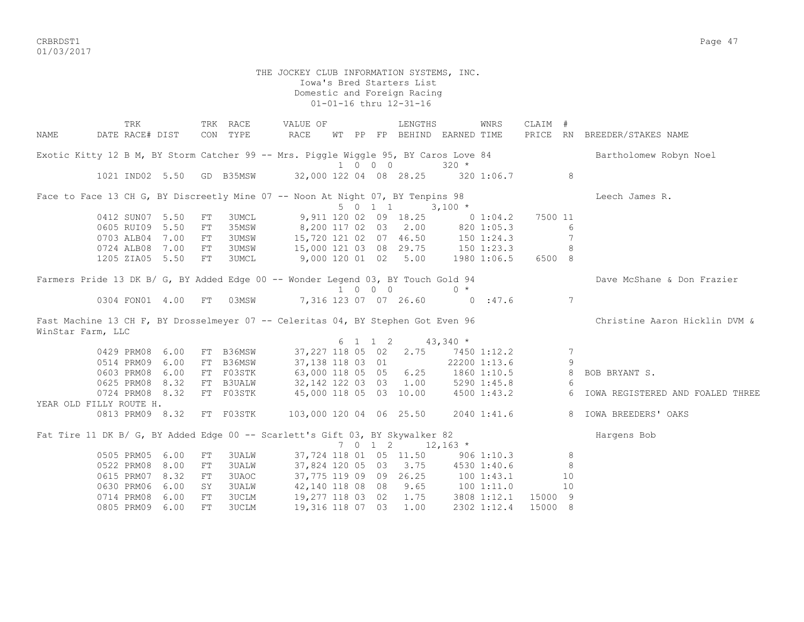CRBRDST1 Page 47 01/03/2017

> THE JOCKEY CLUB INFORMATION SYSTEMS, INC. Iowa's Bred Starters List Domestic and Foreign Racing 01-01-16 thru 12-31-16

TRK TRK RACE VALUE OF LENGTHS WNRS CLAIM # NAME DATE RACE# DIST CON TYPE RACE WT PP FP BEHIND EARNED TIME PRICE RN BREEDER/STAKES NAME Exotic Kitty 12 B M, BY Storm Catcher 99 -- Mrs. Piggle Wiggle 95, BY Caros Love 84 Bartholomew Robyn Noel 1 0 0 0 320 \* 1021 IND02 5.50 GD B35MSW 32,000 122 04 08 28.25 320 1:06.7 8 Face to Face 13 CH G, BY Discreetly Mine 07 -- Noon At Night 07, BY Tenpins 98 Leech James R. 5 0 1 1 3,100 \* 0412 SUNO7 5.50 FT 3UMCL 9,911 120 02 09 18.25 0 1:04.2 7500 11<br>0605 RUI09 5.50 FT 35MSW 8,200 117 02 03 2.00 820 1:05.3 6 8,200 117 02 03 2.00 820 1:05.3 6 0703 ALB04 7.00 FT 3UMSW 15,720 121 02 07 46.50 150 1:24.3 7 0724 ALB08 7.00 FT 3UMSW 15,000 121 03 08 29.75 150 1:23.3 8<br>1205 ZIA05 5.50 FT 3UMCL 9,000 120 01 02 5.00 1980 1:06.5 6500 8 9,000 120 01 02 5.00 1980 1:06.5 6500 8 Farmers Pride 13 DK B/ G, BY Added Edge 00 -- Wonder Legend 03, BY Touch Gold 94 Dave McShane & Don Frazier 1 0 0 0 0 \* 0304 FON01 4.00 FT 03MSW 7,316 123 07 07 26.60 0 :47.6 7 Fast Machine 13 CH F, BY Drosselmeyer 07 -- Celeritas 04, BY Stephen Got Even 96 Christine Aaron Hicklin DVM & WinStar Farm, LLC  $6 \quad 1 \quad 1 \quad 2 \quad 43.340 \quad ^{\star}$  0429 PRM08 6.00 FT B36MSW 37,227 118 05 02 2.75 7450 1:12.2 7 0514 PRM09 6.00 FT B36MSW 37,138 118 03 01 22200 1:13.6 9 0603 PRM08 6.00 FT F03STK 63,000 118 05 05 6.25 1860 1:10.5 8 BOB BRYANT S. 0625 PRM08 8.32 FT B3UALW 32,142 122 03 03 1.00 5290 1:45.8 6 0724 PRM08 8.32 FT F03STK 45,000 118 05 03 10.00 4500 1:43.2 6 IOWA REGISTERED AND FOALED THREE YEAR OLD FILLY ROUTE H. 0813 PRM09 8.32 FT F03STK 103,000 120 04 06 25.50 2040 1:41.6 8 IOWA BREEDERS' OAKS Fat Tire 11 DK B/ G, BY Added Edge 00 -- Scarlett's Gift 03, BY Skywalker 82  $7 \t0 \t1 \t2 \t12.163$  \* 0505 PRM05 6.00 FT 3UALW 37,724 118 01 05 11.50 906 1:10.3 8 0522 PRM08 8.00 FT 3UALW 37,824 120 05 03 3.75 4530 1:40.6 8<br>0615 PRM07 8.32 FT 3UAOC 37,775 119 09 09 26.25 100 1:43.1 10 061.1119 09 09 26.25 100 1:43.1 10<br>42,140 118 08 08 9.65 100 1:11.0 10 0630 PRM06 6.00 SY 3UALW 42,140 118 08 08 9.65 100 1:11.0 10<br>0714 PRM08 6.00 FT 3UCLM 19,277 118 03 02 1.75 3808 1:12.1 15000 9 19,277 118 03 02 1.75 3808 1:12.1 15000 9 0805 PRM09 6.00 FT 3UCLM 19,316 118 07 03 1.00 2302 1:12.4 15000 8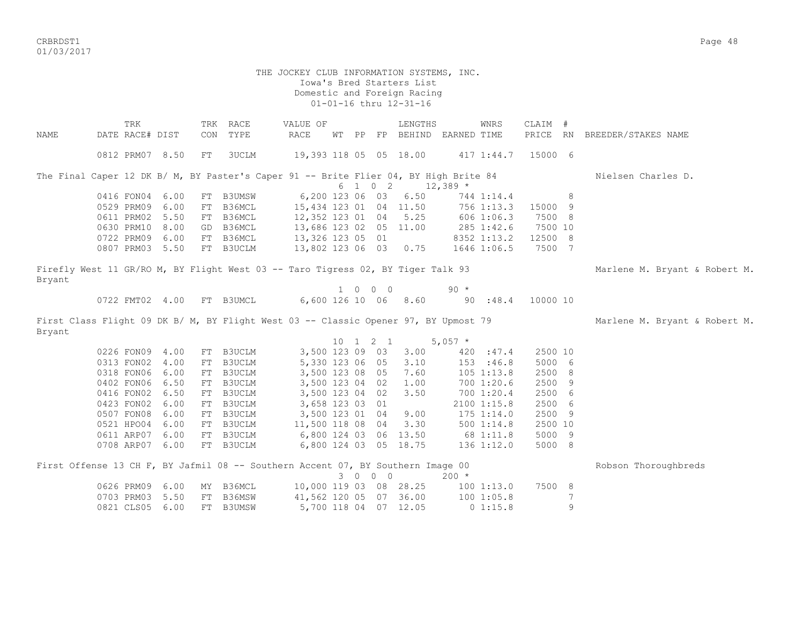CRBRDST1 Page 48 01/03/2017

 Iowa's Bred Starters List Domestic and Foreign Racing 01-01-16 thru 12-31-16 TRK TRK RACE VALUE OF LENGTHS WNRS CLAIM # NAME DATE RACE# DIST CON TYPE RACE WT PP FP BEHIND EARNED TIME PRICE RN BREEDER/STAKES NAME 0812 PRM07 8.50 FT 3UCLM 19,393 118 05 05 18.00 417 1:44.7 15000 6 The Final Caper 12 DK B/ M, BY Paster's Caper 91 -- Brite Flier 04, BY High Brite 84 Nielsen Charles D.  $6$  1 0 2 12,389  $*$ 0416 FON04 6.00 FT B3UMSW 6,200 123 06 03 6.50 744 1:14.4 8 0529 PRM09 6.00 FT B36MCL 15,434 123 01 04 11.50 756 1:13.3 15000 9 0611 PRM02 5.50 FT B36MCL 12,352 123 01 04 5.25 606 1:06.3 7500 8 0630 PRM10 8.00 GD B36MCL 13,686 123 02 05 11.00 285 1:42.6 7500 10 0722 PRM09 6.00 FT B36MCL 13,326 123 05 01 8352 1:13.2 12500 8 0807 PRM03 5.50 FT B3UCLM 13,802 123 06 03 0.75 1646 1:06.5 7500 7 Firefly West 11 GR/RO M, BY Flight West 03 -- Taro Tigress 02, BY Tiger Talk 93 Marlene M. Bryant & Robert M. Bryant 1 0 0 0 90 \* 0722 FMT02 4.00 FT B3UMCL 6,600 126 10 06 8.60 90 :48.4 10000 10 First Class Flight 09 DK B/ M, BY Flight West 03 -- Classic Opener 97, BY Upmost 79 Marlene M. Bryant & Robert M. Bryant  $10 \quad 1 \quad 2 \quad 1 \quad 5.057$  \* 0226 FON09 4.00 FT B3UCLM 3,500 123 09 03 3.00 420 :47.4 2500 10<br>0313 FON02 4.00 FT B3UCLM 5,330 123 06 05 3.10 153 :46.8 5000 6 0313 FON02 4.00 FT B3UCLM 5,330 123 06 05 3.10 153 :46.8 5000 6 0318 FON06 6.00 FT B3UCLM 3,500 123 08 05 7.60 105 1:13.8 2500 8 0402 FON06 6.50 FT B3UCLM 3,500 123 04 02 1.00 700 1:20.6 2500 9 0416 FON02 6.50 FT B3UCLM 3,500 123 04 02 3.50 700 1:20.4 2500 6 0423 FON02 6.00 FT B3UCLM 3,658 123 03 01 2100 1:15.8 2500 6 05,500 123 01 04 9.00 175 1:14.0 2500 9 0507 FONU8 6.00 FT B3UCLM 11,500 118 08 04 3.30 500 1:14.8 2500 10<br>0521 HPO04 6.00 FT B3UCLM 11,500 118 08 04 3.30 500 1:14.8 2500 10 0611 ARP07 6.00 FT B3UCLM 6,800 124 03 06 13.50 68 1:11.8 5000 9 0708 ARP07 6.00 FT B3UCLM 6,800 124 03 05 18.75 136 1:12.0 5000 8 First Offense 13 CH F, BY Jafmil 08 -- Southern Accent 07, BY Southern Image 00 Robson Thoroughbreds 3 0 0 0 200 \* 0626 PRM09 6.00 MY B36MCL 10,000 119 03 08 28.25 100 1:13.0 7500 8

0703 PRM03 5.50 FT B36MSW 41,562 120 05 07 36.00 100 1:05.8 7 0821 CLS05 6.00 FT B3UMSW 5,700 118 04 07 12.05 0 1:15.8 9

THE JOCKEY CLUB INFORMATION SYSTEMS, INC.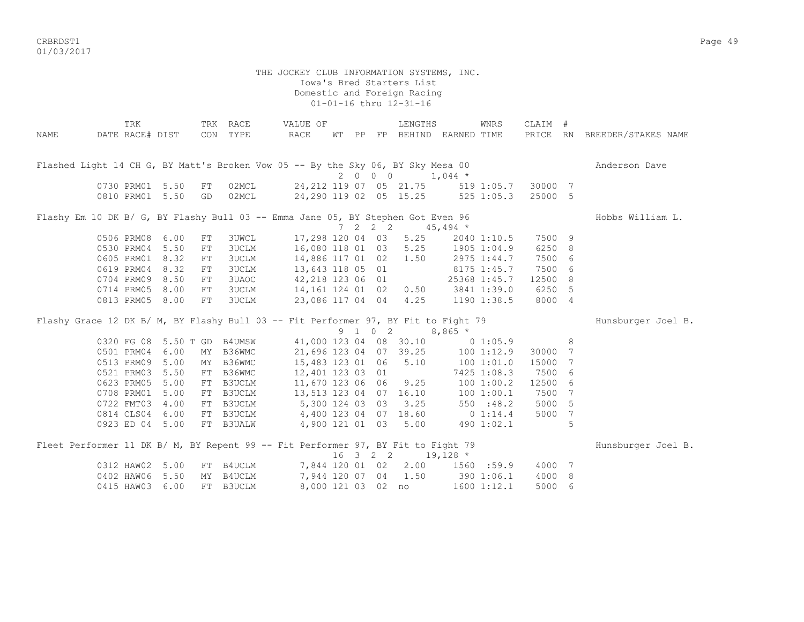CRBRDST1 Page 49 01/03/2017

 Iowa's Bred Starters List Domestic and Foreign Racing 01-01-16 thru 12-31-16 TRK TRK RACE VALUE OF LENGTHS WNRS CLAIM # NAME DATE RACE# DIST CON TYPE RACE WT PP FP BEHIND EARNED TIME PRICE RN BREEDER/STAKES NAME Flashed Light 14 CH G, BY Matt's Broken Vow 05 -- By the Sky 06, BY Sky Mesa 00 Anderson Dave  $2 \t 0 \t 0 \t 0 \t 1,044 \t \star$  0730 PRM01 5.50 FT 02MCL 24,212 119 07 05 21.75 519 1:05.7 30000 7 0810 PRM01 5.50 GD 02MCL 24,290 119 02 05 15.25 525 1:05.3 25000 5 Flashy Em 10 DK B/ G, BY Flashy Bull 03 -- Emma Jane 05, BY Stephen Got Even 96 Hobbs William L. 7 2 2 2 45,494 \* 0506 PRM08 6.00 FT 3UWCL 17,298 120 04 03 5.25 2040 1:10.5 7500 9 0530 PRM04 5.50 FT 3UCLM 16,080 118 01 03 5.25 1905 1:04.9 6250 8 0605 PRM01 8.32 FT 3UCLM 14,886 117 01 02 1.50 2975 1:44.7 7500 6<br>0619 PRM04 8.32 FT 3UCLM 13,643 118 05 01 8175 1:45.7 7500 6<br>0704 PRM09 8.50 FT 3UAOC 42,218 123 06 01 25368 1:45.7 12500 8 0619 PRM04 8.32 FT 3UCLM 13,643 118 05 01 8175 1:45.7 7500 6 0704 PRM09 8.50 FT 3UAOC 42, 218 123 06 01 25368 1:45.7 12500 8 0714 PRM05 8.00 FT 3UCLM 14,161 124 01 02 0.50 3841 1:39.0 6250 5 0813 PRM05 8.00 FT 3UCLM 23,086 117 04 04 4.25 1190 1:38.5 8000 4 Flashy Grace 12 DK B/ M, BY Flashy Bull 03 -- Fit Performer 97, BY Fit to Fight 79 Hunsburger Joel B. 9 1 0 2 8,865 \* 0320 FG 08 5.50 T GD B4UMSW 41,000 123 04 08 30.10 0 1:05.9 8 0501 PRM04 6.00 MY B36WMC 21,696 123 04 07 39.25 100 1:12.9 30000 7 0513 PRM09 5.00 MY B36WMC 15,483 123 01 06 5.10 100 1:01.0 15000 7 0521 PRM03 5.50 FT B36WMC 12,401 123 03 01 7425 1:08.3 7500 6 0623 PRM05 5.00 FT B3UCLM 11,670 123 06 06 9.25 100 1:00.2 12500 6 0708 PRM01 5.00 FT B3UCLM 13,513 123 04 07 16.10 100 1:00.1 7500 7 0722 FMT03 4.00 FT B3UCLM 5,300 124 03 03 3.25 550 :48.2 5000 5<br>0814 CLS04 6.00 FT B3UCLM 4,400 123 04 07 18.60 0 1:14.4 5000 7 0814 CLS04 6.00 FT B3UCLM 4,400 123 04 07 18.60 0 1:14.4 5000 7 0923 ED 04 5.00 FT B3UALW 4,900 121 01 03 5.00 490 1:02.1 5 Fleet Performer 11 DK B/ M, BY Repent 99 -- Fit Performer 97, BY Fit to Fight 79 Hunsburger Joel B. 16 3 2 2 19,128 \* 0312 HAW02 5.00 FT B4UCLM 7,844 120 01 02 2.00 1560 :59.9 4000 7

 0402 HAW06 5.50 MY B4UCLM 7,944 120 07 04 1.50 390 1:06.1 4000 8 0415 HAW03 6.00 FT B3UCLM 8,000 121 03 02 no 1600 1:12.1 5000 6

THE JOCKEY CLUB INFORMATION SYSTEMS, INC.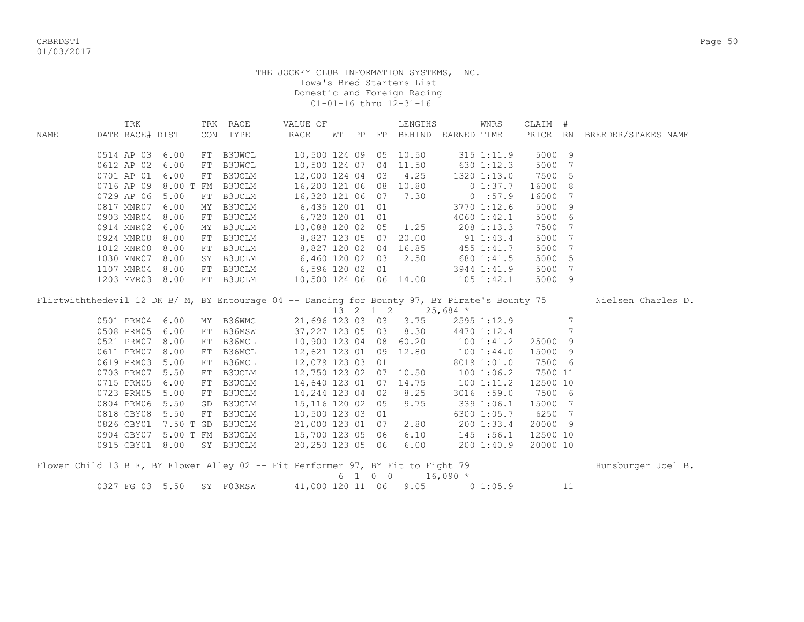|      | TRK             |                           |    | TRK RACE  | VALUE OF                                                                             |  | LENGTHS                     |                | WNRS         | CLAIM #  |    |                                                                                                                  |
|------|-----------------|---------------------------|----|-----------|--------------------------------------------------------------------------------------|--|-----------------------------|----------------|--------------|----------|----|------------------------------------------------------------------------------------------------------------------|
| NAME | DATE RACE# DIST |                           |    | CON TYPE  | RACE                                                                                 |  | WT PP FP BEHIND EARNED TIME |                |              |          |    | PRICE RN BREEDER/STAKES NAME                                                                                     |
|      |                 | 0514 AP 03 6.00           |    | FT B3UWCL |                                                                                      |  | 10,500 124 09 05 10.50      |                | 315 1:11.9   | 5000 9   |    |                                                                                                                  |
|      |                 | 0612 AP 02 6.00           | FT | B3UWCL    | 10,500 124 07 04 11.50 630 1:12.3                                                    |  |                             |                |              | 5000     | 7  |                                                                                                                  |
|      |                 | 0701 AP 01 6.00           | FT | B3UCLM    | 12,000 124 04 03 4.25 1320 1:13.0                                                    |  |                             |                |              | 7500 5   |    |                                                                                                                  |
|      |                 | 0716 AP 09 8.00 T FM      |    | B3UCLM    | 16,200 121 06 08 10.80 0 1:37.7                                                      |  |                             |                |              | 16000    | 8  |                                                                                                                  |
|      | 0729 AP 06      | 5.00                      | FT | B3UCLM    | 16,320 121 06 07 7.30 0:57.9                                                         |  |                             |                |              | 16000    | 7  |                                                                                                                  |
|      | 0817 MNR07      | 6.00                      | ΜY |           | B3UCLM 6,435 120 01 01                                                               |  | $3770$ 1:12.6               |                |              | 5000     | 9  |                                                                                                                  |
|      |                 | 0903 MNR04 8.00           | FT |           | B3UCLM 6,720 120 01 01                                                               |  |                             |                | 4060 1:42.1  | 5000 6   |    |                                                                                                                  |
|      |                 | 0914 MNR02 6.00           | MY | B3UCLM    | 10,088 120 02 05 1.25                                                                |  |                             |                | 208 1:13.3   | 7500     | 7  |                                                                                                                  |
|      | 0924 MNR08      | 8.00                      | FT | B3UCLM    | 8,827 123 05 07 20.00 91 1:43.4                                                      |  |                             |                |              | 5000     | 7  |                                                                                                                  |
|      | 1012 MNR08      | 8.00                      | FT | B3UCLM    | 8,827 120 02 04 16.85 455 1:41.7                                                     |  |                             |                |              | 5000     | 7  |                                                                                                                  |
|      |                 | 1030 MNR07 8.00           |    |           | SY B3UCLM 6,460 120 02 03 2.50 680 1:41.5                                            |  |                             |                |              | 5000     | -5 |                                                                                                                  |
|      |                 | 1107 MNR04 8.00           |    |           | FT B3UCLM 6,596 120 02 01 3944 1:41.9<br>FT B3UCLM 10,500 124 06 06 14.00 105 1:42.1 |  |                             |                |              | 5000     | 7  |                                                                                                                  |
|      |                 | 1203 MVR03 8.00           |    |           |                                                                                      |  |                             |                |              | 5000 9   |    |                                                                                                                  |
|      |                 |                           |    |           |                                                                                      |  | 13 2 1 2 25,684 *           |                |              |          |    | Flirtwiththedevil 12 DK B/ M, BY Entourage 04 -- Dancing for Bounty 97, BY Pirate's Bounty 75 Nielsen Charles D. |
|      |                 | 0501 PRM04 6.00           | MY | B36WMC    |                                                                                      |  | 21,696 123 03 03 3.75       |                | 2595 1:12.9  |          | 7  |                                                                                                                  |
|      |                 | 0508 PRM05 6.00           | FT | B36MSW    | 37,227 123 05 03 8.30 4470 1:12.4                                                    |  |                             |                |              |          | 7  |                                                                                                                  |
|      |                 | 0521 PRM07 8.00           | FT | B36MCL    | 10,900 123 04 08 60.20 100 1:41.2                                                    |  |                             |                |              | 25000 9  |    |                                                                                                                  |
|      | 0611 PRM07      | 8.00                      | FT | B36MCL    | 12,621 123 01 09 12.80 100 1:44.0                                                    |  |                             |                |              | 15000 9  |    |                                                                                                                  |
|      |                 | 0619 PRM03 5.00           | FT | B36MCL    | 12,079 123 03 01                                                                     |  |                             |                | 8019 1:01.0  | 7500 6   |    |                                                                                                                  |
|      |                 | 0703 PRM07 5.50           | FT | B3UCLM    | 12,750 123 02 07 10.50 100 1:06.2                                                    |  |                             |                |              | 7500 11  |    |                                                                                                                  |
|      |                 | 0715 PRM05 6.00           | FT | B3UCLM    | 14,640 123 01 07 14.75 100 1:11.2                                                    |  |                             |                |              | 12500 10 |    |                                                                                                                  |
|      | 0723 PRM05      | 5.00                      | FT | B3UCLM    | 14,244 123 04 02 8.25                                                                |  |                             |                | $3016$ :59.0 | 7500 6   |    |                                                                                                                  |
|      | 0804 PRM06      | 5.50                      | GD | B3UCLM    | 15, 116 120 02 05 9.75                                                               |  |                             | $339$ $1:06.1$ |              | 15000 7  |    |                                                                                                                  |
|      |                 | 0818 CBY08 5.50           | FT | B3UCLM    | 10,500 123 03 01                                                                     |  |                             |                | 6300 1:05.7  | 6250 7   |    |                                                                                                                  |
|      |                 |                           |    |           | 0826 CBY01 7.50 T GD B3UCLM 21,000 123 01 07                                         |  | 2.80                        |                | 2001:33.4    | 20000 9  |    |                                                                                                                  |
|      |                 |                           |    |           | 0904 CBY07 5.00 T FM B3UCLM 15,700 123 05 06 6.10 145 :56.1                          |  |                             |                |              | 12500 10 |    |                                                                                                                  |
|      |                 | 0915 CBY01 8.00 SY B3UCLM |    |           | 20,250 123 05 06 6.00                                                                |  |                             |                | 200 1:40.9   | 20000 10 |    |                                                                                                                  |
|      |                 |                           |    |           | Flower Child 13 B F, BY Flower Alley 02 -- Fit Performer 97, BY Fit to Fight 79      |  |                             |                |              |          |    | Hunsburger Joel B.                                                                                               |

|                           |  |  | 6 1 0 0 16,090 *      |             |  |
|---------------------------|--|--|-----------------------|-------------|--|
| 0327 FG 03 5.50 SY F03MSW |  |  | 41,000 120 11 06 9.05 | $0\;1:05.9$ |  |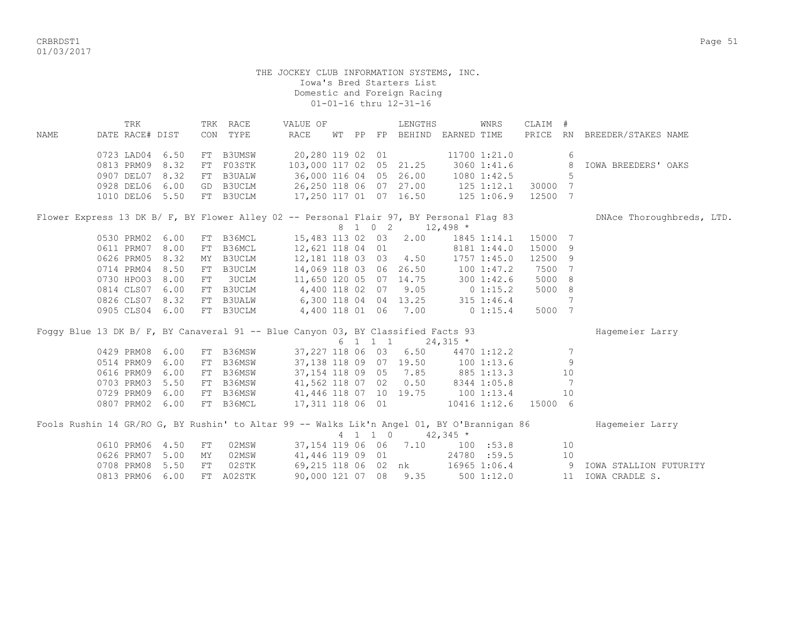CRBRDST1 Page 51 01/03/2017

| NAME |            | TRK<br>DATE RACE# DIST |                 |    | TRK RACE<br>CON TYPE                                                                       | VALUE OF<br><b>RACE</b>       |  |         | LENGTHS<br>WT PP FP BEHIND EARNED TIME |                  | WNRS                 | CLAIM #<br>PRICE RN |                | BREEDER/STAKES NAME       |
|------|------------|------------------------|-----------------|----|--------------------------------------------------------------------------------------------|-------------------------------|--|---------|----------------------------------------|------------------|----------------------|---------------------|----------------|---------------------------|
|      |            |                        |                 |    |                                                                                            |                               |  |         |                                        |                  |                      |                     |                |                           |
|      |            | 0723 LAD04             | 6.50            |    | FT B3UMSW                                                                                  | 20,280 119 02 01              |  |         |                                        |                  | 11700 1:21.0         |                     | 6              |                           |
|      |            | 0813 PRM09             | 8.32            |    | FT F03STK                                                                                  | 103,000 117 02 05 21.25       |  |         |                                        |                  | $3060$ 1:41.6        |                     | 8              | IOWA BREEDERS' OAKS       |
|      |            | 0907 DEL07             | 8.32            |    | FT B3UALW                                                                                  |                               |  |         | 36,000 116 04 05 26.00                 |                  | $1080$ $1:42.5$      |                     | 5              |                           |
|      |            | 0928 DEL06             | 6.00            |    | GD B3UCLM                                                                                  |                               |  |         | 26,250 118 06 07 27.00 125 1:12.1      |                  |                      | 30000 7             |                |                           |
|      |            |                        | 1010 DEL06 5.50 |    | FT B3UCLM                                                                                  |                               |  |         | 17,250 117 01 07 16.50 125 1:06.9      |                  |                      | 12500 7             |                |                           |
|      |            |                        |                 |    | Flower Express 13 DK B/ F, BY Flower Alley 02 -- Personal Flair 97, BY Personal Flag 83    |                               |  |         |                                        |                  |                      |                     |                | DNAce Thoroughbreds, LTD. |
|      |            |                        |                 |    |                                                                                            |                               |  |         | 8 1 0 2                                | $12,498$ *       |                      |                     |                |                           |
|      |            | 0530 PRM02             | 6.00            |    | FT B36MCL                                                                                  | 15,483 113 02 03              |  |         | 2.00                                   |                  | 1845 1:14.1          | 15000 7             |                |                           |
|      |            | 0611 PRM07             | 8.00            |    | FT B36MCL                                                                                  | 12,621 118 04 01              |  |         |                                        |                  | 8181 1:44.0          | 15000 9             |                |                           |
|      |            | 0626 PRM05             | 8.32            |    | MY B3UCLM                                                                                  | 12,181 118 03 03              |  |         |                                        | 4.50 1757 1:45.0 |                      | 12500 9             |                |                           |
|      |            | 0714 PRM04             | 8.50            |    | FT B3UCLM                                                                                  |                               |  |         | 14,069 118 03 06 26.50 100 1:47.2      |                  |                      | 7500 7              |                |                           |
|      |            | 0730 HPO03             | 8.00            |    | FT 3UCLM                                                                                   |                               |  |         | 11,650 120 05 07 14.75 300 1:42.6      |                  |                      | 5000 8              |                |                           |
|      |            | 0814 CLS07 6.00        |                 |    | FT B3UCLM 4,400 118 02 07 9.05 0 1:15.2<br>FT B3UALW 6,300 118 04 04 13.25 315 1:46.4      |                               |  |         |                                        |                  |                      | 5000 8              |                |                           |
|      |            | 0826 CLS07 8.32        |                 |    |                                                                                            |                               |  |         |                                        |                  |                      |                     | 7              |                           |
|      |            |                        | 0905 CLS04 6.00 |    | FT B3UCLM                                                                                  | 4,400 118 01 06 7.00 0 1:15.4 |  |         |                                        |                  |                      | 5000 7              |                |                           |
|      |            |                        |                 |    | Foggy Blue 13 DK B/ F, BY Canaveral 91 -- Blue Canyon 03, BY Classified Facts 93           |                               |  |         |                                        |                  |                      |                     |                | Hagemeier Larry           |
|      |            |                        |                 |    |                                                                                            |                               |  | 6 1 1 1 |                                        | $24,315$ *       |                      |                     |                |                           |
|      |            | 0429 PRM08             | 6.00            |    | FT B36MSW                                                                                  | 37,227 118 06 03              |  |         | 6.50                                   |                  | 4470 1:12.2          |                     | 7              |                           |
|      |            | 0514 PRM09             | 6.00            |    | FT B36MSW                                                                                  |                               |  |         | 37, 138 118 09 07 19.50 100 1:13.6     |                  |                      |                     | 9              |                           |
|      |            | 0616 PRM09             | 6.00            |    | FT B36MSW                                                                                  |                               |  |         | 37, 154 118 09 05 7.85 885 1:13.3      |                  |                      |                     | 10             |                           |
|      |            | 0703 PRM03             | 5.50            |    | FT B36MSW                                                                                  |                               |  |         | 41,562 118 07 02 0.50 8344 1:05.8      |                  |                      |                     | -7             |                           |
|      |            | 0729 PRM09             | 6.00            |    | FT B36MSW                                                                                  | 41,446 118 07 10 19.75        |  |         |                                        | 100 1:13.4       |                      |                     | 10             |                           |
|      |            |                        | 0807 PRM02 6.00 |    | FT B36MCL                                                                                  | 17,311 118 06 01              |  |         |                                        |                  | 10416 1:12.6 15000 6 |                     |                |                           |
|      |            |                        |                 |    | Fools Rushin 14 GR/RO G, BY Rushin' to Altar 99 -- Walks Lik'n Angel 01, BY O'Brannigan 86 |                               |  |         |                                        |                  |                      |                     |                | Hagemeier Larry           |
|      |            |                        |                 |    |                                                                                            |                               |  | 4 1 1 0 |                                        | $42,345$ *       |                      |                     |                |                           |
|      |            | 0610 PRM06             | 4.50            | FT | 02MSW                                                                                      |                               |  |         | 37, 154 119 06 06 7.10                 |                  | 100 : 53.8           |                     | 10             |                           |
|      |            | 0626 PRM07             | 5.00            | MY | 02MSW                                                                                      | 41,446 119 09 01              |  |         |                                        |                  | 24780 :59.5          |                     | 10             |                           |
|      | 0708 PRM08 |                        | 5.50            | FT | 02STK                                                                                      |                               |  |         | 69,215 118 06 02 nk                    |                  | 16965 1:06.4         |                     | $\overline{9}$ | IOWA STALLION FUTURITY    |
|      |            | 0813 PRM06             | 6.00            |    | FT A02STK                                                                                  | 90,000 121 07 08 9.35         |  |         |                                        |                  | 5001:12.0            |                     |                | 11 IOWA CRADLE S.         |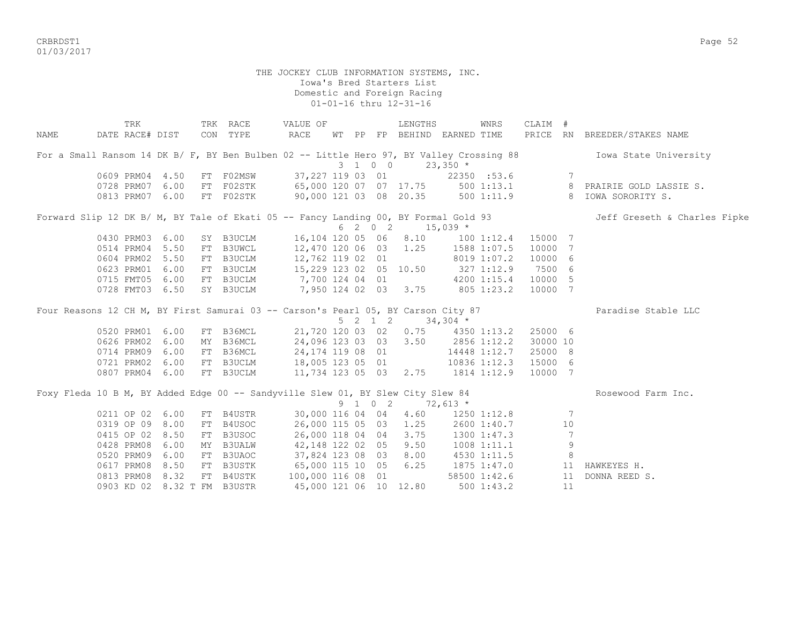CRBRDST1 Page 52 01/03/2017

|      | TRK             |    | TRK RACE                                                                                                                          | VALUE OF                             |  |                 | LENGTHS                           |            | WNRS            | CLAIM #  |    |                                                                                                                  |
|------|-----------------|----|-----------------------------------------------------------------------------------------------------------------------------------|--------------------------------------|--|-----------------|-----------------------------------|------------|-----------------|----------|----|------------------------------------------------------------------------------------------------------------------|
| NAME |                 |    | DATE RACE# DIST CON TYPE                                                                                                          | RACE                                 |  |                 | WT PP FP BEHIND EARNED TIME       |            |                 |          |    | PRICE RN BREEDER/STAKES NAME                                                                                     |
|      |                 |    |                                                                                                                                   |                                      |  |                 |                                   |            |                 |          |    | For a Small Ransom 14 DK B/ F, BY Ben Bulben 02 -- Little Hero 97, BY Valley Crossing 88 Towa State University   |
|      |                 |    |                                                                                                                                   |                                      |  | $3 \t1 \t0 \t0$ |                                   | $23,350$ * |                 |          |    |                                                                                                                  |
|      |                 |    | 0609 PRM04 4.50 FT F02MSW 37,227 119 03 01                                                                                        |                                      |  |                 |                                   |            | 22350 :53.6     |          | 7  |                                                                                                                  |
|      |                 |    |                                                                                                                                   |                                      |  |                 |                                   |            |                 |          |    | 0728 PRM07 6.00 FT F02STK 65,000 120 07 07 17.75 500 1:13.1 8 PRAIRIE GOLD LASSIE S.                             |
|      |                 |    |                                                                                                                                   |                                      |  |                 |                                   |            |                 |          |    | 0813 PRM07 6.00 FT F02STK 90,000 121 03 08 20.35 500 1:11.9 8 IOWA SORORITY S.                                   |
|      |                 |    |                                                                                                                                   |                                      |  |                 |                                   |            |                 |          |    | Forward Slip 12 DK B/ M, BY Tale of Ekati 05 -- Fancy Landing 00, BY Formal Gold 93 Jeff Greseth & Charles Fipke |
|      |                 |    |                                                                                                                                   |                                      |  |                 | $6$ 2 0 2 15,039 *                |            |                 |          |    |                                                                                                                  |
|      | 0430 PRM03 6.00 |    | SY B3UCLM  16,104 120 05 06 8.10  100 1:12.4  15000 7                                                                             |                                      |  |                 |                                   |            |                 |          |    |                                                                                                                  |
|      | 0514 PRM04 5.50 |    | FT B3UWCL 12,470 120 06 03 1.25 1588 1:07.5                                                                                       |                                      |  |                 |                                   |            |                 | 10000 7  |    |                                                                                                                  |
|      | 0604 PRM02 5.50 |    | FT B3UCLM                                                                                                                         | 12,762 119 02 01                     |  |                 |                                   |            | 8019 1:07.2     | 10000 6  |    |                                                                                                                  |
|      | 0623 PRM01 6.00 |    | FT B3UCLM                                                                                                                         | 15,229 123 02 05 10.50 327 1:12.9    |  |                 |                                   |            |                 | 7500 6   |    |                                                                                                                  |
|      | 0715 FMT05 6.00 |    | FT B3UCLM                                                                                                                         | 7,700 124 04 01 4200 1:15.4          |  |                 |                                   |            |                 | 10000 5  |    |                                                                                                                  |
|      | 0728 FMT03 6.50 |    | SY B3UCLM 7,950 124 02 03 3.75 805 1:23.2                                                                                         |                                      |  |                 |                                   |            |                 | 10000 7  |    |                                                                                                                  |
|      |                 |    | Four Reasons 12 CH M, BY First Samurai 03 -- Carson's Pearl 05, BY Carson City 87                                                 |                                      |  |                 |                                   |            |                 |          |    | Paradise Stable LLC                                                                                              |
|      |                 |    |                                                                                                                                   |                                      |  |                 | 5 2 1 2                           | $34,304$ * |                 |          |    |                                                                                                                  |
|      | 0520 PRM01 6.00 |    | FT B36MCL                                                                                                                         |                                      |  |                 | 21,720 120 03 02 0.75 4350 1:13.2 |            |                 | 25000 6  |    |                                                                                                                  |
|      | 0626 PRM02 6.00 |    | MY B36MCL                                                                                                                         | 24,096 123 03 03 3.50 2856 1:12.2    |  |                 |                                   |            |                 | 30000 10 |    |                                                                                                                  |
|      | 0714 PRM09 6.00 |    | FT B36MCL                                                                                                                         | 24, 174 119 08 01                    |  |                 |                                   |            | 14448 1:12.7    | 25000 8  |    |                                                                                                                  |
|      | 0721 PRM02 6.00 |    | FT B3UCLM 18,005 123 05 01 10836 1:12.3<br>FT B3UCLM 18,005 123 05 01 10836 1:12.3<br>FT B3UCLM 11,734 123 05 03 2.75 1814 1:12.9 |                                      |  |                 |                                   |            |                 | 15000 6  |    |                                                                                                                  |
|      | 0807 PRM04 6.00 |    |                                                                                                                                   |                                      |  |                 |                                   |            |                 | 10000 7  |    |                                                                                                                  |
|      |                 |    | Foxy Fleda 10 B M, BY Added Edge 00 -- Sandyville Slew 01, BY Slew City Slew 84                                                   |                                      |  |                 |                                   |            |                 |          |    | Rosewood Farm Inc.                                                                                               |
|      |                 |    |                                                                                                                                   |                                      |  |                 | $9 \t1 \t0 \t2 \t72,613 \t*$      |            |                 |          |    |                                                                                                                  |
|      | 0211 OP 02 6.00 |    | FT B4USTR                                                                                                                         |                                      |  |                 | 30,000 116 04 04 4.60 1250 1:12.8 |            |                 |          | 7  |                                                                                                                  |
|      | 0319 OP 09 8.00 |    | FT B4USOC                                                                                                                         | 26,000 115 05 03 1.25                |  |                 |                                   |            | 2600 1:40.7     |          | 10 |                                                                                                                  |
|      | 0415 OP 02 8.50 | FT | B3USOC                                                                                                                            |                                      |  |                 | 26,000 118 04 04 3.75             |            | 1300 1:47.3     |          | 7  |                                                                                                                  |
|      | 0428 PRM08 6.00 |    | MY B3UALW                                                                                                                         | 42,148 122 02 05 9.50 1008 1:11.1    |  |                 |                                   |            |                 |          | 9  |                                                                                                                  |
|      | 0520 PRM09 6.00 | FT | B3UAOC                                                                                                                            | 37,824 123 08 03 8.00 4530 1:11.5    |  |                 |                                   |            |                 |          | 8  |                                                                                                                  |
|      |                 |    | 0617 PRM08 8.50 FT B3USTK                                                                                                         | 65,000 115 10 05 6.25 1875 1:47.0 11 |  |                 |                                   |            |                 |          |    | HAWKEYES H.                                                                                                      |
|      | 0813 PRM08 8.32 |    | FT B4USTK                                                                                                                         | 100,000 116 08 01                    |  |                 |                                   |            | 58500 1:42.6    |          | 11 | DONNA REED S.                                                                                                    |
|      |                 |    | 0903 KD 02 8.32 T FM B3USTR                                                                                                       | 45,000 121 06 10 12.80               |  |                 |                                   |            | $500 \; 1:43.2$ |          | 11 |                                                                                                                  |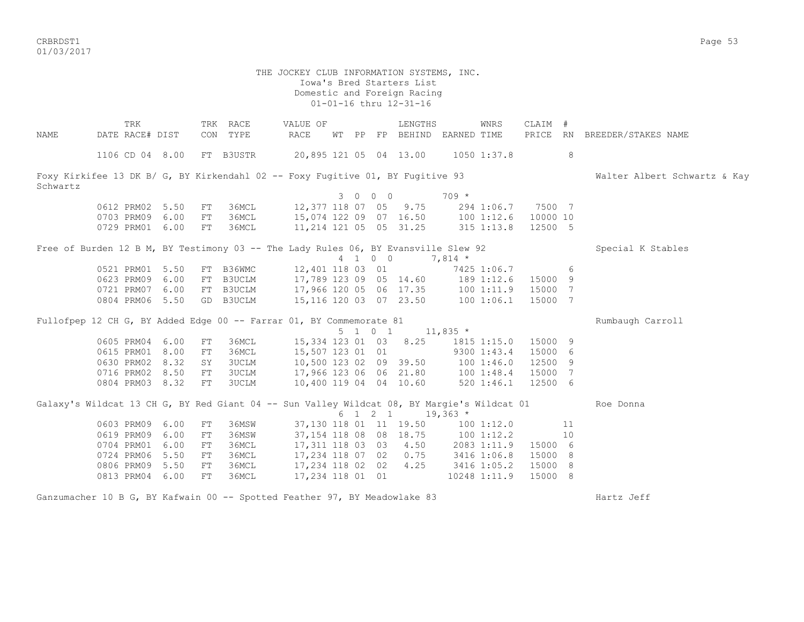CRBRDST1 Page 53 01/03/2017

 THE JOCKEY CLUB INFORMATION SYSTEMS, INC. Iowa's Bred Starters List Domestic and Foreign Racing 01-01-16 thru 12-31-16 TRK TRK RACE VALUE OF LENGTHS WNRS CLAIM # NAME DATE RACE# DIST CON TYPE RACE WT PP FP BEHIND EARNED TIME PRICE RN BREEDER/STAKES NAME 1106 CD 04 8.00 FT B3USTR 20,895 121 05 04 13.00 1050 1:37.8 8 Foxy Kirkifee 13 DK B/ G, BY Kirkendahl 02 -- Foxy Fugitive 01, BY Fugitive 93 Walter Albert Schwartz & Kay Schwartz 3 0 0 0 709 \* 0612 PRM02 5.50 FT 36MCL 12,377 118 07 05 9.75 294 1:06.7 7500 7 0703 PRM09 6.00 FT 36MCL 15,074 122 09 07 16.50 100 1:12.6 10000 10 0729 PRM01 6.00 FT 36MCL 11,214 121 05 05 31.25 315 1:13.8 12500 5 Free of Burden 12 B M, BY Testimony 03 -- The Lady Rules 06, BY Evansville Slew 92 Special K Stables 4 1 0 0 7,814 \* 0521 PRM01 5.50 FT B36WMC 12,401 118 03 01 7425 1:06.7 6 0623 PRM09 6.00 FT B3UCLM 17,789 123 09 05 14.60 189 1:12.6 15000 9 0721 PRM07 6.00 FT B3UCLM 17,966 120 05 06 17.35 100 1:11.9 15000 7 0804 PRM06 5.50 GD B3UCLM 15,116 120 03 07 23.50 100 1:06.1 15000 7 Fullofpep 12 CH G, BY Added Edge 00 -- Farrar 01, BY Commemorate 81 Rumbaugh Carroll 5 1 0 1 11,835 \* 0605 PRM04 6.00 FT 36MCL 15,334 123 01 03 8.25 1815 1:15.0 15000 9 0615 PRM01 8.00 FT 36MCL 15,507 123 01 01 9300 1:43.4 15000 6<br>0630 PRM02 8.32 SY 3UCLM 10,500 123 02 09 39.50 100 1:46.0 12500 9 0630 PRM02 8.32 SY 3UCLM 0716 PRM02 8.50 FT 3UCLM 17,966 123 06 06 21.80 100 1:48.4 15000 7 0804 PRM03 8.32 FT 3UCLM 10,400 119 04 04 10.60 520 1:46.1 12500 6 Galaxy's Wildcat 13 CH G, BY Red Giant 04 -- Sun Valley Wildcat 08, BY Margie's Wildcat 01 Roe Donna  $6 \t1 \t2 \t1 \t19,363 \t*$ 0603 PRM09 6.00 FT 36MSW 37,130 118 01 11 19.50 100 1:12.0 11 0619 PRM09 6.00 FT 36MSW 37,154 118 08 08 18.75 100 1:12.2 10 0704 PRM01 6.00 FT 36MCL 17,311 118 03 03 4.50 2083 1:11.9 15000 6 0724 PRM06 5.50 FT 36MCL 17,234 118 07 02 0.75 3416 1:06.8 15000 8 0806 PRM09 5.50 FT 36MCL 17,234 118 02 02 4.25 3416 1:05.2 15000 8 0813 PRM04 6.00 FT 36MCL 17,234 118 01 01 10248 1:11.9 15000 8

Ganzumacher 10 B G, BY Kafwain 00 -- Spotted Feather 97, BY Meadowlake 83 Hartz Jeff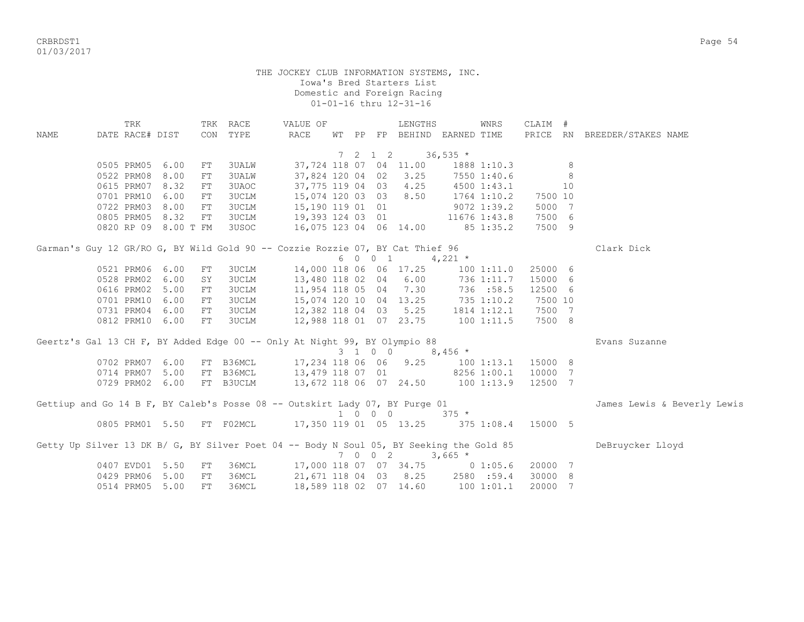CRBRDST1 Page 54 01/03/2017

|      | TRK             |                      |    | TRK RACE     | VALUE OF                                                                                |  |         | LENGTHS                                          |            | WNRS           | CLAIM # |    |                              |
|------|-----------------|----------------------|----|--------------|-----------------------------------------------------------------------------------------|--|---------|--------------------------------------------------|------------|----------------|---------|----|------------------------------|
| NAME | DATE RACE# DIST |                      |    | CON TYPE     | RACE                                                                                    |  |         | WT PP FP BEHIND EARNED TIME                      |            |                |         |    | PRICE RN BREEDER/STAKES NAME |
|      |                 |                      |    |              |                                                                                         |  |         |                                                  |            |                |         |    |                              |
|      | 0505 PRM05 6.00 |                      | FT | 3UALW        |                                                                                         |  |         | 7 2 1 2 36,535 $\star$<br>37,724 118 07 04 11.00 |            | 1888 1:10.3    |         | 8  |                              |
|      | 0522 PRM08      | 8.00                 | FT | <b>3UALW</b> |                                                                                         |  |         | 37,824 120 04 02 3.25                            |            | 7550 1:40.6    |         | 8  |                              |
|      | 0615 PRM07      | 8.32                 | FT | 3UAOC        |                                                                                         |  |         | 37,775 119 04 03 4.25                            |            | 4500 1:43.1    |         | 10 |                              |
|      | 0701 PRM10      | 6.00                 | FT | 3UCLM        |                                                                                         |  |         |                                                  |            | 1764 1:10.2    | 7500 10 |    |                              |
|      | 0722 PRM03      | 8.00                 | FT | 3UCLM        | 15,074 120 03 03 8.50                                                                   |  |         |                                                  |            |                | 5000 7  |    |                              |
|      |                 |                      |    |              | 15,190 119 01 01                                                                        |  |         |                                                  |            | 9072 1:39.2    |         |    |                              |
|      | 0805 PRM05      | 8.32                 | FT | 3UCLM        | 19,393 124 03 01 11676 1:43.8                                                           |  |         |                                                  |            |                | 7500 6  |    |                              |
|      |                 | 0820 RP 09 8.00 T FM |    | 3USOC        | 16,075 123 04 06 14.00                                                                  |  |         |                                                  |            | 85 1:35.2      | 7500 9  |    |                              |
|      |                 |                      |    |              | Garman's Guy 12 GR/RO G, BY Wild Gold 90 -- Cozzie Rozzie 07, BY Cat Thief 96           |  |         |                                                  |            |                |         |    | Clark Dick                   |
|      |                 |                      |    |              |                                                                                         |  |         | 6 0 0 1 4,221 $*$                                |            |                |         |    |                              |
|      | 0521 PRM06      | 6.00                 | FT | 3UCLM        |                                                                                         |  |         | 14,000 118 06 06 17.25                           |            | $100$ $1:11.0$ | 25000 6 |    |                              |
|      | 0528 PRM02      | 6.00                 | SY | 3UCLM        |                                                                                         |  |         | 13,480 118 02 04 6.00 736 1:11.7                 |            |                | 15000 6 |    |                              |
|      | 0616 PRM02      | 5.00                 | FT | 3UCLM        |                                                                                         |  |         | 11,954 118 05 04 7.30 736 :58.5                  |            |                | 12500 6 |    |                              |
|      | 0701 PRM10      | 6.00                 | FT | 3UCLM        | 15,074 120 10 04 13.25 735 1:10.2                                                       |  |         |                                                  |            |                | 7500 10 |    |                              |
|      | 0731 PRM04 6.00 |                      | FT | 3UCLM        | 12,382 118 04 03 5.25                                                                   |  |         |                                                  |            | 1814 1:12.1    | 7500 7  |    |                              |
|      | 0812 PRM10 6.00 |                      | FT | 3UCLM        | 12,988 118 01 07 23.75                                                                  |  |         |                                                  | 1001:11.5  |                | 7500 8  |    |                              |
|      |                 |                      |    |              |                                                                                         |  |         |                                                  |            |                |         |    |                              |
|      |                 |                      |    |              | Geertz's Gal 13 CH F, BY Added Edge 00 -- Only At Night 99, BY Olympio 88               |  |         |                                                  |            |                |         |    | Evans Suzanne                |
|      |                 |                      |    |              |                                                                                         |  | 3 1 0 0 |                                                  | 8,456 $*$  |                |         |    |                              |
|      | 0702 PRM07      | 6.00                 |    |              | FT B36MCL 17,234 118 06 06 9.25 100 1:13.1                                              |  |         |                                                  |            |                | 15000 8 |    |                              |
|      | 0714 PRM07      | 5.00                 |    |              | FT B36MCL 13,479 118 07 01 8256 1:00.1                                                  |  |         |                                                  |            |                | 10000 7 |    |                              |
|      | 0729 PRM02      | 6.00                 |    | FT B3UCLM    | 13,672 118 06 07 24.50 100 1:13.9                                                       |  |         |                                                  |            |                | 12500 7 |    |                              |
|      |                 |                      |    |              | Gettiup and Go 14 B F, BY Caleb's Posse 08 -- Outskirt Lady 07, BY Purge 01             |  |         |                                                  |            |                |         |    | James Lewis & Beverly Lewis  |
|      |                 |                      |    |              |                                                                                         |  |         | $1 \t 0 \t 0 \t 0 \t 375 \t\t\t\t\star$          |            |                |         |    |                              |
|      |                 |                      |    |              | 0805 PRM01 5.50 FT F02MCL 17,350 119 01 05 13.25 375 1:08.4                             |  |         |                                                  |            |                | 15000 5 |    |                              |
|      |                 |                      |    |              | Getty Up Silver 13 DK B/ G, BY Silver Poet 04 -- Body N Soul 05, BY Seeking the Gold 85 |  |         |                                                  |            |                |         |    | DeBruycker Lloyd             |
|      |                 |                      |    |              |                                                                                         |  | 7 0 0 2 |                                                  | $3,665$ *  |                |         |    |                              |
|      | 0407 EVD01 5.50 |                      | FT |              | 36MCL 17,000 118 07 07 34.75 0 1:05.6                                                   |  |         |                                                  |            |                | 20000 7 |    |                              |
|      |                 | 0429 PRM06 5.00      | FT | 36MCL        |                                                                                         |  |         | 21,671 118 04 03 8.25 2580 :59.4                 |            |                | 30000 8 |    |                              |
|      | 0514 PRM05 5.00 |                      | FT | 36MCL        |                                                                                         |  |         | 18,589 118 02 07 14.60                           | 100 1:01.1 |                | 20000 7 |    |                              |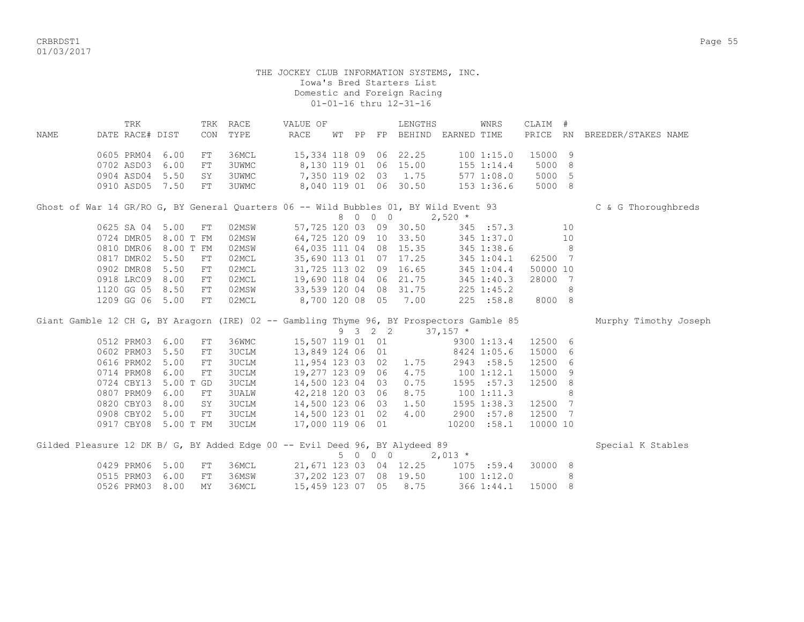CRBRDST1 Page 55 01/03/2017

| 15,334 118 09 06 22.25<br>15000 9<br>0605 PRM04 6.00<br>36MCL<br>1001:15.0<br>FT<br>8,130 119 01 06 15.00<br>0702 ASD03<br>6.00<br>3UWMC<br>155 1:14.4<br>5000<br>8<br>${\rm FT}$<br>7,350 119 02 03 1.75<br>5000<br>0904 ASD04 5.50<br>3UWMC<br>577 1:08.0<br>5<br>SY<br>8,040 119 01 06 30.50<br>5000 8<br>0910 ASD05<br>7.50<br>3UWMC<br>$153$ $1:36.6$<br>FT<br>Ghost of War 14 GR/RO G, BY General Quarters 06 -- Wild Bubbles 01, BY Wild Event 93<br>C & G Thoroughbreds<br>8 0 0 0<br>$2,520$ *<br>0625 SA 04 5.00<br>57,725 120 03 09 30.50<br>${\rm FT}$<br>02MSW<br>345 :57.3<br>10<br>0724 DMR05 8.00 T FM<br>64,725 120 09 10 33.50 345 1:37.0<br>10<br>02MSW<br>0810 DMR06 8.00 T FM<br>64,035 111 04 08 15.35<br>8 <sup>1</sup><br>345 1:38.6 | NAME | TRK<br>DATE RACE# DIST | CON | TRK RACE<br>TYPE | VALUE OF<br><b>RACE</b> | WТ | PP | LENGTHS<br>FP BEHIND EARNED TIME | WNRS | CLAIM #<br>PRICE RN | BREEDER/STAKES NAME   |
|--------------------------------------------------------------------------------------------------------------------------------------------------------------------------------------------------------------------------------------------------------------------------------------------------------------------------------------------------------------------------------------------------------------------------------------------------------------------------------------------------------------------------------------------------------------------------------------------------------------------------------------------------------------------------------------------------------------------------------------------------------------|------|------------------------|-----|------------------|-------------------------|----|----|----------------------------------|------|---------------------|-----------------------|
|                                                                                                                                                                                                                                                                                                                                                                                                                                                                                                                                                                                                                                                                                                                                                              |      |                        |     |                  |                         |    |    |                                  |      |                     |                       |
|                                                                                                                                                                                                                                                                                                                                                                                                                                                                                                                                                                                                                                                                                                                                                              |      |                        |     |                  |                         |    |    |                                  |      |                     |                       |
|                                                                                                                                                                                                                                                                                                                                                                                                                                                                                                                                                                                                                                                                                                                                                              |      |                        |     |                  |                         |    |    |                                  |      |                     |                       |
|                                                                                                                                                                                                                                                                                                                                                                                                                                                                                                                                                                                                                                                                                                                                                              |      |                        |     |                  |                         |    |    |                                  |      |                     |                       |
|                                                                                                                                                                                                                                                                                                                                                                                                                                                                                                                                                                                                                                                                                                                                                              |      |                        |     |                  |                         |    |    |                                  |      |                     |                       |
|                                                                                                                                                                                                                                                                                                                                                                                                                                                                                                                                                                                                                                                                                                                                                              |      |                        |     |                  |                         |    |    |                                  |      |                     |                       |
|                                                                                                                                                                                                                                                                                                                                                                                                                                                                                                                                                                                                                                                                                                                                                              |      |                        |     |                  |                         |    |    |                                  |      |                     |                       |
|                                                                                                                                                                                                                                                                                                                                                                                                                                                                                                                                                                                                                                                                                                                                                              |      |                        |     |                  |                         |    |    |                                  |      |                     |                       |
|                                                                                                                                                                                                                                                                                                                                                                                                                                                                                                                                                                                                                                                                                                                                                              |      |                        |     |                  |                         |    |    |                                  |      |                     |                       |
|                                                                                                                                                                                                                                                                                                                                                                                                                                                                                                                                                                                                                                                                                                                                                              |      |                        |     | 02MSW            |                         |    |    |                                  |      |                     |                       |
| 0817 DMR02 5.50<br>02MCL<br>35,690 113 01 07 17.25<br>62500 7<br>345 1:04.1<br>FT                                                                                                                                                                                                                                                                                                                                                                                                                                                                                                                                                                                                                                                                            |      |                        |     |                  |                         |    |    |                                  |      |                     |                       |
| 0902 DMR08 5.50<br>31,725 113 02 09 16.65<br>02MCL<br>50000 10<br>FT<br>345 1:04.4                                                                                                                                                                                                                                                                                                                                                                                                                                                                                                                                                                                                                                                                           |      |                        |     |                  |                         |    |    |                                  |      |                     |                       |
| 19,690 118 04 06 21.75<br>0918 LRC09 8.00<br>02MCL<br>28000<br>FT<br>345 1:40.3<br>$\overline{7}$                                                                                                                                                                                                                                                                                                                                                                                                                                                                                                                                                                                                                                                            |      |                        |     |                  |                         |    |    |                                  |      |                     |                       |
| 33,539 120 04 08 31.75<br>1120 GG 05 8.50<br>02MSW<br>$225$ 1:45.2<br>8<br>FT                                                                                                                                                                                                                                                                                                                                                                                                                                                                                                                                                                                                                                                                                |      |                        |     |                  |                         |    |    |                                  |      |                     |                       |
| 8,700 120 08 05 7.00<br>1209 GG 06 5.00<br>02MCL<br>225 : 58.8<br>8000 8<br>FT                                                                                                                                                                                                                                                                                                                                                                                                                                                                                                                                                                                                                                                                               |      |                        |     |                  |                         |    |    |                                  |      |                     |                       |
| Giant Gamble 12 CH G, BY Aragorn (IRE) 02 -- Gambling Thyme 96, BY Prospectors Gamble 85                                                                                                                                                                                                                                                                                                                                                                                                                                                                                                                                                                                                                                                                     |      |                        |     |                  |                         |    |    |                                  |      |                     | Murphy Timothy Joseph |
| 9 3 2 2<br>$37,157$ *                                                                                                                                                                                                                                                                                                                                                                                                                                                                                                                                                                                                                                                                                                                                        |      |                        |     |                  |                         |    |    |                                  |      |                     |                       |
| 15,507 119 01 01<br>0512 PRM03 6.00<br>36WMC<br>9300 1:13.4<br>12500 6<br>FT                                                                                                                                                                                                                                                                                                                                                                                                                                                                                                                                                                                                                                                                                 |      |                        |     |                  |                         |    |    |                                  |      |                     |                       |
| 15000<br>0602 PRM03 5.50<br>13,849 124 06 01<br><b>3UCLM</b><br>8424 1:05.6<br>6<br>${\rm FT}$                                                                                                                                                                                                                                                                                                                                                                                                                                                                                                                                                                                                                                                               |      |                        |     |                  |                         |    |    |                                  |      |                     |                       |
| 12500<br>0616 PRM02<br>5.00<br><b>3UCLM</b><br>11,954 123 03 02 1.75<br>2943 :58.5<br>6<br>FT                                                                                                                                                                                                                                                                                                                                                                                                                                                                                                                                                                                                                                                                |      |                        |     |                  |                         |    |    |                                  |      |                     |                       |
| 4.75<br>15000<br>0714 PRM08<br>6.00<br><b>3UCLM</b><br>19,277 123 09 06<br>1001:12.1<br>9<br>FT                                                                                                                                                                                                                                                                                                                                                                                                                                                                                                                                                                                                                                                              |      |                        |     |                  |                         |    |    |                                  |      |                     |                       |
| 14,500 123 04 03<br>0.75<br>8<br>0724 CBY13<br>5.00 T GD<br><b>3UCLM</b><br>1595 :57.3<br>12500                                                                                                                                                                                                                                                                                                                                                                                                                                                                                                                                                                                                                                                              |      |                        |     |                  |                         |    |    |                                  |      |                     |                       |
| 8.75<br>8<br>0807 PRM09<br>6.00<br>42,218 120 03 06<br>1001:11.3<br><b>3UALW</b><br>FT                                                                                                                                                                                                                                                                                                                                                                                                                                                                                                                                                                                                                                                                       |      |                        |     |                  |                         |    |    |                                  |      |                     |                       |
| 7<br>0820 CBY03<br>8.00<br><b>3UCLM</b><br>14,500 123 06 03 1.50<br>1595 1:38.3<br>12500<br>SY                                                                                                                                                                                                                                                                                                                                                                                                                                                                                                                                                                                                                                                               |      |                        |     |                  |                         |    |    |                                  |      |                     |                       |
| 4.00<br>12500<br>0908 CBY02<br>5.00<br>3UCLM<br>14,500 123 01 02<br>2900 :57.8<br>7<br>FT                                                                                                                                                                                                                                                                                                                                                                                                                                                                                                                                                                                                                                                                    |      |                        |     |                  |                         |    |    |                                  |      |                     |                       |
| 0917 CBY08 5.00 T FM<br>17,000 119 06 01<br>10000 10<br>3UCLM<br>10200 :58.1                                                                                                                                                                                                                                                                                                                                                                                                                                                                                                                                                                                                                                                                                 |      |                        |     |                  |                         |    |    |                                  |      |                     |                       |
| Gilded Pleasure 12 DK B/ G, BY Added Edge 00 -- Evil Deed 96, BY Alydeed 89<br>Special K Stables                                                                                                                                                                                                                                                                                                                                                                                                                                                                                                                                                                                                                                                             |      |                        |     |                  |                         |    |    |                                  |      |                     |                       |
| 5 0 0 0<br>$2,013$ *                                                                                                                                                                                                                                                                                                                                                                                                                                                                                                                                                                                                                                                                                                                                         |      |                        |     |                  |                         |    |    |                                  |      |                     |                       |
| 0429 PRM06<br>5.00<br>36MCL<br>21,671 123 03 04 12.25 1075 :59.4<br>30000 8<br>FT                                                                                                                                                                                                                                                                                                                                                                                                                                                                                                                                                                                                                                                                            |      |                        |     |                  |                         |    |    |                                  |      |                     |                       |
| 37,202 123 07 08 19.50 100 1:12.0<br>0515 PRM03<br>6.00<br>FT<br>36MSW<br>8                                                                                                                                                                                                                                                                                                                                                                                                                                                                                                                                                                                                                                                                                  |      |                        |     |                  |                         |    |    |                                  |      |                     |                       |
| 15,459 123 07 05 8.75<br>0526 PRM03 8.00<br>36MCL<br>366 1:44.1<br>15000 8<br><b>MY</b>                                                                                                                                                                                                                                                                                                                                                                                                                                                                                                                                                                                                                                                                      |      |                        |     |                  |                         |    |    |                                  |      |                     |                       |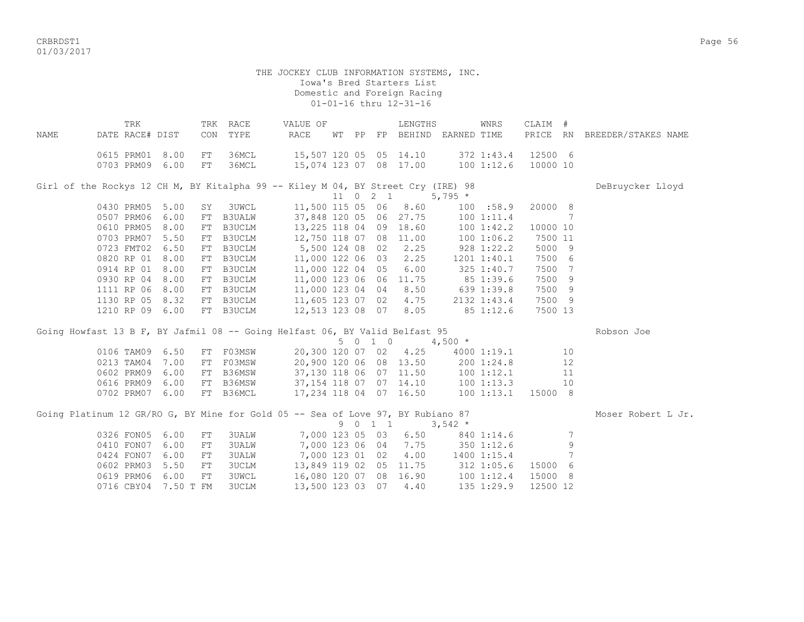CRBRDST1 Page 56 01/03/2017

|      | TRK             |      |            | TRK RACE      | VALUE OF                                                                         |       |                     | LENGTHS                |                       | WNRS            | CLAIM #  |    |                              |
|------|-----------------|------|------------|---------------|----------------------------------------------------------------------------------|-------|---------------------|------------------------|-----------------------|-----------------|----------|----|------------------------------|
| NAME | DATE RACE# DIST |      | CON        | TYPE          | <b>RACE</b>                                                                      | WT PP |                     |                        | FP BEHIND EARNED TIME |                 |          |    | PRICE RN BREEDER/STAKES NAME |
|      | 0615 PRM01      | 8.00 | FT         | 36MCL         | 15,507 120 05 05 14.10                                                           |       |                     |                        |                       | 372 1:43.4      | 12500 6  |    |                              |
|      | 0703 PRM09      | 6.00 | FT         | 36MCL         | 15,074 123 07 08 17.00                                                           |       |                     |                        |                       | 1001:12.6       | 10000 10 |    |                              |
|      |                 |      |            |               |                                                                                  |       |                     |                        |                       |                 |          |    |                              |
|      |                 |      |            |               | Girl of the Rockys 12 CH M, BY Kitalpha 99 -- Kiley M 04, BY Street Cry (IRE) 98 |       |                     |                        |                       |                 |          |    | DeBruycker Lloyd             |
|      |                 |      |            |               |                                                                                  |       |                     | 11 0 2 1               | $5,795*$              |                 |          |    |                              |
|      | 0430 PRM05      | 5.00 | SY         | <b>3UWCL</b>  | 11,500 115 05 06                                                                 |       |                     | 8.60                   |                       | 100 : 58.9      | 20000 8  |    |                              |
|      | 0507 PRM06      | 6.00 | ${\rm FT}$ | <b>B3UALW</b> | 37,848 120 05 06 27.75                                                           |       |                     |                        |                       | 1001:11.4       |          | 7  |                              |
|      | 0610 PRM05      | 8.00 | FT         | B3UCLM        | 13,225 118 04 09                                                                 |       |                     | 18.60                  |                       | 100 1:42.2      | 10000 10 |    |                              |
|      | 0703 PRM07      | 5.50 | FT         | B3UCLM        | 12,750 118 07 08                                                                 |       |                     | 11.00                  |                       | 100 1:06.2      | 7500 11  |    |                              |
|      | 0723 FMT02      | 6.50 | FT         | B3UCLM        | 5,500 124 08 02                                                                  |       |                     | 2.25                   |                       | 928 1:22.2      | 5000 9   |    |                              |
|      | 0820 RP 01      | 8.00 | FT         | B3UCLM        | 11,000 122 06 03                                                                 |       |                     | 2.25                   |                       | $1201$ $1:40.1$ | 7500 6   |    |                              |
|      | 0914 RP 01      | 8.00 | FT         | B3UCLM        | 11,000 122 04 05                                                                 |       |                     | 6.00                   |                       | 325 1:40.7      | 7500 7   |    |                              |
|      | 0930 RP 04      | 8.00 | FT         | B3UCLM        | 11,000 123 06 06                                                                 |       |                     | 11.75                  | 85 1:39.6             |                 | 7500 9   |    |                              |
|      | 1111 RP 06      | 8.00 | FT         | B3UCLM        | 11,000 123 04 04                                                                 |       |                     | 8.50                   |                       | 639 1:39.8      | 7500 9   |    |                              |
|      | 1130 RP 05      | 8.32 | FT         | B3UCLM        | 11,605 123 07 02                                                                 |       |                     | 4.75                   |                       | 2132 1:43.4     | 7500 9   |    |                              |
|      | 1210 RP 09 6.00 |      |            | FT B3UCLM     | 12,513 123 08 07                                                                 |       |                     | 8.05                   |                       | 85 1:12.6       | 7500 13  |    |                              |
|      |                 |      |            |               |                                                                                  |       |                     |                        |                       |                 |          |    |                              |
|      |                 |      |            |               | Going Howfast 13 B F, BY Jafmil 08 -- Going Helfast 06, BY Valid Belfast 95      |       |                     |                        |                       |                 |          |    | Robson Joe                   |
|      |                 |      |            |               |                                                                                  |       | 5 0 1 0             |                        | $4,500 *$             |                 |          |    |                              |
|      | 0106 TAM09 6.50 |      | FT         | F03MSW        | 20,300 120 07 02                                                                 |       |                     | 4.25                   |                       | 4000 1:19.1     |          | 10 |                              |
|      | 0213 TAM04      | 7.00 | FT         | F03MSW        |                                                                                  |       |                     | 20,900 120 06 08 13.50 |                       | 200 1:24.8      |          | 12 |                              |
|      | 0602 PRM09      | 6.00 |            | FT B36MSW     |                                                                                  |       |                     | 37,130 118 06 07 11.50 |                       | 100 1:12.1      |          | 11 |                              |
|      | 0616 PRM09      | 6.00 | FT         | B36MSW        | 37,154 118 07 07 14.10                                                           |       |                     |                        |                       | 100 1:13.3      |          | 10 |                              |
|      | 0702 PRM07      | 6.00 |            | FT B36MCL     | 17,234 118 04 07 16.50                                                           |       |                     |                        |                       | 1001:13.1       | 15000 8  |    |                              |
|      |                 |      |            |               |                                                                                  |       |                     |                        |                       |                 |          |    | Moser Robert L Jr.           |
|      |                 |      |            |               | Going Platinum 12 GR/RO G, BY Mine for Gold 05 -- Sea of Love 97, BY Rubiano 87  | 9     | $0 \quad 1 \quad 1$ |                        |                       |                 |          |    |                              |
|      |                 |      |            |               |                                                                                  |       |                     |                        | $3,542$ *             |                 |          |    |                              |
|      | 0326 FON05      | 6.00 | ${\rm FT}$ | 3UALW         | 7,000 123 05 03                                                                  |       |                     | 6.50                   |                       | 840 1:14.6      |          | 7  |                              |
|      | 0410 FON07      | 6.00 | ${\rm FT}$ | 3UALW         | 7,000 123 06 04                                                                  |       |                     | 7.75                   |                       | 350 1:12.6      |          | 9  |                              |
|      | 0424 FON07      | 6.00 | FT         | <b>3UALW</b>  | 7,000 123 01 02                                                                  |       |                     | 4.00                   |                       | 1400 1:15.4     |          | 7  |                              |
|      | 0602 PRM03      | 5.50 | ${\rm FT}$ | <b>3UCLM</b>  | 13,849 119 02 05                                                                 |       |                     | 11.75                  |                       | $312$ $1:05.6$  | 15000 6  |    |                              |
|      | 0619 PRM06      | 6.00 | ${\rm FT}$ | <b>3UWCL</b>  | 16,080 120 07 08                                                                 |       |                     | 16.90                  |                       | 100 1:12.4      | 15000 8  |    |                              |
|      | 0716 CBY04      |      | 7.50 T FM  | <b>3UCLM</b>  | 13,500 123 03 07                                                                 |       |                     | 4.40                   |                       | 135 1:29.9      | 12500 12 |    |                              |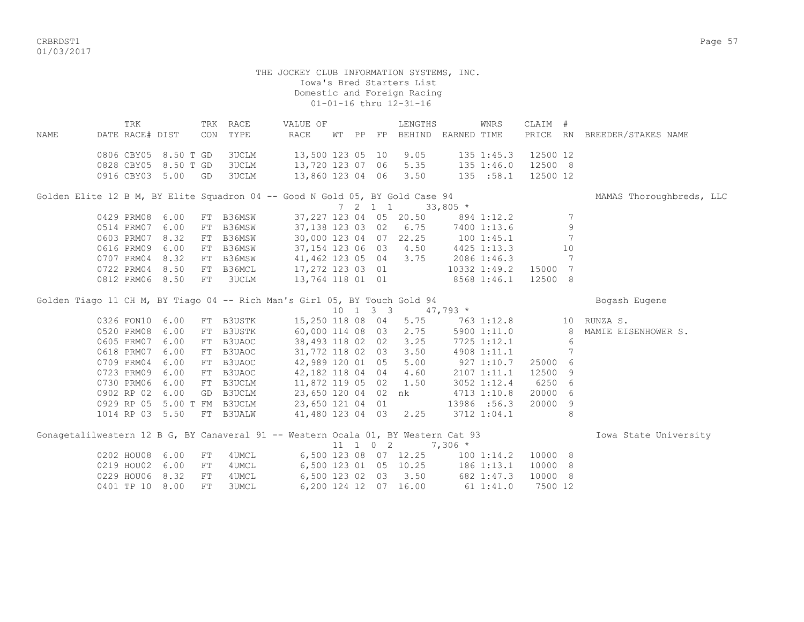CRBRDST1 Page 57 01/03/2017

> THE JOCKEY CLUB INFORMATION SYSTEMS, INC. Iowa's Bred Starters List Domestic and Foreign Racing 01-01-16 thru 12-31-16

 TRK TRK RACE VALUE OF LENGTHS WNRS CLAIM # NAME DATE RACE# DIST CON TYPE RACE WT PP FP BEHIND EARNED TIME PRICE RN BREEDER/STAKES NAME 0806 CBY05 8.50 T GD 3UCLM 13,500 123 05 10 9.05 135 1:45.3 12500 12 0828 CBY05 8.50 T GD 3UCLM 13,720 123 07 06 5.35 135 1:46.0 12500 8 0916 CBY03 5.00 GD 3UCLM 13,860 123 04 06 3.50 135 :58.1 12500 12 Golden Elite 12 B M, BY Elite Squadron 04 -- Good N Gold 05, BY Gold Case 94 MAMAS Thoroughbreds, LLC  $7 \quad 2 \quad 1 \quad 1 \quad 33,805 \neq$ 0429 PRM08 6.00 FT B36MSW 37,227 123 04 05 20.50 894 1:12.2 7 0514 PRM07 6.00 FT B36MSW 37,138 123 03 02 6.75 7400 1:13.6 9 0603 PRM07 8.32 FT B36MSW 30,000 123 04 07 22.25 100 1:45.1 7 0616 PRM09 6.00 FT B36MSW 37,154 123 06 03 4.50 4425 1:13.3 10<br>0707 PRM04 8.32 FT B36MSW 41,462 123 05 04 3.75 2086 1:46.3 7 0707 PRM04 8.32 FT B36MSW 41,462 123 05 04 3.75 2086 1:46.3 7 0722 PRM04 8.50 FT B36MCL 17,272 123 03 01 10332 1:49.2 15000 7 0812 PRM06 8.50 FT 3UCLM 13,764 118 01 01 8568 1:46.1 12500 8 Golden Tiago 11 CH M, BY Tiago 04 -- Rich Man's Girl 05, BY Touch Gold 94 Bogash Eugene 10 1 3 3 47,793 \* 0326 FON10 6.00 FT B3USTK 15,250 118 08 04 5.75 763 1:12.8 10 RUNZA S. 0520 PRM08 6.00 FT B3USTK 60,000 114 08 03 2.75 5900 1:11.0 8 MAMIE EISENHOWER S. 0605 PRM07 6.00 FT B3UAOC 38,493 118 02 02 3.25 7725 1:12.1 6 0618 PRM07 6.00 FT B3UAOC 31,772 118 02 03 3.50 4908 1:11.1 7<br>0709 PRM04 6.00 FT B3UAOC 42,989 120 01 05 5.00 927 1:10.7 25000 6 0709 PRM04 6.00 FT B3UAOC 42,989 120 01 05 5.00 927 1:10.7 25000 6 0723 PRM09 6.00 FT B3UAOC 42,182 118 04 04 4.60 2107 1:11.1 12500 9 0730 PRM06 6.00 FT B3UCLM 11,872 119 05 02 1.50 3052 1:12.4 6250 6 0902 RP 02 6.00 GD B3UCLM 23,650 120 04 02 nk 4713 1:10.8 20000 6 0929 RP 05 5.00 T FM B3UCLM 23,650 121 04 01 13986 :56.3 20000 9<br>1014 RP 03 5.50 FT B3UALW 41,480 123 04 03 2.25 3712 1:04.1 8 1014 RP 03 5.50 FT B3UALW 41,480 123 04 03 2.25 3712 1:04.1 8 Gonagetalilwestern 12 B G, BY Canaveral 91 -- Western Ocala 01, BY Western Cat 93 1000 Iowa State University 11 1 0 2 7,306 \* 0202 HOU08 6.00 FT 4UMCL 6,500 123 08 07 12.25 100 1:14.2 10000 8 0219 HOU02 6.00 FT 4UMCL 6,500 123 01 05 10.25 186 1:13.1 10000 8 0229 HOU06 8.32 FT 4UMCL 6,500 123 02 03 3.50 682 1:47.3 10000 8 0401 TP 10 8.00 FT 3UMCL 6,200 124 12 07 16.00 61 1:41.0 7500 12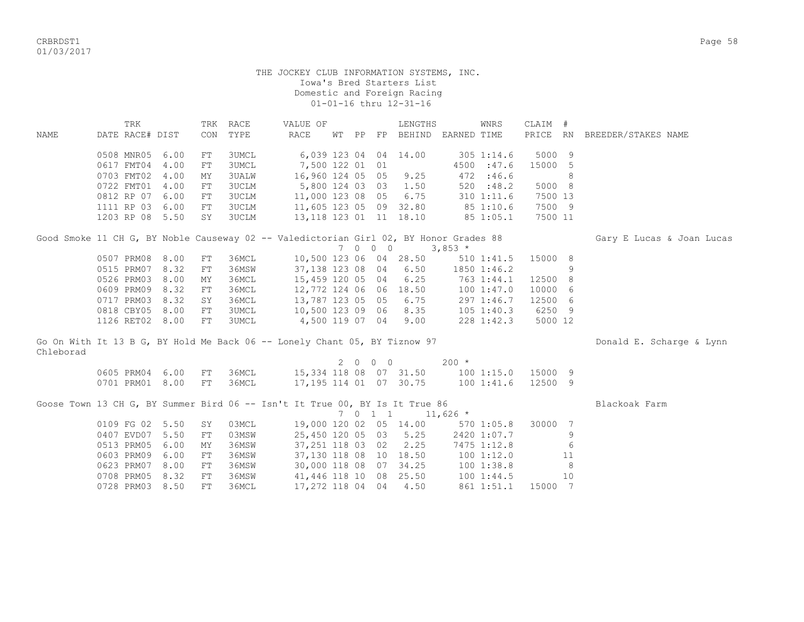CRBRDST1 Page 58 01/03/2017

## THE JOCKEY CLUB INFORMATION SYSTEMS, INC. Iowa's Bred Starters List Domestic and Foreign Racing 01-01-16 thru 12-31-16

|             | TRK                                                                                   |      | TRK | RACE         | VALUE OF               |  |         | LENGTHS                            |            | WNRS           | CLAIM # |    |                              |
|-------------|---------------------------------------------------------------------------------------|------|-----|--------------|------------------------|--|---------|------------------------------------|------------|----------------|---------|----|------------------------------|
| <b>NAME</b> | DATE RACE# DIST                                                                       |      | CON | TYPE         | <b>RACE</b>            |  |         | WT PP FP BEHIND EARNED TIME        |            |                |         |    | PRICE RN BREEDER/STAKES NAME |
|             | 0508 MNR05                                                                            | 6.00 | FT  | <b>3UMCL</b> | 6,039 123 04 04 14.00  |  |         |                                    |            | $305$ 1:14.6   | 5000 9  |    |                              |
|             | 0617 FMT04                                                                            | 4.00 | FT  | <b>3UMCL</b> | 7,500 122 01 01        |  |         |                                    |            | 4500 :47.6     | 15000 5 |    |                              |
|             | 0703 FMT02                                                                            | 4.00 | МY  | <b>3UALW</b> | 16,960 124 05 05       |  |         | 9.25                               |            | 472 :46.6      |         | 8  |                              |
|             | 0722 FMT01                                                                            | 4.00 | FT  | 3UCLM        | 5,800 124 03 03 1.50   |  |         |                                    |            | 520 : 48.2     | 5000 8  |    |                              |
|             | 0812 RP 07                                                                            | 6.00 | FT  | 3UCLM        | 11,000 123 08 05       |  |         | 6.75                               |            | 310 1:11.6     | 7500 13 |    |                              |
|             | 1111 RP 03                                                                            | 6.00 | FT  | 3UCLM        |                        |  |         | 11,605 123 05 09 32.80             |            | 85 1:10.6      | 7500 9  |    |                              |
|             | 1203 RP 08 5.50                                                                       |      | SY  | <b>3UCLM</b> |                        |  |         | 13,118 123 01 11 18.10             |            | 85 1:05.1      | 7500 11 |    |                              |
|             | Good Smoke 11 CH G, BY Noble Causeway 02 -- Valedictorian Girl 02, BY Honor Grades 88 |      |     |              |                        |  |         |                                    |            |                |         |    | Gary E Lucas & Joan Lucas    |
|             |                                                                                       |      |     |              |                        |  |         | 7 0 0 0 3,853 $*$                  |            |                |         |    |                              |
|             | 0507 PRM08                                                                            | 8.00 | FT  | 36MCL        | 10,500 123 06 04 28.50 |  |         |                                    |            | 510 1:41.5     | 15000 8 |    |                              |
|             | 0515 PRM07                                                                            | 8.32 | FT  | 36MSW        | 37,138 123 08 04       |  |         | 6.50                               |            | 1850 1:46.2    |         | 9  |                              |
|             | 0526 PRM03                                                                            | 8.00 | MY  | 36MCL        | 15,459 120 05 04       |  |         | 6.25                               | 763 1:44.1 |                | 12500 8 |    |                              |
|             | 0609 PRM09                                                                            | 8.32 | FT  | 36MCL        | 12,772 124 06 06       |  |         | 18.50                              | 1001:47.0  |                | 10000 6 |    |                              |
|             | 0717 PRM03                                                                            | 8.32 | SY  | 36MCL        | 13,787 123 05 05       |  |         | 6.75                               |            | 297 1:46.7     | 12500 6 |    |                              |
|             | 0818 CBY05                                                                            | 8.00 | FT  | 3UMCL        | 10,500 123 09 06       |  |         | 8.35                               |            | $105$ $1:40.3$ | 6250 9  |    |                              |
|             | 1126 RET02 8.00                                                                       |      | FT  | 3UMCL        | 4,500 119 07 04        |  |         | 9.00                               |            | 228 1:42.3     | 5000 12 |    |                              |
|             | Go On With It 13 B G, BY Hold Me Back 06 -- Lonely Chant 05, BY Tiznow 97             |      |     |              |                        |  |         |                                    |            |                |         |    | Donald E. Scharge & Lynn     |
| Chleborad   |                                                                                       |      |     |              |                        |  |         |                                    |            |                |         |    |                              |
|             |                                                                                       |      |     |              |                        |  | 2000    |                                    | $200 *$    |                |         |    |                              |
|             | 0605 PRM04 6.00                                                                       |      | FT  | 36MCL        |                        |  |         | 15,334 118 08 07 31.50 100 1:15.0  |            |                | 15000 9 |    |                              |
|             | 0701 PRM01 8.00                                                                       |      | FT  | 36MCL        |                        |  |         | 17, 195 114 01 07 30.75 100 1:41.6 |            |                | 12500 9 |    |                              |
|             | Goose Town 13 CH G, BY Summer Bird 06 -- Isn't It True 00, BY Is It True 86           |      |     |              |                        |  |         |                                    |            |                |         |    | Blackoak Farm                |
|             |                                                                                       |      |     |              |                        |  | 7 0 1 1 |                                    | $11,626$ * |                |         |    |                              |
|             | 0109 FG 02 5.50                                                                       |      | SY  | 03MCL        |                        |  |         | 19,000 120 02 05 14.00 570 1:05.8  |            |                | 30000 7 |    |                              |
|             | 0407 EVD07 5.50                                                                       |      | FT  | 03MSW        | 25,450 120 05 03       |  |         | 5.25                               |            | 2420 1:07.7    |         | 9  |                              |
|             | 0513 PRM05                                                                            | 6.00 | МY  | 36MSW        | 37,251 118 03 02       |  |         | 2.25                               |            | 7475 1:12.8    |         | 6  |                              |
|             | 0603 PRM09                                                                            | 6.00 | FT  | 36MSW        |                        |  |         | 37,130 118 08 10 18.50 100 1:12.0  |            |                |         | 11 |                              |
|             | 0623 PRM07                                                                            | 8.00 | FT  | 36MSW        |                        |  |         | 30,000 118 08 07 34.25 100 1:38.8  |            |                |         | 8  |                              |
|             | 0708 PRM05                                                                            | 8.32 | FT  | 36MSW        | 41,446 118 10 08       |  |         | 25.50                              |            | 1001:44.5      |         | 10 |                              |

0728 PRM03 8.50 FT 36MCL 17,272 118 04 04 4.50 861 1:51.1 15000 7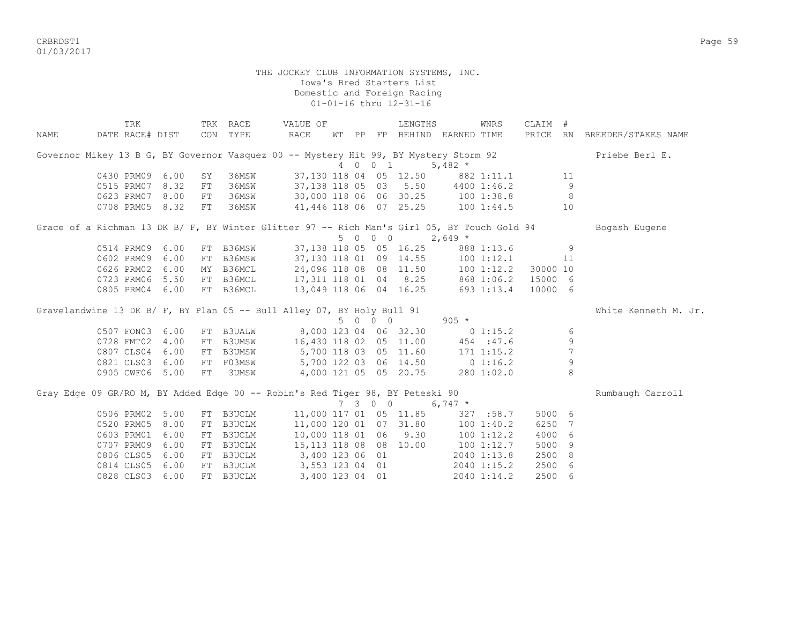CRBRDST1 Page 59 01/03/2017

|      | TRK                                                                                         |      |            | TRK RACE      | VALUE OF                          |  |                             | LENGTHS                           |                | WNRS           | CLAIM #  |    |                              |
|------|---------------------------------------------------------------------------------------------|------|------------|---------------|-----------------------------------|--|-----------------------------|-----------------------------------|----------------|----------------|----------|----|------------------------------|
| NAME | DATE RACE# DIST                                                                             |      |            | CON TYPE      | RACE                              |  |                             | WT PP FP BEHIND EARNED TIME       |                |                |          |    | PRICE RN BREEDER/STAKES NAME |
|      | Governor Mikey 13 B G, BY Governor Vasquez 00 -- Mystery Hit 99, BY Mystery Storm 92        |      |            |               |                                   |  |                             |                                   |                |                |          |    | Priebe Berl E.               |
|      |                                                                                             |      |            |               |                                   |  | 4 0 0 1                     |                                   | 5,482 $*$      |                |          |    |                              |
|      | 0430 PRM09 6.00                                                                             |      | SY         | 36MSW         | 37,130 118 04 05 12.50 882 1:11.1 |  |                             |                                   |                |                |          | 11 |                              |
|      | 0515 PRM07 8.32                                                                             |      | FT         | 36MSW         | 37,138 118 05 03 5.50 4400 1:46.2 |  |                             |                                   |                |                |          | 9  |                              |
|      | 0623 PRM07 8.00                                                                             |      | FT         | 36MSW         |                                   |  |                             | 30,000 118 06 06 30.25 100 1:38.8 |                |                |          | 8  |                              |
|      | 0708 PRM05                                                                                  | 8.32 | ${\rm FT}$ | 36MSW         |                                   |  |                             | 41,446 118 06 07 25.25 100 1:44.5 |                |                |          | 10 |                              |
|      | Grace of a Richman 13 DK B/ F, BY Winter Glitter 97 -- Rich Man's Girl 05, BY Touch Gold 94 |      |            |               |                                   |  | 5 0 0 0                     | $2,649$ *                         |                |                |          |    | Bogash Eugene                |
|      | 0514 PRM09                                                                                  | 6.00 | FT         | B36MSW        |                                   |  |                             | 37,138 118 05 05 16.25            |                | 888 1:13.6     |          | 9  |                              |
|      | 0602 PRM09                                                                                  | 6.00 | FT         | B36MSW        | 37,130 118 01 09 14.55            |  |                             |                                   |                | $100$ $1:12.1$ |          | 11 |                              |
|      | 0626 PRM02 6.00                                                                             |      |            | MY B36MCL     | 24,096 118 08 08 11.50 100 1:12.2 |  |                             |                                   |                |                | 30000 10 |    |                              |
|      | 0723 PRM06 5.50                                                                             |      |            | FT B36MCL     | 17,311 118 01 04 8.25 868 1:06.2  |  |                             |                                   |                |                | 15000 6  |    |                              |
|      | 0805 PRM04 6.00                                                                             |      |            | FT B36MCL     | 13,049 118 06 04 16.25 693 1:13.4 |  |                             |                                   |                |                | 10000 6  |    |                              |
|      | Gravelandwine 13 DK B/ F, BY Plan 05 -- Bull Alley 07, BY Holy Bull 91                      |      |            |               |                                   |  |                             |                                   |                |                |          |    | White Kenneth M. Jr.         |
|      |                                                                                             |      |            |               |                                   |  | 5 0 0 0                     |                                   | $905 *$        |                |          |    |                              |
|      | 0507 FON03 6.00                                                                             |      | FT         |               | B3UALW 8,000 123 04 06 32.30      |  |                             |                                   | 0 1:15.2       |                |          | 6  |                              |
|      | 0728 FMT02                                                                                  | 4.00 | FT         | <b>B3UMSW</b> | 16,430 118 02 05 11.00            |  |                             |                                   | 454 : 47.6     |                |          | 9  |                              |
|      | 0807 CLS04                                                                                  | 6.00 | FT         | <b>B3UMSW</b> | 5,700 118 03 05 11.60             |  |                             |                                   | $171$ $1:15.2$ |                |          | 7  |                              |
|      | 0821 CLS03                                                                                  | 6.00 | FT         | F03MSW        | 5,700 122 03 06 14.50 0 1:16.2    |  |                             |                                   |                |                |          | 9  |                              |
|      | 0905 CWF06 5.00                                                                             |      | FT         | 3UMSW         | 4,000 121 05 05 20.75             |  |                             |                                   |                | 280 1:02.0     |          | 8  |                              |
|      | Gray Edge 09 GR/RO M, BY Added Edge 00 -- Robin's Red Tiger 98, BY Peteski 90               |      |            |               |                                   |  | $7 \quad 3 \quad 0 \quad 0$ |                                   | 6,747 $*$      |                |          |    | Rumbaugh Carroll             |
|      | 0506 PRM02 5.00                                                                             |      | FT         | B3UCLM        | 11,000 117 01 05 11.85            |  |                             |                                   |                | 327 :58.7      | 5000 6   |    |                              |
|      | 0520 PRM05                                                                                  | 8.00 | FT         | B3UCLM        | 11,000 120 01 07 31.80 100 1:40.2 |  |                             |                                   |                |                | 6250     | 7  |                              |
|      | 0603 PRM01                                                                                  | 6.00 | FT         | B3UCLM        | 10,000 118 01 06 9.30             |  |                             |                                   | $100$ $1:12.2$ |                | 4000 6   |    |                              |
|      | 0707 PRM09                                                                                  | 6.00 | FT         | B3UCLM        | 15,113 118 08 08 10.00            |  |                             |                                   | $100$ $1:12.7$ |                | 5000     | 9  |                              |
|      | 0806 CLS05                                                                                  | 6.00 | FT         | B3UCLM        | 3,400 123 06 01                   |  |                             |                                   |                | 2040 1:13.8    | 2500 8   |    |                              |
|      | 0814 CLS05 6.00                                                                             |      | FT         | B3UCLM        | 3,553 123 04 01                   |  |                             |                                   |                | $2040$ 1:15.2  | 2500 6   |    |                              |
|      | 0828 CLS03                                                                                  | 6.00 | FT         | <b>B3UCLM</b> | 3,400 123 04 01                   |  |                             |                                   |                | 2040 1:14.2    | 2500 6   |    |                              |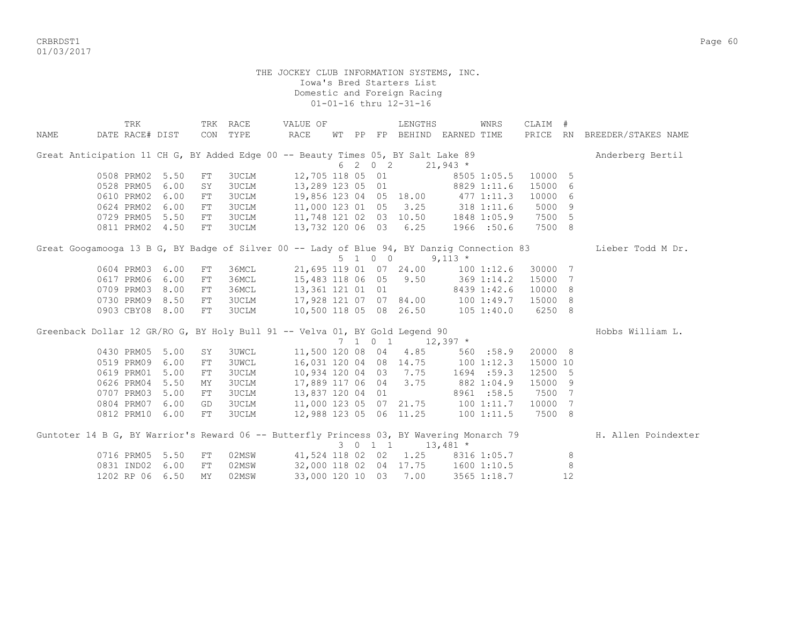CRBRDST1 Page 60 01/03/2017

| TRK                                                                                        |                 |            | TRK RACE     | VALUE OF                                |  |         | LENGTHS                |                             | WNRS         | CLAIM #  |                |                                                                                                              |
|--------------------------------------------------------------------------------------------|-----------------|------------|--------------|-----------------------------------------|--|---------|------------------------|-----------------------------|--------------|----------|----------------|--------------------------------------------------------------------------------------------------------------|
| NAME                                                                                       | DATE RACE# DIST | CON TYPE   |              | RACE                                    |  |         |                        | WT PP FP BEHIND EARNED TIME |              |          |                | PRICE RN BREEDER/STAKES NAME                                                                                 |
| Great Anticipation 11 CH G, BY Added Edge 00 -- Beauty Times 05, BY Salt Lake 89           |                 |            |              |                                         |  |         |                        |                             |              |          |                | Anderberg Bertil                                                                                             |
|                                                                                            |                 |            |              |                                         |  | 6 2 0 2 |                        | $21,943$ *                  |              |          |                |                                                                                                              |
|                                                                                            | 0508 PRM02 5.50 | FT         | 3UCLM        | 12,705 118 05 01                        |  |         |                        |                             | 8505 1:05.5  | 10000 5  |                |                                                                                                              |
| 0528 PRM05                                                                                 | 6.00            | SY         | 3UCLM        | 13,289 123 05 01                        |  |         |                        |                             | 8829 1:11.6  | 15000    | - 6            |                                                                                                              |
| 0610 PRM02                                                                                 | 6.00            | ${\rm FT}$ | <b>3UCLM</b> | 19,856 123 04 05 18.00 477 1:11.3       |  |         |                        |                             |              | 10000    | - 6            |                                                                                                              |
| 0624 PRM02                                                                                 | 6.00            | ${\rm FT}$ | 3UCLM        | 11,000 123 01 05                        |  |         |                        | $3.25$ $318$ $1:11.6$       |              | 5000     | - 9            |                                                                                                              |
| 0729 PRM05                                                                                 | 5.50            | FT         | 3UCLM        | 11,748 121 02 03 10.50 1848 1:05.9      |  |         |                        |                             |              | 7500 5   |                |                                                                                                              |
|                                                                                            | 0811 PRM02 4.50 | FT         | <b>3UCLM</b> | 13,732 120 06 03 6.25 1966 :50.6        |  |         |                        |                             |              | 7500 8   |                |                                                                                                              |
| Great Googamooga 13 B G, BY Badge of Silver 00 -- Lady of Blue 94, BY Danzig Connection 83 |                 |            |              |                                         |  |         |                        |                             |              |          |                | Lieber Todd M Dr.                                                                                            |
|                                                                                            |                 |            |              |                                         |  | 5 1 0 0 |                        | $9,113$ *                   |              |          |                |                                                                                                              |
|                                                                                            | 0604 PRM03 6.00 | FT         | 36MCL        |                                         |  |         | 21,695 119 01 07 24.00 |                             | 1001:12.6    | 30000    | 7              |                                                                                                              |
| 0617 PRM06                                                                                 | 6.00            | ${\rm FT}$ | 36MCL        | 15,483 118 06 05 9.50                   |  |         |                        | 369 1:14.2                  |              | 15000    | 7              |                                                                                                              |
| 0709 PRM03                                                                                 | 8.00            | FT         | 36MCL        | 13,361 121 01 01                        |  |         |                        | 8439 1:42.6                 |              | 10000    | 8 <sup>8</sup> |                                                                                                              |
|                                                                                            | 0730 PRM09 8.50 | FT         | 3UCLM        | 17,928 121 07 07 84.00 100 1:49.7       |  |         |                        |                             |              | 15000 8  |                |                                                                                                              |
|                                                                                            | 0903 CBY08 8.00 | FT         | 3UCLM        | 10,500 118 05 08 26.50 105 1:40.0       |  |         |                        |                             |              | 6250 8   |                |                                                                                                              |
| Greenback Dollar 12 GR/RO G, BY Holy Bull 91 -- Velva 01, BY Gold Legend 90                |                 |            |              |                                         |  |         |                        |                             |              |          |                | Hobbs William L.                                                                                             |
|                                                                                            |                 |            |              |                                         |  |         | 7 1 0 1 12,397 $*$     |                             |              |          |                |                                                                                                              |
|                                                                                            | 0430 PRM05 5.00 | SY         | <b>3UWCL</b> |                                         |  |         | 11,500 120 08 04 4.85  |                             | 560 :58.9    | 20000 8  |                |                                                                                                              |
|                                                                                            | 0519 PRM09 6.00 | FT         | <b>3UWCL</b> | 16,031 120 04 08 14.75 100 1:12.3       |  |         |                        |                             |              | 15000 10 |                |                                                                                                              |
|                                                                                            | 0619 PRM01 5.00 | ${\rm FT}$ | <b>3UCLM</b> | 10,934 120 04 03 7.75                   |  |         |                        |                             | $1694$ :59.3 | 12500 5  |                |                                                                                                              |
|                                                                                            | 0626 PRM04 5.50 | ΜY         | <b>3UCLM</b> | 17,889 117 06 04 3.75                   |  |         |                        | 882 1:04.9                  |              | 15000    | - 9            |                                                                                                              |
|                                                                                            | 0707 PRM03 5.00 | ${\rm FT}$ | 3UCLM        | 13,837 120 04 01                        |  |         |                        |                             | 8961 :58.5   | 7500     | 7              |                                                                                                              |
|                                                                                            | 0804 PRM07 6.00 | GD         | <b>3UCLM</b> | 11,000 123 05 07 21.75 100 1:11.7       |  |         |                        |                             |              | 10000    | 7              |                                                                                                              |
|                                                                                            | 0812 PRM10 6.00 | FT         | 3UCLM        | 12,988 123 05 06 11.25 100 1:11.5       |  |         |                        |                             |              | 7500 8   |                |                                                                                                              |
|                                                                                            |                 |            |              |                                         |  |         |                        |                             |              |          |                | Guntoter 14 B G, BY Warrior's Reward 06 -- Butterfly Princess 03, BY Wavering Monarch 79 H. Allen Poindexter |
|                                                                                            |                 |            |              |                                         |  | 3 0 1 1 |                        | $13,481$ *                  |              |          |                |                                                                                                              |
|                                                                                            | 0716 PRM05 5.50 | FT         |              | 02MSW 41,524 118 02 02 1.25 8316 1:05.7 |  |         |                        |                             |              |          | 8              |                                                                                                              |
|                                                                                            | 0831 IND02 6.00 | ${\rm FT}$ | 02MSW        | 32,000 118 02 04 17.75 1600 1:10.5      |  |         |                        |                             |              |          | 8              |                                                                                                              |
|                                                                                            | 1202 RP 06 6.50 | MY         | 02MSW        |                                         |  |         | 33,000 120 10 03 7.00  |                             | 3565 1:18.7  |          | 12             |                                                                                                              |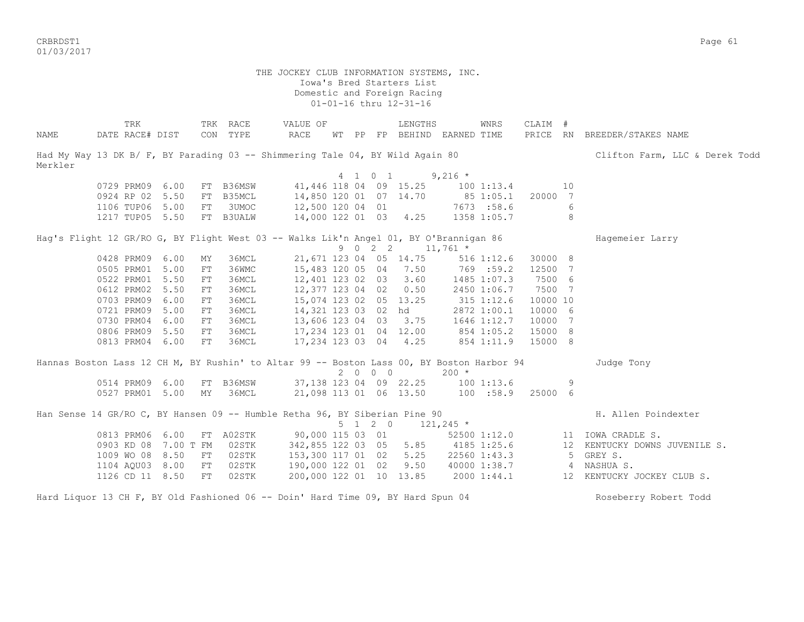CRBRDST1 Page 61 01/03/2017

|         | TRK             |                      |            | TRK RACE  | VALUE OF                                                                                  |  |         | LENGTHS                            |             | WNRS           | CLAIM #  |                |                                |
|---------|-----------------|----------------------|------------|-----------|-------------------------------------------------------------------------------------------|--|---------|------------------------------------|-------------|----------------|----------|----------------|--------------------------------|
| NAME    | DATE RACE# DIST |                      |            | CON TYPE  | RACE                                                                                      |  |         | WT PP FP BEHIND EARNED TIME        |             |                |          |                | PRICE RN BREEDER/STAKES NAME   |
| Merkler |                 |                      |            |           | Had My Way 13 DK B/ F, BY Parading 03 -- Shimmering Tale 04, BY Wild Again 80             |  |         |                                    |             |                |          |                | Clifton Farm, LLC & Derek Todd |
|         |                 |                      |            |           |                                                                                           |  | 4 1 0 1 |                                    | $9,216$ *   |                |          |                |                                |
|         | 0729 PRM09 6.00 |                      |            | FT B36MSW | 41,446 118 04 09 15.25 100 1:13.4                                                         |  |         |                                    |             |                |          | 10             |                                |
|         |                 | 0924 RP 02 5.50      |            | FT B35MCL | 14,850 120 01 07 14.70 85 1:05.1                                                          |  |         |                                    |             |                | 20000 7  |                |                                |
|         |                 | 1106 TUP06 5.00      | FT         | 3UMOC     | 12,500 120 04 01 7673 :58.6                                                               |  |         |                                    |             |                |          | 6              |                                |
|         |                 | 1217 TUP05 5.50      |            | FT B3UALW | 14,000 122 01 03 4.25 1358 1:05.7                                                         |  |         |                                    |             |                |          | 8 <sup>8</sup> |                                |
|         |                 |                      |            |           | Hag's Flight 12 GR/RO G, BY Flight West 03 -- Walks Lik'n Angel 01, BY O'Brannigan 86     |  |         |                                    |             |                |          |                | Hagemeier Larry                |
|         |                 |                      |            |           |                                                                                           |  |         | 9 0 2 2 11,761 $*$                 |             |                |          |                |                                |
|         | 0428 PRM09 6.00 |                      | MΥ         | 36MCL     |                                                                                           |  |         | 21,671 123 04 05 14.75             |             | $516$ $1:12.6$ | 30000 8  |                |                                |
|         | 0505 PRM01 5.00 |                      | ${\rm FT}$ | 36WMC     |                                                                                           |  |         | 15,483 120 05 04 7.50              | 769 : 59.2  |                | 12500 7  |                |                                |
|         | 0522 PRM01 5.50 |                      | FT         | 36MCL     |                                                                                           |  |         | 12,401 123 02 03 3.60              | 1485 1:07.3 |                | 7500 6   |                |                                |
|         | 0612 PRM02      | 5.50                 | FT         | 36MCL     |                                                                                           |  |         | 12,377 123 04 02 0.50              |             | 2450 1:06.7    | 7500 7   |                |                                |
|         | 0703 PRM09      | 6.00                 | FT         | 36MCL     |                                                                                           |  |         | 15,074 123 02 05 13.25             | 315 1:12.6  |                | 10000 10 |                |                                |
|         | 0721 PRM09      | 5.00                 | FT         | 36MCL     |                                                                                           |  |         | 14,321 123 03 02 hd                |             | 2872 1:00.1    | 10000 6  |                |                                |
|         | 0730 PRM04 6.00 |                      | FT         | 36MCL     |                                                                                           |  |         | 13,606 123 04 03 3.75 1646 1:12.7  |             |                | 10000 7  |                |                                |
|         | 0806 PRM09      | 5.50                 | FT         | 36MCL     |                                                                                           |  |         | 17, 234 123 01 04 12.00 854 1:05.2 |             |                | 15000 8  |                |                                |
|         | 0813 PRM04 6.00 |                      | FT         | 36MCL     |                                                                                           |  |         | 17, 234 123 03 04 4.25 854 1:11.9  |             |                | 15000 8  |                |                                |
|         |                 |                      |            |           | Hannas Boston Lass 12 CH M, BY Rushin' to Altar 99 -- Boston Lass 00, BY Boston Harbor 94 |  |         |                                    |             |                |          |                | Judge Tony                     |
|         |                 |                      |            |           |                                                                                           |  | 2000    |                                    | $200 *$     |                |          |                |                                |
|         |                 | 0514 PRM09 6.00      |            |           | FT B36MSW 37,138 123 04 09 22.25 100 1:13.6                                               |  |         |                                    |             |                |          | 9              |                                |
|         |                 | 0527 PRM01 5.00      | MY         | 36MCL     | 21,098 113 01 06 13.50 100 :58.9 25000 6                                                  |  |         |                                    |             |                |          |                |                                |
|         |                 |                      |            |           | Han Sense 14 GR/RO C, BY Hansen 09 -- Humble Retha 96, BY Siberian Pine 90                |  |         |                                    |             |                |          |                | H. Allen Poindexter            |
|         |                 |                      |            |           |                                                                                           |  |         | $5 \t1 \t2 \t0 \t121,245 \t*$      |             |                |          |                |                                |
|         | 0813 PRM06 6.00 |                      |            | FT A02STK |                                                                                           |  |         | 90,000 115 03 01                   |             | 52500 1:12.0   |          |                | 11 IOWA CRADLE S.              |
|         |                 | 0903 KD 08 7.00 T FM |            | 02STK     |                                                                                           |  |         | 342,855 122 03 05 5.85 4185 1:25.6 |             |                |          |                | 12 KENTUCKY DOWNS JUVENILE S.  |
|         | 1009 WO 08 8.50 |                      | FT         | 02STK     |                                                                                           |  |         | 153,300 117 01 02 5.25             |             | 22560 1:43.3   |          |                | 5 GREY S.                      |
|         |                 | 1104 AQU03 8.00      | FT         | 02STK     |                                                                                           |  |         | 190,000 122 01 02 9.50             |             |                |          |                | 40000 1:38.7 4 NASHUA S.       |
|         |                 | 1126 CD 11 8.50      | FT         | 02STK     |                                                                                           |  |         | 200,000 122 01 10 13.85            | 20001:44.1  |                |          |                | 12 KENTUCKY JOCKEY CLUB S.     |
|         |                 |                      |            |           | Hard Liquor 13 CH F, BY Old Fashioned 06 -- Doin' Hard Time 09, BY Hard Spun 04           |  |         |                                    |             |                |          |                | Roseberry Robert Todd          |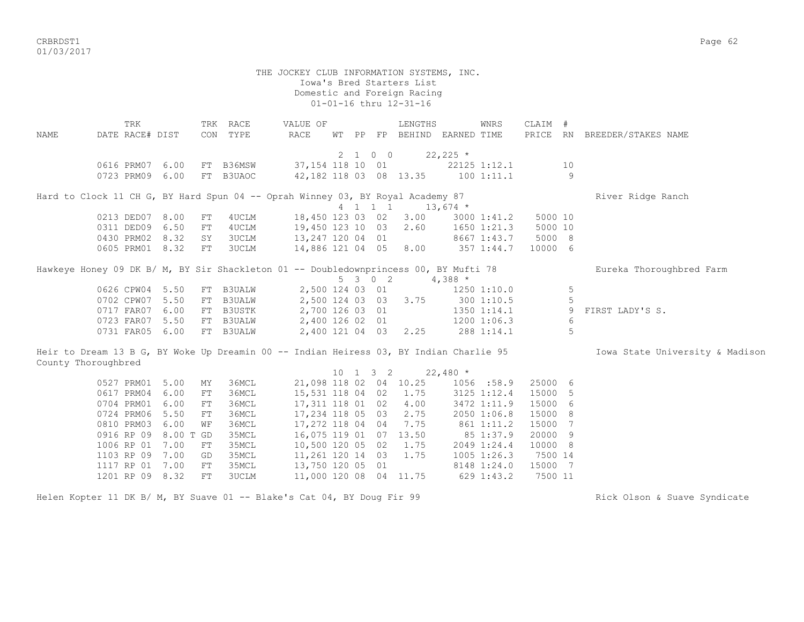CRBRDST1 Page 62 01/03/2017

 THE JOCKEY CLUB INFORMATION SYSTEMS, INC. Iowa's Bred Starters List Domestic and Foreign Racing 01-01-16 thru 12-31-16 TRK TRK RACE VALUE OF LENGTHS WNRS CLAIM # NAME DATE RACE# DIST CON TYPE RACE WT PP FP BEHIND EARNED TIME PRICE RN BREEDER/STAKES NAME 2 1 0 0 22,225  $*$ 0616 PRM07 6.00 FT B36MSW 37,154 118 10 01 22125 1:12.1 10 0723 PRM09 6.00 FT B3UAOC 42,182 118 03 08 13.35 100 1:11.1 9 Hard to Clock 11 CH G, BY Hard Spun 04 -- Oprah Winney 03, BY Royal Academy 87 River Ridge Ranch 4 1 1 1 13,674 \* 0213 DED07 8.00 FT 4UCLM 18,450 123 03 02 3.00 3000 1:41.2 5000 10 0311 DED09 6.50 FT 4UCLM 19,450 123 10 03 2.60 1650 1:21.3 5000 10 0430 PRM02 8.32 SY 3UCLM 13,247 120 04 01 8667 1:43.7 5000 8 0605 PRM01 8.32 FT 3UCLM 14,886 121 04 05 8.00 357 1:44.7 10000 6 Hawkeye Honey 09 DK B/ M, BY Sir Shackleton 01 -- Doubledownprincess 00, BY Mufti 78 Eureka Thoroughbred Farm 5 3 0 2 4,388 \* 0626 CPW04 5.50 FT B3UALW 2,500 124 03 01 1250 1:10.0 5 0702 CPW07 5.50 FT B3UALW 2,500 124 03 03 3.75 300 1:10.5 5<br>0717 FAR07 6.00 FT B3USTK 2,700 126 03 01 1350 1:14.1 9 FIRST LADY'S S. 0717 FAR07 6.00 FT B3USTK 2,700 126 03 01 1350 1:14.1 0723 FAR07 5.50 FT B3UALW 2,400 126 02 01 1200 1:06.3 6 0731 FAR05 6.00 FT B3UALW 2,400 121 04 03 2.25 288 1:14.1 5 Heir to Dream 13 B G, BY Woke Up Dreamin 00 -- Indian Heiress 03, BY Indian Charlie 95 **Iowa State University & Madison** County Thoroughbred 10 1 3 2 22,480 \* 0527 PRM01 5.00 MY 36MCL 21,098 118 02 04 10.25 1056 :58.9 25000 6 0617 PRM04 6.00 FT 36MCL 15,531 118 04 02 1.75 3125 1:12.4 15000 5 0704 PRM01 6.00 FT 36MCL 17,311 118 01 02 4.00 3472 1:11.9 15000 6<br>0724 PRM06 5.50 FT 36MCL 17,234 118 05 03 2.75 2050 1:06.8 15000 8 0724 PRM06 5.50 FT 36MCL 17,234 118 05 03 2.75 0810 PRM03 6.00 WF 36MCL 17,272 118 04 04 7.75 861 1:11.2 15000 7 0916 RP 09 8.00 T GD 35MCL 16,075 119 01 07 13.50 85 1:37.9 20000 9 1006 RP 01 7.00 FT 35MCL 10,500 120 05 02 1.75 2049 1:24.4 10000 8 1103 RP 09 7.00 GD 35MCL 11,261 120 14 03 1.75 1005 1:26.3 7500 14 1117 RP 01 7.00 FT 35MCL 13,750 120 05 01 8148 1:24.0 15000 7 1201 RP 09 8.32 FT 3UCLM 11,000 120 08 04 11.75 629 1:43.2 7500 11

Helen Kopter 11 DK B/ M, BY Suave 01 -- Blake's Cat 04, BY Doug Fir 99 Rick Olson & Suave Syndicate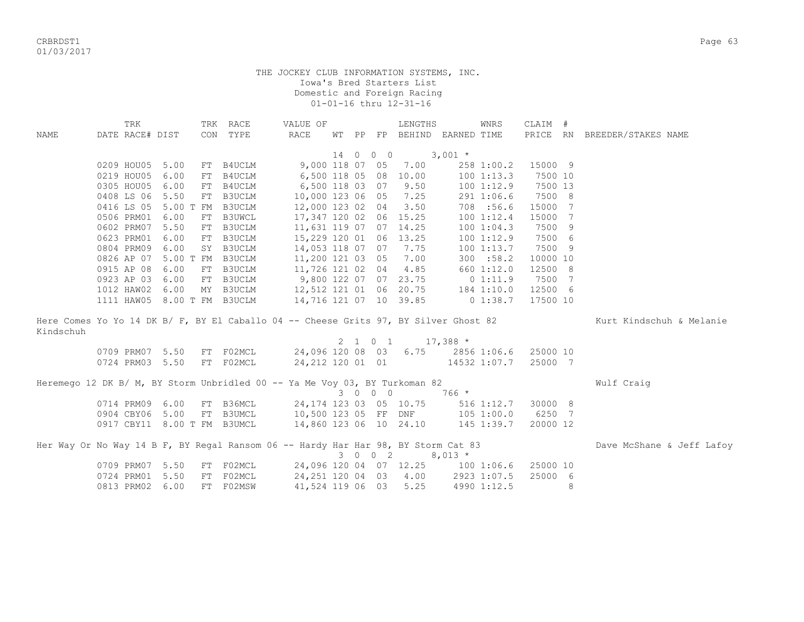CRBRDST1 Page 63 01/03/2017

|                                                                                      | TRK                         |              |    | TRK RACE                                                                                              | VALUE OF                          |  |          | LENGTHS                |                                            | WNRS           | CLAIM #  |   |                              |
|--------------------------------------------------------------------------------------|-----------------------------|--------------|----|-------------------------------------------------------------------------------------------------------|-----------------------------------|--|----------|------------------------|--------------------------------------------|----------------|----------|---|------------------------------|
| NAME                                                                                 | DATE RACE# DIST             |              |    | CON TYPE                                                                                              | RACE                              |  |          |                        | WT PP FP BEHIND EARNED TIME                |                |          |   | PRICE RN BREEDER/STAKES NAME |
|                                                                                      |                             |              |    |                                                                                                       |                                   |  | 14 0 0 0 | $3,001$ *              |                                            |                |          |   |                              |
|                                                                                      | 0209 HOU05                  | 5.00         |    | FT B4UCLM 9,000 118 07 05 7.00                                                                        |                                   |  |          |                        |                                            | 258 1:00.2     | 15000 9  |   |                              |
|                                                                                      | 0219 HOU05                  | 6.00         | FT | B4UCLM                                                                                                | 6,500 118 05 08 10.00             |  |          |                        |                                            | 1001:13.3      | 7500 10  |   |                              |
|                                                                                      | 0305 HOU05                  | 6.00         |    | FT B4UCLM 6,500 118 03 07                                                                             |                                   |  |          | 9.50                   |                                            | 1001:12.9      | 7500 13  |   |                              |
|                                                                                      | 0408 LS 06 5.50             |              |    | FT B3UCLM                                                                                             | 10,000 123 06 05                  |  |          | 7.25                   |                                            | 291 1:06.6     | 7500 8   |   |                              |
|                                                                                      | 0416 LS 05                  |              |    | 5.00 T FM B3UCLM                                                                                      | 12,000 123 02 04                  |  |          | 3.50                   |                                            | 708 :56.6      | 15000 7  |   |                              |
|                                                                                      | 0506 PRM01                  | 6.00         |    | FT B3UWCL                                                                                             |                                   |  |          | 17,347 120 02 06 15.25 |                                            | 100 1:12.4     | 15000 7  |   |                              |
|                                                                                      | 0602 PRM07                  |              |    | 5.50 FT B3UCLM                                                                                        | 11,631 119 07 07 14.25            |  |          |                        |                                            | 100 1:04.3     | 7500 9   |   |                              |
|                                                                                      |                             |              |    |                                                                                                       |                                   |  |          |                        |                                            | $100$ $1:12.9$ | 7500 6   |   |                              |
|                                                                                      |                             |              |    | 0623 PRM01 6.00 FT B3UCLM 15, 229 120 01 06 13.25<br>0804 PRM09 6.00 SY B3UCLM 14, 053 118 07 07 7.75 |                                   |  |          |                        |                                            | 1001:13.7      | 7500 9   |   |                              |
|                                                                                      | 0826 AP 07                  |              |    |                                                                                                       |                                   |  |          | 7.00                   |                                            | 300 : 58.2     | 10000 10 |   |                              |
|                                                                                      | 0915 AP 08                  | 6.00         |    | 5.00 T FM B3UCLM 11,200 121 03 05<br>FT B3UCLM                                                        | 11,726 121 02 04 4.85             |  |          |                        |                                            | 660 1:12.0     | 12500 8  |   |                              |
|                                                                                      |                             |              |    | FT B3UCLM 9,800 122 07 07 23.75 0 1:11.9                                                              |                                   |  |          |                        |                                            |                | 7500 7   |   |                              |
|                                                                                      | 0923 AP 03<br>1012 HAW02    | 6.00<br>6.00 |    | MY B3UCLM 12,512 121 01 06 20.75                                                                      |                                   |  |          |                        |                                            | 184 1:10.0     | 12500 6  |   |                              |
|                                                                                      |                             |              |    |                                                                                                       |                                   |  |          |                        |                                            |                |          |   |                              |
|                                                                                      | 1111 HAW05 8.00 T FM B3UCLM |              |    |                                                                                                       | 14,716 121 07 10 39.85 0 1:38.7   |  |          |                        |                                            |                | 17500 10 |   |                              |
| Here Comes Yo Yo 14 DK B/ F, BY El Caballo 04 -- Cheese Grits 97, BY Silver Ghost 82 |                             |              |    |                                                                                                       |                                   |  |          |                        |                                            |                |          |   | Kurt Kindschuh & Melanie     |
| Kindschuh                                                                            |                             |              |    |                                                                                                       |                                   |  |          |                        |                                            |                |          |   |                              |
|                                                                                      |                             |              |    |                                                                                                       |                                   |  |          | 2 1 0 1 17,388 $*$     |                                            |                |          |   |                              |
|                                                                                      |                             |              |    | 0709 PRM07 5.50 FT F02MCL 24,096 120 08 03 6.75 2856 1:06.6 25000 10                                  |                                   |  |          |                        |                                            |                |          |   |                              |
|                                                                                      |                             |              |    | 0724 PRM03 5.50 FT F02MCL 24, 212 120 01 01 14532 1:07.7 25000 7                                      |                                   |  |          |                        |                                            |                |          |   |                              |
| Heremego 12 DK B/ M, BY Storm Unbridled 00 -- Ya Me Voy 03, BY Turkoman 82           |                             |              |    |                                                                                                       |                                   |  |          |                        |                                            |                |          |   | Wulf Craig                   |
|                                                                                      |                             |              |    |                                                                                                       |                                   |  | 3 0 0 0  |                        | $766*$                                     |                |          |   |                              |
|                                                                                      | 0714 PRM09 6.00             |              |    | FT B36MCL 24,174 123 03 05 10.75 516 1:12.7                                                           |                                   |  |          |                        |                                            |                | 30000 8  |   |                              |
|                                                                                      |                             |              |    | 0904 CBY06 5.00 FT B3UMCL 10,500 123 05 FF DNF 105 1:00.0                                             |                                   |  |          |                        |                                            |                | 6250 7   |   |                              |
|                                                                                      | 0917 CBY11 8.00 T FM B3UMCL |              |    |                                                                                                       | 14,860 123 06 10 24.10 145 1:39.7 |  |          |                        |                                            |                | 20000 12 |   |                              |
|                                                                                      |                             |              |    |                                                                                                       |                                   |  |          |                        |                                            |                |          |   |                              |
| Her Way Or No Way 14 B F, BY Regal Ransom 06 -- Hardy Har Har 98, BY Storm Cat 83    |                             |              |    |                                                                                                       |                                   |  |          |                        |                                            |                |          |   | Dave McShane & Jeff Lafoy    |
|                                                                                      |                             |              |    |                                                                                                       |                                   |  |          | 3 0 0 2 8,013 $*$      |                                            |                |          |   |                              |
|                                                                                      | 0709 PRM07 5.50             |              |    | FT FO2MCL                                                                                             |                                   |  |          |                        | 24,096 120 04 07 12.25 100 1:06.6 25000 10 |                |          |   |                              |
|                                                                                      | 0724 PRM01 5.50             |              |    | FT F02MCL                                                                                             |                                   |  |          |                        | 24, 251 120 04 03 4.00 2923 1:07.5         |                | 25000 6  |   |                              |
|                                                                                      | 0813 PRM02 6.00             |              |    | FT F02MSW                                                                                             | 41,524 119 06 03                  |  |          | 5.25                   |                                            | 4990 1:12.5    |          | 8 |                              |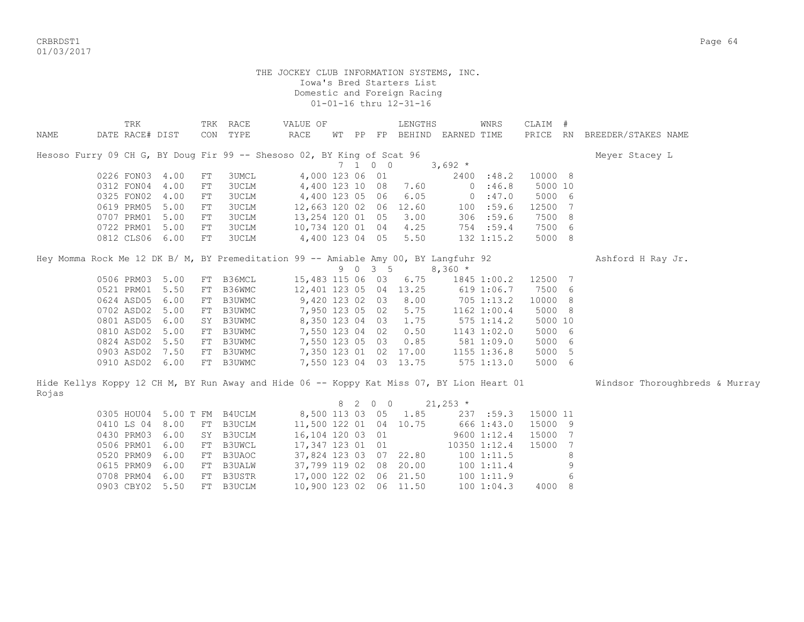CRBRDST1 Page 64 01/03/2017

|       | TRK             |                 |            | TRK RACE                                                                                  | VALUE OF               |           |                |            | LENGTHS               |                             | WNRS         | CLAIM #  |   |                                |
|-------|-----------------|-----------------|------------|-------------------------------------------------------------------------------------------|------------------------|-----------|----------------|------------|-----------------------|-----------------------------|--------------|----------|---|--------------------------------|
| NAME  | DATE RACE# DIST |                 |            | CON TYPE                                                                                  | RACE                   |           |                |            |                       | WT PP FP BEHIND EARNED TIME |              |          |   | PRICE RN BREEDER/STAKES NAME   |
|       |                 |                 |            |                                                                                           |                        |           |                |            |                       |                             |              |          |   |                                |
|       |                 |                 |            | Hesoso Furry 09 CH G, BY Doug Fir 99 -- Shesoso 02, BY King of Scat 96                    |                        |           |                |            |                       |                             |              |          |   | Meyer Stacey L                 |
|       |                 |                 |            |                                                                                           |                        | $7\quad1$ |                | $0\quad 0$ |                       | $3,692*$                    |              |          |   |                                |
|       | 0226 FON03 4.00 |                 | ${\rm FT}$ | 3UMCL                                                                                     | 4,000 123 06 01        |           |                |            |                       |                             | 2400 :48.2   | 10000 8  |   |                                |
|       | 0312 FON04      | 4.00            | FT         | 3UCLM                                                                                     | 4,400 123 10           |           |                | 08         | 7.60                  |                             | 0:46.8       | 5000 10  |   |                                |
|       | 0325 FON02      | 4.00            | ${\rm FT}$ | 3UCLM                                                                                     | 4,400 123 05 06        |           |                |            | 6.05                  |                             | 0:47.0       | 5000 6   |   |                                |
|       | 0619 PRM05      | 5.00            | FT         | 3UCLM                                                                                     | 12,663 120 02 06 12.60 |           |                |            |                       | 100                         | :59.6        | 12500 7  |   |                                |
|       | 0707 PRM01      | 5.00            | FT         | 3UCLM                                                                                     | 13,254 120 01 05       |           |                |            | 3.00                  |                             | 306 :59.6    | 7500 8   |   |                                |
|       | 0722 PRM01      | 5.00            | FT         | 3UCLM                                                                                     | 10,734 120 01 04       |           |                |            | 4.25                  |                             | 754 :59.4    | 7500 6   |   |                                |
|       | 0812 CLS06      | 6.00            | FT         | 3UCLM                                                                                     | 4,400 123 04 05        |           |                |            | 5.50                  |                             | 132 1:15.2   | 5000 8   |   |                                |
|       |                 |                 |            | Hey Momma Rock Me 12 DK B/ M, BY Premeditation 99 -- Amiable Amy 00, BY Langfuhr 92       |                        |           |                |            |                       |                             |              |          |   | Ashford H Ray Jr.              |
|       |                 |                 |            |                                                                                           |                        |           |                | 9 0 3 5    |                       | $8,360 *$                   |              |          |   |                                |
|       | 0506 PRM03 5.00 |                 |            | FT B36MCL                                                                                 | 15,483 115 06 03       |           |                |            | 6.75                  |                             | 1845 1:00.2  | 12500 7  |   |                                |
|       | 0521 PRM01      | 5.50            | FT         | B36WMC                                                                                    | 12,401 123 05 04 13.25 |           |                |            |                       |                             | 619 1:06.7   | 7500 6   |   |                                |
|       | 0624 ASD05      | 6.00            | FT         | B3UWMC                                                                                    | 9,420 123 02 03        |           |                |            | 8.00                  |                             | 705 1:13.2   | 10000 8  |   |                                |
|       | 0702 ASD02      | 5.00            | FT         | B3UWMC                                                                                    | 7,950 123 05 02        |           |                |            | 5.75                  |                             | 1162 1:00.4  | 5000 8   |   |                                |
|       | 0801 ASD05      | 6.00            |            | SY B3UWMC                                                                                 | 8,350 123 04 03        |           |                |            | 1.75                  |                             | 575 1:14.2   | 5000 10  |   |                                |
|       | 0810 ASD02      | 5.00            |            |                                                                                           | 7,550 123 04 02        |           |                |            | 0.50                  |                             | 1143 1:02.0  | 5000 6   |   |                                |
|       |                 |                 |            | FT B3UWMC                                                                                 |                        |           |                |            |                       |                             |              |          |   |                                |
|       | 0824 ASD02      | 5.50            |            | FT B3UWMC                                                                                 | 7,550 123 05 03        |           |                |            | 0.85                  |                             | 581 1:09.0   | 5000 6   |   |                                |
|       | 0903 ASD02      | 7.50            |            | FT B3UWMC                                                                                 |                        |           |                |            | 7,350 123 01 02 17.00 |                             | 1155 1:36.8  | 5000 5   |   |                                |
|       |                 | 0910 ASD02 6.00 |            | FT B3UWMC                                                                                 |                        |           |                |            | 7,550 123 04 03 13.75 |                             | 575 1:13.0   | 5000 6   |   |                                |
|       |                 |                 |            | Hide Kellys Koppy 12 CH M, BY Run Away and Hide 06 -- Koppy Kat Miss 07, BY Lion Heart 01 |                        |           |                |            |                       |                             |              |          |   | Windsor Thoroughbreds & Murray |
| Rojas |                 |                 |            |                                                                                           |                        |           |                |            |                       |                             |              |          |   |                                |
|       |                 |                 |            |                                                                                           |                        | 8         | $\overline{2}$ | $0\quad 0$ |                       | $21,253$ *                  |              |          |   |                                |
|       | 0305 HOU04      | 5.00 T FM       |            | B4UCLM                                                                                    | 8,500 113 03           |           |                | 05         | 1.85                  |                             | 237 :59.3    | 15000 11 |   |                                |
|       | 0410 LS 04      | 8.00            |            | FT B3UCLM                                                                                 | 11,500 122 01          |           |                |            | 04 10.75              |                             | 666 1:43.0   | 15000 9  |   |                                |
|       | 0430 PRM03      | 6.00            |            | SY B3UCLM                                                                                 | 16,104 120 03 01       |           |                |            |                       |                             | 9600 1:12.4  | 15000 7  |   |                                |
|       | 0506 PRM01      | 6.00            | FT         | B3UWCL                                                                                    | 17,347 123 01 01       |           |                |            |                       |                             | 10350 1:12.4 | 15000 7  |   |                                |
|       | 0520 PRM09      | 6.00            | FT         | B3UAOC                                                                                    | 37,824 123 03 07 22.80 |           |                |            |                       |                             | 1001:11.5    |          | 8 |                                |
|       | 0615 PRM09      | 6.00            | FT         | <b>B3UALW</b>                                                                             | 37,799 119 02 08 20.00 |           |                |            |                       |                             | 1001:11.4    |          | 9 |                                |
|       | 0708 PRM04      | 6.00            |            | FT B3USTR                                                                                 | 17,000 122 02 06 21.50 |           |                |            |                       |                             | 1001:11.9    |          | 6 |                                |
|       | 0903 CBY02      | 5.50            |            | FT B3UCLM                                                                                 | 10,900 123 02 06 11.50 |           |                |            |                       |                             | 100 1:04.3   | 4000 8   |   |                                |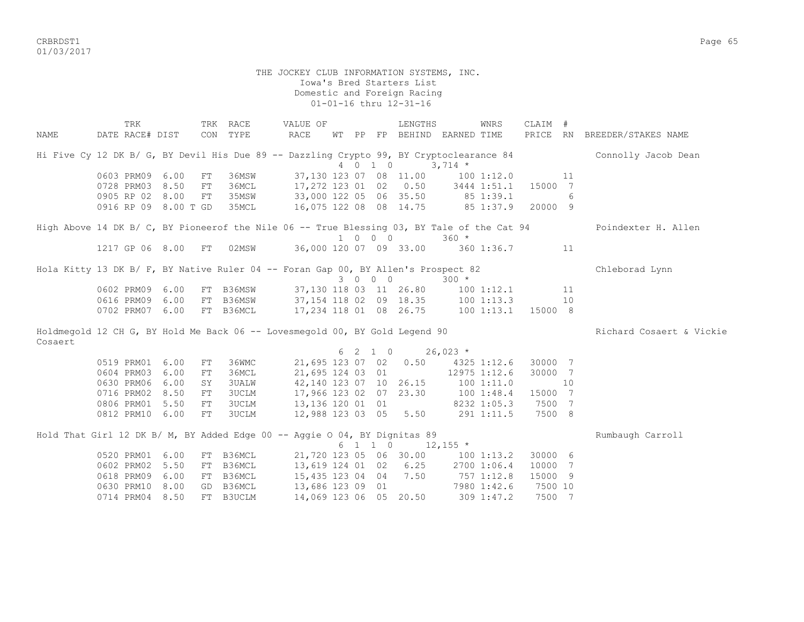CRBRDST1 Page 65 01/03/2017

#### THE JOCKEY CLUB INFORMATION SYSTEMS, INC. Iowa's Bred Starters List Domestic and Foreign Racing 01-01-16 thru 12-31-16

 TRK TRK RACE VALUE OF LENGTHS WNRS CLAIM # NAME DATE RACE# DIST CON TYPE RACE WT PP FP BEHIND EARNED TIME PRICE RN BREEDER/STAKES NAME Hi Five Cy 12 DK B/ G, BY Devil His Due 89 -- Dazzling Crypto 99, BY Cryptoclearance 84 Connolly Jacob Dean 4 0 1 0 3,714 \* 0603 PRM09 6.00 FT 36MSW 37,130 123 07 08 11.00 100 1:12.0 11 0728 PRM03 8.50 FT 36MCL 17,272 123 01 02 0.50 3444 1:51.1 15000 7 0905 RP 02 8.00 FT 35MSW 33,000 122 05 06 35.50 85 1:39.1 6 0916 RP 09 8.00 T GD 35MCL 16,075 122 08 08 14.75 85 1:37.9 20000 9 High Above 14 DK B/ C, BY Pioneerof the Nile 06 -- True Blessing 03, BY Tale of the Cat 94 Poindexter H. Allen 1 0 0 0 360 \* 1217 GP 06 8.00 FT 02MSW 36,000 120 07 09 33.00 360 1:36.7 11 Hola Kitty 13 DK B/ F, BY Native Ruler 04 -- Foran Gap 00, BY Allen's Prospect 82 Chleborad Lynn 3 0 0 0 300 \* 0602 PRM09 6.00 FT B36MSW 37,130 118 03 11 26.80 100 1:12.1 11 0616 PRM09 6.00 FT B36MSW 37,154 118 02 09 18.35 100 1:13.3 10 0702 PRM07 6.00 FT B36MCL 17,234 118 01 08 26.75 100 1:13.1 15000 8 Holdmegold 12 CH G, BY Hold Me Back 06 -- Lovesmegold 00, BY Gold Legend 90 Richard Cosaert & Vickie Cosaert 6 2 1 0 26,023 \*<br>0519 PRM01 6.00 FT 36WMC 21,695 123 07 02 0.50 4325 0519 PRM01 6.00 FT 36WMC 21,695 123 07 02 0.50 4325 1:12.6 30000 7 0604 PRM03 6.00 FT 36MCL 21,695 124 03 01 12975 1:12.6 30000 7<br>0630 PRM06 6.00 SY 3UALW 42,140 123 07 10 26.15 100 1:11.0 10 0630 PRM06 6.00 SY 3UALW 42,140 123 07 10 26.15 100 1:11.0 10 0716 PRM02 8.50 FT 3UCLM 17,966 123 02 07 23.30 100 1:48.4 15000 7 0806 PRM01 5.50 FT 3UCLM 13,136 120 01 01 8232 1:05.3 7500 7 0812 PRM10 6.00 FT 3UCLM 12,988 123 03 05 5.50 291 1:11.5 7500 8 Hold That Girl 12 DK B/ M, BY Added Edge 00 -- Aggie O 04, BY Dignitas 89 Rumbaugh Carroll  $6 \t1 \t1 \t0 \t12,155$  \* 0520 PRM01 6.00 FT B36MCL 21,720 123 05 06 30.00 100 1:13.2 30000 6 0602 PRM02 5.50 FT B36MCL 13,619 124 01 02 6.25 2700 1:06.4 10000 7 0618 PRM09 6.00 FT B36MCL 15,435 123 04 04 7.50 757 1:12.8 15000 9 0630 PRM10 8.00 GD B36MCL 13,686 123 09 01 7980 1:42.6 7500 10 0714 PRM04 8.50 FT B3UCLM 14,069 123 06 05 20.50 309 1:47.2 7500 7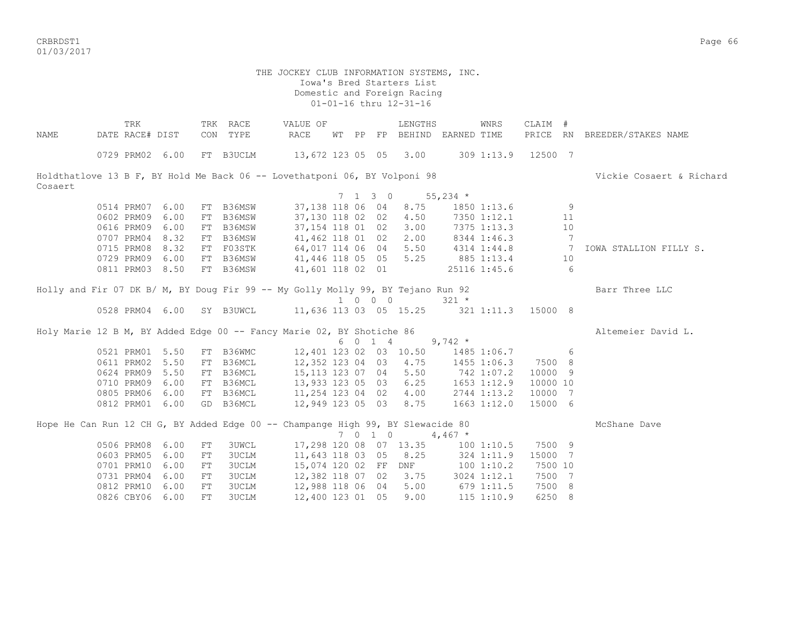CRBRDST1 Page 66 01/03/2017

|         | TRK             |      |    | TRK RACE  | VALUE OF                                                                        |       |         | LENGTHS                           |            | <b>WNRS</b>            | CLAIM #        |    |                              |
|---------|-----------------|------|----|-----------|---------------------------------------------------------------------------------|-------|---------|-----------------------------------|------------|------------------------|----------------|----|------------------------------|
| NAME    | DATE RACE# DIST |      |    | CON TYPE  | <b>RACE</b>                                                                     | WT PP |         | FP BEHIND EARNED TIME             |            |                        |                |    | PRICE RN BREEDER/STAKES NAME |
|         | 0729 PRM02 6.00 |      |    |           | FT B3UCLM 13,672 123 05 05 3.00                                                 |       |         |                                   |            | 309 1:13.9 12500 7     |                |    |                              |
|         |                 |      |    |           | Holdthatlove 13 B F, BY Hold Me Back 06 -- Lovethatponi 06, BY Volponi 98       |       |         |                                   |            |                        |                |    | Vickie Cosaert & Richard     |
| Cosaert |                 |      |    |           |                                                                                 |       |         |                                   |            |                        |                |    |                              |
|         |                 |      |    |           |                                                                                 |       |         | 7 1 3 0 55,234 $*$                |            |                        |                |    |                              |
|         | 0514 PRM07      | 6.00 |    | FT B36MSW | 37,138 118 06 04                                                                |       |         | 8.75                              |            | 1850 1:13.6            |                | 9  |                              |
|         | 0602 PRM09      | 6.00 |    | FT B36MSW | 37,130 118 02 02                                                                |       |         | 4.50                              |            | 7350 1:12.1            |                | 11 |                              |
|         | 0616 PRM09      | 6.00 |    | FT B36MSW | 37,154 118 01 02                                                                |       |         | 3.00                              |            | 7375 1:13.3            |                | 10 |                              |
|         | 0707 PRM04      | 8.32 |    | FT B36MSW | 41,462 118 01 02                                                                |       |         | 2.00                              |            | 8344 1:46.3            |                | 7  |                              |
|         | 0715 PRM08      | 8.32 |    | FT F03STK | 64,017 114 06 04                                                                |       |         | 5.50                              |            | 4314 1:44.8 7          |                |    | IOWA STALLION FILLY S.       |
|         | 0729 PRM09      | 6.00 |    | FT B36MSW | 41,446 118 05 05                                                                |       |         |                                   |            | 5.25 885 1:13.4 10     |                |    |                              |
|         | 0811 PRM03 8.50 |      |    | FT B36MSW | 41,601 118 02 01                                                                |       |         |                                   |            | 25116 1:45.6           | 6 <sup>6</sup> |    |                              |
|         |                 |      |    |           | Holly and Fir 07 DK B/ M, BY Doug Fir 99 -- My Golly Molly 99, BY Tejano Run 92 |       |         |                                   |            |                        |                |    | Barr Three LLC               |
|         |                 |      |    |           |                                                                                 |       | 1 0 0 0 |                                   | $321 *$    |                        |                |    |                              |
|         |                 |      |    |           | 0528 PRM04 6.00 SY B3UWCL 11,636 113 03 05 15.25 321 1:11.3 15000 8             |       |         |                                   |            |                        |                |    |                              |
|         |                 |      |    |           | Holy Marie 12 B M, BY Added Edge 00 -- Fancy Marie 02, BY Shotiche 86           |       |         |                                   |            |                        |                |    | Altemeier David L.           |
|         |                 |      |    |           |                                                                                 |       | 6 0 1 4 |                                   | $9,742$ *  |                        |                |    |                              |
|         | 0521 PRM01 5.50 |      |    |           | FT B36WMC 12,401 123 02 03 10.50 1485 1:06.7                                    |       |         |                                   |            |                        |                | 6  |                              |
|         | 0611 PRM02 5.50 |      |    |           | FT B36MCL 12,352 123 04 03                                                      |       |         | 4.75                              |            | 1455 1:06.3            | 7500 8         |    |                              |
|         | 0624 PRM09 5.50 |      |    |           | FT B36MCL 15,113 123 07 04                                                      |       |         | 5.50                              | 742 1:07.2 |                        | 10000 9        |    |                              |
|         | 0710 PRM09 6.00 |      |    | FT B36MCL | 13,933 123 05 03                                                                |       |         |                                   |            | $6.25$ $1653$ $1:12.9$ | 10000 10       |    |                              |
|         | 0805 PRM06 6.00 |      |    |           | FT B36MCL 11,254 123 04 02                                                      |       |         |                                   |            | $4.00$ $2744$ $1:13.2$ | 10000 7        |    |                              |
|         | 0812 PRM01 6.00 |      |    | GD B36MCL | 12,949 123 05 03 8.75 1663 1:12.0                                               |       |         |                                   |            |                        | 15000 6        |    |                              |
|         |                 |      |    |           | Hope He Can Run 12 CH G, BY Added Edge 00 -- Champange High 99, BY Slewacide 80 |       |         |                                   |            |                        |                |    | McShane Dave                 |
|         |                 |      |    |           |                                                                                 |       |         | 7 0 1 0 4,467 $*$                 |            |                        |                |    |                              |
|         | 0506 PRM08      | 6.00 | FT | 3UWCL     |                                                                                 |       |         | 17,298 120 08 07 13.35 100 1:10.5 |            |                        | 7500 9         |    |                              |
|         | 0603 PRM05      | 6.00 | FT | 3UCLM     |                                                                                 |       |         | 11,643 118 03 05 8.25             |            | 324 1:11.9             | 15000 7        |    |                              |
|         | 0701 PRM10      | 6.00 | FT | 3UCLM     |                                                                                 |       |         | 15,074 120 02 FF DNF 100 1:10.2   |            |                        | 7500 10        |    |                              |
|         | 0731 PRM04      | 6.00 | FT | 3UCLM     | 12,382 118 07 02                                                                |       |         | 3.75                              |            | 3024 1:12.1            | 7500 7         |    |                              |
|         | 0812 PRM10      | 6.00 | FT | 3UCLM     | 12,988 118 06 04                                                                |       |         | 5.00                              | 679 1:11.5 |                        | 7500 8         |    |                              |
|         | 0826 CBY06 6.00 |      | FT | 3UCLM     | 12,400 123 01 05                                                                |       |         | 9.00                              |            | 115 1:10.9             | 6250 8         |    |                              |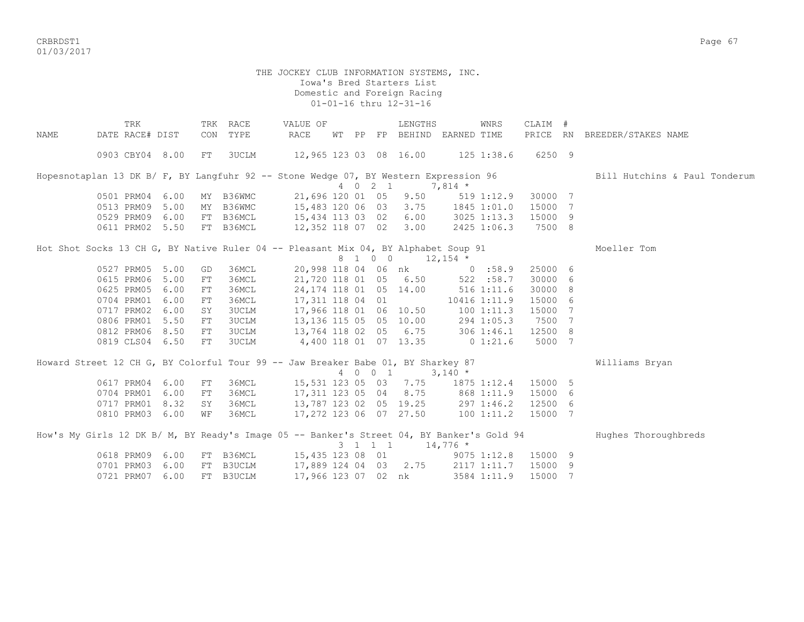CRBRDST1 Page 67 01/03/2017

#### THE JOCKEY CLUB INFORMATION SYSTEMS, INC. Iowa's Bred Starters List Domestic and Foreign Racing 01-01-16 thru 12-31-16

TRK TRK RACE VALUE OF LENGTHS WNRS CLAIM # NAME DATE RACE# DIST CON TYPE RACE WT PP FP BEHIND EARNED TIME PRICE RN BREEDER/STAKES NAME 0903 CBY04 8.00 FT 3UCLM 12,965 123 03 08 16.00 125 1:38.6 6250 9 Hopesnotaplan 13 DK B/ F, BY Langfuhr 92 -- Stone Wedge 07, BY Western Expression 96 Bill Hutchins & Paul Tonderum 4 0 2 1 7,814 \* 0501 PRM04 6.00 MY B36WMC 21,696 120 01 05 9.50 519 1:12.9 30000 7 0513 PRM09 5.00 MY B36WMC 15,483 120 06 03 3.75 1845 1:01.0 15000 7 0529 PRM09 6.00 FT B36MCL 15,434 113 03 02 6.00 3025 1:13.3 15000 9 0611 PRM02 5.50 FT B36MCL 12,352 118 07 02 3.00 2425 1:06.3 7500 8 Hot Shot Socks 13 CH G, BY Native Ruler 04 -- Pleasant Mix 04, BY Alphabet Soup 91 Moeller Tom  $8 \quad 1 \quad 0 \quad 0 \quad 12,154 \; *$  0527 PRM05 5.00 GD 36MCL 20,998 118 04 06 nk 0 :58.9 25000 6 0615 PRM06 5.00 FT 36MCL 21,720 118 01 05 6.50 522 :58.7 30000 6 0625 PRM05 6.00 FT 36MCL 24,174 118 01 05 14.00 516 1:11.6 30000 8 0704 PRM01 6.00 FT 36MCL 17,311 118 04 01 10416 1:11.9 15000 6 0717 PRM02 6.00 SY 3UCLM 17,966 118 01 06 10.50 100 1:11.3 15000 7 0806 PRM01 5.50 FT 3UCLM 13,136 115 05 05 10.00 294 1:05.3 7500 7 0812 PRM06 8.50 FT 3UCLM 13,764 118 02 05 6.75 306 1:46.1 12500 8 0819 CLS04 6.50 FT 3UCLM 4,400 118 01 07 13.35 0 1:21.6 5000 7 Howard Street 12 CH G, BY Colorful Tour 99 -- Jaw Breaker Babe 01, BY Sharkey 87 Williams Bryan 4 0 0 1 3,140 \* 0617 PRM04 6.00 FT 36MCL 15,531 123 05 03 7.75 1875 1:12.4 15000 5 0704 PRM01 6.00 FT 36MCL 17,311 123 05 04 8.75 868 1:11.9 15000 6 0704 PRM01 6.00 F1 JONUAL 17, 11 120 00 01 01:01<br>0717 PRM01 8.32 SY 36MCL 13, 787 123 02 05 19.25 297 1:46.2 12500 6<br>0810 PRM03 6.00 WF 36MCL 17, 272 123 06 07 27.50 100 1:11.2 15000 7 0810 PRM03 6.00 WF 36MCL 17,272 123 06 07 27.50 100 1:11.2 15000 7 How's My Girls 12 DK B/ M, BY Ready's Image 05 -- Banker's Street 04, BY Banker's Gold 94 Hughes Thoroughbreds  $3 \quad 1 \quad 1 \quad 1 \quad 14,776$ \* 0618 PRM09 6.00 FT B36MCL 15,435 123 08 01 9075 1:12.8 15000 9 0701 PRM03 6.00 FT B3UCLM 17,889 124 04 03 2.75 2117 1:11.7 15000 9 0721 PRM07 6.00 FT B3UCLM 17,966 123 07 02 nk 3584 1:11.9 15000 7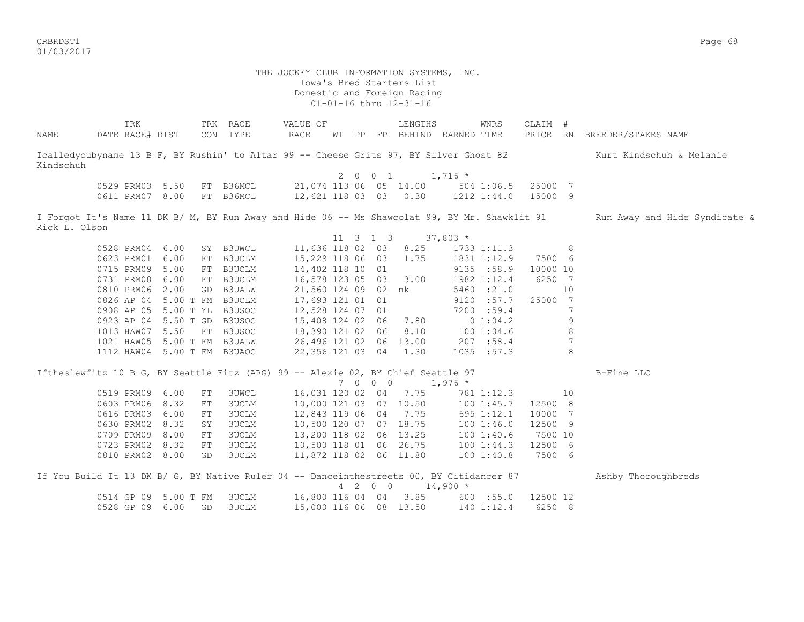CRBRDST1 Page 68 01/03/2017

 THE JOCKEY CLUB INFORMATION SYSTEMS, INC. Iowa's Bred Starters List Domestic and Foreign Racing 01-01-16 thru 12-31-16 TRK TRK RACE VALUE OF LENGTHS WNRS CLAIM # NAME DATE RACE# DIST CON TYPE RACE WT PP FP BEHIND EARNED TIME PRICE RN BREEDER/STAKES NAME Icalledyoubyname 13 B F, BY Rushin' to Altar 99 -- Cheese Grits 97, BY Silver Ghost 82 Kurt Kindschuh & Melanie Kindschuh 2 0 0 1 1,716  $*$  0529 PRM03 5.50 FT B36MCL 21,074 113 06 05 14.00 504 1:06.5 25000 7 0611 PRM07 8.00 FT B36MCL 12,621 118 03 03 0.30 1212 1:44.0 15000 9 I Forgot It's Name 11 DK B/ M, BY Run Away and Hide 06 -- Ms Shawcolat 99, BY Mr. Shawklit 91 Run Away and Hide Syndicate & Rick L. Olson 11 3 1 3 37,803 \* 0528 PRM04 6.00 SY B3UWCL 11,636 118 02 03 8.25 1733 1:11.3 8<br>0623 PRM01 6.00 FT B3UCLM 15,229 118 06 03 1.75 1831 1:12.9 7500 6 0623 PRM01 6.00 FT B3UCLM 15,229 118 06 03 1.75 1831 1:12.9 7500 6 0715 PRM09 5.00 FT B3UCLM 14,402 118 10 01 9135 :58.9 10000 10 0731 PRM08 6.00 FT B3UCLM 16,578 123 05 03 3.00 1982 1:12.4 6250 7 0810 PRM06 2.00 GD B3UALW 21,560 124 09 02 nk 5460 :21.0 10 0826 AP 04 5.00 T FM B3UCLM 17,693 121 01 01 9120 :57.7 25000 7 0908 AP 05 5.00 T YL B3USOC 12,528 124 07 01 7200 :59.4 7 0923 AP 04 5.50 T GD B3USOC 15,408 124 02 06 7.80 0 1:04.2 9 1013 HAW07 5.50 FT B3USOC 18,390 121 02 06 8.10 100 1:04.6 8 1021 HAW05 5.00 T FM B3UALW 26,496 121 02 06 13.00 207 :58.4 7 1112 HAW04 5.00 T FM B3UAOC 22,356 121 03 04 1.30 1035 :57.3 8 Iftheslewfitz 10 B G, BY Seattle Fitz (ARG) 99 -- Alexie 02, BY Chief Seattle 97 B-Fine LLC 7 0 0 0 1,976 \* 0519 PRM09 6.00 FT 3UWCL 16,031 120 02 04 7.75 781 1:12.3 10 0603 PRM06 8.32 FT 3UCLM 10,000 121 03 07 10.50 100 1:45.7 12500 8<br>0616 PRM03 6.00 FT 3UCLM 12,843 119 06 04 7.75 695 1:12.1 10000 7 0616 PRM03 6.00 FT 3UCLM 0630 PRM02 8.32 SY 3UCLM 10,500 120 07 07 18.75 100 1:46.0 12500 9 0709 PRM09 8.00 FT 3UCLM 13,200 118 02 06 13.25 100 1:40.6 7500 10 0723 PRM02 8.32 FT 3UCLM 10,500 118 01 06 26.75 100 1:44.3 12500 6 0810 PRM02 8.00 GD 3UCLM 11,872 118 02 06 11.80 100 1:40.8 7500 6 If You Build It 13 DK B/ G, BY Native Ruler 04 -- Danceinthestreets 00, BY Citidancer 87 Ashby Thoroughbreds 4 2 0 0 14,900 \* 0514 GP 09 5.00 T FM 3UCLM 16,800 116 04 04 3.85 600 :55.0 12500 12 0528 GP 09 6.00 GD 3UCLM 15,000 116 06 08 13.50 140 1:12.4 6250 8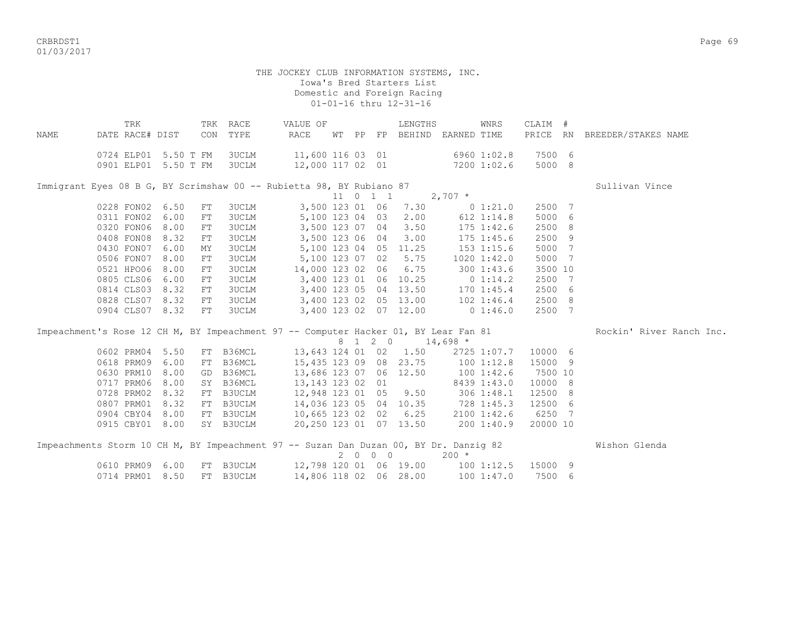CRBRDST1 Page 69 01/03/2017

| NAME | TRK<br>DATE RACE# DIST                                                                |      | CON | TRK RACE<br>TYPE | VALUE OF<br>RACE       | WT PP |                     | LENGTHS                | FP BEHIND EARNED TIME        | WNRS           | CLAIM #  | PRICE RN BREEDER/STAKES NAME |
|------|---------------------------------------------------------------------------------------|------|-----|------------------|------------------------|-------|---------------------|------------------------|------------------------------|----------------|----------|------------------------------|
|      | 0724 ELP01 5.50 T FM                                                                  |      |     | 3UCLM            | 11,600 116 03 01       |       |                     |                        | 6960 1:02.8                  |                | 7500 6   |                              |
|      | 0901 ELP01 5.50 T FM                                                                  |      |     | 3UCLM            |                        |       |                     |                        | 12,000 117 02 01 7200 1:02.6 |                | 5000 8   |                              |
|      | Immigrant Eyes 08 B G, BY Scrimshaw 00 -- Rubietta 98, BY Rubiano 87                  |      |     |                  |                        |       |                     |                        |                              |                |          | Sullivan Vince               |
|      |                                                                                       |      |     |                  |                        |       | $11 \t 0 \t 1 \t 1$ |                        | $2,707$ *                    |                |          |                              |
|      | 0228 FON02                                                                            | 6.50 | FT  | <b>3UCLM</b>     | 3,500 123 01 06        |       |                     | 7.30                   |                              | 0 1:21.0       | 2500 7   |                              |
|      | 0311 FON02                                                                            | 6.00 | FT  | 3UCLM            | 5,100 123 04 03        |       |                     | 2.00                   |                              | 612 1:14.8     | 5000 6   |                              |
|      | 0320 FON06                                                                            | 8.00 | FT  | 3UCLM            | 3,500 123 07 04        |       |                     | 3.50                   |                              | $175$ $1:42.6$ | 2500 8   |                              |
|      | 0408 FON08                                                                            | 8.32 | FT  | <b>3UCLM</b>     | 3,500 123 06 04        |       |                     | 3.00                   |                              | $175$ $1:45.6$ | 2500 9   |                              |
|      | 0430 FON07                                                                            | 6.00 | MY  | 3UCLM            | 5,100 123 04 05        |       |                     | 11.25                  |                              | 153 1:15.6     | 5000 7   |                              |
|      | 0506 FON07                                                                            | 8.00 | FT  | <b>3UCLM</b>     | 5,100 123 07 02        |       |                     | 5.75                   |                              | 1020 1:42.0    | 5000 7   |                              |
|      | 0521 HPO06                                                                            | 8.00 | FT  | 3UCLM            | 14,000 123 02 06       |       |                     | 6.75                   |                              | 300 1:43.6     | 3500 10  |                              |
|      | 0805 CLS06                                                                            | 6.00 | FT  | 3UCLM            | 3,400 123 01 06 10.25  |       |                     |                        | $0\;1:14.2$                  |                | 2500 7   |                              |
|      | 0814 CLS03                                                                            | 8.32 | FT  | 3UCLM            | 3,400 123 05 04 13.50  |       |                     |                        |                              | $170$ $1:45.4$ | 2500 6   |                              |
|      | 0828 CLS07 8.32                                                                       |      | FT  | 3UCLM            | 3,400 123 02 05 13.00  |       |                     |                        | 102 1:46.4                   |                | 2500 8   |                              |
|      | 0904 CLS07 8.32                                                                       |      | FT  | <b>3UCLM</b>     | 3,400 123 02 07 12.00  |       |                     |                        | 0 1:46.0                     |                | 2500 7   |                              |
|      | Impeachment's Rose 12 CH M, BY Impeachment 97 -- Computer Hacker 01, BY Lear Fan 81   |      |     |                  |                        |       |                     |                        |                              |                |          | Rockin' River Ranch Inc.     |
|      |                                                                                       |      |     |                  |                        |       |                     | 8 1 2 0 14,698 *       |                              |                |          |                              |
|      | 0602 PRM04                                                                            | 5.50 |     | FT B36MCL        |                        |       |                     | 13,643 124 01 02 1.50  |                              | 2725 1:07.7    | 10000 6  |                              |
|      | 0618 PRM09                                                                            | 6.00 |     | FT B36MCL        |                        |       |                     | 15,435 123 09 08 23.75 | $100$ $1:12.8$               |                | 15000 9  |                              |
|      | 0630 PRM10                                                                            | 8.00 | GD  | B36MCL           | 13,686 123 07 06 12.50 |       |                     |                        | 1001:42.6                    |                | 7500 10  |                              |
|      | 0717 PRM06                                                                            | 8.00 |     | SY B36MCL        | 13, 143 123 02 01      |       |                     |                        |                              | 8439 1:43.0    | 10000 8  |                              |
|      | 0728 PRM02                                                                            | 8.32 |     | FT B3UCLM        | 12,948 123 01 05 9.50  |       |                     |                        | 306 1:48.1                   |                | 12500 8  |                              |
|      | 0807 PRM01                                                                            | 8.32 |     | FT B3UCLM        | 14,036 123 05 04 10.35 |       |                     |                        | 728 1:45.3                   |                | 12500 6  |                              |
|      | 0904 CBY04                                                                            | 8.00 |     | FT B3UCLM        | 10,665 123 02 02 6.25  |       |                     |                        |                              | 2100 1:42.6    | 6250 7   |                              |
|      | 0915 CBY01 8.00                                                                       |      |     | SY B3UCLM        | 20,250 123 01 07 13.50 |       |                     |                        | 2001:40.9                    |                | 20000 10 |                              |
|      | Impeachments Storm 10 CH M, BY Impeachment 97 -- Suzan Dan Duzan 00, BY Dr. Danzig 82 |      |     |                  |                        |       |                     |                        |                              |                |          | Wishon Glenda                |
|      |                                                                                       |      |     |                  |                        |       | 2000                |                        | $200 *$                      |                |          |                              |
|      | 0610 PRM09                                                                            | 6.00 |     | FT B3UCLM        | 12,798 120 01 06 19.00 |       |                     |                        | $100$ $1:12.5$               |                | 15000 9  |                              |
|      | 0714 PRM01                                                                            | 8.50 |     | FT B3UCLM        | 14,806 118 02 06 28.00 |       |                     |                        |                              | 1001:37.0      | 7500 6   |                              |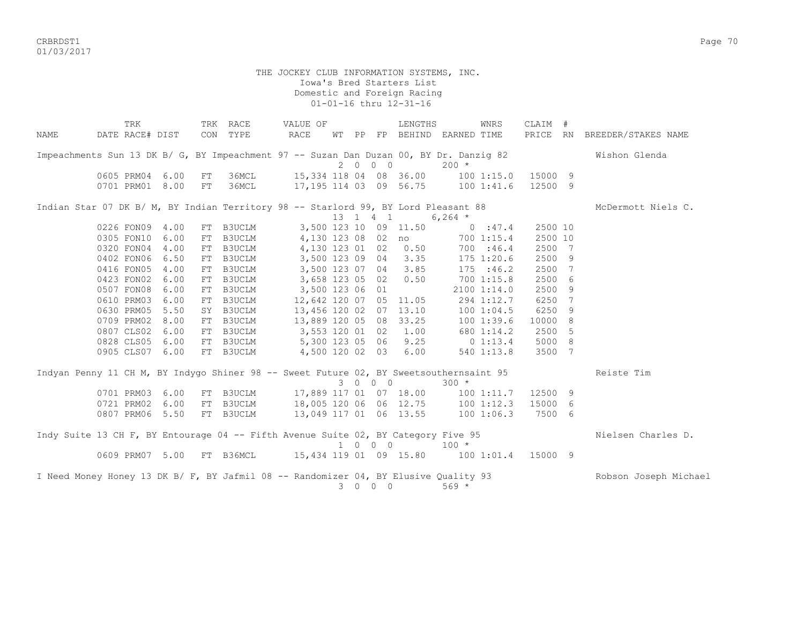CRBRDST1 Page 70 01/03/2017

|      | TRK                                                                                    |      |    | TRK RACE  | VALUE OF                                   |   |                                         | LENGTHS                |                             | WNRS        | CLAIM # |                |                              |
|------|----------------------------------------------------------------------------------------|------|----|-----------|--------------------------------------------|---|-----------------------------------------|------------------------|-----------------------------|-------------|---------|----------------|------------------------------|
| NAME | DATE RACE# DIST                                                                        |      |    | CON TYPE  | RACE                                       |   |                                         |                        | WT PP FP BEHIND EARNED TIME |             |         |                | PRICE RN BREEDER/STAKES NAME |
|      | Impeachments Sun 13 DK B/ G, BY Impeachment 97 -- Suzan Dan Duzan 00, BY Dr. Danziq 82 |      |    |           |                                            |   |                                         |                        |                             |             |         |                | Wishon Glenda                |
|      |                                                                                        |      |    |           |                                            |   | 2000                                    |                        | $200 *$                     |             |         |                |                              |
|      | 0605 PRM04                                                                             | 6.00 | FT | 36MCL     | 15,334 118 04 08 36.00 100 1:15.0 15000 9  |   |                                         |                        |                             |             |         |                |                              |
|      | 0701 PRM01                                                                             | 8.00 | FT | 36MCL     | 17, 195 114 03 09 56.75 100 1:41.6 12500 9 |   |                                         |                        |                             |             |         |                |                              |
|      | Indian Star 07 DK B/ M, BY Indian Territory 98 -- Starlord 99, BY Lord Pleasant 88     |      |    |           |                                            |   |                                         |                        |                             |             |         |                | McDermott Niels C.           |
|      |                                                                                        |      |    |           |                                            |   | 13 1 4 1                                |                        | $6,264$ *                   |             |         |                |                              |
|      | 0226 FON09 4.00                                                                        |      | FT | B3UCLM    |                                            |   |                                         | 3,500 123 10 09 11.50  | $0 \t347.4$                 |             | 2500 10 |                |                              |
|      | 0305 FON10                                                                             | 6.00 | FT | B3UCLM    | 4,130 123 08 02 no                         |   |                                         |                        | 700 1:15.4                  |             | 2500 10 |                |                              |
|      | 0320 FON04                                                                             | 4.00 | FT | B3UCLM    | 4,130 123 01 02 0.50                       |   |                                         |                        | 700 :46.4                   |             | 2500    | $\overline{7}$ |                              |
|      | 0402 FON06                                                                             | 6.50 | FT | B3UCLM    | 3,500 123 09 04 3.35                       |   |                                         |                        | 175 1:20.6                  |             | 2500    | 9              |                              |
|      | 0416 FON05                                                                             | 4.00 | FT | B3UCLM    | 3,500 123 07 04 3.85                       |   |                                         |                        | 175 : 46.2                  |             | 2500    | 7              |                              |
|      | 0423 FON02                                                                             | 6.00 | FT | B3UCLM    | 3,658 123 05 02 0.50                       |   |                                         |                        | 700 1:15.8                  |             | 2500    | 6              |                              |
|      | 0507 FON08                                                                             | 6.00 | FT | B3UCLM    | 3,500 123 06 01                            |   |                                         |                        |                             | 2100 1:14.0 | 2500    | 9              |                              |
|      | 0610 PRM03                                                                             | 6.00 | FT | B3UCLM    |                                            |   |                                         | 12,642 120 07 05 11.05 |                             | 294 1:12.7  | 6250    | 7              |                              |
|      | 0630 PRM05                                                                             | 5.50 | SY | B3UCLM    | 13,456 120 02 07 13.10                     |   |                                         |                        |                             | 100 1:04.5  | 6250    | 9              |                              |
|      | 0709 PRM02                                                                             | 8.00 | FT | B3UCLM    | 13,889 120 05 08 33.25 100 1:39.6          |   |                                         |                        |                             |             | 10000   | - 8            |                              |
|      | 0807 CLS02 6.00                                                                        |      | FT | B3UCLM    | 3,553 120 01 02 1.00                       |   |                                         |                        |                             | 680 1:14.2  | 2500    | 5              |                              |
|      | 0828 CLS05 6.00                                                                        |      | FT | B3UCLM    | 5,300 123 05 06 9.25 0 1:13.4              |   |                                         |                        |                             |             | 5000    | - 8            |                              |
|      | 0905 CLS07 6.00                                                                        |      |    | FT B3UCLM | 4,500 120 02 03 6.00                       |   |                                         |                        |                             | 540 1:13.8  | 3500 7  |                |                              |
|      | Indyan Penny 11 CH M, BY Indygo Shiner 98 -- Sweet Future 02, BY Sweetsouthernsaint 95 |      |    |           |                                            |   |                                         |                        |                             |             |         |                | Reiste Tim                   |
|      |                                                                                        |      |    |           |                                            |   | 3 0 0 0                                 |                        | $300 *$                     |             |         |                |                              |
|      | 0701 PRM03                                                                             | 6.00 | FT | B3UCLM    | 17,889 117 01 07 18.00 100 1:11.7 12500 9  |   |                                         |                        |                             |             |         |                |                              |
|      | 0721 PRM02                                                                             | 6.00 | FT | B3UCLM    | 18,005 120 06 06 12.75 100 1:12.3          |   |                                         |                        |                             |             | 15000 6 |                |                              |
|      | 0807 PRM06                                                                             | 5.50 |    | FT B3UCLM | 13,049 117 01 06 13.55                     |   |                                         |                        | 1001:06.3                   |             | 7500 6  |                |                              |
|      | Indy Suite 13 CH F, BY Entourage 04 -- Fifth Avenue Suite 02, BY Category Five 95      |      |    |           |                                            |   | 1 0 0 0                                 |                        | $100 *$                     |             |         |                | Nielsen Charles D.           |
|      | 0609 PRM07 5.00 FT B36MCL                                                              |      |    |           | 15,434 119 01 09 15.80 100 1:01.4 15000 9  |   |                                         |                        |                             |             |         |                |                              |
|      | I Need Money Honey 13 DK B/ F, BY Jafmil 08 -- Randomizer 04, BY Elusive Quality 93    |      |    |           |                                            | 3 | $\begin{matrix} 0 & 0 & 0 \end{matrix}$ |                        | $569 *$                     |             |         |                | Robson Joseph Michael        |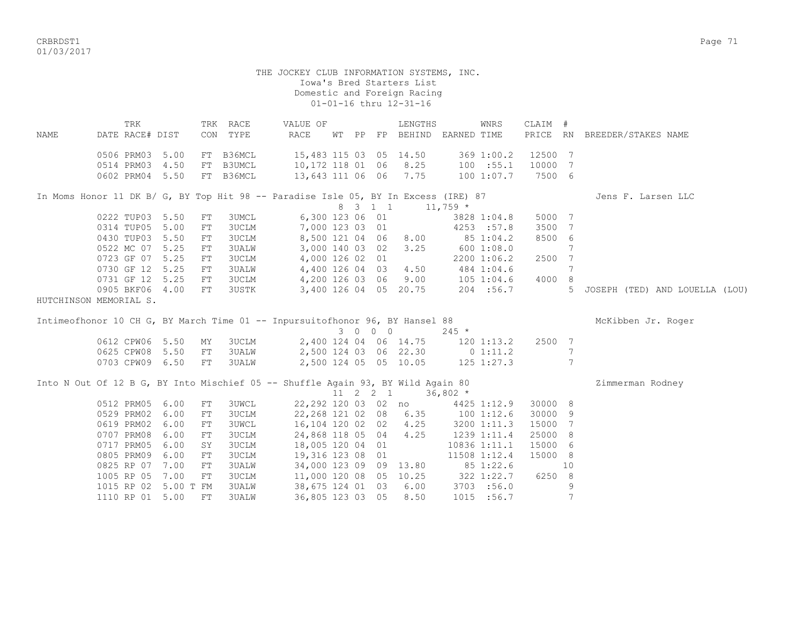CRBRDST1 Page 71 01/03/2017

|      | TRK                                                                                |      |            | TRK RACE     | VALUE OF                                       |  |         | LENGTHS                     |             | WNRS           | CLAIM # |    |                                |
|------|------------------------------------------------------------------------------------|------|------------|--------------|------------------------------------------------|--|---------|-----------------------------|-------------|----------------|---------|----|--------------------------------|
| NAME | DATE RACE# DIST                                                                    |      |            | CON TYPE     | RACE                                           |  |         | WT PP FP BEHIND EARNED TIME |             |                |         |    | PRICE RN BREEDER/STAKES NAME   |
|      |                                                                                    |      |            |              |                                                |  |         |                             |             |                |         |    |                                |
|      | 0506 PRM03 5.00                                                                    |      |            | FT B36MCL    | 15,483 115 03 05 14.50                         |  |         |                             |             | 369 1:00.2     | 12500 7 |    |                                |
|      | 0514 PRM03 4.50                                                                    |      |            | FT B3UMCL    | 10,172 118 01 06                               |  |         | 8.25                        |             | 100 : 55.1     | 10000 7 |    |                                |
|      | 0602 PRM04 5.50                                                                    |      |            | FT B36MCL    | 13,643 111 06 06 7.75                          |  |         |                             |             | 100 1:07.7     | 7500 6  |    |                                |
|      |                                                                                    |      |            |              |                                                |  |         |                             |             |                |         |    |                                |
|      | In Moms Honor 11 DK B/ G, BY Top Hit 98 -- Paradise Isle 05, BY In Excess (IRE) 87 |      |            |              |                                                |  |         |                             |             |                |         |    | Jens F. Larsen LLC             |
|      |                                                                                    |      |            |              |                                                |  | 8 3 1 1 |                             | $11,759$ *  |                |         |    |                                |
|      | 0222 TUP03 5.50                                                                    |      | FT         | <b>3UMCL</b> | 6,300 123 06 01                                |  |         |                             |             | 3828 1:04.8    | 5000 7  |    |                                |
|      | 0314 TUP05 5.00                                                                    |      | FT         | 3UCLM        | 7,000 123 03 01                                |  |         |                             |             | 4253 :57.8     | 3500 7  |    |                                |
|      | 0430 TUP03 5.50                                                                    |      | ${\rm FT}$ | <b>3UCLM</b> |                                                |  |         | 8,500 121 04 06 8.00        | 85 1:04.2   |                | 8500 6  |    |                                |
|      | 0522 MC 07 5.25                                                                    |      | FT         | <b>3UALW</b> |                                                |  |         | 3,000 140 03 02 3.25        | 600 1:08.0  |                |         | 7  |                                |
|      | 0723 GF 07 5.25                                                                    |      | ${\rm FT}$ | <b>3UCLM</b> | 4,000 126 02 01                                |  |         |                             |             | 2200 1:06.2    | 2500 7  |    |                                |
|      | 0730 GF 12 5.25                                                                    |      | ${\rm FT}$ | <b>3UALW</b> | 4,400 126 04 03 4.50                           |  |         |                             |             | 484 1:04.6     |         | 7  |                                |
|      | 0731 GF 12 5.25                                                                    |      | FT         |              | 3UCLM 4,200 126 03 06 9.00                     |  |         |                             |             | 105 1:04.6     | 4000 8  |    |                                |
|      | 0905 BKF06 4.00                                                                    |      | FT         | 3USTK        |                                                |  |         | 3,400 126 04 05 20.75       |             | 204 : 56.7     |         | 5  | JOSEPH (TED) AND LOUELLA (LOU) |
|      | HUTCHINSON MEMORIAL S.                                                             |      |            |              |                                                |  |         |                             |             |                |         |    |                                |
|      |                                                                                    |      |            |              |                                                |  |         |                             |             |                |         |    |                                |
|      |                                                                                    |      |            |              |                                                |  |         |                             |             |                |         |    |                                |
|      | Intimeofhonor 10 CH G, BY March Time 01 -- Inpursuitofhonor 96, BY Hansel 88       |      |            |              |                                                |  |         |                             |             |                |         |    | McKibben Jr. Roger             |
|      |                                                                                    |      |            |              |                                                |  | 3 0 0 0 |                             | $245 *$     |                |         |    |                                |
|      |                                                                                    |      | MΥ         | 3UCLM        |                                                |  |         | 2,400 124 04 06 14.75       |             | $120$ $1:13.2$ | 2500 7  |    |                                |
|      | 0612 CPW06 5.50<br>0625 CPW08 5.50                                                 |      | FT         | 3UALW        |                                                |  |         |                             |             |                |         | 7  |                                |
|      | 0703 CPW09 6.50                                                                    |      | FT         | 3UALW        | 2,500 124 03 06 22.30                          |  |         | 2,500 124 05 05 10.05       | 0 1:11.2    |                |         | 7  |                                |
|      |                                                                                    |      |            |              |                                                |  |         |                             |             | 125 1:27.3     |         |    |                                |
|      | Into N Out Of 12 B G, BY Into Mischief 05 -- Shuffle Again 93, BY Wild Again 80    |      |            |              |                                                |  |         |                             |             |                |         |    | Zimmerman Rodney               |
|      |                                                                                    |      |            |              |                                                |  |         | 11 2 2 1 36,802 $*$         |             |                |         |    |                                |
|      | 0512 PRM05 6.00                                                                    |      | FT         | 3UWCL        |                                                |  |         | 22,292 120 03 02 no         |             | 4425 1:12.9    | 30000 8 |    |                                |
|      | 0529 PRM02 6.00                                                                    |      | FT         | 3UCLM        | 22,268 121 02 08 6.35                          |  |         |                             | 1001:12.6   |                | 30000 9 |    |                                |
|      | 0619 PRM02 6.00                                                                    |      | FT         | <b>3UWCL</b> |                                                |  |         |                             |             |                | 15000 7 |    |                                |
|      | 0707 PRM08 6.00                                                                    |      | ${\rm FT}$ | 3UCLM        | 16,104 120 02 02 4.25<br>24,868 118 05 04 4.25 |  |         |                             | 1239 1:11.4 | 3200 1:11.3    | 25000 8 |    |                                |
|      | 0717 PRM05 6.00                                                                    |      | SY         | 3UCLM        | 18,005 120 04 01                               |  |         |                             |             | 10836 1:11.1   | 15000 6 |    |                                |
|      | 0805 PRM09                                                                         | 6.00 | FT         | <b>3UCLM</b> | 19,316 123 08 01                               |  |         |                             |             | 11508 1:12.4   | 15000 8 |    |                                |
|      | 0825 RP 07 7.00                                                                    |      | FT         | <b>3UALW</b> | 34,000 123 09 09 13.80                         |  |         |                             |             | 85 1:22.6      |         | 10 |                                |
|      | 1005 RP 05 7.00                                                                    |      | FT         | <b>3UCLM</b> | 11,000 120 08 05 10.25                         |  |         |                             |             | 322 1:22.7     | 6250 8  |    |                                |
|      | 1015 RP 02 5.00 T FM                                                               |      |            | <b>3UALW</b> | 38,675 124 01 03                               |  |         | 6.00                        |             | 3703 :56.0     |         | 9  |                                |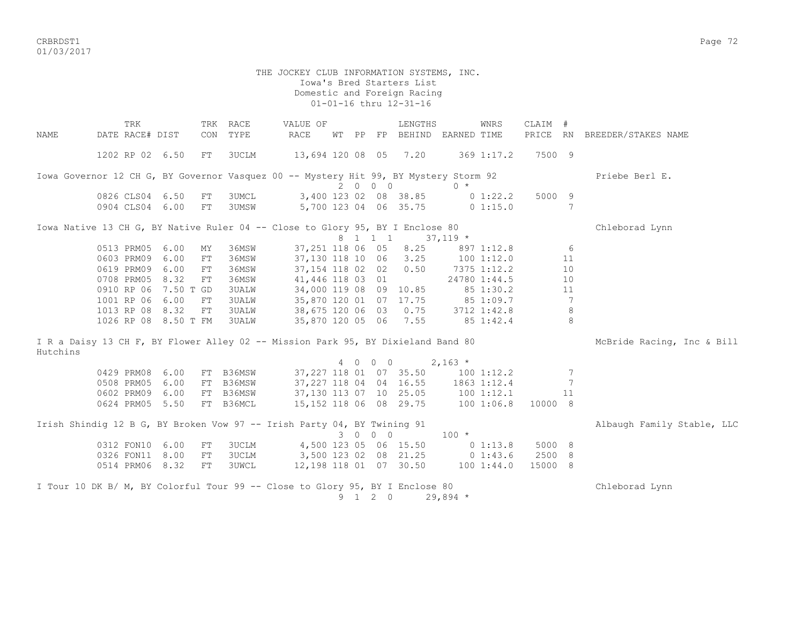CRBRDST1 Page 72 01/03/2017

# THE JOCKEY CLUB INFORMATION SYSTEMS, INC. Iowa's Bred Starters List Domestic and Foreign Racing 01-01-16 thru 12-31-16 TRK TRK RACE VALUE OF LENGTHS WNRS CLAIM # NAME DATE RACE# DIST CON TYPE RACE WT PP FP BEHIND EARNED TIME PRICE RN BREEDER/STAKES NAME 1202 RP 02 6.50 FT 3UCLM 13,694 120 08 05 7.20 369 1:17.2 7500 9 Iowa Governor 12 CH G, BY Governor Vasquez 00 -- Mystery Hit 99, BY Mystery Storm 92 Priebe Berl E. 2 0 0 0 0 \* 0826 CLS04 6.50 FT 3UMCL 3,400 123 02 08 38.85 0 1:22.2 5000 9 0904 CLS04 6.00 FT 3UMSW 5,700 123 04 06 35.75 0 1:15.0 7 Iowa Native 13 CH G, BY Native Ruler 04 -- Close to Glory 95, BY I Enclose 80 Chleborad Lynn 8 1 1 1 37,119 \* 0513 PRM05 6.00 MY 36MSW 37,251 118 06 05 8.25 897 1:12.8 6<br>0603 PRM09 6.00 FT 36MSW 37,130 118 10 06 3.25 100 1:12.0 11 0603 PRM09 6.00 FT 36MSW 37,130 118 10 06 3.25 100 1:12.0 11 0619 PRM09 6.00 FT 36MSW 37,154 118 02 02 0.50 7375 1:12.2 10 0708 PRM05 8.32 FT 36MSW 41,446 118 03 01 24780 1:44.5 10 0910 RP 06 7.50 T GD 3UALW 34,000 119 08 09 10.85 85 1:30.2 11 1001 RP 06 6.00 FT 3UALW 35,870 120 01 07 17.75 85 1:09.7 7 3UALW 38,675 120 06 03 0.75 3712 1:42.8 1026 RP 08 8.50 T FM 3UALW 35,870 120 05 06 7.55 85 1:42.4 8 I R a Daisy 13 CH F, BY Flower Alley 02 -- Mission Park 95, BY Dixieland Band 80 McBride Racing, Inc & Bill Hutchins  $4 \t0 \t0 \t0 \t2, 163 \t*$ 0429 PRM08 6.00 FT B36MSW 37,227 118 01 07 35.50 100 1:12.2 7 0508 PRM05 6.00 FT B36MSW 37,227 118 04 04 16.55 1863 1:12.4 7 0602 PRM09 6.00 FT B36MSW 37,130 113 07 10 25.05 100 1:12.1 11 0624 PRM05 5.50 FT B36MCL 15,152 118 06 08 29.75 100 1:06.8 10000 8 Irish Shindig 12 B G, BY Broken Vow 97 -- Irish Party 04, BY Twining 91 Albaugh Family Stable, LLC 3 0 0 0 100 \* 0312 FON10 6.00 FT 3UCLM 4,500 123 05 06 15.50 0 1:13.8 5000 8 0326 FON11 8.00 FT 3UCLM 3,500 123 02 08 21.25 0 1:43.6 2500 8 0514 PRM06 8.32 FT 3UWCL 12,198 118 01 07 30.50 100 1:44.0 15000 8 I Tour 10 DK B/ M, BY Colorful Tour 99 -- Close to Glory 95, BY I Enclose 80 Chleborad Lynn 9 1 2 0 29,894 \*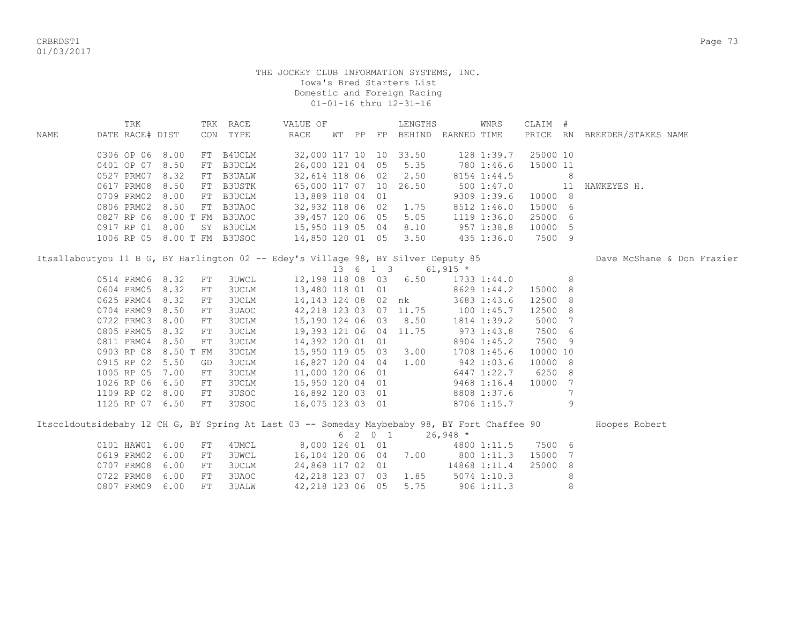CRBRDST1 Page 73 01/03/2017

|      | TRK                         |           |    | TRK RACE     | VALUE OF                                                                                                                                                |  |          | LENGTHS                            |               | WNRS         | CLAIM #            |    |                              |
|------|-----------------------------|-----------|----|--------------|---------------------------------------------------------------------------------------------------------------------------------------------------------|--|----------|------------------------------------|---------------|--------------|--------------------|----|------------------------------|
| NAME | DATE RACE# DIST             |           |    | CON TYPE     | RACE                                                                                                                                                    |  |          | WT PP FP BEHIND EARNED TIME        |               |              |                    |    | PRICE RN BREEDER/STAKES NAME |
|      |                             |           |    |              |                                                                                                                                                         |  |          |                                    |               |              |                    |    |                              |
|      | 0306 OP 06 8.00             |           |    | FT B4UCLM    |                                                                                                                                                         |  |          | 32,000 117 10 10 33.50             |               | 128 1:39.7   | 25000 10           |    |                              |
|      | 0401 OP 07                  | 8.50      |    | FT B3UCLM    | 26,000 121 04 05                                                                                                                                        |  |          | 5.35                               |               | 780 1:46.6   | 15000 11           |    |                              |
|      | 0527 PRM07 8.32             |           |    | FT B3UALW    |                                                                                                                                                         |  |          | 32,614 118 06 02 2.50              |               | 8154 1:44.5  |                    | 8  |                              |
|      | 0617 PRM08                  | 8.50      |    | FT B3USTK    | 65,000 117 07 10                                                                                                                                        |  |          | 26.50                              |               | 500 1:47.0   |                    | 11 | HAWKEYES H.                  |
|      | 0709 PRM02                  | 8.00      |    | FT B3UCLM    | 13,889 118 04 01                                                                                                                                        |  |          |                                    |               | 9309 1:39.6  | 10000 8            |    |                              |
|      |                             |           |    |              | 0806 PRM02 8.50 FT B3UAOC 32,932 118 06 02 1.75<br>0827 RP 06 8.00 T FM B3UAOC 39,457 120 06 05 5.05<br>0917 RP 01 8.00 SY B3UCLM 15,950 119 05 04 8.10 |  |          |                                    |               | 8512 1:46.0  | 15000 6            |    |                              |
|      |                             |           |    |              |                                                                                                                                                         |  |          |                                    |               | 1119 1:36.0  | 25000 6            |    |                              |
|      |                             |           |    |              |                                                                                                                                                         |  |          |                                    | $957$ 1:38.8  |              | 10000 5            |    |                              |
|      | 1006 RP 05 8.00 T FM B3USOC |           |    |              | 14,850 120 01 05 3.50                                                                                                                                   |  |          |                                    |               | 435 1:36.0   | 7500 9             |    |                              |
|      |                             |           |    |              | Itsallaboutyou 11 B G, BY Harlington 02 -- Edey's Village 98, BY Silver Deputy 85                                                                       |  |          |                                    |               |              |                    |    | Dave McShane & Don Frazier   |
|      |                             |           |    |              |                                                                                                                                                         |  | 13 6 1 3 |                                    | 61,915 $*$    |              |                    |    |                              |
|      | 0514 PRM06 8.32             |           | FT | <b>3UWCL</b> |                                                                                                                                                         |  |          | 12,198 118 08 03 6.50              |               | 1733 1:44.0  |                    | 8  |                              |
|      | 0604 PRM05                  | 8.32      | FT | 3UCLM        | 13,480 118 01 01                                                                                                                                        |  |          | $8629$ 1:44.2                      |               |              | 15000 8            |    |                              |
|      | 0625 PRM04                  | 8.32      | FT | 3UCLM        |                                                                                                                                                         |  |          | 14,143 124 08 02 nk                |               | 3683 1:43.6  | 12500 8            |    |                              |
|      | 0704 PRM09                  | 8.50      | FT | 3UAOC        |                                                                                                                                                         |  |          | 42, 218 123 03 07 11.75 100 1:45.7 |               |              | 12500 8            |    |                              |
|      | 0722 PRM03                  | 8.00      | FT | 3UCLM        | 15,190 124 06 03 8.50                                                                                                                                   |  |          |                                    |               | 1814 1:39.2  | 5000               | 7  |                              |
|      | 0805 PRM05                  | 8.32      | FT | 3UCLM        | 19,393 121 06 04 11.75                                                                                                                                  |  |          |                                    |               | $973$ 1:43.8 | 7500 6             |    |                              |
|      | 0811 PRM04                  | 8.50      | FT | 3UCLM        | 14,392 120 01 01                                                                                                                                        |  |          |                                    |               | 8904 1:45.2  | 7500 9             |    |                              |
|      | 0903 RP 08                  | 8.50 T FM |    | 3UCLM        | 15,950 119 05 03 3.00                                                                                                                                   |  |          |                                    |               | 1708 1:45.6  | 10000 10           |    |                              |
|      | 0915 RP 02                  | 5.50      | GD | 3UCLM        | 16,827 120 04 04                                                                                                                                        |  |          | 1.00                               |               | 942 1:03.6   | 10000 8            |    |                              |
|      | 1005 RP 05                  | 7.00      | FT | 3UCLM        | 11,000 120 06 01                                                                                                                                        |  |          |                                    |               | 6447 1:22.7  | 6250 8             |    |                              |
|      | 1026 RP 06                  | 6.50      | FT | 3UCLM        | 15,950 120 04 01                                                                                                                                        |  |          |                                    | $9468$ 1:16.4 |              | 10000 7            |    |                              |
|      | 1109 RP 02 8.00             |           | FT | 3USOC        | 16,892 120 03 01                                                                                                                                        |  |          |                                    | 8808 1:37.6   |              |                    | 7  |                              |
|      | 1125 RP 07 6.50             |           | FT | 3USOC        | 16,075 123 03 01                                                                                                                                        |  |          |                                    |               | 8706 1:15.7  |                    | 9  |                              |
|      |                             |           |    |              |                                                                                                                                                         |  |          |                                    |               |              |                    |    |                              |
|      |                             |           |    |              | Itscoldoutsidebaby 12 CH G, BY Spring At Last 03 -- Someday Maybebaby 98, BY Fort Chaffee 90                                                            |  |          |                                    |               |              |                    |    | Hoopes Robert                |
|      |                             |           |    |              |                                                                                                                                                         |  | 6 2 0 1  |                                    | $26,948$ *    |              |                    |    |                              |
|      | 0101 HAW01                  | 6.00      | FT | 4UMCL        |                                                                                                                                                         |  |          | 8,000 124 01 01                    |               |              | 4800 1:11.5 7500 6 |    |                              |
|      | 0619 PRM02                  | 6.00      | FT | 3UWCL        |                                                                                                                                                         |  |          | 16, 104 120 06 04 7.00 800 1:11.3  |               |              | 15000              | -7 |                              |
|      | 0707 PRM08                  | 6.00      | FT | <b>3UCLM</b> | 24,868 117 02 01                                                                                                                                        |  |          |                                    |               | 14868 1:11.4 | 25000              | 8  |                              |
|      | 0722 PRM08                  | 6.00      | FT | 3UAOC        |                                                                                                                                                         |  |          | 42,218 123 07 03 1.85              | $5074$ 1:10.3 |              |                    | 8  |                              |
|      | 0807 PRM09                  | 6.00      | FT | <b>3UALW</b> | 42,218 123 06 05                                                                                                                                        |  |          | 5.75                               |               | 9061:11.3    |                    | 8  |                              |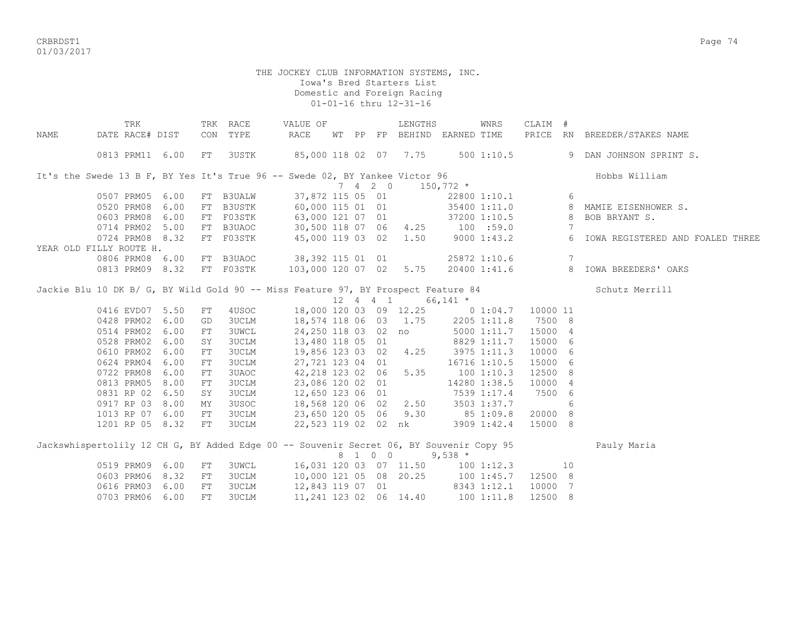CRBRDST1 Page 74 01/03/2017

|      | TRK                                                                                     |     | TRK RACE     | VALUE OF                 |  |                             | LENGTHS                           |             | WNRS           | CLAIM #  |    |                                    |
|------|-----------------------------------------------------------------------------------------|-----|--------------|--------------------------|--|-----------------------------|-----------------------------------|-------------|----------------|----------|----|------------------------------------|
| NAME | DATE RACE# DIST                                                                         | CON | TYPE         | $\mathop{\mathrm{RACE}}$ |  |                             | WT PP FP BEHIND EARNED TIME       |             |                |          |    | PRICE RN BREEDER/STAKES NAME       |
|      |                                                                                         |     |              |                          |  |                             |                                   |             |                |          |    |                                    |
|      | 0813 PRM11 6.00                                                                         | FT  | 3USTK        | 85,000 118 02 07 7.75    |  |                             |                                   |             | $500$ 1:10.5   |          |    | 9 DAN JOHNSON SPRINT S.            |
|      |                                                                                         |     |              |                          |  |                             |                                   |             |                |          |    |                                    |
|      | It's the Swede 13 B F, BY Yes It's True 96 -- Swede 02, BY Yankee Victor 96             |     |              |                          |  |                             |                                   |             |                |          |    | Hobbs William                      |
|      |                                                                                         |     |              |                          |  | $7 \quad 4 \quad 2 \quad 0$ |                                   | $150,772$ * |                |          |    |                                    |
|      | 0507 PRM05 6.00                                                                         |     | FT B3UALW    | 37,872 115 05 01         |  |                             |                                   |             | 22800 1:10.1   |          | 6  |                                    |
|      | 0520 PRM08 6.00                                                                         |     | FT B3USTK    | 60,000 115 01 01         |  |                             |                                   |             | 35400 1:11.0   |          |    | 8 MAMIE EISENHOWER S.              |
|      | 0603 PRM08 6.00                                                                         |     | FT F03STK    | 63,000 121 07 01         |  |                             |                                   |             | 37200 1:10.5 8 |          |    | BOB BRYANT S.                      |
|      | 0714 PRM02 5.00                                                                         |     | FT B3UAOC    | 30,500 118 07 06         |  |                             | 4.25                              |             | $100$ :59.0    |          | 7  |                                    |
|      | 0724 PRM08 8.32                                                                         |     | FT F03STK    | 45,000 119 03 02         |  |                             | 1.50                              |             | 9000 1:43.2    |          | 6  | IOWA REGISTERED AND FOALED THREE   |
|      | YEAR OLD FILLY ROUTE H.                                                                 |     |              |                          |  |                             |                                   |             |                |          |    |                                    |
|      | 0806 PRM08 6.00                                                                         |     | FT B3UAOC    | 38,392 115 01 01         |  |                             |                                   |             | 25872 1:10.6   |          | 7  |                                    |
|      | 0813 PRM09 8.32                                                                         |     | FT F03STK    | 103,000 120 07 02        |  |                             | 5.75                              |             |                |          |    | 20400 1:41.6 8 IOWA BREEDERS' OAKS |
|      |                                                                                         |     |              |                          |  |                             |                                   |             |                |          |    |                                    |
|      | Jackie Blu 10 DK B/ G, BY Wild Gold 90 -- Miss Feature 97, BY Prospect Feature 84       |     |              |                          |  |                             |                                   |             |                |          |    | Schutz Merrill                     |
|      |                                                                                         |     |              |                          |  | 12  4  4  1                 |                                   | 66,141 $*$  |                |          |    |                                    |
|      | 0416 EVD07 5.50<br>0428 PRM02 6.00                                                      | FT  | 4USOC        |                          |  |                             | 18,000 120 03 09 12.25 0 1:04.7   |             |                | 10000 11 |    |                                    |
|      |                                                                                         | GD  | <b>3UCLM</b> | 18,574 118 06 03 1.75    |  |                             |                                   |             | 2205 1:11.8    | 7500 8   |    |                                    |
|      | 0514 PRM02 6.00                                                                         | FT  | <b>3UWCL</b> |                          |  |                             | 24,250 118 03 02 no               |             | 5000 1:11.7    | 15000 4  |    |                                    |
|      | 0528 PRM02 6.00                                                                         | SY  | 3UCLM        | 13,480 118 05 01         |  |                             |                                   |             | 8829 1:11.7    | 15000 6  |    |                                    |
|      | 0610 PRM02 6.00                                                                         | FT  | 3UCLM        | 19,856 123 03 02         |  |                             | 4.25                              | 3975 1:11.3 |                | 10000 6  |    |                                    |
|      | 0624 PRM04 6.00                                                                         | FT  | <b>3UCLM</b> | 27,721 123 04 01         |  |                             |                                   |             | 16716 1:10.5   | 15000 6  |    |                                    |
|      | 0722 PRM08 6.00                                                                         | FT  | 3UAOC        | 42,218 123 02 06         |  |                             | 5.35                              |             | 1001:10.3      | 12500 8  |    |                                    |
|      | 0813 PRM05 8.00                                                                         | FT  | <b>3UCLM</b> | 23,086 120 02 01         |  |                             |                                   |             | 14280 1:38.5   | 10000 4  |    |                                    |
|      | 0831 RP 02 6.50                                                                         | SY  | <b>3UCLM</b> | 12,650 123 06 01         |  |                             |                                   |             | 7539 1:17.4    | 7500 6   |    |                                    |
|      | 0917 RP 03 8.00                                                                         | ΜY  | 3USOC        | 18,568 120 06 02 2.50    |  |                             |                                   |             | 3503 1:37.7    |          | 6  |                                    |
|      | 1013 RP 07 6.00                                                                         | FT  | <b>3UCLM</b> | 23,650 120 05 06 9.30    |  |                             |                                   |             | 85 1:09.8      | 20000 8  |    |                                    |
|      | 1201 RP 05 8.32                                                                         | FT  | 3UCLM        |                          |  |                             | 22,523 119 02 02 nk               |             | 3909 1:42.4    | 15000 8  |    |                                    |
|      |                                                                                         |     |              |                          |  |                             |                                   |             |                |          |    |                                    |
|      | Jackswhispertolily 12 CH G, BY Added Edge 00 -- Souvenir Secret 06, BY Souvenir Copy 95 |     |              |                          |  |                             |                                   |             |                |          |    | Pauly Maria                        |
|      |                                                                                         |     |              |                          |  | 8 1 0 0                     |                                   | $9,538$ *   |                |          |    |                                    |
|      | 0519 PRM09 6.00                                                                         | FT  | <b>3UWCL</b> |                          |  |                             | 16,031 120 03 07 11.50 100 1:12.3 |             |                |          | 10 |                                    |
|      | 0603 PRM06 8.32                                                                         | FT  | <b>3UCLM</b> | 10,000 121 05 08 20.25   |  |                             | 8343 1:12.1                       |             | 100 1:45.7     | 12500 8  |    |                                    |
|      | 0616 PRM03 6.00                                                                         | FT  | <b>3UCLM</b> | 12,843 119 07 01         |  |                             |                                   |             |                | 10000 7  |    |                                    |
|      | 0703 PRM06 6.00                                                                         | FT  | <b>3UCLM</b> | 11,241 123 02 06 14.40   |  |                             |                                   | 100 1:11.8  |                | 12500 8  |    |                                    |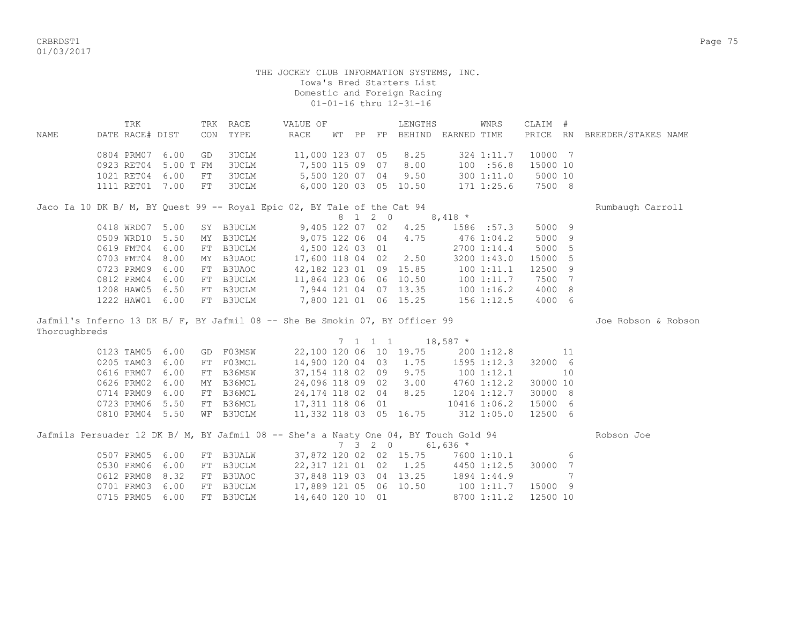CRBRDST1 Page 75 01/03/2017

#### THE JOCKEY CLUB INFORMATION SYSTEMS, INC. Iowa's Bred Starters List Domestic and Foreign Racing 01-01-16 thru 12-31-16

|                                                                         | TRK             |                      |    | TRK RACE | VALUE OF              |       |    | LENGTHS               |                                                        | WNRS       | CLAIM #  |                     |  |
|-------------------------------------------------------------------------|-----------------|----------------------|----|----------|-----------------------|-------|----|-----------------------|--------------------------------------------------------|------------|----------|---------------------|--|
| NAME                                                                    | DATE RACE# DIST |                      |    | CON TYPE | RACE                  | WT PP | FP | BEHIND                | EARNED TIME                                            |            | PRICE RN | BREEDER/STAKES NAME |  |
|                                                                         |                 | 0804 PRM07 6.00 GD   |    | 3UCLM    | 11,000 123 07 05 8.25 |       |    |                       |                                                        | 324 1:11.7 | 10000 7  |                     |  |
|                                                                         |                 | 0923 RET04 5.00 T FM |    | 3UCLM    | 7,500 115 09 07       |       |    | 8.00                  |                                                        | 100 : 56.8 | 15000 10 |                     |  |
|                                                                         | 1021 RET04      | 6.00                 | FT | 3UCLM    |                       |       |    | 5,500 120 07 04 9.50  |                                                        | 300 1:11.0 | 5000 10  |                     |  |
|                                                                         |                 | 1111 RET01 7.00      | FT | 3UCLM    |                       |       |    | 6,000 120 03 05 10.50 |                                                        | 171 1:25.6 | 7500 8   |                     |  |
| Jaco Ia 10 DK B/ M, BY Quest 99 -- Royal Epic 02, BY Tale of the Cat 94 |                 |                      |    |          |                       |       |    |                       |                                                        |            |          | Rumbaugh Carroll    |  |
|                                                                         |                 |                      |    |          |                       |       |    |                       | $0 \quad 1 \quad 2 \quad 0 \qquad 0 \quad 110 \quad *$ |            |          |                     |  |

|  |  |                           |                        |  |                       | 8 T Z O 8,418 *                 |                |         |  |
|--|--|---------------------------|------------------------|--|-----------------------|---------------------------------|----------------|---------|--|
|  |  | 0418 WRD07 5.00 SY B3UCLM |                        |  | 9,405 122 07 02 4.25  |                                 | 1586 :57.3     | 5000 9  |  |
|  |  | 0509 WRD10 5.50 MY B3UCLM |                        |  |                       | 9,075 122 06 04 4.75 476 1:04.2 |                | 5000 9  |  |
|  |  | 0619 FMT04 6.00 FT B3UCLM | 4,500 124 03 01        |  |                       |                                 | 2700 1:14.4    | 5000 5  |  |
|  |  | 0703 FMT04 8.00 MY B3UAOC | 17,600 118 04 02 2.50  |  |                       |                                 | 3200 1:43.0    | 15000 5 |  |
|  |  | 0723 PRM09 6.00 FT B3UAOC | 42,182 123 01 09 15.85 |  |                       |                                 | $100$ $1:11.1$ | 12500 9 |  |
|  |  | 0812 PRM04 6.00 FT B3UCLM | 11,864 123 06 06 10.50 |  |                       |                                 | 1001:11.7      | 7500 7  |  |
|  |  | 1208 HAW05 6.50 FT B3UCLM | 7,944 121 04 07 13.35  |  |                       |                                 | $100$ 1:16.2   | 4000 8  |  |
|  |  | 1222 HAW01 6.00 FT B3UCLM |                        |  | 7,800 121 01 06 15.25 |                                 | $156$ $1:12.5$ | 4000 6  |  |

Jafmil's Inferno 13 DK B/ F, BY Jafmil 08 -- She Be Smokin 07, BY Officer 99 Joe Nobson & Robson & Robson Thoroughbreds

| --------------- |                           |  |                        |  |                                                          |                |          |  |
|-----------------|---------------------------|--|------------------------|--|----------------------------------------------------------|----------------|----------|--|
|                 |                           |  |                        |  | $7 \quad 1 \quad 1 \quad 1 \qquad 18,587 \quad ^{\star}$ |                |          |  |
|                 | 0123 TAM05 6.00 GD F03MSW |  | 22,100 120 06 10 19.75 |  |                                                          | 200 1:12.8     | 11       |  |
|                 | 0205 TAM03 6.00 FT F03MCL |  |                        |  | 14,900 120 04 03 1.75 1595 1:12.3                        |                | 32000 6  |  |
|                 | 0616 PRM07 6.00 FT B36MSW |  | 37,154 118 02 09 9.75  |  |                                                          | $100$ 1:12.1   | 10       |  |
|                 | 0626 PRM02 6.00 MY B36MCL |  | 24,096 118 09 02 3.00  |  |                                                          | 4760 1:12.2    | 30000 10 |  |
|                 | 0714 PRM09 6.00 FT B36MCL |  | 24, 174 118 02 04 8.25 |  |                                                          | 1204 1:12.7    | 30000 8  |  |
|                 | 0723 PRM06 5.50 FT B36MCL |  | 17,311 118 06 01       |  |                                                          | 10416 1:06.2   | 15000 6  |  |
|                 | 0810 PRM04 5.50 WF B3UCLM |  | 11,332 118 03 05 16.75 |  |                                                          | $312$ $1:05.0$ | 12500 6  |  |
|                 |                           |  |                        |  |                                                          |                |          |  |

|  |  |                           |                        |  |  | Jafmils Persuader 12 DK B/ M, BY Jafmil 08 -- She's a Nasty One 04, BY Touch Gold 94 |   | Robson Joe |
|--|--|---------------------------|------------------------|--|--|--------------------------------------------------------------------------------------|---|------------|
|  |  |                           |                        |  |  | 7 3 2 0 61,636 *                                                                     |   |            |
|  |  | 0507 PRM05 6.00 FT B3UALW |                        |  |  | 37,872 120 02 02 15.75 7600 1:10.1                                                   | 6 |            |
|  |  | 0530 PRM06 6.00 FT B3UCLM | 22,317 121 01 02 1.25  |  |  | 4450 1:12.5 30000 7                                                                  |   |            |
|  |  | 0612 PRM08 8.32 FT B3UAOC | 37,848 119 03 04 13.25 |  |  | 1894 1:44.9 7                                                                        |   |            |
|  |  | 0701 PRM03 6.00 FT B3UCLM | 17,889 121 05 06 10.50 |  |  | 100 1:11.7 15000 9                                                                   |   |            |
|  |  | 0715 PRM05 6.00 FT B3UCLM | 14,640 120 10 01       |  |  | 8700 1:11.2 12500 10                                                                 |   |            |
|  |  |                           |                        |  |  |                                                                                      |   |            |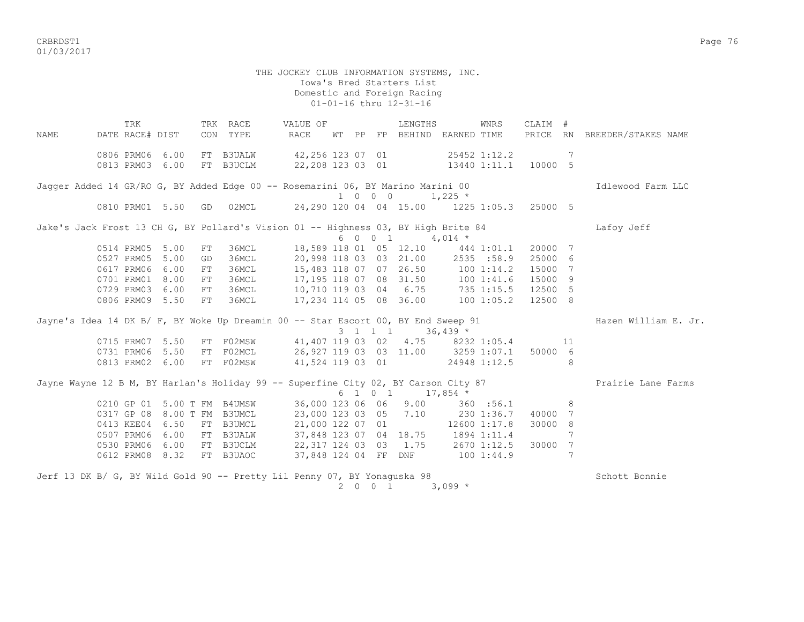CRBRDST1 Page 76 01/03/2017

 THE JOCKEY CLUB INFORMATION SYSTEMS, INC. Iowa's Bred Starters List Domestic and Foreign Racing 01-01-16 thru 12-31-16 TRK TRK RACE VALUE OF LENGTHS WNRS CLAIM # NAME DATE RACE# DIST CON TYPE RACE WT PP FP BEHIND EARNED TIME PRICE RN BREEDER/STAKES NAME 0806 PRM06 6.00 FT B3UALW 42,256 123 07 01 25452 1:12.2 7 0813 PRM03 6.00 FT B3UCLM 22,208 123 03 01 13440 1:11.1 10000 5 Jagger Added 14 GR/RO G, BY Added Edge 00 -- Rosemarini 06, BY Marino Marini 00 **Idlewood Farm LLC**  $1 \t0 \t0 \t0 \t1.225 \t*$  0810 PRM01 5.50 GD 02MCL 24,290 120 04 04 15.00 1225 1:05.3 25000 5 Jake's Jack Frost 13 CH G, BY Pollard's Vision 01 -- Highness 03, BY High Brite 84 Lafoy Jeff  $6 \t0 \t0 \t1 \t4.014 \t*$  0514 PRM05 5.00 FT 36MCL 18,589 118 01 05 12.10 444 1:01.1 20000 7 0527 PRM05 5.00 GD 36MCL 20,998 118 03 03 21.00 2535 :58.9 25000 6 0617 PRM06 6.00 FT 36MCL 15,483 118 07 07 26.50 100 1:14.2 15000 7 0701 PRM01 8.00 FT 36MCL 17,195 118 07 08 31.50 100 1:41.6 15000 9 0729 PRM03 6.00 FT 36MCL 10,710 119 03 04 6.75 735 1:15.5 12500 5 0806 PRM09 5.50 FT 36MCL 17,234 114 05 08 36.00 100 1:05.2 12500 8 Jayne's Idea 14 DK B/ F, BY Woke Up Dreamin 00 -- Star Escort 00, BY End Sweep 91 Hazen William E. Jr. 3 1 1 1 36,439 \* 0715 PRM07 5.50 FT F02MSW 41,407 119 03 02 4.75 8232 1:05.4 11 0731 PRM06 5.50 FT F02MCL 26,927 119 03 03 11.00 3259 1:07.1 50000 6 0813 PRM02 6.00 FT F02MSW 41,524 119 03 01 24948 1:12.5 8 Jayne Wayne 12 B M, BY Harlan's Holiday 99 -- Superfine City 02, BY Carson City 87 Prairie Lane Farms  $6 \t1 \t0 \t1 \t17,854$  \* 0210 GP 01 5.00 T FM B4UMSW 36,000 123 06 06 9.00 360 :56.1 8 0317 GP 08 8.00 T FM B3UMCL 23,000 123 03 05 7.10 230 1:36.7 40000 7 0413 KEE04 6.50 FT B3UMCL 21,000 122 07 01 12600 1:17.8 30000 8 0507 PRM06 6.00 FT B3UALW 37,848 123 07 04 18.75 1894 1:11.4 7 0530 PRM06 6.00 FT B3UCLM 22,317 124 03 03 1.75 2670 1:12.5 30000 7 0612 PRM08 8.32 FT B3UAOC 37,848 124 04 FF DNF 100 1:44.9 7 Jerf 13 DK B/ G, BY Wild Gold 90 -- Pretty Lil Penny 07, BY Yonaguska 98 Schott Bonnie

2 0 0 1 3,099  $*$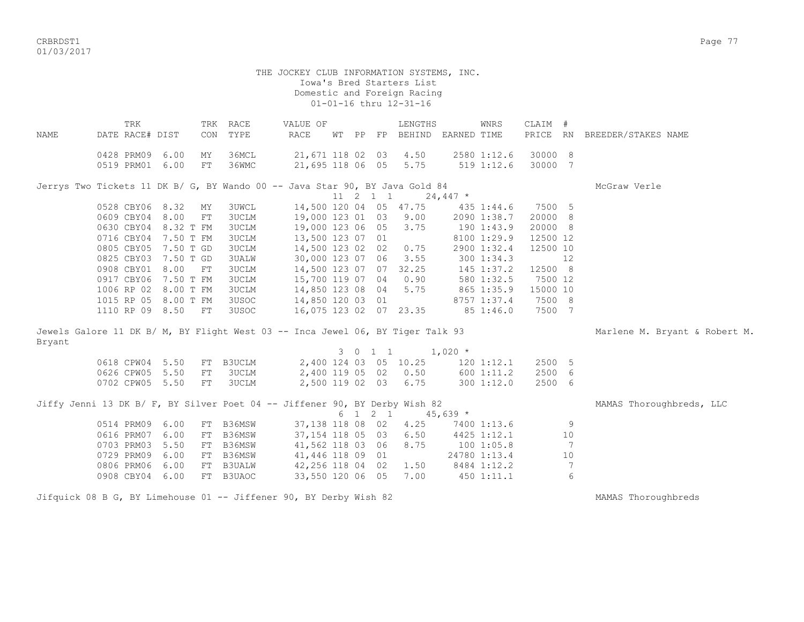CRBRDST1 Page 77 01/03/2017

> THE JOCKEY CLUB INFORMATION SYSTEMS, INC. Iowa's Bred Starters List Domestic and Foreign Racing 01-01-16 thru 12-31-16

| NAME   | TRK<br>DATE RACE# DIST                                                         |      | CON      | TRK RACE<br>TYPE | VALUE OF<br>RACE                     | WT PP |                  | LENGTHS<br>FP BEHIND EARNED TIME |            | WNRS                          | CLAIM #            |                 | PRICE RN BREEDER/STAKES NAME  |
|--------|--------------------------------------------------------------------------------|------|----------|------------------|--------------------------------------|-------|------------------|----------------------------------|------------|-------------------------------|--------------------|-----------------|-------------------------------|
|        | 0428 PRM09<br>0519 PRM01 6.00                                                  | 6.00 | ΜY<br>FT | 36MCL<br>36WMC   | 21,671 118 02 03<br>21,695 118 06 05 |       |                  | 4.50<br>5.75                     |            | 2580 1:12.6<br>$519$ $1:12.6$ | 30000 8<br>30000 7 |                 |                               |
|        | Jerrys Two Tickets 11 DK B/ G, BY Wando 00 -- Java Star 90, BY Java Gold 84    |      |          |                  |                                      |       |                  |                                  |            |                               |                    |                 | McGraw Verle                  |
|        |                                                                                |      |          |                  |                                      |       | $11 \t2 \t1 \t1$ |                                  | $24,447$ * |                               |                    |                 |                               |
|        | 0528 CBY06 8.32                                                                |      | MY       | <b>3UWCL</b>     |                                      |       |                  | 14,500 120 04 05 47.75           | 435 1:44.6 |                               | 7500 5<br>20000 8  |                 |                               |
|        | 0609 CBY04 8.00<br>0630 CBY04 8.32 T FM                                        |      | FT       | 3UCLM<br>3UCLM   | 19,000 123 01 03                     |       |                  | 9.00<br>3.75                     | 190 1:43.9 | 2090 1:38.7                   | 20000 8            |                 |                               |
|        | 0716 CBY04 7.50 T FM                                                           |      |          | <b>3UCLM</b>     | 19,000 123 06 05<br>13,500 123 07 01 |       |                  |                                  |            | 8100 1:29.9                   | 12500 12           |                 |                               |
|        | 0805 CBY05 7.50 T GD                                                           |      |          | 3UCLM            | 14,500 123 02 02                     |       |                  | 0.75                             |            |                               |                    |                 |                               |
|        |                                                                                |      |          |                  |                                      |       |                  |                                  |            | 2900 1:32.4                   | 12500 10           | 12              |                               |
|        | 0825 CBY03 7.50 T GD<br>0908 CBY01 8.00                                        |      | FT       | 3UALW<br>3UCLM   | 30,000 123 07 06<br>14,500 123 07 07 |       |                  | 3.55<br>32.25                    |            | 300 1:34.3<br>145 1:37.2      | 12500 8            |                 |                               |
|        | 0917 CBY06 7.50 T FM                                                           |      |          | 3UCLM            | 15,700 119 07 04                     |       |                  | 0.90                             |            | 580 1:32.5                    | 7500 12            |                 |                               |
|        | 1006 RP 02 8.00 T FM                                                           |      |          | 3UCLM            | 14,850 123 08 04                     |       |                  | 5.75                             | 865 1:35.9 |                               | 15000 10           |                 |                               |
|        | 1015 RP 05 8.00 T FM                                                           |      |          | 3USOC            | 14,850 120 03 01                     |       |                  |                                  |            | 8757 1:37.4                   | 7500 8             |                 |                               |
|        | 1110 RP 09 8.50 FT                                                             |      |          | 3USOC            | 16,075 123 02 07 23.35               |       |                  |                                  |            | 85 1:46.0                     | 7500 7             |                 |                               |
|        |                                                                                |      |          |                  |                                      |       |                  |                                  |            |                               |                    |                 |                               |
| Bryant | Jewels Galore 11 DK B/ M, BY Flight West 03 -- Inca Jewel 06, BY Tiger Talk 93 |      |          |                  |                                      |       |                  |                                  |            |                               |                    |                 | Marlene M. Bryant & Robert M. |
|        |                                                                                |      |          |                  |                                      |       | 3 0 1 1          |                                  | $1,020$ *  |                               |                    |                 |                               |
|        | 0618 CPW04 5.50                                                                |      | FT       | B3UCLM           |                                      |       |                  | 2,400 124 03 05 10.25            |            | 120 1:12.1                    | 2500 5             |                 |                               |
|        | 0626 CPW05 5.50                                                                |      | FT       | 3UCLM            | 2,400 119 05 02                      |       |                  | 0.50                             |            | 6001:11.2                     | 2500 6             |                 |                               |
|        | 0702 CPW05 5.50                                                                |      | FT       | 3UCLM            | 2,500 119 02 03                      |       |                  | 6.75                             |            | 3001:12.0                     | 2500 6             |                 |                               |
|        |                                                                                |      |          |                  |                                      |       |                  |                                  |            |                               |                    |                 |                               |
|        | Jiffy Jenni 13 DK B/ F, BY Silver Poet 04 -- Jiffener 90, BY Derby Wish 82     |      |          |                  |                                      |       |                  |                                  |            |                               |                    |                 | MAMAS Thoroughbreds, LLC      |
|        |                                                                                |      |          |                  |                                      |       | 6 1 2 1          |                                  | $45,639$ * |                               |                    |                 |                               |
|        | 0514 PRM09 6.00                                                                |      | FT       | B36MSW           | 37,138 118 08 02                     |       |                  | 4.25                             |            | 7400 1:13.6                   |                    | 9               |                               |
|        | 0616 PRM07 6.00                                                                |      | FT       | B36MSW           | 37, 154 118 05 03                    |       |                  | 6.50                             |            | 4425 1:12.1                   |                    | 10              |                               |
|        | 0703 PRM03 5.50                                                                |      | FT       | B36MSW           | 41,562 118 03 06                     |       |                  | 8.75                             |            | 1001:05.8                     |                    | 7               |                               |
|        | 0729 PRM09 6.00                                                                |      |          | FT B36MSW        | 41,446 118 09 01                     |       |                  |                                  |            | 24780 1:13.4                  |                    | 10              |                               |
|        | 0806 PRM06 6.00                                                                |      |          | FT B3UALW        | 42,256 118 04 02                     |       |                  | 1.50                             |            | 8484 1:12.2                   |                    | $7\phantom{.0}$ |                               |
|        | 0908 CBY04 6.00                                                                |      |          | FT B3UAOC        | 33,550 120 06 05                     |       |                  | 7.00                             |            | 450 1:11.1                    |                    | 6               |                               |
|        |                                                                                |      |          |                  |                                      |       |                  |                                  |            |                               |                    |                 |                               |

Jifquick 08 B G, BY Limehouse 01 -- Jiffener 90, BY Derby Wish 82 MAMAS Thoroughbreds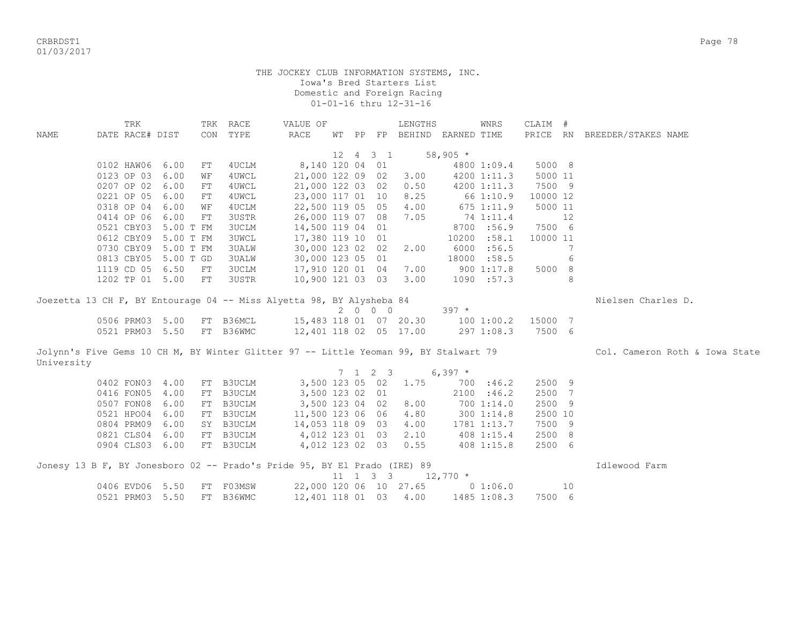CRBRDST1 Page 78 01/03/2017

|            | TRK             |                      | TRK        | RACE         | VALUE OF                                                                             |    |                 |                              | LENGTHS               |           | WNRS        | CLAIM #  |    |                                |
|------------|-----------------|----------------------|------------|--------------|--------------------------------------------------------------------------------------|----|-----------------|------------------------------|-----------------------|-----------|-------------|----------|----|--------------------------------|
| NAME       | DATE RACE# DIST |                      | CON        | TYPE         | <b>RACE</b>                                                                          | WТ | PP              |                              | FP BEHIND EARNED TIME |           |             |          |    | PRICE RN BREEDER/STAKES NAME   |
|            |                 |                      |            |              |                                                                                      |    |                 |                              |                       |           |             |          |    |                                |
|            |                 |                      |            |              |                                                                                      | 12 | $4\overline{ }$ | $3 \quad 1$                  |                       | $58,905*$ |             |          |    |                                |
|            | 0102 HAW06 6.00 |                      | FT         | 4UCLM        | 8,140 120 04 01                                                                      |    |                 |                              |                       |           | 4800 1:09.4 | 5000 8   |    |                                |
|            | 0123 OP 03      | 6.00                 | WF         | 4UWCL        | 21,000 122 09                                                                        |    |                 | 02                           | 3.00                  |           | 4200 1:11.3 | 5000 11  |    |                                |
|            | 0207 OP 02      | 6.00                 | FT         | 4UWCL        | 21,000 122 03 02                                                                     |    |                 |                              | 0.50                  |           | 4200 1:11.3 | 7500 9   |    |                                |
|            | 0221 OP 05      | 6.00                 | ${\rm FT}$ | 4UWCL        | 23,000 117 01 10                                                                     |    |                 |                              | 8.25                  |           | 66 1:10.9   | 10000 12 |    |                                |
|            | 0318 OP 04      | 6.00                 | WF         | 4UCLM        | 22,500 119 05 05                                                                     |    |                 |                              | 4.00                  |           | 675 1:11.9  | 5000 11  |    |                                |
|            | 0414 OP 06 6.00 |                      | ${\rm FT}$ | 3USTR        | 26,000 119 07 08                                                                     |    |                 |                              | 7.05                  |           | 74 1:11.4   |          | 12 |                                |
|            |                 | 0521 CBY03 5.00 T FM |            | <b>3UCLM</b> | 14,500 119 04 01                                                                     |    |                 |                              |                       |           | 8700 :56.9  | 7500 6   |    |                                |
|            |                 | 0612 CBY09 5.00 T FM |            | 3UWCL        | 17,380 119 10 01                                                                     |    |                 |                              |                       |           | 10200 :58.1 | 10000 11 |    |                                |
|            |                 | 0730 CBY09 5.00 T FM |            | 3UALW        | 30,000 123 02 02                                                                     |    |                 |                              | 2.00                  |           | 6000 :56.5  |          | 7  |                                |
|            |                 | 0813 CBY05 5.00 T GD |            | <b>3UALW</b> | 30,000 123 05 01                                                                     |    |                 |                              |                       |           | 18000 :58.5 |          | 6  |                                |
|            | 1119 CD 05 6.50 |                      | FT         | <b>3UCLM</b> | 17,910 120 01 04                                                                     |    |                 |                              | 7.00                  |           | 900 1:17.8  | 5000 8   |    |                                |
|            | 1202 TP 01 5.00 |                      | FT         | 3USTR        | 10,900 121 03 03                                                                     |    |                 |                              | 3.00                  |           | 1090 : 57.3 |          | 8  |                                |
|            |                 |                      |            |              |                                                                                      |    |                 |                              |                       |           |             |          |    |                                |
|            |                 |                      |            |              | Joezetta 13 CH F, BY Entourage 04 -- Miss Alyetta 98, BY Alysheba 84                 |    |                 |                              |                       |           |             |          |    | Nielsen Charles D.             |
|            |                 |                      |            |              |                                                                                      |    |                 | 2 0 0 0                      |                       | $397 *$   |             |          |    |                                |
|            | 0506 PRM03 5.00 |                      |            | FT B36MCL    | 15,483 118 01 07 20.30                                                               |    |                 |                              |                       |           | 1001:00.2   | 15000 7  |    |                                |
|            | 0521 PRM03 5.50 |                      |            | FT B36WMC    | 12,401 118 02 05 17.00                                                               |    |                 |                              |                       |           | 297 1:08.3  | 7500 6   |    |                                |
|            |                 |                      |            |              |                                                                                      |    |                 |                              |                       |           |             |          |    |                                |
|            |                 |                      |            |              | Jolynn's Five Gems 10 CH M, BY Winter Glitter 97 -- Little Yeoman 99, BY Stalwart 79 |    |                 |                              |                       |           |             |          |    | Col. Cameron Roth & Iowa State |
| University |                 |                      |            |              |                                                                                      |    |                 |                              |                       |           |             |          |    |                                |
|            |                 |                      |            |              |                                                                                      |    |                 | $7 \t1 \t2 \t3$              |                       | $6,397$ * |             |          |    |                                |
|            | 0402 FON03 4.00 |                      |            | FT B3UCLM    | 3,500 123 05 02                                                                      |    |                 |                              | 1.75                  |           | 700 : 46.2  | 2500 9   |    |                                |
|            | 0416 FON05 4.00 |                      |            | FT B3UCLM    | 3,500 123 02 01                                                                      |    |                 |                              |                       |           | 2100 : 46.2 | 2500 7   |    |                                |
|            | 0507 FON08 6.00 |                      |            | FT B3UCLM    | 3,500 123 04 02                                                                      |    |                 |                              | 8.00                  |           | 700 1:14.0  | 2500 9   |    |                                |
|            | 0521 HPO04 6.00 |                      |            | FT B3UCLM    | 11,500 123 06 06                                                                     |    |                 |                              | 4.80                  |           | 300 1:14.8  | 2500 10  |    |                                |
|            | 0804 PRM09 6.00 |                      |            | SY B3UCLM    | 14,053 118 09 03                                                                     |    |                 |                              | 4.00                  |           | 1781 1:13.7 | 7500 9   |    |                                |
|            | 0821 CLS04 6.00 |                      |            | FT B3UCLM    | 4,012 123 01 03                                                                      |    |                 |                              | 2.10                  |           | 408 1:15.4  | 2500 8   |    |                                |
|            | 0904 CLS03 6.00 |                      |            | FT B3UCLM    | 4,012 123 02 03                                                                      |    |                 |                              | 0.55                  |           | 408 1:15.8  | 2500 6   |    |                                |
|            |                 |                      |            |              |                                                                                      |    |                 |                              |                       |           |             |          |    |                                |
|            |                 |                      |            |              | Jonesy 13 B F, BY Jonesboro 02 -- Prado's Pride 95, BY El Prado (IRE) 89             |    |                 |                              |                       |           |             |          |    | Idlewood Farm                  |
|            |                 |                      |            |              |                                                                                      |    |                 | $11 \quad 1 \quad 3 \quad 3$ | $12,770$ *            |           |             |          |    |                                |
|            | 0406 EVD06 5.50 |                      | FT         | F03MSW       | 22,000 120 06 10 27.65                                                               |    |                 |                              |                       |           | 0 1:06.0    |          | 10 |                                |
|            | 0521 PRM03 5.50 |                      | FT         | B36WMC       | 12,401 118 01 03                                                                     |    |                 |                              | 4.00                  |           | 1485 1:08.3 | 7500 6   |    |                                |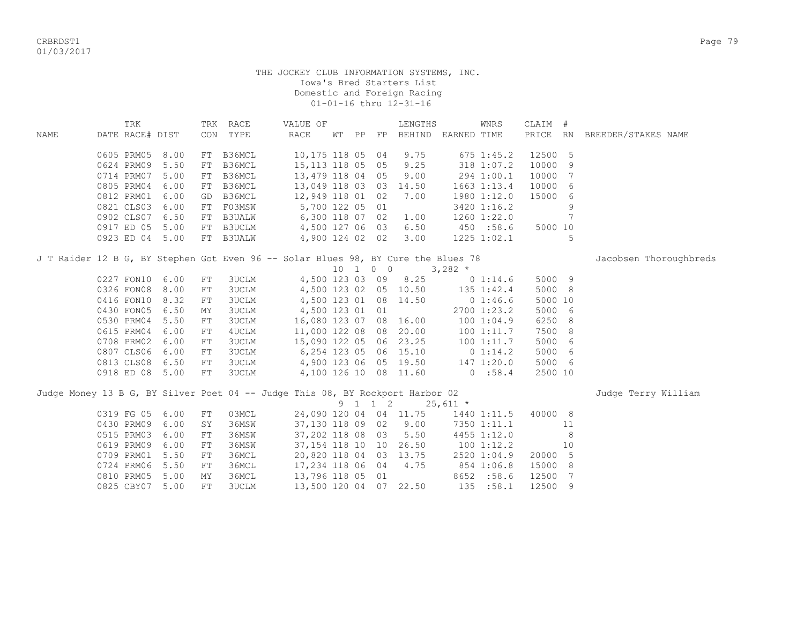CRBRDST1 Page 79 01/03/2017

|             | TRK             |      |    | TRK RACE      | VALUE OF                                                                          |    |    |          | LENGTHS                |                | WNRS            | CLAIM # |                |                              |
|-------------|-----------------|------|----|---------------|-----------------------------------------------------------------------------------|----|----|----------|------------------------|----------------|-----------------|---------|----------------|------------------------------|
| <b>NAME</b> | DATE RACE# DIST |      |    | CON TYPE      | <b>RACE</b>                                                                       | WΤ | PP | $\rm FP$ | BEHIND EARNED TIME     |                |                 |         |                | PRICE RN BREEDER/STAKES NAME |
|             |                 |      |    |               |                                                                                   |    |    |          |                        |                |                 |         |                |                              |
|             | 0605 PRM05      | 8.00 | FT | B36MCL        | 10,175 118 05 04                                                                  |    |    |          | 9.75                   |                | $675$ 1:45.2    | 12500 5 |                |                              |
|             | 0624 PRM09      | 5.50 | FT | B36MCL        | 15, 113 118 05 05                                                                 |    |    |          | 9.25                   |                | 318 1:07.2      | 10000   | - 9            |                              |
|             | 0714 PRM07      | 5.00 | FT | B36MCL        | 13,479 118 04 05                                                                  |    |    |          | 9.00                   |                | 294 1:00.1      | 10000   | 7              |                              |
|             | 0805 PRM04      | 6.00 | FT | B36MCL        | 13,049 118 03 03                                                                  |    |    |          | 14.50                  |                | $1663$ $1:13.4$ | 10000   | 6              |                              |
|             | 0812 PRM01      | 6.00 | GD | B36MCL        | 12,949 118 01 02                                                                  |    |    |          | 7.00                   |                | 1980 1:12.0     | 15000 6 |                |                              |
|             | 0821 CLS03      | 6.00 | FT | F03MSW        | 5,700 122 05 01                                                                   |    |    |          |                        |                | 3420 1:16.2     |         | 9              |                              |
|             | 0902 CLS07      | 6.50 | FT | <b>B3UALW</b> | 6,300 118 07 02                                                                   |    |    |          | 1.00                   |                | 1260 1:22.0     |         | 7              |                              |
|             | 0917 ED 05      | 5.00 |    | FT B3UCLM     | 4,500 127 06 03 6.50                                                              |    |    |          |                        | 450 :58.6      |                 | 5000 10 |                |                              |
|             | 0923 ED 04 5.00 |      |    | FT B3UALW     | 4,900 124 02 02                                                                   |    |    |          | 3.00                   |                | $1225$ $1:02.1$ |         | 5              |                              |
|             |                 |      |    |               | J T Raider 12 B G, BY Stephen Got Even 96 -- Solar Blues 98, BY Cure the Blues 78 |    |    |          |                        |                |                 |         |                | Jacobsen Thoroughbreds       |
|             |                 |      |    |               |                                                                                   |    |    | 10 1 0 0 |                        | $3,282$ *      |                 |         |                |                              |
|             | 0227 FON10      | 6.00 | FT | 3UCLM         |                                                                                   |    |    |          | 4,500 123 03 09 8.25   |                | 0 1:14.6        | 5000 9  |                |                              |
|             | 0326 FON08      | 8.00 | FT | 3UCLM         |                                                                                   |    |    |          | 4,500 123 02 05 10.50  |                | 135 1:42.4      | 5000 8  |                |                              |
|             | 0416 FON10      | 8.32 | FT | <b>3UCLM</b>  | 4,500 123 01 08 14.50                                                             |    |    |          |                        | $0\;1:46.6$    |                 | 5000 10 |                |                              |
|             | 0430 FON05      | 6.50 | ΜY | <b>3UCLM</b>  | 4,500 123 01 01                                                                   |    |    |          |                        |                | 2700 1:23.2     | 5000 6  |                |                              |
|             | 0530 PRM04      | 5.50 | FT | <b>3UCLM</b>  |                                                                                   |    |    |          | 16,080 123 07 08 16.00 |                | 1001:04.9       | 6250 8  |                |                              |
|             | 0615 PRM04      | 6.00 | FT | 4UCLM         |                                                                                   |    |    |          | 11,000 122 08 08 20.00 |                | 100 1:11.7      | 7500 8  |                |                              |
|             | 0708 PRM02      | 6.00 | FT | <b>3UCLM</b>  |                                                                                   |    |    |          | 15,090 122 05 06 23.25 |                | 1001:11.7       | 5000 6  |                |                              |
|             | 0807 CLS06      | 6.00 | FT | 3UCLM         | 6,254 123 05 06 15.10                                                             |    |    |          |                        |                | 0 1:14.2        | 5000 6  |                |                              |
|             | 0813 CLS08      | 6.50 | FT | 3UCLM         | 4,900 123 06 05 19.50                                                             |    |    |          |                        | 147 1:20.0     |                 | 5000 6  |                |                              |
|             | 0918 ED 08 5.00 |      | FT | 3UCLM         |                                                                                   |    |    |          | 4,100 126 10 08 11.60  | 0:58.4         |                 | 2500 10 |                |                              |
|             |                 |      |    |               | Judge Money 13 B G, BY Silver Poet 04 -- Judge This 08, BY Rockport Harbor 02     |    |    |          |                        |                |                 |         |                | Judge Terry William          |
|             |                 |      |    |               |                                                                                   |    |    | 9 1 1 2  |                        | $25,611$ *     |                 |         |                |                              |
|             | 0319 FG 05      | 6.00 | FT | 03MCL         |                                                                                   |    |    |          | 24,090 120 04 04 11.75 |                | 1440 1:11.5     | 40000 8 |                |                              |
|             | 0430 PRM09      | 6.00 | SY | 36MSW         | 37,130 118 09 02                                                                  |    |    |          | 9.00                   |                | 7350 1:11.1     |         | 11             |                              |
|             | 0515 PRM03      | 6.00 | FT | 36MSW         | 37,202 118 08 03                                                                  |    |    |          | 5.50                   |                | 4455 1:12.0     |         | 8              |                              |
|             | 0619 PRM09      | 6.00 | FT | 36MSW         | 37,154 118 10 10 26.50                                                            |    |    |          |                        | $100$ $1:12.2$ |                 |         | 10             |                              |
|             | 0709 PRM01      | 5.50 | FT | 36MCL         | 20,820 118 04 03 13.75                                                            |    |    |          |                        |                | 2520 1:04.9     | 20000 5 |                |                              |
|             | 0724 PRM06      | 5.50 | FT | 36MCL         | 17,234 118 06 04                                                                  |    |    |          | 4.75                   |                | 854 1:06.8      | 15000 8 |                |                              |
|             | 0810 PRM05      | 5.00 | MY | 36MCL         | 13,796 118 05 01                                                                  |    |    |          |                        |                | 8652 :58.6      | 12500   | $\overline{7}$ |                              |
|             | 0825 CBY07      | 5.00 | FT | <b>3UCLM</b>  |                                                                                   |    |    |          | 13,500 120 04 07 22.50 |                | 135 :58.1       | 12500 9 |                |                              |
|             |                 |      |    |               |                                                                                   |    |    |          |                        |                |                 |         |                |                              |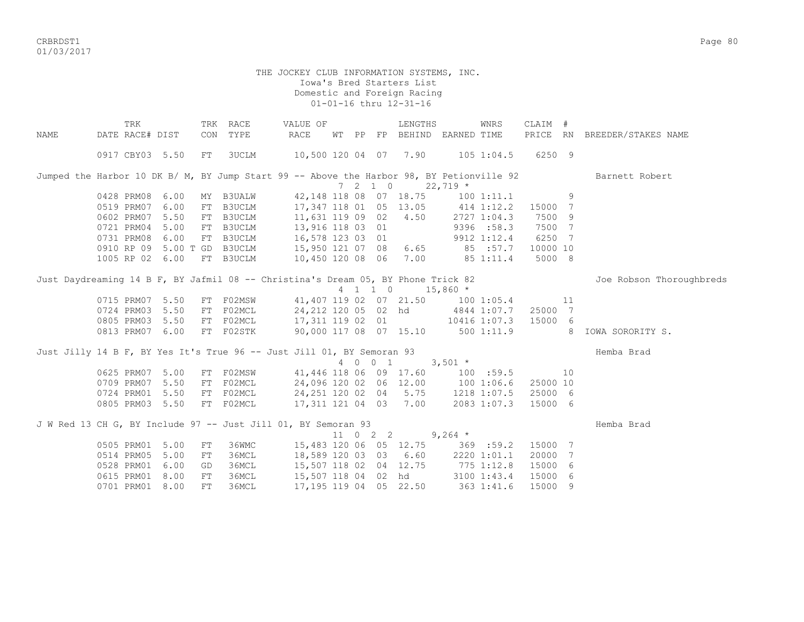CRBRDST1 Page 80 01/03/2017

|      | TRK             |      |     | TRK RACE         | VALUE OF                                                                                 |  |                          | LENGTHS                                |                | WNRS                                     | CLAIM #  |     |                                                      |
|------|-----------------|------|-----|------------------|------------------------------------------------------------------------------------------|--|--------------------------|----------------------------------------|----------------|------------------------------------------|----------|-----|------------------------------------------------------|
| NAME | DATE RACE# DIST |      |     | CON TYPE         | RACE                                                                                     |  | WT PP FP                 | BEHIND EARNED TIME                     |                |                                          | PRICE RN |     | BREEDER/STAKES NAME                                  |
|      | 0917 CBY03 5.50 |      | FT  | 3UCLM            | 10,500 120 04 07 7.90 105 1:04.5                                                         |  |                          |                                        |                |                                          | 6250 9   |     |                                                      |
|      |                 |      |     |                  | Jumped the Harbor 10 DK B/ M, BY Jump Start 99 -- Above the Harbor 98, BY Petionville 92 |  |                          |                                        |                |                                          |          |     | Barnett Robert                                       |
|      |                 |      |     |                  |                                                                                          |  | $7\quad 2\quad 1\quad 0$ | $22,719$ *                             |                |                                          |          |     |                                                      |
|      | 0428 PRM08      | 6.00 |     | MY B3UALW        |                                                                                          |  |                          | 42,148 118 08 07 18.75                 |                | $100$ $1:11.1$                           |          | 9   |                                                      |
|      | 0519 PRM07      | 6.00 |     | FT B3UCLM        | 17,347 118 01 05 13.05                                                                   |  |                          |                                        |                | 414 1:12.2 15000 7<br>2727 1:04.3 7500 9 |          |     |                                                      |
|      | 0602 PRM07      | 5.50 |     | FT B3UCLM        | 11,631 119 09 02 4.50                                                                    |  |                          |                                        |                |                                          |          |     |                                                      |
|      | 0721 PRM04      | 5.00 |     | FT B3UCLM        | 13,916 118 03 01                                                                         |  |                          |                                        |                | 9396 :58.3                               | 7500 7   |     |                                                      |
|      | 0731 PRM08      | 6.00 |     | FT B3UCLM        | 16,578 123 03 01                                                                         |  |                          |                                        |                | 9912 1:12.4                              | 6250 7   |     |                                                      |
|      | 0910 RP 09      |      |     | 5.00 T GD B3UCLM |                                                                                          |  |                          | 15,950 121 07 08 6.65 85 :57.7         |                |                                          | 10000 10 |     |                                                      |
|      | 1005 RP 02 6.00 |      |     | FT B3UCLM        | 10,450 120 08 06                                                                         |  |                          |                                        | 7.00 85 1:11.4 |                                          | 5000 8   |     |                                                      |
|      |                 |      |     |                  | Just Daydreaming 14 B F, BY Jafmil 08 -- Christina's Dream 05, BY Phone Trick 82         |  |                          |                                        |                |                                          |          |     | Joe Robson Thoroughbreds                             |
|      |                 |      |     |                  |                                                                                          |  |                          | 4 1 1 0 15,860 *                       |                |                                          |          |     |                                                      |
|      | 0715 PRM07      | 5.50 |     | FT F02MSW        |                                                                                          |  |                          | 41,407 119 02 07 21.50 100 1:05.4      |                |                                          |          | 11  |                                                      |
|      | 0724 PRM03      | 5.50 |     | FT F02MCL        |                                                                                          |  |                          | 24,212 120 05 02 hd 4844 1:07.7        |                |                                          | 25000 7  |     |                                                      |
|      | 0805 PRM03      | 5.50 |     | FT FO2MCL        |                                                                                          |  |                          | 17, 311 119 02 01 10416 1:07.3 15000 6 |                |                                          |          |     |                                                      |
|      | 0813 PRM07 6.00 |      |     | FT F02STK        |                                                                                          |  |                          |                                        |                |                                          |          |     | 90,000 117 08 07 15.10 500 1:11.9 8 IOWA SORORITY S. |
|      |                 |      |     |                  | Just Jilly 14 B F, BY Yes It's True 96 -- Just Jill 01, BY Semoran 93                    |  |                          |                                        |                |                                          |          |     | Hemba Brad                                           |
|      |                 |      |     |                  |                                                                                          |  | 4 0 0 1                  |                                        | $3,501$ *      |                                          |          |     |                                                      |
|      | 0625 PRM07      | 5.00 |     | FT F02MSW        |                                                                                          |  |                          | 41,446 118 06 09 17.60                 |                | 100 :59.5                                |          | 10  |                                                      |
|      | 0709 PRM07      | 5.50 |     | FT F02MCL        | 24,096 120 02 06 12.00                                                                   |  |                          |                                        | 100 1:06.6     |                                          | 25000 10 |     |                                                      |
|      | 0724 PRM01      | 5.50 |     | FT F02MCL        | 24,251 120 02 04 5.75                                                                    |  |                          |                                        | 1218 1:07.5    |                                          | 25000 6  |     |                                                      |
|      | 0805 PRM03 5.50 |      |     | FT FO2MCL        |                                                                                          |  |                          | 17,311 121 04 03 7.00                  |                | 2083 1:07.3                              | 15000 6  |     |                                                      |
|      |                 |      |     |                  | J W Red 13 CH G, BY Include 97 -- Just Jill 01, BY Semoran 93                            |  |                          |                                        |                |                                          |          |     | Hemba Brad                                           |
|      |                 |      |     |                  |                                                                                          |  |                          | 11 0 2 2 9,264 $*$                     |                |                                          |          |     |                                                      |
|      | 0505 PRM01 5.00 |      | FT  | 36WMC            |                                                                                          |  |                          | 15,483 120 06 05 12.75 369 :59.2       |                |                                          | 15000 7  |     |                                                      |
|      | 0514 PRM05      | 5.00 | FT  | 36MCL            | 18,589 120 03 03 6.60                                                                    |  |                          |                                        |                | 2220 1:01.1                              | 20000 7  |     |                                                      |
|      | 0528 PRM01      | 6.00 | GD  | 36MCL            | 15,507 118 02 04 12.75                                                                   |  |                          |                                        | 775 1:12.8     |                                          | 15000 6  |     |                                                      |
|      | 0615 PRM01      | 8.00 | FT  | 36MCL            |                                                                                          |  |                          | 15,507 118 04 02 hd                    |                | 3100 1:43.4                              | 15000 6  |     |                                                      |
|      | 0701 PRM01 8.00 |      | FT. | 36MCL            | 17, 195 119 04 05 22.50                                                                  |  |                          |                                        |                | 363 1:41.6                               | 15000    | - 9 |                                                      |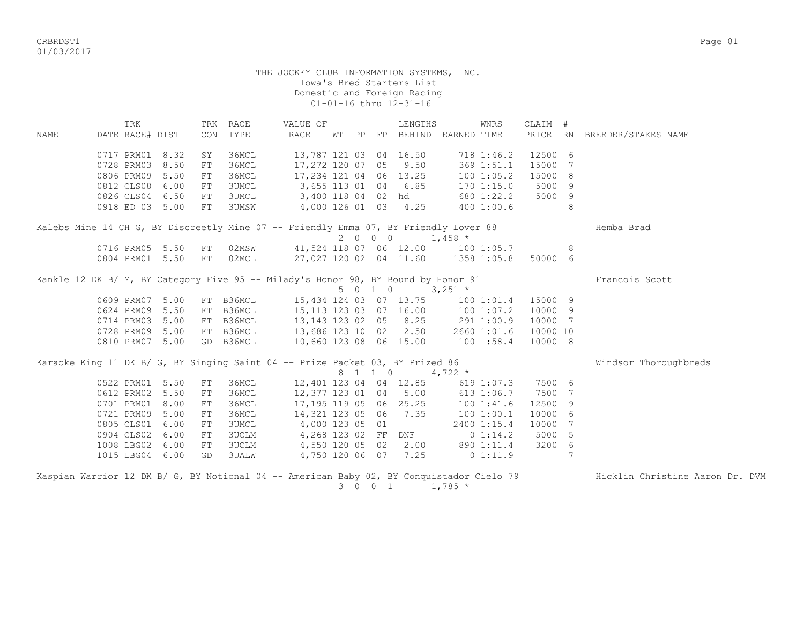CRBRDST1 Page 81 01/03/2017

 THE JOCKEY CLUB INFORMATION SYSTEMS, INC. Iowa's Bred Starters List Domestic and Foreign Racing 01-01-16 thru 12-31-16 TRK TRK RACE WALUE OF THENGTHS WINRS CLAIM # NAME DATE RACE# DIST CON TYPE RACE WT PP FP BEHIND EARNED TIME PRICE RN BREEDER/STAKES NAME 0717 PRM01 8.32 SY 36MCL 13,787 121 03 04 16.50 718 1:46.2 12500 6 0728 PRM03 8.50 FT 36MCL 17,272 120 07 05 9.50 369 1:51.1 15000 7 0806 PRM09 5.50 FT 36MCL 17,234 121 04 06 13.25 100 1:05.2 15000 8 0812 CLS08 6.00 FT 3UMCL 3,655 113 01 04 6.85 170 1:15.0 5000 9 0812 CLS08 6.00 FT 3UMCL 3,655 113 01 04 6.85 170 1:15.0 5000 9<br>0826 CLS04 6.50 FT 3UMCL 3,400 118 04 02 hd 680 1:22.2 5000 9 0918 ED 03 5.00 FT 3UMSW 4,000 126 01 03 4.25 400 1:00.6 8 Kalebs Mine 14 CH G, BY Discreetly Mine 07 -- Friendly Emma 07, BY Friendly Lover 88 Hemba Brad  $2 \t 0 \t 0 \t 0 \t 1.458 \t \star$ 0716 PRM05 5.50 FT 02MSW 41,524 118 07 06 12.00 100 1:05.7 8<br>0804 PRM01 5.50 FT 02MCL 27,027 120 02 04 11.60 1358 1:05.8 50000 6 0804 PRM01 5.50 FT 02MCL 27,027 120 02 04 11.60 1358 1:05.8 50000 6 Kankle 12 DK B/ M, BY Category Five 95 -- Milady's Honor 98, BY Bound by Honor 91 Francois Scott 5 0 1 0 3,251 \* 0609 PRM07 5.00 FT B36MCL 15,434 124 03 07 13.75 100 1:01.4 15000 9<br>0624 PRM09 5.50 FT B36MCL 15,113 123 03 07 16.00 100 1:07.2 10000 9 0624 PRM09 5.50 FT B36MCL 15,113 123 03 07 16.00 100 1:07.2 10000 9 0714 PRM03 5.00 FT B36MCL 13,143 123 02 05 8.25 291 1:00.9 10000 7 0728 PRM09 5.00 FT B36MCL 13,686 123 10 02 2.50 2660 1:01.6 10000 10 0810 PRM07 5.00 GD B36MCL 10,660 123 08 06 15.00 100 :58.4 10000 8 Karaoke King 11 DK B/ G, BY Singing Saint 04 -- Prize Packet 03, BY Prized 86 Windsor Thoroughbreds  $8 \quad 1 \quad 1 \quad 0 \quad 4.722 \quad ^{\star}$  0522 PRM01 5.50 FT 36MCL 12,401 123 04 04 12.85 619 1:07.3 7500 6 0612 PRM02 5.50 FT 36MCL 12,377 123 01 04 5.00 613 1:06.7 7500 7 0701 PRM01 8.00 FT 36MCL 17,195 119 05 06 25.25 100 1:41.6 12500 9<br>0721 PRM09 5.00 FT 36MCL 14,321 123 05 06 7.35 100 1:00.1 10000 6 0721 PRM09 5.00 FT 36MCL 14,321 123 05 06 7.35 100 1:00.1 10000 6 0805 CLS01 6.00 FT 3UMCL 4,000 123 05 01 2400 1:15.4 10000 7 0904 CLS02 6.00 FT 3UCLM 4,268 123 02 FF DNF 0 1:14.2 5000 5 1008 LBG02 6.00 FT 3UCLM 4,550 120 05 02 2.00 890 1:11.4 3200 6 1015 LBG04 6.00 GD 3UALW 4,750 120 06 07 7.25 0 1:11.9 7

Kaspian Warrior 12 DK B/ G, BY Notional 04 -- American Baby 02, BY Conquistador Cielo 79 Hicklin Christine Aaron Dr. DVM 3 0 0 1 1,785 \*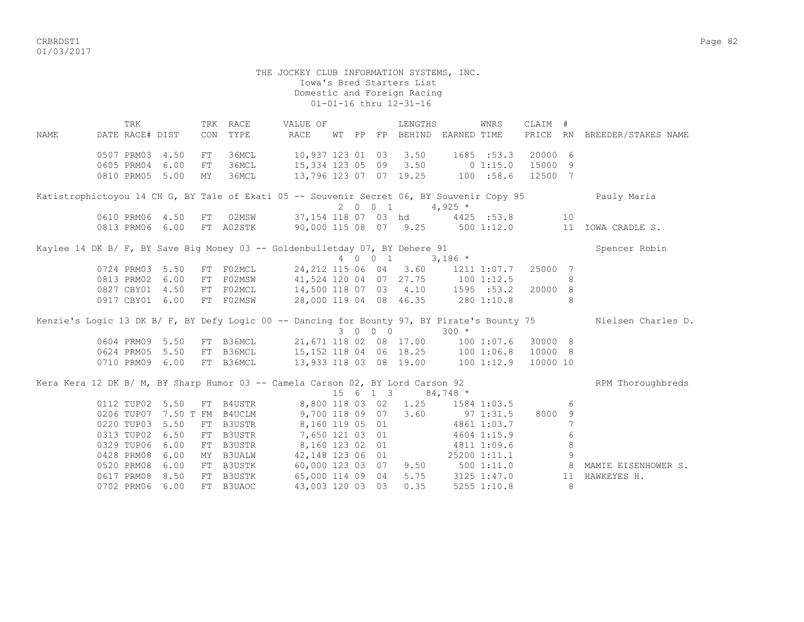CRBRDST1 Page 82 01/03/2017

#### THE JOCKEY CLUB INFORMATION SYSTEMS, INC. Iowa's Bred Starters List Domestic and Foreign Racing 01-01-16 thru 12-31-16

 TRK TRK RACE VALUE OF LENGTHS WNRS CLAIM # NAME DATE RACE# DIST CON TYPE RACE WT PP FP BEHIND EARNED TIME PRICE RN BREEDER/STAKES NAME 0507 PRM03 4.50 FT 36MCL 10,937 123 01 03 3.50 1685 :53.3 20000 6 0605 PRM04 6.00 FT 36MCL 15,334 123 05 09 3.50 0 1:15.0 15000 9 0810 PRM05 5.00 MY 36MCL 13,796 123 07 07 19.25 100 :58.6 12500 7 Katistrophictoyou 14 CH G, BY Tale of Ekati 05 -- Souvenir Secret 06, BY Souvenir Copy 95 Pauly Maria 2 0 0 1 4,925  $*$ 0610 PRM06 4.50 FT 02MSW 37,154 118 07 03 hd 4425 :53.8 10<br>0813 PRM06 6.00 FT A02STK 90,000 115 08 07 9.25 500 1:12.0 11 IOWA CRADLE S. 0813 PRM06 6.00 FT A02STK 90,000 115 08 07 9.25 Kaylee 14 DK B/ F, BY Save Big Money 03 -- Goldenbulletday 07, BY Dehere 91 Spencer Robin  $4 \t0 \t0 \t1 \t3.186 \t*$  0724 PRM03 5.50 FT F02MCL 24,212 115 06 04 3.60 1211 1:07.7 25000 7 0813 PRM02 6.00 FT F02MSW 41,524 120 04 07 27.75 100 1:12.5 8 0827 CBY01 4.50 FT F02MCL 14,500 118 07 03 4.10 1595 :53.2 20000 8 0917 CBY01 6.00 FT F02MSW 28,000 119 04 08 46.35 280 1:10.8 8 Kenzie's Logic 13 DK B/ F, BY Defy Logic 00 -- Dancing for Bounty 97, BY Pirate's Bounty 75 Nielsen Charles D. 3 0 0 0 300 \* 0604 PRM09 5.50 FT B36MCL 21,671 118 02 08 17.00 100 1:07.6 30000 8 0624 PRM05 5.50 FT B36MCL 15,152 118 04 06 18.25 100 1:06.8 10000 8 0710 PRM09 6.00 FT B36MCL 13,933 118 03 08 19.00 100 1:12.9 10000 10 Kera Kera 12 DK B/ M, BY Sharp Humor 03 -- Camela Carson 02, BY Lord Carson 92 RPM Thoroughbreds  $15 \t6 \t1 \t3 \t84,748$  \* 0112 TUP02 5.50 FT B4USTR 8,800 118 03 02 1.25 1584 1:03.5 6 0206 TUP07 7.50 T FM B4UCLM 9,700 118 09 07 3.60 97 1:31.5 8000 9 0220 TUP03 5.50 FT B3USTR 8,160 119 05 01 4861 1:03.7 7 0313 TUP02 6.50 FT B3USTR 7,650 121 03 01 4604 1:15.9 6 0329 TUP06 6.00 FT B3USTR 8,160 123 02 01 4811 1:09.6 8 0428 PRM08 6.00 MY B3UALW 42,148 123 06 01 25200 1:11.1 9 0520 PRM08 6.00 FT B3USTK 60,000 123 03 07 9.50 500 1:11.0 8 MAMIE EISENHOWER S. 0617 PRM08 8.50 FT B3USTK 65,000 114 09 04 5.75 3125 1:47.0 11 HAWKEYES H. 0702 PRM06 6.00 FT B3UAOC 43,003 120 03 03 0.35 5255 1:10.8 8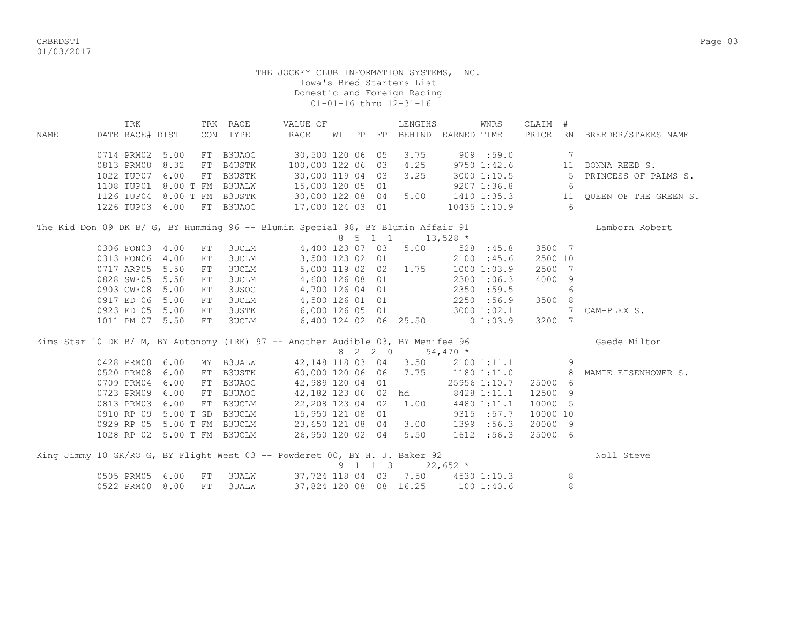CRBRDST1 Page 83 01/03/2017

|      | TRK                         |                    | TRK RACE      | VALUE OF                                                                        |  |         | LENGTHS                            |            | WNRS         | CLAIM #        |                |                              |
|------|-----------------------------|--------------------|---------------|---------------------------------------------------------------------------------|--|---------|------------------------------------|------------|--------------|----------------|----------------|------------------------------|
| NAME | DATE RACE# DIST             |                    | CON TYPE      | RACE                                                                            |  |         | WT PP FP BEHIND EARNED TIME        |            |              |                |                | PRICE RN BREEDER/STAKES NAME |
|      | 0714 PRM02 5.00             | FT                 | B3UAOC        | 30,500 120 06 05                                                                |  |         | 3.75                               | 909 : 59.0 |              |                | 7              |                              |
|      | 0813 PRM08                  | 8.32<br>FT         | B4USTK        | 100,000 122 06 03                                                               |  |         | 4.25                               |            | 97501:42.6   |                | 11             | DONNA REED S.                |
|      | 1022 TUP07                  | 6.00<br>FT         | B3USTK        | 30,000 119 04 03                                                                |  |         | 3.25                               |            | 3000 1:10.5  |                | 5              | PRINCESS OF PALMS S.         |
|      | 1108 TUP01 8.00 T FM B3UALW |                    |               | 15,000 120 05 01                                                                |  |         |                                    |            | 9207 1:36.8  |                | 6              |                              |
|      | 1126 TUP04 8.00 T FM B3USTK |                    |               | 30,000 122 08 04<br>17,000 124 03 01                                            |  |         | 5.00                               |            |              | 1410 1:35.3 11 |                | QUEEN OF THE GREEN S.        |
|      | 1226 TUP03 6.00             |                    | FT B3UAOC     |                                                                                 |  |         |                                    |            | 10435 1:10.9 |                | 6              |                              |
|      |                             |                    |               | The Kid Don 09 DK B/ G, BY Humming 96 -- Blumin Special 98, BY Blumin Affair 91 |  |         |                                    |            |              |                |                | Lamborn Robert               |
|      |                             |                    |               |                                                                                 |  |         | 8 5 1 1 1 13,528 *                 |            |              |                |                |                              |
|      | 0306 FON03                  | 4.00<br>FT         | 3UCLM         | 4,400 123 07 03                                                                 |  |         | 5.00                               |            | 528 : 45.8   | 3500 7         |                |                              |
|      | 0313 FON06                  | 4.00<br>${\rm FT}$ | <b>3UCLM</b>  | 3,500 123 02 01                                                                 |  |         |                                    |            | 2100 : 45.6  | 2500 10        |                |                              |
|      | 0717 ARP05                  | 5.50<br>FT         | <b>3UCLM</b>  |                                                                                 |  |         | 5,000 119 02 02 1.75               |            | 10001:03.9   | 2500           | $\overline{7}$ |                              |
|      | 0828 SWF05                  | 5.50<br>FT         | <b>3UCLM</b>  | 4,600 126 08 01                                                                 |  |         |                                    |            | 2300 1:06.3  | 4000 9         |                |                              |
|      | 0903 CWF08                  | 5.00<br>FT         | 3USOC         | 4,700 126 04 01                                                                 |  |         |                                    |            | 2350 :59.5   |                | 6              |                              |
|      | 0917 ED 06                  | 5.00<br>FT         | <b>3UCLM</b>  | 4,500 126 01 01                                                                 |  |         |                                    |            | 2250 :56.9   | 3500 8         |                |                              |
|      | 0923 ED 05 5.00             | FT                 | <b>3USTK</b>  | 6,000 126 05 01                                                                 |  |         |                                    |            | 3000 1:02.1  |                | 7              | CAM-PLEX S.                  |
|      | 1011 PM 07 5.50             | FT                 | <b>3UCLM</b>  |                                                                                 |  |         | 6,400 124 02 06 25.50 0 1:03.9     |            |              | 3200 7         |                |                              |
|      |                             |                    |               | Kims Star 10 DK B/ M, BY Autonomy (IRE) 97 -- Another Audible 03, BY Menifee 96 |  |         |                                    |            |              |                |                | Gaede Milton                 |
|      |                             |                    |               |                                                                                 |  | 8 2 2 0 |                                    | $54,470*$  |              |                |                |                              |
|      | 0428 PRM08                  | 6.00               | MY B3UALW     | 42,148 118 03 04                                                                |  |         | 3.50                               |            | 2100 1:11.1  |                | 9              |                              |
|      | 0520 PRM08                  | 6.00<br>FT         | <b>B3USTK</b> | 60,000 120 06 06                                                                |  |         | 7.75                               |            | 1180 1:11.0  |                | 8              | MAMIE EISENHOWER S.          |
|      | 0709 PRM04                  | 6.00               | FT B3UAOC     | 42,989 120 04 01                                                                |  |         |                                    |            | 25956 1:10.7 | 25000          | - 6            |                              |
|      | 0723 PRM09                  | 6.00<br>FT         | B3UAOC        | 42,182 123 06 02                                                                |  |         | hd                                 |            | 8428 1:11.1  | 12500          | 9              |                              |
|      | 0813 PRM03                  | 6.00               | FT B3UCLM     | 22,208 123 04 02                                                                |  |         | 1.00                               |            | 4480 1:11.1  | 10000          | 5              |                              |
|      | 0910 RP 09                  | 5.00 T GD B3UCLM   |               | 15,950 121 08 01                                                                |  |         |                                    |            | 9315 :57.7   | 10000 10       |                |                              |
|      | 0929 RP 05                  | 5.00 T FM B3UCLM   |               | 23,650 121 08 04                                                                |  |         | 3.00                               |            | 1399 :56.3   | 20000 9        |                |                              |
|      | 1028 RP 02 5.00 T FM B3UCLM |                    |               | 26,950 120 02 04                                                                |  |         | 5.50                               |            | 1612 :56.3   | 25000 6        |                |                              |
|      |                             |                    |               | King Jimmy 10 GR/RO G, BY Flight West 03 -- Powderet 00, BY H. J. Baker 92      |  |         |                                    |            |              |                |                | Noll Steve                   |
|      |                             |                    |               |                                                                                 |  | 9 1 1 3 |                                    | $22,652$ * |              |                |                |                              |
|      | 0505 PRM05                  | 6.00<br>FT         | 3UALW         |                                                                                 |  |         | 37, 724 118 04 03 7.50 4530 1:10.3 |            |              |                | 8              |                              |
|      | 0522 PRM08                  | 8.00<br>FT         | <b>3UALW</b>  |                                                                                 |  |         | 37,824 120 08 08 16.25 100 1:40.6  |            |              |                | 8              |                              |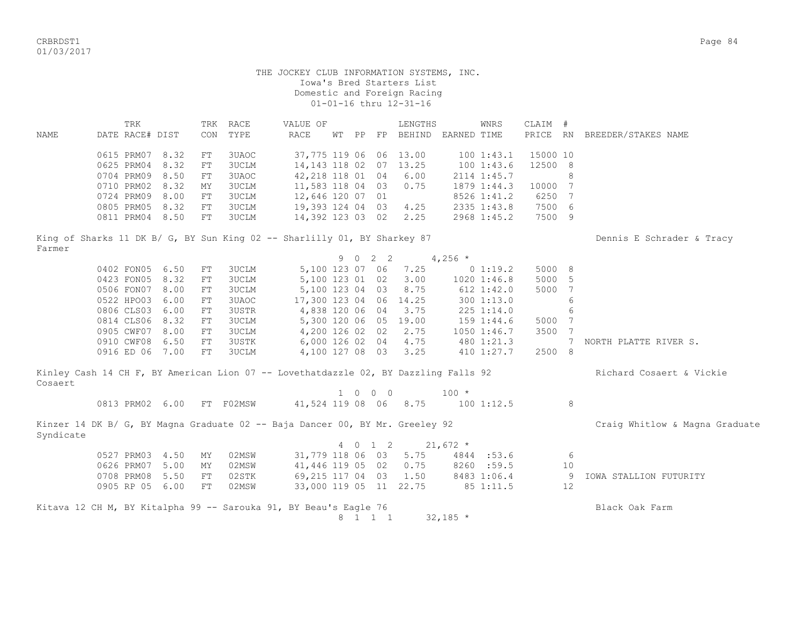CRBRDST1 Page 84 01/03/2017

# THE JOCKEY CLUB INFORMATION SYSTEMS, INC. Iowa's Bred Starters List Domestic and Foreign Racing 01-01-16 thru 12-31-16

 TRK TRK RACE VALUE OF LENGTHS WNRS CLAIM # NAME DATE RACE# DIST CON TYPE RACE WT PP FP BEHIND EARNED TIME PRICE RN BREEDER/STAKES NAME 0615 PRM07 8.32 FT 3UAOC 37,775 119 06 06 13.00 100 1:43.1 15000 10 0625 PRM04 8.32 FT 3UCLM 14,143 118 02 07 13.25 100 1:43.6 12500 8 0704 PRM09 8.50 FT 3UAOC 42, 218 118 01 04 6.00 2114 1:45.7 8 0710 PRM02 8.32 MY 3UCLM 11,583 118 04 03 0.75 1879 1:44.3 10000 7 0724 PRM09 8.00 FT 3UCLM 12,646 120 07 01 8526 1:41.2 6250 7 0805 PRM05 8.32 FT 3UCLM 19,393 124 04 03 4.25 2335 1:43.8 7500 6 0811 PRM04 8.50 FT 3UCLM 14,392 123 03 02 2.25 2968 1:45.2 7500 9 King of Sharks 11 DK B/ G, BY Sun King 02 -- Sharlilly 01, BY Sharkey 87 Dennis E Schrader & Tracy Farmer 9 0 2 2 4,256 \* 0402 FON05 6.50 FT 3UCLM 5,100 123 07 06 7.25 0 1:19.2 5000 8 0423 FON05 8.32 FT 3UCLM 5,100 123 01 02 3.00 1020 1:46.8 5000 5 0506 FON07 8.00 FT 3UCLM 5,100 123 04 03 8.75 612 1:42.0 5000 7 0522 HPO03 6.00 FT 3UAOC 17,300 123 04 06 14.25 300 1:13.0 6 0806 CLS03 6.00 FT 3USTR 4,838 120 06 04 3.75 225 1:14.0 6 0814 CLS06 8.32 FT 3UCLM 5,300 120 06 05 19.00 159 1:44.6 5000 7 0905 CWF07 8.00 FT 3UCLM 4,200 126 02 02 2.75 1050 1:46.7 3500 7 0910 CWF08 6.50 FT 3USTK 6,000 126 02 04 4.75 480 1:21.3 7 NORTH PLATTE RIVER S. 0916 ED 06 7.00 FT 3UCLM 4,100 127 08 03 3.25 410 1:27.7 2500 8 Kinley Cash 14 CH F, BY American Lion 07 -- Lovethatdazzle 02, BY Dazzling Falls 92 Richard Cosaert & Vickie Cosaert  $1 \t 0 \t 0 \t 100 \t \star$ 0813 PRM02 6.00 FT F02MSW 41,524 119 08 06 8.75 100 1:12.5 8 Kinzer 14 DK B/ G, BY Magna Graduate 02 -- Baja Dancer 00, BY Mr. Greeley 92 Craig Whitlow & Magna Graduate Syndicate 4 0 1 2 21,672 \* 0527 PRM03 4.50 MY 02MSW 31,779 118 06 03 5.75 4844 :53.6 6 0626 PRM07 5.00 MY 02MSW 41,446 119 05 02 0.75 8260 :59.5 10 0708 PRM08 5.50 FT 02STK 69,215 117 04 03 1.50 8483 1:06.4 9 IOWA STALLION FUTURITY 0905 RP 05 6.00 FT 02MSW 33,000 119 05 11 22.75 85 1:11.5 12

Kitava 12 CH M, BY Kitalpha 99 -- Sarouka 91, BY Beau's Eagle 76 Black Oak Farm 8 1 1 1 32,185 \*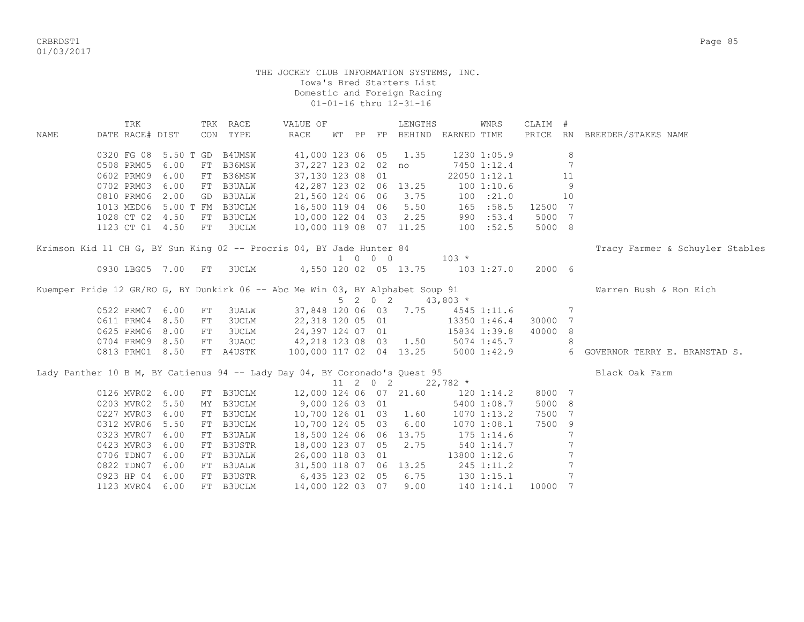CRBRDST1 Page 85 01/03/2017

> THE JOCKEY CLUB INFORMATION SYSTEMS, INC. Iowa's Bred Starters List Domestic and Foreign Racing 01-01-16 thru 12-31-16

 TRK TRK RACE VALUE OF LENGTHS WNRS CLAIM # NAME DATE RACE# DIST CON TYPE RACE WT PP FP BEHIND EARNED TIME PRICE RN BREEDER/STAKES NAME 0320 FG 08 5.50 T GD B4UMSW 41,000 123 06 05 1.35 1230 1:05.9 8 0508 PRM05 6.00 FT B36MSW 37,227 123 02 02 no 7450 1:12.4 7 0602 PRM09 6.00 FT B36MSW 37,130 123 08 01 22050 1:12.1 11 0702 PRM03 6.00 FT B3UALW 42,287 123 02 06 13.25 100 1:10.6 9 0810 PRM06 2.00 GD B3UALW 21,560 124 06 06 3.75 100 :21.0 10 1013 MED06 5.00 T FM B3UCLM 16,500 119 04 06 5.50 165 :58.5 12500 7 1028 CT 02 4.50 FT B3UCLM 10,000 122 04 03 2.25 990 :53.4 5000 7 1123 CT 01 4.50 FT 3UCLM 10,000 119 08 07 11.25 100 :52.5 5000 8 Krimson Kid 11 CH G, BY Sun King 02 -- Procris 04, BY Jade Hunter 84 Tracy Farmer & Schuyler Stables  $1 \t 0 \t 0 \t 103 \star$  0930 LBG05 7.00 FT 3UCLM 4,550 120 02 05 13.75 103 1:27.0 2000 6 Kuemper Pride 12 GR/RO G, BY Dunkirk 06 -- Abc Me Win 03, BY Alphabet Soup 91 Warren Bush & Ron Eich  $5 \t2 \t0 \t2 \t43,803 \t*$  0522 PRM07 6.00 FT 3UALW 37,848 120 06 03 7.75 4545 1:11.6 7 0611 PRM04 8.50 FT 3UCLM 22,318 120 05 01 13350 1:46.4 30000 7 0625 PRM06 8.00 FT 3UCLM 24,397 124 07 01 15834 1:39.8 40000 8 0704 PRM09 8.50 FT 3UAOC 42, 218 123 08 03 1.50 5074 1:45.7 8 0813 PRM01 8.50 FT A4USTK 100,000 117 02 04 13.25 5000 1:42.9 6 GOVERNOR TERRY E. BRANSTAD S. Lady Panther 10 B M, BY Catienus 94 -- Lady Day 04, BY Coronado's Quest 95 Black Oak Farm 11 2 0 2  $22,782$  \* 0126 MVR02 6.00 FT B3UCLM 12,000 124 06 07 21.60 120 1:14.2 8000 7 0203 MVR02 5.50 MY B3UCLM 9,000 126 03 01 5400 1:08.7 5000 8<br>0227 MVR03 6.00 FT B3UCLM 10,700 126 01 03 1.60 1070 1:13.2 7500 7 0227 MVR03 6.00 FT B3UCLM 10,700 126 01 03 1.60 1070 1:13.2 7500 7 0312 MVR06 5.50 FT B3UCLM 10,700 124 05 03 6.00 1070 1:08.1 7500 9 0323 MVR07 6.00 FT B3UALW 18,500 124 06 06 13.75 175 1:14.6 7 0423 MVR03 6.00 FT B3USTR 18,000 123 07 05 2.75 540 1:14.7 7 0706 TDN07 6.00 FT B3UALW 26,000 118 03 01 13800 1:12.6 7 0822 TDN07 6.00 FT B3UALW 31,500 118 07 06 13.25 245 1:11.2 7 0923 HP 04 6.00 FT B3USTR 6,435 123 02 05 6.75 130 1:15.1 7 1123 MVR04 6.00 FT B3UCLM 14,000 122 03 07 9.00 140 1:14.1 10000 7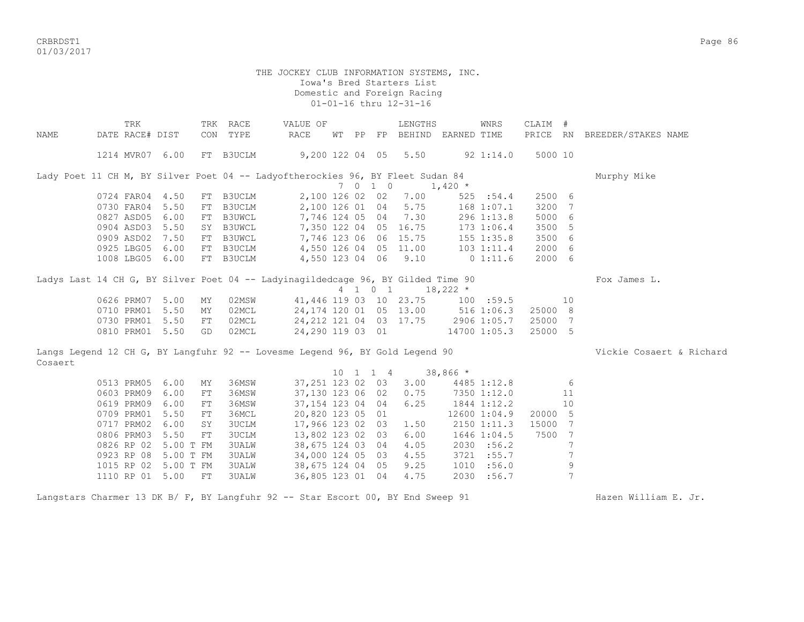CRBRDST1 Page 86 01/03/2017

#### THE JOCKEY CLUB INFORMATION SYSTEMS, INC. Iowa's Bred Starters List Domestic and Foreign Racing 01-01-16 thru 12-31-16

|         | TRK                                                                              |           |    | TRK RACE      | VALUE OF                |  |                              | LENGTHS                             |            | WNRS           | CLAIM # |             |                              |
|---------|----------------------------------------------------------------------------------|-----------|----|---------------|-------------------------|--|------------------------------|-------------------------------------|------------|----------------|---------|-------------|------------------------------|
| NAME    | DATE RACE# DIST                                                                  |           |    | CON TYPE      | <b>RACE</b>             |  |                              | WT PP FP BEHIND EARNED TIME         |            |                |         |             | PRICE RN BREEDER/STAKES NAME |
|         |                                                                                  |           |    |               |                         |  |                              |                                     |            |                |         |             |                              |
|         | 1214 MVR07 6.00                                                                  |           |    | FT B3UCLM     | $9,200$ 122 04 05       |  |                              | 5.50                                |            | 92 1:14.0      | 5000 10 |             |                              |
|         |                                                                                  |           |    |               |                         |  |                              |                                     |            |                |         |             |                              |
|         | Lady Poet 11 CH M, BY Silver Poet 04 -- Ladyoftherockies 96, BY Fleet Sudan 84   |           |    |               |                         |  |                              |                                     |            |                |         |             | Murphy Mike                  |
|         |                                                                                  |           |    |               |                         |  | 7 0 1 0                      |                                     | $1,420$ *  |                |         |             |                              |
|         | 0724 FAR04                                                                       | 4.50      |    | FT B3UCLM     | 2,100 126 02 02         |  |                              | 7.00                                |            | 525 : 54.4     | 2500 6  |             |                              |
|         | 0730 FAR04                                                                       | 5.50      |    | FT B3UCLM     | 2,100 126 01 04         |  |                              | 5.75                                |            | 168 1:07.1     | 3200    | 7           |                              |
|         | 0827 ASD05                                                                       | 6.00      |    | FT B3UWCL     | 7,746 124 05 04         |  |                              | 7.30                                |            | 296 1:13.8     | 5000    | 6           |                              |
|         | 0904 ASD03                                                                       | 5.50      |    | SY B3UWCL     | 7,350 122 04 05         |  |                              | 16.75                               |            | 173 1:06.4     | 3500 5  |             |                              |
|         | 0909 ASD02                                                                       | 7.50      | FT | <b>B3UWCL</b> | 7,746 123 06 06         |  |                              | 15.75                               |            | 155 1:35.8     | 3500 6  |             |                              |
|         | 0925 LBG05                                                                       | 6.00      | FT | B3UCLM        | 4,550 126 04 05         |  |                              | 11.00                               |            | $103$ $1:11.4$ | 2000 6  |             |                              |
|         | 1008 LBG05                                                                       | 6.00      |    | FT B3UCLM     | 4,550 123 04 06         |  |                              | 9.10                                |            | 0 1:11.6       | 2000 6  |             |                              |
|         |                                                                                  |           |    |               |                         |  |                              |                                     |            |                |         |             |                              |
|         | Ladys Last 14 CH G, BY Silver Poet 04 -- Ladyinagildedcage 96, BY Gilded Time 90 |           |    |               |                         |  |                              |                                     |            |                |         |             | Fox James L.                 |
|         |                                                                                  |           |    |               |                         |  | 4 1 0 1                      |                                     | $18,222$ * |                |         |             |                              |
|         | 0626 PRM07                                                                       | 5.00      | ΜY | 02MSW         |                         |  |                              | 41, 446 119 03 10 23.75             |            | 100 : 59.5     |         | 10          |                              |
|         | 0710 PRM01                                                                       | 5.50      | MY | 02MCL         | 24, 174 120 01 05 13.00 |  |                              |                                     |            | $516$ $1:06.3$ | 25000 8 |             |                              |
|         | 0730 PRM01                                                                       | 5.50      | FT | 02MCL         |                         |  |                              | 24, 212 121 04 03 17.75 2906 1:05.7 |            |                | 25000 7 |             |                              |
|         | 0810 PRM01 5.50                                                                  |           | GD | 02MCL         | 24,290 119 03 01        |  |                              |                                     |            | 14700 1:05.3   | 25000 5 |             |                              |
|         |                                                                                  |           |    |               |                         |  |                              |                                     |            |                |         |             |                              |
|         | Langs Legend 12 CH G, BY Langfuhr 92 -- Lovesme Legend 96, BY Gold Legend 90     |           |    |               |                         |  |                              |                                     |            |                |         |             | Vickie Cosaert & Richard     |
| Cosaert |                                                                                  |           |    |               |                         |  |                              |                                     |            |                |         |             |                              |
|         |                                                                                  |           |    |               |                         |  | $10 \quad 1 \quad 1 \quad 4$ |                                     | $38,866$ * |                |         |             |                              |
|         | 0513 PRM05                                                                       | 6.00      | ΜY | 36MSW         | 37,251 123 02 03        |  |                              | 3.00                                |            | 4485 1:12.8    |         | 6           |                              |
|         | 0603 PRM09                                                                       | 6.00      | FT | 36MSW         | 37,130 123 06 02        |  |                              | 0.75                                |            | 7350 1:12.0    |         | 11          |                              |
|         | 0619 PRM09                                                                       | 6.00      | FT | 36MSW         | 37, 154 123 04 04       |  |                              | 6.25                                |            | 1844 1:12.2    |         | 10          |                              |
|         | 0709 PRM01                                                                       | 5.50      | FT | 36MCL         | 20,820 123 05 01        |  |                              |                                     |            | 12600 1:04.9   | 20000   | - 5         |                              |
|         | 0717 PRM02                                                                       | 6.00      | SY | <b>3UCLM</b>  | 17,966 123 02 03        |  |                              | 1.50                                |            | 2150 1:11.3    | 15000   | 7           |                              |
|         | 0806 PRM03                                                                       | 5.50      | FT | 3UCLM         | 13,802 123 02 03        |  |                              | 6.00                                |            | 1646 1:04.5    | 7500    | 7           |                              |
|         | 0826 RP 02                                                                       | 5.00 T FM |    | 3UALW         | 38,675 124 03 04        |  |                              | 4.05                                |            | 2030 :56.2     |         | 7           |                              |
|         | 0923 RP 08                                                                       | 5.00 T FM |    | <b>3UALW</b>  | 34,000 124 05 03        |  |                              | 4.55                                |            | 3721 : 55.7    |         | 7           |                              |
|         | 1015 RP 02                                                                       | 5.00 T FM |    | <b>3UALW</b>  | 38,675 124 04 05        |  |                              | 9.25                                |            | 1010 :56.0     |         | $\mathsf 9$ |                              |
|         | 1110 RP 01 5.00                                                                  |           | FT | <b>3UALW</b>  | 36,805 123 01 04        |  |                              | 4.75                                |            | 2030 :56.7     |         | 7           |                              |
|         |                                                                                  |           |    |               |                         |  |                              |                                     |            |                |         |             |                              |

Langstars Charmer 13 DK B/ F, BY Langfuhr 92 -- Star Escort 00, BY End Sweep 91 Hazen William E. Jr.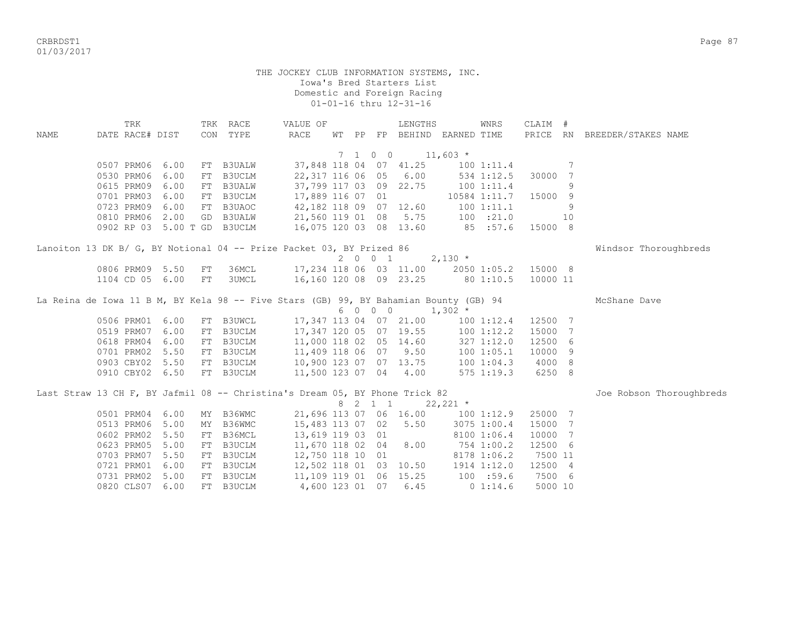CRBRDST1 Page 87 01/03/2017

|             | TRK                                                                                   |      |    | TRK RACE     | VALUE OF               |  |         | LENGTHS                |                                  | WNRS           | CLAIM #  |    |                              |
|-------------|---------------------------------------------------------------------------------------|------|----|--------------|------------------------|--|---------|------------------------|----------------------------------|----------------|----------|----|------------------------------|
| <b>NAME</b> | DATE RACE# DIST                                                                       |      |    | CON TYPE     | RACE                   |  |         |                        | WT PP FP BEHIND EARNED TIME      |                |          |    | PRICE RN BREEDER/STAKES NAME |
|             |                                                                                       |      |    |              |                        |  |         |                        |                                  |                |          |    |                              |
|             |                                                                                       |      |    |              |                        |  | 7 1 0 0 | $11,603$ *             |                                  |                |          |    |                              |
|             | 0507 PRM06                                                                            | 6.00 |    | FT B3UALW    |                        |  |         | 37,848 118 04 07 41.25 |                                  | 1001:11.4      |          | 7  |                              |
|             | 0530 PRM06                                                                            | 6.00 |    | FT B3UCLM    | 22, 317 116 06 05      |  |         | 6.00                   |                                  | 534 1:12.5     | 30000    | 7  |                              |
|             | 0615 PRM09                                                                            | 6.00 |    | FT B3UALW    | 37,799 117 03 09 22.75 |  |         |                        |                                  | 100 1:11.4     |          | 9  |                              |
|             | 0701 PRM03                                                                            | 6.00 |    | FT B3UCLM    | 17,889 116 07 01       |  |         |                        | 10584 1:11.7                     |                | 15000    | 9  |                              |
|             | 0723 PRM09                                                                            | 6.00 |    | FT B3UAOC    | 42,182 118 09 07 12.60 |  |         |                        |                                  | 1001:11.1      |          | 9  |                              |
|             | 0810 PRM06                                                                            | 2.00 |    | GD B3UALW    | 21,560 119 01 08 5.75  |  |         |                        | 100 : 21.0                       |                |          | 10 |                              |
|             | 0902 RP 03 5.00 T GD B3UCLM                                                           |      |    |              | 16,075 120 03 08 13.60 |  |         |                        | 85 :57.6                         |                | 15000 8  |    |                              |
|             | Lanoiton 13 DK B/ G, BY Notional 04 -- Prize Packet 03, BY Prized 86                  |      |    |              |                        |  |         |                        |                                  |                |          |    | Windsor Thoroughbreds        |
|             |                                                                                       |      |    |              |                        |  | 2001    |                        | $2,130$ *                        |                |          |    |                              |
|             | 0806 PRM09 5.50                                                                       |      | FT | 36MCL        |                        |  |         | 17,234 118 06 03 11.00 |                                  | 2050 1:05.2    | 15000 8  |    |                              |
|             | 1104 CD 05                                                                            | 6.00 | FT | <b>3UMCL</b> |                        |  |         |                        | 16,160 120 08 09 23.25 80 1:10.5 |                | 10000 11 |    |                              |
|             | La Reina de Iowa 11 B M, BY Kela 98 -- Five Stars (GB) 99, BY Bahamian Bounty (GB) 94 |      |    |              |                        |  |         |                        |                                  |                |          |    | McShane Dave                 |
|             |                                                                                       |      |    |              |                        |  | 6 0 0 0 |                        | $1,302$ *                        |                |          |    |                              |
|             | 0506 PRM01                                                                            | 6.00 |    | FT B3UWCL    |                        |  |         | 17,347 113 04 07 21.00 |                                  | 100 1:12.4     | 12500 7  |    |                              |
|             | 0519 PRM07                                                                            | 6.00 |    | FT B3UCLM    |                        |  |         | 17,347 120 05 07 19.55 |                                  | 1001:12.2      | 15000 7  |    |                              |
|             | 0618 PRM04                                                                            | 6.00 |    | FT B3UCLM    | 11,000 118 02 05 14.60 |  |         |                        |                                  | 327 1:12.0     | 12500 6  |    |                              |
|             | 0701 PRM02                                                                            | 5.50 |    | FT B3UCLM    | 11,409 118 06 07 9.50  |  |         |                        |                                  | 100 1:05.1     | 10000 9  |    |                              |
|             | 0903 CBY02                                                                            | 5.50 |    | FT B3UCLM    | 10,900 123 07 07 13.75 |  |         |                        |                                  | 100 1:04.3     | 4000 8   |    |                              |
|             | 0910 CBY02 6.50                                                                       |      |    | FT B3UCLM    | 11,500 123 07 04 4.00  |  |         |                        |                                  | $575$ $1:19.3$ | 6250 8   |    |                              |
|             | Last Straw 13 CH F, BY Jafmil 08 -- Christina's Dream 05, BY Phone Trick 82           |      |    |              |                        |  |         |                        |                                  |                |          |    | Joe Robson Thoroughbreds     |
|             |                                                                                       |      |    |              |                        |  | 8 2 1 1 |                        | $22,221$ *                       |                |          |    |                              |
|             | 0501 PRM04                                                                            | 6.00 |    | MY B36WMC    | 21,696 113 07 06 16.00 |  |         |                        |                                  | 1001:12.9      | 25000 7  |    |                              |
|             | 0513 PRM06                                                                            | 5.00 |    | MY B36WMC    | 15,483 113 07 02       |  |         | 5.50                   |                                  | 3075 1:00.4    | 15000 7  |    |                              |
|             | 0602 PRM02                                                                            | 5.50 |    | FT B36MCL    | 13,619 119 03 01       |  |         |                        |                                  | 8100 1:06.4    | 10000 7  |    |                              |
|             | 0623 PRM05                                                                            | 5.00 |    | FT B3UCLM    | 11,670 118 02 04       |  |         | 8.00                   | 754 1:00.2                       |                | 12500 6  |    |                              |
|             | 0703 PRM07                                                                            | 5.50 |    | FT B3UCLM    | 12,750 118 10 01       |  |         |                        |                                  | 8178 1:06.2    | 7500 11  |    |                              |
|             | 0721 PRM01                                                                            | 6.00 |    | FT B3UCLM    |                        |  |         | 12,502 118 01 03 10.50 |                                  | 1914 1:12.0    | 12500 4  |    |                              |
|             | 0731 PRM02                                                                            | 5.00 |    | FT B3UCLM    | 11,109 119 01 06 15.25 |  |         |                        | 100 : 59.6                       |                | 7500 6   |    |                              |
|             |                                                                                       |      |    |              |                        |  |         |                        |                                  |                |          |    |                              |
|             | 0820 CLS07                                                                            | 6.00 |    | FT B3UCLM    |                        |  |         | 4,600 123 01 07 6.45   |                                  | $0\;1:14.6$    | 5000 10  |    |                              |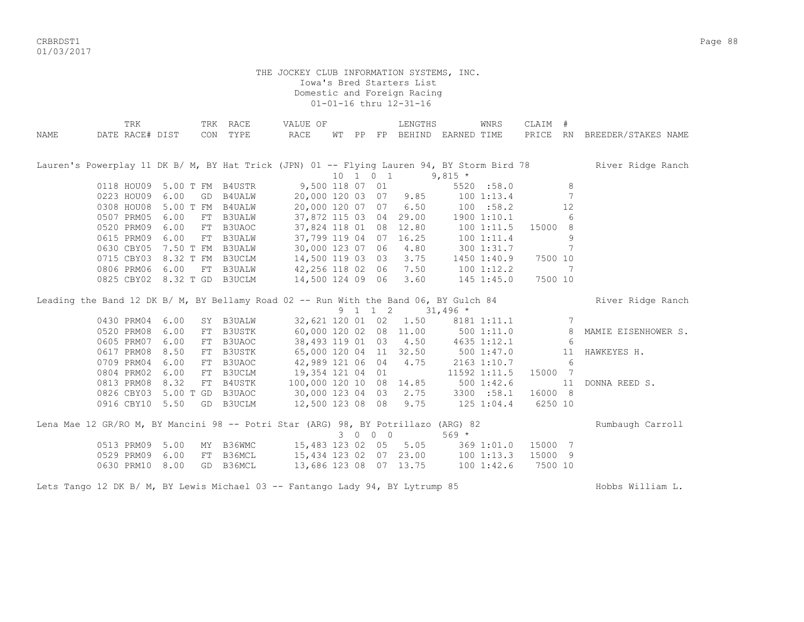CRBRDST1 Page 88 01/03/2017

|      | TRK                                                                                  |                             | TRK RACE                        | VALUE OF                |  |          | LENGTHS                     |                | WNRS           | CLAIM #        |                              |                                                                                                              |
|------|--------------------------------------------------------------------------------------|-----------------------------|---------------------------------|-------------------------|--|----------|-----------------------------|----------------|----------------|----------------|------------------------------|--------------------------------------------------------------------------------------------------------------|
| NAME | DATE RACE# DIST                                                                      |                             | CON TYPE                        | RACE                    |  |          | WT PP FP BEHIND EARNED TIME |                |                |                |                              | PRICE RN BREEDER/STAKES NAME                                                                                 |
|      |                                                                                      |                             |                                 |                         |  |          |                             |                |                |                |                              |                                                                                                              |
|      |                                                                                      |                             |                                 |                         |  |          |                             |                |                |                |                              |                                                                                                              |
|      |                                                                                      |                             |                                 |                         |  |          |                             |                |                |                |                              | Lauren's Powerplay 11 DK B/ M, BY Hat Trick (JPN) 01 -- Flying Lauren 94, BY Storm Bird 78 River Ridge Ranch |
|      |                                                                                      |                             |                                 |                         |  | 10 1 0 1 |                             | $9,815$ *      |                |                |                              |                                                                                                              |
|      |                                                                                      | 0118 HOU09 5.00 T FM B4USTR |                                 | 9,500 118 07 01         |  |          |                             |                | 5520 :58.0     |                | 8                            |                                                                                                              |
|      | 0223 HOU09 6.00                                                                      |                             | GD B4UALW                       | 20,000 120 03 07 9.85   |  |          |                             |                | 1001:13.4      |                | $7\phantom{.0}\phantom{.0}7$ |                                                                                                              |
|      | 0308 HOU08                                                                           | 5.00 T FM B4UALW            |                                 |                         |  |          | 20,000 120 07 07 6.50       |                | 100 : 58.2     |                | 12                           |                                                                                                              |
|      | 0507 PRM05                                                                           | 6.00                        | FT B3UALW                       |                         |  |          | 37,872 115 03 04 29.00      |                | 1900 1:10.1    |                | 6                            |                                                                                                              |
|      | 0520 PRM09                                                                           | 6.00                        | FT B3UAOC                       |                         |  |          | 37,824 118 01 08 12.80      |                | 1001:11.5      | 15000 8        |                              |                                                                                                              |
|      | 0615 PRM09                                                                           | 6.00                        | FT B3UALW                       | 37,799 119 04 07 16.25  |  |          |                             |                | 1001:11.4      |                | 9                            |                                                                                                              |
|      |                                                                                      | 0630 CBY05 7.50 T FM B3UALW |                                 | 30,000 123 07 06        |  |          | 4.80                        |                | 3001:31.7      |                | 7                            |                                                                                                              |
|      |                                                                                      | 0715 CBY03 8.32 T FM B3UCLM |                                 | 14,500 119 03 03        |  |          | 3.75                        |                | 1450 1:40.9    | 7500 10        |                              |                                                                                                              |
|      | 0806 PRM06                                                                           | 6.00                        | FT B3UALW                       | 42,256 118 02 06        |  |          | 7.50                        |                | $100$ $1:12.2$ |                | 7                            |                                                                                                              |
|      |                                                                                      | 0825 CBY02 8.32 T GD B3UCLM |                                 | 14,500 124 09 06        |  |          | 3.60                        |                | $145$ $1:45.0$ | 7500 10        |                              |                                                                                                              |
|      |                                                                                      |                             |                                 |                         |  |          |                             |                |                |                |                              |                                                                                                              |
|      | Leading the Band 12 DK B/ M, BY Bellamy Road 02 -- Run With the Band 06, BY Gulch 84 |                             |                                 |                         |  |          |                             |                |                |                |                              | River Ridge Ranch                                                                                            |
|      |                                                                                      |                             |                                 |                         |  | 9 1 1 2  | $31,496$ *                  |                |                |                |                              |                                                                                                              |
|      | 0430 PRM04                                                                           | 6.00                        | SY B3UALW                       |                         |  |          | 32,621 120 01 02 1.50       |                |                | 8181 1:11.1 7  |                              |                                                                                                              |
|      | 0520 PRM08                                                                           | 6.00                        | FT B3USTK                       |                         |  |          | 60,000 120 02 08 11.00      | 500 1:11.0     |                | 8 <sup>1</sup> |                              | MAMIE EISENHOWER S.                                                                                          |
|      | 0605 PRM07                                                                           | 6.00                        | FT B3UAOC                       |                         |  |          | 38,493 119 01 03 4.50       |                | 4635 1:12.1    |                | - 6                          |                                                                                                              |
|      | 0617 PRM08                                                                           | 8.50                        | FT B3USTK                       | 65,000 120 04 11 32.50  |  |          |                             | 500 1:47.0     |                |                | 11                           | HAWKEYES H.                                                                                                  |
|      | 0709 PRM04                                                                           | 6.00                        | FT B3UAOC                       | 42,989 121 06 04 4.75   |  |          |                             |                | 2163 1:10.7    |                | 6                            |                                                                                                              |
|      | 0804 PRM02                                                                           | 6.00                        | FT B3UCLM                       | 19,354 121 04 01        |  |          |                             |                | 11592 1:11.5   | 15000 7        |                              |                                                                                                              |
|      | 0813 PRM08                                                                           | 8.32                        | FT B4USTK                       | 100,000 120 10 08 14.85 |  |          |                             |                | 500 1:42.6     |                | 11                           | DONNA REED S.                                                                                                |
|      | 0826 CBY03                                                                           | 5.00 T GD B3UAOC            |                                 | 30,000 123 04 03        |  |          | 2.75                        |                | 3300 :58.1     | 16000 8        |                              |                                                                                                              |
|      | 0916 CBY10 5.50                                                                      |                             | GD B3UCLM                       | 12,500 123 08 08 9.75   |  |          |                             | $125$ $1:04.4$ |                | 6250 10        |                              |                                                                                                              |
|      |                                                                                      |                             |                                 |                         |  |          |                             |                |                |                |                              |                                                                                                              |
|      | Lena Mae 12 GR/RO M, BY Mancini 98 -- Potri Star (ARG) 98, BY Potrillazo (ARG) 82    |                             |                                 |                         |  |          |                             |                |                |                |                              | Rumbaugh Carroll                                                                                             |
|      |                                                                                      |                             |                                 |                         |  | 3 0 0 0  |                             | $569 *$        |                |                |                              |                                                                                                              |
|      | 0513 PRM09 5.00                                                                      |                             | MY B36WMC 15,483 123 02 05 5.05 |                         |  |          |                             |                | 369 1:01.0     | 15000 7        |                              |                                                                                                              |
|      | 0529 PRM09                                                                           | 6.00                        | FT B36MCL                       | 15,434 123 02 07 23.00  |  |          |                             |                | 1001:13.3      | 15000 9        |                              |                                                                                                              |
|      | 0630 PRM10                                                                           | 8.00                        | GD B36MCL                       | 13,686 123 08 07 13.75  |  |          |                             |                | 1001:32.6      | 7500 10        |                              |                                                                                                              |
|      |                                                                                      |                             |                                 |                         |  |          |                             |                |                |                |                              |                                                                                                              |
|      | Lets Tango 12 DK B/ M, BY Lewis Michael 03 -- Fantango Lady 94, BY Lytrump 85        |                             |                                 |                         |  |          |                             |                |                |                |                              | Hobbs William L.                                                                                             |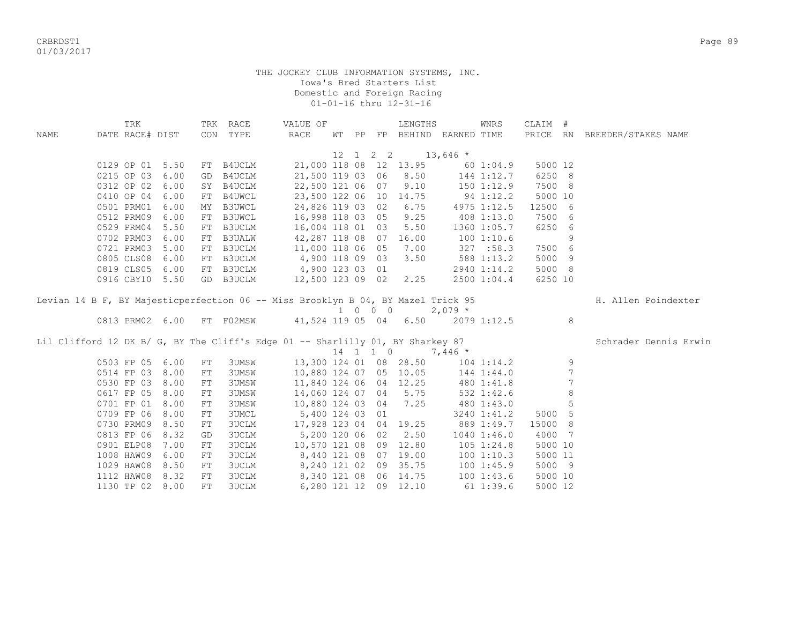CRBRDST1 Page 89 01/03/2017

| PRICE RN BREEDER/STAKES NAME<br>DATE RACE# DIST<br>CON TYPE<br>RACE<br>WT PP FP BEHIND EARNED TIME<br>NAME<br>$12 \quad 1 \quad 2 \quad 2 \quad 13,646 \quad *$<br>21,000 118 08 12 13.95<br>0129 OP 01 5.50<br>5000 12<br>FT B4UCLM<br>601:04.9<br>21,500 119 03 06 8.50 144 1:12.7<br>6250 8<br>0215 OP 03 6.00<br>B4UCLM<br>GD<br>0312 OP 02 6.00<br>22,500 121 06 07<br>$9.10$ $150$ $1:12.9$<br>7500 8<br>SY B4UCLM<br>5000 10<br>0410 OP 04 6.00<br>B4UWCL<br>23,500 122 06 10 14.75 94 1:12.2<br>FT<br>24,826 119 03 02 6.75 4975 1:12.5<br>0501 PRM01 6.00<br>B3UWCL<br>12500 6<br>MY<br>16,998 118 03 05 9.25<br>0512 PRM09 6.00<br>7500 6<br>B3UWCL<br>408 1:13.0<br>FT<br>16,004 118 01 03 5.50<br>0529 PRM04 5.50<br>6250 6<br>B3UCLM<br>1360 1:05.7<br>FT<br>42,287 118 08 07 16.00<br>0702 PRM03 6.00<br>9<br>FT B3UALW<br>100 1:10.6<br>11,000 118 06 05 7.00<br>0721 PRM03 5.00<br>327 : 58.3<br>7500 6<br>B3UCLM<br>FT<br>0805 CLS08 6.00<br>4,900 118 09 03 3.50<br>5000 9<br>B3UCLM<br>$588$ 1:13.2<br>FT<br>5000 8<br>0819 CLS05 6.00<br>B3UCLM<br>4,900 123 03 01<br>2940 1:14.2<br>FT<br>12,500 123 09 02 2.25<br>0916 CBY10 5.50<br>GD B3UCLM<br>2500 1:04.4<br>6250 10 | TRK |  | TRK RACE | VALUE OF |  | LENGTHS | WNRS | CLAIM # |                     |
|------------------------------------------------------------------------------------------------------------------------------------------------------------------------------------------------------------------------------------------------------------------------------------------------------------------------------------------------------------------------------------------------------------------------------------------------------------------------------------------------------------------------------------------------------------------------------------------------------------------------------------------------------------------------------------------------------------------------------------------------------------------------------------------------------------------------------------------------------------------------------------------------------------------------------------------------------------------------------------------------------------------------------------------------------------------------------------------------------------------------------------------------------------------------------------------------|-----|--|----------|----------|--|---------|------|---------|---------------------|
|                                                                                                                                                                                                                                                                                                                                                                                                                                                                                                                                                                                                                                                                                                                                                                                                                                                                                                                                                                                                                                                                                                                                                                                                |     |  |          |          |  |         |      |         |                     |
|                                                                                                                                                                                                                                                                                                                                                                                                                                                                                                                                                                                                                                                                                                                                                                                                                                                                                                                                                                                                                                                                                                                                                                                                |     |  |          |          |  |         |      |         |                     |
|                                                                                                                                                                                                                                                                                                                                                                                                                                                                                                                                                                                                                                                                                                                                                                                                                                                                                                                                                                                                                                                                                                                                                                                                |     |  |          |          |  |         |      |         |                     |
|                                                                                                                                                                                                                                                                                                                                                                                                                                                                                                                                                                                                                                                                                                                                                                                                                                                                                                                                                                                                                                                                                                                                                                                                |     |  |          |          |  |         |      |         |                     |
|                                                                                                                                                                                                                                                                                                                                                                                                                                                                                                                                                                                                                                                                                                                                                                                                                                                                                                                                                                                                                                                                                                                                                                                                |     |  |          |          |  |         |      |         |                     |
|                                                                                                                                                                                                                                                                                                                                                                                                                                                                                                                                                                                                                                                                                                                                                                                                                                                                                                                                                                                                                                                                                                                                                                                                |     |  |          |          |  |         |      |         |                     |
|                                                                                                                                                                                                                                                                                                                                                                                                                                                                                                                                                                                                                                                                                                                                                                                                                                                                                                                                                                                                                                                                                                                                                                                                |     |  |          |          |  |         |      |         |                     |
|                                                                                                                                                                                                                                                                                                                                                                                                                                                                                                                                                                                                                                                                                                                                                                                                                                                                                                                                                                                                                                                                                                                                                                                                |     |  |          |          |  |         |      |         |                     |
|                                                                                                                                                                                                                                                                                                                                                                                                                                                                                                                                                                                                                                                                                                                                                                                                                                                                                                                                                                                                                                                                                                                                                                                                |     |  |          |          |  |         |      |         |                     |
|                                                                                                                                                                                                                                                                                                                                                                                                                                                                                                                                                                                                                                                                                                                                                                                                                                                                                                                                                                                                                                                                                                                                                                                                |     |  |          |          |  |         |      |         |                     |
|                                                                                                                                                                                                                                                                                                                                                                                                                                                                                                                                                                                                                                                                                                                                                                                                                                                                                                                                                                                                                                                                                                                                                                                                |     |  |          |          |  |         |      |         |                     |
|                                                                                                                                                                                                                                                                                                                                                                                                                                                                                                                                                                                                                                                                                                                                                                                                                                                                                                                                                                                                                                                                                                                                                                                                |     |  |          |          |  |         |      |         |                     |
|                                                                                                                                                                                                                                                                                                                                                                                                                                                                                                                                                                                                                                                                                                                                                                                                                                                                                                                                                                                                                                                                                                                                                                                                |     |  |          |          |  |         |      |         |                     |
|                                                                                                                                                                                                                                                                                                                                                                                                                                                                                                                                                                                                                                                                                                                                                                                                                                                                                                                                                                                                                                                                                                                                                                                                |     |  |          |          |  |         |      |         |                     |
|                                                                                                                                                                                                                                                                                                                                                                                                                                                                                                                                                                                                                                                                                                                                                                                                                                                                                                                                                                                                                                                                                                                                                                                                |     |  |          |          |  |         |      |         |                     |
| Levian 14 B F, BY Majesticperfection 06 -- Miss Brooklyn B 04, BY Mazel Trick 95                                                                                                                                                                                                                                                                                                                                                                                                                                                                                                                                                                                                                                                                                                                                                                                                                                                                                                                                                                                                                                                                                                               |     |  |          |          |  |         |      |         | H. Allen Poindexter |
| $1 \t 0 \t 0 \t 2,079$ *                                                                                                                                                                                                                                                                                                                                                                                                                                                                                                                                                                                                                                                                                                                                                                                                                                                                                                                                                                                                                                                                                                                                                                       |     |  |          |          |  |         |      |         |                     |
| 0813 PRM02 6.00 FT F02MSW 41,524 119 05 04 6.50 2079 1:12.5<br>8                                                                                                                                                                                                                                                                                                                                                                                                                                                                                                                                                                                                                                                                                                                                                                                                                                                                                                                                                                                                                                                                                                                               |     |  |          |          |  |         |      |         |                     |
|                                                                                                                                                                                                                                                                                                                                                                                                                                                                                                                                                                                                                                                                                                                                                                                                                                                                                                                                                                                                                                                                                                                                                                                                |     |  |          |          |  |         |      |         |                     |
| Lil Clifford 12 DK B/ G, BY The Cliff's Edge 01 -- Sharlilly 01, BY Sharkey 87<br>14 1 1 0 7.446 *<br>Schrader Dennis Erwin                                                                                                                                                                                                                                                                                                                                                                                                                                                                                                                                                                                                                                                                                                                                                                                                                                                                                                                                                                                                                                                                    |     |  |          |          |  |         |      |         |                     |
| $14$ 1 1 0 7,446 *                                                                                                                                                                                                                                                                                                                                                                                                                                                                                                                                                                                                                                                                                                                                                                                                                                                                                                                                                                                                                                                                                                                                                                             |     |  |          |          |  |         |      |         |                     |
| 13,300 124 01 08 28.50 104 1:14.2<br>9<br>0503 FP 05 6.00<br>FT<br>3UMSW                                                                                                                                                                                                                                                                                                                                                                                                                                                                                                                                                                                                                                                                                                                                                                                                                                                                                                                                                                                                                                                                                                                       |     |  |          |          |  |         |      |         |                     |
| 7<br>0514 FP 03 8.00<br>10,880 124 07 05 10.05 144 1:44.0<br>3UMSW<br>FT                                                                                                                                                                                                                                                                                                                                                                                                                                                                                                                                                                                                                                                                                                                                                                                                                                                                                                                                                                                                                                                                                                                       |     |  |          |          |  |         |      |         |                     |
| 7<br>11,840 124 06 04 12.25<br>0530 FP 03 8.00<br>3UMSW<br>480 1:41.8<br>FT                                                                                                                                                                                                                                                                                                                                                                                                                                                                                                                                                                                                                                                                                                                                                                                                                                                                                                                                                                                                                                                                                                                    |     |  |          |          |  |         |      |         |                     |
| 8<br>14,060 124 07 04 5.75<br>0617 FP 05 8.00<br>3UMSW<br>532 1:42.6<br>${\rm FT}$                                                                                                                                                                                                                                                                                                                                                                                                                                                                                                                                                                                                                                                                                                                                                                                                                                                                                                                                                                                                                                                                                                             |     |  |          |          |  |         |      |         |                     |
| 5<br>10,880 124 03 04 7.25<br>0701 FP 01<br>8.00<br>3UMSW<br>480 1:43.0<br>${\rm FT}$                                                                                                                                                                                                                                                                                                                                                                                                                                                                                                                                                                                                                                                                                                                                                                                                                                                                                                                                                                                                                                                                                                          |     |  |          |          |  |         |      |         |                     |
| 5000 5<br>0709 FP 06<br>8.00<br>3UMCL<br>5,400 124 03 01<br>${\rm FT}$<br>3240 1:41.2                                                                                                                                                                                                                                                                                                                                                                                                                                                                                                                                                                                                                                                                                                                                                                                                                                                                                                                                                                                                                                                                                                          |     |  |          |          |  |         |      |         |                     |
| 17,928 123 04 04 19.25<br>15000 8<br>0730 PRM09<br>8.50<br>3UCLM<br>889 1:49.7<br>${\rm FT}$                                                                                                                                                                                                                                                                                                                                                                                                                                                                                                                                                                                                                                                                                                                                                                                                                                                                                                                                                                                                                                                                                                   |     |  |          |          |  |         |      |         |                     |
| 0813 FP 06<br>5,200 120 06 02 2.50<br>4000 7<br>8.32<br>3UCLM<br>$1040$ $1:46.0$<br>GD                                                                                                                                                                                                                                                                                                                                                                                                                                                                                                                                                                                                                                                                                                                                                                                                                                                                                                                                                                                                                                                                                                         |     |  |          |          |  |         |      |         |                     |
| 0901 ELP08<br>10,570 121 08 09 12.80<br>5000 10<br>7.00<br>3UCLM<br>$105$ $1:24.8$<br>FT                                                                                                                                                                                                                                                                                                                                                                                                                                                                                                                                                                                                                                                                                                                                                                                                                                                                                                                                                                                                                                                                                                       |     |  |          |          |  |         |      |         |                     |
| 1008 HAW09<br>8,440 121 08 07 19.00<br>5000 11<br>6.00<br>3UCLM<br>1001:10.3<br>FT                                                                                                                                                                                                                                                                                                                                                                                                                                                                                                                                                                                                                                                                                                                                                                                                                                                                                                                                                                                                                                                                                                             |     |  |          |          |  |         |      |         |                     |
| 8,240 121 02 09 35.75 100 1:45.9<br>1029 HAW08<br>5000 9<br>8.50<br>3UCLM<br>FT                                                                                                                                                                                                                                                                                                                                                                                                                                                                                                                                                                                                                                                                                                                                                                                                                                                                                                                                                                                                                                                                                                                |     |  |          |          |  |         |      |         |                     |
| 8,340 121 08 06 14.75 100 1:43.6<br>1112 HAW08 8.32<br>3UCLM<br>5000 10<br>FT                                                                                                                                                                                                                                                                                                                                                                                                                                                                                                                                                                                                                                                                                                                                                                                                                                                                                                                                                                                                                                                                                                                  |     |  |          |          |  |         |      |         |                     |
| 611:39.6<br>1130 TP 02 8.00<br>3UCLM<br>6,280 121 12 09 12.10<br>5000 12<br>FT                                                                                                                                                                                                                                                                                                                                                                                                                                                                                                                                                                                                                                                                                                                                                                                                                                                                                                                                                                                                                                                                                                                 |     |  |          |          |  |         |      |         |                     |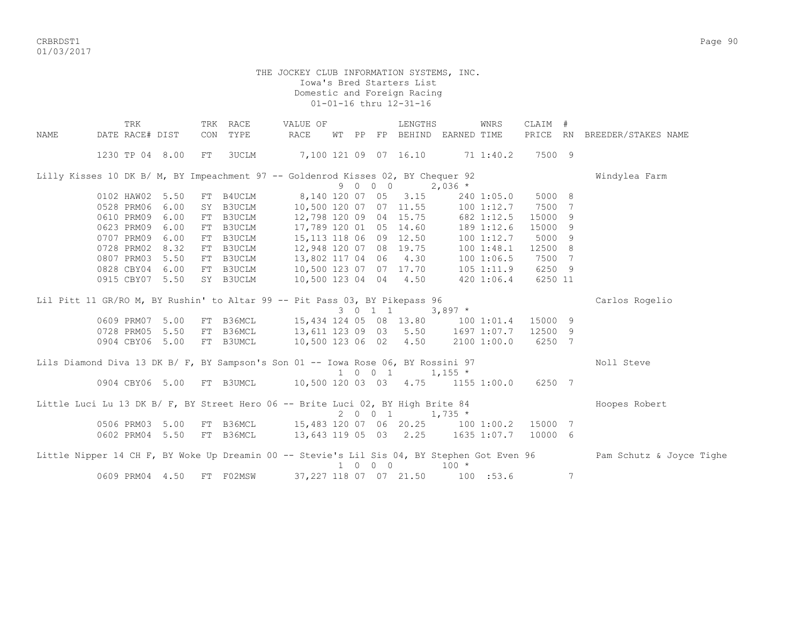CRBRDST1 Page 90 01/03/2017

|      | TRK                                                                              |      |     | TRK RACE  | VALUE OF                                               |  |                             | LENGTHS                           |             | WNRS           | CLAIM # |   |                                                                                                                      |
|------|----------------------------------------------------------------------------------|------|-----|-----------|--------------------------------------------------------|--|-----------------------------|-----------------------------------|-------------|----------------|---------|---|----------------------------------------------------------------------------------------------------------------------|
| NAME | DATE RACE# DIST                                                                  |      | CON | TYPE      | RACE                                                   |  |                             | WT PP FP BEHIND EARNED TIME       |             |                |         |   | PRICE RN BREEDER/STAKES NAME                                                                                         |
|      | 1230 TP 04 8.00                                                                  |      | FT  | 3UCLM     | 7,100 121 09 07 16.10 71 1:40.2                        |  |                             |                                   |             |                | 7500 9  |   |                                                                                                                      |
|      | Lilly Kisses 10 DK B/ M, BY Impeachment 97 -- Goldenrod Kisses 02, BY Chequer 92 |      |     |           |                                                        |  |                             |                                   |             |                |         |   | Windylea Farm                                                                                                        |
|      |                                                                                  |      |     |           |                                                        |  | 9 0 0 0                     |                                   | $2,036$ *   |                |         |   |                                                                                                                      |
|      | 0102 HAW02                                                                       | 5.50 |     | FT B4UCLM |                                                        |  |                             | 8,140 120 07 05 3.15              |             | 240 1:05.0     | 5000 8  |   |                                                                                                                      |
|      | 0528 PRM06                                                                       | 6.00 |     | SY B3UCLM | 10,500 120 07 07 11.55                                 |  |                             |                                   |             | 100 1:12.7     | 7500 7  |   |                                                                                                                      |
|      | 0610 PRM09                                                                       | 6.00 |     | FT B3UCLM |                                                        |  |                             | 12,798 120 09 04 15.75            |             | 682 1:12.5     | 15000 9 |   |                                                                                                                      |
|      | 0623 PRM09                                                                       | 6.00 |     | FT B3UCLM |                                                        |  |                             | 17,789 120 01 05 14.60            |             | 189 1:12.6     | 15000 9 |   |                                                                                                                      |
|      | 0707 PRM09                                                                       | 6.00 |     | FT B3UCLM |                                                        |  |                             | 15,113 118 06 09 12.50            |             | 100 1:12.7     | 5000 9  |   |                                                                                                                      |
|      | 0728 PRM02                                                                       | 8.32 |     | FT B3UCLM |                                                        |  |                             | 12,948 120 07 08 19.75            |             | 1001:48.1      | 12500 8 |   |                                                                                                                      |
|      | 0807 PRM03                                                                       | 5.50 |     | FT B3UCLM | 13,802 117 04 06 4.30                                  |  |                             |                                   |             | 1001:06.5      | 7500 7  |   |                                                                                                                      |
|      | 0828 CBY04 6.00                                                                  |      |     | FT B3UCLM | 10,500 123 07 07 17.70                                 |  |                             |                                   |             | $105$ $1:11.9$ | 6250 9  |   |                                                                                                                      |
|      | 0915 CBY07 5.50                                                                  |      |     | SY B3UCLM | 10,500 123 04 04 4.50                                  |  |                             |                                   |             | 420 1:06.4     | 6250 11 |   |                                                                                                                      |
|      | Lil Pitt 11 GR/RO M, BY Rushin' to Altar 99 -- Pit Pass 03, BY Pikepass 96       |      |     |           |                                                        |  |                             |                                   |             |                |         |   | Carlos Rogelio                                                                                                       |
|      |                                                                                  |      |     |           |                                                        |  |                             | 3 0 1 1 3,897 $*$                 |             |                |         |   |                                                                                                                      |
|      | 0609 PRM07 5.00                                                                  |      |     |           | FT B36MCL 15,434 124 05 08 13.80 100 1:01.4            |  |                             |                                   |             |                | 15000 9 |   |                                                                                                                      |
|      | 0728 PRM05                                                                       | 5.50 |     |           | FT B36MCL 13,611 123 09 03 5.50 1697 1:07.7            |  |                             |                                   |             |                | 12500 9 |   |                                                                                                                      |
|      | 0904 CBY06 5.00                                                                  |      |     | FT B3UMCL |                                                        |  |                             | 10,500 123 06 02 4.50 2100 1:00.0 |             |                | 6250 7  |   |                                                                                                                      |
|      | Lils Diamond Diva 13 DK B/ F, BY Sampson's Son 01 -- Iowa Rose 06, BY Rossini 97 |      |     |           |                                                        |  |                             |                                   |             |                |         |   | Noll Steve                                                                                                           |
|      |                                                                                  |      |     |           |                                                        |  |                             | $1 \t 0 \t 1 \t 1,155 \t\t*$      |             |                |         |   |                                                                                                                      |
|      | 0904 CBY06 5.00 FT B3UMCL 10,500 120 03 03 4.75 1155 1:00.0                      |      |     |           |                                                        |  |                             |                                   |             |                | 6250 7  |   |                                                                                                                      |
|      | Little Luci Lu 13 DK B/ F, BY Street Hero 06 -- Brite Luci 02, BY High Brite 84  |      |     |           |                                                        |  |                             |                                   |             |                |         |   | Hoopes Robert                                                                                                        |
|      |                                                                                  |      |     |           |                                                        |  | 2001                        |                                   | $1,735$ *   |                |         |   |                                                                                                                      |
|      | 0506 PRM03 5.00                                                                  |      |     |           | FT B36MCL  15,483 120 07 06 20.25  100 1:00.2  15000 7 |  |                             |                                   |             |                |         |   |                                                                                                                      |
|      | 0602 PRM04 5.50                                                                  |      |     |           | FT B36MCL 13,643 119 05 03 2.25 1635 1:07.7            |  |                             |                                   |             |                | 10000 6 |   |                                                                                                                      |
|      |                                                                                  |      |     |           |                                                        |  |                             |                                   |             |                |         |   |                                                                                                                      |
|      |                                                                                  |      |     |           |                                                        |  | $1 \quad 0 \quad 0 \quad 0$ |                                   |             |                |         |   | Little Nipper 14 CH F, BY Woke Up Dreamin 00 -- Stevie's Lil Sis 04, BY Stephen Got Even 96 Pam Schutz & Joyce Tighe |
|      |                                                                                  |      |     |           |                                                        |  |                             |                                   | $100 *$     |                |         |   |                                                                                                                      |
|      | 0609 PRM04 4.50                                                                  |      |     | FT F02MSW |                                                        |  |                             | 37, 227 118 07 07 21.50           | $100$ :53.6 |                |         | 7 |                                                                                                                      |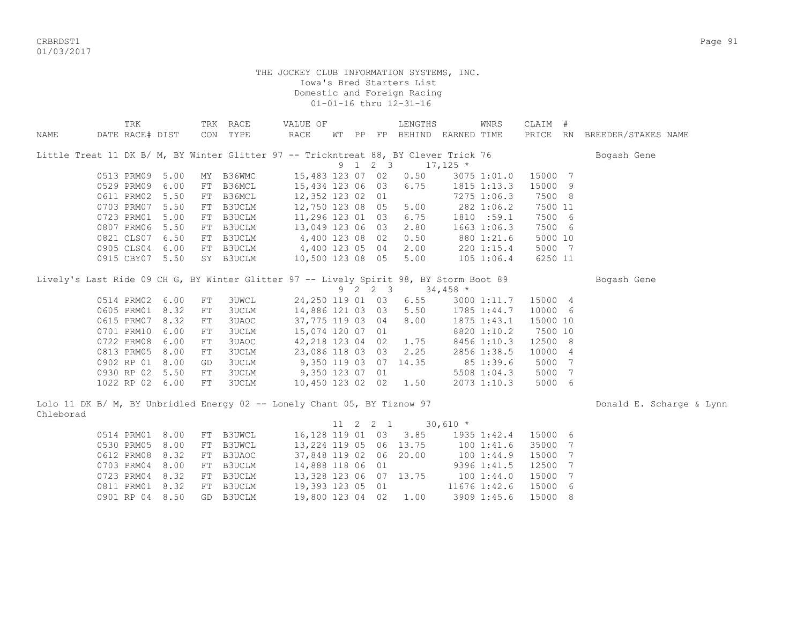CRBRDST1 Page 91 01/03/2017

|           | TRK                                                                                    |      |    | TRK RACE                  |                       | VALUE OF         |              |             | LENGTHS                            |            | WNRS         | CLAIM #  |     |                              |
|-----------|----------------------------------------------------------------------------------------|------|----|---------------------------|-----------------------|------------------|--------------|-------------|------------------------------------|------------|--------------|----------|-----|------------------------------|
| NAME      | DATE RACE# DIST                                                                        |      |    | CON TYPE                  | RACE                  |                  |              |             | WT PP FP BEHIND EARNED TIME        |            |              |          |     | PRICE RN BREEDER/STAKES NAME |
|           |                                                                                        |      |    |                           |                       |                  |              |             |                                    |            |              |          |     |                              |
|           | Little Treat 11 DK B/ M, BY Winter Glitter 97 -- Trickntreat 88, BY Clever Trick 76    |      |    |                           |                       |                  |              |             |                                    |            |              |          |     | Bogash Gene                  |
|           |                                                                                        |      |    |                           |                       |                  | 9 1          | $2 \quad 3$ |                                    | $17,125$ * |              |          |     |                              |
|           | 0513 PRM09                                                                             | 5.00 |    | MY B36WMC                 |                       | 15,483 123 07 02 |              |             | 0.50                               |            | 3075 1:01.0  | 15000 7  |     |                              |
|           | 0529 PRM09                                                                             | 6.00 |    | FT B36MCL                 |                       | 15,434 123 06 03 |              |             | 6.75                               |            | 1815 1:13.3  | 15000 9  |     |                              |
|           | 0611 PRM02                                                                             | 5.50 |    | FT B36MCL                 |                       | 12,352 123 02 01 |              |             |                                    |            | 7275 1:06.3  | 7500 8   |     |                              |
|           | 0703 PRM07                                                                             | 5.50 |    | FT B3UCLM                 |                       | 12,750 123 08 05 |              |             | 5.00                               |            | 282 1:06.2   | 7500 11  |     |                              |
|           | 0723 PRM01                                                                             | 5.00 |    | FT B3UCLM                 |                       | 11,296 123 01 03 |              |             | 6.75                               |            | 1810 :59.1   | 7500 6   |     |                              |
|           | 0807 PRM06                                                                             | 5.50 |    | FT B3UCLM                 |                       | 13,049 123 06 03 |              |             | 2.80                               |            | 1663 1:06.3  | 7500 6   |     |                              |
|           | 0821 CLS07                                                                             | 6.50 |    | FT B3UCLM                 | 4,400 123 08 02       |                  |              |             | 0.50                               |            | 880 1:21.6   | 5000 10  |     |                              |
|           | 0905 CLS04                                                                             | 6.00 |    | FT B3UCLM 4,400 123 05 04 |                       |                  |              |             | 2.00                               |            | $220$ 1:15.4 | 5000 7   |     |                              |
|           | 0915 CBY07 5.50                                                                        |      |    | SY B3UCLM                 |                       | 10,500 123 08 05 |              |             | 5.00                               |            | 105 1:06.4   | 6250 11  |     |                              |
|           |                                                                                        |      |    |                           |                       |                  |              |             |                                    |            |              |          |     |                              |
|           | Lively's Last Ride 09 CH G, BY Winter Glitter 97 -- Lively Spirit 98, BY Storm Boot 89 |      |    |                           |                       |                  |              |             |                                    |            |              |          |     | Bogash Gene                  |
|           |                                                                                        |      |    |                           |                       |                  |              | 9 2 2 3     |                                    | $34,458$ * |              |          |     |                              |
|           | 0514 PRM02 6.00                                                                        |      | FT | <b>3UWCL</b>              |                       | 24,250 119 01 03 |              |             | 6.55                               |            | 3000 1:11.7  | 15000 4  |     |                              |
|           | 0605 PRM01                                                                             | 8.32 | FT | 3UCLM                     |                       | 14,886 121 03 03 |              |             | 5.50                               |            | 1785 1:44.7  | 10000 6  |     |                              |
|           | 0615 PRM07                                                                             | 8.32 | FT | 3UAOC                     |                       | 37,775 119 03 04 |              |             | 8.00                               |            | 1875 1:43.1  | 15000 10 |     |                              |
|           | 0701 PRM10                                                                             | 6.00 | FT | <b>3UCLM</b>              |                       | 15,074 120 07 01 |              |             |                                    |            | 8820 1:10.2  | 7500 10  |     |                              |
|           | 0722 PRM08                                                                             | 6.00 | FT | 3UAOC                     |                       | 42,218 123 04 02 |              |             | 1.75                               |            | 8456 1:10.3  | 12500 8  |     |                              |
|           | 0813 PRM05                                                                             | 8.00 | FT | <b>3UCLM</b>              |                       | 23,086 118 03 03 |              |             | 2.25                               |            | 2856 1:38.5  | 10000 4  |     |                              |
|           | 0902 RP 01                                                                             | 8.00 | GD | <b>3UCLM</b>              |                       |                  |              |             | 9,350 119 03 07 14.35              |            | 85 1:39.6    | 5000 7   |     |                              |
|           | 0930 RP 02 5.50                                                                        |      | FT |                           | 3UCLM 9,350 123 07 01 |                  |              |             |                                    |            | 5508 1:04.3  | 5000 7   |     |                              |
|           | 1022 RP 02 6.00                                                                        |      | FT | 3UCLM                     |                       |                  |              |             | 10,450 123 02 02 1.50              |            | 2073 1:10.3  | 5000 6   |     |                              |
|           |                                                                                        |      |    |                           |                       |                  |              |             |                                    |            |              |          |     |                              |
|           | Lolo 11 DK B/ M, BY Unbridled Energy 02 -- Lonely Chant 05, BY Tiznow 97               |      |    |                           |                       |                  |              |             |                                    |            |              |          |     | Donald E. Scharge & Lynn     |
| Chleborad |                                                                                        |      |    |                           |                       |                  |              |             |                                    |            |              |          |     |                              |
|           |                                                                                        |      |    |                           |                       |                  | $11 \quad 2$ | $2 \quad 1$ |                                    | $30,610$ * |              |          |     |                              |
|           | 0514 PRM01                                                                             | 8.00 |    | FT B3UWCL                 |                       |                  |              |             | 16, 128 119 01 03 3.85 1935 1:42.4 |            |              | 15000 6  |     |                              |
|           | 0530 PRM05                                                                             | 8.00 | FT | B3UWCL                    |                       |                  |              |             | 13, 224 119 05 06 13.75 100 1:41.6 |            |              | 35000 7  |     |                              |
|           | 0612 PRM08                                                                             | 8.32 | FT | B3UAOC                    |                       |                  |              |             | 37,848 119 02 06 20.00             |            | 100 1:44.9   | 15000 7  |     |                              |
|           | 0703 PRM04                                                                             | 8.00 | FT | B3UCLM                    |                       | 14,888 118 06 01 |              |             |                                    |            | 9396 1:41.5  | 12500 7  |     |                              |
|           | 0723 PRM04                                                                             | 8.32 |    | FT B3UCLM                 |                       |                  |              |             | 13,328 123 06 07 13.75             |            | 1001:44.0    | 15000 7  |     |                              |
|           | 0811 PRM01                                                                             | 8.32 |    | FT B3UCLM                 |                       | 19,393 123 05 01 |              |             |                                    |            | 11676 1:42.6 | 15000    | - 6 |                              |
|           | 0901 RP 04 8.50                                                                        |      |    | GD B3UCLM                 |                       | 19,800 123 04 02 |              |             | 1.00                               |            | 3909 1:45.6  | 15000    | - 8 |                              |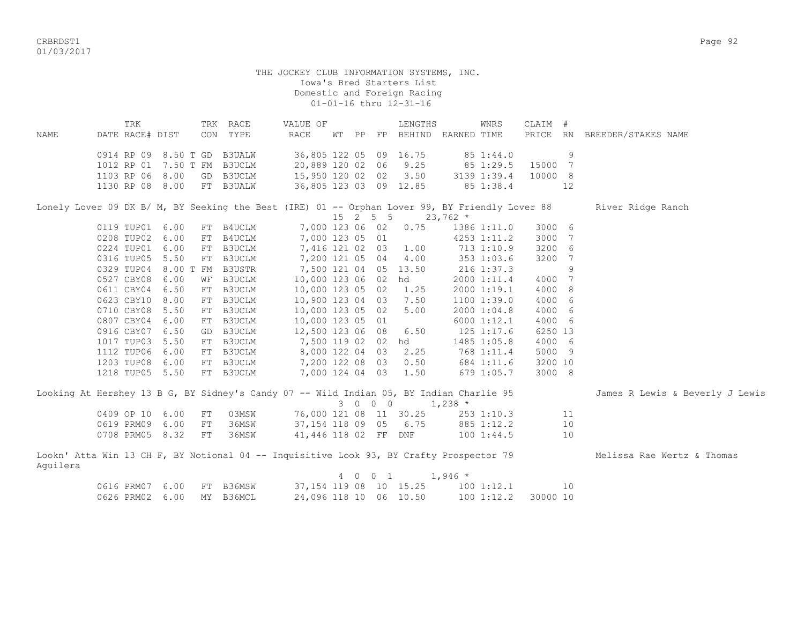CRBRDST1 Page 92 01/03/2017

 TRK TRK RACE VALUE OF LENGTHS WNRS CLAIM # NAME DATE RACE# DIST CON TYPE RACE WT PP FP BEHIND EARNED TIME PRICE RN BREEDER/STAKES NAME 0914 RP 09 8.50 T GD B3UALW 36,805 122 05 09 16.75 85 1:44.0 9 1012 RP 01 7.50 T FM B3UCLM 20,889 120 02 06 9.25 85 1:29.5 15000 7 1103 RP 06 8.00 GD B3UCLM 15,950 120 02 02 3.50 3139 1:39.4 10000 8 1130 RP 08 8.00 FT B3UALW 36,805 123 03 09 12.85 85 1:38.4 12 Lonely Lover 09 DK B/ M, BY Seeking the Best (IRE) 01 -- Orphan Lover 99, BY Friendly Lover 88 River Ridge Ranch  $15$  2 5 5 23,762 \* 0119 TUP01 6.00 FT B4UCLM 7,000 123 06 02 0.75 1386 1:11.0 3000 6 0208 TUP02 6.00 FT B4UCLM 7,000 123 05 01 4253 1:11.2 3000 7 0224 TUP01 6.00 FT B3UCLM 7,416 121 02 03 1.00 713 1:10.9 3200 6<br>0316 TUP05 5.50 FT B3UCLM 7,200 121 05 04 4.00 353 1:03.6 3200 7 0316 TUP05 5.50 FT B3UCLM 7,200 121 05 04 4.00 353 1:03.6 3200 7 0329 TUP04 8.00 T FM B3USTR 7,500 121 04 05 13.50 216 1:37.3 9 0527 CBY08 6.00 WF B3UCLM 10,000 123 06 02 hd 2000 1:11.4 4000 7 0611 CBY04 6.50 FT B3UCLM 10,000 123 05 02 1.25 2000 1:19.1 4000 8 0623 CBY10 8.00 FT B3UCLM 10,900 123 04 03 7.50 1100 1:39.0 4000 6<br>0710 CBY08 5.50 FT B3UCLM 10,000 123 05 02 5.00 2000 1:04.8 4000 6 0710 CBY08 5.50 FT B3UCLM 10,000 123 05 02 5.00 2000 1:04.8 4000 6 0807 CBY04 6.00 FT B3UCLM 10,000 123 05 01 6000 1:12.1 4000 6 0916 CBY07 6.50 GD B3UCLM 12,500 123 06 08 6.50 125 1:17.6 6250 13 1017 TUP03 5.50 FT B3UCLM 7,500 119 02 02 hd 1485 1:05.8 4000 6 1112 TUP06 6.00 FT B3UCLM 8,000 122 04 03 2.25 768 1:11.4 5000 9 1203 TUP08 6.00 FT B3UCLM 7,200 122 08 03 0.50 684 1:11.6 3200 10 1218 TUP05 5.50 FT B3UCLM 7,000 124 04 03 1.50 679 1:05.7 3000 8 Looking At Hershey 13 B G, BY Sidney's Candy 07 -- Wild Indian 05, BY Indian Charlie 95 James R Lewis & Beverly J Lewis 3 0 0 0 1,238 \* 0409 OP 10 6.00 FT 03MSW 76,000 121 08 11 30.25 253 1:10.3 11 0619 PRM09 6.00 FT 36MSW 37,154 118 09 05 6.75 885 1:12.2 10 0708 PRM05 8.32 FT 36MSW 41,446 118 02 FF DNF 100 1:44.5 10 Lookn' Atta Win 13 CH F, BY Notional 04 -- Inquisitive Look 93, BY Crafty Prospector 79 Melissa Rae Wertz & Thomas Aguilera 4 0 0 1 1,946 \* 0616 PRM07 6.00 FT B36MSW 37,154 119 08 10 15.25 100 1:12.1 10 0626 PRM02 6.00 MY B36MCL 24,096 118 10 06 10.50 100 1:12.2 30000 10

01-01-16 thru 12-31-16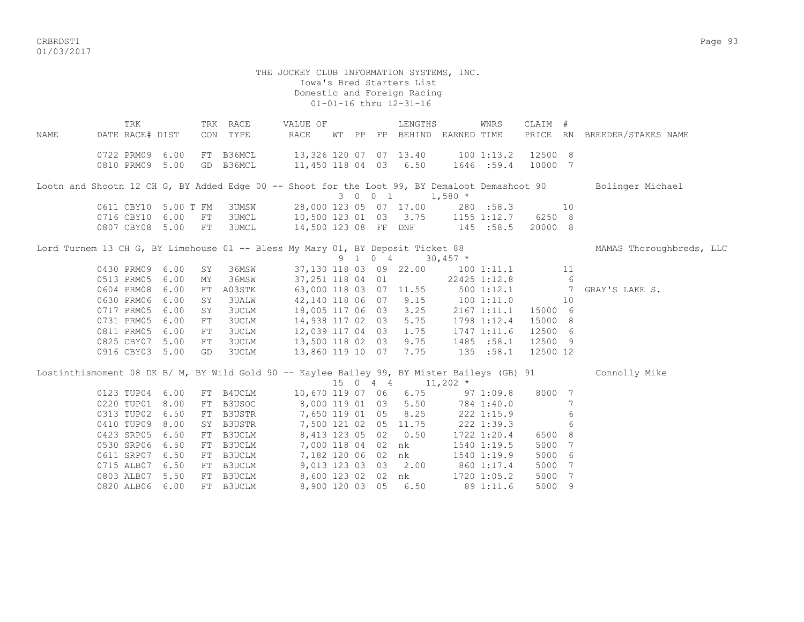CRBRDST1 Page 93 01/03/2017

#### THE JOCKEY CLUB INFORMATION SYSTEMS, INC. Iowa's Bred Starters List Domestic and Foreign Racing 01-01-16 thru 12-31-16

TRK TRK RACE VALUE OF LENGTHS WNRS CLAIM # NAME DATE RACE# DIST CON TYPE RACE WT PP FP BEHIND EARNED TIME PRICE RN BREEDER/STAKES NAME 0722 PRM09 6.00 FT B36MCL 13,326 120 07 07 13.40 100 1:13.2 12500 8 0810 PRM09 5.00 GD B36MCL 11,450 118 04 03 6.50 1646 :59.4 10000 7 Lootn and Shootn 12 CH G, BY Added Edge 00 -- Shoot for the Loot 99, BY Demaloot Demashoot 90 Bolinger Michael 3 0 0 1 1,580 \* 0611 CBY10 5.00 T FM 3UMSW 28,000 123 05 07 17.00 280 :58.3 10 0716 CBY10 6.00 FT 3UMCL 10,500 123 01 03 3.75 1155 1:12.7 6250 8 0807 CBY08 5.00 FT 3UMCL 14,500 123 08 FF DNF 145 :58.5 20000 8 Lord Turnem 13 CH G, BY Limehouse 01 -- Bless My Mary 01, BY Deposit Ticket 88 MAMAS Thoroughbreds, LLC 9 1 0 4 30,457 \* 0430 PRM09 6.00 SY 36MSW 37,130 118 03 09 22.00 100 1:11.1 11 0513 PRM05 6.00 MY 36MSW 37,251 118 04 01 22425 1:12.8 6 0604 PRM08 6.00 FT A03STK 63,000 118 03 07 11.55 500 1:12.1 7 GRAY'S LAKE S. 0630 PRM06 6.00 SY 3UALW 42,140 118 06 07 9.15 100 1:11.0 10 0717 PRM05 6.00 SY 3UCLM 18,005 117 06 03 3.25 2167 1:11.1 15000 6 0731 PRM05 6.00 FT 3UCLM 14,938 117 02 03 5.75 1798 1:12.4 15000 8 0811 PRM05 6.00 FT 3UCLM 12,039 117 04 03 1.75 1747 1:11.6 12500 6 0825 CBY07 5.00 FT 3UCLM 13,500 118 02 03 9.75 1485 :58.1 12500 9 0916 CBY03 5.00 GD 3UCLM 13,860 119 10 07 7.75 135 :58.1 12500 12 Lostinthismoment 08 DK B/ M, BY Wild Gold 90 -- Kaylee Bailey 99, BY Mister Baileys (GB) 91 Connolly Mike 15 0 4 4 11,202 \* 0123 TUP04 6.00 FT B4UCLM 10,670 119 07 06 6.75 97 1:09.8 8000 7 0220 TUP01 8.00 FT B3USOC 8,000 119 01 03 5.50 784 1:40.0 7<br>0313 TUP02 6.50 FT B3USTR 7,650 119 01 05 8.25 222 1:15.9 6 0313 TUP02 6.50 FT B3USTR 7,650 119 01 05 8.25 222 1:15.9 6 0410 TUP09 8.00 SY B3USTR 7,500 121 02 05 11.75 222 1:39.3 6 0423 SRP05 6.50 FT B3UCLM 8,413 123 05 02 0.50 1722 1:20.4 6500 8 0530 SRP06 6.50 FT B3UCLM 7,000 118 04 02 nk 1540 1:19.5 5000 7 0611 SRP07 6.50 FT B3UCLM 7,182 120 06 02 nk 1540 1:19.9 5000 6 0715 ALB07 6.50 FT B3UCLM 9,013 123 03 03 2.00 860 1:17.4 5000 7 0803 ALB07 5.50 FT B3UCLM 8,600 123 02 02 nk 1720 1:05.2 5000 7 0820 ALB06 6.00 FT B3UCLM 8,900 120 03 05 6.50 89 1:11.6 5000 9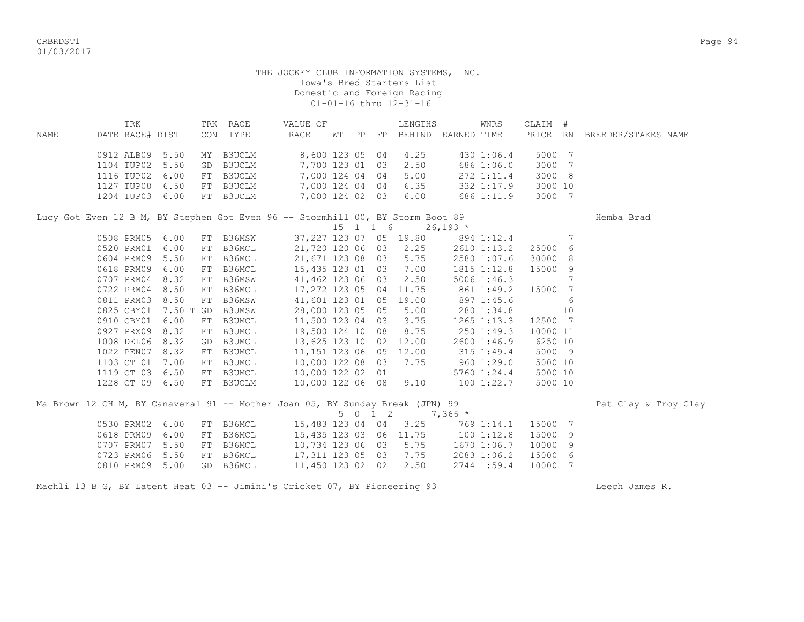CRBRDST1 Page 94 01/03/2017

| NAME | TRK<br>DATE RACE# DIST |           |    | TRK RACE<br>CON TYPE | VALUE OF<br><b>RACE</b>                                                        |  |          | LENGTHS<br>WT PP FP BEHIND         | EARNED TIME     | WNRS          | CLAIM #<br>PRICE RN |    | BREEDER/STAKES NAME  |
|------|------------------------|-----------|----|----------------------|--------------------------------------------------------------------------------|--|----------|------------------------------------|-----------------|---------------|---------------------|----|----------------------|
|      |                        |           |    |                      |                                                                                |  |          |                                    |                 |               |                     |    |                      |
|      | 0912 ALB09 5.50        |           |    | MY B3UCLM            | 8,600 123 05 04                                                                |  |          | 4.25                               |                 | 430 1:06.4    | 5000 7              |    |                      |
|      | 1104 TUP02             | 5.50      | GD | B3UCLM               | 7,700 123 01 03                                                                |  |          | 2.50                               |                 | 686 1:06.0    | 3000 7              |    |                      |
|      | 1116 TUP02             | 6.00      |    | FT B3UCLM            | 7,000 124 04 04                                                                |  |          | 5.00                               |                 | 272 1:11.4    | 3000 8              |    |                      |
|      | 1127 TUP08 6.50        |           |    | FT B3UCLM            |                                                                                |  |          | 7,000 124 04 04 6.35               |                 | 332 1:17.9    | 3000 10             |    |                      |
|      | 1204 TUP03 6.00        |           |    | FT B3UCLM            | 7,000 124 02 03 6.00                                                           |  |          |                                    |                 | 686 1:11.9    | 3000 7              |    |                      |
|      |                        |           |    |                      | Lucy Got Even 12 B M, BY Stephen Got Even 96 -- Stormhill 00, BY Storm Boot 89 |  |          |                                    |                 |               |                     |    | Hemba Brad           |
|      |                        |           |    |                      |                                                                                |  | 15 1 1 6 |                                    | $26,193$ *      |               |                     |    |                      |
|      | 0508 PRM05             | 6.00      |    | FT B36MSW            |                                                                                |  |          | 37, 227 123 07 05 19.80 894 1:12.4 |                 |               |                     | 7  |                      |
|      | 0520 PRM01             | 6.00      | FT |                      | B36MCL 21,720 120 06 03 2.25 2610 1:13.2                                       |  |          |                                    |                 |               | 25000               | 6  |                      |
|      | 0604 PRM09             | 5.50      |    | FT B36MCL            | 21,671 123 08 03 5.75                                                          |  |          |                                    | 2580 1:07.6     |               | 30000               | 8  |                      |
|      | 0618 PRM09             | 6.00      |    | FT B36MCL            | 15, 435 123 01 03 7.00                                                         |  |          |                                    |                 | 1815 1:12.8   | 15000               | 9  |                      |
|      | 0707 PRM04             | 8.32      | FT | B36MSW               | 41,462 123 06 03 2.50                                                          |  |          |                                    |                 | $5006$ 1:46.3 |                     | 7  |                      |
|      | 0722 PRM04             | 8.50      | FT | B36MCL               | 17,272 123 05 04 11.75                                                         |  |          |                                    | 861 1:49.2      |               | 15000 7             |    |                      |
|      | 0811 PRM03             | 8.50      | FT | B36MSW               | 41,601 123 01 05 19.00                                                         |  |          |                                    | 897 1:45.6      |               |                     | 6  |                      |
|      | 0825 CBY01             | 7.50 T GD |    | B3UMSW               | 28,000 123 05 05 5.00                                                          |  |          |                                    | 280 1:34.8      |               |                     | 10 |                      |
|      | 0910 CBY01             | 6.00      |    | FT B3UMCL            | 11,500 123 04 03 3.75                                                          |  |          |                                    |                 | 1265 1:13.3   | 12500 7             |    |                      |
|      | 0927 PRX09             | 8.32      | FT | <b>B3UMCL</b>        |                                                                                |  |          | 19,500 124 10 08 8.75              | 2501:49.3       |               | 10000 11            |    |                      |
|      | 1008 DEL06             | 8.32      | GD | B3UMCL               | 13,625 123 10 02                                                               |  |          | 12.00                              |                 | 2600 1:46.9   | 6250 10             |    |                      |
|      | 1022 PEN07             | 8.32      |    | FT B3UMCL            | 11,151 123 06 05 12.00                                                         |  |          |                                    | 315 1:49.4      |               | 5000 9              |    |                      |
|      | 1103 CT 01 7.00        |           |    | FT B3UMCL            | 10,000 122 08 03 7.75                                                          |  |          |                                    | 960 1:29.0      |               | 5000 10             |    |                      |
|      | 1119 CT 03             | 6.50      |    | FT B3UMCL            | 10,000 122 02 01                                                               |  |          |                                    |                 | 5760 1:24.4   | 5000 10             |    |                      |
|      | 1228 CT 09 6.50        |           |    | FT B3UCLM            | 10,000 122 06 08 9.10                                                          |  |          |                                    | $100$ $1:22.7$  |               | 5000 10             |    |                      |
|      |                        |           |    |                      | Ma Brown 12 CH M, BY Canaveral 91 -- Mother Joan 05, BY Sunday Break (JPN) 99  |  |          |                                    |                 |               |                     |    | Pat Clay & Troy Clay |
|      |                        |           |    |                      |                                                                                |  | 5 0 1 2  |                                    | $7,366$ *       |               |                     |    |                      |
|      | 0530 PRM02             | 6.00      |    | FT B36MCL            |                                                                                |  |          | 15,483 123 04 04 3.25              |                 | 769 1:14.1    | 15000 7             |    |                      |
|      | 0618 PRM09             | 6.00      |    | FT B36MCL            |                                                                                |  |          | 15,435 123 03 06 11.75 100 1:12.8  |                 |               | 15000               | 9  |                      |
|      | 0707 PRM07             | 5.50      |    | FT B36MCL            | 10,734 123 06 03 5.75                                                          |  |          |                                    | $1670$ $1:06.7$ |               | 10000               | 9  |                      |
|      | 0723 PRM06             | 5.50      | FT | B36MCL               | 17,311 123 05 03 7.75                                                          |  |          |                                    |                 | 2083 1:06.2   | 15000 6             |    |                      |
|      | 0810 PRM09             | 5.00      | GD | B36MCL               | 11,450 123 02 02                                                               |  |          | 2.50                               |                 | 2744:59.4     | 10000 7             |    |                      |
|      |                        |           |    |                      |                                                                                |  |          |                                    |                 |               |                     |    |                      |

Machli 13 B G, BY Latent Heat 03 -- Jimini's Cricket 07, BY Pioneering 93 Machli 13 B G, Beech James R.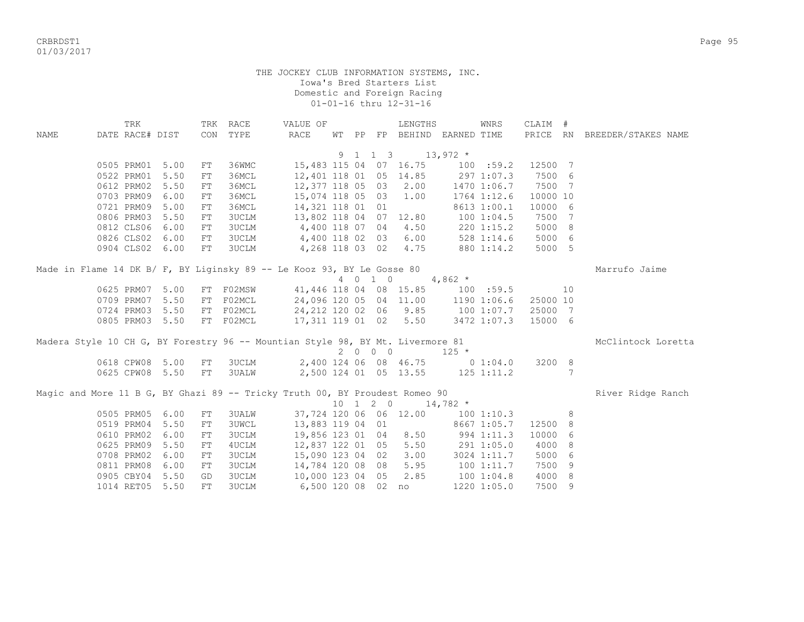CRBRDST1 Page 95 01/03/2017

|             | TRK                                                                                                          |                                                              |                                              | TRK RACE                                                                                                              | VALUE OF                                                                                                                                     |    |    |                              | LENGTHS                                                        |                                                        | WNRS                                                   | CLAIM #                                                |                                          |                     |
|-------------|--------------------------------------------------------------------------------------------------------------|--------------------------------------------------------------|----------------------------------------------|-----------------------------------------------------------------------------------------------------------------------|----------------------------------------------------------------------------------------------------------------------------------------------|----|----|------------------------------|----------------------------------------------------------------|--------------------------------------------------------|--------------------------------------------------------|--------------------------------------------------------|------------------------------------------|---------------------|
| <b>NAME</b> | DATE RACE# DIST                                                                                              |                                                              |                                              | CON TYPE                                                                                                              | <b>RACE</b>                                                                                                                                  | WТ | PP |                              |                                                                | FP BEHIND EARNED TIME                                  |                                                        | PRICE RN                                               |                                          | BREEDER/STAKES NAME |
|             |                                                                                                              |                                                              |                                              |                                                                                                                       |                                                                                                                                              |    |    |                              |                                                                |                                                        |                                                        |                                                        |                                          |                     |
|             |                                                                                                              |                                                              |                                              |                                                                                                                       |                                                                                                                                              |    |    | 9 1 1 3                      |                                                                | $13,972$ *                                             |                                                        |                                                        |                                          |                     |
|             | 0505 PRM01                                                                                                   | 5.00                                                         | FT                                           | 36WMC                                                                                                                 |                                                                                                                                              |    |    |                              | 15,483 115 04 07 16.75                                         |                                                        | 100 : 59.2                                             | 12500 7                                                |                                          |                     |
|             | 0522 PRM01                                                                                                   | 5.50                                                         | FT                                           | 36MCL                                                                                                                 | 12,401 118 01 05                                                                                                                             |    |    |                              | 14.85                                                          | 297 1:07.3                                             |                                                        | 7500 6                                                 |                                          |                     |
|             | 0612 PRM02                                                                                                   | 5.50                                                         | FT                                           | 36MCL                                                                                                                 | 12,377 118 05 03                                                                                                                             |    |    |                              | 2.00                                                           |                                                        | 1470 1:06.7                                            | 7500 7                                                 |                                          |                     |
|             | 0703 PRM09                                                                                                   | 6.00                                                         | FT                                           | 36MCL                                                                                                                 | 15,074 118 05 03                                                                                                                             |    |    |                              | 1.00                                                           |                                                        | 1764 1:12.6                                            | 10000 10                                               |                                          |                     |
|             | 0721 PRM09                                                                                                   | 5.00                                                         | FT                                           | 36MCL                                                                                                                 | 14,321 118 01 01                                                                                                                             |    |    |                              |                                                                |                                                        | 8613 1:00.1                                            | 10000 6                                                |                                          |                     |
|             | 0806 PRM03                                                                                                   | 5.50                                                         | FT                                           | <b>3UCLM</b>                                                                                                          | 13,802 118 04 07 12.80                                                                                                                       |    |    |                              |                                                                | 100 1:04.5                                             |                                                        | 7500                                                   | $\overline{7}$                           |                     |
|             | 0812 CLS06                                                                                                   | 6.00                                                         | FT                                           |                                                                                                                       | 3UCLM 4,400 118 07 04                                                                                                                        |    |    |                              | 4.50                                                           |                                                        | $220$ 1:15.2                                           | 5000 8                                                 |                                          |                     |
|             |                                                                                                              | 0826 CLS02 6.00                                              | FT                                           |                                                                                                                       | 3UCLM 4,400 118 02 03 6.00                                                                                                                   |    |    |                              |                                                                |                                                        | 528 1:14.6                                             | 5000 6                                                 |                                          |                     |
|             |                                                                                                              | 0904 CLS02 6.00                                              | FT                                           | <b>3UCLM</b>                                                                                                          |                                                                                                                                              |    |    |                              | 4,268 118 03 02 4.75                                           |                                                        | 880 1:14.2                                             | 5000 5                                                 |                                          |                     |
|             |                                                                                                              |                                                              |                                              |                                                                                                                       | Made in Flame 14 DK B/ F, BY Liginsky 89 -- Le Kooz 93, BY Le Gosse 80                                                                       |    |    |                              |                                                                |                                                        |                                                        |                                                        |                                          | Marrufo Jaime       |
|             |                                                                                                              |                                                              |                                              |                                                                                                                       |                                                                                                                                              |    |    | 4 0 1 0                      |                                                                | 4,862 $*$                                              |                                                        |                                                        |                                          |                     |
|             | 0625 PRM07                                                                                                   | 5.00                                                         |                                              | FT FO2MSW                                                                                                             |                                                                                                                                              |    |    |                              |                                                                | 41,446 118 04 08 15.85 100 :59.5                       |                                                        |                                                        | 10                                       |                     |
|             | 0709 PRM07                                                                                                   | 5.50                                                         |                                              | FT F02MCL                                                                                                             | 24,096 120 05 04 11.00 1190 1:06.6                                                                                                           |    |    |                              |                                                                |                                                        |                                                        | 25000 10                                               |                                          |                     |
|             | 0724 PRM03                                                                                                   | 5.50                                                         |                                              | FT F02MCL                                                                                                             | 24,212 120 02 06 9.85 100 1:07.7                                                                                                             |    |    |                              |                                                                |                                                        |                                                        | 25000 7                                                |                                          |                     |
|             |                                                                                                              | 0805 PRM03 5.50                                              |                                              | FT F02MCL                                                                                                             | 17,311 119 01 02 5.50 3472 1:07.3                                                                                                            |    |    |                              |                                                                |                                                        |                                                        | 15000 6                                                |                                          |                     |
|             |                                                                                                              |                                                              |                                              |                                                                                                                       |                                                                                                                                              |    |    |                              |                                                                |                                                        |                                                        |                                                        |                                          |                     |
|             |                                                                                                              |                                                              |                                              |                                                                                                                       | Madera Style 10 CH G, BY Forestry 96 -- Mountian Style 98, BY Mt. Livermore 81                                                               |    |    |                              |                                                                |                                                        |                                                        |                                                        |                                          | McClintock Loretta  |
|             |                                                                                                              |                                                              |                                              |                                                                                                                       |                                                                                                                                              |    |    | $2 \quad 0 \quad 0 \quad 0$  |                                                                | $125 *$                                                |                                                        |                                                        |                                          |                     |
|             |                                                                                                              | 0618 CPW08 5.00                                              | FT                                           | 3UCLM                                                                                                                 |                                                                                                                                              |    |    |                              | 2,400 124 06 08 46.75                                          | 0 1:04.0                                               |                                                        | 3200 8                                                 |                                          |                     |
|             |                                                                                                              | 0625 CPW08 5.50                                              | FT                                           | <b>3UALW</b>                                                                                                          | 2,500 124 01 05 13.55 125 1:11.2                                                                                                             |    |    |                              |                                                                |                                                        |                                                        |                                                        | 7                                        |                     |
|             |                                                                                                              |                                                              |                                              |                                                                                                                       | Magic and More 11 B G, BY Ghazi 89 -- Tricky Truth 00, BY Proudest Romeo 90                                                                  |    |    |                              |                                                                |                                                        |                                                        |                                                        |                                          | River Ridge Ranch   |
|             |                                                                                                              |                                                              |                                              |                                                                                                                       |                                                                                                                                              |    |    | $10 \quad 1 \quad 2 \quad 0$ |                                                                | $14,782$ *                                             |                                                        |                                                        |                                          |                     |
|             |                                                                                                              |                                                              |                                              |                                                                                                                       |                                                                                                                                              |    |    |                              |                                                                |                                                        |                                                        |                                                        |                                          |                     |
|             |                                                                                                              |                                                              |                                              |                                                                                                                       |                                                                                                                                              |    |    |                              |                                                                |                                                        |                                                        |                                                        |                                          |                     |
|             |                                                                                                              |                                                              |                                              |                                                                                                                       |                                                                                                                                              |    |    |                              |                                                                |                                                        |                                                        |                                                        |                                          |                     |
|             |                                                                                                              |                                                              |                                              |                                                                                                                       |                                                                                                                                              |    |    |                              |                                                                |                                                        |                                                        |                                                        |                                          |                     |
|             |                                                                                                              |                                                              |                                              |                                                                                                                       |                                                                                                                                              |    |    |                              |                                                                |                                                        |                                                        |                                                        |                                          |                     |
|             |                                                                                                              |                                                              |                                              |                                                                                                                       |                                                                                                                                              |    |    |                              |                                                                |                                                        |                                                        |                                                        |                                          |                     |
|             |                                                                                                              |                                                              |                                              |                                                                                                                       |                                                                                                                                              |    |    |                              |                                                                |                                                        |                                                        |                                                        |                                          |                     |
|             |                                                                                                              |                                                              |                                              |                                                                                                                       |                                                                                                                                              |    |    |                              |                                                                |                                                        |                                                        |                                                        |                                          |                     |
|             | 0505 PRM05<br>0519 PRM04<br>0610 PRM02<br>0625 PRM09<br>0708 PRM02<br>0811 PRM08<br>0905 CBY04<br>1014 RET05 | 6.00<br>5.50<br>6.00<br>5.50<br>6.00<br>6.00<br>5.50<br>5.50 | FT<br>FT<br>FT<br>FT<br>FT<br>FT<br>GD<br>FT | <b>3UALW</b><br><b>3UWCL</b><br><b>3UCLM</b><br>4UCLM<br><b>3UCLM</b><br><b>3UCLM</b><br><b>3UCLM</b><br><b>3UCLM</b> | 13,883 119 04 01<br>19,856 123 01 04<br>12,837 122 01 05<br>15,090 123 04 02<br>14,784 120 08 08<br>10,000 123 04 05<br>6,500 120 08  02  no |    |    |                              | 37,724 120 06 06 12.00<br>8.50<br>5.50<br>3.00<br>5.95<br>2.85 | 994 1:11.3<br>$291$ 1:05.0<br>100 1:11.7<br>100 1:04.8 | 1001:10.3<br>8667 1:05.7<br>3024 1:11.7<br>1220 1:05.0 | 12500<br>10000<br>4000<br>5000<br>7500<br>4000<br>7500 | 8<br>8<br>6<br>8<br>- 6<br>- 9<br>8<br>9 |                     |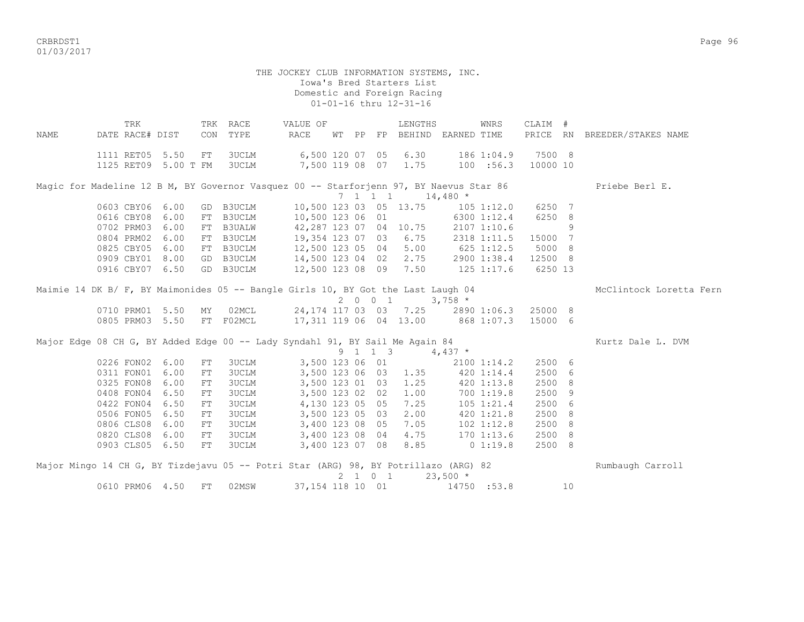CRBRDST1 Page 96 01/03/2017

> THE JOCKEY CLUB INFORMATION SYSTEMS, INC. Iowa's Bred Starters List Domestic and Foreign Racing 01-01-16 thru 12-31-16

 TRK TRK RACE VALUE OF LENGTHS WNRS CLAIM # NAME DATE RACE# DIST CON TYPE RACE WT PP FP BEHIND EARNED TIME PRICE RN BREEDER/STAKES NAME 1111 RET05 5.50 FT 3UCLM 6,500 120 07 05 6.30 186 1:04.9 7500 8 1125 RET09 5.00 T FM 3UCLM 7,500 119 08 07 1.75 100 :56.3 10000 10 Magic for Madeline 12 B M, BY Governor Vasquez 00 -- Starforjenn 97, BY Naevus Star 86 Priebe Berl E.  $7 \quad 1 \quad 1 \quad 1 \quad 14,480 \; *$  0603 CBY06 6.00 GD B3UCLM 10,500 123 03 05 13.75 105 1:12.0 6250 7 0616 CBY08 6.00 FT B3UCLM 10,500 123 06 01 6300 1:12.4 6250 8 0702 PRM03 6.00 FT B3UALW 42,287 123 07 04 10.75 2107 1:10.6 9 0804 PRM02 6.00 FT B3UCLM 19,354 123 07 03 6.75 2318 1:11.5 15000 7 0825 CBY05 6.00 FT B3UCLM 12,500 123 05 04 5.00 625 1:12.5 5000 8 0909 CBY01 8.00 GD B3UCLM 14,500 123 04 02 2.75 2900 1:38.4 12500 8 0916 CBY07 6.50 GD B3UCLM 12,500 123 08 09 7.50 125 1:17.6 6250 13 Maimie 14 DK B/ F, BY Maimonides 05 -- Bangle Girls 10, BY Got the Last Laugh 04 McClintock Loretta Fern 2 0 0 1 3,758 \* 0710 PRM01 5.50 MY 02MCL 24,174 117 03 03 7.25 2890 1:06.3 25000 8 0805 PRM03 5.50 FT F02MCL 17,311 119 06 04 13.00 868 1:07.3 15000 6 Major Edge 08 CH G, BY Added Edge 00 -- Lady Syndahl 91, BY Sail Me Again 84 Kurtz Dale L. DVM  $9 \t 1 \t 1 \t 3 \t 4,437 \star$ <br>3,500 123 06 01 2100 1 0226 FON02 6.00 FT 3UCLM 3,500 123 06 01 2100 1:14.2 2500 6 0311 FON01 6.00 FT 3UCLM 3,500 123 06 03 1.35 420 1:14.4 2500 6 0325 FON08 6.00 FT 3UCLM 3,500 123 01 03 1.25 420 1:13.8 2500 8 0408 FON04 6.50 FT 3UCLM 3,500 123 02 02 1.00 700 1:19.8 2500 9<br>0422 FON04 6.50 FT 3UCLM 4,130 123 05 05 7.25 105 1:21.4 2500 6 0422 FON04 6.50 FT 3UCLM 4,130 123 05 05 7.25 105 1:21.4 2500 6 3,500 123 05 03 2.00 420 1:21.8 2500 8 0806 CLS08 6.00 FT 3UCLM 3,400 123 08 05 7.05 102 1:12.8 2500 8 0800 CLS08 6.00 FT 30CLM 3,400 123 08 04 4.75 1.02 1.12.6 2500 8<br>0820 CLS08 6.00 FT 3UCLM 3,400 123 08 04 4.75 170 1:13.6 2500 8<br>0803 CLS05 6.50 FT 3UCLM 3,400 123 07 08 8.85 0 1.10.8 2500 8 0903 CLS05 6.50 FT 3UCLM 3,400 123 07 08 8.85 0 1:19.8 2500 8 Major Mingo 14 CH G, BY Tizdejavu 05 -- Potri Star (ARG) 98, BY Potrillazo (ARG) 82 Rumbaugh Carroll  $2 \quad 1 \quad 0 \quad 1 \quad 23.500 \quad ^{\star}$ 

0610 PRM06 4.50 FT 02MSW 37,154 118 10 01 14750 :53.8 10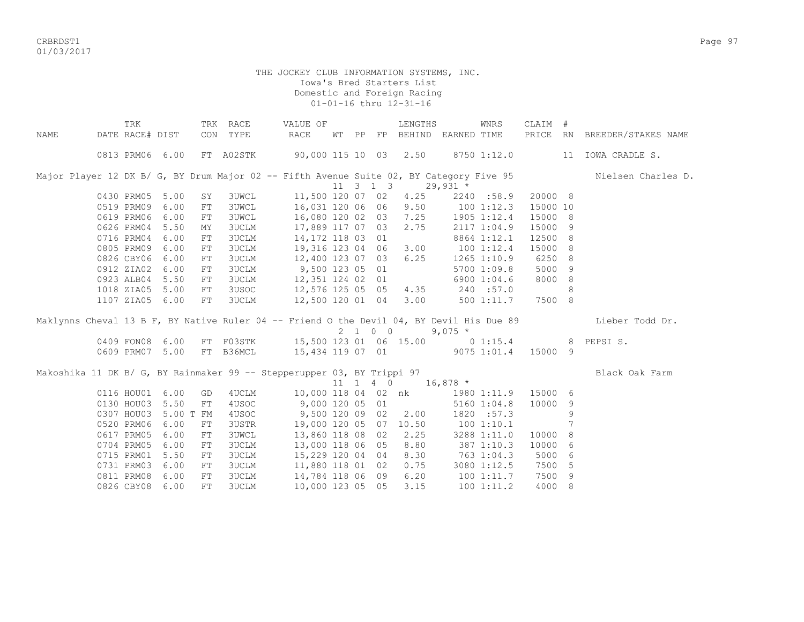CRBRDST1 Page 97 01/03/2017

|                                                                                          | TRK             |                 | TRK        | RACE         | VALUE OF                                  |    |    |                              | LENGTHS |                       | WNRS           | CLAIM #  |    |                     |
|------------------------------------------------------------------------------------------|-----------------|-----------------|------------|--------------|-------------------------------------------|----|----|------------------------------|---------|-----------------------|----------------|----------|----|---------------------|
| <b>NAME</b>                                                                              | DATE RACE# DIST |                 | CON        | TYPE         | <b>RACE</b>                               | WТ | PP |                              |         | FP BEHIND EARNED TIME |                | PRICE RN |    | BREEDER/STAKES NAME |
|                                                                                          |                 | 0813 PRM06 6.00 |            | FT A02STK    | 90,000 115 10 03 2.50                     |    |    |                              |         |                       | 8750 1:12.0    |          | 11 | IOWA CRADLE S.      |
| Major Player 12 DK B/ G, BY Drum Major 02 -- Fifth Avenue Suite 02, BY Category Five 95  |                 |                 |            |              |                                           |    |    |                              |         |                       |                |          |    | Nielsen Charles D.  |
|                                                                                          |                 |                 |            |              |                                           |    |    | $11 \quad 3 \quad 1 \quad 3$ |         | $29,931$ *            |                |          |    |                     |
|                                                                                          | 0430 PRM05 5.00 |                 | SY         | <b>3UWCL</b> | 11,500 120 07 02                          |    |    |                              | 4.25    |                       | 2240 :58.9     | 20000 8  |    |                     |
|                                                                                          | 0519 PRM09      | 6.00            | ${\rm FT}$ | <b>3UWCL</b> | 16,031 120 06 06                          |    |    |                              | 9.50    |                       | $100$ $1:12.3$ | 15000 10 |    |                     |
|                                                                                          | 0619 PRM06      | 6.00            | ${\rm FT}$ | <b>3UWCL</b> | 16,080 120 02 03                          |    |    |                              | 7.25    |                       | 1905 1:12.4    | 15000 8  |    |                     |
|                                                                                          | 0626 PRM04      | 5.50            | ΜY         | 3UCLM        | 17,889 117 07 03                          |    |    |                              | 2.75    |                       | 2117 1:04.9    | 15000 9  |    |                     |
|                                                                                          | 0716 PRM04      | 6.00            | ${\rm FT}$ | 3UCLM        | 14,172 118 03 01                          |    |    |                              |         |                       | 8864 1:12.1    | 12500 8  |    |                     |
|                                                                                          | 0805 PRM09      | 6.00            | FT         | <b>3UCLM</b> | 19,316 123 04 06                          |    |    |                              | 3.00    |                       | 1001:12.4      | 15000 8  |    |                     |
|                                                                                          | 0826 CBY06      | 6.00            | ${\rm FT}$ | <b>3UCLM</b> | 12,400 123 07 03                          |    |    |                              | 6.25    |                       | 1265 1:10.9    | 6250 8   |    |                     |
|                                                                                          | 0912 ZIA02      | 6.00            | FT         | <b>3UCLM</b> | 9,500 123 05 01                           |    |    |                              |         |                       | 5700 1:09.8    | 5000 9   |    |                     |
|                                                                                          | 0923 ALB04      | 5.50            | FT         | <b>3UCLM</b> | 12,351 124 02 01                          |    |    |                              |         |                       | 6900 1:04.6    | 8000 8   |    |                     |
|                                                                                          | 1018 ZIA05      | 5.00            | ${\rm FT}$ | 3USOC        | 12,576 125 05 05                          |    |    |                              | 4.35    |                       | 240 :57.0      |          | 8  |                     |
|                                                                                          | 1107 ZIA05      | 6.00            | FT         | <b>3UCLM</b> | 12,500 120 01 04                          |    |    |                              | 3.00    |                       | 500 1:11.7     | 7500 8   |    |                     |
|                                                                                          |                 |                 |            |              |                                           |    |    |                              |         |                       |                |          |    |                     |
| Maklynns Cheval 13 B F, BY Native Ruler 04 -- Friend O the Devil 04, BY Devil His Due 89 |                 |                 |            |              |                                           |    |    |                              |         |                       |                |          |    | Lieber Todd Dr.     |
|                                                                                          |                 |                 |            |              |                                           |    |    |                              | 2 1 0 0 | $9,075$ *             |                |          |    |                     |
|                                                                                          | 0409 FON08      | 6.00            |            |              | FT F03STK 15,500 123 01 06 15.00 0 1:15.4 |    |    |                              |         |                       |                |          | 8  | PEPSI S.            |
|                                                                                          | 0609 PRM07      | 5.00            |            | FT B36MCL    | 15,434 119 07 01                          |    |    |                              |         |                       | 9075 1:01.4    | 15000 9  |    |                     |
|                                                                                          |                 |                 |            |              |                                           |    |    |                              |         |                       |                |          |    |                     |
| Makoshika 11 DK B/ G, BY Rainmaker 99 -- Stepperupper 03, BY Trippi 97                   |                 |                 |            |              |                                           |    |    |                              |         |                       |                |          |    | Black Oak Farm      |
|                                                                                          |                 |                 |            |              |                                           |    |    | $11 \quad 1 \quad 4 \quad 0$ |         | $16,878$ *            |                |          |    |                     |
|                                                                                          | 0116 HOU01      | 6.00            | GD         | 4UCLM        | 10,000 118 04 02 nk                       |    |    |                              |         |                       | 1980 1:11.9    | 15000 6  |    |                     |
|                                                                                          | 0130 HOU03      | 5.50            | FT         | 4USOC        | 9,000 120 05 01                           |    |    |                              |         |                       | 5160 1:04.8    | 10000 9  |    |                     |
|                                                                                          | 0307 HOU03      | 5.00 T FM       |            | 4USOC        | 9,500 120 09 02                           |    |    |                              | 2.00    |                       | 1820 :57.3     |          | 9  |                     |
|                                                                                          | 0520 PRM06      | 6.00            | FT         | 3USTR        | 19,000 120 05 07                          |    |    |                              | 10.50   |                       | 1001:10.1      |          |    |                     |
|                                                                                          | 0617 PRM05      | 6.00            | FT         | <b>3UWCL</b> | 13,860 118 08 02                          |    |    |                              | 2.25    |                       | 3288 1:11.0    | 10000 8  |    |                     |
|                                                                                          | 0704 PRM05      | 6.00            | FT         | <b>3UCLM</b> | 13,000 118 06 05                          |    |    |                              | 8.80    |                       | 387 1:10.3     | 10000 6  |    |                     |
|                                                                                          | 0715 PRM01      | 5.50            | FT         | <b>3UCLM</b> | 15,229 120 04 04                          |    |    |                              | 8.30    |                       | 763 1:04.3     | 5000 6   |    |                     |
|                                                                                          | 0731 PRM03      | 6.00            | ${\rm FT}$ | 3UCLM        | 11,880 118 01 02                          |    |    |                              | 0.75    |                       | 3080 1:12.5    | 7500 5   |    |                     |
|                                                                                          | 0811 PRM08      | 6.00            | ${\rm FT}$ | <b>3UCLM</b> | 14,784 118 06 09                          |    |    |                              | 6.20    |                       | 100 1:11.7     | 7500 9   |    |                     |
|                                                                                          | 0826 CBY08      | 6.00            | FT         | <b>3UCLM</b> | 10,000 123 05 05                          |    |    |                              | 3.15    |                       | 1001:11.2      | 4000 8   |    |                     |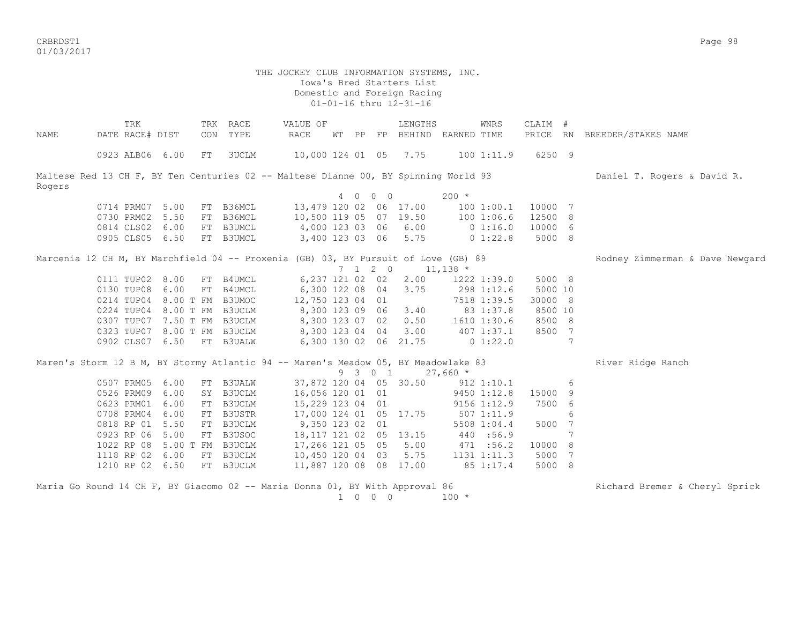CRBRDST1 Page 98 01/03/2017

| 10,000 124 01 05 7.75<br>6250 9<br>0923 ALB06 6.00<br>FT<br>3UCLM<br>1001:11.9                                                   |  |
|----------------------------------------------------------------------------------------------------------------------------------|--|
|                                                                                                                                  |  |
| Maltese Red 13 CH F, BY Ten Centuries 02 -- Maltese Dianne 00, BY Spinning World 93<br>Daniel T. Rogers & David R.<br>Rogers     |  |
| 4 0 0 0<br>$200 *$                                                                                                               |  |
| 0714 PRM07 5.00<br>FT B36MCL<br>13,479 120 02 06 17.00<br>10000 7<br>1001:00.1                                                   |  |
| 10,500 119 05 07 19.50<br>0730 PRM02 5.50<br>FT B36MCL<br>1001:06.6<br>12500 8                                                   |  |
| 0814 CLS02 6.00<br>4,000 123 03 06 6.00<br>FT B3UMCL<br>0 1:16.0<br>10000 6                                                      |  |
| 3,400 123 03 06 5.75<br>5000 8<br>0905 CLS05 6.50<br>FT B3UMCL<br>$0\;1:22.8$                                                    |  |
| Marcenia 12 CH M, BY Marchfield 04 -- Proxenia (GB) 03, BY Pursuit of Love (GB) 89<br>Rodney Zimmerman & Dave Newgard            |  |
| $7 \t1 \t2 \t0$<br>$11,138$ *                                                                                                    |  |
| 0111 TUP02 8.00<br>6,237 121 02 02<br>5000 8<br>FT B4UMCL<br>2.00<br>1222 1:39.0                                                 |  |
| 0130 TUP08<br>6.00<br>6,300 122 08 04 3.75<br>FT B4UMCL<br>298 1:12.6<br>5000 10                                                 |  |
| 12,750 123 04 01<br>0214 TUP04 8.00 T FM B3UMOC<br>7518 1:39.5<br>30000 8                                                        |  |
| 0224 TUP04 8.00 T FM B3UCLM<br>8,300 123 09 06 3.40<br>8500 10<br>83 1:37.8                                                      |  |
| 0.50<br>8500 8<br>0307 TUP07<br>7.50 T FM B3UCLM<br>8,300 123 07 02<br>1610 1:30.6                                               |  |
| 3.00<br>$407$ $1:37.1$<br>8500 7<br>0323 TUP07<br>8.00 T FM B3UCLM<br>8,300 123 04 04                                            |  |
| 7<br>0902 CLS07 6.50<br>FT B3UALW<br>6,300 130 02 06 21.75 0 1:22.0                                                              |  |
| Maren's Storm 12 B M, BY Stormy Atlantic 94 -- Maren's Meadow 05, BY Meadowlake 83<br>River Ridge Ranch<br>9 3 0 1<br>$27,660$ * |  |
| 0507 PRM05 6.00<br>37,872 120 04 05 30.50<br>6<br>FT B3UALW<br>$912$ $1:10.1$                                                    |  |
| 0526 PRM09<br>6.00<br>SY B3UCLM<br>16,056 120 01 01<br>9450 1:12.8<br>15000<br>9                                                 |  |
| 6.00<br>FT B3UCLM<br>7500 6<br>0623 PRM01<br>15,229 123 04 01<br>9156 1:12.9                                                     |  |
| 6.00<br>0708 PRM04<br>FT B3USTR<br>17,000 124 01 05 17.75<br>5071:11.9<br>6                                                      |  |
| 0818 RP 01<br>5.50<br>9,350 123 02 01<br>5000 7<br>FT B3UCLM<br>5508 1:04.4                                                      |  |
| 5.00<br>FT B3USOC<br>18, 117 121 02 05 13.15<br>7<br>0923 RP 06<br>440 :56.9                                                     |  |
| 1022 RP 08 5.00 T FM B3UCLM<br>17,266 121 05 05 5.00<br>10000 8<br>471 :56.2                                                     |  |
| 1118 RP 02 6.00<br>FT B3UCLM<br>10,450 120 04 03<br>5.75<br>1131 1:11.3<br>5000 7                                                |  |
| 1210 RP 02<br>FT B3UCLM<br>11,887 120 08 08 17.00<br>85 1:17.4<br>5000 8<br>6.50                                                 |  |

| Maria Go Round 14 CH F, BY Giacomo 02 -- Maria Donna 01, BY With Approval 86 | in the state of the state of the state of the state of the state of the state of the state of the state of the |  |         |         | Richard Bremer & Cheryl Sprick |  |
|------------------------------------------------------------------------------|----------------------------------------------------------------------------------------------------------------|--|---------|---------|--------------------------------|--|
|                                                                              |                                                                                                                |  | 1 0 0 0 | $100 *$ |                                |  |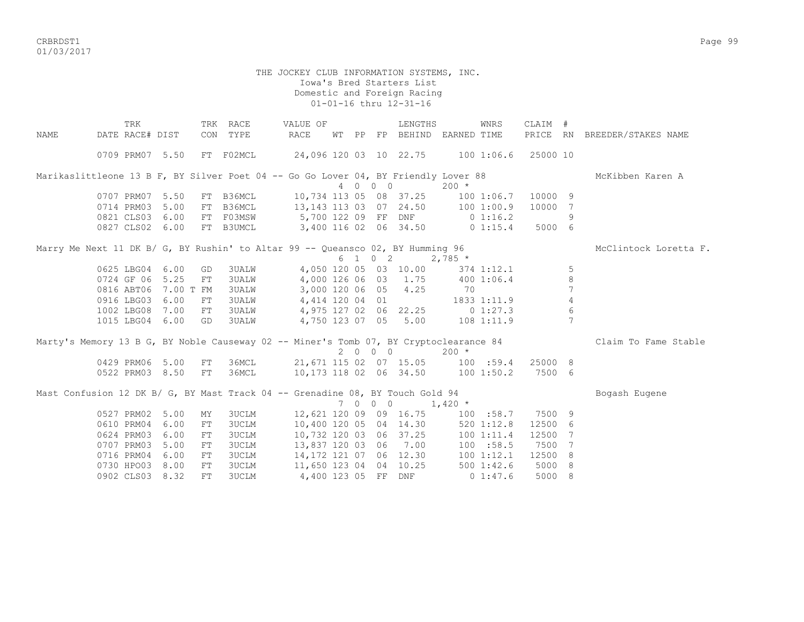CRBRDST1 Page 99 01/03/2017

|      | TRK                                                                                   |      |    | TRK RACE     | VALUE OF                                         |  |         | LENGTHS                         |           | WNRS        | CLAIM # |                 |                              |
|------|---------------------------------------------------------------------------------------|------|----|--------------|--------------------------------------------------|--|---------|---------------------------------|-----------|-------------|---------|-----------------|------------------------------|
| NAME | DATE RACE# DIST                                                                       |      |    | CON TYPE     | RACE                                             |  |         | WT PP FP BEHIND EARNED TIME     |           |             |         |                 | PRICE RN BREEDER/STAKES NAME |
|      | 0709 PRM07 5.50                                                                       |      |    | FT F02MCL    | 24,096 120 03  10  22.75  100  1:06.6  25000  10 |  |         |                                 |           |             |         |                 |                              |
|      | Marikaslittleone 13 B F, BY Silver Poet 04 -- Go Go Lover 04, BY Friendly Lover 88    |      |    |              |                                                  |  |         |                                 |           |             |         |                 | McKibben Karen A             |
|      |                                                                                       |      |    |              |                                                  |  | 4 0 0 0 |                                 | $200 *$   |             |         |                 |                              |
|      | 0707 PRM07 5.50                                                                       |      | FT | B36MCL       | 10,734 113 05 08 37.25 100 1:06.7                |  |         |                                 |           |             | 10000 9 |                 |                              |
|      | 0714 PRM03                                                                            | 5.00 | FT | B36MCL       | 13, 143 113 03 07 24.50 100 1:00.9               |  |         |                                 |           |             | 10000   | - 7             |                              |
|      | 0821 CLS03 6.00                                                                       |      | FT | F03MSW       | 5,700 122 09 FF DNF 0 1:16.2                     |  |         |                                 |           |             |         | 9               |                              |
|      | 0827 CLS02 6.00                                                                       |      | FT | B3UMCL       | 3,400 116 02 06 34.50                            |  |         |                                 |           | $0\;1:15.4$ | 5000 6  |                 |                              |
|      | Marry Me Next 11 DK B/ G, BY Rushin' to Altar 99 -- Queansco 02, BY Humming 96        |      |    |              |                                                  |  |         |                                 |           |             |         |                 | McClintock Loretta F.        |
|      |                                                                                       |      |    |              |                                                  |  |         | 6 1 0 2 2,785 $*$               |           |             |         |                 |                              |
|      | 0625 LBG04 6.00                                                                       |      | GD | <b>3UALW</b> |                                                  |  |         | 4,050 120 05 03 10.00           |           | 374 1:12.1  |         | 5               |                              |
|      | 0724 GF 06 5.25                                                                       |      | FT | <b>3UALW</b> |                                                  |  |         | 4,000 126 06 03 1.75 400 1:06.4 |           |             |         | 8               |                              |
|      | 0816 ABT06 7.00 T FM                                                                  |      |    | <b>3UALW</b> |                                                  |  |         | 3,000 120 06 05 4.25            | 70        |             |         | $7\overline{ }$ |                              |
|      | 0916 LBG03 6.00                                                                       |      | FT | <b>3UALW</b> | 4,414 120 04 01 1833 1:11.9                      |  |         |                                 |           |             |         | $\overline{4}$  |                              |
|      | 1002 LBG08                                                                            | 7.00 | FT | 3UALW        | 4,975 127 02 06 22.25 0 1:27.3                   |  |         |                                 |           |             |         | 6               |                              |
|      | 1015 LBG04 6.00                                                                       |      | GD | 3UALW        |                                                  |  |         | 4,750 123 07 05 5.00 108 1:11.9 |           |             |         | $7\phantom{.0}$ |                              |
|      | Marty's Memory 13 B G, BY Noble Causeway 02 -- Miner's Tomb 07, BY Cryptoclearance 84 |      |    |              |                                                  |  |         |                                 |           |             |         |                 | Claim To Fame Stable         |
|      |                                                                                       |      |    |              |                                                  |  | 2 0 0 0 |                                 | $200 *$   |             |         |                 |                              |
|      | 0429 PRM06 5.00                                                                       |      | FT |              | 36MCL 21,671 115 02 07 15.05 100 :59.4           |  |         |                                 |           |             | 25000 8 |                 |                              |
|      | 0522 PRM03 8.50                                                                       |      | FT | 36MCL        | 10,173 118 02 06 34.50 100 1:50.2 7500 6         |  |         |                                 |           |             |         |                 |                              |
|      | Mast Confusion 12 DK B/ G, BY Mast Track 04 -- Grenadine 08, BY Touch Gold 94         |      |    |              |                                                  |  |         |                                 |           |             |         |                 | Bogash Eugene                |
|      |                                                                                       |      |    |              |                                                  |  | 7 0 0 0 |                                 | $1,420$ * |             |         |                 |                              |
|      | 0527 PRM02 5.00                                                                       |      | ΜY | <b>3UCLM</b> | 12,621 120 09 09 16.75 100 :58.7                 |  |         |                                 |           |             | 7500 9  |                 |                              |
|      | 0610 PRM04                                                                            | 6.00 | FT | 3UCLM        | 10,400 120 05 04 14.30 520 1:12.8                |  |         |                                 |           |             | 12500   | - 6             |                              |
|      | 0624 PRM03                                                                            | 6.00 | FT | <b>3UCLM</b> | 10,732 120 03 06 37.25 100 1:11.4                |  |         |                                 |           |             | 12500   | 7               |                              |
|      | 0707 PRM03                                                                            | 5.00 | FT | <b>3UCLM</b> | 13,837 120 03 06 7.00 100 :58.5                  |  |         |                                 |           |             | 7500    | 7               |                              |
|      | 0716 PRM04                                                                            | 6.00 | FT | <b>3UCLM</b> | 14,172 121 07 06 12.30 100 1:12.1                |  |         |                                 |           |             | 12500   | 8               |                              |
|      | 0730 HPO03 8.00                                                                       |      | FT | 3UCLM        | 11,650 123 04 04 10.25                           |  |         |                                 |           | 5001:42.6   | 5000    | 8               |                              |
|      | 0902 CLS03 8.32                                                                       |      | FT | 3UCLM        | 4,400 123 05 FF DNF                              |  |         |                                 |           | 01:47.6     | 5000    | -8              |                              |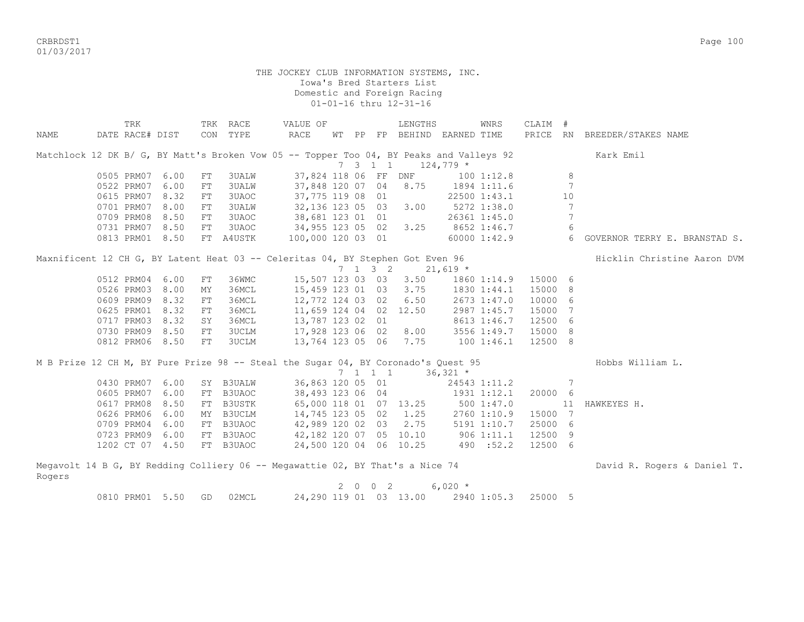CRBRDST1 Page 100 01/03/2017

|        | TRK             |      |     | TRK RACE     | VALUE OF                                                                                |    |             |                 | LENGTHS                 |             | <b>WNRS</b>  | CLAIM # |           |                               |
|--------|-----------------|------|-----|--------------|-----------------------------------------------------------------------------------------|----|-------------|-----------------|-------------------------|-------------|--------------|---------|-----------|-------------------------------|
| NAME   | DATE RACE# DIST |      | CON | TYPE         | RACE                                                                                    | WТ | PP          |                 | FP BEHIND EARNED TIME   |             |              | PRICE   | <b>RN</b> | BREEDER/STAKES NAME           |
|        |                 |      |     |              | Matchlock 12 DK B/ G, BY Matt's Broken Vow 05 -- Topper Too 04, BY Peaks and Valleys 92 |    |             |                 |                         |             |              |         |           | Kark Emil                     |
|        |                 |      |     |              |                                                                                         |    |             | $7 \t3 \t1 \t1$ |                         | $124,779$ * |              |         |           |                               |
|        | 0505 PRM07      | 6.00 | FT  | <b>3UALW</b> | 37,824 118 06 FF                                                                        |    |             |                 | DNF                     |             | 1001:12.8    |         | 8         |                               |
|        | 0522 PRM07      | 6.00 | FT  | <b>3UALW</b> | 37,848 120 07                                                                           |    |             | 04              | 8.75                    |             | 1894 1:11.6  |         | 7         |                               |
|        | 0615 PRM07      | 8.32 | FT  | 3UAOC        | 37,775 119 08 01                                                                        |    |             |                 |                         |             | 22500 1:43.1 |         | 10        |                               |
|        | 0701 PRM07      | 8.00 | FT  | 3UALW        | 32,136 123 05 03                                                                        |    |             |                 | 3.00                    |             | 5272 1:38.0  |         | 7         |                               |
|        | 0709 PRM08      | 8.50 | FT  | 3UAOC        | 38,681 123 01 01                                                                        |    |             |                 |                         |             | 26361 1:45.0 |         | 7         |                               |
|        | 0731 PRM07 8.50 |      | FT  | 3UAOC        | 34,955 123 05 02                                                                        |    |             |                 | 3.25                    |             | 8652 1:46.7  |         | 6         |                               |
|        | 0813 PRM01 8.50 |      |     | FT A4USTK    | 100,000 120 03 01                                                                       |    |             |                 |                         |             | 60000 1:42.9 |         | 6         | GOVERNOR TERRY E. BRANSTAD S. |
|        |                 |      |     |              | Maxnificent 12 CH G, BY Latent Heat 03 -- Celeritas 04, BY Stephen Got Even 96          |    |             |                 |                         |             |              |         |           | Hicklin Christine Aaron DVM   |
|        |                 |      |     |              |                                                                                         |    |             | $7 \t1 \t3 \t2$ |                         | $21,619$ *  |              |         |           |                               |
|        | 0512 PRM04 6.00 |      | FT  | 36WMC        | 15,507 123 03 03                                                                        |    |             |                 | 3.50                    |             | 1860 1:14.9  | 15000 6 |           |                               |
|        | 0526 PRM03      | 8.00 | MY  | 36MCL        | 15,459 123 01                                                                           |    |             | 03              | 3.75                    |             | 1830 1:44.1  | 15000   | 8         |                               |
|        | 0609 PRM09      | 8.32 | FT  | 36MCL        | 12,772 124 03 02                                                                        |    |             |                 | 6.50                    |             | 2673 1:47.0  | 10000   | 6         |                               |
|        | 0625 PRM01      | 8.32 | FT  | 36MCL        | 11,659 124 04 02 12.50                                                                  |    |             |                 |                         |             | 2987 1:45.7  | 15000   | 7         |                               |
|        | 0717 PRM03      | 8.32 | SY  | 36MCL        | 13,787 123 02                                                                           |    |             | 01              |                         |             | 8613 1:46.7  | 12500   | -6        |                               |
|        | 0730 PRM09 8.50 |      | FT  | 3UCLM        | 17,928 123 06 02                                                                        |    |             |                 | 8.00                    |             | 3556 1:49.7  | 15000   | -8        |                               |
|        | 0812 PRM06 8.50 |      | FT  | 3UCLM        | 13,764 123 05 06 7.75                                                                   |    |             |                 |                         |             | 1001:46.1    | 12500 8 |           |                               |
|        |                 |      |     |              | M B Prize 12 CH M, BY Pure Prize 98 -- Steal the Sugar 04, BY Coronado's Quest 95       |    |             |                 |                         |             |              |         |           | Hobbs William L.              |
|        |                 |      |     |              |                                                                                         |    |             | 7 1 1 1         |                         | $36,321$ *  |              |         |           |                               |
|        | 0430 PRM07      | 6.00 |     | SY B3UALW    | 36,863 120 05 01                                                                        |    |             |                 |                         |             | 24543 1:11.2 |         | 7         |                               |
|        | 0605 PRM07      | 6.00 | FT  | B3UAOC       | 38,493 123 06 04                                                                        |    |             |                 |                         |             | 1931 1:12.1  | 20000 6 |           |                               |
|        | 0617 PRM08      | 8.50 | FT  | B3USTK       | 65,000 118 01                                                                           |    |             |                 | 07 13.25                |             | 5001:37.0    |         | 11        | HAWKEYES H.                   |
|        | 0626 PRM06      | 6.00 | MY  | B3UCLM       | 14,745 123 05                                                                           |    |             |                 | $02 \quad 1.25$         |             | 2760 1:10.9  | 15000 7 |           |                               |
|        | 0709 PRM04      | 6.00 | FT  | B3UAOC       | 42,989 120 02                                                                           |    |             |                 | 03 2.75                 |             | 5191 1:10.7  | 25000   | -6        |                               |
|        | 0723 PRM09 6.00 |      |     | FT B3UAOC    | 42,182 120 07 05 10.10                                                                  |    |             |                 |                         | 9061:11.1   |              | 12500 9 |           |                               |
|        | 1202 CT 07 4.50 |      |     | FT B3UAOC    | 24,500 120 04 06 10.25                                                                  |    |             |                 |                         |             | 490 :52.2    | 12500 6 |           |                               |
|        |                 |      |     |              | Megavolt 14 B G, BY Redding Colliery 06 -- Megawattie 02, BY That's a Nice 74           |    |             |                 |                         |             |              |         |           | David R. Rogers & Daniel T.   |
| Rogers |                 |      |     |              |                                                                                         |    |             |                 |                         |             |              |         |           |                               |
|        |                 |      |     |              |                                                                                         |    | $2 \quad 0$ | 0 <sub>2</sub>  |                         | $6,020*$    |              |         |           |                               |
|        | 0810 PRM01 5.50 |      | GD  | 02MCL        |                                                                                         |    |             |                 | 24, 290 119 01 03 13.00 |             | 2940 1:05.3  | 25000 5 |           |                               |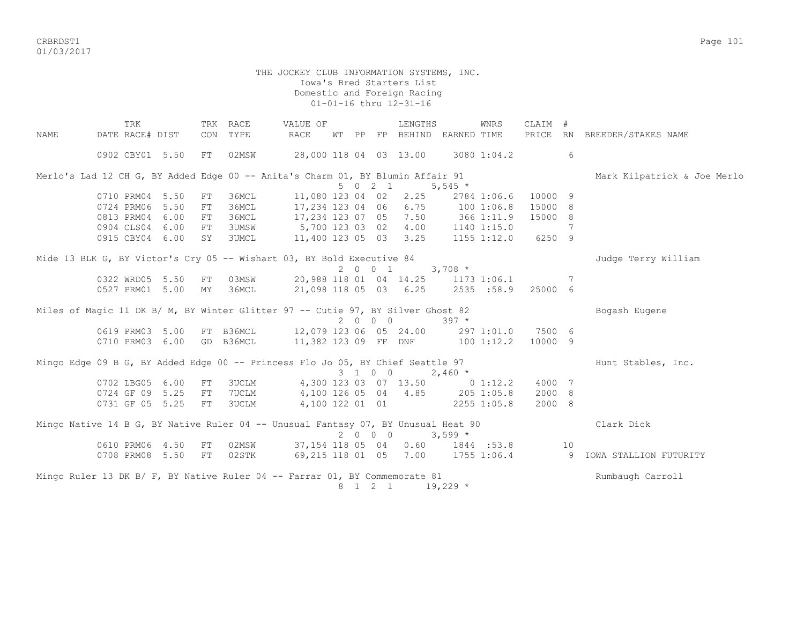CRBRDST1 Page 101 01/03/2017

#### THE JOCKEY CLUB INFORMATION SYSTEMS, INC. Iowa's Bred Starters List Domestic and Foreign Racing 01-01-16 thru 12-31-16

TRK TRK RACE WALUE OF TRENGTHS WINRS CLAIM # NAME DATE RACE# DIST CON TYPE RACE WT PP FP BEHIND EARNED TIME PRICE RN BREEDER/STAKES NAME 0902 CBY01 5.50 FT 02MSW 28,000 118 04 03 13.00 3080 1:04.2 6 Merlo's Lad 12 CH G, BY Added Edge 00 -- Anita's Charm 01, BY Blumin Affair 91 Mark Kilpatrick & Joe Merlo  $5 \t0 \t2 \t1 \t5.545 \t*$  0710 PRM04 5.50 FT 36MCL 11,080 123 04 02 2.25 2784 1:06.6 10000 9 0724 PRM06 5.50 FT 36MCL 17,234 123 04 06 6.75 100 1:06.8 15000 8 0813 PRM04 6.00 FT 36MCL 17,234 123 07 05 7.50 366 1:11.9 15000 8 0904 CLS04 6.00 FT 3UMSW 5,700 123 03 02 4.00 1140 1:15.0 7 0915 CBY04 6.00 SY 3UMCL 11,400 123 05 03 3.25 1155 1:12.0 6250 9 Mide 13 BLK G, BY Victor's Cry 05 -- Wishart 03, BY Bold Executive 84 Judge Terry William 2 0 0 1 3,708 \* 0322 WRD05 5.50 FT 03MSW 20,988 118 01 04 14.25 1173 1:06.1 7 0527 PRM01 5.00 MY 36MCL 21,098 118 05 03 6.25 2535 :58.9 25000 6 Miles of Magic 11 DK B/ M, BY Winter Glitter 97 -- Cutie 97, BY Silver Ghost 82 Bogash Eugene 2 0 0 0 397 \* 0619 PRM03 5.00 FT B36MCL 12,079 123 06 05 24.00 297 1:01.0 7500 6 0710 PRM03 6.00 GD B36MCL 11,382 123 09 FF DNF 100 1:12.2 10000 9 Mingo Edge 09 B G, BY Added Edge 00 -- Princess Flo Jo 05, BY Chief Seattle 97 Hunt Stables, Inc.  $3 \quad 1 \quad 0 \quad 0 \quad 2.460 \quad *$  0702 LBG05 6.00 FT 3UCLM 4,300 123 03 07 13.50 0 1:12.2 4000 7 0724 GF 09 5.25 FT 7UCLM 4,100 126 05 04 4.85 205 1:05.8 2000 8 0731 GF 05 5.25 FT 3UCLM 4,100 122 01 01 2255 1:05.8 2000 8 Mingo Native 14 B G, BY Native Ruler 04 -- Unusual Fantasy 07, BY Unusual Heat 90 Clark Clark Dick  $2 \t 0 \t 0 \t 0 \t 3.599 \t \star$  0610 PRM06 4.50 FT 02MSW 37,154 118 05 04 0.60 1844 :53.8 10 0708 PRM08 5.50 FT 02STK 69,215 118 01 05 7.00 1755 1:06.4 9 IOWA STALLION FUTURITY Mingo Ruler 13 DK B/ F, BY Native Ruler 04 -- Farrar 01, BY Commemorate 81 Rumbaugh Carroll 8 1 2 1 19,229 \*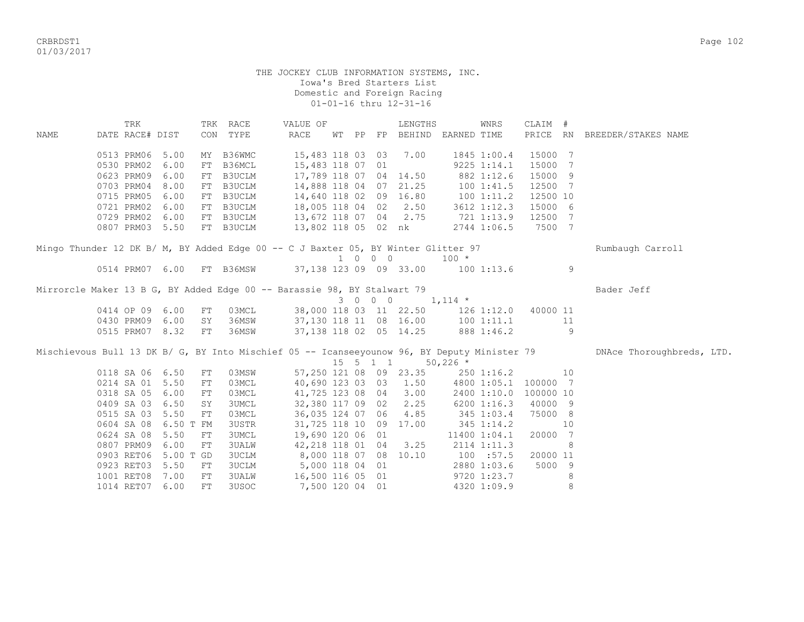CRBRDST1 Page 102 01/03/2017

#### THE JOCKEY CLUB INFORMATION SYSTEMS, INC. Iowa's Bred Starters List Domestic and Foreign Racing 01-01-16 thru 12-31-16

 TRK TRK RACE VALUE OF LENGTHS WNRS CLAIM # NAME DATE RACE# DIST CON TYPE RACE WT PP FP BEHIND EARNED TIME PRICE RN BREEDER/STAKES NAME 0513 PRM06 5.00 MY B36WMC 15,483 118 03 03 7.00 1845 1:00.4 15000 7 0530 PRM02 6.00 FT B36MCL 15,483 118 07 01 9225 1:14.1 15000 7 0623 PRM09 6.00 FT B3UCLM 17,789 118 07 04 14.50 882 1:12.6 15000 9 0703 PRM04 8.00 FT B3UCLM 14,888 118 04 07 21.25 100 1:41.5 12500 7 0715 PRM05 6.00 FT B3UCLM 14,640 118 02 09 16.80 100 1:11.2 12500 10 0721 PRM02 6.00 FT B3UCLM 18,005 118 04 02 2.50 3612 1:12.3 15000 6 0729 PRM02 6.00 FT B3UCLM 13,672 118 07 04 2.75 721 1:13.9 12500 7 0723 FAROZ 0.00 11 DOUDER<br>0807 PRM03 5.50 FT B3UCLM 13,802 118 05 02 nk 2744 1:06.5 7500 7 Mingo Thunder 12 DK B/ M, BY Added Edge 00 -- C J Baxter 05, BY Winter Glitter 97 Rumbaugh Carroll 1 0 0 0 100 \* 0514 PRM07 6.00 FT B36MSW 37,138 123 09 09 33.00 100 1:13.6 9 Mirrorcle Maker 13 B G, BY Added Edge 00 -- Barassie 98, BY Stalwart 79 Bader Jeff  $3 \t0 \t0 \t0 \t1,114 \t*$ 0414 OP 09 6.00 FT 03MCL 38,000 118 03 11 22.50 126 1:12.0 40000 11 0430 PRM09 6.00 SY 36MSW 37,130 118 11 08 16.00 100 1:11.1 11 0515 PRM07 8.32 FT 36MSW 37,138 118 02 05 14.25 888 1:46.2 9 Mischievous Bull 13 DK B/ G, BY Into Mischief 05 -- Icanseeyounow 96, BY Deputy Minister 79 DNAce Thoroughbreds, LTD.<br>  $15 \quad 5 \quad 1 \quad 1 \quad 50,226 \quad *$ 15 5 1 1 0118 SA 06 6.50 FT 03MSW 57, 250 121 08 09 23.35 250 1:16.2 10 0214 SA 01 5.50 FT 03MCL 40,690 123 03 03 1.50 4800 1:05.1 100000 7 0318 SA 05 6.00 FT 03MCL 41,725 123 08 04 3.00 2400 1:10.0 100000 10 0409 SA 03 6.50 SY 3UMCL 32,380 117 09 02 2.25 6200 1:16.3 40000 9 03MCL 36,035 124 07 06 4.85 0604 SA 08 6.50 T FM 3USTR 31,725 118 10 09 17.00 345 1:14.2 10 0624 SA 08 5.50 FT 3UMCL 19,690 120 06 01 11400 1:04.1 20000 7 0807 PRM09 6.00 FT 3UALW 42,218 118 01 04 3.25 2114 1:11.3 8 0903 RET06 5.00 T GD 3UCLM 8,000 118 07 08 10.10 100 :57.5 20000 11 0923 RET03 5.50 FT 3UCLM 5,000 118 04 01 2880 1:03.6 5000 9 1001 RET08 7.00 FT 3UALW 16,500 116 05 01 9720 1:23.7 8 1014 RET07 6.00 FT 3USOC 7,500 120 04 01 4320 1:09.9 8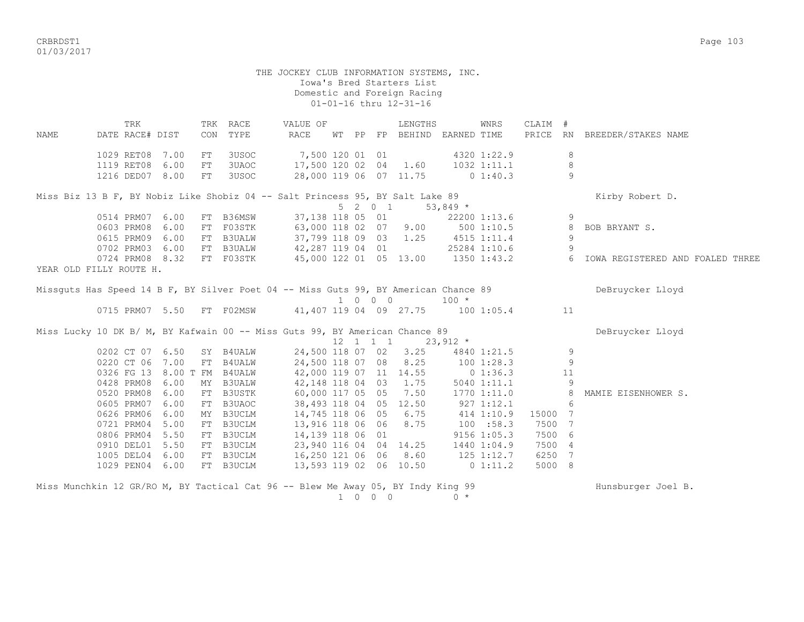CRBRDST1 Page 103 01/03/2017

 THE JOCKEY CLUB INFORMATION SYSTEMS, INC. Iowa's Bred Starters List Domestic and Foreign Racing 01-01-16 thru 12-31-16 TRK TRK RACE VALUE OF LENGTHS WNRS CLAIM # NAME DATE RACE# DIST CON TYPE RACE WT PP FP BEHIND EARNED TIME PRICE RN BREEDER/STAKES NAME 1029 RET08 7.00 FT 3USOC 7,500 120 01 01 4320 1:22.9 8 1119 RET08 6.00 FT 3UAOC 17,500 120 02 04 1.60 1032 1:11.1 8 1216 DED07 8.00 FT 3USOC 28,000 119 06 07 11.75 0 1:40.3 9 Miss Biz 13 B F, BY Nobiz Like Shobiz 04 -- Salt Princess 95, BY Salt Lake 89 Kirby Robert D. 5 2 0 1 53,849 \* 0514 PRM07 6.00 FT B36MSW 37,138 118 05 01 22200 1:13.6 9 0603 PRM08 6.00 FT F03STK 63,000 118 02 07 9.00 500 1:10.5 8 BOB BRYANT S. 0615 PRM09 6.00 FT B3UALW 37,799 118 09 03 1.25 4515 1:11.4 9 0702 PRM03 6.00 FT B3UALW 42,287 119 04 01 25284 1:10.6 9 0724 PRM08 8.32 FT F03STK 45,000 122 01 05 13.00 1350 1:43.2 6 IOWA REGISTERED AND FOALED THREE YEAR OLD FILLY ROUTE H. Missquts Has Speed 14 B F, BY Silver Poet 04 -- Miss Guts 99, BY American Chance 89 DeBruycker Lloyd  $\begin{tabular}{ccccc} 0715 PRM07 & 5.50 & FT & F02MSW & & & 41,407 & 119 & 04 & 09 & 27.75 & & 100 \end{tabular}$ 41,407 119 04 09 27.75 100 1:05.4 11 Miss Lucky 10 DK B/ M, BY Kafwain 00 -- Miss Guts 99, BY American Chance 89 Debruycker Lloyd  $12 \quad 1 \quad 1 \quad 1 \quad 23.912 \quad *$ 0202 CT 07 6.50 SY B4UALW 24,500 118 07 02 3.25 4840 1:21.5 9<br>0220 CT 06 7 00 FT B4UALW 24.500 118 07 08 8.25 100 1:28.3 9 0220 CT 06 7.00 FT B4UALW 24,500 118 07 08 8.25 100 1:28.3 9 0326 FG 13 8.00 T FM B4UALW 42,000 119 07 11 14.55 0 1:36.3 11 0428 PRM08 6.00 MY B3UALW 42,148 118 04 03 1.75 5040 1:11.1 9 0520 PRM08 6.00 FT B3USTK 60,000 117 05 05 7.50 1770 1:11.0 8 MAMIE EISENHOWER S. 0605 PRM07 6.00 FT B3UAOC 38,493 118 04 05 12.50 927 1:12.1 6 0626 PRM06 6.00 MY B3UCLM 14,745 118 06 05 6.75 414 1:10.9 15000 7 0721 PRM04 5.00 FT B3UCLM 13,916 118 06 06 8.75 100 :58.3 7500 7 0806 PRM04 5.50 FT B3UCLM 14,139 118 06 01 9156 1:05.3 7500 6 0910 DEL01 5.50 FT B3UCLM 23,940 116 04 04 14.25 1440 1:04.9 7500 4 1005 DEL04 6.00 FT B3UCLM 16,250 121 06 06 8.60 125 1:12.7 6250 7 1029 PEN04 6.00 FT B3UCLM 13,593 119 02 06 10.50 0 1:11.2 5000 8

| Miss Munchkin 12 GR/RO M, BY Tactical Cat 96 -- Blew Me Away 05, BY Indy King 99 |  |      |  | Hunsburger Joel B. |  |
|----------------------------------------------------------------------------------|--|------|--|--------------------|--|
|                                                                                  |  | 1000 |  |                    |  |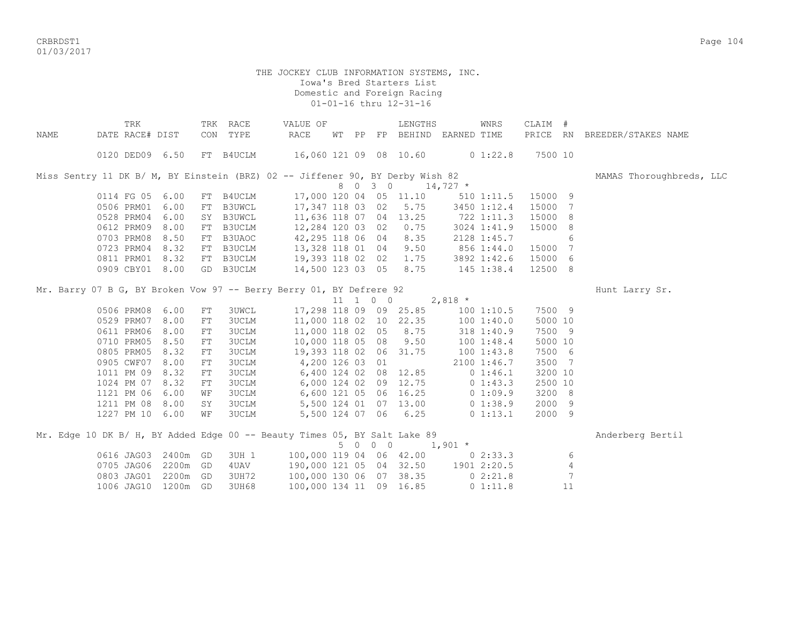crbs and the control of the control of the control of the control of the control of the control of the control of the control of the control of the control of the control of the control of the control of the control of the 01/03/2017

|      | TRK                                                                           |          |            | TRK RACE     | VALUE OF                |       |     |            | LENGTHS                 |                                 | WNRS           | CLAIM # |                |                              |
|------|-------------------------------------------------------------------------------|----------|------------|--------------|-------------------------|-------|-----|------------|-------------------------|---------------------------------|----------------|---------|----------------|------------------------------|
| NAME | DATE RACE# DIST                                                               |          |            | CON TYPE     | RACE                    | WT PP |     |            |                         | FP BEHIND EARNED TIME           |                |         |                | PRICE RN BREEDER/STAKES NAME |
|      | 0120 DED09 6.50                                                               |          |            | FT B4UCLM    |                         |       |     |            |                         | 16,060 121 09 08 10.60 0 1:22.8 |                | 7500 10 |                |                              |
|      | Miss Sentry 11 DK B/ M, BY Einstein (BRZ) 02 -- Jiffener 90, BY Derby Wish 82 |          |            |              |                         |       |     |            |                         |                                 |                |         |                | MAMAS Thoroughbreds, LLC     |
|      |                                                                               |          |            |              |                         |       |     | 8 0 3 0    |                         | $14,727$ *                      |                |         |                |                              |
|      | 0114 FG 05 6.00                                                               |          |            | FT B4UCLM    |                         |       |     |            | 17,000 120 04 05 11.10  |                                 | $510$ $1:11.5$ | 15000 9 |                |                              |
|      | 0506 PRM01                                                                    | 6.00     |            | FT B3UWCL    | 17,347 118 03 02        |       |     |            | 5.75                    |                                 | 3450 1:12.4    | 15000   | 7              |                              |
|      | 0528 PRM04                                                                    | 6.00     |            | SY B3UWCL    | 11,636 118 07 04 13.25  |       |     |            |                         | 722 1:11.3                      |                | 15000   | 8              |                              |
|      | 0612 PRM09                                                                    | 8.00     |            | FT B3UCLM    | 12,284 120 03 02        |       |     |            | 0.75                    |                                 | 3024 1:41.9    | 15000 8 |                |                              |
|      | 0703 PRM08                                                                    | 8.50     |            | FT B3UAOC    | 42,295 118 06 04        |       |     |            | 8.35                    |                                 | 2128 1:45.7    |         | 6              |                              |
|      | 0723 PRM04                                                                    | 8.32     |            | FT B3UCLM    | 13,328 118 01 04        |       |     |            | 9.50                    | 856 1:44.0                      |                | 15000 7 |                |                              |
|      | 0811 PRM01                                                                    | 8.32     |            | FT B3UCLM    | 19,393 118 02 02 1.75   |       |     |            |                         | 3892 1:42.6                     |                | 15000 6 |                |                              |
|      | 0909 CBY01 8.00                                                               |          |            | GD B3UCLM    | 14,500 123 03 05 8.75   |       |     |            |                         | 145 1:38.4                      |                | 12500 8 |                |                              |
|      | Mr. Barry 07 B G, BY Broken Vow 97 -- Berry Berry 01, BY Defrere 92           |          |            |              |                         |       |     |            |                         |                                 |                |         |                | Hunt Larry Sr.               |
|      |                                                                               |          |            |              |                         |       |     |            |                         | 11 1 0 0 2,818 $*$              |                |         |                |                              |
|      | 0506 PRM08                                                                    | 6.00     | FT         | <b>3UWCL</b> |                         |       |     |            | 17,298 118 09 09 25.85  |                                 | 1001:10.5      | 7500 9  |                |                              |
|      | 0529 PRM07                                                                    | 8.00     | FT         | 3UCLM        | 11,000 118 02 10 22.35  |       |     |            |                         |                                 | 1001:40.0      | 5000 10 |                |                              |
|      | 0611 PRM06                                                                    | 8.00     | FT         | 3UCLM        | 11,000 118 02 05 8.75   |       |     |            |                         |                                 | 318 1:40.9     | 7500 9  |                |                              |
|      | 0710 PRM05                                                                    | 8.50     | FT         | 3UCLM        | 10,000 118 05 08        |       |     |            | 9.50                    |                                 | 1001:48.4      | 5000 10 |                |                              |
|      | 0805 PRM05                                                                    | 8.32     | FT         | 3UCLM        | 19,393 118 02 06 31.75  |       |     |            |                         | $100$ $1:43.8$                  |                | 7500 6  |                |                              |
|      | 0905 CWF07                                                                    | 8.00     | FT         | <b>3UCLM</b> | 4,200 126 03 01         |       |     |            |                         |                                 | 2100 1:46.7    | 3500 7  |                |                              |
|      | 1011 PM 09                                                                    | 8.32     | ${\rm FT}$ | <b>3UCLM</b> | 6,400 124 02 08 12.85   |       |     |            |                         |                                 | 0 1:46.1       | 3200 10 |                |                              |
|      | 1024 PM 07                                                                    | 8.32     | FT         | <b>3UCLM</b> | 6,000 124 02 09 12.75   |       |     |            |                         | $0\;1:43.3$                     |                | 2500 10 |                |                              |
|      | 1121 PM 06                                                                    | 6.00     | WF         | <b>3UCLM</b> | 6,600 121 05 06 16.25   |       |     |            |                         |                                 | 01:09.9        | 3200 8  |                |                              |
|      | 1211 PM 08                                                                    | 8.00     | SY         | <b>3UCLM</b> | 5,500 124 01 07 13.00   |       |     |            |                         |                                 | 01:38.9        | 2000 9  |                |                              |
|      | 1227 PM 10 6.00                                                               |          | WF         | <b>3UCLM</b> |                         |       |     |            | 5,500 124 07 06 6.25    |                                 | 0 1:13.1       | 2000 9  |                |                              |
|      | Mr. Edge 10 DK B/ H, BY Added Edge 00 -- Beauty Times 05, BY Salt Lake 89     |          |            |              |                         |       |     |            |                         |                                 |                |         |                | Anderberg Bertil             |
|      |                                                                               |          |            |              |                         |       | 5 0 | $0\quad 0$ |                         | $1,901$ *                       |                |         |                |                              |
|      | 0616 JAG03                                                                    | 2400m GD |            | 3UH 1        |                         |       |     |            | 100,000 119 04 06 42.00 |                                 | 02:33.3        |         | 6              |                              |
|      | 0705 JAG06                                                                    | 2200m GD |            | 4UAV         | 190,000 121 05 04 32.50 |       |     |            |                         | 1901 2:20.5                     |                |         | $\overline{4}$ |                              |
|      | 0803 JAG01                                                                    | 2200m GD |            | 3UH72        | 100,000 130 06 07 38.35 |       |     |            |                         |                                 | 02:21.8        |         | 7              |                              |
|      | 1006 JAG10 1200m GD                                                           |          |            | 3UH68        | 100,000 134 11 09 16.85 |       |     |            |                         |                                 | 0 1:11.8       |         | 11             |                              |
|      |                                                                               |          |            |              |                         |       |     |            |                         |                                 |                |         |                |                              |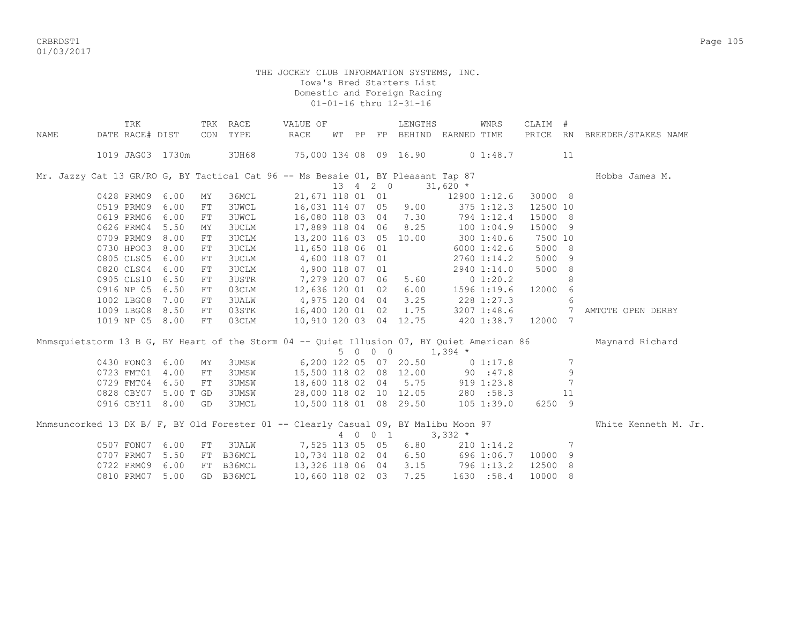CRBRDST1 Page 105 01/03/2017

|             | TRK                                                                                 |      |            | TRK RACE     | VALUE OF                                                                                                                  |    |  | LENGTHS                          |                    | WNRS        | CLAIM #  |             |                                                                                                            |
|-------------|-------------------------------------------------------------------------------------|------|------------|--------------|---------------------------------------------------------------------------------------------------------------------------|----|--|----------------------------------|--------------------|-------------|----------|-------------|------------------------------------------------------------------------------------------------------------|
| <b>NAME</b> | DATE RACE# DIST                                                                     |      | CON        | TYPE         | RACE                                                                                                                      | WТ |  | PP FP BEHIND EARNED TIME         |                    |             |          |             | PRICE RN BREEDER/STAKES NAME                                                                               |
|             | 1019 JAG03 1730m                                                                    |      |            | 3UH68        | 75,000 134 08 09 16.90 0 1:48.7                                                                                           |    |  |                                  |                    |             |          | 11          |                                                                                                            |
|             | Mr. Jazzy Cat 13 GR/RO G, BY Tactical Cat 96 -- Ms Bessie 01, BY Pleasant Tap 87    |      |            |              |                                                                                                                           |    |  |                                  |                    |             |          |             | Hobbs James M.                                                                                             |
|             |                                                                                     |      |            |              |                                                                                                                           |    |  | 13 4 2 0 31,620 $*$              |                    |             |          |             |                                                                                                            |
|             | 0428 PRM09                                                                          | 6.00 | MY         | 36MCL        |                                                                                                                           |    |  | 21,671 118 01 01 12900 1:12.6    |                    |             | 30000 8  |             |                                                                                                            |
|             | 0519 PRM09 6.00                                                                     |      | ${\rm FT}$ | <b>3UWCL</b> | 16,031 114 07 05 9.00 375 1:12.3                                                                                          |    |  |                                  |                    |             | 12500 10 |             |                                                                                                            |
|             | 0619 PRM06 6.00                                                                     |      | FT         | <b>3UWCL</b> | 16,080 118 03 04 7.30 794 1:12.4<br>17,889 118 04 06 8.25 100 1:04.9                                                      |    |  |                                  |                    |             | 15000 8  |             |                                                                                                            |
|             | 0626 PRM04 5.50                                                                     |      | ΜY         | <b>3UCLM</b> |                                                                                                                           |    |  |                                  |                    |             | 15000 9  |             |                                                                                                            |
|             | 0709 PRM09 8.00                                                                     |      | ${\rm FT}$ | <b>3UCLM</b> | 13,200 116 03 05 10.00 300 1:40.6                                                                                         |    |  |                                  |                    |             | 7500 10  |             |                                                                                                            |
|             | 0730 HPO03                                                                          | 8.00 | ${\rm FT}$ | <b>3UCLM</b> | 11,650 118 06 01                                                                                                          |    |  |                                  | 6000 1:42.6        |             | 5000 8   |             |                                                                                                            |
|             | 0805 CLS05                                                                          | 6.00 | FT         | <b>3UCLM</b> | 4,600 118 07 01                                                                                                           |    |  |                                  | $2760$ 1:14.2      |             | 5000 9   |             |                                                                                                            |
|             | 0820 CLS04                                                                          | 6.00 | ${\rm FT}$ | <b>3UCLM</b> | 4,900 118 07 01                                                                                                           |    |  |                                  |                    | 2940 1:14.0 | 5000 8   |             |                                                                                                            |
|             | 0905 CLS10                                                                          | 6.50 | ${\rm FT}$ | 3USTR        | 7,279 120 07 06                                                                                                           |    |  |                                  | $5.60$ 0 1:20.2    |             |          | 8           |                                                                                                            |
|             | 0916 NP 05 6.50                                                                     |      | FT         | 03CLM        | 12,636 120 01 02                                                                                                          |    |  |                                  | $6.00$ 1596 1:19.6 |             | 12000 6  |             |                                                                                                            |
|             | 1002 LBG08                                                                          | 7.00 | FT         | <b>3UALW</b> | 4,975 120 04 04 3.25 228 1:27.3                                                                                           |    |  |                                  |                    |             |          | 6           |                                                                                                            |
|             | 1009 LBG08 8.50                                                                     |      | $FT$       | 03STK        | 16,400 120 01 02 1.75 3207 1:48.6                                                                                         |    |  |                                  |                    |             |          | 7           | AMTOTE OPEN DERBY                                                                                          |
|             | 1019 NP 05 8.00                                                                     |      | FT         | 03CLM        | 10,910 120 03 04 12.75 420 1:38.7 12000 7                                                                                 |    |  |                                  |                    |             |          |             |                                                                                                            |
|             |                                                                                     |      |            |              |                                                                                                                           |    |  |                                  |                    |             |          |             | Mnmsquietstorm 13 B G, BY Heart of the Storm 04 -- Quiet Illusion 07, BY Quiet American 86 Maynard Richard |
|             |                                                                                     |      |            |              |                                                                                                                           |    |  | $5 \t 0 \t 0 \t 1,394 \t \star$  |                    |             |          |             |                                                                                                            |
|             | 0430 FON03                                                                          | 6.00 | MY         |              | 3UMSW 6,200 122 05 07 20.50 0 1:17.8                                                                                      |    |  |                                  |                    |             |          | 7           |                                                                                                            |
|             | 0723 FMT01 4.00                                                                     |      | FT         |              | 3UMSW 15,500 118 02 08 12.00 90 :47.8<br>3UMSW 18,600 118 02 04 5.75 919 1:23.8<br>3UMSW 28,000 118 02 10 12.05 280 :58.3 |    |  |                                  |                    |             |          | $\mathsf 9$ |                                                                                                            |
|             | 0729 FMT04 6.50                                                                     |      | FT         |              |                                                                                                                           |    |  |                                  |                    |             |          | 7           |                                                                                                            |
|             | 0828 CBY07 5.00 T GD                                                                |      |            |              |                                                                                                                           |    |  |                                  |                    |             |          | 11          |                                                                                                            |
|             | 0916 CBY11 8.00                                                                     |      | GD         | <b>3UMCL</b> | 10,500 118 01 08 29.50                                                                                                    |    |  |                                  |                    | 105 1:39.0  | 6250 9   |             |                                                                                                            |
|             | Mnmsuncorked 13 DK B/ F, BY Old Forester 01 -- Clearly Casual 09, BY Malibu Moon 97 |      |            |              |                                                                                                                           |    |  |                                  |                    |             |          |             | White Kenneth M. Jr.                                                                                       |
|             |                                                                                     |      |            |              |                                                                                                                           |    |  | 4 0 0 1 3,332 $*$                |                    |             |          |             |                                                                                                            |
|             | 0507 FON07                                                                          | 6.00 | ${\rm FT}$ |              | 3UALW 7,525 113 05 05                                                                                                     |    |  | 6.80                             |                    | 210 1:14.2  |          | 7           |                                                                                                            |
|             | 0707 PRM07                                                                          | 5.50 | FT         | B36MCL       | 10,734 118 02 04                                                                                                          |    |  |                                  | 6.50 696 1:06.7    |             | 10000    | 9           |                                                                                                            |
|             | 0722 PRM09                                                                          | 6.00 | FT         | B36MCL       | 13,326 118 06 04 3.15 796 1:13.2                                                                                          |    |  |                                  |                    |             | 12500 8  |             |                                                                                                            |
|             | 0810 PRM07                                                                          | 5.00 |            | GD B36MCL    |                                                                                                                           |    |  | 10,660 118 02 03 7.25 1630 :58.4 |                    |             | 10000 8  |             |                                                                                                            |
|             |                                                                                     |      |            |              |                                                                                                                           |    |  |                                  |                    |             |          |             |                                                                                                            |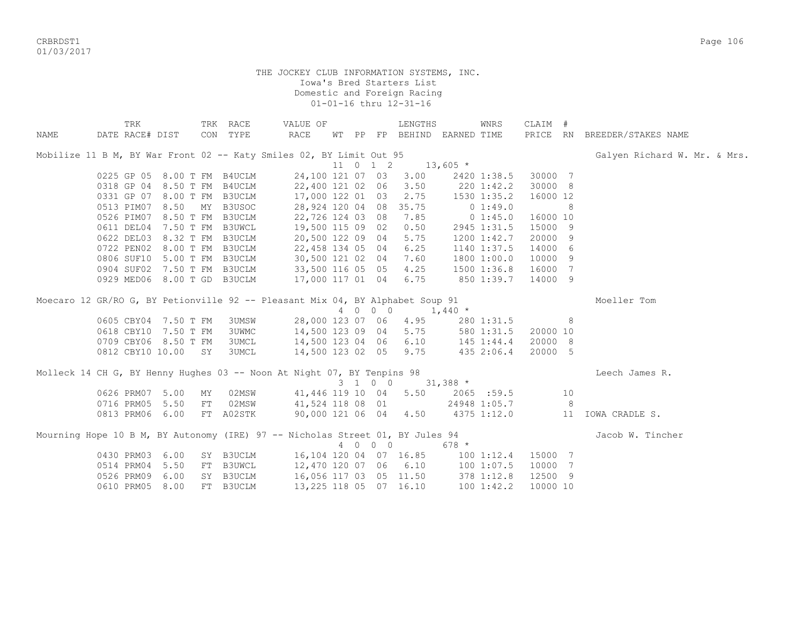CRBRDST1 Page 106 01/03/2017

|                                                                               | TRK                         |      |      | TRK RACE      | VALUE OF                                    |  |          | LENGTHS                           |            | WNRS           | CLAIM #  |                |                              |
|-------------------------------------------------------------------------------|-----------------------------|------|------|---------------|---------------------------------------------|--|----------|-----------------------------------|------------|----------------|----------|----------------|------------------------------|
| NAME                                                                          | DATE RACE# DIST             |      |      | CON TYPE      | RACE                                        |  |          | WT PP FP BEHIND EARNED TIME       |            |                |          |                | PRICE RN BREEDER/STAKES NAME |
| Mobilize 11 B M, BY War Front 02 -- Katy Smiles 02, BY Limit Out 95           |                             |      |      |               |                                             |  |          |                                   |            |                |          |                | Galyen Richard W. Mr. & Mrs. |
|                                                                               |                             |      |      |               |                                             |  | 11 0 1 2 |                                   | $13,605$ * |                |          |                |                              |
|                                                                               | 0225 GP 05 8.00 T FM B4UCLM |      |      |               |                                             |  |          | 24,100 121 07 03 3.00             |            | 2420 1:38.5    | 30000 7  |                |                              |
|                                                                               | 0318 GP 04 8.50 T FM        |      |      | B4UCLM        | 22,400 121 02 06 3.50                       |  |          |                                   |            | $220$ 1:42.2   | 30000 8  |                |                              |
|                                                                               | 0331 GP 07 8.00 T FM B3UCLM |      |      |               |                                             |  |          | 17,000 122 01 03 2.75 1530 1:35.2 |            |                | 16000 12 |                |                              |
|                                                                               | 0513 PIM07 8.50             |      |      | MY B3USOC     |                                             |  |          | 28,924 120 04 08 35.75            |            | 0 1:49.0       |          | 8              |                              |
|                                                                               | 0526 PIM07 8.50 T FM B3UCLM |      |      |               |                                             |  |          | 22,726 124 03 08 7.85             |            | 0 1:45.0       | 16000 10 |                |                              |
|                                                                               | 0611 DEL04 7.50 T FM B3UWCL |      |      |               |                                             |  |          | 19,500 115 09 02 0.50             |            | 2945 1:31.5    | 15000 9  |                |                              |
|                                                                               | 0622 DEL03 8.32 T FM B3UCLM |      |      |               |                                             |  |          | 20,500 122 09 04 5.75             |            | 1200 1:42.7    | 20000 9  |                |                              |
|                                                                               | 0722 PEN02 8.00 T FM        |      |      | B3UCLM        |                                             |  |          | 22,458 134 05 04 6.25             |            | 1140 1:37.5    | 14000    | 6              |                              |
|                                                                               | 0806 SUF10 5.00 T FM        |      |      | B3UCLM        | 30,500 121 02 04 7.60                       |  |          |                                   |            | 1800 1:00.0    | 10000    | -9             |                              |
|                                                                               | 0904 SUF02 7.50 T FM        |      |      | B3UCLM        | 33,500 116 05 05 4.25                       |  |          |                                   |            | 1500 1:36.8    | 16000    | 7              |                              |
|                                                                               | 0929 MED06 8.00 T GD B3UCLM |      |      |               | 17,000 117 01 04                            |  |          | 6.75                              |            | 850 1:39.7     | 14000 9  |                |                              |
| Moecaro 12 GR/RO G, BY Petionville 92 -- Pleasant Mix 04, BY Alphabet Soup 91 |                             |      |      |               |                                             |  |          |                                   |            |                |          |                | Moeller Tom                  |
|                                                                               |                             |      |      |               |                                             |  | 4 0 0 0  | $1,440$ *                         |            |                |          |                |                              |
|                                                                               | 0605 CBY04 7.50 T FM        |      |      | 3UMSW         |                                             |  |          | 28,000 123 07 06 4.95 280 1:31.5  |            |                |          | 8              |                              |
|                                                                               | 0618 CBY10 7.50 T FM        |      |      | 3UWMC         |                                             |  |          | 14,500 123 09 04 5.75 580 1:31.5  |            |                | 20000 10 |                |                              |
|                                                                               | 0709 CBY06 8.50 T FM        |      |      | 3UMCL         |                                             |  |          | 14,500 123 04 06 6.10             |            | $145$ $1:44.4$ | 20000 8  |                |                              |
|                                                                               | 0812 CBY10 10.00 SY         |      |      | 3UMCL         |                                             |  |          | 14,500 123 02 05 9.75             |            | 435 2:06.4     | 20000 5  |                |                              |
| Molleck 14 CH G, BY Henny Hughes 03 -- Noon At Night 07, BY Tenpins 98        |                             |      |      |               |                                             |  |          |                                   |            |                |          |                | Leech James R.               |
|                                                                               |                             |      |      |               |                                             |  | 3 1 0 0  | $31,388$ *                        |            |                |          |                |                              |
|                                                                               | 0626 PRM07 5.00             |      | ΜY   |               | 02MSW 41,446 119 10 04 5.50                 |  |          |                                   |            | 2065 :59.5     |          | 10             |                              |
|                                                                               | 0716 PRM05 5.50             |      | $FT$ | 02MSW         | 41,524 118 08 01                            |  |          |                                   |            | 24948 1:05.7   |          | 8 <sup>8</sup> |                              |
|                                                                               | 0813 PRM06 6.00             |      |      | FT A02STK     | 90,000 121 06 04 4.50                       |  |          |                                   |            | 4375 1:12.0    |          |                | 11 IOWA CRADLE S.            |
|                                                                               |                             |      |      |               |                                             |  |          |                                   |            |                |          |                |                              |
| Mourning Hope 10 B M, BY Autonomy (IRE) 97 -- Nicholas Street 01, BY Jules 94 |                             |      |      |               |                                             |  |          |                                   |            |                |          |                | Jacob W. Tincher             |
|                                                                               |                             |      |      |               |                                             |  | 4 0 0 0  |                                   | 678 *      |                |          |                |                              |
|                                                                               | 0430 PRM03 6.00             |      |      |               | SY B3UCLM 16,104 120 04 07 16.85 100 1:12.4 |  |          |                                   |            |                | 15000 7  |                |                              |
|                                                                               | 0514 PRM04                  | 5.50 | FT   | <b>B3UWCL</b> |                                             |  |          | 12,470 120 07 06 6.10 100 1:07.5  |            |                | 10000    | 7              |                              |
|                                                                               | 0526 PRM09 6.00             |      |      | SY B3UCLM     | 16,056 117 03 05 11.50                      |  |          |                                   |            | 378 1:12.8     | 12500 9  |                |                              |
|                                                                               | 0610 PRM05 8.00             |      |      | FT B3UCLM     |                                             |  |          | 13, 225 118 05 07 16.10           |            | 100 1:42.2     | 10000 10 |                |                              |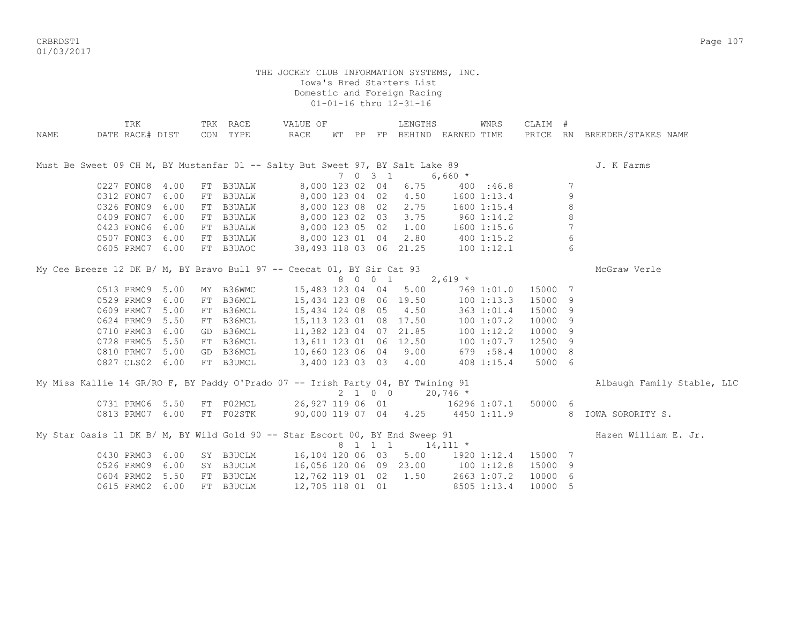crbs and the control of the control of the control of the control of the control of the control of the control of the control of the control of the control of the control of the control of the control of the control of the 01/03/2017

| NAME | TRK<br>DATE RACE# DIST                                                          |      | TRK RACE<br>CON TYPE | VALUE OF<br>RACE                          |  |         | LENGTHS | WT PP FP BEHIND EARNED TIME           | WNRS               | CLAIM # |                 | PRICE RN BREEDER/STAKES NAME                                   |
|------|---------------------------------------------------------------------------------|------|----------------------|-------------------------------------------|--|---------|---------|---------------------------------------|--------------------|---------|-----------------|----------------------------------------------------------------|
|      |                                                                                 |      |                      |                                           |  |         |         |                                       |                    |         |                 |                                                                |
|      | Must Be Sweet 09 CH M, BY Mustanfar 01 -- Salty But Sweet 97, BY Salt Lake 89   |      |                      |                                           |  | 7 0 3 1 |         | $6,660$ *                             |                    |         |                 | J. K Farms                                                     |
|      | 0227 FON08 4.00                                                                 |      | FT B3UALW            | 8,000 123 02 04                           |  |         | 6.75    |                                       | 400 : 46.8         |         | 7               |                                                                |
|      | 0312 FON07                                                                      | 6.00 | FT B3UALW            | 8,000 123 04 02                           |  |         | 4.50    |                                       | $1600$ $1:13.4$    |         | 9               |                                                                |
|      | 0326 FON09                                                                      | 6.00 | FT B3UALW            | 8,000 123 08 02                           |  |         | 2.75    |                                       | $1600$ $1:15.4$    |         | 8               |                                                                |
|      | 0409 FON07                                                                      | 6.00 | FT B3UALW            | 8,000 123 02 03                           |  |         | 3.75    | $960$ 1:14.2                          |                    |         | 8               |                                                                |
|      | 0423 FON06                                                                      | 6.00 | FT B3UALW            | 8,000 123 05 02                           |  |         | 1.00    |                                       | 1600 1:15.6        |         | $7\phantom{.0}$ |                                                                |
|      | 0507 FON03                                                                      | 6.00 |                      | FT B3UALW 8,000 123 01 04 2.80 400 1:15.2 |  |         |         |                                       |                    |         | 6               |                                                                |
|      | 0605 PRM07 6.00                                                                 |      | FT B3UAOC            |                                           |  |         |         | 38,493 118 03 06 21.25 100 1:12.1     |                    |         | 6               |                                                                |
|      | My Cee Breeze 12 DK B/ M, BY Bravo Bull 97 -- Ceecat 01, BY Sir Cat 93          |      |                      |                                           |  |         |         |                                       |                    |         |                 | McGraw Verle                                                   |
|      |                                                                                 |      |                      |                                           |  |         | 8 0 0 1 | $2,619$ *                             |                    |         |                 |                                                                |
|      | 0513 PRM09 5.00                                                                 |      | MY B36WMC            | 15,483 123 04 04                          |  |         | 5.00    |                                       | 769 1:01.0 15000 7 |         |                 |                                                                |
|      | 0529 PRM09                                                                      | 6.00 | FT B36MCL            | 15,434 123 08 06 19.50                    |  |         |         |                                       | 1001:13.3          | 15000 9 |                 |                                                                |
|      | 0609 PRM07                                                                      | 5.00 | FT B36MCL            | 15,434 124 08 05                          |  |         | 4.50    |                                       | 363 1:01.4         | 15000 9 |                 |                                                                |
|      | 0624 PRM09                                                                      | 5.50 | FT B36MCL            | 15, 113 123 01 08 17.50                   |  |         |         |                                       | 100 1:07.2         | 10000 9 |                 |                                                                |
|      | 0710 PRM03                                                                      | 6.00 | GD B36MCL            | 11,382 123 04 07 21.85                    |  |         |         |                                       | 100 1:12.2         | 10000 9 |                 |                                                                |
|      | 0728 PRM05                                                                      | 5.50 | FT B36MCL            | 13,611 123 01 06 12.50                    |  |         |         |                                       | 100 1:07.7         | 12500 9 |                 |                                                                |
|      | 0810 PRM07                                                                      | 5.00 | GD B36MCL            | 10,660 123 06 04                          |  |         | 9.00    |                                       | 679 :58.4          | 10000 8 |                 |                                                                |
|      | 0827 CLS02 6.00                                                                 |      | FT B3UMCL            | 3,400 123 03 03                           |  |         | 4.00    |                                       | 408 1:15.4         | 5000 6  |                 |                                                                |
|      | My Miss Kallie 14 GR/RO F, BY Paddy O'Prado 07 -- Irish Party 04, BY Twining 91 |      |                      |                                           |  |         |         |                                       |                    |         |                 | Albaugh Family Stable, LLC                                     |
|      |                                                                                 |      |                      |                                           |  |         | 2 1 0 0 | $20,746$ *                            |                    |         |                 |                                                                |
|      | 0731 PRM06 5.50                                                                 |      | FT FO2MCL            |                                           |  |         |         | 26,927 119 06 01 16296 1:07.1 50000 6 |                    |         |                 |                                                                |
|      | 0813 PRM07 6.00                                                                 |      |                      |                                           |  |         |         |                                       |                    |         |                 | FT F02STK 90,000 119 07 04 4.25 4450 1:11.9 8 IOWA SORORITY S. |
|      | My Star Oasis 11 DK B/ M, BY Wild Gold 90 -- Star Escort 00, BY End Sweep 91    |      |                      |                                           |  |         |         |                                       |                    |         |                 | Hazen William E. Jr.                                           |
|      |                                                                                 |      |                      |                                           |  |         | 8 1 1 1 | $14,111$ *                            |                    |         |                 |                                                                |
|      | 0430 PRM03                                                                      | 6.00 | SY B3UCLM            | 16,104 120 06 03                          |  |         |         | 5.00 1920 1:12.4                      |                    | 15000 7 |                 |                                                                |
|      | 0526 PRM09                                                                      | 6.00 | SY B3UCLM            |                                           |  |         |         | 16,056 120 06 09 23.00 100 1:12.8     |                    | 15000 9 |                 |                                                                |
|      | 0604 PRM02                                                                      | 5.50 | FT B3UCLM            | 12,762 119 01 02 1.50                     |  |         |         | 2663 1:07.2                           |                    | 10000 6 |                 |                                                                |
|      | 0615 PRM02                                                                      | 6.00 | FT B3UCLM            | 12,705 118 01 01                          |  |         |         |                                       | 8505 1:13.4        | 10000 5 |                 |                                                                |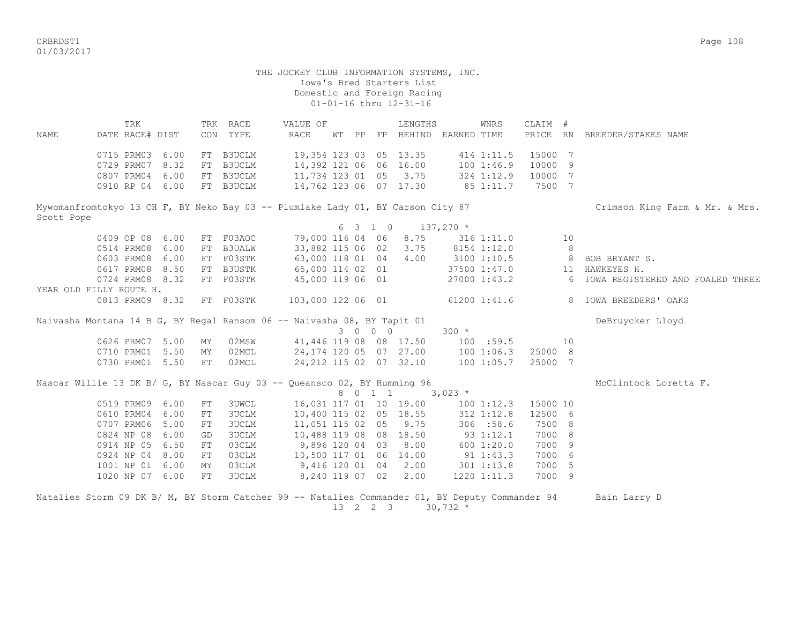CRBRDST1 Page 108 01/03/2017

 THE JOCKEY CLUB INFORMATION SYSTEMS, INC. Iowa's Bred Starters List Domestic and Foreign Racing 01-01-16 thru 12-31-16 TRK TRK RACE VALUE OF LENGTHS WNRS CLAIM # NAME DATE RACE# DIST CON TYPE RACE WT PP FP BEHIND EARNED TIME PRICE RN BREEDER/STAKES NAME 0715 PRM03 6.00 FT B3UCLM 19,354 123 03 05 13.35 414 1:11.5 15000 7 0729 PRM07 8.32 FT B3UCLM 14,392 121 06 06 16.00 100 1:46.9 10000 9 0807 PRM04 6.00 FT B3UCLM 11,734 123 01 05 3.75 324 1:12.9 10000 7 0910 RP 04 6.00 FT B3UCLM 14,762 123 06 07 17.30 85 1:11.7 7500 7 Mywomanfromtokyo 13 CH F, BY Neko Bay 03 -- Plumlake Lady 01, BY Carson City 87 Crimson King Farm & Mr. & Mrs. Scott Pope 6 3 1 0 137,270 \* 0409 OP 08 6.00 FT F03AOC 79,000 116 04 06 8.75 316 1:11.0 10 0514 PRM08 6.00 FT B3UALW 33,882 115 06 02 3.75 8154 1:12.0 8<br>0603 PRM08 6.00 FT F03STK 63,000 118 01 04 4.00 3100 1:10.5 8 BOB BRYANT S. 0603 PRM08 6.00 FT F03STK 63,000 118 01 04 0617 PRM08 8.50 FT B3USTK 65,000 114 02 01 37500 1:47.0 11 HAWKEYES H. 0724 PRM08 8.32 FT F03STK 45,000 119 06 01 27000 1:43.2 6 IOWA REGISTERED AND FOALED THREE YEAR OLD FILLY ROUTE H. 0813 PRM09 8.32 FT F03STK 103,000 122 06 01 61200 1:41.6 8 IOWA BREEDERS' OAKS Naivasha Montana 14 B G, BY Regal Ransom 06 -- Naivasha 08, BY Tapit 01 Debruycker Lloyd 3 0 0 0 300 \* 0626 PRM07 5.00 MY 02MSW 41,446 119 08 08 17.50 100 :59.5 10 0710 PRM01 5.50 MY 02MCL 24,174 120 05 07 27.00 100 1:06.3 25000 8<br>0730 PRM01 5.50 FT 02MCL 24.212 115 02 07 32.10 100 1:05.7 25000 7 0730 PRM01 5.50 FT 02MCL 24,212 115 02 07 32.10 100 1:05.7 25000 7 Nascar Willie 13 DK B/ G, BY Nascar Guy 03 -- Queansco 02, BY Humming 96 McClintock Loretta F. 8 0 1 1 3,023  $\star$ 0519 PRM09 6.00 FT 3UWCL 16,031 117 01 10 19.00 100 1:12.3 15000 10<br>0610 PRM04 6.00 FT 3UCLM 10,400 115 02 05 18.55 312 1:12.8 12500 6 3UCLM 10,400 115 02 05 18.55 0707 PRM06 5.00 FT 3UCLM 11,051 115 02 05 9.75 306 :58.6 7500 8 0824 NP 08 6.00 GD 3UCLM 10,488 119 08 08 18.50 93 1:12.1 7000 8 0914 NP 05 6.50 FT 03CLM 9,896 120 04 03 8.00 600 1:20.0 7000 9 0924 NP 04 8.00 FT 03CLM 10,500 117 01 06 14.00 91 1:43.3 7000 6 1001 NP 01 6.00 MY 03CLM 9,416 120 01 04 2.00 301 1:13.8 7000 5 1020 NP 07 6.00 FT 3UCLM 8,240 119 07 02 2.00 1220 1:11.3 7000 9 Natalies Storm 09 DK B/ M, BY Storm Catcher 99 -- Natalies Commander 01, BY Deputy Commander 94 Bain Larry D

13 2 2 3 30,732 \*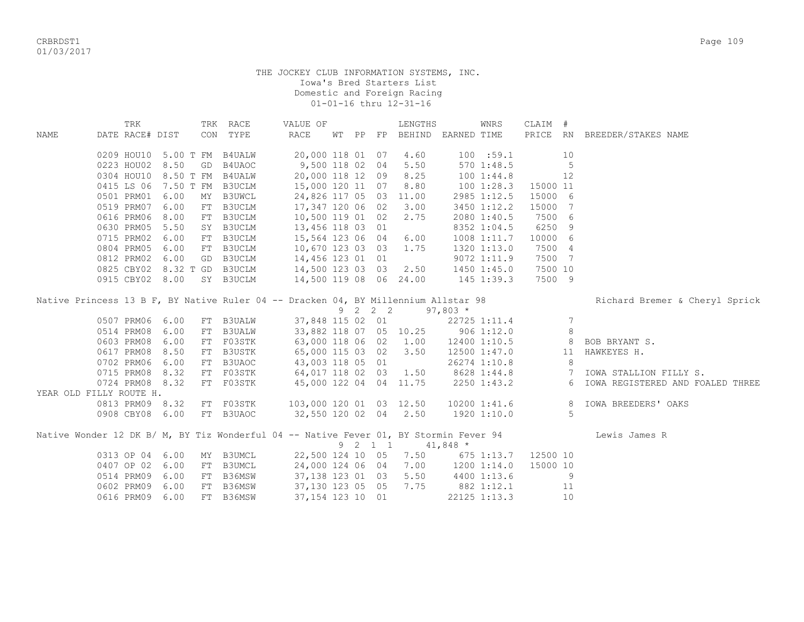CRBRDST1 Page 109 01/03/2017

|                         | TRK             |                             |    | TRK RACE                                                                              | VALUE OF                |    |    |                 | LENGTHS                                   |                 | WNRS         | CLAIM #  |    |                                  |
|-------------------------|-----------------|-----------------------------|----|---------------------------------------------------------------------------------------|-------------------------|----|----|-----------------|-------------------------------------------|-----------------|--------------|----------|----|----------------------------------|
| <b>NAME</b>             | DATE RACE# DIST |                             |    | CON TYPE                                                                              | RACE                    | WТ | PP |                 | FP BEHIND EARNED TIME                     |                 |              |          |    | PRICE RN BREEDER/STAKES NAME     |
|                         |                 |                             |    |                                                                                       |                         |    |    |                 |                                           |                 |              |          |    |                                  |
|                         |                 | 0209 HOU10 5.00 T FM        |    | <b>B4UALW</b>                                                                         | 20,000 118 01 07        |    |    |                 | 4.60                                      |                 | 100 : 59.1   |          | 10 |                                  |
|                         |                 | 0223 HOU02 8.50             | GD | B4UAOC                                                                                | 9,500 118 02 04         |    |    |                 | 5.50                                      |                 | 570 1:48.5   |          | 5  |                                  |
|                         |                 | 0304 HOU10 8.50 T FM B4UALW |    |                                                                                       | 20,000 118 12 09        |    |    |                 | 8.25                                      |                 | 1001:34.8    |          | 12 |                                  |
|                         |                 | 0415 LS 06 7.50 T FM B3UCLM |    |                                                                                       | 15,000 120 11 07        |    |    |                 | 8.80                                      |                 | 100 1:28.3   | 15000 11 |    |                                  |
|                         | 0501 PRM01 6.00 |                             | MY | <b>B3UWCL</b>                                                                         | 24,826 117 05 03 11.00  |    |    |                 |                                           |                 | 2985 1:12.5  | 15000 6  |    |                                  |
|                         | 0519 PRM07      | 6.00                        | FT | B3UCLM                                                                                | 17,347 120 06 02        |    |    |                 | 3.00                                      |                 | 3450 1:12.2  | 15000 7  |    |                                  |
|                         | 0616 PRM06 8.00 |                             | FT | B3UCLM                                                                                | 10,500 119 01 02        |    |    |                 | 2.75                                      |                 | 2080 1:40.5  | 7500 6   |    |                                  |
|                         | 0630 PRM05      | 5.50                        |    | SY B3UCLM                                                                             | 13,456 118 03 01        |    |    |                 |                                           |                 | 8352 1:04.5  | 6250 9   |    |                                  |
|                         | 0715 PRM02      | 6.00                        |    | FT B3UCLM                                                                             | 15,564 123 06 04        |    |    |                 | 6.00                                      |                 | 1008 1:11.7  | 10000 6  |    |                                  |
|                         | 0804 PRM05      | 6.00                        | FT | B3UCLM                                                                                | 10,670 123 03 03        |    |    |                 | 1.75                                      |                 | 1320 1:13.0  | 7500 4   |    |                                  |
|                         | 0812 PRM02      | 6.00                        | GD | B3UCLM                                                                                | 14,456 123 01 01        |    |    |                 |                                           |                 | 9072 1:11.9  | 7500 7   |    |                                  |
|                         |                 | 0825 CBY02 8.32 T GD        |    | B3UCLM                                                                                | 14,500 123 03 03        |    |    |                 | 2.50                                      |                 | 1450 1:45.0  | 7500 10  |    |                                  |
|                         |                 | 0915 CBY02 8.00             |    | SY B3UCLM                                                                             | 14,500 119 08 06 24.00  |    |    |                 |                                           | $145$ 1:39.3    |              | 7500 9   |    |                                  |
|                         |                 |                             |    |                                                                                       |                         |    |    |                 |                                           |                 |              |          |    |                                  |
|                         |                 |                             |    | Native Princess 13 B F, BY Native Ruler 04 -- Dracken 04, BY Millennium Allstar 98    |                         |    |    |                 |                                           |                 |              |          |    | Richard Bremer & Cheryl Sprick   |
|                         |                 |                             |    |                                                                                       |                         |    |    | $9 \t2 \t2 \t2$ |                                           | $97,803*$       |              |          |    |                                  |
|                         | 0507 PRM06 6.00 |                             |    | FT B3UALW                                                                             | 37,848 115 02 01        |    |    |                 |                                           |                 | 22725 1:11.4 |          | 7  |                                  |
|                         | 0514 PRM08 6.00 |                             | FT | <b>B3UALW</b>                                                                         |                         |    |    |                 | 33,882 118 07 05 10.25                    | $906$ 1:12.0    |              |          | 8  |                                  |
|                         | 0603 PRM08 6.00 |                             | FT | F03STK                                                                                |                         |    |    |                 | 63,000 118 06 02 1.00                     |                 | 12400 1:10.5 |          | 8  | BOB BRYANT S.                    |
|                         | 0617 PRM08 8.50 |                             | FT | B3USTK                                                                                | 65,000 115 03 02        |    |    |                 | 3.50                                      |                 | 12500 1:47.0 |          | 11 | HAWKEYES H.                      |
|                         | 0702 PRM06 6.00 |                             | FT | B3UAOC                                                                                | 43,003 118 05 01        |    |    |                 |                                           |                 | 26274 1:10.8 |          | 8  |                                  |
|                         | 0715 PRM08 8.32 |                             |    | FT F03STK                                                                             | 64,017 118 02 03 1.50   |    |    |                 |                                           |                 | 8628 1:44.8  |          |    | 7 IOWA STALLION FILLY S.         |
|                         | 0724 PRM08 8.32 |                             |    | FT F03STK                                                                             | 45,000 122 04 04 11.75  |    |    |                 |                                           |                 | 2250 1:43.2  |          | 6  | IOWA REGISTERED AND FOALED THREE |
| YEAR OLD FILLY ROUTE H. |                 |                             |    |                                                                                       |                         |    |    |                 |                                           |                 |              |          |    |                                  |
|                         |                 | 0813 PRM09 8.32             |    | FT F03STK                                                                             | 103,000 120 01 03 12.50 |    |    |                 |                                           |                 | 10200 1:41.6 |          | 8  | IOWA BREEDERS' OAKS              |
|                         |                 | 0908 CBY08 6.00             |    | FT B3UAOC                                                                             | 32,550 120 02 04 2.50   |    |    |                 |                                           | 1920 1:10.0     |              |          | 5  |                                  |
|                         |                 |                             |    |                                                                                       |                         |    |    |                 |                                           |                 |              |          |    |                                  |
|                         |                 |                             |    | Native Wonder 12 DK B/ M, BY Tiz Wonderful 04 -- Native Fever 01, BY Stormin Fever 94 |                         |    |    |                 |                                           |                 |              |          |    | Lewis James R                    |
|                         |                 |                             |    |                                                                                       |                         |    |    | 9 2 1 1         | $41,848$ *                                |                 |              |          |    |                                  |
|                         | 0313 OP 04 6.00 |                             |    | MY B3UMCL                                                                             |                         |    |    |                 | 22,500 124 10 05 7.50 675 1:13.7 12500 10 |                 |              |          |    |                                  |
|                         | 0407 OP 02 6.00 |                             | FT | B3UMCL                                                                                | 24,000 124 06 04        |    |    |                 | 7.00                                      | $1200$ $1:14.0$ |              | 15000 10 |    |                                  |
|                         | 0514 PRM09 6.00 |                             | FT | B36MSW                                                                                | 37,138 123 01 03        |    |    |                 | 5.50                                      |                 | 4400 1:13.6  |          | 9  |                                  |
|                         | 0602 PRM09 6.00 |                             | FT | B36MSW                                                                                | 37,130 123 05 05        |    |    |                 | 7.75                                      | 882 1:12.1      |              |          | 11 |                                  |
|                         | 0616 PRM09      | 6.00                        | FT | B36MSW                                                                                | 37, 154 123 10 01       |    |    |                 |                                           |                 | 22125 1:13.3 |          | 10 |                                  |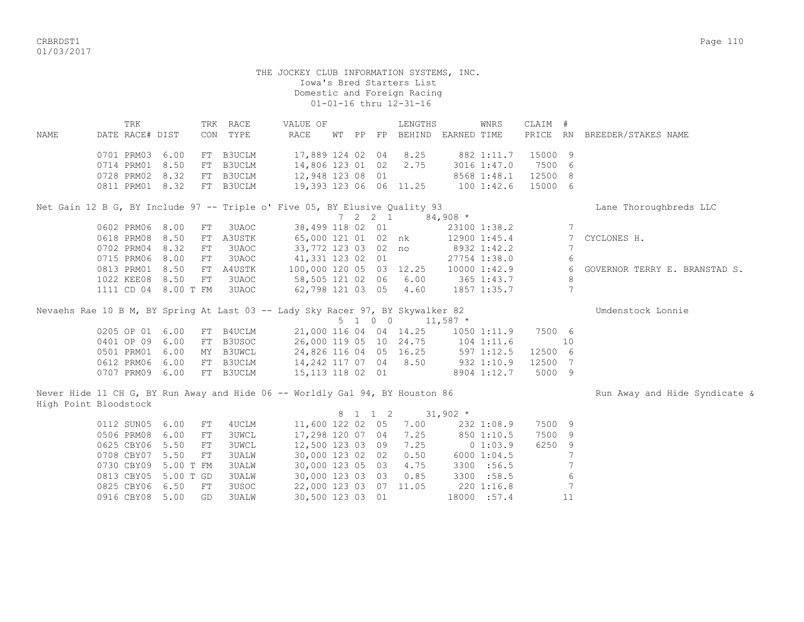CRBRDST1 Page 110 01/03/2017

# THE JOCKEY CLUB INFORMATION SYSTEMS, INC. Iowa's Bred Starters List Domestic and Foreign Racing 01-01-16 thru 12-31-16 TRK TRK RACE VALUE OF LENGTHS WNRS CLAIM # NAME DATE RACE# DIST CON TYPE RACE WT PP FP BEHIND EARNED TIME PRICE RN BREEDER/STAKES NAME 0701 PRM03 6.00 FT B3UCLM 17,889 124 02 04 8.25 882 1:11.7 15000 9 0714 PRM01 8.50 FT B3UCLM 14,806 123 01 02 2.75 3016 1:47.0 7500 6 0728 PRM02 8.32 FT B3UCLM 12,948 123 08 01 8568 1:48.1 12500 8 0811 PRM01 8.32 FT B3UCLM 19,393 123 06 06 11.25 100 1:42.6 15000 6 Net Gain 12 B G, BY Include 97 -- Triple o' Five 05, BY Elusive Ouality 93 Lane Thoroughbreds LLC 7 2 2 1 84,908 \* 0602 PRM06 8.00 FT 3UAOC 38,499 118 02 01 23100 1:38.2 0618 PRM08 8.50 FT A3USTK 65,000 121 01 02 nk 12900 1:45.4 7 CYCLONES H. 0702 PRM04 8.32 FT 3UAOC 33,772 123 03 02 no 8932 1:42.2 7 0715 PRM06 8.00 FT 3UAOC 41,331 123 02 01 27754 1:38.0 6 0813 PRM01 8.50 FT A4USTK 100,000 120 05 03 12.25 10000 1:42.9 6 GOVERNOR TERRY E. BRANSTAD S. 1022 KEE08 8.50 FT 3UAOC 58,505 121 02 06 6.00 365 1:43.7 8 1111 CD 04 8.00 T FM 3UAOC 62,798 121 03 05 4.60 1857 1:35.7 7 Nevaehs Rae 10 B M, BY Spring At Last 03 -- Lady Sky Racer 97, BY Skywalker 82 Theory Connie 5 1 0 0 11,587 \* 0205 OP 01 6.00 FT B4UCLM 21,000 116 04 04 14.25 1050 1:11.9 7500 6 0401 OP 09 6.00 FT B3USOC 26,000 119 05 10 24.75 104 1:11.6 10 0501 PRM01 6.00 MY B3UWCL 24,826 116 04 05 16.25 597 1:12.5 12500 6 0612 PRM06 6.00 FT B3UCLM 14,242 117 07 04 8.50 932 1:10.9 12500 7 0707 PRM09 6.00 FT B3UCLM 15,113 118 02 01 8904 1:12.7 5000 9 Never Hide 11 CH G, BY Run Away and Hide 06 -- Worldly Gal 94, BY Houston 86 Run Run Away and Hide Syndicate & High Point Bloodstock 8 1 1 2 31,902 \* 0112 SUN05 6.00 FT 4UCLM 11,600 122 02 05 7.00 232 1:08.9 7500 9 0506 PRM08 6.00 FT 3UWCL 17,298 120 07 04 7.25 850 1:10.5 7500 9 0625 CBY06 5.50 FT 3UWCL 12,500 123 03 09 7.25 0 1:03.9 6250 9 0708 CBY07 5.50 FT 3UALW 30,000 123 02 02 0.50 6000 1:04.5 7 0730 CBY09 5.00 T FM 3UALW 30,000 123 05 03 4.75 3300 :56.5 7 0813 CBY05 5.00 T GD 3UALW 30,000 123 03 03 0.85 3300 :58.5 6 0825 CBY06 6.50 FT 3USOC 22,000 123 03 07 11.05 220 1:16.8 7 0916 CBY08 5.00 GD 3UALW 30,500 123 03 01 18000 :57.4 11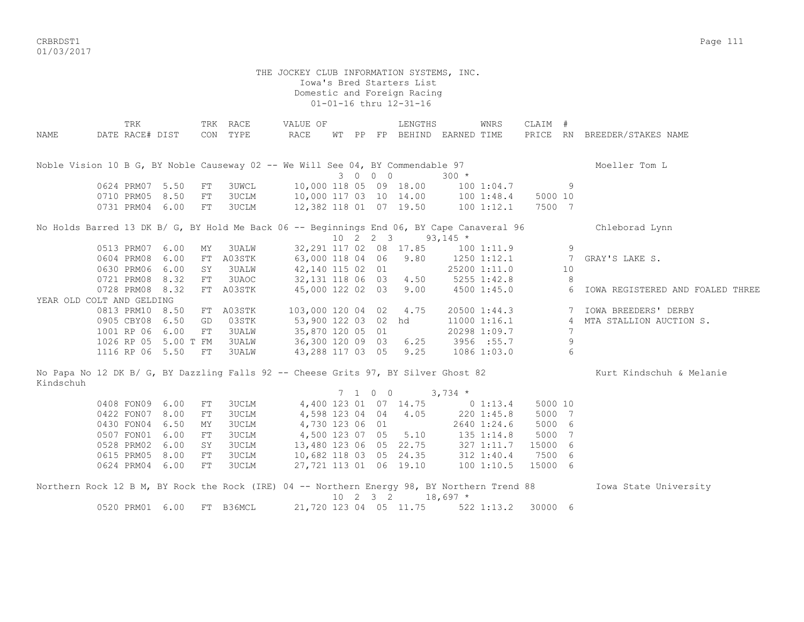CRBRDST1 Page 111 01/03/2017

|                           | TRK                           |                      |            | TRK RACE                                                                                    | VALUE OF                                  |  |                  | LENGTHS                                                                       |                                   | WNRS             | CLAIM # |                      |                                  |
|---------------------------|-------------------------------|----------------------|------------|---------------------------------------------------------------------------------------------|-------------------------------------------|--|------------------|-------------------------------------------------------------------------------|-----------------------------------|------------------|---------|----------------------|----------------------------------|
| NAME                      | DATE RACE# DIST               |                      |            | CON TYPE                                                                                    | RACE                                      |  |                  |                                                                               | WT PP FP BEHIND EARNED TIME       |                  |         |                      | PRICE RN BREEDER/STAKES NAME     |
|                           |                               |                      |            |                                                                                             |                                           |  |                  |                                                                               |                                   |                  |         |                      |                                  |
|                           |                               |                      |            |                                                                                             |                                           |  |                  |                                                                               |                                   |                  |         |                      |                                  |
|                           |                               |                      |            | Noble Vision 10 B G, BY Noble Causeway 02 -- We Will See 04, BY Commendable 97              |                                           |  |                  |                                                                               |                                   |                  |         |                      | Moeller Tom L                    |
|                           |                               |                      |            |                                                                                             |                                           |  | 3 0 0 0          |                                                                               | $300 *$                           |                  |         |                      |                                  |
|                           | 0624 PRM07 5.50               |                      | FT         | <b>3UWCL</b>                                                                                | 10,000 118 05 09 18.00                    |  |                  |                                                                               | 100 1:04.7                        |                  |         | 9                    |                                  |
|                           |                               | 0710 PRM05 8.50      | FT         | 3UCLM                                                                                       | 10,000 117 03 10 14.00 100 1:48.4         |  |                  |                                                                               |                                   |                  | 5000 10 |                      |                                  |
|                           |                               | 0731 PRM04 6.00      | FT         | 3UCLM                                                                                       | 12,382 118 01 07 19.50                    |  |                  |                                                                               |                                   | 100 1:12.1       | 7500 7  |                      |                                  |
|                           |                               |                      |            |                                                                                             |                                           |  |                  |                                                                               |                                   |                  |         |                      |                                  |
|                           |                               |                      |            | No Holds Barred 13 DK B/ G, BY Hold Me Back 06 -- Beginnings End 06, BY Cape Canaveral 96   |                                           |  |                  |                                                                               |                                   |                  |         |                      | Chleborad Lynn                   |
|                           |                               |                      |            |                                                                                             |                                           |  |                  | $10 \quad 2 \quad 2 \quad 3 \quad 93,145 \neq$                                |                                   |                  |         | 9                    |                                  |
|                           | 0513 PRM07 6.00               | 6.00                 | ΜY         | 3UALW                                                                                       | 63,000 118 04 06 9.80                     |  |                  | 32, 291 117 02 08 17.85                                                       | 100 1:11.9                        |                  |         |                      |                                  |
|                           | 0604 PRM08<br>0630 PRM06 6.00 |                      |            | FT A03STK<br>3UALW                                                                          |                                           |  |                  |                                                                               |                                   | 1250 1:12.1      |         | $\overline{7}$<br>10 | GRAY'S LAKE S.                   |
|                           | 0721 PRM08 8.32               |                      | SY         | 3UAOC                                                                                       | 42,140 115 02 01<br>32,131 118 06 03 4.50 |  |                  |                                                                               | 5255 1:42.8                       | 25200 1:11.0     |         | 8                    |                                  |
|                           | 0728 PRM08 8.32               |                      | FT         | FT A03STK                                                                                   | 45,000 122 02 03                          |  |                  | 9.00                                                                          |                                   | 4500 1:45.0      |         | -6                   | IOWA REGISTERED AND FOALED THREE |
| YEAR OLD COLT AND GELDING |                               |                      |            |                                                                                             |                                           |  |                  |                                                                               |                                   |                  |         |                      |                                  |
|                           |                               | 0813 PRM10 8.50      |            | FT A03STK                                                                                   | 103,000 120 04 02 4.75                    |  |                  |                                                                               |                                   | 20500 1:44.3     |         |                      | 7 IOWA BREEDERS' DERBY           |
|                           |                               | 0905 CBY08 6.50      | GD         | 03STK                                                                                       | 53,900 122 03 02 hd                       |  |                  |                                                                               |                                   | $11000$ $1:16.1$ |         |                      | 4 MTA STALLION AUCTION S.        |
|                           | 1001 RP 06 6.00               |                      | FT         | 3UALW                                                                                       | 35,870 120 05 01                          |  |                  |                                                                               |                                   | 20298 1:09.7     |         | 7                    |                                  |
|                           |                               | 1026 RP 05 5.00 T FM |            | <b>3UALW</b>                                                                                | 36,300 120 09 03                          |  |                  | 6.25                                                                          |                                   | 3956 : 55.7      |         | 9                    |                                  |
|                           | 1116 RP 06 5.50               |                      | FT         | <b>3UALW</b>                                                                                | 43,288 117 03 05                          |  |                  | 9.25                                                                          |                                   | 1086 1:03.0      |         | 6                    |                                  |
|                           |                               |                      |            |                                                                                             |                                           |  |                  |                                                                               |                                   |                  |         |                      |                                  |
|                           |                               |                      |            | No Papa No 12 DK B/ G, BY Dazzling Falls 92 -- Cheese Grits 97, BY Silver Ghost 82          |                                           |  |                  |                                                                               |                                   |                  |         |                      | Kurt Kindschuh & Melanie         |
| Kindschuh                 |                               |                      |            |                                                                                             |                                           |  |                  |                                                                               |                                   |                  |         |                      |                                  |
|                           |                               |                      |            |                                                                                             |                                           |  | 7 1 0 0          |                                                                               | $3,734$ *                         |                  |         |                      |                                  |
|                           | 0408 FON09                    | 6.00                 | FT         | 3UCLM                                                                                       |                                           |  |                  | 4,400 123 01 07 14.75                                                         | $0\;1:13.4$                       |                  | 5000 10 |                      |                                  |
|                           | 0422 FON07                    | 8.00                 | ${\rm FT}$ | 3UCLM                                                                                       |                                           |  |                  | 4,598 123 04 04 4.05                                                          |                                   | 220 1:45.8       | 5000 7  |                      |                                  |
|                           | 0430 FON04                    | 6.50                 | ΜY         | 3UCLM                                                                                       | 4,730 123 06 01                           |  |                  |                                                                               |                                   | 2640 1:24.6      | 5000 6  |                      |                                  |
|                           | 0507 FON01                    | 6.00                 | FT         | 3UCLM                                                                                       | 4,500 123 07 05                           |  |                  | 5.10                                                                          | 135 1:14.8                        |                  | 5000 7  |                      |                                  |
|                           | 0528 PRM02                    | 6.00                 | SY         | 3UCLM                                                                                       |                                           |  |                  |                                                                               |                                   | 327 1:11.7       | 15000 6 |                      |                                  |
|                           | 0615 PRM05                    | 8.00                 | FT         | 3UCLM                                                                                       |                                           |  |                  |                                                                               |                                   | 312 1:40.4       | 7500 6  |                      |                                  |
|                           | 0624 PRM04                    | 6.00                 | FT         | 3UCLM                                                                                       |                                           |  |                  | 4, 500 123 6, 605 22.75<br>13, 480 123 06 05 22.75<br>10, 682 118 03 05 24.35 |                                   | 1001:10.5        | 15000 6 |                      |                                  |
|                           |                               |                      |            |                                                                                             |                                           |  |                  |                                                                               |                                   |                  |         |                      |                                  |
|                           |                               |                      |            | Northern Rock 12 B M, BY Rock the Rock (IRE) 04 -- Northern Energy 98, BY Northern Trend 88 |                                           |  | $10 \t2 \t3 \t2$ |                                                                               | $18,697$ *                        |                  |         |                      | Iowa State University            |
|                           | 0520 PRM01 6.00               |                      |            | FT B36MCL                                                                                   |                                           |  |                  |                                                                               | 21,720 123 04 05 11.75 522 1:13.2 |                  | 30000 6 |                      |                                  |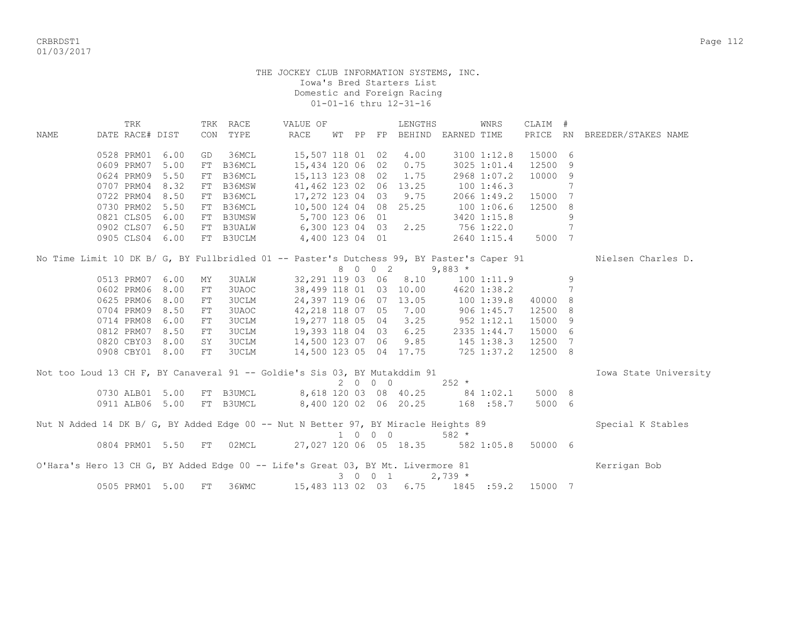CRBRDST1 Page 112 01/03/2017

|                                                                                           | TRK                |      |    | TRK RACE     | VALUE OF              |               |    |                          | LENGTHS                |                                   | WNRS        | CLAIM #  |     |                       |
|-------------------------------------------------------------------------------------------|--------------------|------|----|--------------|-----------------------|---------------|----|--------------------------|------------------------|-----------------------------------|-------------|----------|-----|-----------------------|
| <b>NAME</b>                                                                               | DATE RACE# DIST    |      |    | CON TYPE     | <b>RACE</b>           | WТ            | PP | FP                       |                        | BEHIND EARNED TIME                |             | PRICE RN |     | BREEDER/STAKES NAME   |
|                                                                                           | 0528 PRM01         | 6.00 | GD | 36MCL        |                       | 15,507 118 01 |    | 02                       | 4.00                   |                                   | 3100 1:12.8 | 15000 6  |     |                       |
|                                                                                           | 0609 PRM07         | 5.00 | FT | B36MCL       |                       | 15,434 120 06 |    | 02                       | 0.75                   |                                   | 3025 1:01.4 | 12500    | 9   |                       |
|                                                                                           | 0624 PRM09         | 5.50 | FT | B36MCL       |                       | 15,113 123 08 |    | 02                       | 1.75                   |                                   | 2968 1:07.2 | 10000    | -9  |                       |
|                                                                                           | 0707 PRM04         | 8.32 | FT | B36MSW       | 41,462 123 02         |               |    | 06                       | 13.25                  |                                   | 1001:46.3   |          | 7   |                       |
|                                                                                           | 0722 PRM04         | 8.50 | FT | B36MCL       | 17,272 123 04         |               |    | 03                       | 9.75                   |                                   | 2066 1:49.2 | 15000 7  |     |                       |
|                                                                                           | 0730 PRM02         | 5.50 | FT | B36MCL       | 10,500 124 04         |               |    |                          | 08 25.25               |                                   | 100 1:06.6  | 12500    | - 8 |                       |
|                                                                                           | 0821 CLS05         | 6.00 | FT | B3UMSW       | 5,700 123 06          |               |    | 01                       |                        |                                   | 3420 1:15.8 |          | 9   |                       |
|                                                                                           | 0902 CLS07         | 6.50 |    | FT B3UALW    |                       |               |    |                          | 6,300 123 04 03 2.25   |                                   | 756 1:22.0  |          | 7   |                       |
|                                                                                           | 0905 CLS04 6.00    |      |    | FT B3UCLM    | 4,400 123 04 01       |               |    |                          |                        |                                   | 2640 1:15.4 | 5000 7   |     |                       |
| No Time Limit 10 DK B/ G, BY Fullbridled 01 -- Paster's Dutchess 99, BY Paster's Caper 91 |                    |      |    |              |                       |               |    |                          |                        |                                   |             |          |     | Nielsen Charles D.    |
|                                                                                           |                    |      |    |              |                       |               |    | 8 0 0 2                  |                        | $9,883$ *                         |             |          |     |                       |
|                                                                                           | 0513 PRM07         | 6.00 | ΜY | <b>3UALW</b> |                       |               |    | 32,291 119 03 06         | 8.10                   |                                   | 1001:11.9   |          | 9   |                       |
|                                                                                           | 0602 PRM06         | 8.00 | FT | 3UAOC        |                       | 38,499 118 01 |    | 03                       | 10.00                  |                                   | 4620 1:38.2 |          | 7   |                       |
|                                                                                           | 0625 PRM06         | 8.00 | FT | <b>3UCLM</b> | 24,397 119 06         |               |    |                          | 07 13.05               | 1001:39.8                         |             | 40000 8  |     |                       |
|                                                                                           | 0704 PRM09         | 8.50 | FT | 3UAOC        | 42,218 118 07         |               |    |                          | 05 7.00                | $906$ 1:45.7                      |             | 12500 8  |     |                       |
|                                                                                           | 0714 PRM08         | 6.00 | FT | 3UCLM        | 19,277 118 05         |               |    |                          |                        | 04 3.25 952 1:12.1                |             | 15000 9  |     |                       |
|                                                                                           | 0812 PRM07         | 8.50 | FT | <b>3UCLM</b> |                       |               |    |                          | 19,393 118 04 03 6.25  |                                   | 2335 1:44.7 | 15000 6  |     |                       |
|                                                                                           | 0820 CBY03         | 8.00 | SY | <b>3UCLM</b> |                       |               |    |                          | 14,500 123 07 06 9.85  | $145$ $1:38.3$                    |             | 12500 7  |     |                       |
|                                                                                           | 0908 CBY01 8.00    |      | FT | 3UCLM        |                       |               |    |                          | 14,500 123 05 04 17.75 | $725$ 1:37.2                      |             | 12500 8  |     |                       |
| Not too Loud 13 CH F, BY Canaveral 91 -- Goldie's Sis 03, BY Mutakddim 91                 |                    |      |    |              |                       |               |    |                          |                        |                                   |             |          |     | Iowa State University |
|                                                                                           |                    |      |    |              |                       |               |    | $2\quad 0\quad 0\quad 0$ |                        | $252 *$                           |             |          |     |                       |
|                                                                                           | 0730 ALB01 5.00    |      |    | FT B3UMCL    | 8,618 120 03 08 40.25 |               |    |                          |                        | $84$ 1:02.1                       |             | 5000 8   |     |                       |
|                                                                                           | 0911 ALB06 5.00    |      |    | FT B3UMCL    | 8,400 120 02 06 20.25 |               |    |                          |                        | 168 :58.7                         |             | 5000 6   |     |                       |
| Nut N Added 14 DK B/ G, BY Added Edge 00 -- Nut N Better 97, BY Miracle Heights 89        |                    |      |    |              |                       |               |    |                          |                        |                                   |             |          |     | Special K Stables     |
|                                                                                           |                    |      |    |              |                       |               |    | 1 0 0 0                  |                        | $582 *$                           |             |          |     |                       |
|                                                                                           | 0804 PRM01 5.50 FT |      |    | 02MCL        |                       |               |    |                          |                        | 27,027 120 06 05 18.35 582 1:05.8 |             | 50000 6  |     |                       |
| O'Hara's Hero 13 CH G, BY Added Edge 00 -- Life's Great 03, BY Mt. Livermore 81           |                    |      |    |              |                       |               |    |                          |                        |                                   |             |          |     | Kerrigan Bob          |
|                                                                                           |                    |      |    |              |                       |               |    | 3 0 0 1                  |                        | $2,739 *$                         |             |          |     |                       |
|                                                                                           | 0505 PRM01 5.00    |      | FT | 36WMC        |                       |               |    | 15,483 113 02 03         |                        | 6.75 1845 :59.2 15000 7           |             |          |     |                       |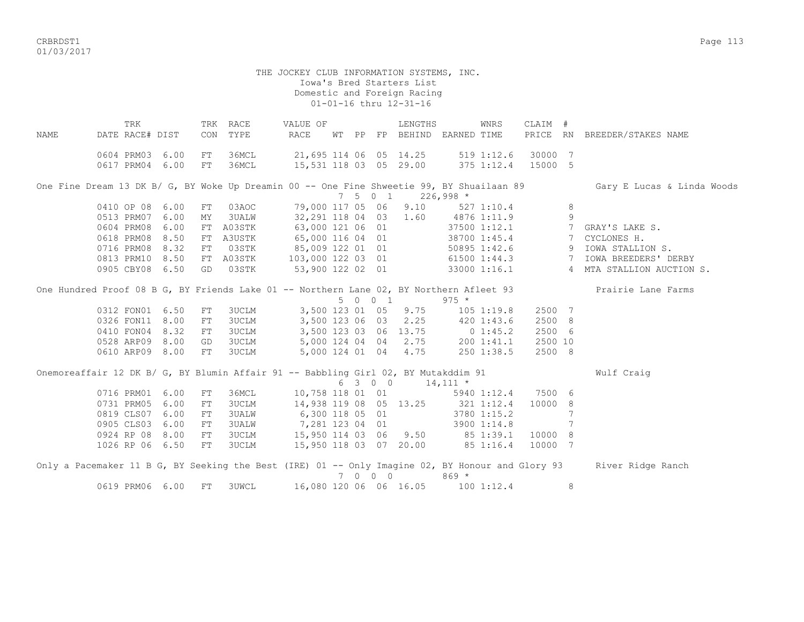CRBRDST1 Page 113 01/03/2017

## THE JOCKEY CLUB INFORMATION SYSTEMS, INC. Iowa's Bred Starters List Domestic and Foreign Racing 01-01-16 thru 12-31-16

TRK TRK RACE VALUE OF LENGTHS WNRS CLAIM # NAME DATE RACE# DIST CON TYPE RACE WT PP FP BEHIND EARNED TIME PRICE RN BREEDER/STAKES NAME 0604 PRM03 6.00 FT 36MCL 21,695 114 06 05 14.25 519 1:12.6 30000 7 0617 PRM04 6.00 FT 36MCL 15,531 118 03 05 29.00 375 1:12.4 15000 5 One Fine Dream 13 DK B/ G, BY Woke Up Dreamin 00 -- One Fine Shweetie 99, BY Shuailaan 89 Gary E Lucas & Linda Woods 7 5 0 1 226,998 \* 0410 OP 08 6.00 FT 03AOC 79,000 117 05 06 9.10 527 1:10.4 8 0513 PRM07 6.00 MY 3UALW 32,291 118 04 03 1.60 4876 1:11.9 9 0604 PRM08 6.00 FT A03STK 63,000 121 06 01 37500 1:12.1 7 GRAY'S LAKE S. 0618 PRM08 8.50 FT A3USTK 65,000 116 04 01 38700 1:45.4 7 CYCLONES H. 0716 PRM08 8.32 FT 03STK 85,009 122 01 01 50895 1:42.6 9 IOWA STALLION S.<br>0813 PRM10 8.50 FT A03STK 103,000 122 03 01 61500 1:44.3 7 IOWA BREEDERS' DERBY 0813 PRM10 8.50 FT A03STK 0905 CBY08 6.50 GD 03STK 53,900 122 02 01 33000 1:16.1 4 MTA STALLION AUCTION S. One Hundred Proof 08 B G, BY Friends Lake 01 -- Northern Lane 02, BY Northern Afleet 93 Prairie Lane Farms  $0.312$  FON01 6.50 FT 3UCLM 3,500 123 01 05 9.75 105 1:19.8 3UCLM 3,500 123 01 05 9.75 105 1:19.8 2500 7 0326 FON11 8.00 FT 3UCLM 3,500 123 06 03 2.25 420 1:43.6 2500 8 0410 FON04 8.32 FT 3UCLM 3,500 123 03 06 13.75 0 1:45.2 2500 6 0528 ARP09 8.00 GD 3UCLM 5,000 124 04 04 2.75 200 1:41.1 2500 10 0610 ARP09 8.00 FT 3UCLM 5,000 124 01 04 4.75 250 1:38.5 2500 8 Onemoreaffair 12 DK B/ G, BY Blumin Affair 91 -- Babbling Girl 02, BY Mutakddim 91 Wulf Craig 6 3 0 0 14,111 \* 0716 PRM01 6.00 FT 36MCL 10.758 118 01 01 5940 1:12.4 7500 6 0731 PRM05 6.00 FT 3UCLM 14,938 119 08 05 13.25 321 1:12.4 10000 8<br>0819 CLS07 6.00 FT 3UALW 6,300 118 05 01 3780 1:15.2 7 0819 CLS07 6.00 FT 3UALW 0905 CLS03 6.00 FT 3UALW 7,281 123 04 01 3900 1:14.8 7<br>0924 RP 08 8.00 FT 3UCLM 15,950 114 03 06 9.50 85 1:39.1 10000 8  $0.925$   $0.950$  114 03 06 9.50 1026 RP 06 6.50 FT 3UCLM 15,950 118 03 07 20.00 85 1:16.4 10000 7 Only a Pacemaker 11 B G, BY Seeking the Best (IRE) 01 -- Only Imagine 02, BY Honour and Glory 93 River Ridge Ranch 7 0 0 0 869 \* 0619 PRM06 6.00 FT 3UWCL 16,080 120 06 06 16.05 100 1:12.4 8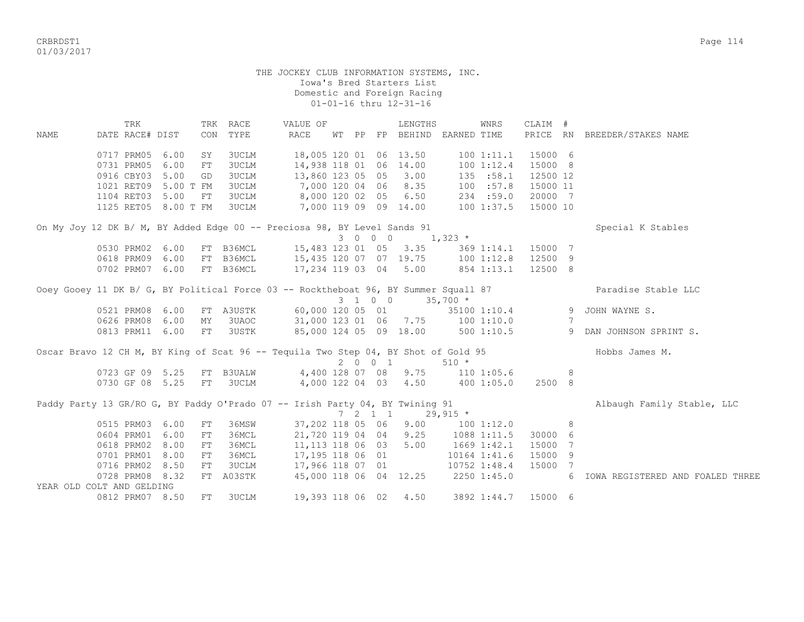CRBRDST1 Page 114 01/03/2017

## THE JOCKEY CLUB INFORMATION SYSTEMS, INC. Iowa's Bred Starters List Domestic and Foreign Racing 01-01-16 thru 12-31-16

 TRK TRK RACE VALUE OF LENGTHS WNRS CLAIM # NAME DATE RACE# DIST CON TYPE RACE WT PP FP BEHIND EARNED TIME PRICE RN BREEDER/STAKES NAME 0717 PRM05 6.00 SY 3UCLM 18,005 120 01 06 13.50 100 1:11.1 15000 6 0731 PRM05 6.00 FT 3UCLM 14,938 118 01 06 14.00 100 1:12.4 15000 8 0916 CBY03 5.00 GD 3UCLM 13,860 123 05 05 3.00 135 :58.1 12500 12 1021 RET09 5.00 T FM 3UCLM 7,000 120 04 06 8.35 100 :57.8 15000 11 1104 RET03 5.00 FT 3UCLM 8,000 120 02 05 6.50 234 :59.0 20000 7 1125 RET05 8.00 T FM 3UCLM 7,000 119 09 09 14.00 100 1:37.5 15000 10 On My Joy 12 DK B/ M, BY Added Edge 00 -- Preciosa 98, BY Level Sands 91 Special K Stables 3 0 0 0 1,323 \* 0530 PRM02 6.00 FT B36MCL 15,483 123 01 05 3.35 369 1:14.1 15000 7<br>0618 PRM09 6.00 FT B36MCL 15,435 120 07 07 19.75 100 1:12.8 12500 9 0618 PRM09 6.00 FT B36MCL 15,435 120 07 07 19.75 0702 PRM07 6.00 FT B36MCL 17,234 119 03 04 5.00 854 1:13.1 12500 8 Ooey Gooey 11 DK B/ G, BY Political Force 03 -- Rocktheboat 96, BY Summer Squall 87 Paradise Stable LLC  $3 \quad 1 \quad 0 \quad 0 \quad 35,700 \quad *$ <br>20 05 01 35100 1:10.4 0521 PRM08 6.00 FT A3USTK 60,000 120 05 01 35100 1:10.4 9 JOHN WAYNE S. 0626 PRM08 6.00 MY 3UAOC 31,000 123 01 06 7.75 100 1:10.0 7 0813 PRM11 6.00 FT 3USTK 85,000 124 05 09 18.00 500 1:10.5 9 DAN JOHNSON SPRINT S. Oscar Bravo 12 CH M, BY King of Scat 96 -- Tequila Two Step 04, BY Shot of Gold 95 Hobbs James M.<br>
2 0 0 1 510 \*  $2 \t 0 \t 0 \t 1$ 0723 GF 09 5.25 FT B3UALW 4,400 128 07 08 9.75 110 1:05.6 8 0730 GF 08 5.25 FT 3UCLM 4,000 122 04 03 4.50 400 1:05.0 2500 8 Paddy Party 13 GR/RO G, BY Paddy O'Prado 07 -- Irish Party 04, BY Twining 91 <br>  $\begin{array}{ccccccccc}\n & 7 & 2 & 1 & 1 & 29,915 & \star \\
 & & & & & & \\
\end{array}$  $7 \quad 2 \quad 1 \quad 1$  0515 PRM03 6.00 FT 36MSW 37,202 118 05 06 9.00 100 1:12.0 8 0604 PRM01 6.00 FT 36MCL 21,720 119 04 04 9.25 1088 1:11.5 30000 6 0618 PRM02 8.00 FT 36MCL 11,113 118 06 03 5.00 1669 1:42.1 15000 7 0701 PRM01 8.00 FT 36MCL 17,195 118 06 01 10164 1:41.6 15000 9 0716 PRM02 8.50 FT 3UCLM 17,966 118 07 01 10752 1:48.4 15000 7 0728 PRM08 8.32 FT A03STK 45,000 118 06 04 12.25 2250 1:45.0 6 IOWA REGISTERED AND FOALED THREE YEAR OLD COLT AND GELDING 0812 PRM07 8.50 FT 3UCLM 19,393 118 06 02 4.50 3892 1:44.7 15000 6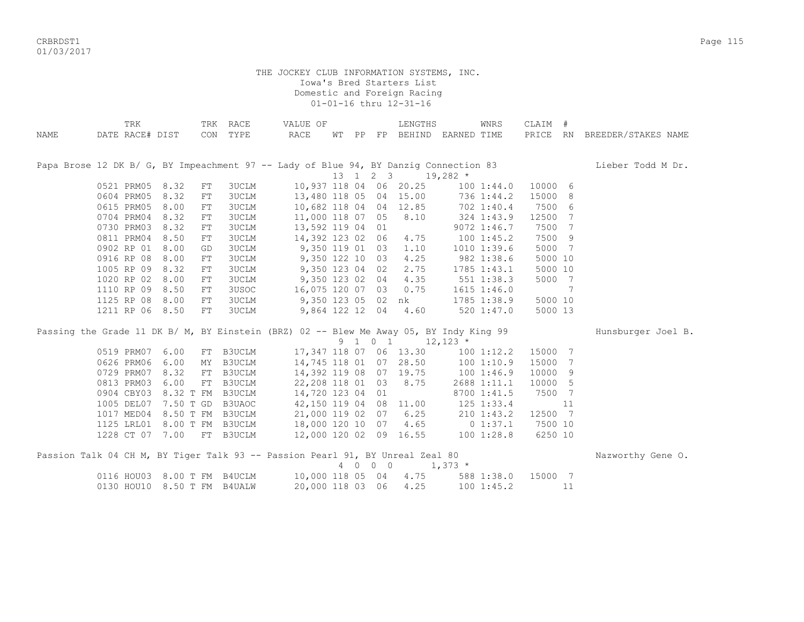CRBRDST1 Page 115 01/03/2017

|             | TRK                         |                    | TRK RACE     | VALUE OF                                                                      |          |         | LENGTHS                                                 | WNRS                                                                                   | CLAIM #  |    |                     |
|-------------|-----------------------------|--------------------|--------------|-------------------------------------------------------------------------------|----------|---------|---------------------------------------------------------|----------------------------------------------------------------------------------------|----------|----|---------------------|
| <b>NAME</b> | DATE RACE# DIST             |                    | CON TYPE     | RACE                                                                          | WT PP    |         |                                                         | FP BEHIND EARNED TIME                                                                  | PRICE RN |    | BREEDER/STAKES NAME |
|             |                             |                    |              |                                                                               |          |         |                                                         |                                                                                        |          |    |                     |
|             |                             |                    |              |                                                                               |          |         |                                                         |                                                                                        |          |    |                     |
|             |                             |                    |              |                                                                               |          |         |                                                         | Papa Brose 12 DK B/ G, BY Impeachment 97 -- Lady of Blue 94, BY Danzig Connection 83   |          |    | Lieber Todd M Dr.   |
|             |                             |                    |              |                                                                               | 13 1 2 3 |         |                                                         | $19,282$ *                                                                             |          |    |                     |
|             | 0521 PRM05 8.32             | FT                 | <b>3UCLM</b> |                                                                               |          |         | 10,937 118 04 06 20.25                                  | 100 1:44.0                                                                             | 10000 6  |    |                     |
|             | 0604 PRM05                  | 8.32<br>FT         | <b>3UCLM</b> |                                                                               |          |         | 13,480 118 05 04 15.00                                  | 736 1:44.2                                                                             | 15000 8  |    |                     |
|             | 0615 PRM05                  | 8.00<br>${\rm FT}$ | <b>3UCLM</b> |                                                                               |          |         | 10,682 118 04 04 12.85                                  | 702 1:40.4                                                                             | 7500 6   |    |                     |
|             | 0704 PRM04 8.32             | FT                 | <b>3UCLM</b> | 11,000 118 07 05                                                              |          |         | 8.10                                                    | 324 1:43.9                                                                             | 12500 7  |    |                     |
|             | 0730 PRM03 8.32             | ${\rm FT}$         | <b>3UCLM</b> | 13,592 119 04 01                                                              |          |         |                                                         | 9072 1:46.7                                                                            | 7500 7   |    |                     |
|             | 0811 PRM04                  | 8.50<br>FT         | <b>3UCLM</b> | 14,392 123 02 06                                                              |          |         | 4.75                                                    | 1001:45.2                                                                              | 7500 9   |    |                     |
|             | 0902 RP 01 8.00             | GD                 | <b>3UCLM</b> | 9,350 119 01 03                                                               |          |         | 1.10                                                    | 1010 1:39.6                                                                            | 5000 7   |    |                     |
|             | 0916 RP 08                  | 8.00<br>${\rm FT}$ | 3UCLM        | 9,350 122 10 03                                                               |          |         | 4.25                                                    | 982 1:38.6                                                                             | 5000 10  |    |                     |
|             | 1005 RP 09                  | 8.32<br>FT         | <b>3UCLM</b> | 9,350 123 04 02                                                               |          |         | 2.75                                                    | $1785$ $1:43.1$                                                                        | 5000 10  |    |                     |
|             | 1020 RP 02                  | 8.00<br>${\rm FT}$ | <b>3UCLM</b> | 9,350 123 02 04                                                               |          |         | 4.35                                                    | 551 1:38.3                                                                             | 5000 7   |    |                     |
|             | 1110 RP 09                  | 8.50<br>${\rm FT}$ | 3USOC        | 16,075 120 07 03                                                              |          |         | 0.75                                                    | $1615$ $1:46.0$                                                                        |          | 7  |                     |
|             | 1125 RP 08                  | 8.00<br>FT         | <b>3UCLM</b> | $9,350$ 123 05 02                                                             |          |         | nk                                                      | 1785 1:38.9                                                                            | 5000 10  |    |                     |
|             | 1211 RP 06 8.50             | ${\rm FT}$         | 3UCLM        | 9,864 122 12 04                                                               |          |         | 4.60                                                    | $520$ $1:47.0$                                                                         | 5000 13  |    |                     |
|             |                             |                    |              |                                                                               |          |         |                                                         |                                                                                        |          |    |                     |
|             |                             |                    |              |                                                                               |          |         |                                                         | Passing the Grade 11 DK B/ M, BY Einstein (BRZ) 02 -- Blew Me Away 05, BY Indy King 99 |          |    | Hunsburger Joel B.  |
|             |                             |                    |              |                                                                               |          |         | $9 \quad 1 \quad 0 \quad 1 \quad 12,123 \quad ^{\star}$ |                                                                                        |          |    |                     |
|             | 0519 PRM07                  | 6.00               | FT B3UCLM    |                                                                               |          |         | 17, 347 118 07 06 13.30                                 | 100 1:12.2                                                                             | 15000 7  |    |                     |
|             | 0626 PRM06                  | 6.00               | MY B3UCLM    |                                                                               |          |         | 14,745 118 01 07 28.50                                  | 1001:10.9                                                                              | 15000 7  |    |                     |
|             | 0729 PRM07 8.32             |                    | FT B3UCLM    |                                                                               |          |         | 14,392 119 08 07 19.75                                  | 100 1:46.9                                                                             | 10000 9  |    |                     |
|             | 0813 PRM03                  | 6.00               | FT B3UCLM    | 22,208 118 01 03                                                              |          |         | 8.75                                                    | 2688 1:11.1                                                                            | 10000 5  |    |                     |
|             | 0904 CBY03                  | 8.32 T FM B3UCLM   |              | 14,720 123 04 01                                                              |          |         |                                                         | 8700 1:41.5                                                                            | 7500 7   |    |                     |
|             | 1005 DEL07                  | 7.50 T GD B3UAOC   |              | 42,150 119 04 08                                                              |          |         | 11.00                                                   | 125 1:33.4                                                                             |          | 11 |                     |
|             | 1017 MED04 8.50 T FM B3UCLM |                    |              | 21,000 119 02 07                                                              |          |         | 6.25                                                    | 210 1:43.2                                                                             | 12500 7  |    |                     |
|             |                             |                    |              | 1125 LRL01 8.00 T FM B3UCLM 18,000 120 10 07                                  |          |         | 4.65                                                    | $0\;1:37.1$                                                                            | 7500 10  |    |                     |
|             | 1228 CT 07 7.00 FT B3UCLM   |                    |              | 12,000 120 02 09 16.55                                                        |          |         |                                                         | 100 1:28.8                                                                             | 6250 10  |    |                     |
|             |                             |                    |              | Passion Talk 04 CH M, BY Tiger Talk 93 -- Passion Pearl 91, BY Unreal Zeal 80 |          |         |                                                         |                                                                                        |          |    | Nazworthy Gene O.   |
|             |                             |                    |              |                                                                               |          | 4 0 0 0 |                                                         | $1,373$ *                                                                              |          |    |                     |
|             | 0116 HOU03 8.00 T FM B4UCLM |                    |              | 10,000 118 05 04                                                              |          |         | 4.75                                                    | 588 1:38.0                                                                             | 15000 7  |    |                     |
|             | 0130 HOU10 8.50 T FM B4UALW |                    |              | 20,000 118 03 06                                                              |          |         | 4.25                                                    | 1001:45.2                                                                              |          | 11 |                     |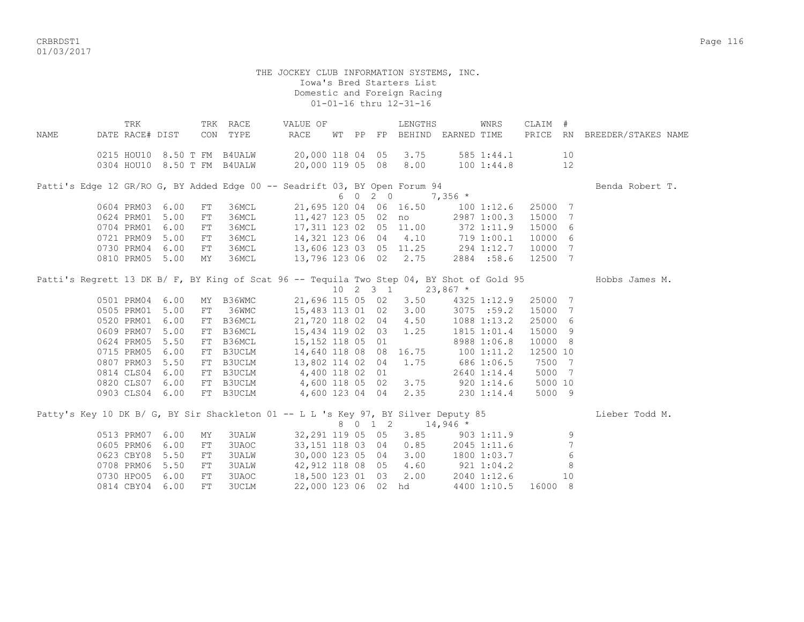CRBRDST1 Page 116 01/03/2017

|      | TRK             |                 |            | TRK RACE                    | VALUE OF                                                                                  |  |         | LENGTHS               |                                             | WNRS         | CLAIM #            |                |                              |  |
|------|-----------------|-----------------|------------|-----------------------------|-------------------------------------------------------------------------------------------|--|---------|-----------------------|---------------------------------------------|--------------|--------------------|----------------|------------------------------|--|
| NAME | DATE RACE# DIST |                 |            | CON TYPE                    | RACE                                                                                      |  |         |                       | WT PP FP BEHIND EARNED TIME                 |              |                    |                | PRICE RN BREEDER/STAKES NAME |  |
|      |                 |                 |            | 0215 HOU10 8.50 T FM B4UALW | 20,000 118 04 05 3.75                                                                     |  |         |                       |                                             | 585 1:44.1   |                    | 10             |                              |  |
|      |                 |                 |            |                             | 0304 HOU10 8.50 T FM B4UALW 20,000 119 05 08 8.00 100 1:44.8                              |  |         |                       |                                             |              |                    | 12             |                              |  |
|      |                 |                 |            |                             |                                                                                           |  |         |                       |                                             |              |                    |                |                              |  |
|      |                 |                 |            |                             | Patti's Edge 12 GR/RO G, BY Added Edge 00 -- Seadrift 03, BY Open Forum 94                |  |         |                       |                                             |              |                    |                | Benda Robert T.              |  |
|      |                 |                 |            |                             |                                                                                           |  | 6 0 2 0 |                       | $7,356$ *                                   |              |                    |                |                              |  |
|      | 0604 PRM03 6.00 |                 | FT         | 36MCL                       | 21,695 120 04 06 16.50                                                                    |  |         |                       |                                             |              | 100 1:12.6 25000 7 |                |                              |  |
|      | 0624 PRM01      | 5.00            | FT         | 36MCL                       | 11,427 123 05 02 no                                                                       |  |         |                       |                                             |              | 2987 1:00.3 15000  | 7              |                              |  |
|      |                 | 0704 PRM01 6.00 | FT         | 36MCL                       | 17,311 123 02 05 11.00                                                                    |  |         |                       | 372 1:11.9                                  |              | 15000              | 6              |                              |  |
|      |                 | 0721 PRM09 5.00 | FT         | 36MCL                       |                                                                                           |  |         |                       | 14,321 123 06 04 4.10 719 1:00.1            |              | 10000              | 6              |                              |  |
|      | 0730 PRM04      | 6.00            | FT         | 36MCL                       | 13,606 123 03 05 11.25 294 1:12.7                                                         |  |         |                       |                                             |              | 10000              | 7              |                              |  |
|      |                 | 0810 PRM05 5.00 | MΥ         | 36MCL                       | 13,796 123 06 02                                                                          |  |         | 2.75                  |                                             | 2884 :58.6   | 12500              | 7              |                              |  |
|      |                 |                 |            |                             | Patti's Regrett 13 DK B/ F, BY King of Scat 96 -- Tequila Two Step 04, BY Shot of Gold 95 |  |         |                       |                                             |              |                    |                | Hobbs James M.               |  |
|      |                 |                 |            |                             |                                                                                           |  |         |                       | $10 \quad 2 \quad 3 \quad 1 \quad 23,867$ * |              |                    |                |                              |  |
|      |                 | 0501 PRM04 6.00 |            | MY B36WMC                   |                                                                                           |  |         | 21,696 115 05 02 3.50 |                                             | 4325 1:12.9  | 25000 7            |                |                              |  |
|      | 0505 PRM01      | 5.00            | FT         | 36WMC                       | 15,483 113 01 02                                                                          |  |         | 3.00                  |                                             | $3075$ :59.2 | 15000 7            |                |                              |  |
|      | 0520 PRM01      | 6.00            | FT         | B36MCL                      | 21,720 118 02 04                                                                          |  |         | 4.50                  |                                             | 1088 1:13.2  | 25000 6            |                |                              |  |
|      | 0609 PRM07      | 5.00            | FT         | B36MCL                      | 15,434 119 02 03                                                                          |  |         | 1.25                  |                                             | 1815 1:01.4  | 15000 9            |                |                              |  |
|      | 0624 PRM05      | 5.50            |            |                             |                                                                                           |  |         |                       |                                             | 8988 1:06.8  | 10000 8            |                |                              |  |
|      | 0715 PRM05      | 6.00            |            |                             | FT B36MCL 15, 152 118 05 01<br>FT B3UCLM 14, 640 118 08 08<br>FT B3UCLM 13, 802 114 02 04 |  |         |                       |                                             |              | 12500 10           |                |                              |  |
|      |                 |                 |            |                             |                                                                                           |  |         | 16.75                 | 1001:11.2                                   |              |                    |                |                              |  |
|      |                 | 0807 PRM03 5.50 |            |                             |                                                                                           |  |         | 1.75                  |                                             | 686 1:06.5   | 7500               | 7              |                              |  |
|      |                 | 0814 CLS04 6.00 |            |                             | FT B3UCLM 4,400 118 02 01                                                                 |  |         |                       |                                             | 2640 1:14.4  | 5000               | $\overline{7}$ |                              |  |
|      |                 | 0820 CLS07 6.00 |            |                             | FT B3UCLM 4,600 118 05 02                                                                 |  |         | 3.75                  | 920 1:14.6                                  |              | 5000 10            |                |                              |  |
|      |                 | 0903 CLS04 6.00 |            |                             | FT B3UCLM 4,600 123 04 04                                                                 |  |         | 2.35                  | 230 1:14.4                                  |              | 5000 9             |                |                              |  |
|      |                 |                 |            |                             | Patty's Key 10 DK B/ G, BY Sir Shackleton 01 -- L L 's Key 97, BY Silver Deputy 85        |  |         |                       |                                             |              |                    |                | Lieber Todd M.               |  |
|      |                 |                 |            |                             |                                                                                           |  | 8 0 1 2 |                       | $14,946$ *                                  |              |                    |                |                              |  |
|      | 0513 PRM07      | 6.00            | MΥ         | <b>3UALW</b>                | 32,291 119 05 05                                                                          |  |         |                       | $3.85$ $903$ $1:11.9$                       |              |                    | 9              |                              |  |
|      | 0605 PRM06      | 6.00            | ${\rm FT}$ | 3UAOC                       | 33,151 118 03 04                                                                          |  |         | 0.85                  |                                             | 2045 1:11.6  |                    | 7              |                              |  |
|      |                 | 0623 CBY08 5.50 | ${\rm FT}$ | <b>3UALW</b>                | 30,000 123 05 04                                                                          |  |         |                       | 3.00 1800 1:03.7                            |              |                    | 6              |                              |  |
|      | 0708 PRM06      | 5.50            | ${\rm FT}$ | 3UALW                       | 42,912 118 08 05                                                                          |  |         | 4.60                  | 921 1:04.2                                  |              |                    | 8              |                              |  |
|      | 0730 HPO05      | 6.00            | ${\rm FT}$ | 3UAOC                       | 18,500 123 01 03                                                                          |  |         | 2.00                  |                                             | 2040 1:12.6  |                    | 10             |                              |  |
|      |                 | 0814 CBY04 6.00 | FT         | 3UCLM                       | 22,000 123 06 02 hd                                                                       |  |         |                       |                                             | 4400 1:10.5  | 16000 8            |                |                              |  |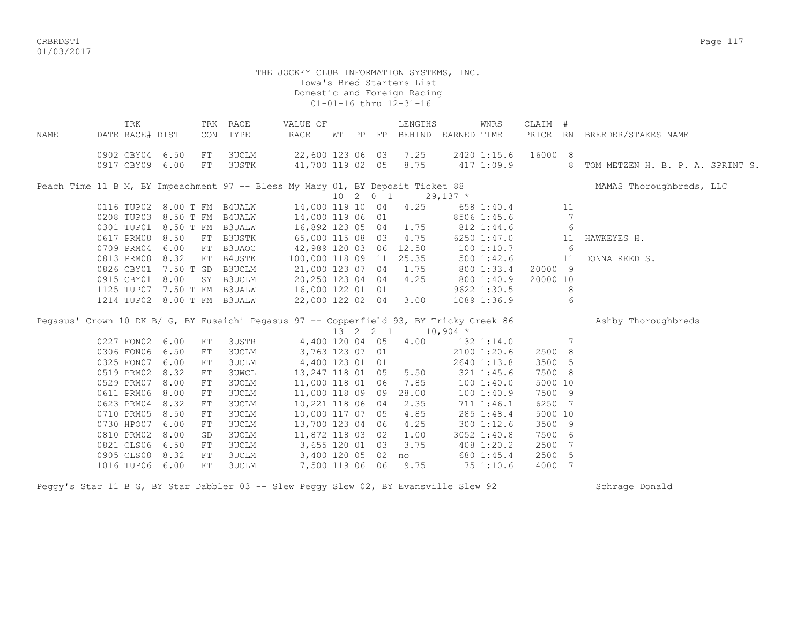CRBRDST1 Page 117 01/03/2017

> THE JOCKEY CLUB INFORMATION SYSTEMS, INC. Iowa's Bred Starters List Domestic and Foreign Racing 01-01-16 thru 12-31-16

| TRK |            |                                                                                                                                                                                                                                                                                                                                                                                        |                                                                                                                   |                                                                                                                                                                                                                                                                                                                                                                                |      |          |       | LENGTHS                                                                                                                                                                                                                                                                                                                                                                                                                                                                  |                                                                                                                                                                                                       | WNRS                                                                                                       |                                                                                                                                                                                                                                                                                                                                                                           |                                                                                                       |                                                                                                                                                                                                        |
|-----|------------|----------------------------------------------------------------------------------------------------------------------------------------------------------------------------------------------------------------------------------------------------------------------------------------------------------------------------------------------------------------------------------------|-------------------------------------------------------------------------------------------------------------------|--------------------------------------------------------------------------------------------------------------------------------------------------------------------------------------------------------------------------------------------------------------------------------------------------------------------------------------------------------------------------------|------|----------|-------|--------------------------------------------------------------------------------------------------------------------------------------------------------------------------------------------------------------------------------------------------------------------------------------------------------------------------------------------------------------------------------------------------------------------------------------------------------------------------|-------------------------------------------------------------------------------------------------------------------------------------------------------------------------------------------------------|------------------------------------------------------------------------------------------------------------|---------------------------------------------------------------------------------------------------------------------------------------------------------------------------------------------------------------------------------------------------------------------------------------------------------------------------------------------------------------------------|-------------------------------------------------------------------------------------------------------|--------------------------------------------------------------------------------------------------------------------------------------------------------------------------------------------------------|
|     |            |                                                                                                                                                                                                                                                                                                                                                                                        |                                                                                                                   |                                                                                                                                                                                                                                                                                                                                                                                |      |          |       |                                                                                                                                                                                                                                                                                                                                                                                                                                                                          |                                                                                                                                                                                                       |                                                                                                            |                                                                                                                                                                                                                                                                                                                                                                           |                                                                                                       | PRICE RN BREEDER/STAKES NAME                                                                                                                                                                           |
|     |            | FT                                                                                                                                                                                                                                                                                                                                                                                     | 3UCLM                                                                                                             |                                                                                                                                                                                                                                                                                                                                                                                |      |          |       |                                                                                                                                                                                                                                                                                                                                                                                                                                                                          |                                                                                                                                                                                                       |                                                                                                            |                                                                                                                                                                                                                                                                                                                                                                           |                                                                                                       |                                                                                                                                                                                                        |
|     |            | FT                                                                                                                                                                                                                                                                                                                                                                                     | <b>3USTK</b>                                                                                                      |                                                                                                                                                                                                                                                                                                                                                                                |      |          |       | 8.75                                                                                                                                                                                                                                                                                                                                                                                                                                                                     |                                                                                                                                                                                                       |                                                                                                            |                                                                                                                                                                                                                                                                                                                                                                           | 8                                                                                                     | TOM METZEN H. B. P. A. SPRINT S.                                                                                                                                                                       |
|     |            |                                                                                                                                                                                                                                                                                                                                                                                        |                                                                                                                   |                                                                                                                                                                                                                                                                                                                                                                                |      |          |       |                                                                                                                                                                                                                                                                                                                                                                                                                                                                          |                                                                                                                                                                                                       |                                                                                                            |                                                                                                                                                                                                                                                                                                                                                                           |                                                                                                       | MAMAS Thoroughbreds, LLC                                                                                                                                                                               |
|     |            |                                                                                                                                                                                                                                                                                                                                                                                        |                                                                                                                   |                                                                                                                                                                                                                                                                                                                                                                                |      |          |       |                                                                                                                                                                                                                                                                                                                                                                                                                                                                          |                                                                                                                                                                                                       |                                                                                                            |                                                                                                                                                                                                                                                                                                                                                                           |                                                                                                       |                                                                                                                                                                                                        |
|     |            |                                                                                                                                                                                                                                                                                                                                                                                        |                                                                                                                   |                                                                                                                                                                                                                                                                                                                                                                                |      |          |       |                                                                                                                                                                                                                                                                                                                                                                                                                                                                          |                                                                                                                                                                                                       |                                                                                                            |                                                                                                                                                                                                                                                                                                                                                                           |                                                                                                       |                                                                                                                                                                                                        |
|     |            |                                                                                                                                                                                                                                                                                                                                                                                        |                                                                                                                   |                                                                                                                                                                                                                                                                                                                                                                                |      |          |       |                                                                                                                                                                                                                                                                                                                                                                                                                                                                          |                                                                                                                                                                                                       |                                                                                                            |                                                                                                                                                                                                                                                                                                                                                                           |                                                                                                       |                                                                                                                                                                                                        |
|     |            |                                                                                                                                                                                                                                                                                                                                                                                        |                                                                                                                   |                                                                                                                                                                                                                                                                                                                                                                                |      |          |       |                                                                                                                                                                                                                                                                                                                                                                                                                                                                          |                                                                                                                                                                                                       |                                                                                                            |                                                                                                                                                                                                                                                                                                                                                                           |                                                                                                       |                                                                                                                                                                                                        |
|     |            |                                                                                                                                                                                                                                                                                                                                                                                        |                                                                                                                   |                                                                                                                                                                                                                                                                                                                                                                                |      |          |       |                                                                                                                                                                                                                                                                                                                                                                                                                                                                          |                                                                                                                                                                                                       |                                                                                                            |                                                                                                                                                                                                                                                                                                                                                                           |                                                                                                       | HAWKEYES H.                                                                                                                                                                                            |
|     |            |                                                                                                                                                                                                                                                                                                                                                                                        |                                                                                                                   |                                                                                                                                                                                                                                                                                                                                                                                |      |          |       |                                                                                                                                                                                                                                                                                                                                                                                                                                                                          |                                                                                                                                                                                                       |                                                                                                            |                                                                                                                                                                                                                                                                                                                                                                           |                                                                                                       |                                                                                                                                                                                                        |
|     |            |                                                                                                                                                                                                                                                                                                                                                                                        |                                                                                                                   |                                                                                                                                                                                                                                                                                                                                                                                |      |          |       |                                                                                                                                                                                                                                                                                                                                                                                                                                                                          |                                                                                                                                                                                                       |                                                                                                            |                                                                                                                                                                                                                                                                                                                                                                           |                                                                                                       | DONNA REED S.                                                                                                                                                                                          |
|     |            |                                                                                                                                                                                                                                                                                                                                                                                        |                                                                                                                   |                                                                                                                                                                                                                                                                                                                                                                                |      |          |       |                                                                                                                                                                                                                                                                                                                                                                                                                                                                          |                                                                                                                                                                                                       |                                                                                                            |                                                                                                                                                                                                                                                                                                                                                                           |                                                                                                       |                                                                                                                                                                                                        |
|     |            |                                                                                                                                                                                                                                                                                                                                                                                        |                                                                                                                   |                                                                                                                                                                                                                                                                                                                                                                                |      |          |       |                                                                                                                                                                                                                                                                                                                                                                                                                                                                          |                                                                                                                                                                                                       |                                                                                                            |                                                                                                                                                                                                                                                                                                                                                                           |                                                                                                       |                                                                                                                                                                                                        |
|     |            |                                                                                                                                                                                                                                                                                                                                                                                        |                                                                                                                   |                                                                                                                                                                                                                                                                                                                                                                                |      |          |       |                                                                                                                                                                                                                                                                                                                                                                                                                                                                          |                                                                                                                                                                                                       |                                                                                                            |                                                                                                                                                                                                                                                                                                                                                                           | 8                                                                                                     |                                                                                                                                                                                                        |
|     |            |                                                                                                                                                                                                                                                                                                                                                                                        |                                                                                                                   |                                                                                                                                                                                                                                                                                                                                                                                |      |          |       | 3.00                                                                                                                                                                                                                                                                                                                                                                                                                                                                     |                                                                                                                                                                                                       |                                                                                                            |                                                                                                                                                                                                                                                                                                                                                                           | 6                                                                                                     |                                                                                                                                                                                                        |
|     |            |                                                                                                                                                                                                                                                                                                                                                                                        |                                                                                                                   |                                                                                                                                                                                                                                                                                                                                                                                |      |          |       |                                                                                                                                                                                                                                                                                                                                                                                                                                                                          |                                                                                                                                                                                                       |                                                                                                            |                                                                                                                                                                                                                                                                                                                                                                           |                                                                                                       | Ashby Thoroughbreds                                                                                                                                                                                    |
|     |            |                                                                                                                                                                                                                                                                                                                                                                                        |                                                                                                                   |                                                                                                                                                                                                                                                                                                                                                                                |      |          |       |                                                                                                                                                                                                                                                                                                                                                                                                                                                                          |                                                                                                                                                                                                       |                                                                                                            |                                                                                                                                                                                                                                                                                                                                                                           |                                                                                                       |                                                                                                                                                                                                        |
|     |            |                                                                                                                                                                                                                                                                                                                                                                                        |                                                                                                                   |                                                                                                                                                                                                                                                                                                                                                                                |      |          |       |                                                                                                                                                                                                                                                                                                                                                                                                                                                                          |                                                                                                                                                                                                       |                                                                                                            |                                                                                                                                                                                                                                                                                                                                                                           | 7                                                                                                     |                                                                                                                                                                                                        |
|     |            |                                                                                                                                                                                                                                                                                                                                                                                        |                                                                                                                   |                                                                                                                                                                                                                                                                                                                                                                                |      |          |       |                                                                                                                                                                                                                                                                                                                                                                                                                                                                          |                                                                                                                                                                                                       |                                                                                                            |                                                                                                                                                                                                                                                                                                                                                                           |                                                                                                       |                                                                                                                                                                                                        |
|     |            |                                                                                                                                                                                                                                                                                                                                                                                        |                                                                                                                   |                                                                                                                                                                                                                                                                                                                                                                                |      |          |       |                                                                                                                                                                                                                                                                                                                                                                                                                                                                          |                                                                                                                                                                                                       |                                                                                                            |                                                                                                                                                                                                                                                                                                                                                                           |                                                                                                       |                                                                                                                                                                                                        |
|     |            |                                                                                                                                                                                                                                                                                                                                                                                        |                                                                                                                   |                                                                                                                                                                                                                                                                                                                                                                                |      |          |       |                                                                                                                                                                                                                                                                                                                                                                                                                                                                          |                                                                                                                                                                                                       |                                                                                                            |                                                                                                                                                                                                                                                                                                                                                                           |                                                                                                       |                                                                                                                                                                                                        |
|     |            |                                                                                                                                                                                                                                                                                                                                                                                        |                                                                                                                   |                                                                                                                                                                                                                                                                                                                                                                                |      |          |       |                                                                                                                                                                                                                                                                                                                                                                                                                                                                          |                                                                                                                                                                                                       |                                                                                                            |                                                                                                                                                                                                                                                                                                                                                                           |                                                                                                       |                                                                                                                                                                                                        |
|     |            |                                                                                                                                                                                                                                                                                                                                                                                        |                                                                                                                   |                                                                                                                                                                                                                                                                                                                                                                                |      |          |       |                                                                                                                                                                                                                                                                                                                                                                                                                                                                          |                                                                                                                                                                                                       |                                                                                                            |                                                                                                                                                                                                                                                                                                                                                                           |                                                                                                       |                                                                                                                                                                                                        |
|     |            |                                                                                                                                                                                                                                                                                                                                                                                        |                                                                                                                   |                                                                                                                                                                                                                                                                                                                                                                                |      |          |       |                                                                                                                                                                                                                                                                                                                                                                                                                                                                          |                                                                                                                                                                                                       |                                                                                                            |                                                                                                                                                                                                                                                                                                                                                                           | 7                                                                                                     |                                                                                                                                                                                                        |
|     |            |                                                                                                                                                                                                                                                                                                                                                                                        |                                                                                                                   |                                                                                                                                                                                                                                                                                                                                                                                |      |          |       |                                                                                                                                                                                                                                                                                                                                                                                                                                                                          |                                                                                                                                                                                                       |                                                                                                            |                                                                                                                                                                                                                                                                                                                                                                           |                                                                                                       |                                                                                                                                                                                                        |
|     |            |                                                                                                                                                                                                                                                                                                                                                                                        |                                                                                                                   |                                                                                                                                                                                                                                                                                                                                                                                |      |          |       |                                                                                                                                                                                                                                                                                                                                                                                                                                                                          |                                                                                                                                                                                                       |                                                                                                            |                                                                                                                                                                                                                                                                                                                                                                           |                                                                                                       |                                                                                                                                                                                                        |
|     |            |                                                                                                                                                                                                                                                                                                                                                                                        |                                                                                                                   |                                                                                                                                                                                                                                                                                                                                                                                |      |          |       |                                                                                                                                                                                                                                                                                                                                                                                                                                                                          |                                                                                                                                                                                                       |                                                                                                            |                                                                                                                                                                                                                                                                                                                                                                           |                                                                                                       |                                                                                                                                                                                                        |
|     |            |                                                                                                                                                                                                                                                                                                                                                                                        |                                                                                                                   |                                                                                                                                                                                                                                                                                                                                                                                |      |          |       |                                                                                                                                                                                                                                                                                                                                                                                                                                                                          |                                                                                                                                                                                                       |                                                                                                            |                                                                                                                                                                                                                                                                                                                                                                           |                                                                                                       |                                                                                                                                                                                                        |
|     |            |                                                                                                                                                                                                                                                                                                                                                                                        |                                                                                                                   |                                                                                                                                                                                                                                                                                                                                                                                |      |          |       |                                                                                                                                                                                                                                                                                                                                                                                                                                                                          |                                                                                                                                                                                                       |                                                                                                            |                                                                                                                                                                                                                                                                                                                                                                           |                                                                                                       |                                                                                                                                                                                                        |
|     |            | FT                                                                                                                                                                                                                                                                                                                                                                                     | 3UCLM                                                                                                             |                                                                                                                                                                                                                                                                                                                                                                                |      |          |       | 9.75                                                                                                                                                                                                                                                                                                                                                                                                                                                                     |                                                                                                                                                                                                       |                                                                                                            |                                                                                                                                                                                                                                                                                                                                                                           | -7                                                                                                    |                                                                                                                                                                                                        |
|     | 0611 PRM06 | DATE RACE# DIST<br>0902 CBY04 6.50<br>0917 CBY09 6.00<br>0617 PRM08 8.50<br>0709 PRM04 6.00<br>0813 PRM08 8.32<br>0915 CBY01 8.00<br>0227 FON02 6.00<br>0306 FON06 6.50<br>0325 FON07 6.00<br>0519 PRM02 8.32<br>0529 PRM07 8.00<br>8.00<br>0623 PRM04 8.32<br>0710 PRM05<br>8.50<br>0730 HPO07 6.00<br>0810 PRM02 8.00<br>0821 CLS06<br>6.50<br>0905 CLS08<br>8.32<br>1016 TUP06 6.00 | CON<br>FT<br>0826 CBY01 7.50 T GD<br>FT<br>${\rm FT}$<br>FT<br>FT<br>FT<br>FT<br>FT<br>FT<br>FT<br>GD<br>FT<br>FT | TRK RACE<br>TYPE<br>0116 TUP02 8.00 T FM B4UALW<br>0208 TUP03 8.50 T FM B4UALW<br>0301 TUP01 8.50 T FM B3UALW<br>B3USTK<br>FT B3UAOC<br>FT B4USTK<br>B3UCLM<br>SY B3UCLM<br>1125 TUP07 7.50 T FM B3UALW<br>1214 TUP02 8.00 T FM B3UALW<br>3USTR<br>3UCLM<br>3UCLM<br><b>3UWCL</b><br>3UCLM<br>3UCLM<br><b>3UCLM</b><br>3UCLM<br>3UCLM<br><b>3UCLM</b><br>3UCLM<br><b>3UCLM</b> | RACE | VALUE OF | WT PP | FP<br>22,600 123 06 03<br>41,700 119 02 05<br>14,000 119 10 04<br>14,000 119 06 01<br>16,892 123 05 04<br>65,000 115 08 03<br>21,000 123 07 04<br>20,250 123 04 04<br>16,000 122 01 01<br>22,000 122 02 04<br>4,400 120 04 05<br>3,763 123 07 01<br>4,400 123 01 01<br>13,247 118 01 05<br>11,000 118 01 06<br>11,000 118 09 09<br>10,221 118 06 04<br>10,000 117 07 05<br>13,700 123 04 06<br>11,872 118 03 02<br>3,655 120 01 03<br>3,400 120 05 02<br>7,500 119 06 06 | 7.25<br>10201<br>4.25<br>1.75<br>4.75<br>42,989 120 03 06 12.50<br>100,000 118 09 11 25.35<br>1.75<br>4.25<br>13 2 2 1<br>4.00<br>5.50<br>7.85<br>28.00<br>2.35<br>4.85<br>4.25<br>1.00<br>3.75<br>no | Peach Time 11 B M, BY Impeachment 97 -- Bless My Mary 01, BY Deposit Ticket 88<br>$29,137$ *<br>$10,904$ * | BEHIND EARNED TIME<br>2420 1:15.6<br>658 1:40.4<br>8506 1:45.6<br>812 1:44.6<br>6250 1:47.0<br>1001:10.7<br>$500$ 1:42.6<br>800 1:33.4<br>800 1:40.9<br>9622 1:30.5<br>1089 1:36.9<br>132 1:14.0<br>2100 1:20.6<br>2640 1:13.8<br>321 1:45.6<br>100 1:40.0<br>1001:40.9<br>711 1:46.1<br>285 1:48.4<br>300 1:12.6<br>3052 1:40.8<br>408 1:20.2<br>680 1:45.4<br>75 1:10.6 | 417 1:09.9<br>Pegasus' Crown 10 DK B/ G, BY Fusaichi Pegasus 97 -- Copperfield 93, BY Tricky Creek 86 | CLAIM #<br>16000 8<br>11<br>7<br>6<br>11<br>6<br>11<br>20000 9<br>20000 10<br>2500 8<br>3500 5<br>7500 8<br>5000 10<br>7500 9<br>6250<br>5000 10<br>3500 9<br>7500 6<br>2500<br>7<br>2500<br>5<br>4000 |

Peggy's Star 11 B G, BY Star Dabbler 03 -- Slew Peggy Slew 02, BY Evansville Slew 92 Schrage Donald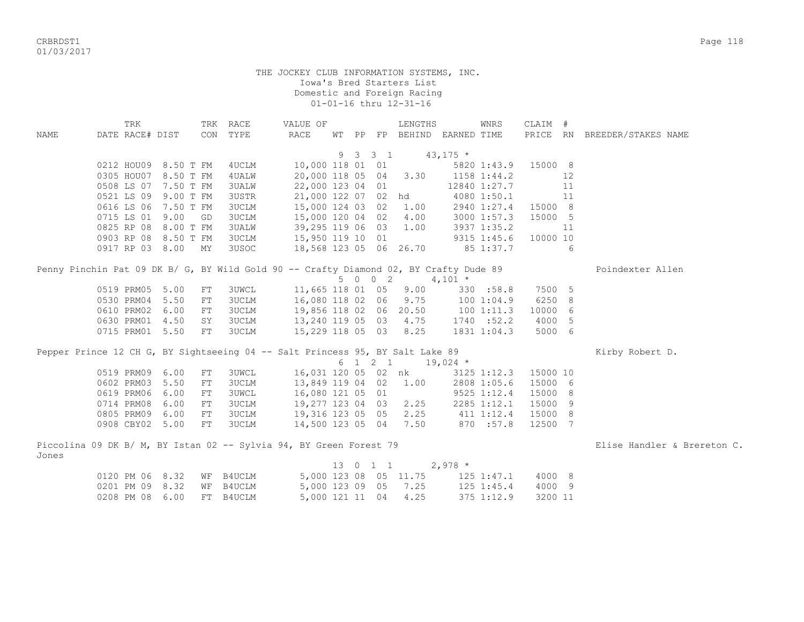CRBRDST1 Page 118 01/03/2017

|             | TRK                                                                                   |           |      | TRK RACE      | VALUE OF               |    |           |          | LENGTHS                          |            | WNRS            | CLAIM #  |    |                             |
|-------------|---------------------------------------------------------------------------------------|-----------|------|---------------|------------------------|----|-----------|----------|----------------------------------|------------|-----------------|----------|----|-----------------------------|
| <b>NAME</b> | DATE RACE# DIST                                                                       |           |      | CON TYPE      | <b>RACE</b>            | WТ | <b>PP</b> |          | FP BEHIND EARNED TIME            |            |                 | PRICE RN |    | BREEDER/STAKES NAME         |
|             |                                                                                       |           |      |               |                        |    |           |          |                                  |            |                 |          |    |                             |
|             |                                                                                       |           |      |               |                        |    |           |          | $9 \t3 \t3 \t1 \t43,175 \t*$     |            |                 |          |    |                             |
|             | 0212 HOU09 8.50 T FM                                                                  |           |      | 4UCLM         |                        |    |           |          | 10,000 118 01 01                 |            | 5820 1:43.9     | 15000 8  |    |                             |
|             | 0305 HOU07 8.50 T FM                                                                  |           |      | 4 UALW        |                        |    |           |          | 20,000 118 05 04 3.30            |            | $1158$ $1:44.2$ |          | 12 |                             |
|             | 0508 LS 07 7.50 T FM                                                                  |           |      | <b>3UALW</b>  | 22,000 123 04 01       |    |           |          |                                  |            | 12840 1:27.7    |          | 11 |                             |
|             | 0521 LS 09                                                                            | 9.00 T FM |      | <b>3USTR</b>  | 21,000 122 07 02 hd    |    |           |          |                                  |            | 4080 1:50.1     |          | 11 |                             |
|             | 0616 LS 06 7.50 T FM                                                                  |           |      | 3UCLM         | 15,000 124 03 02 1.00  |    |           |          |                                  |            | 2940 1:27.4     | 15000 8  |    |                             |
|             | 0715 LS 01                                                                            | 9.00      | GD   | 3UCLM         |                        |    |           |          | 15,000 120 04 02 4.00            |            | 3000 1:57.3     | 15000 5  |    |                             |
|             | 0825 RP 08                                                                            | 8.00 T FM |      | 3UALW         |                        |    |           |          | 39,295 119 06 03 1.00            |            | 3937 1:35.2     |          | 11 |                             |
|             | 0903 RP 08 8.50 T FM                                                                  |           |      | <b>3UCLM</b>  | 15,950 119 10 01       |    |           |          |                                  |            | 9315 1:45.6     | 10000 10 |    |                             |
|             | 0917 RP 03 8.00 MY                                                                    |           |      | 3USOC         | 18,568 123 05 06 26.70 |    |           |          |                                  |            | 85 1:37.7       |          | 6  |                             |
|             |                                                                                       |           |      |               |                        |    |           |          |                                  |            |                 |          |    |                             |
|             | Penny Pinchin Pat 09 DK B/ G, BY Wild Gold 90 -- Crafty Diamond 02, BY Crafty Dude 89 |           |      |               |                        |    |           |          |                                  |            |                 |          |    | Poindexter Allen            |
|             |                                                                                       |           |      |               |                        |    |           | 5 0 0 2  |                                  | $4,101 *$  |                 |          |    |                             |
|             | 0519 PRM05 5.00                                                                       |           | FT   | <b>3UWCL</b>  |                        |    |           |          | 11,665 118 01 05 9.00            |            | 330 : 58.8      | 7500 5   |    |                             |
|             | 0530 PRM04                                                                            | 5.50      | FT   | 3UCLM         |                        |    |           |          | 16,080 118 02 06 9.75 100 1:04.9 |            |                 | 6250 8   |    |                             |
|             | 0610 PRM02                                                                            | 6.00      | FT   | 3UCLM         | 19,856 118 02 06 20.50 |    |           |          |                                  |            | 1001:11.3       | 10000 6  |    |                             |
|             | 0630 PRM01 4.50                                                                       |           | SY   | 3UCLM         |                        |    |           |          | 13,240 119 05 03 4.75            |            | 1740 : 52.2     | 4000 5   |    |                             |
|             | 0715 PRM01 5.50                                                                       |           | $FT$ | 3UCLM         |                        |    |           |          | 15,229 118 05 03 8.25            |            | 1831 1:04.3     | 5000 6   |    |                             |
|             |                                                                                       |           |      |               |                        |    |           |          |                                  |            |                 |          |    |                             |
|             | Pepper Prince 12 CH G, BY Sightseeing 04 -- Salt Princess 95, BY Salt Lake 89         |           |      |               |                        |    |           |          |                                  |            |                 |          |    | Kirby Robert D.             |
|             |                                                                                       |           |      |               |                        |    |           | 6 1 2 1  |                                  | $19,024$ * |                 |          |    |                             |
|             | 0519 PRM09                                                                            | 6.00      | FT   | 3UWCL         |                        |    |           |          | 16,031 120 05 02 nk              |            | 3125 1:12.3     | 15000 10 |    |                             |
|             | 0602 PRM03                                                                            | 5.50      | FT   | 3UCLM         | 13,849 119 04 02 1.00  |    |           |          |                                  |            | 2808 1:05.6     | 15000 6  |    |                             |
|             | 0619 PRM06                                                                            | 6.00      | FT   | <b>3UWCL</b>  | 16,080 121 05 01       |    |           |          |                                  |            | 9525 1:12.4     | 15000 8  |    |                             |
|             | 0714 PRM08                                                                            | 6.00      | FT   | 3UCLM         | 19,277 123 04 03 2.25  |    |           |          |                                  |            | 2285 1:12.1     | 15000 9  |    |                             |
|             | 0805 PRM09 6.00                                                                       |           | FT   | 3UCLM         |                        |    |           |          | 19,316 123 05 05 2.25 411 1:12.4 |            |                 | 15000 8  |    |                             |
|             | 0908 CBY02 5.00                                                                       |           | FT   | <b>3UCLM</b>  |                        |    |           |          | 14,500 123 05 04 7.50            |            | 870 :57.8       | 12500 7  |    |                             |
|             |                                                                                       |           |      |               |                        |    |           |          |                                  |            |                 |          |    |                             |
|             | Piccolina 09 DK B/ M, BY Istan 02 -- Sylvia 94, BY Green Forest 79                    |           |      |               |                        |    |           |          |                                  |            |                 |          |    | Elise Handler & Brereton C. |
| Jones       |                                                                                       |           |      |               |                        |    |           |          |                                  |            |                 |          |    |                             |
|             |                                                                                       |           |      |               |                        |    |           | 13 0 1 1 |                                  | $2,978$ *  |                 |          |    |                             |
|             | 0120 PM 06 8.32                                                                       |           | WF   | <b>B4UCLM</b> |                        |    |           |          | 5,000 123 08 05 11.75            |            | $125$ $1:47.1$  | 4000 8   |    |                             |
|             | 0201 PM 09 8.32                                                                       |           | WF   | B4UCLM        | 5,000 123 09 05        |    |           |          | 7.25                             |            | $125$ $1:45.4$  | 4000 9   |    |                             |
|             | 0208 PM 08 6.00                                                                       |           | FT   | <b>B4UCLM</b> | 5,000 121 11 04        |    |           |          | 4.25                             |            | 375 1:12.9      | 3200 11  |    |                             |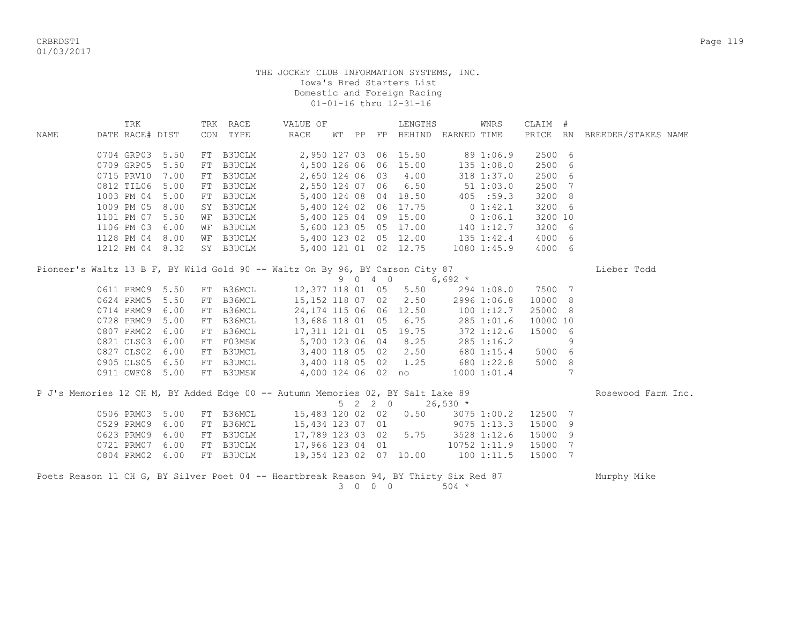CRBRDST1 Page 119 01/03/2017

|      | TRK             |                 |    | TRK RACE                                                      | VALUE OF                                                                                           |             |            | LENGTHS                            |                        | <b>WNRS</b>   | CLAIM #  |   |                     |
|------|-----------------|-----------------|----|---------------------------------------------------------------|----------------------------------------------------------------------------------------------------|-------------|------------|------------------------------------|------------------------|---------------|----------|---|---------------------|
| NAME | DATE RACE# DIST |                 |    | CON TYPE                                                      | RACE                                                                                               |             |            | WT PP FP BEHIND EARNED TIME        |                        |               | PRICE RN |   | BREEDER/STAKES NAME |
|      |                 |                 |    |                                                               |                                                                                                    |             |            |                                    |                        |               |          |   |                     |
|      |                 | 0704 GRP03 5.50 |    | FT B3UCLM                                                     |                                                                                                    |             |            | 2,950 127 03 06 15.50              | 89 1:06.9              |               | 2500 6   |   |                     |
|      |                 | 0709 GRP05 5.50 |    | FT B3UCLM                                                     |                                                                                                    |             |            | 4,500 126 06 06 15.00 135 1:08.0   |                        |               | 2500 6   |   |                     |
|      | 0715 PRV10      | 7.00            |    | FT B3UCLM                                                     | 2,650 124 06 03                                                                                    |             |            | 4.00                               |                        | 318 1:37.0    | 2500 6   |   |                     |
|      |                 | 0812 TIL06 5.00 |    | FT B3UCLM                                                     | 2,550 124 07 06                                                                                    |             |            | 6.50                               | 511:03.0               |               | 2500 7   |   |                     |
|      |                 | 1003 PM 04 5.00 | FT | <b>B3UCLM</b>                                                 |                                                                                                    |             |            | 5,400 124 08 04 18.50              |                        | 405 :59.3     | 3200 8   |   |                     |
|      |                 | 1009 PM 05 8.00 |    | SY B3UCLM<br>WF B3UCLM<br>WF B3UCLM<br>WF B3UCLM<br>CL B3UCLM | 5,400 124 02 06                                                                                    |             |            | 17.75                              | 0 1:42.1               |               | 3200 6   |   |                     |
|      |                 | 1101 PM 07 5.50 |    |                                                               |                                                                                                    |             |            | 5,400 125 04 09 15.00 0 1:06.1     |                        |               | 3200 10  |   |                     |
|      |                 | 1106 PM 03 6.00 |    |                                                               |                                                                                                    |             |            | $5,600$ 123 05 05 17.00 140 1:12.7 |                        |               | 3200 6   |   |                     |
|      |                 | 1128 PM 04 8.00 |    |                                                               |                                                                                                    |             |            | $5,400$ 123 02 05 12.00 135 1:42.4 |                        |               | 4000 6   |   |                     |
|      |                 | 1212 PM 04 8.32 |    | SY B3UCLM                                                     |                                                                                                    |             |            | 5,400 121 01 02 12.75 1080 1:45.9  |                        |               | 4000 6   |   |                     |
|      |                 |                 |    |                                                               | Pioneer's Waltz 13 B F, BY Wild Gold 90 -- Waltz On By 96, BY Carson City 87                       |             |            |                                    |                        |               |          |   | Lieber Todd         |
|      |                 |                 |    |                                                               |                                                                                                    |             | 9 0 4 0    |                                    | 6,692 $*$              |               |          |   |                     |
|      |                 | 0611 PRM09 5.50 |    | FT B36MCL                                                     | 12,377 118 01 05                                                                                   |             |            |                                    | $5.50$ 294 1:08.0      |               | 7500 7   |   |                     |
|      |                 | 0624 PRM05 5.50 |    | FT B36MCL                                                     | 15,152 118 07 02                                                                                   |             |            | 2.50                               |                        | 2996 1:06.8   | 10000 8  |   |                     |
|      |                 | 0714 PRM09 6.00 |    | FT B36MCL                                                     | 24,174 115 06 06 12.50 100 1:12.7                                                                  |             |            |                                    |                        |               | 25000 8  |   |                     |
|      |                 | 0728 PRM09 5.00 |    | FT B36MCL                                                     | 13,686 118 01 05                                                                                   |             |            | 6.75                               |                        | 285 1:01.6    | 10000 10 |   |                     |
|      |                 | 0807 PRM02 6.00 |    | FT B36MCL                                                     | 17,311 121 01 05                                                                                   |             |            | 19.75                              |                        | $372$ 1:12.6  | 15000 6  |   |                     |
|      |                 | 0821 CLS03 6.00 |    |                                                               | FT F03MSW 5,700 123 06 04                                                                          |             |            | 8.25                               |                        | 285 1:16.2    |          | 9 |                     |
|      |                 | 0827 CLS02 6.00 |    |                                                               | FT B3UMCL 3,400 118 05 02 2.50<br>FT B3UMCL 3,400 118 05 02 2.50<br>FT B3UMCL 3,400 118 05 02 1.25 |             |            |                                    |                        | 680 1:15.4    | 5000 6   |   |                     |
|      |                 | 0905 CLS05 6.50 |    |                                                               |                                                                                                    |             |            |                                    | $680$ 1:22.8           |               | 5000 8   |   |                     |
|      |                 | 0911 CWF08 5.00 |    | FT B3UMSW                                                     | 4,000 124 06 02 no 1000 1:01.4                                                                     |             |            |                                    |                        |               |          | 7 |                     |
|      |                 |                 |    |                                                               | P J's Memories 12 CH M, BY Added Edge 00 -- Autumn Memories 02, BY Salt Lake 89                    |             |            |                                    |                        |               |          |   | Rosewood Farm Inc.  |
|      |                 |                 |    |                                                               |                                                                                                    |             | $5$ 2 2 0  |                                    | $26,530$ *             |               |          |   |                     |
|      |                 | 0506 PRM03 5.00 |    |                                                               | FT B36MCL 15,483 120 02 02                                                                         |             |            | 0.50                               |                        | 3075 1:00.2   | 12500 7  |   |                     |
|      |                 | 0529 PRM09 6.00 |    | FT B36MCL                                                     | 15,434 123 07 01                                                                                   |             |            |                                    |                        | $9075$ 1:13.3 | 15000 9  |   |                     |
|      | 0623 PRM09      | 6.00            |    | FT B3UCLM                                                     | 17,789 123 03 02                                                                                   |             |            |                                    | $5.75$ $3528$ $1:12.6$ |               | 15000 9  |   |                     |
|      | 0721 PRM07      | 6.00            |    |                                                               |                                                                                                    |             |            |                                    |                        |               |          |   |                     |
|      |                 |                 |    |                                                               | FT B3UCLM 17,966 123 04 01                                                                         |             |            | $10752$ $1:11.9$                   |                        |               | 15000 7  |   |                     |
|      |                 | 0804 PRM02 6.00 |    |                                                               | FT B3UCLM 19,354 123 02 07 10.00 100 1:11.5                                                        |             |            |                                    |                        |               | 15000 7  |   |                     |
|      |                 |                 |    |                                                               | Poets Reason 11 CH G, BY Silver Poet 04 -- Heartbreak Reason 94, BY Thirty Six Red 87              |             |            |                                    |                        |               |          |   | Murphy Mike         |
|      |                 |                 |    |                                                               |                                                                                                    | $3 \quad 0$ | $0\quad 0$ |                                    | $504 *$                |               |          |   |                     |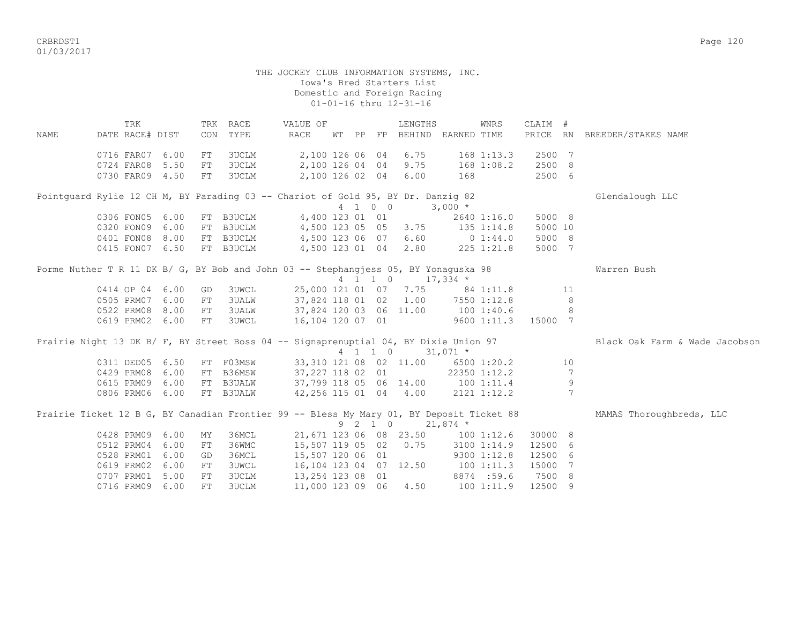CRBRDST1 Page 120 01/03/2017

> THE JOCKEY CLUB INFORMATION SYSTEMS, INC. Iowa's Bred Starters List Domestic and Foreign Racing 01-01-16 thru 12-31-16

TRK TRK RACE VALUE OF TENGTHS WINRS CLAIM # NAME DATE RACE# DIST CON TYPE RACE WT PP FP BEHIND EARNED TIME PRICE RN BREEDER/STAKES NAME 0716 FAR07 6.00 FT 3UCLM 2,100 126 06 04 6.75 168 1:13.3 2500 7 0724 FAR08 5.50 FT 3UCLM 2,100 126 04 04 9.75 168 1:08.2 2500 8 0730 FAR09 4.50 FT 3UCLM 2,100 126 02 04 6.00 168 2500 6 Pointguard Rylie 12 CH M, BY Parading 03 -- Chariot of Gold 95, BY Dr. Danzig 82 Glendalough LLC 4 1 0 0 3,000 \* 0306 FON05 6.00 FT B3UCLM 4,400 123 01 01 2640 1:16.0 5000 8<br>0320 FON09 6.00 FT B3UCLM 4,500 123 05 05 3.75 135 1:14.8 5000 10 0320 FON09 6.00 FT B3UCLM 4,500 123 05 05 3.75 135 1:14.8 5000 10 0401 FON08 8.00 FT B3UCLM 4,500 123 06 07 6.60 0 1:44.0 5000 8 0415 FON07 6.50 FT B3UCLM 4,500 123 01 04 2.80 225 1:21.8 5000 7 Porme Nuther T R 11 DK B/ G, BY Bob and John 03 -- Stephangjess 05, BY Yonaguska 98 Warren Bush 4 1 1 0 17,334 \* 0414 OP 04 6.00 GD 3UWCL 25,000 121 01 07 7.75 84 1:11.8 11 0505 PRM07 6.00 FT 3UALW 37,824 118 01 02 1.00 7550 1:12.8 8 0522 PRM08 8.00 FT 3UALW 37,824 120 03 06 11.00 100 1:40.6 8 0619 PRM02 6.00 FT 3UWCL 16,104 120 07 01 9600 1:11.3 15000 7 Prairie Night 13 DK B/ F, BY Street Boss 04 -- Signaprenuptial 04, BY Dixie Union 97 Black Oak Farm & Wade Jacobson 4 1 1 0 31,071 \*<br>0311 DED05 6.50 FT F03MSW 33,310 121 08 02 11.00 6500 033,310 121 08 02 11.00 6500 1:20.2 10 0429 PRM08 6.00 FT B36MSW 37,227 118 02 01 22350 1:12.2 7 0615 PRM09 6.00 FT B3UALW 37,799 118 05 06 14.00 100 1:11.4 9 0806 PRM06 6.00 FT B3UALW 42,256 115 01 04 4.00 2121 1:12.2 7 Prairie Ticket 12 B G, BY Canadian Frontier 99 -- Bless My Mary 01, BY Deposit Ticket 88 MAMAS Thoroughbreds, LLC 9 2 1 0 21,874 \* 0428 PRM09 6.00 MY 36MCL 21,671 123 06 08 23.50 100 1:12.6 30000 8 0512 PRM04 6.00 FT 36WMC 15,507 119 05 02 0.75 3100 1:14.9 12500 6 0528 PRM01 6.00 GD 36MCL 15,507 120 06 01 9300 1:12.8 12500 6 0619 PRM02 6.00 FT 3UWCL 16,104 123 04 07 12.50 100 1:11.3 15000 7 0707 PRM01 5.00 FT 3UCLM 13, 254 123 08 01 8874 :59.6 7500 8 0716 PRM09 6.00 FT 3UCLM 11,000 123 09 06 4.50 100 1:11.9 12500 9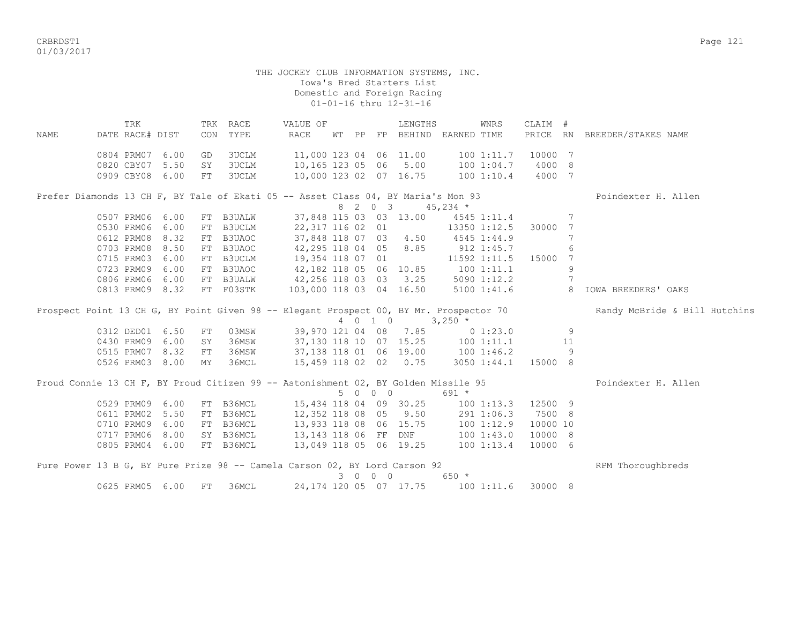CRBRDST1 Page 121 01/03/2017

 TRK TRK RACE VALUE OF LENGTHS WNRS CLAIM # NAME DATE RACE# DIST CON TYPE RACE WT PP FP BEHIND EARNED TIME PRICE RN BREEDER/STAKES NAME 0804 PRM07 6.00 GD 3UCLM 11,000 123 04 06 11.00 100 1:11.7 10000 7 0820 CBY07 5.50 SY 3UCLM 10,165 123 05 06 5.00 100 1:04.7 4000 8 0909 CBY08 6.00 FT 3UCLM 10,000 123 02 07 16.75 100 1:10.4 4000 7 Prefer Diamonds 13 CH F, BY Tale of Ekati 05 -- Asset Class 04, BY Maria's Mon 93 Poindexter H. Allen  $8$  2 0 3 45,234 \*<br>37,848 115 03 03 13.00 4545 1:11.4 0507 PRM06 6.00 FT B3UALW 37,848 115 03 03 13.00 4545 1:11.4 7 0530 PRM06 6.00 FT B3UCLM 22,317 116 02 01 13350 1:12.5 30000 7 0612 PRM08 8.32 FT B3UAOC 37,848 118 07 03 4.50 4545 1:44.9 7 0703 PRM08 8.50 FT B3UAOC 42,295 118 04 05 8.85 912 1:45.7 6 0715 PRM03 6.00 FT B3UCLM 19,354 118 07 01 11592 1:11.5 15000 7 0723 PRM09 6.00 FT B3UAOC 42,182 118 05 06 10.85 100 1:11.1 9 0806 PRM06 6.00 FT B3UALW 42,256 118 03 03 3.25 5090 1:12.2 7 0813 PRM09 8.32 FT F03STK 103,000 118 03 04 16.50 5100 1:41.6 8 IOWA BREEDERS' OAKS Prospect Point 13 CH G, BY Point Given 98 -- Elegant Prospect 00, BY Mr. Prospector 70 Randy McBride & Bill Hutchins 4 0 1 0 3,250 \* 0312 DED01 6.50 FT 03MSW 39,970 121 04 08 7.85 0 1:23.0 9<br>0430 PRM09 6.00 SY 36MSW 37,130 118 10 07 15.25 100 1:11.1 11 0430 PRM09 6.00 SY 36MSW 37,130 118 10 07 15.25 100 1:11.1 11 0515 PRM07 8.32 FT 36MSW 37,138 118 01 06 19.00 100 1:46.2 9 0526 PRM03 8.00 MY 36MCL 15,459 118 02 02 0.75 3050 1:44.1 15000 8 Proud Connie 13 CH F, BY Proud Citizen 99 -- Astonishment 02, BY Golden Missile 95 Poindexter H. Allen 5 0 0 0 691 \* 0529 PRM09 6.00 FT B36MCL 15,434 118 04 09 30.25 100 1:13.3 12500 9 0611 PRM02 5.50 FT B36MCL 12,352 118 08 05 9.50 291 1:06.3 7500 8 0710 PRM09 6.00 FT B36MCL 13,933 118 08 06 15.75 100 1:12.9 10000 10 0717 PRM06 8.00 SY B36MCL 13,143 118 06 FF DNF 100 1:43.0 10000 8 0805 PRM04 6.00 FT B36MCL 13,049 118 05 06 19.25 100 1:13.4 10000 6 Pure Power 13 B G, BY Pure Prize 98 -- Camela Carson 02, BY Lord Carson 92 RPM Thoroughbreds 3 0 0 0 650 \* 0625 PRM05 6.00 FT 36MCL 24,174 120 05 07 17.75 100 1:11.6 30000 8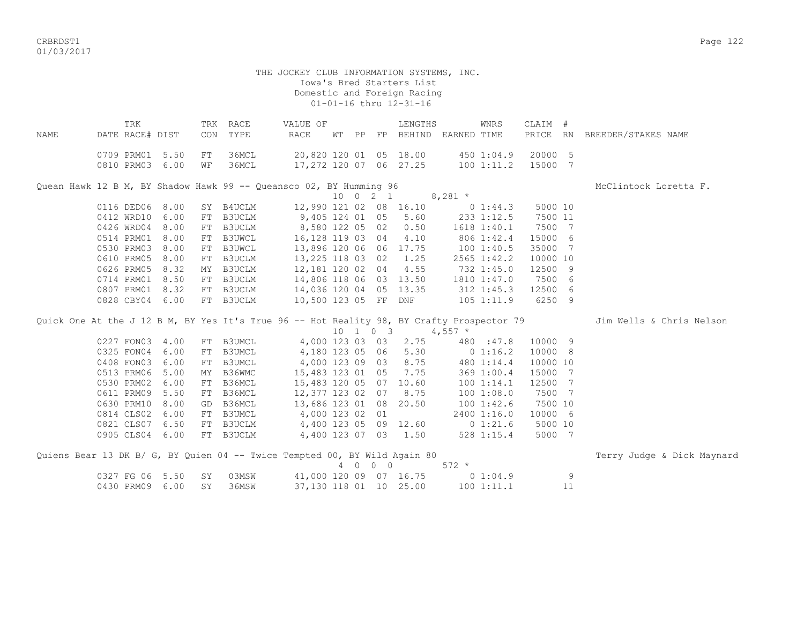CRBRDST1 Page 122 01/03/2017

| NAME                                                               | TRK<br>DATE RACE# DIST   |              | CON      | TRK RACE<br>TYPE | VALUE OF<br>RACE                                 |  |                              | LENGTHS<br>WT PP FP BEHIND EARNED TIME |             | WNRS                    | CLAIM #<br>PRICE   | <b>RN</b> | BREEDER/STAKES NAME                                                                                                |
|--------------------------------------------------------------------|--------------------------|--------------|----------|------------------|--------------------------------------------------|--|------------------------------|----------------------------------------|-------------|-------------------------|--------------------|-----------|--------------------------------------------------------------------------------------------------------------------|
|                                                                    | 0709 PRM01<br>0810 PRM03 | 5.50<br>6.00 | FT<br>WF | 36MCL<br>36MCL   | 20,820 120 01 05 18.00<br>17,272 120 07 06 27.25 |  |                              |                                        |             | 450 1:04.9<br>1001:11.2 | 20000 5<br>15000 7 |           |                                                                                                                    |
| Quean Hawk 12 B M, BY Shadow Hawk 99 -- Queansco 02, BY Humming 96 |                          |              |          |                  |                                                  |  |                              |                                        |             |                         |                    |           | McClintock Loretta F.                                                                                              |
|                                                                    |                          |              |          |                  |                                                  |  | $10 \t 0 \t 2 \t 1$          |                                        | $8,281$ *   |                         |                    |           |                                                                                                                    |
|                                                                    | 0116 DED06               | 8.00         | SY       | B4UCLM           | 12,990 121 02 08 16.10                           |  |                              |                                        |             | $0\;1:44.3$             | 5000 10            |           |                                                                                                                    |
|                                                                    | 0412 WRD10               | 6.00         | FT       | B3UCLM           | 9,405 124 01 05                                  |  |                              | 5.60                                   | 233 1:12.5  |                         | 7500 11            |           |                                                                                                                    |
|                                                                    | 0426 WRD04               | 8.00         | FT       | B3UCLM           | 8,580 122 05 02                                  |  |                              | 0.50                                   | 1618 1:40.1 |                         | 7500 7             |           |                                                                                                                    |
|                                                                    | 0514 PRM01               | 8.00         | FT       | <b>B3UWCL</b>    | 16, 128 119 03 04                                |  |                              | 4.10                                   |             | 806 1:42.4              | 15000 6            |           |                                                                                                                    |
|                                                                    | 0530 PRM03               | 8.00         | FT       | <b>B3UWCL</b>    | 13,896 120 06 06                                 |  |                              | 17.75                                  | 1001:40.5   |                         | 35000              | 7         |                                                                                                                    |
|                                                                    | 0610 PRM05               | 8.00         | FT       | B3UCLM           | 13,225 118 03 02                                 |  |                              | 1.25                                   |             | 2565 1:42.2             | 10000 10           |           |                                                                                                                    |
|                                                                    | 0626 PRM05               | 8.32         | MY       | B3UCLM           | 12,181 120 02 04                                 |  |                              | 4.55                                   |             | 732 1:45.0              | 12500 9            |           |                                                                                                                    |
|                                                                    | 0714 PRM01               | 8.50         | FT       | B3UCLM           | 14,806 118 06 03 13.50                           |  |                              |                                        | 1810 1:47.0 |                         | 7500 6             |           |                                                                                                                    |
|                                                                    | 0807 PRM01               | 8.32         |          | FT B3UCLM        | 14,036 120 04 05 13.35                           |  |                              |                                        |             | 312 1:45.3              | 12500 6            |           |                                                                                                                    |
|                                                                    | 0828 CBY04               | 6.00         | FT       | B3UCLM           | 10,500 123 05 FF                                 |  |                              | DNF                                    |             | $105$ $1:11.9$          | 6250 9             |           |                                                                                                                    |
|                                                                    |                          |              |          |                  |                                                  |  |                              |                                        |             |                         |                    |           | Quick One At the J 12 B M, BY Yes It's True 96 -- Hot Reality 98, BY Crafty Prospector 79 Jim Wells & Chris Nelson |
|                                                                    |                          |              |          |                  |                                                  |  | $10 \quad 1 \quad 0 \quad 3$ |                                        | $4,557$ *   |                         |                    |           |                                                                                                                    |
|                                                                    | 0227 FON03               | 4.00         | FT       | B3UMCL           | 4,000 123 03 03                                  |  |                              | 2.75                                   |             | 480 :47.8               | 10000 9            |           |                                                                                                                    |
|                                                                    | 0325 FON04               | 6.00         | FT       | <b>B3UMCL</b>    | 4,180 123 05 06                                  |  |                              | 5.30                                   | 0 1:16.2    |                         | 10000 8            |           |                                                                                                                    |
|                                                                    | 0408 FON03               | 6.00         | FT       | B3UMCL           | 4,000 123 09 03                                  |  |                              | 8.75                                   |             | 480 1:14.4              | 10000 10           |           |                                                                                                                    |
|                                                                    | 0513 PRM06               | 5.00         | МY       | B36WMC           | 15,483 123 01 05                                 |  |                              | 7.75                                   |             | 369 1:00.4              | 15000 7            |           |                                                                                                                    |
|                                                                    | 0530 PRM02               | 6.00         | FT       | B36MCL           | 15,483 120 05 07                                 |  |                              | 10.60                                  |             | 1001:14.1               | 12500 7            |           |                                                                                                                    |
|                                                                    | 0611 PRM09               | 5.50         | FT       | B36MCL           | 12,377 123 02 07                                 |  |                              | 8.75                                   |             | 1001:08.0               | 7500 7             |           |                                                                                                                    |
|                                                                    | 0630 PRM10               | 8.00         | GD       | B36MCL           | 13,686 123 01 08                                 |  |                              | 20.50                                  |             | 1001:42.6               | 7500 10            |           |                                                                                                                    |
|                                                                    | 0814 CLS02               | 6.00         | FT       | B3UMCL           | 4,000 123 02 01                                  |  |                              |                                        |             | 2400 1:16.0             | 10000 6            |           |                                                                                                                    |
|                                                                    | 0821 CLS07               | 6.50         | FT       | B3UCLM           | 4,400 123 05 09 12.60                            |  |                              |                                        |             | $0\;1:21.6$             | 5000 10            |           |                                                                                                                    |
|                                                                    | 0905 CLS04               | 6.00         | FT       | B3UCLM           | 4,400 123 07                                     |  | 03                           | 1.50                                   |             | 528 1:15.4              | 5000 7             |           |                                                                                                                    |
|                                                                    |                          |              |          |                  |                                                  |  |                              |                                        |             |                         |                    |           |                                                                                                                    |

| Quiens Bear 13 DK B/ G, BY Quien 04 -- Twice Tempted 00, BY Wild Again 80 |                          |  |                        |  |  |       |            |          | Terry Judge & Dick Maynard |  |
|---------------------------------------------------------------------------|--------------------------|--|------------------------|--|--|-------|------------|----------|----------------------------|--|
|                                                                           |                          |  |                        |  |  | 572 * |            |          |                            |  |
|                                                                           | 0327 FG 06 5.50 SY 03MSW |  | 41,000 120 09 07 16.75 |  |  |       | 0 1:04.9   | <b>Q</b> |                            |  |
|                                                                           | 0430 PRM09 6.00 SY 36MSW |  | 37,130 118 01 10 25.00 |  |  |       | 100 1:11.1 |          |                            |  |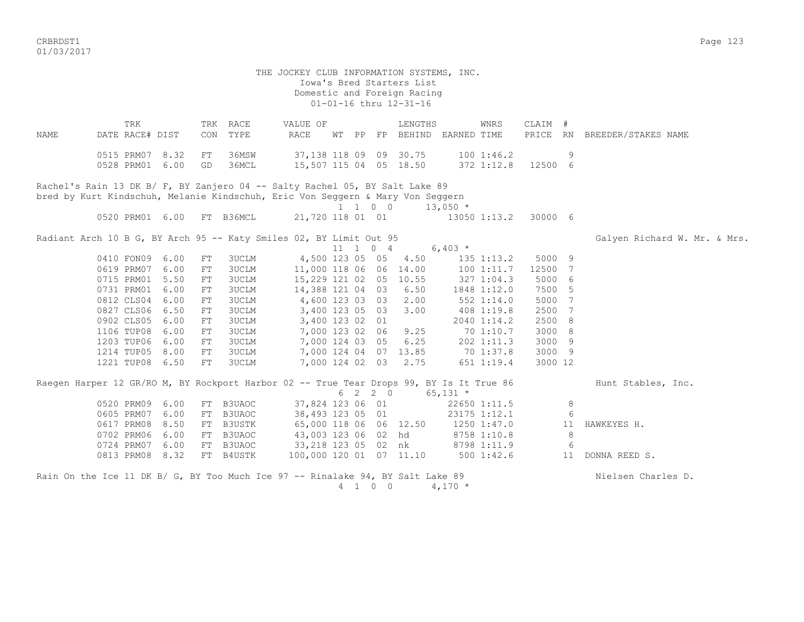CRBRDST1 Page 123 01/03/2017

 THE JOCKEY CLUB INFORMATION SYSTEMS, INC. Iowa's Bred Starters List Domestic and Foreign Racing 01-01-16 thru 12-31-16 TRK TRK RACE VALUE OF LENGTHS WNRS CLAIM # NAME DATE RACE# DIST CON TYPE RACE WT PP FP BEHIND EARNED TIME PRICE RN BREEDER/STAKES NAME 0515 PRM07 8.32 FT 36MSW 37,138 118 09 09 30.75 100 1:46.2 9 0528 PRM01 6.00 GD 36MCL 15,507 115 04 05 18.50 372 1:12.8 12500 6 Rachel's Rain 13 DK B/ F, BY Zanjero 04 -- Salty Rachel 05, BY Salt Lake 89 bred by Kurt Kindschuh, Melanie Kindschuh, Eric Von Seggern & Mary Von Seggern  $1 \quad 1 \quad 0 \quad 0 \quad 13,050 \quad *$  0520 PRM01 6.00 FT B36MCL 21,720 118 01 01 13050 1:13.2 30000 6 Radiant Arch 10 B G, BY Arch 95 -- Katy Smiles 02, BY Limit Out 95 Galyen Richard W. Mr. & Mrs. & Mrs. 11 1 0 4 6,403  $*$ 0410 FON09 6.00 FT 3UCLM 4,500 123 05 05 4.50 135 1:13.2 5000 9 0619 PRM07 6.00 FT 3UCLM 11,000 118 06 06 14.00 100 1:11.7 12500 7 0715 PRM01 5.50 FT 3UCLM 15,229 121 02 05 10.55 327 1:04.3 5000 6 0731 PRM01 6.00 FT 3UCLM 14,388 121 04 03 6.50 1848 1:12.0 7500 5 0812 CLS04 6.00 FT 3UCLM 4,600 123 03 03 2.00 552 1:14.0 5000 7 0827 CLS06 6.50 FT 3UCLM 3,400 123 05 03 3.00 408 1:19.8 2500 7 0902 CLS05 6.00 FT 3UCLM 3,400 123 02 01 2040 1:14.2 2500 8<br>1106 TUP08 6.00 FT 3UCLM 7,000 123 02 06 9.25 70 1:10.7 3000 8 1106 TUP08 6.00 FT 3UCLM 7,000 123 02 06 9.25 70 1:10.7 3000 8 1203 TUP06 6.00 FT 3UCLM 7,000 124 03 05 6.25 202 1:11.3 3000 9 1214 TUP05 8.00 FT 3UCLM 7,000 124 04 07 13.85 70 1:37.8 3000 9 1221 TUP08 6.50 FT 3UCLM 7,000 124 02 03 2.75 651 1:19.4 3000 12 Raegen Harper 12 GR/RO M, BY Rockport Harbor 02 -- True Tear Drops 99, BY Is It True 86 Hunt Stables, Inc.  $6 \quad 2 \quad 2 \quad 0 \quad 65.131 \quad ^{\star}$ 0520 PRM09 6.00 FT B3UAOC 37,824 123 06 01 22650 1:11.5 8<br>0605 PRM07 6.00 FT B3UAOC 38,493 123 05 01 23175 1:12.1 6 0605 PRM07 6.00 FT B3UAOC 38,493 123 05 01 23175 1:12.1 6 0617 PRM08 8.50 FT B3USTK 65,000 118 06 06 12.50 1250 1:47.0 11 HAWKEYES H. 0702 PRM06 6.00 FT B3UAOC 43,003 123 06 02 hd 8758 1:10.8 8 0724 PRM07 6.00 FT B3UAOC 33,218 123 05 02 nk 8798 1:11.9 6 0813 PRM08 8.32 FT B4USTK 100,000 120 01 07 11.10 500 1:42.6 11 DONNA REED S. Rain On the Ice 11 DK B/ G, BY Too Much Ice 97 -- Rinalake 94, BY Salt Lake 89 Nuelsen Charles D. 4 1 0 0 4,170 \*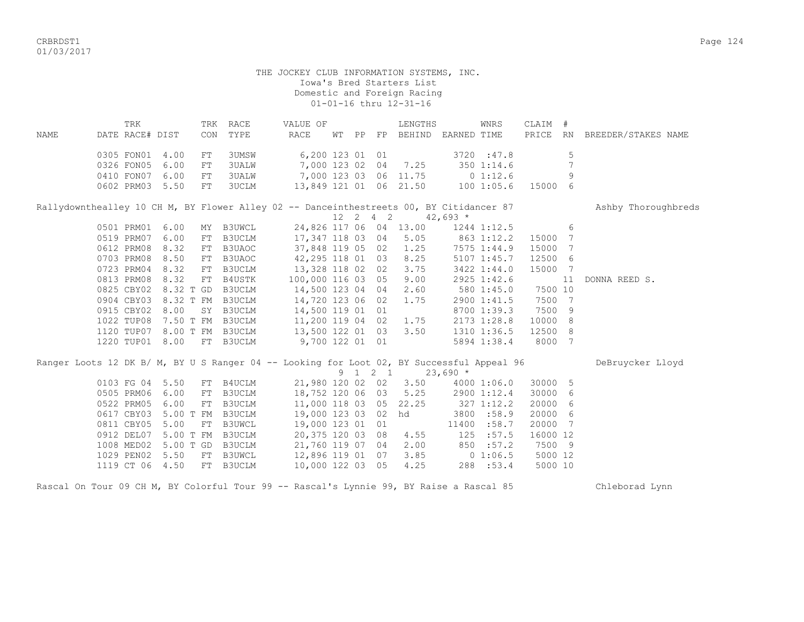CRBRDST1 Page 124 01/03/2017

|      | TRK             |                             |            | TRK RACE                                                                                  | VALUE OF              |    |    |                  | LENGTHS                |            | WNRS         | CLAIM #  |    |                        |
|------|-----------------|-----------------------------|------------|-------------------------------------------------------------------------------------------|-----------------------|----|----|------------------|------------------------|------------|--------------|----------|----|------------------------|
| NAME | DATE RACE# DIST |                             | CON        | TYPE                                                                                      | <b>RACE</b>           | WТ | PP |                  | FP BEHIND EARNED TIME  |            |              | PRICE    |    | RN BREEDER/STAKES NAME |
|      | 0305 FON01      | 4.00                        | FT         | 3UMSW                                                                                     | 6,200 123 01 01       |    |    |                  |                        |            | 3720 : 47.8  |          | 5  |                        |
|      | 0326 FON05      | 6.00                        | FT         | <b>3UALW</b>                                                                              |                       |    |    |                  | 7,000 123 02 04 7.25   |            | 3501:14.6    |          | 7  |                        |
|      | 0410 FON07 6.00 |                             | FT         | <b>3UALW</b>                                                                              | 7,000 123 03 06 11.75 |    |    |                  |                        |            | $0\;1:12.6$  |          | 9  |                        |
|      | 0602 PRM03      | 5.50                        | FT         | 3UCLM                                                                                     |                       |    |    |                  | 13,849 121 01 06 21.50 |            | 1001:05.6    | 15000 6  |    |                        |
|      |                 |                             |            |                                                                                           |                       |    |    |                  |                        |            |              |          |    |                        |
|      |                 |                             |            | Rallydownthealley 10 CH M, BY Flower Alley 02 -- Danceinthestreets 00, BY Citidancer 87   |                       |    |    |                  |                        |            |              |          |    | Ashby Thoroughbreds    |
|      |                 |                             |            |                                                                                           |                       |    |    | $12 \t2 \t4 \t2$ |                        | $42,693$ * |              |          |    |                        |
|      | 0501 PRM01      | 6.00                        |            | MY B3UWCL                                                                                 |                       |    |    |                  | 24,826 117 06 04 13.00 |            | 1244 1:12.5  |          | 6  |                        |
|      | 0519 PRM07 6.00 |                             | FT         | B3UCLM                                                                                    | 17,347 118 03 04      |    |    |                  | 5.05                   |            | $863$ 1:12.2 | 15000    | 7  |                        |
|      | 0612 PRM08      | 8.32                        | FT         | B3UAOC                                                                                    | 37,848 119 05 02      |    |    |                  | 1.25                   |            | 7575 1:44.9  | 15000    | 7  |                        |
|      | 0703 PRM08      | 8.50                        | FT         | B3UAOC                                                                                    | 42,295 118 01 03      |    |    |                  | 8.25                   |            | 5107 1:45.7  | 12500    | 6  |                        |
|      | 0723 PRM04      | 8.32                        | FT         | B3UCLM                                                                                    | 13,328 118 02 02      |    |    |                  | 3.75                   |            | 3422 1:44.0  | 15000 7  |    |                        |
|      | 0813 PRM08      | 8.32                        | ${\rm FT}$ | B4USTK                                                                                    | 100,000 116 03 05     |    |    |                  | 9.00                   |            | 2925 1:42.6  |          | 11 | DONNA REED S.          |
|      | 0825 CBY02      | 8.32 T GD                   |            | B3UCLM                                                                                    | 14,500 123 04 04      |    |    |                  | 2.60                   |            | 580 1:45.0   | 7500 10  |    |                        |
|      | 0904 CBY03      |                             |            | 8.32 T FM B3UCLM                                                                          | 14,720 123 06 02      |    |    |                  | 1.75                   |            | 2900 1:41.5  | 7500 7   |    |                        |
|      | 0915 CBY02      | 8.00                        |            | SY B3UCLM                                                                                 | 14,500 119 01 01      |    |    |                  |                        |            | 8700 1:39.3  | 7500     | 9  |                        |
|      | 1022 TUP08      |                             |            | 7.50 T FM B3UCLM                                                                          | 11,200 119 04 02      |    |    |                  | 1.75                   |            | 2173 1:28.8  | 10000    | 8  |                        |
|      |                 | 1120 TUP07 8.00 T FM B3UCLM |            |                                                                                           | 13,500 122 01 03      |    |    |                  | 3.50                   |            | 1310 1:36.5  | 12500 8  |    |                        |
|      | 1220 TUP01 8.00 |                             |            | FT B3UCLM                                                                                 | 9,700 122 01 01       |    |    |                  |                        |            | 5894 1:38.4  | 8000 7   |    |                        |
|      |                 |                             |            |                                                                                           |                       |    |    |                  |                        |            |              |          |    |                        |
|      |                 |                             |            | Ranger Loots 12 DK B/ M, BY U S Ranger 04 -- Looking for Loot 02, BY Successful Appeal 96 |                       |    |    |                  |                        |            |              |          |    | DeBruycker Lloyd       |
|      |                 |                             |            |                                                                                           |                       |    |    | 9 1 2 1          |                        | $23,690*$  |              |          |    |                        |
|      | 0103 FG 04      | 5.50                        |            | FT B4UCLM                                                                                 | 21,980 120 02 02      |    |    |                  | 3.50                   |            | 4000 1:06.0  | 30000    | 5  |                        |
|      | 0505 PRM06      | 6.00                        | ${\rm FT}$ | <b>B3UCLM</b>                                                                             | 18,752 120 06 03      |    |    |                  | 5.25                   |            | 2900 1:12.4  | 30000    | 6  |                        |
|      | 0522 PRM05      | 6.00                        | FT         | B3UCLM                                                                                    | 11,000 118 03 05      |    |    |                  | 22.25                  |            | 3271:12.2    | 20000    | 6  |                        |
|      | 0617 CBY03      | 5.00 T FM                   |            | <b>B3UCLM</b>                                                                             | 19,000 123 03 02      |    |    |                  | hd                     |            | 3800 :58.9   | 20000 6  |    |                        |
|      | 0811 CBY05      | 5.00                        |            | FT B3UWCL                                                                                 | 19,000 123 01 01      |    |    |                  |                        |            | 11400 :58.7  | 20000 7  |    |                        |
|      | 0912 DEL07      |                             |            | 5.00 T FM B3UCLM                                                                          | 20,375 120 03 08      |    |    |                  | 4.55                   | 125        | :57.5        | 16000 12 |    |                        |
|      | 1008 MED02      | 5.00 T GD                   |            | B3UCLM                                                                                    | 21,760 119 07 04      |    |    |                  | 2.00                   | 850        | :57.2        | 7500 9   |    |                        |
|      | 1029 PEN02      | 5.50                        | FT         | B3UWCL                                                                                    | 12,896 119 01 07      |    |    |                  | 3.85                   |            | $0\;1:06.5$  | 5000 12  |    |                        |
|      | 1119 CT 06      | 4.50                        | FT         | B3UCLM                                                                                    | 10,000 122 03 05      |    |    |                  | 4.25                   |            | 288 :53.4    | 5000 10  |    |                        |

Rascal On Tour 09 CH M, BY Colorful Tour 99 -- Rascal's Lynnie 99, BY Raise a Rascal 85 Chleborad Lynn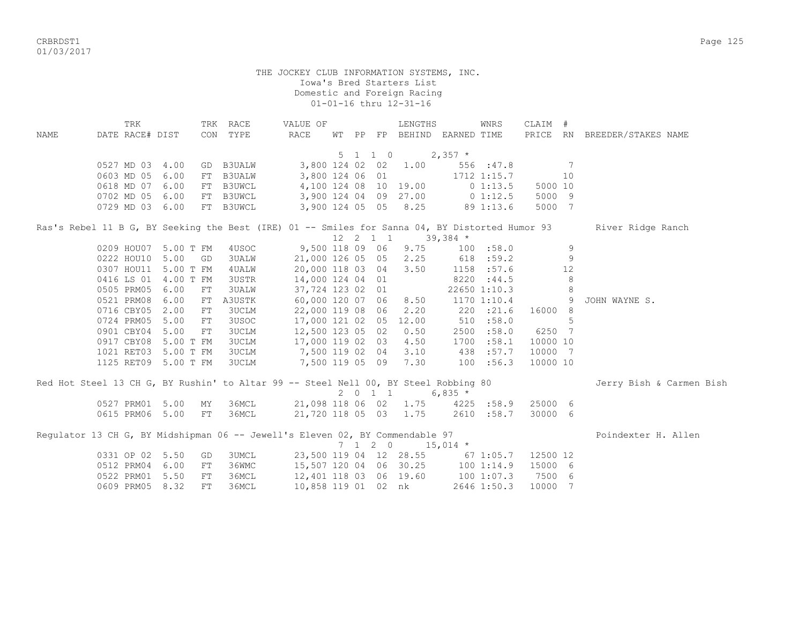01/03/2017

|      | TRK                                                                                            |           |    | TRK RACE     | VALUE OF              |  |                    | LENGTHS                          |            | WNRS            | CLAIM #                                                    |    |                              |
|------|------------------------------------------------------------------------------------------------|-----------|----|--------------|-----------------------|--|--------------------|----------------------------------|------------|-----------------|------------------------------------------------------------|----|------------------------------|
| NAME | DATE RACE# DIST                                                                                |           |    | CON TYPE     | RACE                  |  |                    | WT PP FP BEHIND EARNED TIME      |            |                 |                                                            |    | PRICE RN BREEDER/STAKES NAME |
|      |                                                                                                |           |    |              |                       |  |                    |                                  |            |                 |                                                            |    |                              |
|      |                                                                                                |           |    |              |                       |  | $5 \t1 \t1 \t0$    |                                  | $2,357$ *  |                 |                                                            |    |                              |
|      | 0527 MD 03 4.00                                                                                |           |    | GD B3UALW    | 3,800 124 02 02 1.00  |  |                    |                                  |            | 556 :47.8       |                                                            | 7  |                              |
|      | 0603 MD 05                                                                                     | 6.00      |    | FT B3UALW    | 3,800 124 06 01       |  |                    |                                  |            | 1712 1:15.7     |                                                            | 10 |                              |
|      | 0618 MD 07                                                                                     | 6.00      |    | FT B3UWCL    | 4,100 124 08 10 19.00 |  |                    |                                  |            | 01:13.5         | 5000 10                                                    |    |                              |
|      | 0702 MD 05                                                                                     | 6.00      |    | FT B3UWCL    | 3,900 124 04 09 27.00 |  |                    |                                  |            | 0 1:12.5        | 5000 9                                                     |    |                              |
|      | 0729 MD 03 6.00                                                                                |           |    | FT B3UWCL    |                       |  |                    | 3,900 124 05 05 8.25             | 89 1:13.6  |                 | 5000 7                                                     |    |                              |
|      | Ras's Rebel 11 B G, BY Seeking the Best (IRE) 01 -- Smiles for Sanna 04, BY Distorted Humor 93 |           |    |              |                       |  |                    |                                  |            |                 |                                                            |    | River Ridge Ranch            |
|      |                                                                                                |           |    |              |                       |  | 12  2  1  1        | $39,384$ *                       |            |                 |                                                            |    |                              |
|      | 0209 HOU07 5.00 T FM                                                                           |           |    | 4USOC        | 9,500 118 09 06       |  |                    | 9.75                             |            | 100 : 58.0      |                                                            | 9  |                              |
|      | 0222 HOU10                                                                                     | 5.00      | GD | <b>3UALW</b> | 21,000 126 05 05      |  |                    | 2.25                             |            | 618 : 59.2      |                                                            | 9  |                              |
|      | 0307 HOU11                                                                                     | 5.00 T FM |    | 4 UALW       | 20,000 118 03 04      |  |                    | 3.50                             |            | 1158 :57.6      |                                                            | 12 |                              |
|      | 0416 LS 01                                                                                     | 4.00 T FM |    | 3USTR        | 14,000 124 04 01      |  |                    |                                  |            | 8220 :44.5      |                                                            | 8  |                              |
|      | 0505 PRM05                                                                                     | 6.00      | FT | <b>3UALW</b> | 37,724 123 02 01      |  |                    |                                  |            | 22650 1:10.3    |                                                            | 8  |                              |
|      | 0521 PRM08                                                                                     | 6.00      | FT | A3USTK       | 60,000 120 07 06      |  |                    | 8.50                             |            | $1170$ $1:10.4$ | $\sim$ 0.000 $\sim$ 0.000 $\sim$ 0.000 $\sim$ 0.000 $\sim$ |    | JOHN WAYNE S.                |
|      | 0716 CBY05                                                                                     | 2.00      | FT | <b>3UCLM</b> | 22,000 119 08 06      |  |                    | 2.20                             |            | 220 : 21.6      | 16000 8                                                    |    |                              |
|      | 0724 PRM05                                                                                     | 5.00      | FT | 3USOC        | 17,000 121 02 05      |  |                    | 12.00                            |            | 510 : 58.0      |                                                            | 5  |                              |
|      | 0901 CBY04                                                                                     | 5.00      | FT | <b>3UCLM</b> | 12,500 123 05 02      |  |                    | 0.50                             |            | 2500 :58.0      | 6250 7                                                     |    |                              |
|      | 0917 CBY08                                                                                     | 5.00 T FM |    | 3UCLM        | 17,000 119 02 03      |  |                    | 4.50                             |            | 1700 : 58.1     | 10000 10                                                   |    |                              |
|      | 1021 RET03 5.00 T FM                                                                           |           |    | 3UCLM        | 7,500 119 02 04       |  |                    | 3.10                             |            | 438 :57.7       | 10000 7                                                    |    |                              |
|      | 1125 RET09 5.00 T FM                                                                           |           |    | 3UCLM        | 7,500 119 05 09       |  |                    | 7.30                             |            | 100 : 56.3      | 10000 10                                                   |    |                              |
|      |                                                                                                |           |    |              |                       |  |                    |                                  |            |                 |                                                            |    |                              |
|      | Red Hot Steel 13 CH G, BY Rushin' to Altar 99 -- Steel Nell 00, BY Steel Robbing 80            |           |    |              |                       |  |                    |                                  |            |                 |                                                            |    | Jerry Bish & Carmen Bish     |
|      |                                                                                                |           |    |              |                       |  | $2 \t 0 \t 1 \t 1$ |                                  | 6,835 $*$  |                 |                                                            |    |                              |
|      | 0527 PRM01 5.00                                                                                |           | MY | 36MCL        |                       |  |                    | 21,098 118 06 02 1.75            |            | 4225 :58.9      | 25000 6                                                    |    |                              |
|      | 0615 PRM06 5.00                                                                                |           | FT | 36MCL        |                       |  |                    | 21,720 118 05 03 1.75            |            | 2610 :58.7      | 30000 6                                                    |    |                              |
|      | Regulator 13 CH G, BY Midshipman 06 -- Jewell's Eleven 02, BY Commendable 97                   |           |    |              |                       |  |                    |                                  |            |                 |                                                            |    | Poindexter H. Allen          |
|      |                                                                                                |           |    |              |                       |  | $7 \t1 \t2 \t0$    |                                  | $15,014$ * |                 |                                                            |    |                              |
|      | 0331 OP 02 5.50                                                                                |           | GD | 3UMCL        |                       |  |                    | 23,500 119 04 12 28.55 67 1:05.7 |            |                 | 12500 12                                                   |    |                              |
|      | 0512 PRM04                                                                                     | 6.00      | FT | 36WMC        |                       |  |                    | 15,507 120 04 06 30.25           |            | 1001:14.9       | 15000 6                                                    |    |                              |
|      | 0522 PRM01                                                                                     | 5.50      | FT | 36MCL        |                       |  |                    | 12,401 118 03 06 19.60           | 100 1:07.3 |                 | 7500 6                                                     |    |                              |
|      | 0609 PRM05 8.32                                                                                |           | FT | 36MCL        |                       |  |                    | 10,858 119 01 02 nk              |            | 2646 1:50.3     | 10000 7                                                    |    |                              |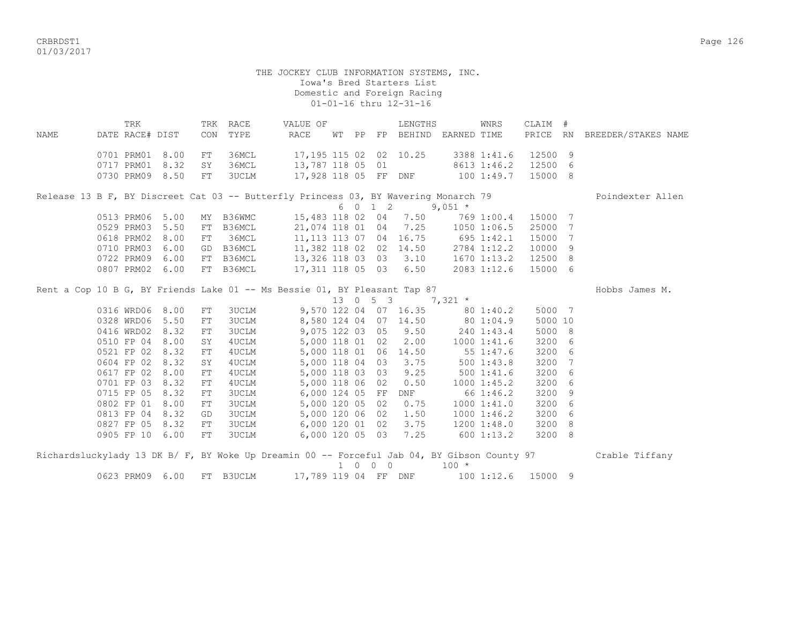CRBRDST1 Page 126 01/03/2017

## THE JOCKEY CLUB INFORMATION SYSTEMS, INC. Iowa's Bred Starters List Domestic and Foreign Racing 01-01-16 thru 12-31-16

TRK TRK RACE WALUE OF TRENGTHS WINRS CLAIM # NAME DATE RACE# DIST CON TYPE RACE WT PP FP BEHIND EARNED TIME PRICE RN BREEDER/STAKES NAME 0701 PRM01 8.00 FT 36MCL 17,195 115 02 02 10.25 3388 1:41.6 12500 9 0717 PRM01 8.32 SY 36MCL 13,787 118 05 01 8613 1:46.2 12500 6 0730 PRM09 8.50 FT 3UCLM 17,928 118 05 FF DNF 100 1:49.7 15000 8 Release 13 B F, BY Discreet Cat 03 -- Butterfly Princess 03, BY Wavering Monarch 79 Poindexter Allen  $6 \t 0 \t 1 \t 2 \t 9,051 \t \star$  0513 PRM06 5.00 MY B36WMC 15,483 118 02 04 7.50 769 1:00.4 15000 7 0529 PRM03 5.50 FT B36MCL 21,074 118 01 04 7.25 1050 1:06.5 25000 7 0618 PRM02 8.00 FT 36MCL 11,113 113 07 04 16.75 695 1:42.1 15000 7 0710 PRM03 6.00 GD B36MCL 11,382 118 02 02 14.50 2784 1:12.2 10000 9 0722 PRM09 6.00 FT B36MCL 13,326 118 03 03 3.10 1670 1:13.2 12500 8 0807 PRM02 6.00 FT B36MCL 17,311 118 05 03 6.50 2083 1:12.6 15000 6 Rent a Cop 10 B G, BY Friends Lake 01 -- Ms Bessie 01, BY Pleasant Tap 87 Hobbs James M. 13 0 5 3 7,321 \* 0316 WRD06 8.00 FT 3UCLM 9,570 122 04 07 16.35 80 1:40.2 5000 7 0328 WRD06 5.50 FT 3UCLM 8,580 124 04 07 14.50 80 1:04.9 5000 10 0416 WRD02 8.32 FT 3UCLM 9,075 122 03 05 9.50 240 1:43.4 5000 8 0510 FP 04 8.00 SY 4UCLM 5,000 118 01 02 2.00 1000 1:41.6 3200 6<br>0521 FP 02 8.32 FT 4UCLM 5,000 118 01 06 14.50 55 1:47.6 3200 6<br>0604 FP 02 8.32 SY 4UCLM 5,000 118 04 03 3.75 500 1:43.8 3200 7 0521 FP 02 8.32 FT 4UCLM 5,000 118 01 06 14.50 55 1:47.6 3200 6 0604 FP 02 8.32 SY 4UCLM 5,000 118 04 03 3.75 500 1:43.8 3200 7 0617 FP 02 8.00 FT 4UCLM 5,000 118 03 03 9.25 500 1:41.6 3200 6 0701 FP 03 8.32 FT 4UCLM 5,000 118 06 02 0.50 1000 1:45.2 3200 6 0715 FP 05 8.32 FT 3UCLM 6,000 124 05 FF DNF 66 1:46.2 3200 9 0802 FP 01 8.00 FT 3UCLM 5,000 120 05 02 0.75 1000 1:41.0 3200 6 0813 FP 04 8.32 GD 3UCLM 5,000 120 06 02 1.50 1000 1:46.2 3200 6 0827 FP 05 8.32 FT 3UCLM 6,000 120 01 02 3.75 1200 1:48.0 3200 8 0905 FP 10 6.00 FT 3UCLM 6,000 120 05 03 7.25 600 1:13.2 3200 8 Richardsluckylady 13 DK B/ F, BY Woke Up Dreamin 00 -- Forceful Jab 04, BY Gibson County 97 Crable Tiffany  $1 \t0 \t0 \t0$   $100 \t\times$ 

0623 PRM09 6.00 FT B3UCLM 17,789 119 04 FF DNF 100 1:12.6 15000 9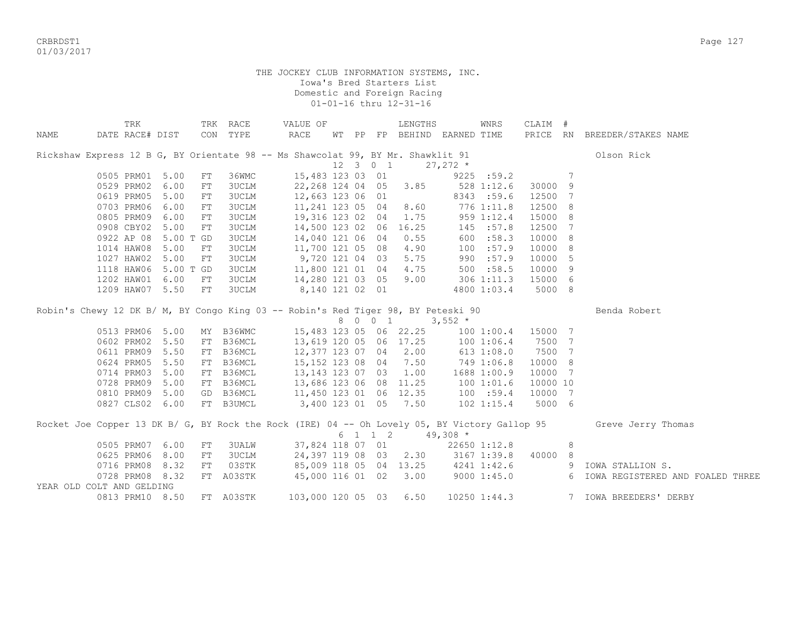CRBRDST1 Page 127 01/03/2017

|                           | TRK             |           |    | TRK RACE  | VALUE OF                                                                                      |  |           | LENGTHS                            |            | WNRS           | CLAIM #  |   |                                    |
|---------------------------|-----------------|-----------|----|-----------|-----------------------------------------------------------------------------------------------|--|-----------|------------------------------------|------------|----------------|----------|---|------------------------------------|
| NAME                      | DATE RACE# DIST |           |    | CON TYPE  | $\verb RACE $                                                                                 |  |           | WT PP FP BEHIND EARNED TIME        |            |                |          |   | PRICE RN BREEDER/STAKES NAME       |
|                           |                 |           |    |           |                                                                                               |  |           |                                    |            |                |          |   |                                    |
|                           |                 |           |    |           | Rickshaw Express 12 B G, BY Orientate 98 -- Ms Shawcolat 99, BY Mr. Shawklit 91               |  |           |                                    |            |                |          |   | Olson Rick                         |
|                           |                 |           |    |           |                                                                                               |  | 12 3 0 1  |                                    | $27,272$ * |                |          |   |                                    |
|                           | 0505 PRM01 5.00 |           | FT | 36WMC     | 15,483 123 03 01                                                                              |  |           |                                    |            | 9225 : 59.2    |          | 7 |                                    |
|                           | 0529 PRM02      | 6.00      | FT | 3UCLM     | 22,268 124 04 05 3.85                                                                         |  |           |                                    |            | 528 1:12.6     | 30000 9  |   |                                    |
|                           | 0619 PRM05      | 5.00      | FT | 3UCLM     | 12,663 123 06 01                                                                              |  |           |                                    |            | 8343 :59.6     | 12500 7  |   |                                    |
|                           | 0703 PRM06      | 6.00      | FT | 3UCLM     | 11,241 123 05 04                                                                              |  |           | 8.60                               |            | 776 1:11.8     | 12500 8  |   |                                    |
|                           | 0805 PRM09      | 6.00      | FT | 3UCLM     | 19,316 123 02 04                                                                              |  |           | 1.75                               |            | 959 1:12.4     | 15000 8  |   |                                    |
|                           | 0908 CBY02 5.00 |           | FT | 3UCLM     | 14,500 123 02 06 16.25                                                                        |  |           |                                    |            | 145 : 57.8     | 12500 7  |   |                                    |
|                           | 0922 AP 08      | 5.00 T GD |    | 3UCLM     | 14,040 121 06 04                                                                              |  |           | 0.55                               |            | 600 : 58.3     | 10000 8  |   |                                    |
|                           | 1014 HAW08      | 5.00      | FT | 3UCLM     | 11,700 121 05 08                                                                              |  |           | 4.90                               |            | 100 : 57.9     | 10000 8  |   |                                    |
|                           | 1027 HAW02      | 5.00      | FT | 3UCLM     | 9,720 121 04 03                                                                               |  |           | 5.75                               |            | 990 :57.9      | 10000    | 5 |                                    |
|                           | 1118 HAW06      | 5.00 T GD |    | 3UCLM     | 11,800 121 01 04                                                                              |  |           | 4.75                               |            | 500 : 58.5     | 10000 9  |   |                                    |
|                           | 1202 HAW01      | 6.00      | FT | 3UCLM     | 14,280 121 03 05                                                                              |  |           | 9.00                               |            | 306 1:11.3     | 15000 6  |   |                                    |
|                           | 1209 HAW07 5.50 |           | FT | 3UCLM     | 8,140 121 02 01                                                                               |  |           |                                    |            | 4800 1:03.4    | 5000 8   |   |                                    |
|                           |                 |           |    |           |                                                                                               |  |           |                                    |            |                |          |   |                                    |
|                           |                 |           |    |           | Robin's Chewy 12 DK B/ M, BY Congo King 03 -- Robin's Red Tiger 98, BY Peteski 90             |  |           |                                    |            |                |          |   | Benda Robert                       |
|                           |                 |           |    |           |                                                                                               |  | 8 0 0 1   |                                    | $3,552$ *  |                |          |   |                                    |
|                           | 0513 PRM06 5.00 |           |    | MY B36WMC |                                                                                               |  |           | 15,483 123 05 06 22.25             |            | 1001:00.4      | 15000 7  |   |                                    |
|                           | 0602 PRM02 5.50 |           |    | FT B36MCL | 13,619 120 05 06 17.25                                                                        |  |           |                                    |            | 1001:06.4      | 7500 7   |   |                                    |
|                           | 0611 PRM09      | 5.50      |    | FT B36MCL | 12,377 123 07 04 2.00                                                                         |  |           |                                    |            | 613 1:08.0     | 7500 7   |   |                                    |
|                           | 0624 PRM05      | 5.50      |    | FT B36MCL | 15,152 123 08 04 7.50                                                                         |  |           |                                    | 749 1:06.8 |                | 10000 8  |   |                                    |
|                           | 0714 PRM03      | 5.00      |    | FT B36MCL | 13,143 123 07 03 1.00                                                                         |  |           |                                    |            | 1688 1:00.9    | 10000 7  |   |                                    |
|                           | 0728 PRM09      | 5.00      |    | FT B36MCL | 13,686 123 06 08 11.25                                                                        |  |           |                                    | 100 1:01.6 |                | 10000 10 |   |                                    |
|                           | 0810 PRM09      | 5.00      |    | GD B36MCL | 11,450 123 01 06 12.35                                                                        |  |           |                                    | 100 : 59.4 |                | 10000 7  |   |                                    |
|                           | 0827 CLS02 6.00 |           |    | FT B3UMCL | 3,400 123 01 05 7.50                                                                          |  |           |                                    |            | $102$ $1:15.4$ | 5000 6   |   |                                    |
|                           |                 |           |    |           | Rocket Joe Copper 13 DK B/ G, BY Rock the Rock (IRE) 04 -- Oh Lovely 05, BY Victory Gallop 95 |  |           |                                    |            |                |          |   | Greve Jerry Thomas                 |
|                           |                 |           |    |           |                                                                                               |  | $6$ 1 1 2 |                                    | $49,308$ * |                |          |   |                                    |
|                           | 0505 PRM07 6.00 |           | FT | 3UALW     |                                                                                               |  |           | 37,824 118 07 01                   |            | 22650 1:12.8   |          | 8 |                                    |
|                           | 0625 PRM06      | 8.00      | FT | 3UCLM     |                                                                                               |  |           | 24, 397 119 08 03 2.30 3167 1:39.8 |            |                | 40000 8  |   |                                    |
|                           | 0716 PRM08      | 8.32      | FT | 03STK     | 85,009 118 05 04 13.25 4241 1:42.6                                                            |  |           |                                    |            |                |          |   | 9 IOWA STALLION S.                 |
|                           | 0728 PRM08      | 8.32      | FT | A03STK    | 45,000 116 01 02 3.00                                                                         |  |           |                                    |            | 90001:45.0     |          |   | 6 IOWA REGISTERED AND FOALED THREE |
| YEAR OLD COLT AND GELDING |                 |           |    |           |                                                                                               |  |           |                                    |            |                |          |   |                                    |
|                           | 0813 PRM10 8.50 |           |    | FT A03STK | 103,000 120 05 03                                                                             |  |           | 6.50                               |            | 10250 1:44.3   |          |   | 7 IOWA BREEDERS' DERBY             |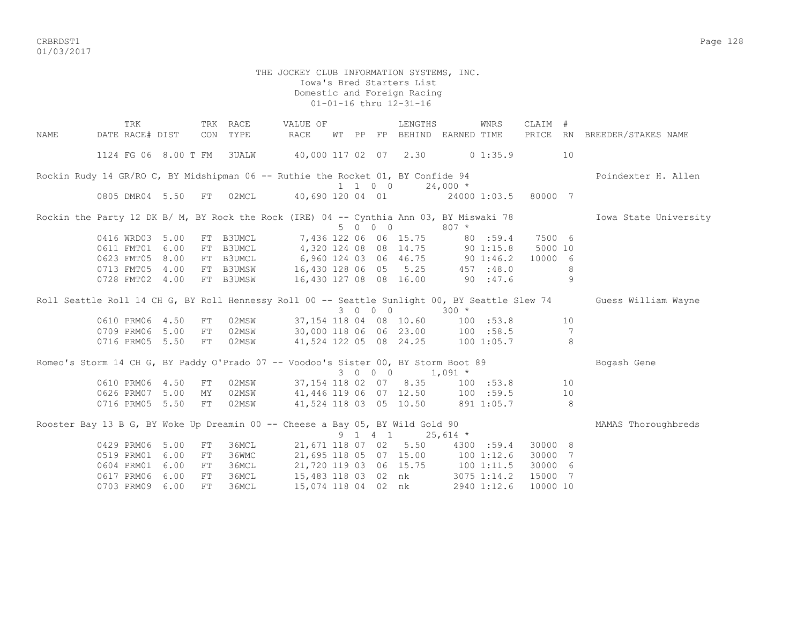CRBRDST1 Page 128 01/03/2017

## THE JOCKEY CLUB INFORMATION SYSTEMS, INC. Iowa's Bred Starters List Domestic and Foreign Racing 01-01-16 thru 12-31-16

TRK TRK RACE VALUE OF LENGTHS WNRS CLAIM # NAME DATE RACE# DIST CON TYPE RACE WT PP FP BEHIND EARNED TIME PRICE RN BREEDER/STAKES NAME 1124 FG 06 8.00 T FM 3UALW 40,000 117 02 07 2.30 0 1:35.9 10 Rockin Rudy 14 GR/RO C, BY Midshipman 06 -- Ruthie the Rocket 01, BY Confide 94 Poindexter H. Allen 1 1 0 0 24,000 \* 0805 DMR04 5.50 FT 02MCL 40,690 120 04 01 24000 1:03.5 80000 7 Rockin the Party 12 DK B/ M, BY Rock the Rock (IRE) 04 -- Cynthia Ann 03, BY Miswaki 78 Iowa State University 5 0 0 0 807 \* 0416 WRD03 5.00 FT B3UMCL 7,436 122 06 06 15.75 80 :59.4 7500 6 0611 FMT01 6.00 FT B3UMCL 4,320 124 08 08 14.75 90 1:15.8 5000 10<br>0623 FMT05 8.00 FT B3UMCL 6,960 124 03 06 46.75 90 1:46.2 10000 6 0623 FMT05 8.00 FT B3UMCL 6,960 124 03 06 46.75 90 1:46.2 10000 6 0713 FMT05 4.00 FT B3UMSW 16,430 128 06 05 5.25 457 :48.0 8 0728 FMT02 4.00 FT B3UMSW 16,430 127 08 08 16.00 90 :47.6 9 Roll Seattle Roll 14 CH G, BY Roll Hennessy Roll 00 -- Seattle Sunlight 00, BY Seattle Slew 74 Guess William Wayne 3 0 0 0 300 \* 0610 PRM06 4.50 FT 02MSW 37,154 118 04 08 10.60 100 :53.8 10 0709 PRM06 5.00 FT 02MSW 30,000 118 06 06 23.00 100 :58.5 7 0716 PRM05 5.50 FT 02MSW 41,524 122 05 08 24.25 100 1:05.7 8 Romeo's Storm 14 CH G, BY Paddy O'Prado 07 -- Voodoo's Sister 00, BY Storm Boot 89 Bogash Gene  $3 \t0 \t0 \t0 \t1.091$  \* 0610 PRM06 4.50 FT 02MSW 37,154 118 02 07 8.35 100 :53.8 10 0626 PRM07 5.00 MY 02MSW 41,446 119 06 07 12.50 100 :59.5 10 0716 PRM05 5.50 FT 02MSW 41,524 118 03 05 10.50 891 1:05.7 8 Rooster Bay 13 B G, BY Woke Up Dreamin 00 -- Cheese a Bay 05, BY Wild Gold 90 MAMAS Thoroughbreds 9 1 4 1 25,614 \* 0429 PRM06 5.00 FT 36MCL 21,671 118 07 02 5.50 4300 :59.4 30000 8 0519 PRM01 6.00 FT 36WMC 21,695 118 05 07 15.00 100 1:12.6 30000 7 0604 PRM01 6.00 FT 36MCL 21,720 119 03 06 15.75 100 1:11.5 30000 6 0617 PRM06 6.00 FT 36MCL 15,483 118 03 02 nk 3075 1:14.2 15000 7 0703 PRM09 6.00 FT 36MCL 15,074 118 04 02 nk 2940 1:12.6 10000 10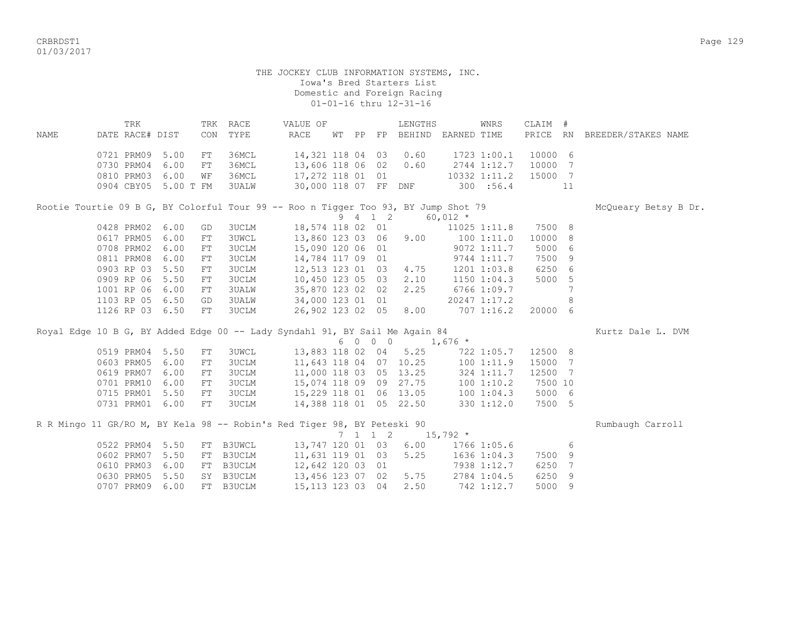CRBRDST1 Page 129 01/03/2017

## THE JOCKEY CLUB INFORMATION SYSTEMS, INC. Iowa's Bred Starters List Domestic and Foreign Racing 01-01-16 thru 12-31-16

| <b>NAME</b> | TRK<br>DATE RACE# DIST                                                             |           | CON        | TRK RACE<br>TYPE | VALUE OF<br><b>RACE</b> | WТ | PP FP   | LENGTHS<br>BEHIND EARNED TIME    |                 | WNRS                  | CLAIM<br>PRICE | #<br><b>RN</b> | BREEDER/STAKES NAME  |
|-------------|------------------------------------------------------------------------------------|-----------|------------|------------------|-------------------------|----|---------|----------------------------------|-----------------|-----------------------|----------------|----------------|----------------------|
|             | 0721 PRM09                                                                         | 5.00      | FT         | 36MCL            | 14,321 118 04 03 0.60   |    |         |                                  |                 | 1723 1:00.1           | 10000 6        |                |                      |
|             | 0730 PRM04                                                                         | 6.00      | FT         | 36MCL            | 13,606 118 06 02 0.60   |    |         |                                  |                 | 2744 1:12.7           | 10000          | 7              |                      |
|             | 0810 PRM03                                                                         | 6.00      | WF         | 36MCL            | 17,272 118 01 01        |    |         |                                  |                 | 10332 1:11.2          | 15000 7        |                |                      |
|             | 0904 CBY05                                                                         | 5.00 T FM |            | 3UALW            | 30,000 118 07 FF        |    |         | DNF                              | 300 : 56.4      |                       |                | 11             |                      |
|             | Rootie Tourtie 09 B G, BY Colorful Tour 99 -- Roo n Tigger Too 93, BY Jump Shot 79 |           |            |                  |                         |    |         |                                  |                 |                       |                |                | McQueary Betsy B Dr. |
|             |                                                                                    |           |            |                  |                         |    | 9 4 1 2 |                                  | $60,012$ *      |                       |                |                |                      |
|             | 0428 PRM02                                                                         | 6.00      | GD         | 3UCLM            |                         |    |         | 18,574 118 02 01                 |                 | 11025 1:11.8          | 7500 8         |                |                      |
|             | 0617 PRM05                                                                         | 6.00      | ${\rm FT}$ | <b>3UWCL</b>     |                         |    |         | 13,860 123 03 06 9.00 100 1:11.0 |                 |                       | 10000 8        |                |                      |
|             | 0708 PRM02                                                                         | 6.00      | ${\rm FT}$ | <b>3UCLM</b>     | 15,090 120 06 01        |    |         |                                  |                 | 9072 1:11.7           | 5000           | 6              |                      |
|             | 0811 PRM08                                                                         | 6.00      | FT         | 3UCLM            | 14,784 117 09 01        |    |         |                                  |                 | 9744 1:11.7           | 7500           | 9              |                      |
|             | 0903 RP 03                                                                         | 5.50      | ${\rm FT}$ | <b>3UCLM</b>     | 12,513 123 01 03 4.75   |    |         |                                  | $1201$ $1:03.8$ |                       | 6250 6         |                |                      |
|             | 0909 RP 06                                                                         | 5.50      | ${\rm FT}$ | <b>3UCLM</b>     | 10,450 123 05 03        |    |         | 2.10                             |                 | $1150$ $1:04.3$       | 5000           | 5              |                      |
|             | 1001 RP 06                                                                         | 6.00      | FT         | 3UALW            | 35,870 123 02 02        |    |         | 2.25                             |                 | 6766 1:09.7           |                |                |                      |
|             | 1103 RP 05                                                                         | 6.50      | GD         | 3UALW            | 34,000 123 01 01        |    |         |                                  |                 | 20247 1:17.2          |                | 8              |                      |
|             | 1126 RP 03                                                                         | 6.50      | FT         | 3UCLM            | 26,902 123 02 05        |    |         | 8.00                             |                 | 707 1:16.2            | 20000          | 6              |                      |
|             | Royal Edge 10 B G, BY Added Edge 00 -- Lady Syndahl 91, BY Sail Me Again 84        |           |            |                  |                         |    |         |                                  |                 |                       |                |                | Kurtz Dale L. DVM    |
|             |                                                                                    |           |            |                  |                         |    |         | $60001,676*$                     |                 |                       |                |                |                      |
|             | 0519 PRM04                                                                         | 5.50      | FT         | <b>3UWCL</b>     | 13,883 118 02 04        |    |         |                                  |                 | $5.25$ $722$ $1:05.7$ | 12500 8        |                |                      |
|             | 0603 PRM05                                                                         | 6.00      | FT         | 3UCLM            |                         |    |         | 11,643 118 04 07 10.25           |                 | 1001:11.9             | 15000          | 7              |                      |
|             | 0619 PRM07                                                                         | 6.00      | ${\rm FT}$ | <b>3UCLM</b>     | 11,000 118 03 05        |    |         | 13.25                            |                 | 324 1:11.7            | 12500          | $\overline{7}$ |                      |
|             | 0701 PRM10                                                                         | 6.00      | FT         | <b>3UCLM</b>     | 15,074 118 09 09 27.75  |    |         |                                  |                 | 100 1:10.2            | 7500 10        |                |                      |
|             | 0715 PRM01                                                                         | 5.50      | FT         | 3UCLM            | 15,229 118 01 06 13.05  |    |         |                                  |                 | 1001:04.3             | 5000 6         |                |                      |
|             | 0731 PRM01                                                                         | 6.00      | FT         | <b>3UCLM</b>     | 14,388 118 01 05 22.50  |    |         |                                  |                 | 330 1:12.0            | 7500 5         |                |                      |

R R Mingo 11 GR/RO M, BY Kela 98 -- Robin's Red Tiger 98, BY Peteski 90 Rumbaugh Carroll  $7 \quad 1 \quad 1 \quad 2 \quad 15,792 \quad ^{\star}$ 0522 PRM04 5.50 FT B3UWCL 13,747 120 01 03 6.00 1766 1:05.6 6<br>0602 PRM07 5.50 FT B3UCLM 11,631 119 01 03 5.25 1636 1:04.3 7500 9 0602 PRM07 5.50 FT B3UCLM 0610 PRM03 6.00 FT B3UCLM 12,642 120 03 01 7938 1:12.7 6250 7 0630 PRM05 5.50 SY B3UCLM 13,456 123 07 02 5.75 2784 1:04.5 6250 9 0707 PRM09 6.00 FT B3UCLM 15,113 123 03 04 2.50 742 1:12.7 5000 9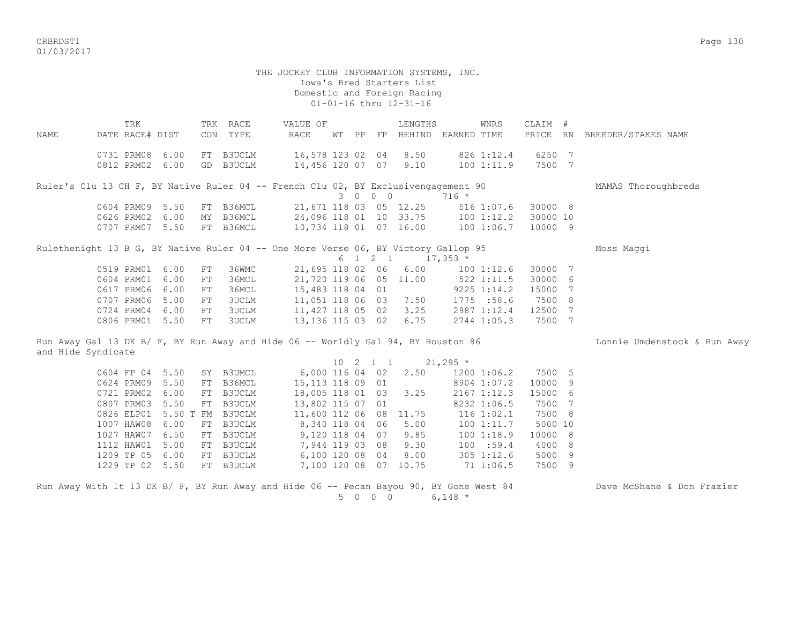CRBRDST1 Page 130 01/03/2017

## THE JOCKEY CLUB INFORMATION SYSTEMS, INC. Iowa's Bred Starters List Domestic and Foreign Racing 01-01-16 thru 12-31-16

TRK TRK RACE VALUE OF LENGTHS WNRS CLAIM # NAME DATE RACE# DIST CON TYPE RACE WT PP FP BEHIND EARNED TIME PRICE RN BREEDER/STAKES NAME 0731 PRM08 6.00 FT B3UCLM 16,578 123 02 04 8.50 826 1:12.4 6250 7 0812 PRM02 6.00 GD B3UCLM 14,456 120 07 07 9.10 100 1:11.9 7500 7 Ruler's Clu 13 CH F, BY Native Ruler 04 -- French Clu 02, BY Exclusivengagement 90 MAMAS Thoroughbreds 3 0 0 0 716 \* 0604 PRM09 5.50 FT B36MCL 21,671 118 03 05 12.25 516 1:07.6 30000 8 0626 PRM02 6.00 MY B36MCL 24,096 118 01 10 33.75 100 1:12.2 30000 10 0626 PRM02 6.00 MY B36MCL 24,096 118 01 10 33.73 1100 1:06.7 10000 9<br>0707 PRM07 5.50 FT B36MCL 10,734 118 01 07 16.00 100 1:06.7 10000 9 Rulethenight 13 B G, BY Native Ruler 04 -- One More Verse 06, BY Victory Gallop 95 Moss Maggi 6 1 2 1  $\overline{17,353}$  \* 0519 PRM01 6.00 FT 36WMC 21,695 118 02 06 6.00 100 1:12.6 30000 7 0604 PRM01 6.00 FT 36MCL 21,720 119 06 05 11.00 522 1:11.5 30000 6 0617 PRM06 6.00 FT 36MCL 15,483 118 04 01 9225 1:14.2 15000 7 0707 PRM06 5.00 FT 3UCLM 11,051 118 06 03 7.50 1775 :58.6 7500 8<br>0724 PRM04 6.00 FT 3UCLM 11,427 118 05 02 3.25 2987 1:12.4 12500 7 11,427 118 05 02 3.25 0806 PRM01 5.50 FT 3UCLM 13,136 115 03 02 6.75 2744 1:05.3 7500 7 Run Away Gal 13 DK B/ F, BY Run Away and Hide 06 -- Worldly Gal 94, BY Houston 86 Lonnie Umdenstock & Run Away

and Hide Syndicate  $10 \t2 \t1 \t1 \t21 \t21 \t265 \t$ 

|  |                 |      |                             |                       |  | TA TT |                      | -4 1 4 2 3 J                      |                 |         |  |
|--|-----------------|------|-----------------------------|-----------------------|--|-------|----------------------|-----------------------------------|-----------------|---------|--|
|  | 0604 FP 04 5.50 |      | SY B3UMCL                   | 6,000 116 04 02 2.50  |  |       |                      |                                   | 1200 1:06.2     | 7500 5  |  |
|  | 0624 PRM09 5.50 |      | FT B36MCL                   | 15,113 118 09 01      |  |       |                      |                                   | 8904 1:07.2     | 10000 9 |  |
|  | 0721 PRM02 6.00 |      | FT B3UCLM                   | 18,005 118 01 03 3.25 |  |       |                      |                                   | $2167$ $1:12.3$ | 15000 6 |  |
|  | 0807 PRM03 5.50 |      | FT B3UCLM                   | 13,802 115 07 01      |  |       |                      |                                   | 8232 1:06.5     | 7500 7  |  |
|  |                 |      | 0826 ELP01 5.50 T FM B3UCLM |                       |  |       |                      | 11,600 112 06 08 11.75 116 1:02.1 |                 | 7500 8  |  |
|  | 1007 HAW08 6.00 |      | FT B3UCLM                   | 8,340 118 04 06 5.00  |  |       |                      | 1001:11.7                         |                 | 5000 10 |  |
|  | 1027 HAW07 6.50 |      | FT B3UCLM                   |                       |  |       | 9,120 118 04 07 9.85 |                                   | 1001:18.9       | 10000 8 |  |
|  | 1112 HAW01 5.00 |      | FT B3UCLM                   |                       |  |       | 7,944 119 03 08 9.30 |                                   | 100 : 59.4      | 4000 8  |  |
|  | 1209 TP 05      | 6.00 | FT B3UCLM                   | 6,100 120 08 04       |  |       | 8.00                 |                                   | 305 1:12.6      | 5000 9  |  |
|  | 1229 TP 02 5.50 |      | FT B3UCLM                   | 7,100 120 08 07       |  |       |                      | 10.75 71 1:06.5                   |                 | 7500 9  |  |
|  |                 |      |                             |                       |  |       |                      |                                   |                 |         |  |

|  |  |  |  |  |  |  |                 |  |  | Run Away With It 13 DK B/ F, BY Run Away and Hide 06 -- Pecan Bayou 90, BY Gone West 84 |  |
|--|--|--|--|--|--|--|-----------------|--|--|-----------------------------------------------------------------------------------------|--|
|  |  |  |  |  |  |  | 5 0 0 0 6,148 * |  |  |                                                                                         |  |

Dave McShane & Don Frazier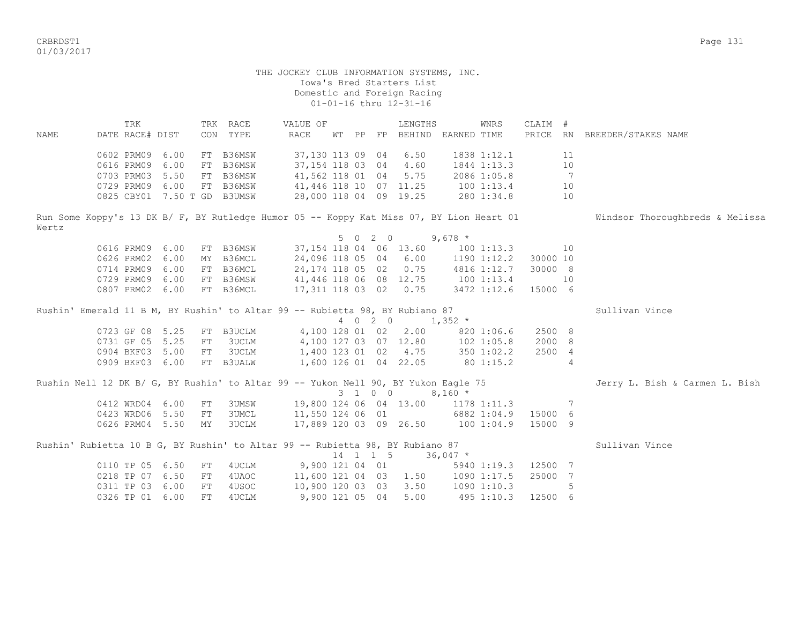CRBRDST1 Page 131 01/03/2017

 THE JOCKEY CLUB INFORMATION SYSTEMS, INC. Iowa's Bred Starters List Domestic and Foreign Racing 01-01-16 thru 12-31-16 TRK TRK RACE VALUE OF LENGTHS WNRS CLAIM # NAME DATE RACE# DIST CON TYPE RACE WT PP FP BEHIND EARNED TIME PRICE RN BREEDER/STAKES NAME 0602 PRM09 6.00 FT B36MSW 37,130 113 09 04 6.50 1838 1:12.1 11 0616 PRM09 6.00 FT B36MSW 37,154 118 03 04 4.60 1844 1:13.3 10 0703 PRM03 5.50 FT B36MSW 41,562 118 01 04 5.75 2086 1:05.8 7 0729 PRM09 6.00 FT B36MSW 41,446 118 10 07 11.25 100 1:13.4 10<br>0729 PRM09 6.00 FT B36MSW 41,446 118 10 07 11.25 100 1:13.4 10 0825 CBY01 7.50 T GD B3UMSW 28,000 118 04 09 19.25 280 1:34.8 10 Run Some Koppy's 13 DK B/ F, BY Rutledge Humor 05 -- Koppy Kat Miss 07, BY Lion Heart 01 Windsor Thoroughbreds & Melissa Wertz 5 0 2 0 9,678 \* 0616 PRM09 6.00 FT B36MSW 37,154 118 04 06 13.60 100 1:13.3 10<br>0626 PRM02 6.00 MY B36MCL 24,096 118 05 04 6.00 1190 1:12.2 30000 10 0626 PRM02 6.00 MY B36MCL 24,096 118 05 04 6.00 1190 1:12.2 30000 10 0714 PRM09 6.00 FT B36MCL 24,174 118 05 02 0.75 4816 1:12.7 30000 8 0729 PRM09 6.00 FT B36MSW 41,446 118 06 08 12.75 100 1:13.4 10 0807 PRM02 6.00 FT B36MCL 17,311 118 03 02 0.75 3472 1:12.6 15000 6 Rushin' Emerald 11 B M, BY Rushin' to Altar 99 -- Rubietta 98, BY Rubiano 87 Sullivan Vince 4 0 2 0 1,352 \* 0723 GF 08 5.25 FT B3UCLM 4,100 128 01 02 2.00 820 1:06.6 2500 8 0731 GF 05 5.25 FT 3UCLM 4,100 127 03 07 12.80 102 1:05.8 2000 8 0904 BKF03 5.00 FT 3UCLM 1,400 123 01 02 4.75 350 1:02.2 2500 4 0909 BKF03 6.00 FT B3UALW 1,600 126 01 04 22.05 80 1:15.2 4 Rushin Nell 12 DK B/ G, BY Rushin' to Altar 99 -- Yukon Nell 90, BY Yukon Eagle 75 Jerry L. Bish & Carmen L. Bish  $3 \t1 \t0 \t0 \t8.160 \t*$  0412 WRD04 6.00 FT 3UMSW 19,800 124 06 04 13.00 1178 1:11.3 7 0423 WRD06 5.50 FT 3UMCL 11,550 124 06 01 6882 1:04.9 15000 6 0626 PRM04 5.50 MY 3UCLM 17,889 120 03 09 26.50 100 1:04.9 15000 9 Rushin' Rubietta 10 B G, BY Rushin' to Altar 99 -- Rubietta 98, BY Rubiano 87 Sullivan Vince 14 1 1 5 36,047 \* 0110 TP 05 6.50 FT 4UCLM 9,900 121 04 01 5940 1:19.3 12500 7 0218 TP 07 6.50 FT 4UAOC 11,600 121 04 03 1.50 1090 1:17.5 25000 7 0311 TP 03 6.00 FT 4USOC 10,900 120 03 03 3.50 1090 1:10.3 5 0326 TP 01 6.00 FT 4UCLM 9,900 121 05 04 5.00 495 1:10.3 12500 6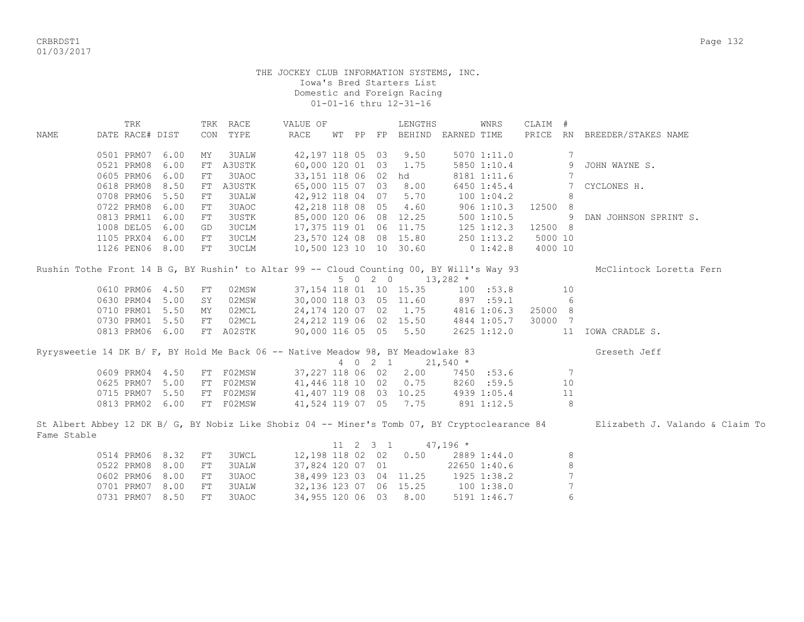CRBRDST1 Page 132 01/03/2017

|             | TRK             |      |            | TRK RACE     | VALUE OF                                                                                 |       |         | LENGTHS                               |             | WNRS              | CLAIM # |                  |                                                                                                                               |
|-------------|-----------------|------|------------|--------------|------------------------------------------------------------------------------------------|-------|---------|---------------------------------------|-------------|-------------------|---------|------------------|-------------------------------------------------------------------------------------------------------------------------------|
| <b>NAME</b> | DATE RACE# DIST |      | CON        | TYPE         | <b>RACE</b>                                                                              | WT PP |         | FP BEHIND                             | EARNED TIME |                   |         |                  | PRICE RN BREEDER/STAKES NAME                                                                                                  |
|             |                 |      |            |              |                                                                                          |       |         |                                       |             |                   |         |                  |                                                                                                                               |
|             | 0501 PRM07      | 6.00 | MY         | 3UALW        | 42,197 118 05 03                                                                         |       |         | 9.50                                  |             | 5070 1:11.0       |         | 7                |                                                                                                                               |
|             | 0521 PRM08      | 6.00 | ${\rm FT}$ | A3USTK       | 60,000 120 01 03                                                                         |       |         | 1.75                                  |             | 5850 1:10.4       |         | 9                | JOHN WAYNE S.                                                                                                                 |
|             | 0605 PRM06      | 6.00 | ${\rm FT}$ | 3UAOC        | 33,151 118 06 02 hd                                                                      |       |         |                                       |             | 8181 1:11.6       |         | 7                |                                                                                                                               |
|             | 0618 PRM08      | 8.50 | FT         | A3USTK       | 65,000 115 07 03                                                                         |       |         | 8.00                                  |             | 6450 1:45.4       |         | 7                | CYCLONES H.                                                                                                                   |
|             | 0708 PRM06      | 5.50 | ${\rm FT}$ | 3UALW        | 42,912 118 04 07                                                                         |       |         | 5.70                                  |             | 100 1:04.2        |         | 8                |                                                                                                                               |
|             | 0722 PRM08      | 6.00 | FT         | 3UAOC        | 42,218 118 08 05                                                                         |       |         | 4.60                                  |             | $906$ 1:10.3      | 12500 8 |                  |                                                                                                                               |
|             | 0813 PRM11      | 6.00 | FT         | 3USTK        | 85,000 120 06 08                                                                         |       |         | 12.25                                 |             | 500 1:10.5        |         | - 9              | DAN JOHNSON SPRINT S.                                                                                                         |
|             | 1008 DEL05      | 6.00 | GD         | 3UCLM        | 17,375 119 01 06                                                                         |       |         | 11.75                                 | 125 1:12.3  |                   | 12500 8 |                  |                                                                                                                               |
|             | 1105 PRX04      | 6.00 | FT         | 3UCLM        | 23,570 124 08 08 15.80                                                                   |       |         |                                       |             | $250$ 1:13.2      | 5000 10 |                  |                                                                                                                               |
|             | 1126 PEN06 8.00 |      | ${\rm FT}$ | 3UCLM        | 10,500 123 10 10 30.60                                                                   |       |         |                                       | $0\;1:42.8$ |                   | 4000 10 |                  |                                                                                                                               |
|             |                 |      |            |              | Rushin Tothe Front 14 B G, BY Rushin' to Altar 99 -- Cloud Counting 00, BY Will's Way 93 |       |         |                                       |             |                   |         |                  | McClintock Loretta Fern                                                                                                       |
|             |                 |      |            |              |                                                                                          |       |         | $5 \t 0 \t 2 \t 0 \t 13,282 \t \star$ |             |                   |         |                  |                                                                                                                               |
|             | 0610 PRM06 4.50 |      | FT         | 02MSW        |                                                                                          |       |         | 37, 154 118 01 10 15.35               |             | $100 \quad .53.8$ |         | 10               |                                                                                                                               |
|             | 0630 PRM04 5.00 |      | SY         | 02MSW        |                                                                                          |       |         | 30,000 118 03 05 11.60                | 897 :59.1   |                   |         | - 6              |                                                                                                                               |
|             | 0710 PRM01 5.50 |      | MY         | 02MCL        |                                                                                          |       |         | 24, 174 120 07 02 1.75 4816 1:06.3    |             |                   | 25000 8 |                  |                                                                                                                               |
|             | 0730 PRM01 5.50 |      | FT         | 02MCL        | 24,212 119 06 02 15.50                                                                   |       |         |                                       |             | 4844 1:05.7       | 30000 7 |                  |                                                                                                                               |
|             | 0813 PRM06 6.00 |      |            | FT A02STK    | 90,000 116 05 05 5.50                                                                    |       |         |                                       |             | 2625 1:12.0       |         |                  | 11 IOWA CRADLE S.                                                                                                             |
|             |                 |      |            |              | Ryrysweetie 14 DK B/ F, BY Hold Me Back 06 -- Native Meadow 98, BY Meadowlake 83         |       |         |                                       |             |                   |         |                  | Greseth Jeff                                                                                                                  |
|             |                 |      |            |              |                                                                                          |       | 4 0 2 1 |                                       | $21,540$ *  |                   |         |                  |                                                                                                                               |
|             | 0609 PRM04 4.50 |      |            | FT F02MSW    |                                                                                          |       |         | 37,227 118 06 02 2.00                 |             | 7450 :53.6        |         | - 7              |                                                                                                                               |
|             | 0625 PRM07 5.00 |      |            | FT F02MSW    | 41,446 118 10 02 0.75                                                                    |       |         |                                       |             | 8260 :59.5        |         | 10               |                                                                                                                               |
|             | 0715 PRM07 5.50 |      |            | FT F02MSW    | 41,407 119 08 03 10.25 4939 1:05.4                                                       |       |         |                                       |             |                   |         | 11               |                                                                                                                               |
|             | 0813 PRM02 6.00 |      |            | FT F02MSW    | 41,524 119 07 05 7.75                                                                    |       |         |                                       | 891 1:12.5  |                   |         | 8                |                                                                                                                               |
|             |                 |      |            |              |                                                                                          |       |         |                                       |             |                   |         |                  | St Albert Abbey 12 DK B/ G, BY Nobiz Like Shobiz 04 -- Miner's Tomb 07, BY Cryptoclearance 84 Elizabeth J. Valando & Claim To |
| Fame Stable |                 |      |            |              |                                                                                          |       |         |                                       |             |                   |         |                  |                                                                                                                               |
|             |                 |      |            |              |                                                                                          |       |         | 11 2 3 1                              | $47,196$ *  |                   |         |                  |                                                                                                                               |
|             | 0514 PRM06 8.32 |      | FT         | <b>3UWCL</b> |                                                                                          |       |         | 12,198 118 02 02 0.50 2889 1:44.0     |             |                   |         | 8                |                                                                                                                               |
|             | 0522 PRM08      | 8.00 | ${\rm FT}$ | <b>3UALW</b> | 37,824 120 07 01                                                                         |       |         |                                       |             | 22650 1:40.6      |         | 8                |                                                                                                                               |
|             | 0602 PRM06      | 8.00 | ${\rm FT}$ | 3UAOC        | 38,499 123 03 04 11.25                                                                   |       |         |                                       |             | 1925 1:38.2       |         |                  |                                                                                                                               |
|             | 0701 PRM07      | 8.00 | FT         | <b>3UALW</b> | 32, 136 123 07 06 15.25                                                                  |       |         |                                       | 100 1:38.0  |                   |         | $\boldsymbol{7}$ |                                                                                                                               |
|             | 0731 PRM07      | 8.50 | FT         | 3UAOC        | 34,955 120 06 03                                                                         |       |         | 8.00                                  |             | 5191 1:46.7       |         | 6                |                                                                                                                               |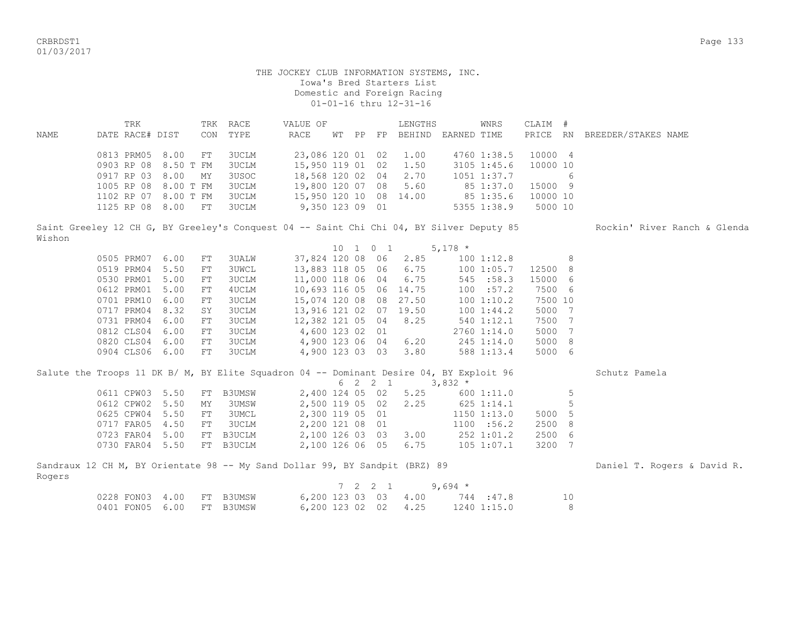CRBRDST1 Page 133 01/03/2017

Rogers

## THE JOCKEY CLUB INFORMATION SYSTEMS, INC. Iowa's Bred Starters List Domestic and Foreign Racing 01-01-16 thru 12-31-16

 TRK TRK RACE VALUE OF LENGTHS WNRS CLAIM # NAME DATE RACE# DIST CON TYPE RACE WT PP FP BEHIND EARNED TIME PRICE RN BREEDER/STAKES NAME 0813 PRM05 8.00 FT 3UCLM 23,086 120 01 02 1.00 4760 1:38.5 10000 4 0903 RP 08 8.50 T FM 3UCLM 15,950 119 01 02 1.50 3105 1:45.6 10000 10 0917 RP 03 8.00 MY 3USOC 18,568 120 02 04 2.70 1051 1:37.7 6 1005 RP 08 8.00 T FM 3UCLM 19,800 120 07 08 5.60 85 1:37.0 15000 9 1102 RP 07 8.00 T FM 3UCLM 15,950 120 10 08 14.00 85 1:35.6 10000 10 1125 RP 08 8.00 FT 3UCLM 9,350 123 09 01 5355 1:38.9 5000 10

Saint Greeley 12 CH G, BY Greeley's Conquest 04 -- Saint Chi 04, BY Silver Deputy 85 Rockin' River Ranch & Glenda Wishon

 10 1 0 1 5,178 \* 0505 PRM07 6.00 FT 3UALW 37,824 120 08 06 2.85 100 1:12.8 8 0519 PRM04 5.50 FT 3UWCL 13,883 118 05 06 6.75 100 1:05.7 12500 8 0530 PRM01 5.00 FT 3UCLM 11,000 118 06 04 6.75 545 :58.3 15000 6 0612 PRM01 5.00 FT 4UCLM 10,693 116 05 06 14.75 100 :57.2 7500 6 0701 PRM10 6.00 FT 3UCLM 15,074 120 08 08 27.50 100 1:10.2 7500 10<br>0717 PRM04 8.32 SY 3UCLM 13,916 121 02 07 19.50 100 1:44.2 5000 7 0717 PRM04 8.32 SY 3UCLM 13,916 121 02 07 19.50 100 1:44.2 5000 7 0731 PRM04 6.00 FT 3UCLM 12,382 121 05 04 8.25 540 1:12.1 7500 7 0812 CLS04 6.00 FT 3UCLM 4,600 123 02 01 2760 1:14.0 5000 7 0820 CLS04 6.00 FT 3UCLM 4,900 123 06 04 6.20 245 1:14.0 5000 8 0904 CLS06 6.00 FT 3UCLM 4,900 123 03 03 3.80 588 1:13.4 5000 6

|                           |    | Salute the Troops 11 DK B/ M, BY Elite Squadron 04 -- Dominant Desire 04, BY Exploit 96 |                      |  |         |                      |                                 |             |        |   | Schutz Pamela               |
|---------------------------|----|-----------------------------------------------------------------------------------------|----------------------|--|---------|----------------------|---------------------------------|-------------|--------|---|-----------------------------|
|                           |    |                                                                                         |                      |  | 6 2 2 1 |                      | $3,832$ *                       |             |        |   |                             |
| 0611 CPW03 5.50           |    | FT B3UMSW                                                                               | 2,400 124 05 02 5.25 |  |         |                      |                                 | 600 1:11.0  |        | 5 |                             |
| 0612 CPW02 5.50           | MY | 3UMSW                                                                                   |                      |  |         |                      | 2,500 119 05 02 2.25 625 1:14.1 |             |        |   |                             |
| 0625 CPW04 5.50           | FT | 3UMCL                                                                                   | 2,300 119 05 01      |  |         |                      |                                 | 1150 1:13.0 | 5000 5 |   |                             |
| 0717 FAR05 4.50           | FT | 3UCLM                                                                                   | 2,200 121 08 01      |  |         |                      |                                 | 1100 : 56.2 | 2500 8 |   |                             |
| 0723 FAR04 5.00           |    | FT B3UCLM                                                                               | 2,100 126 03 03 3.00 |  |         |                      |                                 | 252 1:01.2  | 2500 6 |   |                             |
| 0730 FAR04 5.50 FT B3UCLM |    |                                                                                         |                      |  |         | 2,100 126 06 05 6.75 | 105 1:07.1                      |             | 3200 7 |   |                             |
|                           |    |                                                                                         |                      |  |         |                      |                                 |             |        |   |                             |
|                           |    | Sandraux 12 CH M, BY Orientate 98 -- My Sand Dollar 99, BY Sandpit (BRZ) 89             |                      |  |         |                      |                                 |             |        |   | Daniel T. Rogers & David R. |

|                           |  |  |  |                      | $7 \t2 \t2 \t1 \t9.694 \t\t*$ |             |     |
|---------------------------|--|--|--|----------------------|-------------------------------|-------------|-----|
| 0228 FON03 4.00 FT B3UMSW |  |  |  | 6,200 123 03 03 4.00 |                               | 744:47.8    |     |
| 0401 FON05 6.00 FT B3UMSW |  |  |  | 6,200 123 02 02 4.25 |                               | 1240 1:15.0 | - 8 |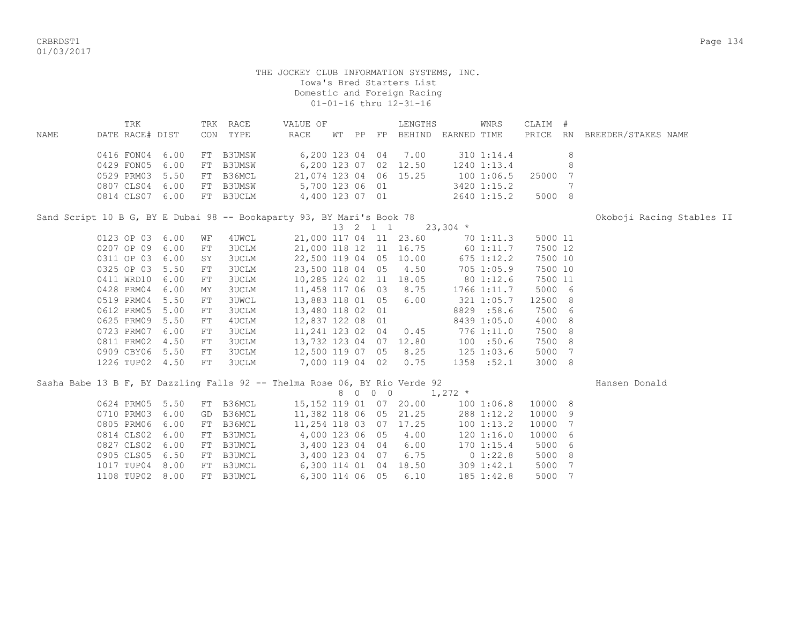01/03/2017

|      | TRK             | TRK RACE  | VALUE OF               |       |    | LENGTHS               |             | WNRS               | CLAIM #  |                     |  |
|------|-----------------|-----------|------------------------|-------|----|-----------------------|-------------|--------------------|----------|---------------------|--|
| NAME | DATE RACE# DIST | CON TYPE  | RACE                   | WT PP | FP | BEHIND                | EARNED TIME |                    | PRICE RN | BREEDER/STAKES NAME |  |
|      | 0416 FON04 6.00 | FT B3UMSW | 6,200 123 04 04 7.00   |       |    |                       |             | 310 1:14.4         |          |                     |  |
|      | 0429 FON05 6.00 | FT B3UMSW |                        |       |    | 6,200 123 07 02 12.50 |             | 1240 1:13.4        |          |                     |  |
|      | 0529 PRM03 5.50 | FT B36MCL | 21,074 123 04 06 15.25 |       |    |                       |             | 100 1:06.5 25000 7 |          |                     |  |
|      | 0807 CLS04 6.00 | FT B3UMSW | 5,700 123 06 01        |       |    |                       |             | 3420 1:15.2        |          |                     |  |
|      | 0814 CLS07 6.00 | FT B3UCLM | 4,400 123 07 01        |       |    |                       |             | 2640 1:15.2        | 5000 8   |                     |  |

Sand Script 10 B G, BY E Dubai 98 -- Bookaparty 93, BY Mari's Book 78 **Okoboji Racing Stables II** 

 13 2 1 1 23,304 \* 0123 OP 03 6.00 WF 4UWCL 21,000 117 04 11 23.60 70 1:11.3 5000 11 0207 OP 09 6.00 FT 3UCLM 21,000 118 12 11 16.75 60 1:11.7 7500 12<br>0311 OP 03 6.00 SY 3UCLM 22,500 119 04 05 10.00 675 1:12.2 7500 10 0311 OP 03 6.00 SY 3UCLM 22,500 119 04 05 10.00 675 1:12.2 7500 10 0325 OP 03 5.50 FT 3UCLM 23,500 118 04 05 4.50 705 1:05.9 7500 10 0411 WRD10 6.00 FT 3UCLM 10,285 124 02 11 18.05 80 1:12.6 7500 11 0428 PRM04 6.00 MY 3UCLM 11,458 117 06 03 8.75 1766 1:11.7 5000 6 0519 PRM04 5.50 FT 3UWCL 13,883 118 01 05 6.00 321 1:05.7 12500 8 0612 PRM05 5.00 FT 3UCLM 13,480 118 02 01 8829 :58.6 7500 6 0625 PRM09 5.50 FT 4UCLM 12,837 122 08 01 8439 1:05.0 4000 8 0723 PRM07 6.00 FT 3UCLM 11,241 123 02 04 0.45 776 1:11.0 7500 8 0811 PRM02 4.50 FT 3UCLM 13,732 123 04 07 12.80 100 :50.6 7500 8 0909 CBY06 5.50 FT 3UCLM 12,500 119 07 05 8.25 125 1:03.6 5000 7 1226 TUP02 4.50 FT 3UCLM 7,000 119 04 02 0.75 1358 :52.1 3000 8

|  |            |      |     |        | Sasha Babe 13 B F, BY Dazzling Falls 92 -- Thelma Rose 06, BY Rio Verde 92 |   |   |            |       |                 |         |   | Hansen Donald |
|--|------------|------|-----|--------|----------------------------------------------------------------------------|---|---|------------|-------|-----------------|---------|---|---------------|
|  |            |      |     |        |                                                                            | 8 | 0 | $0\quad 0$ |       | $1,272$ *       |         |   |               |
|  | 0624 PRM05 | 5.50 | FT  | B36MCL | 15,152 119 01 07 20.00                                                     |   |   |            |       | 1001:06.8       | 10000 8 |   |               |
|  | 0710 PRM03 | 6.00 | GD  | B36MCL | 11,382 118 06 05 21.25                                                     |   |   |            |       | 288 1:12.2      | 10000 9 |   |               |
|  | 0805 PRM06 | 6.00 | FT  | B36MCL | 11,254 118 03                                                              |   |   | 07         | 17.25 | 1001:13.2       | 10000   |   |               |
|  | 0814 CLS02 | 6.00 | FT  | B3UMCL | 4,000 123 06 05                                                            |   |   |            | 4.00  | 1201:16.0       | 10000 6 |   |               |
|  | 0827 CLS02 | 6.00 | FT. | B3UMCL | 3,400 123 04 04                                                            |   |   |            | 6.00  | 1701:15.4       | 5000 6  |   |               |
|  | 0905 CLS05 | 6.50 | FT. | B3UMCL | 3,400 123 04                                                               |   |   | 07         | 6.75  | $0\;1:22.8$     | 5000 8  |   |               |
|  | 1017 TUP04 | 8.00 | FT. | B3UMCL | 6,300 114 01                                                               |   |   | 04         | 18.50 | $309 \; 1:42.1$ | 5000    | 7 |               |
|  | 1108 TUP02 | 8.00 | FT  | B3UMCL | 6,300 114 06 05                                                            |   |   |            | 6.10  | $185$ $1:42.8$  | 5000    |   |               |

CRBRDST1 Page 134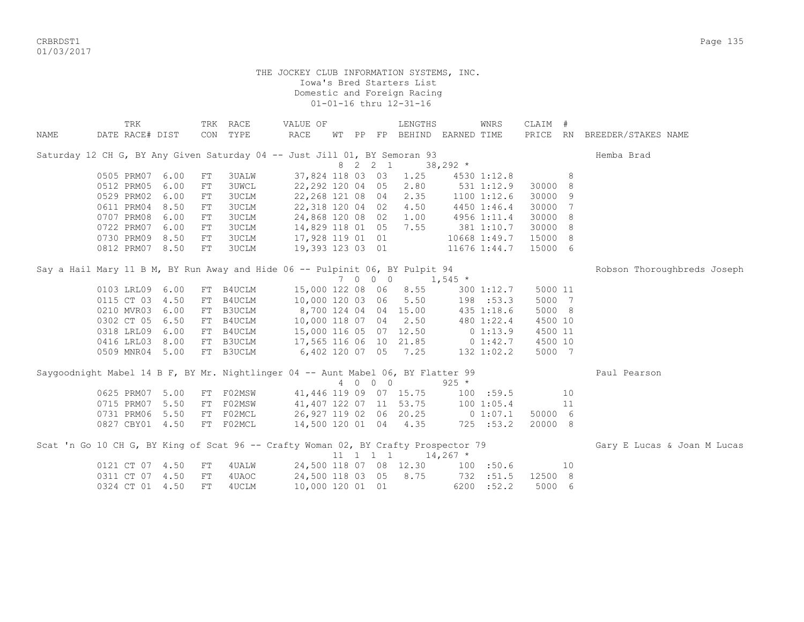CRBRDST1 Page 135 01/03/2017

| NAME | TRK<br>DATE RACE# DIST                                                             |      |    | TRK RACE<br>CON TYPE | VALUE OF<br>RACE       |  |                              | LENGTHS<br>WT PP FP BEHIND EARNED TIME |                | WNRS            | CLAIM # |    | PRICE RN BREEDER/STAKES NAME |
|------|------------------------------------------------------------------------------------|------|----|----------------------|------------------------|--|------------------------------|----------------------------------------|----------------|-----------------|---------|----|------------------------------|
|      |                                                                                    |      |    |                      |                        |  |                              |                                        |                |                 |         |    |                              |
|      | Saturday 12 CH G, BY Any Given Saturday 04 -- Just Jill 01, BY Semoran 93          |      |    |                      |                        |  |                              |                                        |                |                 |         |    | Hemba Brad                   |
|      |                                                                                    |      |    |                      |                        |  | 8 2 2 1                      |                                        | $38,292*$      |                 |         |    |                              |
|      | 0505 PRM07                                                                         | 6.00 | FT | 3UALW                | 37,824 118 03 03       |  |                              | 1.25                                   |                | 4530 1:12.8     |         | 8  |                              |
|      | 0512 PRM05                                                                         | 6.00 | FT | <b>3UWCL</b>         | 22,292 120 04 05       |  |                              | 2.80                                   |                | 531 1:12.9      | 30000 8 |    |                              |
|      | 0529 PRM02                                                                         | 6.00 | FT | 3UCLM                | 22,268 121 08 04       |  |                              | 2.35                                   |                | $1100$ $1:12.6$ | 30000 9 |    |                              |
|      | 0611 PRM04                                                                         | 8.50 | FT | 3UCLM                | 22,318 120 04 02       |  |                              | 4.50                                   |                | 4450 1:46.4     | 30000 7 |    |                              |
|      | 0707 PRM08                                                                         | 6.00 | FT | 3UCLM                | 24,868 120 08 02       |  |                              | 1.00                                   |                | 4956 1:11.4     | 30000 8 |    |                              |
|      | 0722 PRM07                                                                         | 6.00 | FT | 3UCLM                | 14,829 118 01 05 7.55  |  |                              |                                        |                | 381 1:10.7      | 30000 8 |    |                              |
|      | 0730 PRM09 8.50                                                                    |      | FT | 3UCLM                | 17,928 119 01 01       |  |                              |                                        |                | 10668 1:49.7    | 15000 8 |    |                              |
|      | 0812 PRM07 8.50                                                                    |      | FT | <b>3UCLM</b>         |                        |  |                              | 19,393 123 03 01                       |                | 11676 1:44.7    | 15000 6 |    |                              |
|      | Say a Hail Mary 11 B M, BY Run Away and Hide 06 -- Pulpinit 06, BY Pulpit 94       |      |    |                      |                        |  |                              |                                        |                |                 |         |    | Robson Thoroughbreds Joseph  |
|      |                                                                                    |      |    |                      |                        |  | 7 0 0 0                      |                                        | $1,545$ *      |                 |         |    |                              |
|      | 0103 LRL09 6.00                                                                    |      |    | FT B4UCLM            |                        |  |                              | 15,000 122 08 06 8.55                  |                | $300$ 1:12.7    | 5000 11 |    |                              |
|      | 0115 CT 03                                                                         | 4.50 | FT | B4UCLM               | 10,000 120 03 06       |  |                              | 5.50                                   | $198$ :53.3    |                 | 5000 7  |    |                              |
|      | 0210 MVR03                                                                         | 6.00 | FT | B3UCLM               | 8,700 124 04 04 15.00  |  |                              |                                        |                | 435 1:18.6      | 5000 8  |    |                              |
|      | 0302 CT 05                                                                         | 6.50 | FT | B4UCLM               | 10,000 118 07 04 2.50  |  |                              |                                        |                | 480 1:22.4      | 4500 10 |    |                              |
|      | 0318 LRL09                                                                         | 6.00 | FT | B4UCLM               | 15,000 116 05 07 12.50 |  |                              |                                        |                | $0\;1:13.9$     | 4500 11 |    |                              |
|      | 0416 LRL03                                                                         | 8.00 |    | FT B3UCLM            |                        |  |                              | 17,565 116 06 10 21.85 0 1:42.7        |                |                 | 4500 10 |    |                              |
|      | 0509 MNR04 5.00                                                                    |      |    | FT B3UCLM            | 6,402 120 07 05 7.25   |  |                              |                                        | $132$ $1:02.2$ |                 | 5000 7  |    |                              |
|      | Saygoodnight Mabel 14 B F, BY Mr. Nightlinger 04 -- Aunt Mabel 06, BY Flatter 99   |      |    |                      |                        |  |                              |                                        |                |                 |         |    | Paul Pearson                 |
|      |                                                                                    |      |    |                      |                        |  | 4 0 0 0                      |                                        | $925 *$        |                 |         |    |                              |
|      | 0625 PRM07 5.00                                                                    |      |    | FT F02MSW            |                        |  |                              | 41,446 119 09 07 15.75                 | 100 : 59.5     |                 |         | 10 |                              |
|      | 0715 PRM07                                                                         | 5.50 |    | FT F02MSW            |                        |  |                              | 41,407 122 07 11 53.75                 | 100 1:05.4     |                 |         | 11 |                              |
|      | 0731 PRM06 5.50                                                                    |      |    | FT F02MCL            |                        |  |                              | 26,927 119 02 06 20.25                 | 0 1:07.1       |                 | 50000 6 |    |                              |
|      | 0827 CBY01 4.50                                                                    |      |    | FT F02MCL            |                        |  |                              | 14,500 120 01 04 4.35                  |                | 725 : 53.2      | 20000 8 |    |                              |
|      | Scat 'n Go 10 CH G, BY King of Scat 96 -- Crafty Woman 02, BY Crafty Prospector 79 |      |    |                      |                        |  |                              |                                        |                |                 |         |    | Gary E Lucas & Joan M Lucas  |
|      |                                                                                    |      |    |                      |                        |  | $11 \quad 1 \quad 1 \quad 1$ |                                        | $14,267$ *     |                 |         |    |                              |
|      | 0121 CT 07 4.50                                                                    |      | FT | 4UALW                |                        |  |                              | 24,500 118 07 08 12.30                 |                | 100 : 50.6      |         | 10 |                              |
|      | 0311 CT 07 4.50                                                                    |      | FT | 4UAOC                |                        |  |                              | 24,500 118 03 05 8.75                  |                | 732 :51.5       | 12500 8 |    |                              |
|      | 0324 CT 01 4.50                                                                    |      | FT | 4UCLM                | 10,000 120 01 01       |  |                              |                                        |                | 6200 : 52.2     | 5000 6  |    |                              |
|      |                                                                                    |      |    |                      |                        |  |                              |                                        |                |                 |         |    |                              |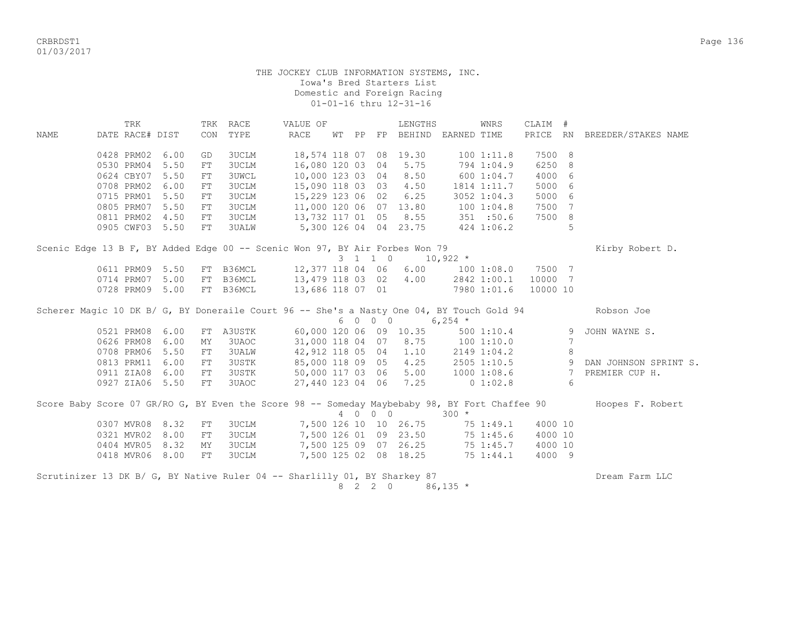CRBRDST1 Page 136 01/03/2017

## THE JOCKEY CLUB INFORMATION SYSTEMS, INC. Iowa's Bred Starters List Domestic and Foreign Racing 01-01-16 thru 12-31-16

TRK TRK RACE VALUE OF THE LENGTHS WINRS CLAIM # NAME DATE RACE# DIST CON TYPE RACE WT PP FP BEHIND EARNED TIME PRICE RN BREEDER/STAKES NAME 0428 PRM02 6.00 GD 3UCLM 18,574 118 07 08 19.30 100 1:11.8 7500 8 0530 PRM04 5.50 FT 3UCLM 16,080 120 03 04 5.75 794 1:04.9 6250 8 0624 CBY07 5.50 FT 3UWCL 10,000 123 03 04 8.50 600 1:04.7 4000 6 0708 PRM02 6.00 FT 3UCLM 15,090 118 03 03 4.50 1814 1:11.7 5000 6 0715 PRM01 5.50 FT 3UCLM 15,229 123 06 02 6.25 3052 1:04.3 5000 6 0805 PRM07 5.50 FT 3UCLM 11,000 120 06 07 13.80 100 1:04.8 7500 7 0811 PRM02 4.50 FT 3UCLM 13,732 117 01 05 8.55 351 :50.6 7500 8 0905 CWF03 5.50 FT 3UALW 5,300 126 04 04 23.75 424 1:06.2 5 Scenic Edge 13 B F, BY Added Edge 00 -- Scenic Won 97, BY Air Forbes Won 79 Kirby Robert D.<br>  $3 \quad 1 \quad 1 \quad 0 \qquad 10.922 \quad *$  $10,922$  \* 0611 PRM09 5.50 FT B36MCL 12,377 118 04 06 6.00 100 1:08.0 7500 7 0714 PRM07 5.00 FT B36MCL 13,479 118 03 02 4.00 2842 1:00.1 10000 7 0728 PRM09 5.00 FT B36MCL 13,686 118 07 01 7980 1:01.6 10000 10 Scherer Magic 10 DK B/ G, BY Doneraile Court 96 -- She's a Nasty One 04, BY Touch Gold 94 Robson Joe  $6 \t0 \t0 \t0 \t\t 6.254$  \* 0521 PRM08 6.00 FT A3USTK 60,000 120 06 09 10.35 500 1:10.4 9 JOHN WAYNE S. 0626 PRM08 6.00 MY 3UAOC 31,000 118 04 07 8.75 100 1:10.0 7 0708 PRM06 5.50 FT 3UALW 42,912 118 05 04 1.10 2149 1:04.2 8 0813 PRM11 6.00 FT 3USTK 85,000 118 09 05 4.25 2505 1:10.5 9 DAN JOHNSON SPRINT S. 0911 ZIA08 6.00 FT 3USTK 50,000 117 03 06 5.00 1000 1:08.6 7 PREMIER CUP H. 0927 ZIA06 5.50 FT 3UAOC 27,440 123 04 06 7.25 0 1:02.8 6 Score Baby Score 07 GR/RO G, BY Even the Score 98 -- Someday Maybebaby 98, BY Fort Chaffee 90 Hoopes F. Robert  $4 \t 0 \t 0 \t 0 \t 300 \t \star$  0307 MVR08 8.32 FT 3UCLM 7,500 126 10 10 26.75 75 1:49.1 4000 10 0321 MVR02 8.00 FT 3UCLM 7,500 126 01 09 23.50 75 1:45.6 4000 10 0404 MVR05 8.32 MY 3UCLM 7,500 125 09 07 26.25 75 1:45.7 4000 10 0418 MVR06 8.00 FT 3UCLM 7,500 125 02 08 18.25 75 1:44.1 4000 9 Scrutinizer 13 DK B/ G, BY Native Ruler 04 -- Sharlilly 01, BY Sharkey 87 Dream Samm LLC 8 2 2 0 86,135 \*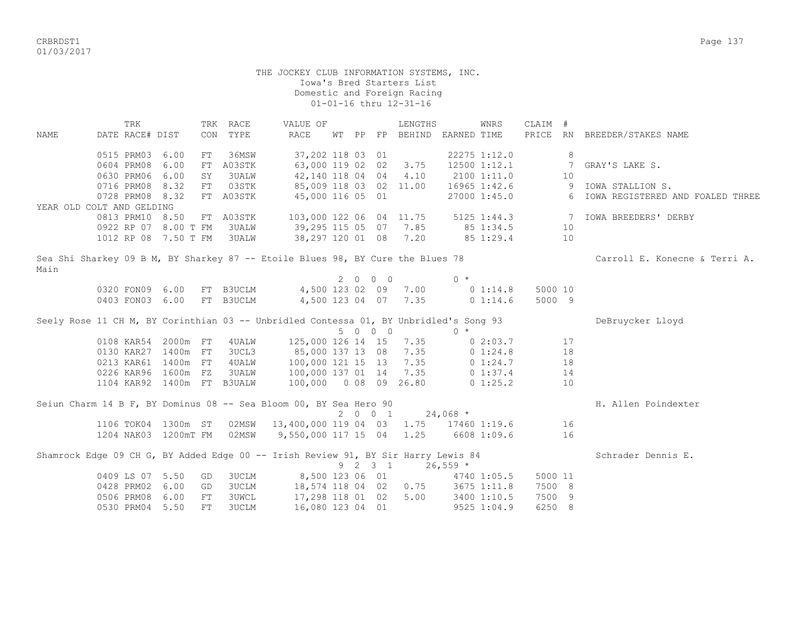CRBRDST1 Page 137 01/03/2017

## THE JOCKEY CLUB INFORMATION SYSTEMS, INC. Iowa's Bred Starters List Domestic and Foreign Racing 01-01-16 thru 12-31-16

TRK TRK RACE WALUE OF TRENGTHS WINRS CLAIM # NAME DATE RACE# DIST CON TYPE RACE WT PP FP BEHIND EARNED TIME PRICE RN BREEDER/STAKES NAME 0515 PRM03 6.00 FT 36MSW 37,202 118 03 01 22275 1:12.0 8 0604 PRM08 6.00 FT A03STK 63,000 119 02 02 3.75 12500 1:12.1 7 GRAY'S LAKE S. 0630 PRM06 6.00 SY 3UALW 42,140 118 04 4.10 2100 1:11.0 10<br>0716 PRM08 8.32 FT 03STK 85,009 118 03 02 11.00 16965 1:42.6 9 IOWA STALLION S. 0716 PRM08 8.32 FT 03STK 85,009 118 03 02 11.00 16965 1:42.6 0728 PRM08 8.32 FT A03STK 45,000 116 05 01 27000 1:45.0 6 IOWA REGISTERED AND FOALED THREE YEAR OLD COLT AND GELDING 0813 PRM10 8.50 FT A03STK 103,000 122 06 04 11.75 5125 1:44.3 7 IOWA BREEDERS' DERBY 0922 RP 07 8.00 T FM 3UALW 39,295 115 05 07 7.85 85 1:34.5 10 1012 RP 08 7.50 T FM 3UALW 38,297 120 01 08 7.20 85 1:29.4 10 Sea Shi Sharkey 09 B M, BY Sharkey 87 -- Etoile Blues 98, BY Cure the Blues 78 Carroll E. Konecne & Terri A. Main 2 0 0 0 0 \* 0320 FON09 6.00 FT B3UCLM 4,500 123 02 09 7.00 0 1:14.8 5000 10 0403 FON03 6.00 FT B3UCLM 4,500 123 04 07 7.35 0 1:14.6 5000 9 Seely Rose 11 CH M, BY Corinthian 03 -- Unbridled Contessa 01, BY Unbridled's Song 93 DeBruycker Lloyd 5 0 0 0 0 \* 0108 KAR54 2000m FT 4UALW 125,000 126 14 15 7.35 0 2:03.7 17 0130 KAR27 1400m FT 3UCL3 85,000 137 13 08 7.35 0 1:24.8 18 0213 KAR61 1400m FT 4UALW 100,000 121 15 13 7.35 0 1:24.7 18 0226 KAR96 1600m FZ 3UALW 100,000 137 01 14 7.35 0 1:37.4 14 1104 KAR92 1400m FT B3UALW 100,000 0 08 09 26.80 0 1:25.2 10 Seiun Charm 14 B F, BY Dominus 08 -- Sea Bloom 00, BY Sea Hero 90  $\hbox{B}$  1  $\hbox{C}$  24,068 \*  $2 0 0 1$  1106 TOK04 1300m ST 02MSW 13,400,000 119 04 03 1.75 17460 1:19.6 16 1204 NAK03 1200mT FM 02MSW 9,550,000 117 15 04 1.25 6608 1:09.6 16 Shamrock Edge 09 CH G, BY Added Edge 00 -- Irish Review 91, BY Sir Harry Lewis 84 Schrader Dennis E. 9 2 3 1 26,559 \* 0409 LS 07 5.50 GD 3UCLM 8,500 123 06 01 4740 1:05.5 5000 11 0428 PRM02 6.00 GD 3UCLM 18,574 118 04 02 0.75 3675 1:11.8 7500 8 0506 PRM08 6.00 FT 3UWCL 17,298 118 01 02 5.00 3400 1:10.5 7500 9 0530 PRM04 5.50 FT 3UCLM 16,080 123 04 01 9525 1:04.9 6250 8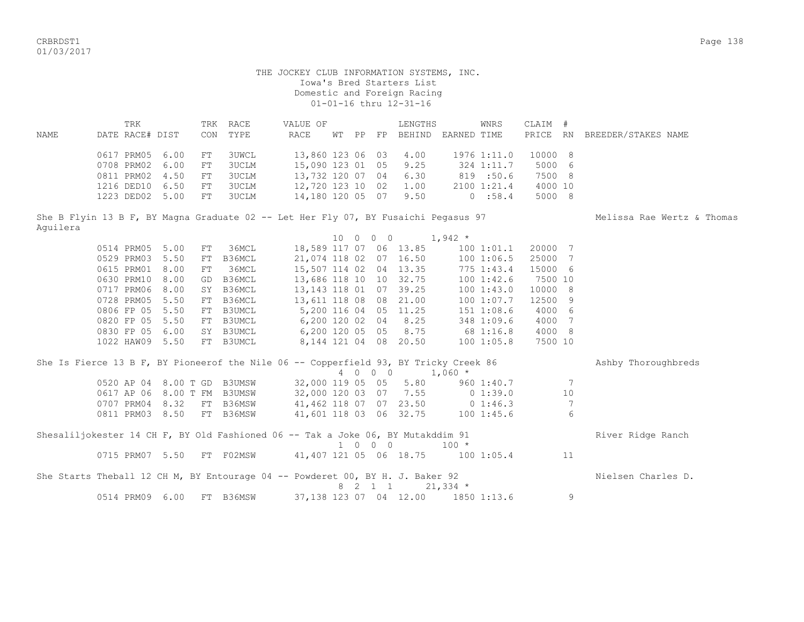CRBRDST1 Page 138 01/03/2017

 THE JOCKEY CLUB INFORMATION SYSTEMS, INC. Iowa's Bred Starters List Domestic and Foreign Racing 01-01-16 thru 12-31-16 TRK TRK RACE VALUE OF TENGTHS WINRS CLAIM # NAME DATE RACE# DIST CON TYPE RACE WT PP FP BEHIND EARNED TIME PRICE RN BREEDER/STAKES NAME 0617 PRM05 6.00 FT 3UWCL 13,860 123 06 03 4.00 1976 1:11.0 10000 8 0708 PRM02 6.00 FT 3UCLM 15,090 123 01 05 9.25 324 1:11.7 5000 6 0811 PRM02 4.50 FT 3UCLM 13,732 120 07 04 6.30 819 :50.6 7500 8 1216 DED10 6.50 FT 3UCLM 12,720 123 10 02 1.00 2100 1:21.4 4000 10 1223 DED02 5.00 FT 3UCLM 14,180 120 05 07 9.50 0 :58.4 5000 8 She B Flyin 13 B F, BY Magna Graduate 02 -- Let Her Fly 07, BY Fusaichi Pegasus 97 Melissa Rae Wertz & Thomas Aguilera 10 0 0 0 1,942 \* 0514 PRM05 5.00 FT 36MCL 18,589 117 07 06 13.85 100 1:01.1 20000 7<br>0529 PRM03 5.50 FT B36MCL 21,074 118 02 07 16.50 100 1:06.5 25000 7 0529 PRM03 5.50 FT B36MCL 21,074 118 02 07 16.50 100 1:06.5 25000 7 0615 PRM01 8.00 FT 36MCL 15,507 114 02 04 13.35 775 1:43.4 15000 6 0630 PRM10 8.00 GD B36MCL 13,686 118 10 10 32.75 100 1:42.6 7500 10 0717 PRM06 8.00 SY B36MCL 13,143 118 01 07 39.25 100 1:43.0 10000 8 0728 PRM05 5.50 FT B36MCL 13,611 118 08 08 21.00 100 1:07.7 12500 9 0806 FP 05 5.50 FT B3UMCL 5,200 116 04 05 11.25 151 1:08.6 4000 6 0820 FP 05 5.50 FT B3UMCL 6,200 120 02 04 8.25 348 1:09.6 4000 7 0830 FP 05 6.00 SY B3UMCL 6,200 120 05 05 8.75 68 1:16.8 4000 8 1022 HAW09 5.50 FT B3UMCL 8,144 121 04 08 20.50 100 1:05.8 7500 10 She Is Fierce 13 B F, BY Pioneerof the Nile 06 -- Copperfield 93, BY Tricky Creek 86 Ashby Thoroughbreds 4 0 0 0 1,060 \* 0520 AP 04 8.00 T GD B3UMSW 32,000 119 05 05 5.80 960 1:40.7 7 0617 AP 06 8.00 T FM B3UMSW 32,000 120 03 07 7.55 0 1:39.0 10 0707 PRM04 8.32 FT B36MSW 41,462 118 07 07 23.50 0 1:46.3 7 0811 PRM03 8.50 FT B36MSW 41,601 118 03 06 32.75 100 1:45.6 6 Shesaliljokester 14 CH F, BY Old Fashioned 06 -- Tak a Joke 06, BY Mutakddim 91 River Ridge Ranch 1 0 0 0 100 \* 0715 PRM07 5.50 FT F02MSW 41,407 121 05 06 18.75 100 1:05.4 11 She Starts Theball 12 CH M, BY Entourage 04 -- Powderet 00, BY H. J. Baker 92 Nielsen Charles D. 8 2 1 1 21,334 \* 0514 PRM09 6.00 FT B36MSW 37,138 123 07 04 12.00 1850 1:13.6 9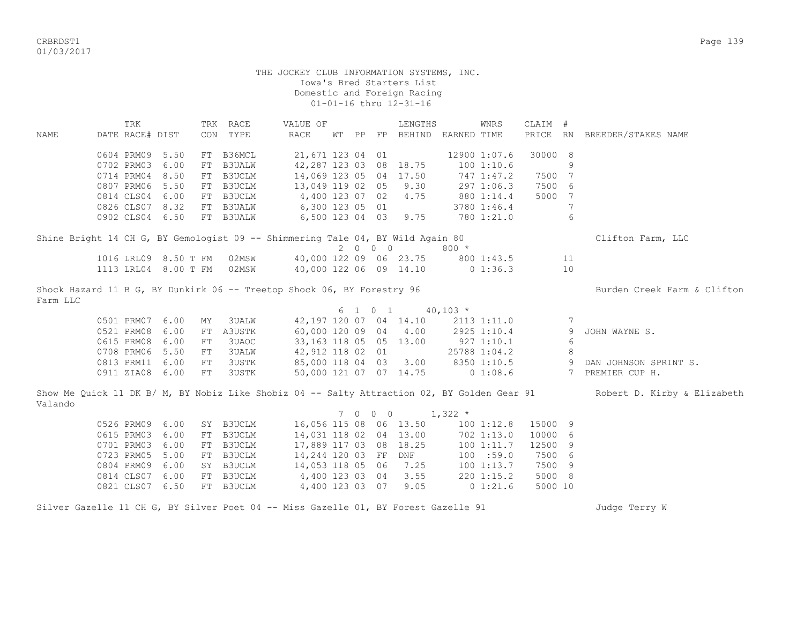CRBRDST1 Page 139 01/03/2017

 THE JOCKEY CLUB INFORMATION SYSTEMS, INC. Iowa's Bred Starters List Domestic and Foreign Racing 01-01-16 thru 12-31-16 TRK TRK RACE VALUE OF LENGTHS WNRS CLAIM # NAME DATE RACE# DIST CON TYPE RACE WT PP FP BEHIND EARNED TIME PRICE RN BREEDER/STAKES NAME 0604 PRM09 5.50 FT B36MCL 21,671 123 04 01 12900 1:07.6 30000 8 0702 PRM03 6.00 FT B3UALW 42,287 123 03 08 18.75 100 1:10.6 9 0714 PRM04 8.50 FT B3UCLM 14,069 123 05 04 17.50 747 1:47.2 7500 7 0807 PRM06 5.50 FT B3UCLM 13,049 119 02 05 9.30 297 1:06.3 7500 6 0814 CLS04 6.00 FT B3UCLM 4,400 123 07 02 4.75 880 1:14.4 5000 7 0826 CLS07 8.32 FT B3UALW 6,300 123 05 01 3780 1:46.4 7 0902 CLS04 6.50 FT B3UALW 6,500 123 04 03 9.75 780 1:21.0 6 Shine Bright 14 CH G, BY Gemologist 09 -- Shimmering Tale 04, BY Wild Again 80 Clifton Farm, LLC  $2 \t 0 \t 0 \t 0 \t 800 \t \star$ <br>40,000 122 09 06 23.75 800 1016 LRL09 8.50 T FM 02MSW 40,000 122 09 06 23.75 800 1:43.5 11 1113 LRL04 8.00 T FM 02MSW 40,000 122 06 09 14.10 0 1:36.3 10 Shock Hazard 11 B G, BY Dunkirk 06 -- Treetop Shock 06, BY Forestry 96 Burden Creek Farm & Clifton Farm LLC  $6 \quad 1 \quad 0 \quad 1 \quad 40,103 \atop$  0501 PRM07 6.00 MY 3UALW 42,197 120 07 04 14.10 2113 1:11.0 7 0521 PRM08 6.00 FT A3USTK 60,000 120 09 04 4.00 2925 1:10.4 9 JOHN WAYNE S. 0615 PRM08 6.00 FT 3UAOC 33,163 118 05 05 13.00 927 1:10.1 6 0708 PRM06 5.50 FT 3UALW 42,912 118 02 01 25788 1:04.2 8<br>0813 PRM11 6.00 FT 3USTK 85,000 118 04 03 3.00 8350 1:10.5 9 DAN JOHNSON SPRINT S. 0813 PRM11 6.00 FT 3USTK 0911 ZIA08 6.00 FT 3USTK 50,000 121 07 07 14.75 0 1:08.6 7 PREMIER CUP H. Show Me Quick 11 DK B/ M, BY Nobiz Like Shobiz 04 -- Salty Attraction 02, BY Golden Gear 91 Robert D. Kirby & Elizabeth Valando  $7 \t0 \t0 \t0 \t1,322 \t\t*$  0526 PRM09 6.00 SY B3UCLM 16,056 115 08 06 13.50 100 1:12.8 15000 9 0615 PRM03 6.00 FT B3UCLM 14,031 118 02 04 13.00 702 1:13.0 10000 6 0701 PRM03 6.00 FT B3UCLM 17,889 117 03 08 18.25 100 1:11.7 12500 9 0723 PRM05 5.00 FT B3UCLM 14,244 120 03 FF DNF 100 :59.0 7500 6 0804 PRM09 6.00 SY B3UCLM 14,053 118 05 06 7.25 100 1:13.7 7500 9 0814 CLS07 6.00 FT B3UCLM 4,400 123 03 04 3.55 220 1:15.2 5000 8 0821 CLS07 6.50 FT B3UCLM 4,400 123 03 07 9.05 0 1:21.6 5000 10 Silver Gazelle 11 CH G, BY Silver Poet 04 -- Miss Gazelle 01, BY Forest Gazelle 91 Judge Terry W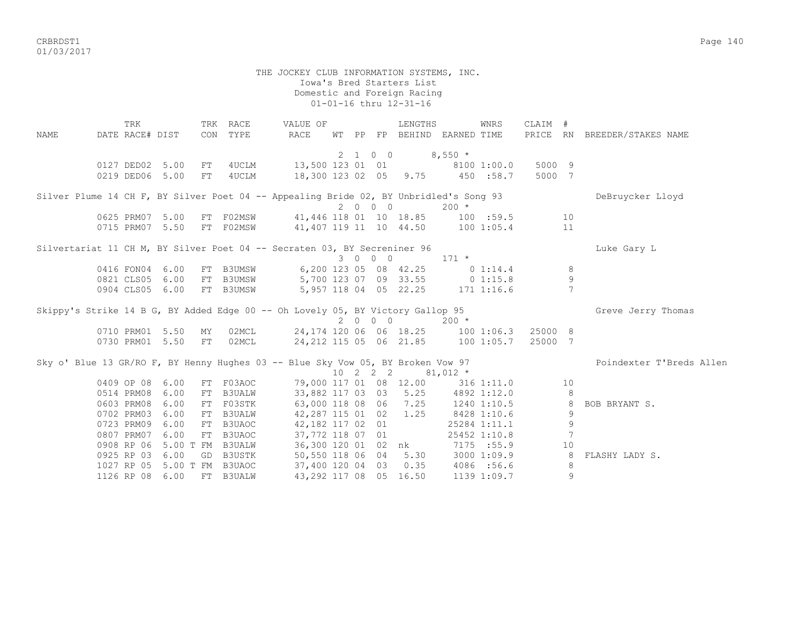crbs and the control of the control of the control of the control of the control of the control of the control of the control of the control of the control of the control of the control of the control of the control of the 01/03/2017

 Iowa's Bred Starters List Domestic and Foreign Racing 01-01-16 thru 12-31-16 TRK TRK RACE WALUE OF TENGTHS WNRS CLAIM # NAME DATE RACE# DIST CON TYPE RACE WT PP FP BEHIND EARNED TIME PRICE RN BREEDER/STAKES NAME  $2 \t1 \t0 \t0 \t8.550 \t*$ 0127 DED02 5.00 FT 4UCLM 13,500 123 01 01 8100 1:00.0 5000 9 0219 DED06 5.00 FT 4UCLM 18,300 123 02 05 9.75 450 :58.7 5000 7 Silver Plume 14 CH F, BY Silver Poet 04 -- Appealing Bride 02, BY Unbridled's Song 93 DeBruycker Lloyd  $2 \t0 \t0 \t0$   $200 \t\times$ 0625 PRM07 5.00 FT F02MSW 41,446 118 01 10 18.85 100 :59.5 10 0715 PRM07 5.50 FT F02MSW 41,407 119 11 10 44.50 100 1:05.4 11 Silvertariat 11 CH M, BY Silver Poet 04 -- Secraten 03, BY Secreniner 96 Luke Gary Luke Gary L 3 0 0 0 171 \* 0416 FON04 6.00 FT B3UMSW 6,200 123 05 08 42.25 0 1:14.4 8 0821 CLS05 6.00 FT B3UMSW 5,700 123 07 09 33.55 0 1:15.8 9 0904 CLS05 6.00 FT B3UMSW 5,957 118 04 05 22.25 171 1:16.6 7 Skippy's Strike 14 B G, BY Added Edge 00 -- Oh Lovely 05, BY Victory Gallop 95 Greve Jerry Thomas 2 0 0 0 200 \* 0710 PRM01 5.50 MY 02MCL 24,174 120 06 06 18.25 100 1:06.3 25000 8 0730 PRM01 5.50 FT 02MCL 24,212 115 05 06 21.85 100 1:05.7 25000 7 Sky o' Blue 13 GR/RO F, BY Henny Hughes 03 -- Blue Sky Vow 05, BY Broken Vow 97 Poindexter T'Breds Allen 10 2 2 2 81,012 \* 0409 OP 08 6.00 FT F03AOC 79,000 117 01 08 12.00 316 1:11.0 10 0514 PRM08 6.00 FT B3UALW 33,882 117 03 03 5.25 4892 1:12.0 8 0603 PRM08 6.00 FT F03STK 63,000 118 08 06 7.25 1240 1:10.5 8 BOB BRYANT S. 0702 PRM03 6.00 FT B3UALW 42,287 115 01 02 1.25 8428 1:10.6 9 0723 PRM09 6.00 FT B3UAOC 42,182 117 02 01 25284 1:11.1 9 0807 PRM07 6.00 FT B3UAOC 37,772 118 07 01 25452 1:10.8 7 0908 RP 06 5.00 T FM B3UALW 36,300 120 01 02 nk 7175 :55.9 10 0925 RP 03 6.00 GD B3USTK 50,550 118 06 04 5.30 3000 1:09.9 8 FLASHY LADY S.

 1027 RP 05 5.00 T FM B3UAOC 37,400 120 04 03 0.35 4086 :56.6 8 1126 RP 08 6.00 FT B3UALW 43,292 117 08 05 16.50 1139 1:09.7 9

THE JOCKEY CLUB INFORMATION SYSTEMS, INC.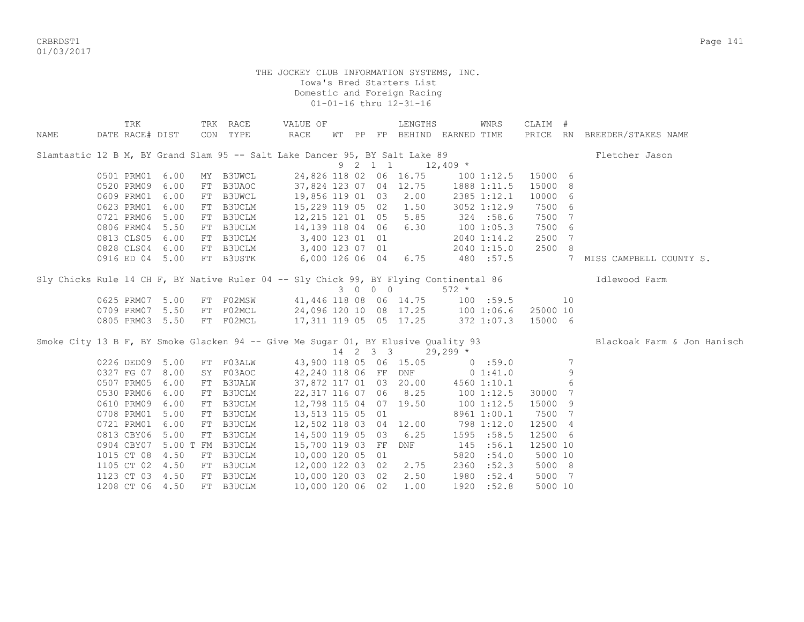CRBRDST1 Page 141 01/03/2017

| NAME | TRK<br>DATE RACE# DIST | TRK RACE<br>CON TYPE | VALUE OF<br>RACE                                                                                    | LENGTHS<br>WT PP FP BEHIND EARNED TIME | WNRS               | CLAIM #  | PRICE RN BREEDER/STAKES NAME |
|------|------------------------|----------------------|-----------------------------------------------------------------------------------------------------|----------------------------------------|--------------------|----------|------------------------------|
|      |                        |                      | Slamtastic 12 B M, BY Grand Slam 95 -- Salt Lake Dancer 95, BY Salt Lake 89                         |                                        |                    |          | Fletcher Jason               |
|      |                        |                      | 9 2 1 1                                                                                             |                                        | $12,409$ *         |          |                              |
|      | 0501 PRM01<br>6.00     | MY B3UWCL            | 24,826 118 02 06 16.75                                                                              |                                        | 1001:12.5          | 15000 6  |                              |
|      | 0520 PRM09<br>6.00     | FT B3UAOC            | 37,824 123 07 04 12.75                                                                              |                                        | 1888 1:11.5        | 15000 8  |                              |
|      | 0609 PRM01<br>6.00     | FT B3UWCL            | 19,856 119 01 03                                                                                    | 2.00                                   | 2385 1:12.1        | 10000 6  |                              |
|      | 0623 PRM01<br>6.00     | FT B3UCLM            | 15,229 119 05 02                                                                                    | 1.50                                   | 3052 1:12.9        | 7500 6   |                              |
|      | 5.00<br>0721 PRM06     | FT B3UCLM            | 12,215 121 01 05                                                                                    | 5.85                                   | 324 : 58.6         | 7500 7   |                              |
|      | 5.50<br>0806 PRM04     | FT B3UCLM            | 14,139 118 04 06                                                                                    | 6.30                                   | 1001:05.3          | 7500 6   |                              |
|      | 0813 CLS05<br>6.00     | FT B3UCLM            | 3,400 123 01 01                                                                                     |                                        | 2040 1:14.2        | 2500 7   |                              |
|      | 0828 CLS04<br>6.00     | FT B3UCLM            | 3,400 123 07 01                                                                                     |                                        | 2040 1:15.0        | 2500 8   |                              |
|      | 0916 ED 04 5.00        | FT B3USTK            | 6,000 126 06 04                                                                                     | 6.75                                   | 480 :57.5          | 7        | MISS CAMPBELL COUNTY S.      |
|      |                        |                      | Sly Chicks Rule 14 CH F, BY Native Ruler 04 -- Sly Chick 99, BY Flying Continental 86 1dlewood Farm |                                        |                    |          |                              |
|      |                        |                      | 3 0 0 0                                                                                             |                                        | $572 *$            |          |                              |
|      | 5.00<br>0625 PRM07     | FT F02MSW            | 41,446 118 08 06 14.75 100 :59.5                                                                    |                                        |                    | 10       |                              |
|      | 0709 PRM07<br>5.50     | FT F02MCL            | 24,096 120 10 08 17.25 100 1:06.6                                                                   |                                        |                    | 25000 10 |                              |
|      | 0805 PRM03 5.50        |                      | FT F02MCL 17,311 119 05 05 17.25                                                                    |                                        | 372 1:07.3 15000 6 |          |                              |
|      |                        |                      | Smoke City 13 B F, BY Smoke Glacken 94 -- Give Me Sugar 01, BY Elusive Quality 93                   |                                        |                    |          | Blackoak Farm & Jon Hanisch  |
|      |                        |                      |                                                                                                     | $14$ 2 3 3 29,299 $*$                  |                    |          |                              |
|      | 0226 DED09<br>5.00     | FT FO3ALW            | 43,900 118 05 06 15.05                                                                              |                                        | 0:59.0             | 7        |                              |
|      | 0327 FG 07<br>8.00     | SY F03AOC            | 42,240 118 06 FF DNF                                                                                |                                        | 0 1:41.0           | 9        |                              |
|      | 0507 PRM05<br>6.00     | FT B3UALW            | 37,872 117 01 03 20.00                                                                              |                                        | 4560 1:10.1        | 6        |                              |
|      | 0530 PRM06<br>6.00     | FT B3UCLM            | 22, 317 116 07 06 8.25                                                                              |                                        | 1001:12.5          | 30000 7  |                              |
|      | 0610 PRM09<br>6.00     | FT B3UCLM            | 12,798 115 04 07 19.50                                                                              |                                        | 1001:12.5          | 15000 9  |                              |
|      | 0708 PRM01<br>5.00     | FT B3UCLM            | 13,513 115 05 01                                                                                    |                                        | 8961 1:00.1        | 7500 7   |                              |
|      | 0721 PRM01<br>6.00     | FT B3UCLM            | 12,502 118 03 04 12.00                                                                              |                                        | 798 1:12.0         | 12500 4  |                              |
|      | 0813 CBY06 5.00        | FT B3UCLM            | 14,500 119 05 03                                                                                    | 6.25                                   | 1595 :58.5         | 12500 6  |                              |
|      | 0904 CBY07             | 5.00 T FM B3UCLM     | 15,700 119 03 FF                                                                                    | DNF                                    | 145 :56.1          | 12500 10 |                              |
|      | 1015 CT 08<br>4.50     | FT B3UCLM            | 10,000 120 05 01                                                                                    |                                        | 5820<br>:54.0      | 5000 10  |                              |
|      | 1105 CT 02<br>4.50     | FT B3UCLM            | 12,000 122 03 02                                                                                    | 2.75                                   | :52.3<br>2360      | 5000 8   |                              |
|      | 1123 CT 03 4.50        | FT B3UCLM            | 10,000 120 03 02                                                                                    | 2.50                                   | 1980<br>:52.4      | 5000 7   |                              |
|      | 1208 CT 06 4.50        | FT B3UCLM            | 10,000 120 06 02                                                                                    | 1.00                                   | 1920 :52.8         | 5000 10  |                              |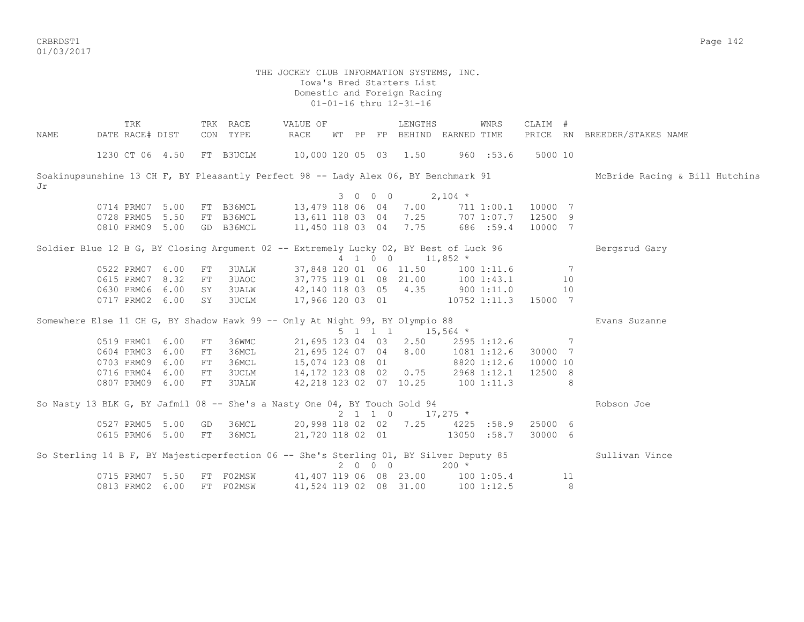CRBRDST1 Page 142 01/03/2017

## THE JOCKEY CLUB INFORMATION SYSTEMS, INC. Iowa's Bred Starters List Domestic and Foreign Racing 01-01-16 thru 12-31-16

TRK TRK RACE VALUE OF LENGTHS WNRS CLAIM # NAME DATE RACE# DIST CON TYPE RACE WT PP FP BEHIND EARNED TIME PRICE RN BREEDER/STAKES NAME 1230 CT 06 4.50 FT B3UCLM 10,000 120 05 03 1.50 960 :53.6 5000 10 Soakinupsunshine 13 CH F, BY Pleasantly Perfect 98 -- Lady Alex 06, BY Benchmark 91 McBride Racing & Bill Hutchins Jr  $3 \t0 \t0 \t0 \t2.104 \t*$  0714 PRM07 5.00 FT B36MCL 13,479 118 06 04 7.00 711 1:00.1 10000 7 0728 PRM05 5.50 FT B36MCL 13,611 118 03 04 7.25 707 1:07.7 12500 9 0810 PRM09 5.00 GD B36MCL 11,450 118 03 04 7.75 686 :59.4 10000 7 Soldier Blue 12 B G, BY Closing Argument 02 -- Extremely Lucky 02, BY Best of Luck 96 Bergsrud Gary  $4$  1 0 0 11,852  $*$  0522 PRM07 6.00 FT 3UALW 37,848 120 01 06 11.50 100 1:11.6 7 0615 PRM07 8.32 FT 3UAOC 37,775 119 01 08 21.00 100 1:43.1 10 0630 PRM06 6.00 SY 3UALW 42,140 118 03 05 4.35 900 1:11.0 10 0717 PRM02 6.00 SY 3UCLM 17,966 120 03 01 10752 1:11.3 15000 7 Somewhere Else 11 CH G, BY Shadow Hawk 99 -- Only At Night 99, BY Olympio 88 Evans Suzanne 5 1 1 1 15,564 \* 0519 PRM01 6.00 FT 36WMC 21,695 123 04 03 2.50 2595 1:12.6 7 0604 PRM03 6.00 FT 36MCL 21,695 124 07 04 8.00 1081 1:12.6 30000 7 0703 PRM09 6.00 FT 36MCL 15,074 123 08 01 8820 1:12.6 10000 10 0716 PRM04 6.00 FT 3UCLM 14,172 123 08 02 0.75 2968 1:12.1 12500 8 0807 PRM09 6.00 FT 3UALW 42,218 123 02 07 10.25 100 1:11.3 8 So Nasty 13 BLK G, BY Jafmil 08 -- She's a Nasty One 04, BY Touch Gold 94 Robson Joe 2 1 1 0  $17,275$  \* 0527 PRM05 5.00 GD 36MCL 20,998 118 02 02 7.25 4225 :58.9 25000 6 0615 PRM06 5.00 FT 36MCL 21,720 118 02 01 13050 :58.7 30000 6 So Sterling 14 B F, BY Majesticperfection 06 -- She's Sterling 01, BY Silver Deputy 85 Sullivan Vince  $2 0 0 0 200 *$ 0715 PRM07 5.50 FT F02MSW 41,407 119 06 08 23.00 100 1:05.4 11 0813 PRM02 6.00 FT F02MSW 41,524 119 02 08 31.00 100 1:12.5 8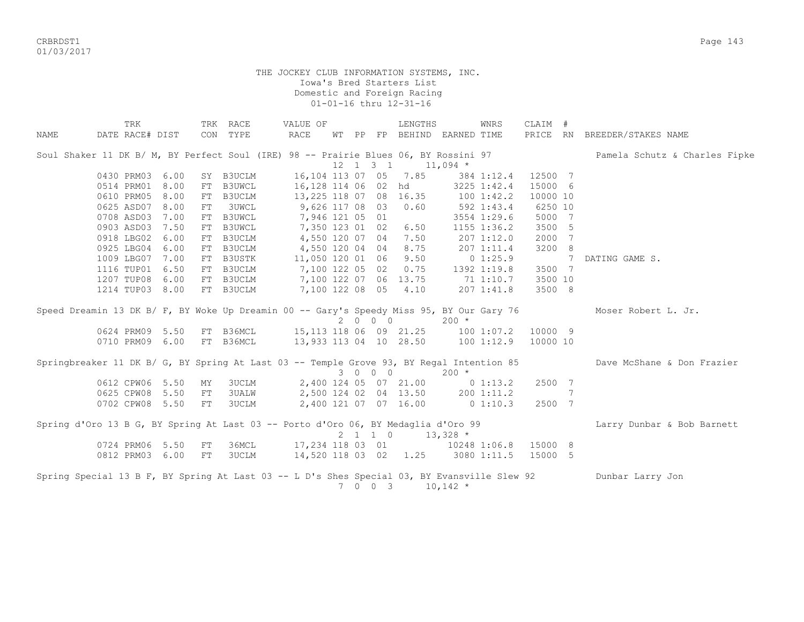CRBRDST1 Page 143 01/03/2017

|      | TRK                                                                                         |    | TRK RACE                                               | VALUE OF                              |  |                              | LENGTHS                     |         | WNRS        | CLAIM #        |   |                               |
|------|---------------------------------------------------------------------------------------------|----|--------------------------------------------------------|---------------------------------------|--|------------------------------|-----------------------------|---------|-------------|----------------|---|-------------------------------|
| NAME | DATE RACE# DIST                                                                             |    | CON TYPE                                               | RACE                                  |  |                              | WT PP FP BEHIND EARNED TIME |         |             |                |   | PRICE RN BREEDER/STAKES NAME  |
|      | Soul Shaker 11 DK B/ M, BY Perfect Soul (IRE) 98 -- Prairie Blues 06, BY Rossini 97         |    |                                                        |                                       |  |                              |                             |         |             |                |   | Pamela Schutz & Charles Fipke |
|      |                                                                                             |    |                                                        |                                       |  | $12 \quad 1 \quad 3 \quad 1$ | $11,094$ *                  |         |             |                |   |                               |
|      | 0430 PRM03 6.00                                                                             |    | SY B3UCLM                                              | 16,104 113 07 05 7.85                 |  |                              |                             |         | 384 1:12.4  | 12500 7        |   |                               |
|      | 0514 PRM01 8.00                                                                             |    | FT B3UWCL                                              | 16,128 114 06 02 hd                   |  |                              |                             |         | 3225 1:42.4 | 15000 6        |   |                               |
|      | 0610 PRM05 8.00                                                                             |    | FT B3UCLM                                              | 13,225 118 07 08 16.35 100 1:42.2     |  |                              |                             |         |             | 10000 10       |   |                               |
|      | 0625 ASD07 8.00                                                                             | FT | <b>3UWCL</b>                                           | 9,626 117 08 03 0.60                  |  |                              |                             |         | 592 1:43.4  | 6250 10        |   |                               |
|      | 0708 ASD03 7.00                                                                             |    | FT B3UWCL                                              | 7,946 121 05 01                       |  |                              |                             |         | 3554 1:29.6 | 5000 7         |   |                               |
|      | 0903 ASD03 7.50                                                                             |    | FT B3UWCL                                              | 7,350 123 01 02 6.50                  |  |                              |                             |         | 1155 1:36.2 | 3500 5         |   |                               |
|      | 0918 LBG02 6.00                                                                             |    | FT B3UCLM                                              | 4,550 120 07 04                       |  |                              | 7.50                        |         | 207 1:12.0  | 2000 7         |   |                               |
|      | 0925 LBG04 6.00                                                                             |    | FT B3UCLM                                              | 4,550 120 04 04                       |  |                              | 8.75                        |         | 207 1:11.4  | 3200 8         |   |                               |
|      | 1009 LBG07 7.00                                                                             |    | FT B3USTK                                              | 11,050 120 01 06                      |  |                              | 9.50                        |         | $0\;1:25.9$ | $\overline{7}$ |   | DATING GAME S.                |
|      | 1116 TUP01 6.50                                                                             |    | FT B3UCLM                                              | 7,100 122 05 02                       |  |                              | 0.75                        |         | 1392 1:19.8 | 3500 7         |   |                               |
|      | 1207 TUP08 6.00                                                                             |    | FT B3UCLM                                              | 7,100 122 07 06 13.75                 |  |                              |                             |         | 711:10.7    | 3500 10        |   |                               |
|      | 1214 TUP03 8.00                                                                             |    | FT B3UCLM                                              | 7,100 122 08 05 4.10                  |  |                              |                             |         | 207 1:41.8  | 3500 8         |   |                               |
|      | Speed Dreamin 13 DK B/ F, BY Woke Up Dreamin 00 -- Gary's Speedy Miss 95, BY Our Gary 76    |    |                                                        |                                       |  | 2 0 0 0                      |                             | $200 *$ |             |                |   | Moser Robert L. Jr.           |
|      | 0624 PRM09 5.50                                                                             |    | FT B36MCL  15,113 118 06 09 21.25  100 1:07.2  10000 9 |                                       |  |                              |                             |         |             |                |   |                               |
|      | 0710 PRM09 6.00                                                                             |    | FT B36MCL                                              | 13,933 113 04 10 28.50 100 1:12.9     |  |                              |                             |         |             | 10000 10       |   |                               |
|      | Springbreaker 11 DK B/ G, BY Spring At Last 03 -- Temple Grove 93, BY Regal Intention 85    |    |                                                        |                                       |  | 3 0 0 0                      |                             | $200 *$ |             |                |   | Dave McShane & Don Frazier    |
|      | 0612 CPW06 5.50                                                                             | MY | 3UCLM                                                  |                                       |  |                              | 2,400 124 05 07 21.00       |         | $0\;1:13.2$ | 2500 7         |   |                               |
|      | 0625 CPW08 5.50                                                                             | FT | <b>3UALW</b>                                           | 2,500 124 02 04 13.50 200 1:11.2      |  |                              |                             |         |             |                | 7 |                               |
|      | 0702 CPW08 5.50                                                                             | FT | 3UCLM                                                  | 2,400 121 07 07 16.00                 |  |                              |                             |         | $0\;1:10.3$ | 2500 7         |   |                               |
|      | Spring d'Oro 13 B G, BY Spring At Last 03 -- Porto d'Oro 06, BY Medaglia d'Oro 99           |    |                                                        |                                       |  | 2 1 1 0                      | $13,328$ *                  |         |             |                |   | Larry Dunbar & Bob Barnett    |
|      | 0724 PRM06 5.50                                                                             | FT | 36MCL                                                  | 17,234 118 03 01 10248 1:06.8 15000 8 |  |                              |                             |         |             |                |   |                               |
|      | 0812 PRM03 6.00                                                                             | FT | 3UCLM                                                  | 14,520 118 03 02 1.25 3080 1:11.5     |  |                              |                             |         |             | 15000 5        |   |                               |
|      | Spring Special 13 B F, BY Spring At Last 03 -- L D's Shes Special 03, BY Evansville Slew 92 |    |                                                        |                                       |  | 7003                         | $10,142$ *                  |         |             |                |   | Dunbar Larry Jon              |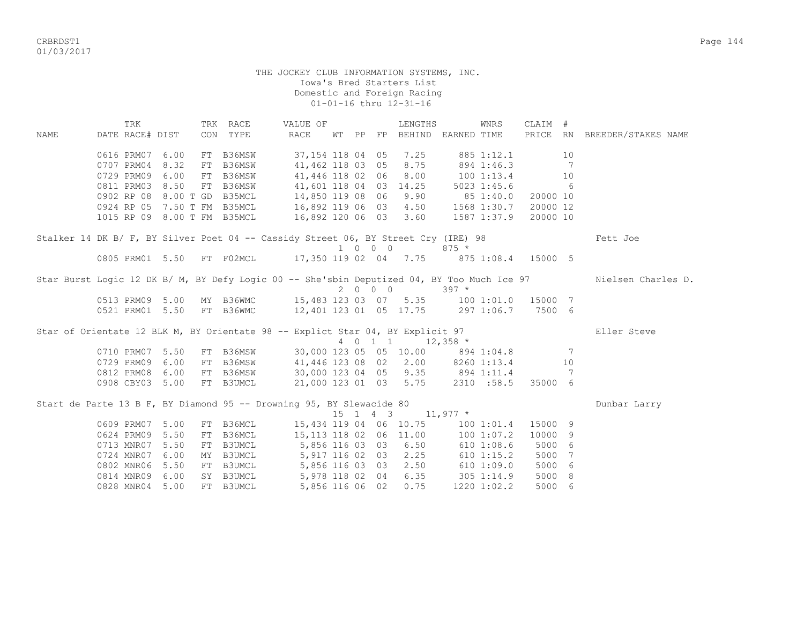CRBRDST1 Page 144 01/03/2017

## THE JOCKEY CLUB INFORMATION SYSTEMS, INC. Iowa's Bred Starters List Domestic and Foreign Racing 01-01-16 thru 12-31-16

 TRK TRK RACE VALUE OF LENGTHS WNRS CLAIM # NAME DATE RACE# DIST CON TYPE RACE WT PP FP BEHIND EARNED TIME PRICE RN BREEDER/STAKES NAME 0616 PRM07 6.00 FT B36MSW 37,154 118 04 05 7.25 885 1:12.1 10 0707 PRM04 8.32 FT B36MSW 41,462 118 03 05 8.75 894 1:46.3 7 0729 PRM09 6.00 FT B36MSW 41,446 118 02 06 8.00 100 1:13.4 10 0811 PRM03 8.50 FT B36MSW 41,601 118 04 03 14.25 5023 1:45.6 6 0902 RP 08 8.00 T GD B35MCL 14,850 119 08 06 9.90 85 1:40.0 20000 10 0924 RP 05 7.50 T FM B35MCL 16,892 119 06 03 4.50 1568 1:30.7 20000 12 1015 RP 09 8.00 T FM B35MCL 16,892 120 06 03 3.60 1587 1:37.9 20000 10 Stalker 14 DK B/ F, BY Silver Poet 04 -- Cassidy Street 06, BY Street Cry (IRE) 98 Fett Joe 1 0 0 0 875 \* 0805 PRM01 5.50 FT F02MCL 17,350 119 02 04 7.75 875 1:08.4 15000 5 Star Burst Logic 12 DK B/ M, BY Defy Logic 00 -- She'sbin Deputized 04, BY Too Much Ice 97 Nielsen Charles D. 2 0 0 0 397 \* 0513 PRM09 5.00 MY B36WMC 15,483 123 03 07 5.35 100 1:01.0 15000 7 0521 PRM01 5.50 FT B36WMC 12,401 123 01 05 17.75 297 1:06.7 7500 6 Star of Orientate 12 BLK M, BY Orientate 98 -- Explict Star 04, BY Explicit 97 Eller Steve<br>  $4 \t 0 \t 1 \t 12.358$  \*  $4 \t 0 \t 1 \t 12,358$  \* 0710 PRM07 5.50 FT B36MSW 30,000 123 05 05 10.00 894 1:04.8 7 0729 PRM09 6.00 FT B36MSW 41,446 123 08 02 2.00 8260 1:13.4 10 0812 PRM08 6.00 FT B36MSW 30,000 123 04 05 9.35 894 1:11.4 7 0908 CBY03 5.00 FT B3UMCL 21,000 123 01 03 5.75 2310 :58.5 35000 6 Start de Parte 13 B F, BY Diamond 95 -- Drowning 95, BY Slewacide 80 Dunbar Larry 15 1 4 3 11,977 \*  $15$  1 4 3 11,977  $*$  0609 PRM07 5.00 FT B36MCL 15,434 119 04 06 10.75 100 1:01.4 15000 9 0624 PRM09 5.50 FT B36MCL 15,113 118 02 06 11.00 100 1:07.2 10000 9 0713 MNR07 5.50 FT B3UMCL 5,856 116 03 03 6.50 610 1:08.6 5000 6 0724 MNR07 6.00 MY B3UMCL 5,917 116 02 03 2.25 610 1:15.2 5000 7 0802 MNR06 5.50 FT B3UMCL 5,856 116 03 03 2.50 610 1:09.0 5000 6 0814 MNR09 6.00 SY B3UMCL 5,978 118 02 04 6.35 305 1:14.9 5000 8 0828 MNR04 5.00 FT B3UMCL 5,856 116 06 02 0.75 1220 1:02.2 5000 6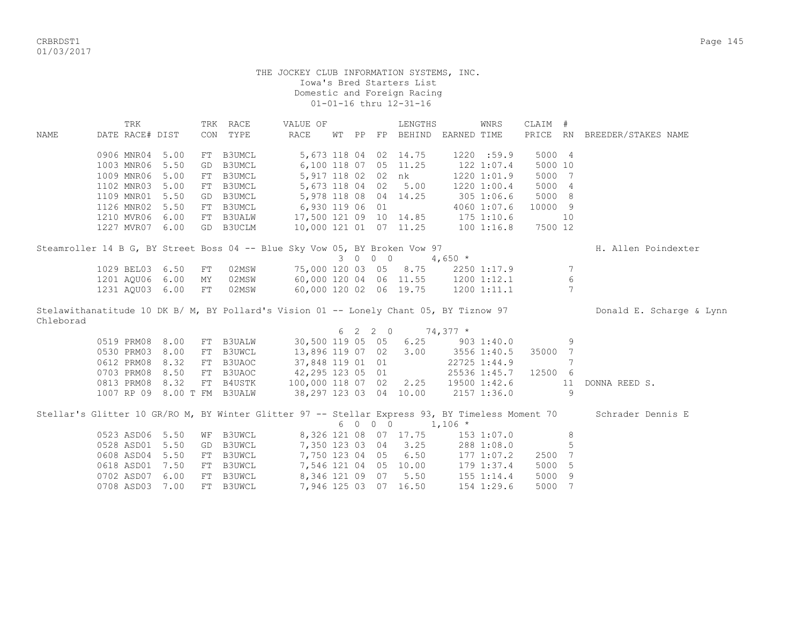CRBRDST1 Page 145 01/03/2017

#### THE JOCKEY CLUB INFORMATION SYSTEMS, INC. Iowa's Bred Starters List Domestic and Foreign Racing 01-01-16 thru 12-31-16

 TRK TRK RACE VALUE OF LENGTHS WNRS CLAIM # NAME DATE RACE# DIST CON TYPE RACE WT PP FP BEHIND EARNED TIME PRICE RN BREEDER/STAKES NAME 0906 MNR04 5.00 FT B3UMCL 5,673 118 04 02 14.75 1220 :59.9 5000 4 1003 MNR06 5.50 GD B3UMCL 6,100 118 07 05 11.25 122 1:07.4 5000 10 1009 MNR06 5.00 FT B3UMCL 5,917 118 02 02 nk 1220 1:01.9 5000 7 1102 MNR03 5.00 FT B3UMCL 5,673 118 04 02 5.00 1220 1:00.4 5000 4 1109 MNR01 5.50 GD B3UMCL 5,978 118 08 04 14.25 305 1:06.6 5000 8 1126 MNR02 5.50 FT B3UMCL 6,930 119 06 01 4060 1:07.6 10000 9 1210 MVR06 6.00 FT B3UALW 17,500 121 09 10 14.85 175 1:10.6 10 1227 MVR07 6.00 GD B3UCLM 10,000 121 01 07 11.25 100 1:16.8 7500 12 Steamroller 14 B G, BY Street Boss 04 -- Blue Sky Vow 05, BY Broken Vow 97 H. Allen Poindexter  $3 \t 0 \t 0 \t 4.650 \star$  1029 BEL03 6.50 FT 02MSW 75,000 120 03 05 8.75 2250 1:17.9 7 1201 AQU06 6.00 MY 02MSW 60,000 120 04 06 11.55 1200 1:12.1 6 1231 AQU03 6.00 FT 02MSW 60,000 120 02 06 19.75 1200 1:11.1 7 Stelawithanatitude 10 DK B/ M, BY Pollard's Vision 01 -- Lonely Chant 05, BY Tiznow 97 Donald E. Scharge & Lynn Chleborad  $6 \quad 2 \quad 2 \quad 0 \quad 74,377 \neq$  0519 PRM08 8.00 FT B3UALW 30,500 119 05 05 6.25 903 1:40.0 9 0530 PRM03 8.00 FT B3UWCL 13,896 119 07 02 3.00 3556 1:40.5 35000 7<br>0612 PRM08 8.32 FT B3UAOC 37,848 119 01 01 22725 1:44.9 7 0612 PRM08 8.32 FT B3UAOC 37,848 119 01 01 22725 1:44.9 7 0703 PRM08 8.50 FT B3UAOC 42, 295 123 05 01 25536 1:45.7 12500 6 0813 PRM08 8.32 FT B4USTK 100,000 118 07 02 2.25 19500 1:42.6 11 DONNA REED S. 1007 RP 09 8.00 T FM B3UALW 38,297 123 03 04 10.00 2157 1:36.0 9 Stellar's Glitter 10 GR/RO M, BY Winter Glitter 97 -- Stellar Express 93, BY Timeless Moment 70 Schrader Dennis E 6 0 0 0 1,106 \* 0523 ASD06 5.50 WF B3UWCL 8,326 121 08 07 17.75 153 1:07.0 8 0528 ASD01 5.50 GD B3UWCL 7,350 123 03 04 3.25 288 1:08.0 5 0608 ASD04 5.50 FT B3UWCL 7,750 123 04 05 6.50 177 1:07.2 2500 7 0618 ASD01 7.50 FT B3UWCL 7,546 121 04 05 10.00 179 1:37.4 5000 5 0702 ASD07 6.00 FT B3UWCL 8,346 121 09 07 5.50 155 1:14.4 5000 9 0708 ASD03 7.00 FT B3UWCL 7,946 125 03 07 16.50 154 1:29.6 5000 7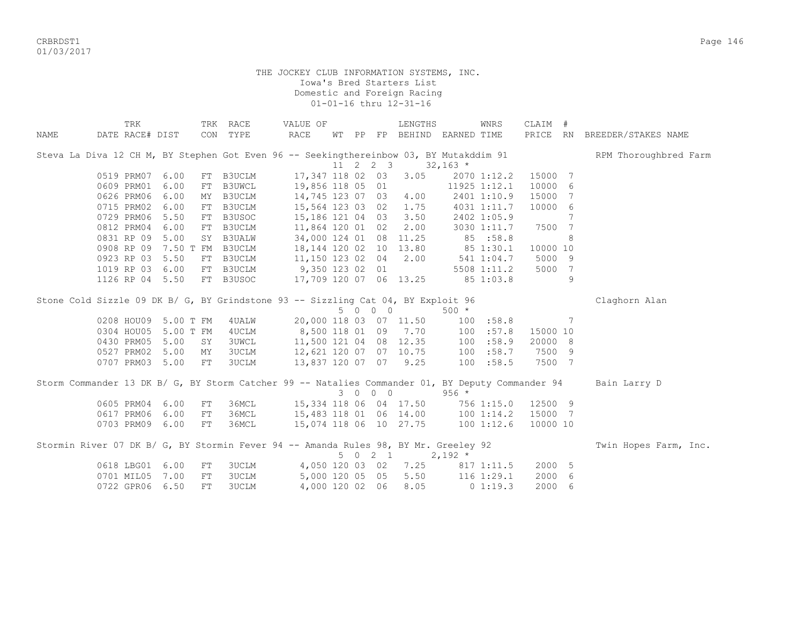CRBRDST1 Page 146 01/03/2017

> THE JOCKEY CLUB INFORMATION SYSTEMS, INC. Iowa's Bred Starters List Domestic and Foreign Racing 01-01-16 thru 12-31-16

|             | TRK                                                                                              |            | TRK RACE                   | VALUE OF                                                             |    |    |         | LENGTHS                                           |              | WNRS         | CLAIM #  |   |                              |
|-------------|--------------------------------------------------------------------------------------------------|------------|----------------------------|----------------------------------------------------------------------|----|----|---------|---------------------------------------------------|--------------|--------------|----------|---|------------------------------|
| <b>NAME</b> | DATE RACE# DIST                                                                                  | CON        | TYPE                       | RACE                                                                 | WТ | PP |         | FP BEHIND EARNED TIME                             |              |              |          |   | PRICE RN BREEDER/STAKES NAME |
|             | Steva La Diva 12 CH M, BY Stephen Got Even 96 -- Seekingthereinbow 03, BY Mutakddim 91           |            |                            |                                                                      |    |    |         |                                                   |              |              |          |   | RPM Thoroughbred Farm        |
|             |                                                                                                  |            |                            |                                                                      |    |    |         | $11 \quad 2 \quad 2 \quad 3 \quad 32,163 \quad *$ |              |              | 15000 7  |   |                              |
|             | 0519 PRM07<br>0609 PRM01                                                                         | 6.00       | FT B3UCLM<br><b>B3UWCL</b> | 17,347 118 02 03                                                     |    |    |         | 3.05                                              |              | 2070 1:12.2  | 10000 6  |   |                              |
|             |                                                                                                  | 6.00<br>FT |                            | 19,856 118 05 01<br>14,745 123 07 03 4.00                            |    |    |         |                                                   |              | 11925 1:12.1 |          |   |                              |
|             | 0626 PRM06                                                                                       | 6.00<br>MY | B3UCLM                     |                                                                      |    |    |         |                                                   |              | 2401 1:10.9  | 15000 7  |   |                              |
|             | 0715 PRM02                                                                                       | 6.00<br>FT | B3UCLM                     | 15,564 123 03 02 1.75                                                |    |    |         |                                                   |              | 4031 1:11.7  | 10000 6  |   |                              |
|             | 0729 PRM06                                                                                       | 5.50<br>FT | B3USOC                     | 15,186 121 04 03 3.50                                                |    |    |         |                                                   |              | 2402 1:05.9  |          | 7 |                              |
|             | 0812 PRM04                                                                                       | 6.00<br>FT | B3UCLM                     | 11,864 120 01 02 2.00                                                |    |    |         |                                                   |              | 3030 1:11.7  | 7500 7   |   |                              |
|             | 0831 RP 09                                                                                       | 5.00       | SY B3UALW                  | 34,000 124 01 08 11.25 85 :58.8<br>18, 144 120 02 10 13.80 85 1:30.1 |    |    |         |                                                   |              |              |          | 8 |                              |
|             | 0908 RP 09 7.50 T FM B3UCLM                                                                      |            |                            |                                                                      |    |    |         |                                                   |              |              | 10000 10 |   |                              |
|             | 0923 RP 03                                                                                       | 5.50       | FT B3UCLM                  | $11,150$ $123$ $02$ $04$ $2.00$                                      |    |    |         |                                                   | 541 1:04.7   |              | 5000 9   |   |                              |
|             | 1019 RP 03 6.00                                                                                  |            | FT B3UCLM                  | 9,350 123 02 01                                                      |    |    |         |                                                   |              | 5508 1:11.2  | 5000 7   |   |                              |
|             | 1126 RP 04 5.50                                                                                  |            | FT B3USOC                  | 17,709 120 07 06 13.25                                               |    |    |         |                                                   |              | 85 1:03.8    |          | 9 |                              |
|             | Stone Cold Sizzle 09 DK B/ G, BY Grindstone 93 -- Sizzling Cat 04, BY Exploit 96                 |            |                            |                                                                      |    |    |         |                                                   |              |              |          |   | Claghorn Alan                |
|             |                                                                                                  |            |                            |                                                                      |    |    | 5 0 0 0 |                                                   | $500 *$      |              |          |   |                              |
|             | 0208 HOU09 5.00 T FM                                                                             |            | 4 UALW                     | 20,000 118 03 07 11.50                                               |    |    |         |                                                   | 100 : 58.8   |              |          | 7 |                              |
|             | 0304 HOU05                                                                                       | 5.00 T FM  | 4UCLM                      | 8,500 118 01 09 7.70 100                                             |    |    |         |                                                   |              | :57.8        | 15000 10 |   |                              |
|             | 0430 PRM05                                                                                       | 5.00<br>SY | <b>3UWCL</b>               | 11,500 121 04 08 12.35 100                                           |    |    |         |                                                   |              | :58.9        | 20000 8  |   |                              |
|             | 0527 PRM02                                                                                       | 5.00<br>MY | <b>3UCLM</b>               | 12,621 120 07 07 10.75 100                                           |    |    |         |                                                   |              | :58.7        | 7500 9   |   |                              |
|             | 0707 PRM03 5.00                                                                                  | FT         | 3UCLM                      | 13,837 120 07 07 9.25                                                |    |    |         |                                                   | 100 : 58.5   |              | 7500 7   |   |                              |
|             | Storm Commander 13 DK B/ G, BY Storm Catcher 99 -- Natalies Commander 01, BY Deputy Commander 94 |            |                            |                                                                      |    |    |         |                                                   |              |              |          |   | Bain Larry D                 |
|             |                                                                                                  |            |                            |                                                                      |    |    | 3 0 0 0 |                                                   | $956 *$      |              |          |   |                              |
|             | 0605 PRM04                                                                                       | 6.00<br>FT | 36MCL                      | 15,334 118 06 04 17.50                                               |    |    |         |                                                   | $756$ 1:15.0 |              | 12500 9  |   |                              |
|             | 0617 PRM06                                                                                       | 6.00<br>FT | 36MCL                      | 15, 483 118 01 06 14.00 100 1:14.2                                   |    |    |         |                                                   |              |              | 15000 7  |   |                              |
|             | 0703 PRM09 6.00                                                                                  | FT         | 36MCL                      | 15,074 118 06 10 27.75 100 1:12.6                                    |    |    |         |                                                   |              |              | 10000 10 |   |                              |
|             |                                                                                                  |            |                            |                                                                      |    |    |         |                                                   |              |              |          |   |                              |
|             | Stormin River 07 DK B/ G, BY Stormin Fever 94 -- Amanda Rules 98, BY Mr. Greeley 92              |            |                            |                                                                      |    |    |         |                                                   |              |              |          |   | Twin Hopes Farm, Inc.        |
|             |                                                                                                  |            |                            |                                                                      |    |    | 5 0 2 1 |                                                   | $2,192*$     |              |          |   |                              |
|             | 0618 LBG01                                                                                       | 6.00<br>FT | 3UCLM                      | 4,050 120 03 02 7.25 817 1:11.5                                      |    |    |         |                                                   |              |              | 2000 5   |   |                              |
|             | 0701 MIL05                                                                                       | 7.00<br>FT | 3UCLM                      | 5,000 120 05 05 5.50 116 1:29.1                                      |    |    |         |                                                   |              |              | 2000 6   |   |                              |
|             | 0722 GPR06                                                                                       | 6.50<br>FT | <b>3UCLM</b>               |                                                                      |    |    |         | 4,000 120 02 06 8.05                              |              | 01:19.3      | 2000 6   |   |                              |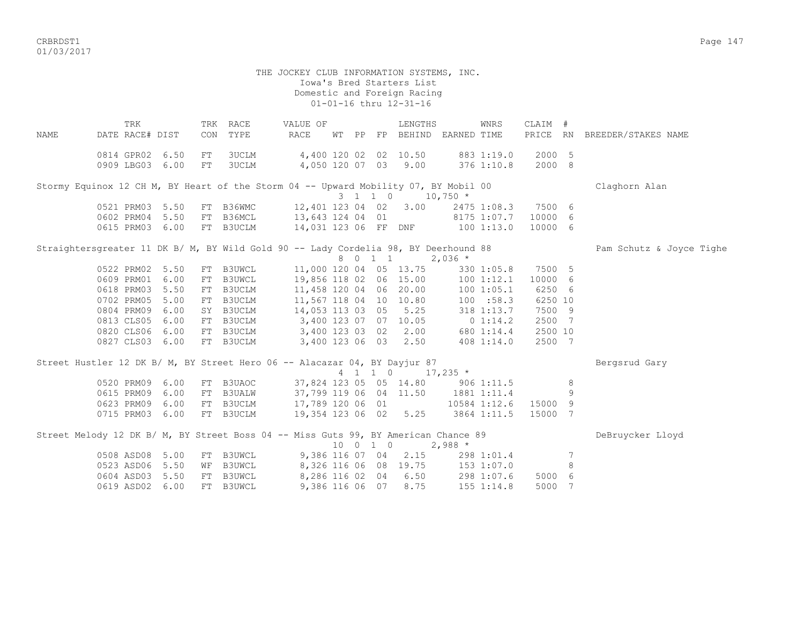crite to the control of the control of the control of the control of the control of the control of the control of the control of the control of the control of the control of the control of the control of the control of the 01/03/2017

 THE JOCKEY CLUB INFORMATION SYSTEMS, INC. Iowa's Bred Starters List Domestic and Foreign Racing 01-01-16 thru 12-31-16 TRK TRK RACE VALUE OF LENGTHS WNRS CLAIM # NAME DATE RACE# DIST CON TYPE RACE WT PP FP BEHIND EARNED TIME PRICE RN BREEDER/STAKES NAME 0814 GPR02 6.50 FT 3UCLM 4,400 120 02 02 10.50 883 1:19.0 2000 5 0909 LBG03 6.00 FT 3UCLM 4,050 120 07 03 9.00 376 1:10.8 2000 8 Stormy Equinox 12 CH M, BY Heart of the Storm 04 -- Upward Mobility 07, BY Mobil 00 Claghorn Alan 3 1 1 0 10,750 \* 0521 PRM03 5.50 FT B36WMC 12,401 123 04 02 3.00 2475 1:08.3 7500 6 0602 PRM04 5.50 FT B36MCL 13,643 124 04 01 8175 1:07.7 10000 6 0615 PRM03 6.00 FT B3UCLM 14,031 123 06 FF DNF 100 1:13.0 10000 6 Straightersgreater 11 DK B/ M, BY Wild Gold 90 -- Lady Cordelia 98, BY Deerhound 88 Pam Schutz & Joyce Tighe<br>
8 0 1 1 2,036 \*  $8 \t0 \t1 \t2.036$  \* 0522 PRM02 5.50 FT B3UWCL 11,000 120 04 05 13.75 330 1:05.8 7500 5 0609 PRM01 6.00 FT B3UWCL 19,856 118 02 06 15.00 100 1:12.1 10000 6 0618 PRM03 5.50 FT B3UCLM 11,458 120 04 06 20.00 100 1:05.1 6250 6 0702 PRM05 5.00 FT B3UCLM 11,567 118 04 10 10.80 100 :58.3 6250 10 0804 PRM09 6.00 SY B3UCLM 14,053 113 03 05 5.25 318 1:13.7 7500 9 0813 CLS05 6.00 FT B3UCLM 3,400 123 07 07 10.05 0 1:14.2 2500 7 0820 CLS06 6.00 FT B3UCLM 3,400 123 03 02 2.00 680 1:14.4 2500 10 0827 CLS03 6.00 FT B3UCLM 3,400 123 06 03 2.50 408 1:14.0 2500 7 Street Hustler 12 DK B/ M, BY Street Hero 06 -- Alacazar 04, BY Dayjur 87 Bergsrud Gary 4 1 1 0 17,235 \* 0520 PRM09 6.00 FT B3UAOC 37,824 123 05 05 14.80 906 1:11.5 8 0615 PRM09 6.00 FT B3UALW 37,799 119 06 04 11.50 1881 1:11.4 9 0623 PRM09 6.00 FT B3UCLM 17,789 120 06 01 10584 1:12.6 15000 9 0715 PRM03 6.00 FT B3UCLM 19,354 123 06 02 5.25 3864 1:11.5 15000 7 Street Melody 12 DK B/ M, BY Street Boss 04 -- Miss Guts 99, BY American Chance 89 DeBruycker Lloyd 10 0 1 0 2,988 \* 0508 ASD08 5.00 FT B3UWCL 9,386 116 07 04 2.15 298 1:01.4 7 0523 ASD06 5.50 WF B3UWCL 8,326 116 06 08 19.75 153 1:07.0 8 0604 ASD03 5.50 FT B3UWCL 8,286 116 02 04 6.50 298 1:07.6 5000 6 0619 ASD02 6.00 FT B3UWCL 9,386 116 06 07 8.75 155 1:14.8 5000 7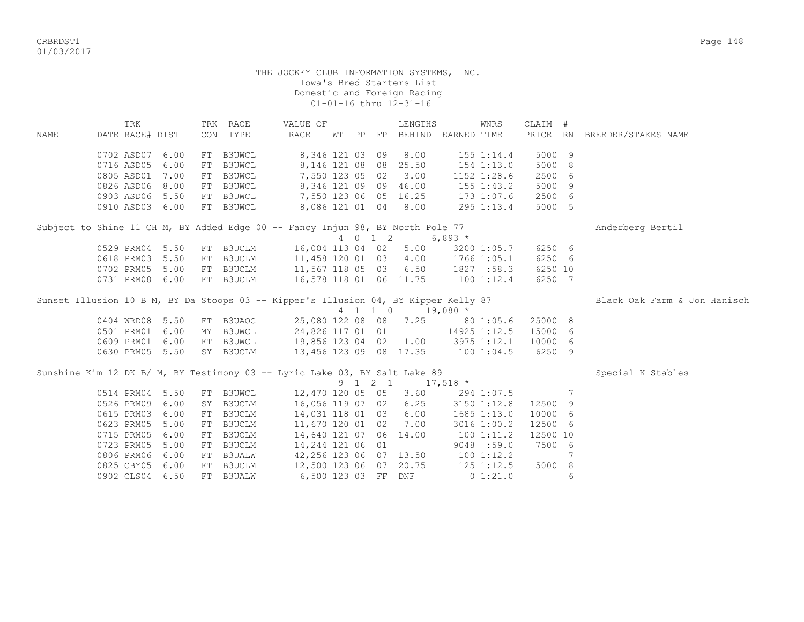CRBRDST1 Page 148 01/03/2017

#### THE JOCKEY CLUB INFORMATION SYSTEMS, INC. Iowa's Bred Starters List Domestic and Foreign Racing 01-01-16 thru 12-31-16

 TRK TRK RACE VALUE OF LENGTHS WNRS CLAIM # NAME DATE RACE# DIST CON TYPE RACE WT PP FP BEHIND EARNED TIME PRICE RN BREEDER/STAKES NAME 0702 ASD07 6.00 FT B3UWCL 8,346 121 03 09 8.00 155 1:14.4 5000 9 0716 ASD05 6.00 FT B3UWCL 8,146 121 08 08 25.50 154 1:13.0 5000 8 0805 ASD01 7.00 FT B3UWCL 7,550 123 05 02 3.00 1152 1:28.6 2500 6 0826 ASD06 8.00 FT B3UWCL 8,346 121 09 09 46.00 155 1:43.2 5000 9 0903 ASD06 5.50 FT B3UWCL 7,550 123 06 05 16.25 173 1:07.6 2500 6 0910 ASD03 6.00 FT B3UWCL 8,086 121 01 04 8.00 295 1:13.4 5000 5 Subject to Shine 11 CH M, BY Added Edge 00 -- Fancy Injun 98, BY North Pole 77 Anderberg Bertil 4 0 1 2 6,893 \* 0529 PRM04 5.50 FT B3UCLM 16,004 113 04 02 5.00 3200 1:05.7 6250 6 0618 PRM03 5.50 FT B3UCLM 11,458 120 01 03 4.00 1766 1:05.1 6250 6 0702 PRM05 5.00 FT B3UCLM 11,567 118 05 03 6.50 1827 :58.3 6250 10 0731 PRM08 6.00 FT B3UCLM 16,578 118 01 06 11.75 100 1:12.4 6250 7 Sunset Illusion 10 B M, BY Da Stoops 03 -- Kipper's Illusion 04, BY Kipper Kelly 87 Black Oak Farm & Jon Hanisch 4 1 1 0 19,080 \* 0404 WRD08 5.50 FT B3UAOC 25,080 122 08 08 7.25 80 1:05.6 25000 8 0501 PRM01 6.00 MY B3UWCL 24,826 117 01 01 14925 1:12.5 15000 6 0609 PRM01 6.00 FT B3UWCL 19,856 123 04 02 1.00 3975 1:12.1 10000 6 0630 PRM05 5.50 SY B3UCLM 13,456 123 09 08 17.35 100 1:04.5 6250 9 Sunshine Kim 12 DK B/ M, BY Testimony 03 -- Lyric Lake 03, BY Salt Lake 89 Special K Stables 9 1 2 1 17,518 \* 0514 PRM04 5.50 FT B3UWCL 12,470 120 05 05 3.60 294 1:07.5 7 0526 PRM09 6.00 SY B3UCLM 16,056 119 07 02 6.25 3150 1:12.8 12500 9 0615 PRM03 6.00 FT B3UCLM 0623 PRM05 5.00 FT B3UCLM 11,670 120 01 02 7.00 3016 1:00.2 12500 6 0715 PRM05 6.00 FT B3UCLM 14,640 121 07 06 14.00 100 1:11.2 12500 10 0723 PRM05 5.00 FT B3UCLM 14,244 121 06 01 9048 :59.0 7500 6 0806 PRM06 6.00 FT B3UALW 42,256 123 06 07 13.50 100 1:12.2 7 0825 CBY05 6.00 FT B3UCLM 12,500 123 06 07 20.75 125 1:12.5 5000 8 0902 CLS04 6.50 FT B3UALW 6,500 123 03 FF DNF 0 1:21.0 6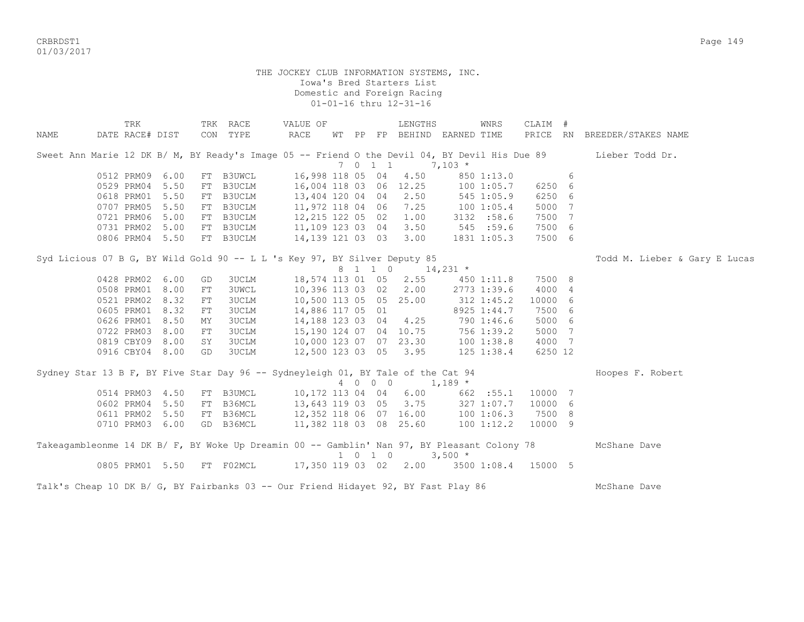CRBRDST1 Page 149 01/03/2017

## THE JOCKEY CLUB INFORMATION SYSTEMS, INC. Iowa's Bred Starters List Domestic and Foreign Racing 01-01-16 thru 12-31-16

|      | TRK             |  |            | TRK RACE                                                                                    | VALUE OF         |  |                  | LENGTHS                     |          | WNRS           | CLAIM # |   |                                                                                                               |
|------|-----------------|--|------------|---------------------------------------------------------------------------------------------|------------------|--|------------------|-----------------------------|----------|----------------|---------|---|---------------------------------------------------------------------------------------------------------------|
| NAME | DATE RACE# DIST |  |            | CON TYPE                                                                                    | RACE             |  |                  | WT PP FP BEHIND EARNED TIME |          |                |         |   | PRICE RN BREEDER/STAKES NAME                                                                                  |
|      |                 |  |            |                                                                                             |                  |  |                  |                             |          |                |         |   | Sweet Ann Marie 12 DK B/ M, BY Ready's Image 05 -- Friend O the Devil 04, BY Devil His Due 89 Lieber Todd Dr. |
|      |                 |  |            |                                                                                             |                  |  | 7 0 1 1          |                             | $7,103*$ |                |         |   |                                                                                                               |
|      | 0512 PRM09 6.00 |  | FT         | B3UWCL                                                                                      |                  |  | 16,998 118 05 04 | 4.50                        |          | 850 1:13.0     |         | 6 |                                                                                                               |
|      | 0529 PRM04 5.50 |  | FT         | B3UCLM                                                                                      |                  |  |                  | 16,004 118 03 06 12.25      |          | 100 1:05.7     | 6250 6  |   |                                                                                                               |
|      | 0618 PRM01 5.50 |  | FT         | B3UCLM                                                                                      | 13,404 120 04 04 |  |                  | 2.50                        |          | $545$ 1:05.9   | 6250 6  |   |                                                                                                               |
|      | 0707 PRM05 5.50 |  |            | FT B3UCLM                                                                                   | 11,972 118 04 06 |  |                  | 7.25                        |          | 1001:05.4      | 5000 7  |   |                                                                                                               |
|      | 0721 PRM06 5.00 |  |            | FT B3UCLM                                                                                   |                  |  |                  | 12,215 122 05 02 1.00       |          | 3132 :58.6     | 7500 7  |   |                                                                                                               |
|      | 0731 PRM02 5.00 |  |            | FT B3UCLM                                                                                   |                  |  |                  | 11,109 123 03 04 3.50       |          | 545 :59.6      | 7500 6  |   |                                                                                                               |
|      | 0806 PRM04 5.50 |  |            | FT B3UCLM                                                                                   |                  |  |                  | 14,139 121 03 03 3.00       |          | 1831 1:05.3    | 7500 6  |   |                                                                                                               |
|      |                 |  |            | Syd Licious 07 B G, BY Wild Gold 90 -- L L 's Key 97, BY Silver Deputy 85                   |                  |  |                  |                             |          |                |         |   | Todd M. Lieber & Gary E Lucas                                                                                 |
|      |                 |  |            |                                                                                             |                  |  |                  | 8 1 1 0 14,231 *            |          |                |         |   |                                                                                                               |
|      | 0428 PRM02 6.00 |  | GD         | 3UCLM                                                                                       |                  |  |                  | 18,574 113 01 05 2.55       |          | 450 1:11.8     | 7500 8  |   |                                                                                                               |
|      | 0508 PRM01 8.00 |  | FT         | <b>3UWCL</b>                                                                                |                  |  |                  | 10,396 113 03 02 2.00       |          | 2773 1:39.6    | 4000 4  |   |                                                                                                               |
|      | 0521 PRM02 8.32 |  | ${\rm FT}$ | <b>3UCLM</b>                                                                                |                  |  |                  | 10,500 113 05 05 25.00      |          | $312 \t1:45.2$ | 10000 6 |   |                                                                                                               |
|      | 0605 PRM01 8.32 |  | FT         | <b>3UCLM</b>                                                                                | 14,886 117 05 01 |  |                  |                             |          | 8925 1:44.7    | 7500 6  |   |                                                                                                               |
|      | 0626 PRM01 8.50 |  | MY         | <b>3UCLM</b>                                                                                |                  |  |                  | 14, 188 123 03 04 4.25      |          | 790 1:46.6     | 5000 6  |   |                                                                                                               |
|      | 0722 PRM03 8.00 |  | FT         | <b>3UCLM</b>                                                                                |                  |  |                  | 15,190 124 07 04 10.75      |          | 756 1:39.2     | 5000 7  |   |                                                                                                               |
|      | 0819 CBY09 8.00 |  | SY         | <b>3UCLM</b>                                                                                |                  |  |                  | 10,000 123 07 07 23.30      |          | 1001:38.8      | 4000 7  |   |                                                                                                               |
|      | 0916 CBY04 8.00 |  | GD         | 3UCLM                                                                                       |                  |  |                  | 12,500 123 03 05 3.95       |          | 125 1:38.4     | 6250 12 |   |                                                                                                               |
|      |                 |  |            | Sydney Star 13 B F, BY Five Star Day 96 -- Sydneyleigh 01, BY Tale of the Cat 94            |                  |  |                  |                             |          |                |         |   | Hoopes F. Robert                                                                                              |
|      |                 |  |            |                                                                                             |                  |  |                  | 4 0 0 0 1,189 $*$           |          |                |         |   |                                                                                                               |
|      | 0514 PRM03 4.50 |  |            | FT B3UMCL                                                                                   |                  |  |                  | 10,172 113 04 04 6.00       |          | 662 :55.1      | 10000 7 |   |                                                                                                               |
|      | 0602 PRM04 5.50 |  | FT         | B36MCL                                                                                      |                  |  |                  | 13,643 119 03 05 3.75       |          | 327 1:07.7     | 10000 6 |   |                                                                                                               |
|      | 0611 PRM02 5.50 |  | FT         | B36MCL                                                                                      |                  |  |                  | 12,352 118 06 07 16.00      |          | 1001:06.3      | 7500 8  |   |                                                                                                               |
|      | 0710 PRM03 6.00 |  |            | GD B36MCL                                                                                   |                  |  |                  | 11,382 118 03 08 25.60      |          | 100 1:12.2     | 10000 9 |   |                                                                                                               |
|      |                 |  |            | Takeagambleonme 14 DK B/ F, BY Woke Up Dreamin 00 -- Gamblin' Nan 97, BY Pleasant Colony 78 |                  |  |                  |                             |          |                |         |   | McShane Dave                                                                                                  |
|      |                 |  |            |                                                                                             |                  |  | 1 0 1 0          |                             | $3,500*$ |                |         |   |                                                                                                               |
|      |                 |  |            | 0805 PRM01 5.50 FT F02MCL 17,350 119 03 02 2.00 3500 1:08.4 15000 5                         |                  |  |                  |                             |          |                |         |   |                                                                                                               |
|      |                 |  |            | Talk's Cheap 10 DK B/ G, BY Fairbanks 03 -- Our Friend Hidayet 92, BY Fast Play 86          |                  |  |                  |                             |          |                |         |   | McShane Dave                                                                                                  |
|      |                 |  |            |                                                                                             |                  |  |                  |                             |          |                |         |   |                                                                                                               |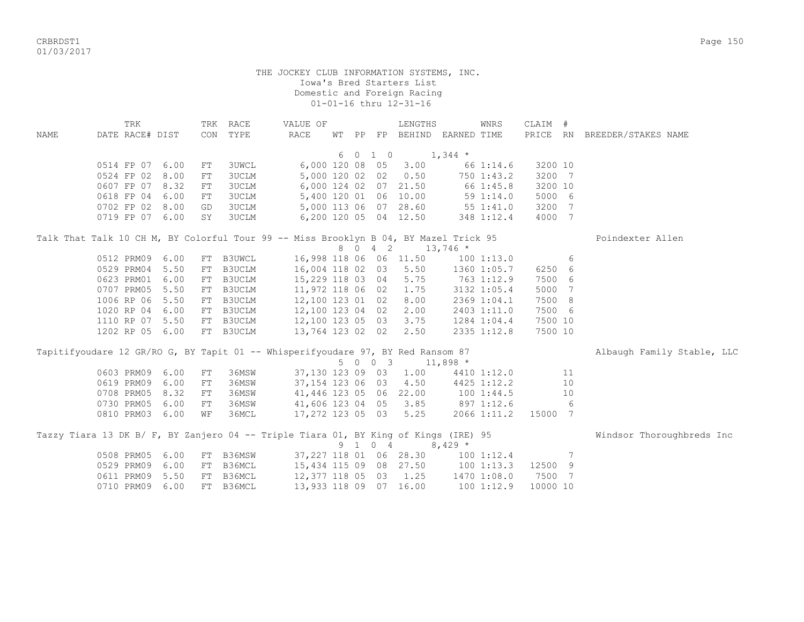CRBRDST1 Page 150 01/03/2017

> THE JOCKEY CLUB INFORMATION SYSTEMS, INC. Iowa's Bred Starters List Domestic and Foreign Racing 01-01-16 thru 12-31-16

 TRK TRK RACE VALUE OF LENGTHS WNRS CLAIM # NAME DATE RACE# DIST CON TYPE RACE WT PP FP BEHIND EARNED TIME PRICE RN BREEDER/STAKES NAME  $6 \t0 \t1 \t0 \t1,344 \t\t*$  0514 FP 07 6.00 FT 3UWCL 6,000 120 08 05 3.00 66 1:14.6 3200 10 0524 FP 02 8.00 FT 3UCLM 5,000 120 02 02 0.50 750 1:43.2 3200 7 0607 FP 07 8.32 FT 3UCLM 6,000 124 02 07 21.50 66 1:45.8 3200 10 0618 FP 04 6.00 FT 3UCLM 5,400 120 01 06 10.00 59 1:14.0 5000 6 0702 FP 02 8.00 GD 3UCLM 5,000 113 06 07 28.60 55 1:41.0 3200 7 0719 FP 07 6.00 SY 3UCLM 6,200 120 05 04 12.50 348 1:12.4 4000 7 Talk That Talk 10 CH M, BY Colorful Tour 99 -- Miss Brooklyn B 04, BY Mazel Trick 95 Poindexter Allen 8 0 4 2 13,746 \* 0512 PRM09 6.00 FT B3UWCL 16,998 118 06 06 11.50 100 1:13.0 6 0529 PRM04 5.50 FT B3UCLM 16,004 118 02 03 5.50 1360 1:05.7 6250 6 0623 PRM01 6.00 FT B3UCLM 15,229 118 03 04 5.75 763 1:12.9 7500 6 0707 PRM05 5.50 FT B3UCLM 11,972 118 06 02 1.75 3132 1:05.4 5000 7 1006 RP 06 5.50 FT B3UCLM 12,100 123 01 02 8.00 2369 1:04.1 7500 8 1020 RP 04 6.00 FT B3UCLM 12,100 123 04 02 2.00 2403 1:11.0 7500 6 1110 RP 07 5.50 FT B3UCLM 12,100 123 05 03 3.75 1284 1:04.4 7500 10 1202 RP 05 6.00 FT B3UCLM 13,764 123 02 02 2.50 2335 1:12.8 7500 10 Tapitifyoudare 12 GR/RO G, BY Tapit 01 -- Whisperifyoudare 97, BY Red Ransom 87 Albaugh Family Stable, LLC 5 0 0 3 11,898 \* 0603 PRM09 6.00 FT 36MSW 37,130 123 09 03 1.00 4410 1:12.0 11 0619 PRM09 6.00 FT 36MSW 37,154 123 06 03 4.50 4425 1:12.2 10 0708 PRM05 8.32 FT 36MSW 41,446 123 05 06 22.00 100 1:44.5 10 0730 PRM05 6.00 FT 36MSW 41,606 123 04 05 3.85 897 1:12.6 6 0810 PRM03 6.00 WF 36MCL 17,272 123 05 03 5.25 2066 1:11.2 15000 7 Tazzy Tiara 13 DK B/ F, BY Zanjero 04 -- Triple Tiara 01, BY King of Kings (IRE) 95 Windsor Thoroughbreds Inc<br>9 1 0 4 8,429 \* 9 1 0 4 0508 PRM05 6.00 FT B36MSW 37,227 118 01 06 28.30 100 1:12.4 7 0529 PRM09 6.00 FT B36MCL 15,434 115 09 08 27.50 100 1:13.3 12500 9 0611 PRM09 5.50 FT B36MCL 12,377 118 05 03 1.25 1470 1:08.0 7500 7 0710 PRM09 6.00 FT B36MCL 13,933 118 09 07 16.00 100 1:12.9 10000 10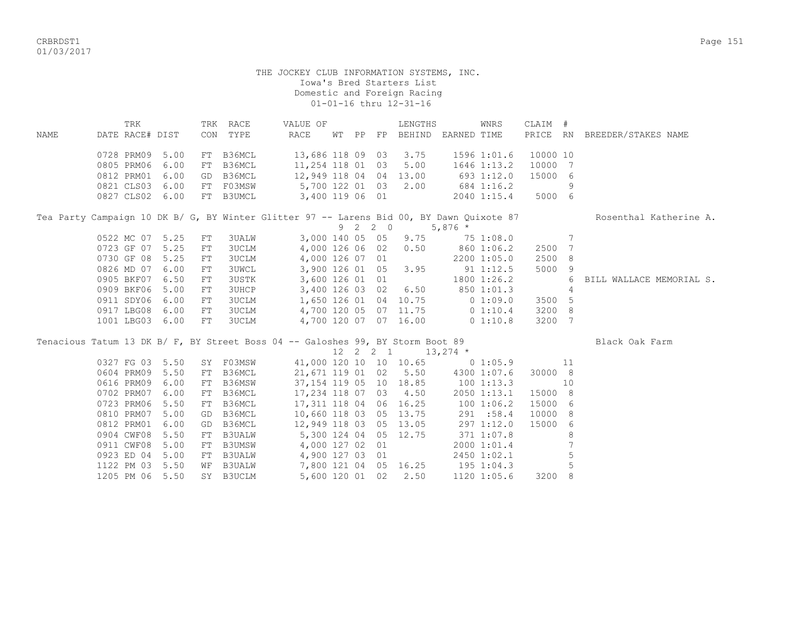CRBRDST1 Page 151 01/03/2017

|      | TRK                                                                                      |  | TRK RACE  | VALUE OF              |       |    | LENGTHS                |             | WNRS        | CLAIM #  |                       |
|------|------------------------------------------------------------------------------------------|--|-----------|-----------------------|-------|----|------------------------|-------------|-------------|----------|-----------------------|
| NAME | DATE RACE# DIST                                                                          |  | CON TYPE  | RACE                  | WT PP | FP | BEHIND                 | EARNED TIME |             | PRICE RN | BREEDER/STAKES NAME   |
|      | 0728 PRM09 5.00                                                                          |  | FT B36MCL |                       |       |    | 13,686 118 09 03 3.75  |             | 1596 1:01.6 | 10000 10 |                       |
|      | 0805 PRM06 6.00                                                                          |  | FT B36MCL | 11,254 118 01 03 5.00 |       |    |                        |             | 1646 1:13.2 | 10000 7  |                       |
|      | 0812 PRM01 6.00                                                                          |  | GD B36MCL |                       |       |    | 12,949 118 04 04 13.00 |             | 693 1:12.0  | 15000 6  |                       |
|      | 0821 CLS03 6.00                                                                          |  | FT FO3MSW |                       |       |    | 5,700 122 01 03 2.00   |             | 684 1:16.2  |          |                       |
|      | 0827 CLS02 6.00 FT B3UMCL                                                                |  |           | 3,400 119 06 01       |       |    |                        |             | 2040 1:15.4 | 5000 6   |                       |
|      | Tea Party Campaign 10 DK B/ G. BY Winter Glitter 97 -- Larens Bid 00. BY Dawn Ouixote 87 |  |           |                       |       |    |                        |             |             |          | Rosenthal Katherine A |

|  |  |                    |    |       | ied rafty Campaign fo nu p) al pi minter affrer p) -- nafens più ao, pi nami vuixote o) |  |         |                       |                                |                 |        | NOSENCHAI NACHELINE A.     |
|--|--|--------------------|----|-------|-----------------------------------------------------------------------------------------|--|---------|-----------------------|--------------------------------|-----------------|--------|----------------------------|
|  |  |                    |    |       |                                                                                         |  | 9 2 2 0 |                       | $5,876$ *                      |                 |        |                            |
|  |  | 0522 MC 07 5.25 FT |    | 3UALW |                                                                                         |  |         |                       | 3,000 140 05 05 9.75 75 1:08.0 |                 |        |                            |
|  |  | 0723 GF 07 5.25 FT |    | 3UCLM |                                                                                         |  |         | 4,000 126 06 02 0.50  |                                | 860 1:06.2      | 2500 7 |                            |
|  |  | 0730 GF 08 5.25 FT |    | 3UCLM | 4,000 126 07 01                                                                         |  |         |                       |                                | 2200 1:05.0     | 2500 8 |                            |
|  |  | 0826 MD 07 6.00    | FT | 3UWCL |                                                                                         |  |         | 3,900 126 01 05 3.95  |                                | 91 1:12.5       | 5000 9 |                            |
|  |  | 0905 BKF07 6.50 FT |    | 3USTK | 3,600 126 01 01                                                                         |  |         |                       |                                | $1800$ $1:26.2$ |        | 6 BILL WALLACE MEMORIAL S. |
|  |  | 0909 BKF06 5.00    | FT | 3UHCP |                                                                                         |  |         | 3,400 126 03 02 6.50  |                                | 850 1:01.3      |        |                            |
|  |  | 0911 SDY06 6.00    | FT | 3UCLM |                                                                                         |  |         | 1,650 126 01 04 10.75 | $0\;1:09.0$                    |                 | 3500 5 |                            |
|  |  | 0917 LBG08 6.00    | FT | 3UCLM |                                                                                         |  |         | 4,700 120 05 07 11.75 |                                | $0\;1:10.4$     | 3200 8 |                            |
|  |  | 1001 LBG03 6.00    | FT | 3UCLM |                                                                                         |  |         | 4,700 120 07 07 16.00 |                                | $0\;1:10.8$     | 3200 7 |                            |

| Tenacious Tatum 13 DK B/ F, BY Street Boss 04 -- Galoshes 99, BY Storm Boot 89 |                 |                 |    |           |                       |  |             |                      |                                    |             |         |    | Black Oak Farm |
|--------------------------------------------------------------------------------|-----------------|-----------------|----|-----------|-----------------------|--|-------------|----------------------|------------------------------------|-------------|---------|----|----------------|
|                                                                                |                 |                 |    |           |                       |  | 12  2  2  1 |                      | $13,274$ *                         |             |         |    |                |
|                                                                                | 0327 FG 03 5.50 |                 |    | SY FO3MSW |                       |  |             |                      | 41,000 120 10 10 10.65 0 1:05.9    |             |         | 11 |                |
|                                                                                |                 | 0604 PRM09 5.50 |    | FT B36MCL |                       |  |             |                      | 21,671 119 01 02 5.50 4300 1:07.6  |             | 30000 8 |    |                |
|                                                                                |                 | 0616 PRM09 6.00 |    | FT B36MSW |                       |  |             |                      | 37, 154 119 05 10 18.85 100 1:13.3 |             |         | 10 |                |
|                                                                                | 0702 PRM07 6.00 |                 |    | FT B36MCL | 17,234 118 07 03 4.50 |  |             |                      |                                    | 2050 1:13.1 | 15000 8 |    |                |
|                                                                                |                 | 0723 PRM06 5.50 |    | FT B36MCL |                       |  |             |                      | 17,311 118 04 06 16.25 100 1:06.2  |             | 15000 6 |    |                |
|                                                                                | 0810 PRM07      | 5.00            |    | GD B36MCL |                       |  |             |                      | 10,660 118 03 05 13.75 291 :58.4   |             | 10000 8 |    |                |
|                                                                                | 0812 PRM01 6.00 |                 |    | GD B36MCL |                       |  |             |                      | 12,949 118 03 05 13.05 297 1:12.0  |             | 15000 6 |    |                |
|                                                                                |                 | 0904 CWF08 5.50 |    | FT B3UALW |                       |  |             |                      | 5,300 124 04 05 12.75 371 1:07.8   |             |         | 8  |                |
|                                                                                | 0911 CWF08      | 5.00            |    | FT B3UMSW |                       |  |             | 4,000 127 02 01      |                                    | 2000 1:01.4 |         |    |                |
|                                                                                | 0923 ED 04 5.00 |                 |    | FT B3UALW |                       |  |             | 4,900 127 03 01      |                                    | 2450 1:02.1 |         |    |                |
|                                                                                | 1122 PM 03 5.50 |                 |    | WF B3UALW |                       |  |             |                      | 7,800 121 04 05 16.25 195 1:04.3   |             |         | 5  |                |
|                                                                                | 1205 PM 06 5.50 |                 | SY | B3UCLM    |                       |  |             | 5,600 120 01 02 2.50 |                                    | 1120 1:05.6 | 3200 8  |    |                |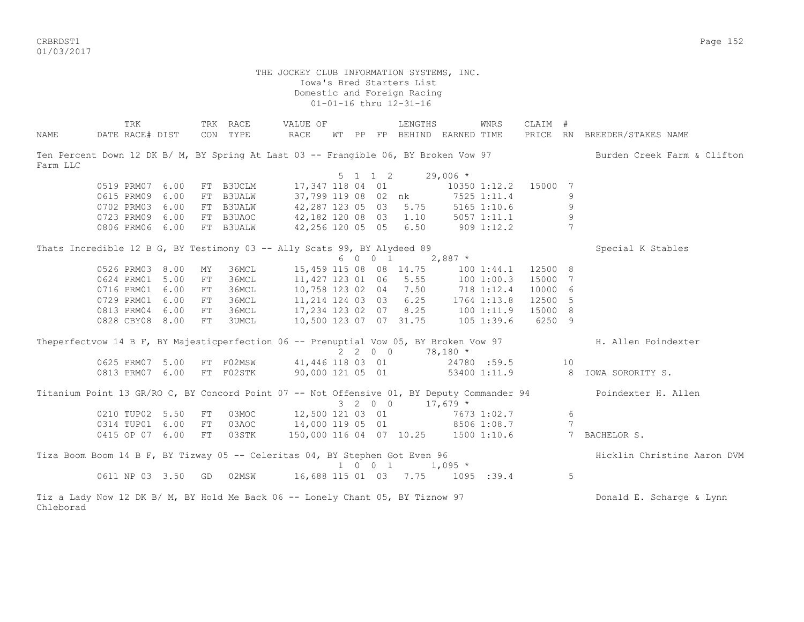CRBRDST1 Page 152 01/03/2017

> THE JOCKEY CLUB INFORMATION SYSTEMS, INC. Iowa's Bred Starters List Domestic and Foreign Racing 01-01-16 thru 12-31-16

|                                                                                            | TRK             |                    |    | TRK RACE                   | VALUE OF                            |  |                          | LENGTHS                                                |                | WNRS            | CLAIM # |                 |                                                                                                                 |
|--------------------------------------------------------------------------------------------|-----------------|--------------------|----|----------------------------|-------------------------------------|--|--------------------------|--------------------------------------------------------|----------------|-----------------|---------|-----------------|-----------------------------------------------------------------------------------------------------------------|
| NAME                                                                                       | DATE RACE# DIST |                    |    | CON TYPE                   | <b>RACE</b>                         |  |                          | WT PP FP BEHIND EARNED TIME                            |                |                 |         |                 | PRICE RN BREEDER/STAKES NAME                                                                                    |
|                                                                                            |                 |                    |    |                            |                                     |  |                          |                                                        |                |                 |         |                 |                                                                                                                 |
|                                                                                            |                 |                    |    |                            |                                     |  |                          |                                                        |                |                 |         |                 | Ten Percent Down 12 DK B/ M, BY Spring At Last 03 -- Frangible 06, BY Broken Vow 97 Burden Creek Farm & Clifton |
| Farm LLC                                                                                   |                 |                    |    |                            |                                     |  |                          |                                                        |                |                 |         |                 |                                                                                                                 |
|                                                                                            |                 |                    |    |                            |                                     |  |                          | $5 \t1 \t1 \t2 \t29,006 \t*$                           |                |                 |         |                 |                                                                                                                 |
|                                                                                            | 0519 PRM07 6.00 |                    |    | FT B3UCLM                  |                                     |  |                          | 17,347 118 04 01                                       |                | 10350 1:12.2    | 15000   | 7               |                                                                                                                 |
|                                                                                            | 0615 PRM09 6.00 |                    |    | FT B3UALW                  |                                     |  |                          | 37,799 119 08 02 nk                                    | 7525 1:11.4    |                 |         | 9               |                                                                                                                 |
|                                                                                            | 0702 PRM03 6.00 |                    |    | FT B3UALW                  |                                     |  |                          | 42,287 123 05 03 5.75                                  |                | $5165$ $1:10.6$ |         | 9               |                                                                                                                 |
|                                                                                            | 0723 PRM09 6.00 |                    |    | FT B3UAOC                  |                                     |  |                          | 42,182 120 08 03 1.10                                  |                | $5057$ $1:11.1$ |         | 9               |                                                                                                                 |
|                                                                                            | 0806 PRM06 6.00 |                    |    | FT B3UALW                  | 42,256 120 05 05 6.50               |  |                          |                                                        | $909$ 1:12.2   |                 |         | $7\overline{ }$ |                                                                                                                 |
|                                                                                            |                 |                    |    |                            |                                     |  |                          |                                                        |                |                 |         |                 |                                                                                                                 |
| Thats Incredible 12 B G, BY Testimony 03 -- Ally Scats 99, BY Alydeed 89                   |                 |                    |    |                            |                                     |  |                          |                                                        |                |                 |         |                 | Special K Stables                                                                                               |
|                                                                                            |                 |                    |    |                            |                                     |  | 6 0 0 1                  |                                                        | $2,887$ *      |                 |         |                 |                                                                                                                 |
|                                                                                            | 0526 PRM03 8.00 |                    | MY | 36MCL                      |                                     |  |                          | 15,459 115 08 08 14.75                                 |                | $100$ $1:44.1$  | 12500 8 |                 |                                                                                                                 |
|                                                                                            | 0624 PRM01 5.00 |                    | FT | 36MCL                      |                                     |  |                          | 11,427 123 01 06 5.55                                  |                | 1001:00.3       | 15000   | $\overline{7}$  |                                                                                                                 |
|                                                                                            | 0716 PRM01 6.00 |                    | FT | 36MCL                      |                                     |  |                          | 10,758 123 02 04 7.50                                  | 718 1:12.4     |                 | 10000 6 |                 |                                                                                                                 |
|                                                                                            | 0729 PRM01 6.00 |                    | FT | 36MCL                      |                                     |  |                          | 11, 214 124 03 03 6.25                                 |                | 1764 1:13.8     | 12500 5 |                 |                                                                                                                 |
|                                                                                            | 0813 PRM04 6.00 |                    | FT | 36MCL                      |                                     |  |                          | $17,234$ 123 02 07 8.25 100 1:11.9                     |                |                 | 15000 8 |                 |                                                                                                                 |
|                                                                                            | 0828 CBY08 8.00 |                    | FT | 3UMCL                      |                                     |  |                          | 10,500 123 07 07 31.75                                 | 105 1:39.6     |                 | 6250 9  |                 |                                                                                                                 |
|                                                                                            |                 |                    |    |                            |                                     |  |                          |                                                        |                |                 |         |                 | Theperfectvow 14 B F, BY Majesticperfection 06 -- Prenuptial Vow 05, BY Broken Vow 97 H. Allen Poindexter       |
|                                                                                            |                 |                    |    |                            |                                     |  | $2\quad 2\quad 0\quad 0$ |                                                        | $78,180$ *     |                 |         |                 |                                                                                                                 |
|                                                                                            | 0625 PRM07 5.00 |                    |    | FT F02MSW 41,446 118 03 01 |                                     |  |                          |                                                        | 24780 :59.5 10 |                 |         |                 |                                                                                                                 |
|                                                                                            | 0813 PRM07 6.00 |                    |    | FT F02STK                  |                                     |  |                          | 90,000 121 05 01                                       |                |                 |         |                 | 53400 1:11.9 8 IOWA SORORITY S.                                                                                 |
|                                                                                            |                 |                    |    |                            |                                     |  |                          |                                                        |                |                 |         |                 |                                                                                                                 |
| Titanium Point 13 GR/RO C, BY Concord Point 07 -- Not Offensive 01, BY Deputy Commander 94 |                 |                    |    |                            |                                     |  |                          |                                                        |                |                 |         |                 | Poindexter H. Allen                                                                                             |
|                                                                                            |                 |                    |    |                            |                                     |  |                          | $3 \quad 2 \quad 0 \quad 0 \quad 17,679 \quad ^{\ast}$ |                |                 |         |                 |                                                                                                                 |
|                                                                                            | 0210 TUP02 5.50 |                    | FT |                            | 03MOC 12,500 121 03 01 7673 1:02.7  |  |                          |                                                        |                |                 |         | 6               |                                                                                                                 |
|                                                                                            | 0314 TUP01 6.00 |                    | FT |                            | 03AOC 14,000 119 05 01 8506 1:08.7  |  |                          |                                                        |                |                 |         | $7\phantom{.0}$ |                                                                                                                 |
|                                                                                            |                 | 0415 OP 07 6.00    | FT | 03STK                      | 150,000 116 04 07 10.25 1500 1:10.6 |  |                          |                                                        |                |                 |         |                 | 7 BACHELOR S.                                                                                                   |
|                                                                                            |                 |                    |    |                            |                                     |  |                          |                                                        |                |                 |         |                 |                                                                                                                 |
| Tiza Boom Boom 14 B F, BY Tizway 05 -- Celeritas 04, BY Stephen Got Even 96                |                 |                    |    |                            |                                     |  |                          | $1 \t 0 \t 0 \t 1 \t 1,095 \t\t*$                      |                |                 |         |                 | Hicklin Christine Aaron DVM                                                                                     |
|                                                                                            |                 | 0611 NP 03 3.50 GD |    | 02MSW                      |                                     |  |                          | 16,688 115 01 03 7.75 1095 :39.4                       |                |                 |         | 5               |                                                                                                                 |
| Tiz a Lady Now 12 DK B/ M, BY Hold Me Back 06 -- Lonely Chant 05, BY Tiznow 97             |                 |                    |    |                            |                                     |  |                          |                                                        |                |                 |         |                 | Donald E. Scharge & Lynn                                                                                        |
| Chleborad                                                                                  |                 |                    |    |                            |                                     |  |                          |                                                        |                |                 |         |                 |                                                                                                                 |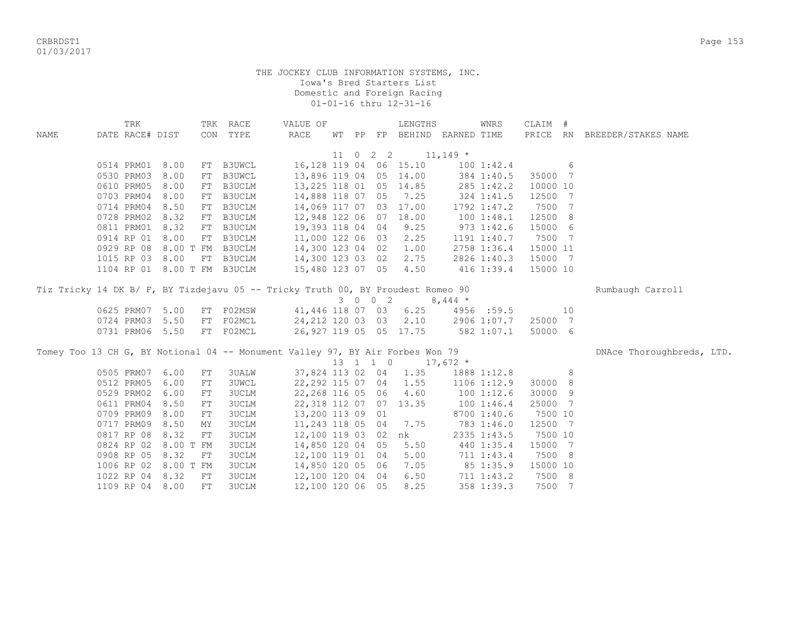CRBRDST1 Page 153 01/03/2017

|      | TRK                                                                             |           |            | TRK RACE         | VALUE OF          |  |          | LENGTHS                     |            | WNRS         | CLAIM #  |    |                              |
|------|---------------------------------------------------------------------------------|-----------|------------|------------------|-------------------|--|----------|-----------------------------|------------|--------------|----------|----|------------------------------|
| NAME | DATE RACE# DIST                                                                 |           |            | CON TYPE         | RACE              |  |          | WT PP FP BEHIND EARNED TIME |            |              |          |    | PRICE RN BREEDER/STAKES NAME |
|      |                                                                                 |           |            |                  |                   |  |          |                             |            |              |          |    |                              |
|      |                                                                                 |           |            |                  |                   |  | 11 0 2 2 |                             | $11,149$ * |              |          |    |                              |
|      | 0514 PRM01 8.00                                                                 |           |            | FT B3UWCL        |                   |  |          | 16, 128 119 04 06 15.10     |            | 1001:42.4    |          | 6  |                              |
|      | 0530 PRM03                                                                      | 8.00      |            | FT B3UWCL        |                   |  |          | 13,896 119 04 05 14.00      |            | 384 1:40.5   | 35000 7  |    |                              |
|      | 0610 PRM05                                                                      | 8.00      |            | FT B3UCLM        |                   |  |          | 13, 225 118 01 05 14.85     |            | 285 1:42.2   | 10000 10 |    |                              |
|      | 0703 PRM04                                                                      | 8.00      |            | FT B3UCLM        |                   |  |          | 14,888 118 07 05 7.25       | 324 1:41.5 |              | 12500 7  |    |                              |
|      | 0714 PRM04                                                                      | 8.50      |            | FT B3UCLM        |                   |  |          | 14,069 117 07 03 17.00      |            | 1792 1:47.2  | 7500 7   |    |                              |
|      | 0728 PRM02                                                                      | 8.32      |            | FT B3UCLM        |                   |  |          | 12,948 122 06 07 18.00      |            | 1001:48.1    | 12500 8  |    |                              |
|      | 0811 PRM01                                                                      | 8.32      |            | FT B3UCLM        |                   |  |          | 19,393 118 04 04 9.25       |            | $973$ 1:42.6 | 15000 6  |    |                              |
|      | 0914 RP 01                                                                      | 8.00      |            | FT B3UCLM        | 11,000 122 06 03  |  |          | 2.25                        |            | 1191 1:40.7  | 7500 7   |    |                              |
|      | 0929 RP 08                                                                      |           |            | 8.00 T FM B3UCLM | 14,300 123 04 02  |  |          | 1.00                        |            | 2758 1:36.4  | 15000 11 |    |                              |
|      | 1015 RP 03 8.00                                                                 |           |            | FT B3UCLM        | 14,300 123 03 02  |  |          | 2.75                        |            | 2826 1:40.3  | 15000 7  |    |                              |
|      | 1104 RP 01 8.00 T FM B3UCLM                                                     |           |            |                  | 15,480 123 07 05  |  |          | 4.50                        |            | $416$ 1:39.4 | 15000 10 |    |                              |
|      |                                                                                 |           |            |                  |                   |  |          |                             |            |              |          |    |                              |
|      | Tiz Tricky 14 DK B/ F, BY Tizdejavu 05 -- Tricky Truth 00, BY Proudest Romeo 90 |           |            |                  |                   |  |          |                             |            |              |          |    | Rumbaugh Carroll             |
|      |                                                                                 |           |            |                  |                   |  | 3 0 0 2  |                             | $8,444$ *  |              |          |    |                              |
|      | 0625 PRM07                                                                      | 5.00      |            | FT F02MSW        | 41,446 118 07 03  |  |          | 6.25                        |            | 4956 :59.5   |          | 10 |                              |
|      | 0724 PRM03                                                                      | 5.50      |            | FT F02MCL        |                   |  |          | 24, 212 120 03 03 2.10      |            | 2906 1:07.7  | 25000 7  |    |                              |
|      | 0731 PRM06                                                                      | 5.50      |            | FT FO2MCL        |                   |  |          | 26,927 119 05 05 17.75      |            | 582 1:07.1   | 50000 6  |    |                              |
|      |                                                                                 |           |            |                  |                   |  |          |                             |            |              |          |    |                              |
|      | Tomey Too 13 CH G, BY Notional 04 -- Monument Valley 97, BY Air Forbes Won 79   |           |            |                  |                   |  |          |                             |            |              |          |    | DNAce Thoroughbreds, LTD.    |
|      |                                                                                 |           |            |                  |                   |  |          | 13 1 1 0 17,672 *           |            |              |          |    |                              |
|      | 0505 PRM07                                                                      | 6.00      | ${\rm FT}$ | <b>3UALW</b>     |                   |  |          | 37,824 113 02 04 1.35       |            | 1888 1:12.8  |          | 8  |                              |
|      | 0512 PRM05                                                                      | 6.00      | FT         | <b>3UWCL</b>     | 22,292 115 07 04  |  |          | 1.55                        |            | 1106 1:12.9  | 30000 8  |    |                              |
|      | 0529 PRM02                                                                      | 6.00      | FT         | <b>3UCLM</b>     | 22, 268 116 05 06 |  |          | 4.60                        | 1001:12.6  |              | 30000 9  |    |                              |
|      | 0611 PRM04                                                                      | 8.50      | FT         | <b>3UCLM</b>     |                   |  |          | 22,318 112 07 07 13.35      | 100 1:46.4 |              | 25000 7  |    |                              |
|      | 0709 PRM09                                                                      | 8.00      | FT         | <b>3UCLM</b>     | 13,200 113 09 01  |  |          |                             |            | 8700 1:40.6  | 7500 10  |    |                              |
|      | 0717 PRM09                                                                      | 8.50      | MY         | <b>3UCLM</b>     | 11,243 118 05 04  |  |          | 7.75                        |            | 783 1:46.0   | 12500 7  |    |                              |
|      | 0817 RP 08                                                                      | 8.32      | FT         | <b>3UCLM</b>     | 12,100 119 03 02  |  |          | nk                          |            | 2335 1:43.5  | 7500 10  |    |                              |
|      | 0824 RP 02                                                                      | 8.00 T FM |            | <b>3UCLM</b>     | 14,850 120 04 05  |  |          | 5.50                        |            | 440 1:35.4   | 15000 7  |    |                              |
|      | 0908 RP 05                                                                      | 8.32      | FT         | 3UCLM            | 12,100 119 01 04  |  |          | 5.00                        |            | 711 1:43.4   | 7500 8   |    |                              |
|      | 1006 RP 02                                                                      | 8.00 T FM |            | <b>3UCLM</b>     | 14,850 120 05 06  |  |          | 7.05                        |            | 85 1:35.9    | 15000 10 |    |                              |
|      | 1022 RP 04                                                                      | 8.32      | FT         | 3UCLM            | 12,100 120 04 04  |  |          | 6.50                        |            | 711 1:43.2   | 7500 8   |    |                              |
|      | 1109 RP 04                                                                      | 8.00      | FT         | <b>3UCLM</b>     | 12,100 120 06 05  |  |          | 8.25                        |            | 358 1:39.3   | 7500 7   |    |                              |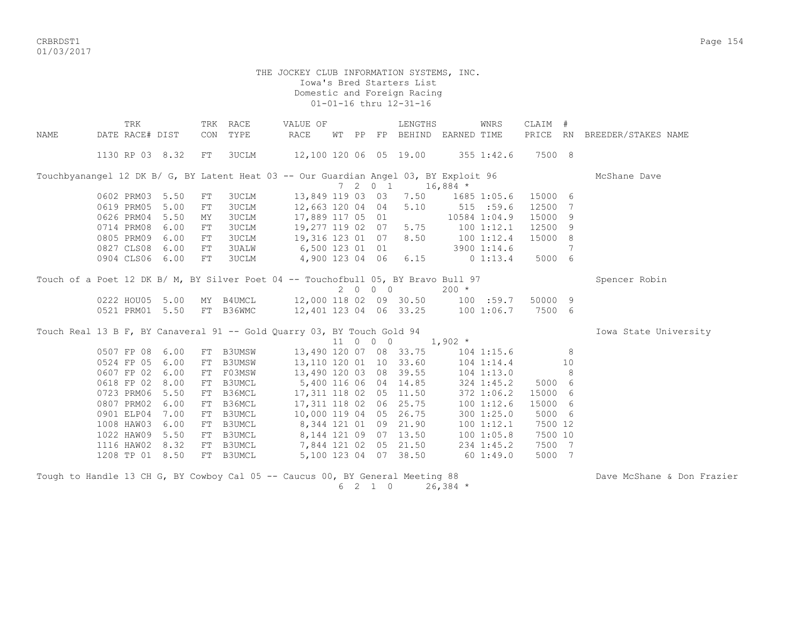CRBRDST1 Page 154 01/03/2017

## THE JOCKEY CLUB INFORMATION SYSTEMS, INC. Iowa's Bred Starters List Domestic and Foreign Racing 01-01-16 thru 12-31-16

|      | TRK                                                                                  |     | TRK RACE      | VALUE OF                                   |  |         | LENGTHS                |                             | WNRS           | CLAIM # |    |                              |
|------|--------------------------------------------------------------------------------------|-----|---------------|--------------------------------------------|--|---------|------------------------|-----------------------------|----------------|---------|----|------------------------------|
| NAME | DATE RACE# DIST                                                                      | CON | TYPE          | RACE                                       |  |         |                        | WT PP FP BEHIND EARNED TIME |                |         |    | PRICE RN BREEDER/STAKES NAME |
|      |                                                                                      |     |               |                                            |  |         |                        |                             |                |         |    |                              |
|      | 1130 RP 03 8.32                                                                      | FT  | 3UCLM         | 12,100 120 06 05 19.00 355 1:42.6          |  |         |                        |                             |                | 7500 8  |    |                              |
|      |                                                                                      |     |               |                                            |  |         |                        |                             |                |         |    |                              |
|      | Touchbyanangel 12 DK B/ G, BY Latent Heat 03 -- Our Guardian Angel 03, BY Exploit 96 |     |               |                                            |  |         |                        |                             |                |         |    | McShane Dave                 |
|      |                                                                                      |     |               |                                            |  | 7 2 0 1 |                        | $16,884$ *                  |                |         |    |                              |
|      | 0602 PRM03 5.50                                                                      | FT  | 3UCLM         |                                            |  |         | 13,849 119 03 03 7.50  |                             | 1685 1:05.6    | 15000 6 |    |                              |
|      | 0619 PRM05<br>5.00                                                                   | FT  | 3UCLM         | 12,663 120 04 04                           |  |         | 5.10                   | 515 : 59.6                  |                | 12500 7 |    |                              |
|      | 0626 PRM04<br>5.50                                                                   | MY  | 3UCLM         | 17,889 117 05 01                           |  |         |                        |                             | 10584 1:04.9   | 15000 9 |    |                              |
|      | 0714 PRM08<br>6.00                                                                   | FT  | 3UCLM         | 19,277 119 02 07 5.75                      |  |         |                        | $100$ $1:12.1$              |                | 12500 9 |    |                              |
|      | 0805 PRM09 6.00                                                                      | FT  | 3UCLM         | 19,316 123 01 07                           |  |         | 8.50                   | $100$ $1:12.4$              |                | 15000 8 |    |                              |
|      | 0827 CLS08 6.00                                                                      | FT  | 3UALW         | 6,500 123 01 01                            |  |         |                        |                             | 3900 1:14.6    |         | 7  |                              |
|      | 0904 CLS06 6.00                                                                      | FT  | 3UCLM         | 4,900 123 04 06                            |  |         | 6.15                   |                             | 0 1:13.4       | 5000 6  |    |                              |
|      |                                                                                      |     |               |                                            |  |         |                        |                             |                |         |    |                              |
|      | Touch of a Poet 12 DK B/ M, BY Silver Poet 04 -- Touchofbull 05, BY Bravo Bull 97    |     |               |                                            |  |         |                        |                             |                |         |    | Spencer Robin                |
|      |                                                                                      |     |               |                                            |  | 2000    |                        | $200 *$                     |                |         |    |                              |
|      | 0222 HOU05 5.00                                                                      |     |               | MY B4UMCL 12,000 118 02 09 30.50 100 :59.7 |  |         |                        |                             |                | 50000 9 |    |                              |
|      | 0521 PRM01 5.50                                                                      |     | FT B36WMC     | 12,401 123 04 06 33.25 100 1:06.7          |  |         |                        |                             |                | 7500 6  |    |                              |
|      | Touch Real 13 B F, BY Canaveral 91 -- Gold Quarry 03, BY Touch Gold 94               |     |               |                                            |  |         |                        |                             |                |         |    | Iowa State University        |
|      |                                                                                      |     |               |                                            |  |         | 11 0 0 0               | $1,902$ *                   |                |         |    |                              |
|      | 0507 FP 08 6.00                                                                      | FT  | <b>B3UMSW</b> |                                            |  |         | 13,490 120 07 08 33.75 |                             | $104$ 1:15.6   |         | 8  |                              |
|      |                                                                                      |     |               |                                            |  |         |                        |                             |                |         |    |                              |
|      | 0524 FP 05 6.00                                                                      | FT  | <b>B3UMSW</b> | 13,110 120 01 10 33.60                     |  |         |                        |                             | $104$ $1:14.4$ |         | 10 |                              |
|      | 0607 FP 02 6.00                                                                      |     | FT F03MSW     | 13,490 120 03 08 39.55                     |  |         |                        |                             | $104$ $1:13.0$ |         | 8  |                              |
|      | 0618 FP 02<br>8.00                                                                   | FT  | <b>B3UMCL</b> | 5,400 116 06 04 14.85                      |  |         |                        |                             | 324 1:45.2     | 5000 6  |    |                              |
|      | 0723 PRM06<br>5.50                                                                   | FT  | B36MCL        | 17, 311 118 02 05 11.50                    |  |         |                        |                             | 372 1:06.2     | 15000 6 |    |                              |
|      | 0807 PRM02<br>6.00                                                                   | FT  | B36MCL        | 17, 311 118 02 06 25.75                    |  |         |                        |                             | 1001:12.6      | 15000 6 |    |                              |
|      | 0901 ELP04<br>7.00                                                                   | FT  | B3UMCL        | 10,000 119 04 05 26.75                     |  |         |                        |                             | 300 1:25.0     | 5000 6  |    |                              |
|      | 1008 HAW03<br>6.00                                                                   | FT  | <b>B3UMCL</b> | 8,344 121 01 09 21.90                      |  |         |                        |                             | 100 1:12.1     | 7500 12 |    |                              |
|      | 5.50<br>1022 HAW09                                                                   | FT  | B3UMCL        | 8,144 121 09 07 13.50                      |  |         |                        |                             | 100 1:05.8     | 7500 10 |    |                              |
|      | 1116 HAW02 8.32                                                                      |     | FT B3UMCL     |                                            |  |         | 7,844 121 02 05 21.50  |                             | 234 1:45.2     | 7500 7  |    |                              |
|      | 1208 TP 01 8.50                                                                      |     | FT B3UMCL     |                                            |  |         | 5,100 123 04 07 38.50  | 601:49.0                    |                | 5000 7  |    |                              |
|      |                                                                                      |     |               |                                            |  |         |                        |                             |                |         |    |                              |
|      | Tough to Handle 13 CH G, BY Cowboy Cal 05 -- Caucus 00, BY General Meeting 88        |     |               |                                            |  |         |                        |                             |                |         |    | Dave McShane & Don Frazier   |
|      |                                                                                      |     |               |                                            |  | 6 2 1 0 |                        | $26,384$ *                  |                |         |    |                              |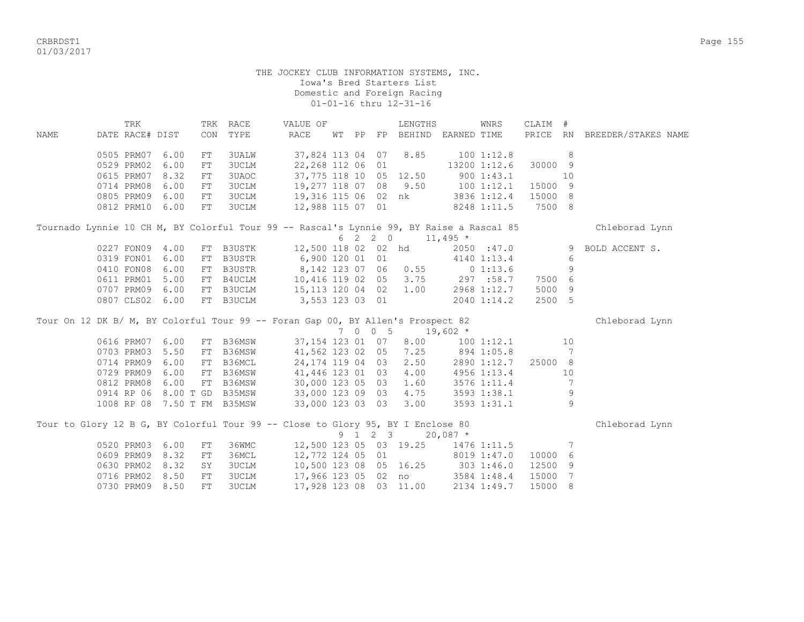CRBRDST1 Page 155 01/03/2017

## THE JOCKEY CLUB INFORMATION SYSTEMS, INC. Iowa's Bred Starters List Domestic and Foreign Racing 01-01-16 thru 12-31-16

|             | TRK             |           | TRK | RACE                        | VALUE OF                                                                                 |       |         | LENGTHS                |                  | WNRS           | CLAIM #  |    |                     |
|-------------|-----------------|-----------|-----|-----------------------------|------------------------------------------------------------------------------------------|-------|---------|------------------------|------------------|----------------|----------|----|---------------------|
| <b>NAME</b> | DATE RACE# DIST |           | CON | TYPE                        | <b>RACE</b>                                                                              | WT PP | FP      | BEHIND EARNED TIME     |                  |                | PRICE RN |    | BREEDER/STAKES NAME |
|             | 0505 PRM07      | 6.00      | FT  | <b>3UALW</b>                | 37,824 113 04 07                                                                         |       |         | 8.85                   |                  | 100 1:12.8     |          | 8  |                     |
|             | 0529 PRM02      | 6.00      | FT  | <b>3UCLM</b>                | 22,268 112 06 01                                                                         |       |         |                        |                  | 13200 1:12.6   | 30000 9  |    |                     |
|             | 0615 PRM07      | 8.32      | FT  | 3UAOC                       |                                                                                          |       |         | 37,775 118 10 05 12.50 |                  | 900 1:43.1     |          | 10 |                     |
|             | 0714 PRM08      | 6.00      | FT  | 3UCLM                       | 19,277 118 07 08                                                                         |       |         | 9.50                   | 1001:12.1        |                | 15000 9  |    |                     |
|             | 0805 PRM09      | 6.00      | FT  | <b>3UCLM</b>                |                                                                                          |       |         | 19,316 115 06 02 nk    |                  | 3836 1:12.4    | 15000 8  |    |                     |
|             | 0812 PRM10      | 6.00      | FT  | <b>3UCLM</b>                | 12,988 115 07 01                                                                         |       |         |                        |                  | 8248 1:11.5    | 7500 8   |    |                     |
|             |                 |           |     |                             | Tournado Lynnie 10 CH M, BY Colorful Tour 99 -- Rascal's Lynnie 99, BY Raise a Rascal 85 |       |         |                        |                  |                |          |    | Chleborad Lynn      |
|             |                 |           |     |                             |                                                                                          |       | 6 2 2 0 | $11,495$ *             |                  |                |          |    |                     |
|             | 0227 FON09 4.00 |           |     | FT B3USTK                   | 12,500 118 02 02 hd                                                                      |       |         |                        |                  | 2050 :47.0     |          |    | 9 BOLD ACCENT S.    |
|             | 0319 FON01      | 6.00      | FT  | B3USTR                      | 6,900 120 01 01                                                                          |       |         |                        |                  | 4140 1:13.4    |          | 6  |                     |
|             | 0410 FON08      | 6.00      | FT  | B3USTR                      | 8,142 123 07 06                                                                          |       |         | 0.55                   |                  | 01:13.6        |          | 9  |                     |
|             | 0611 PRM01      | 5.00      | FT  | B4UCLM                      | 10,416 119 02 05                                                                         |       |         |                        | $3.75$ 297 :58.7 |                | 7500     | 6  |                     |
|             | 0707 PRM09      | 6.00      | FT  | B3UCLM                      | 15, 113 120 04 02                                                                        |       |         | 1.00                   |                  | 2968 1:12.7    | 5000     | 9  |                     |
|             | 0807 CLS02      | 6.00      | FT  | <b>B3UCLM</b>               | 3,553 123 03 01                                                                          |       |         |                        |                  | 2040 1:14.2    | 2500 5   |    |                     |
|             |                 |           |     |                             | Tour On 12 DK B/ M, BY Colorful Tour 99 -- Foran Gap 00, BY Allen's Prospect 82          |       |         |                        |                  |                |          |    | Chleborad Lynn      |
|             |                 |           |     |                             |                                                                                          |       | 7 0 0 5 | $19,602$ *             |                  |                |          |    |                     |
|             | 0616 PRM07      | 6.00      | FT  | B36MSW                      | 37,154 123 01 07                                                                         |       |         | 8.00                   |                  | $100$ $1:12.1$ |          | 10 |                     |
|             | 0703 PRM03      | 5.50      | FT  | B36MSW                      | 41,562 123 02 05                                                                         |       |         | 7.25                   |                  | 894 1:05.8     |          | 7  |                     |
|             | 0714 PRM09      | 6.00      | FT  | B36MCL                      | 24, 174 119 04 03                                                                        |       |         | 2.50                   |                  | 2890 1:12.7    | 25000 8  |    |                     |
|             | 0729 PRM09      | 6.00      | FT  | B36MSW                      | 41,446 123 01 03                                                                         |       |         | 4.00                   |                  | 4956 1:13.4    |          | 10 |                     |
|             | 0812 PRM08      | 6.00      | FT  | B36MSW                      | 30,000 123 05 03                                                                         |       |         | 1.60                   |                  | 3576 1:11.4    |          | 7  |                     |
|             | 0914 RP 06      | 8.00 T GD |     | B35MSW                      | 33,000 123 09 03                                                                         |       |         | 4.75                   |                  | 3593 1:38.1    |          | 9  |                     |
|             |                 |           |     | 1008 RP 08 7.50 T FM B35MSW | 33,000 123 03 03                                                                         |       |         | 3.00                   |                  | 3593 1:31.1    |          | 9  |                     |
|             |                 |           |     |                             | Tour to Glory 12 B G, BY Colorful Tour 99 -- Close to Glory 95, BY I Enclose 80          |       |         |                        |                  |                |          |    | Chleborad Lynn      |
|             |                 |           |     |                             |                                                                                          |       | 9 1 2 3 |                        | $20,087$ *       |                |          |    |                     |
|             | 0520 PRM03 6.00 |           | FT  | 36WMC                       |                                                                                          |       |         | 12,500 123 05 03 19.25 |                  | 1476 1:11.5    |          | 7  |                     |
|             | 0609 PRM09      | 8.32      | FT  | 36MCL                       | 12,772 124 05 01                                                                         |       |         |                        |                  | 8019 1:47.0    | 10000    | 6  |                     |
|             | 0630 PRM02      | 8.32      | SY  | <b>3UCLM</b>                |                                                                                          |       |         | 10,500 123 08 05 16.25 | 303 1:46.0       |                | 12500 9  |    |                     |
|             | 0716 PRM02      | 8.50      | FT  | 3UCLM                       |                                                                                          |       |         | 17,966 123 05 02 no    |                  | 3584 1:48.4    | 15000    | 7  |                     |
|             | 0730 PRM09      | 8.50      | FT  | <b>3UCLM</b>                | 17,928 123 08 03 11.00                                                                   |       |         |                        |                  | 2134 1:49.7    | 15000    | 8  |                     |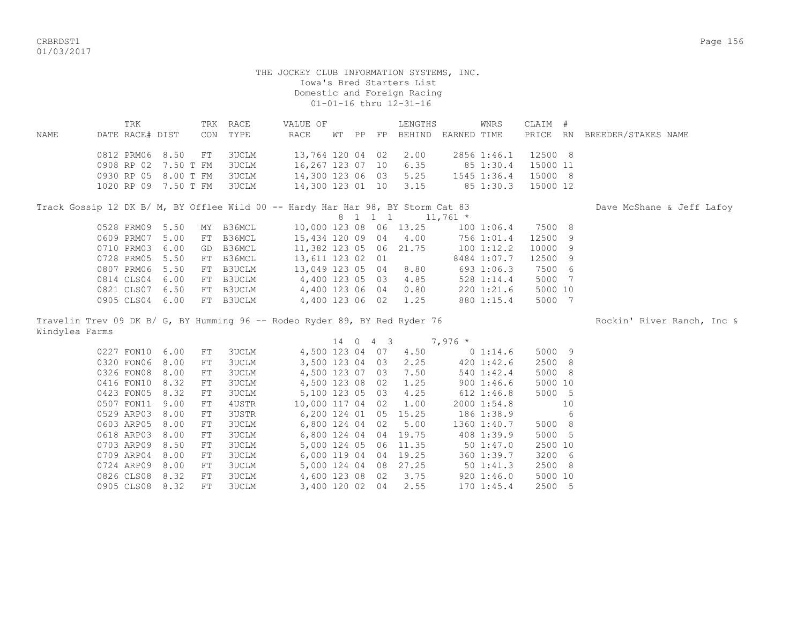CRBRDST1 Page 156 01/03/2017

#### THE JOCKEY CLUB INFORMATION SYSTEMS, INC. Iowa's Bred Starters List Domestic and Foreign Racing 01-01-16 thru 12-31-16

 TRK TRK RACE VALUE OF LENGTHS WNRS CLAIM # NAME DATE RACE# DIST CON TYPE RACE WT PP FP BEHIND EARNED TIME PRICE RN BREEDER/STAKES NAME 0812 PRM06 8.50 FT 3UCLM 13,764 120 04 02 2.00 2856 1:46.1 12500 8 0908 RP 02 7.50 T FM 3UCLM 16,267 123 07 10 6.35 85 1:30.4 15000 11 0930 RP 05 8.00 T FM 3UCLM 14,300 123 06 03 5.25 1545 1:36.4 15000 8 1020 RP 09 7.50 T FM 3UCLM 14,300 123 01 10 3.15 85 1:30.3 15000 12

Track Gossip 12 DK B/ M, BY Offlee Wild 00 -- Hardy Har Har 98, BY Storm Cat 83 Dave McShane & Jeff Lafoy 8 1 1 1 1 1 1,761 \* 0528 PRM09 5.50 MY B36MCL 10,000 123 08 06 13.25 100 1:06.4 7500 8 0609 PRM07 5.00 FT B36MCL 15,434 120 09 04 4.00 756 1:01.4 12500 9 0710 PRM03 6.00 GD B36MCL 11,382 123 05 06 21.75 100 1:12.2 10000 9 0728 PRM05 5.50 FT B36MCL 13,611 123 02 01 8484 1:07.7 12500 9 0807 PRM06 5.50 FT B3UCLM 13,049 123 05 04 8.80 693 1:06.3 7500 6 0814 CLS04 6.00 FT B3UCLM 4,400 123 05 03 4.85 528 1:14.4 5000 7 0821 CLS07 6.50 FT B3UCLM 4,400 123 06 04 0.80 220 1:21.6 5000 10 0905 CLS04 6.00 FT B3UCLM 4,400 123 06 02 1.25 880 1:15.4 5000 7

Travelin Trev 09 DK B/ G, BY Humming 96 -- Rodeo Ryder 89, BY Red Ryder 76 Rockin' River Ranch, Inc & Windylea Farms

 $14 \t0 \t4 \t3 \t7.976$  \* 0227 FON10 6.00 FT 3UCLM 4,500 123 04 07 4.50 0 1:14.6 5000 9 0320 FON06 8.00 FT 3UCLM 3,500 123 04 03 2.25 420 1:42.6 2500 8 0326 FON08 8.00 FT 3UCLM 4,500 123 07 03 7.50 540 1:42.4 5000 8 0416 FON10 8.32 FT 3UCLM 4,500 123 08 02 1.25 900 1:46.6 5000 10 0423 FON05 8.32 FT 3UCLM 5,100 123 05 03 4.25 612 1:46.8 5000 5 0507 FON11 9.00 FT 4USTR 10,000 117 04 02 1.00 2000 1:54.8 10<br>0529 ARP03 8.00 FT 3USTR 6,200 124 01 05 15.25 186 1:38.9 6 0529 ARP03 8.00 FT 3USTR 6,200 124 01 05 15.25 186 1:38.9 6 0603 ARP05 8.00 FT 3UCLM 6,800 124 04 02 5.00 1360 1:40.7 5000 8 0618 ARP03 8.00 FT 3UCLM 6,800 124 04 04 19.75 408 1:39.9 5000 5 0703 ARP09 8.50 FT 3UCLM 5,000 124 05 06 11.35 50 1:47.0 2500 10 0709 ARP04 8.00 FT 3UCLM 6,000 119 04 04 19.25 360 1:39.7 3200 6 0724 ARP09 8.00 FT 3UCLM 5,000 124 04 08 27.25 50 1:41.3 2500 8 0826 CLS08 8.32 FT 3UCLM 4,600 123 08 02 3.75 920 1:46.0 5000 10 0905 CLS08 8.32 FT 3UCLM 3,400 120 02 04 2.55 170 1:45.4 2500 5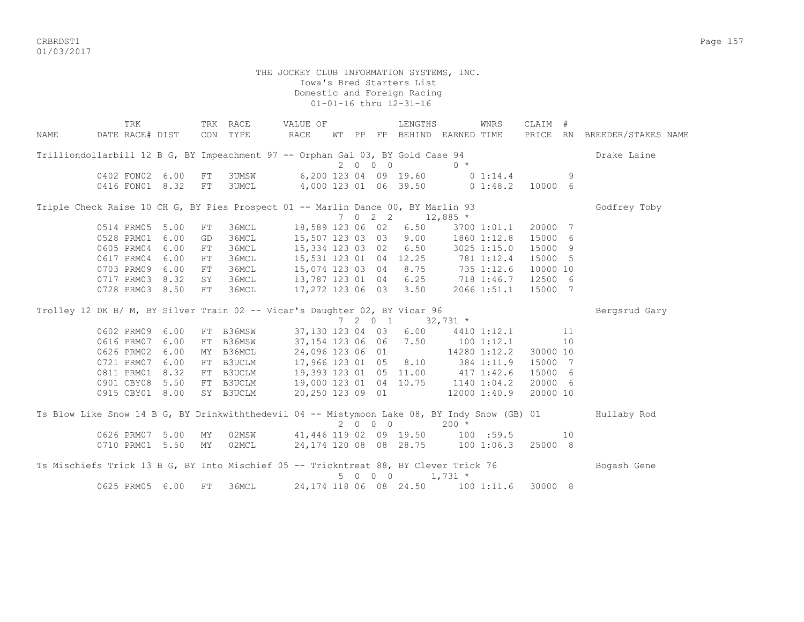CRBRDST1 Page 157 01/03/2017

 THE JOCKEY CLUB INFORMATION SYSTEMS, INC. Iowa's Bred Starters List Domestic and Foreign Racing 01-01-16 thru 12-31-16 TRK TRK RACE VALUE OF LENGTHS WNRS CLAIM # NAME DATE RACE# DIST CON TYPE RACE WT PP FP BEHIND EARNED TIME PRICE RN BREEDER/STAKES NAME Trilliondollarbill 12 B G, BY Impeachment 97 -- Orphan Gal 03, BY Gold Case 94 Drake Laine 2 0 0 0 0 \* 0402 FON02 6.00 FT 3UMSW 6,200 123 04 09 19.60 0 1:14.4 0416 FON01 8.32 FT 3UMCL 4,000 123 01 06 39.50 0 1:48.2 10000 6

Triple Check Raise 10 CH G, BY Pies Prospect 01 -- Marlin Dance 00, BY Marlin 93 Godfrey Toby  $7 \t 0 \t 2 \t 2 \t 12,885$  \* 0514 PRM05 5.00 FT 36MCL 18,589 123 06 02 6.50 3700 1:01.1 20000 7 0528 PRM01 6.00 GD 36MCL 15,507 123 03 03 9.00 1860 1:12.8 15000 6 0605 PRM04 6.00 FT 36MCL 15,334 123 03 02 6.50 3025 1:15.0 15000 9 0605 PRM04 6.00 FT 36MCL 15,334 123 03 02 6.50 3025 1:15.0 15000 9<br>0617 PRM04 6.00 FT 36MCL 15,531 123 01 04 12.25 781 1:12.4 15000 5 0703 PRM09 6.00 FT 36MCL 15,074 123 03 04 8.75 735 1:12.6 10000 10 0717 PRM03 8.32 SY 36MCL 13,787 123 01 04 6.25 718 1:46.7 12500 6 0728 PRM03 8.50 FT 36MCL 17,272 123 06 03 3.50 2066 1:51.1 15000 7

Trolley 12 DK B/ M, BY Silver Train 02 -- Vicar's Daughter 02, BY Vicar 96 Bergsrud Gary 7 2 0 1 32,731 \* 0602 PRM09 6.00 FT B36MSW 37,130 123 04 03 6.00 4410 1:12.1 11<br>0616 PRM07 6.00 FT B36MSW 37,154 123 06 06 7.50 100 1:12.1 10 0616 PRM07 6.00 FT B36MSW 37,154 123 06 06 7.50 100 1:12.1 10 0626 PRM02 6.00 MY B36MCL 24,096 123 06 01 14280 1:12.2 30000 10 0721 PRM07 6.00 FT B3UCLM 17,966 123 01 05 8.10 384 1:11.9 15000 7 0811 PRM01 8.32 FT B3UCLM 19,393 123 01 05 11.00 417 1:42.6 15000 6 0901 CBY08 5.50 FT B3UCLM 19,000 123 01 04 10.75 1140 1:04.2 20000 6 0915 CBY01 8.00 SY B3UCLM 20,250 123 09 01 12000 1:40.9 20000 10 Ts Blow Like Snow 14 B G, BY Drinkwiththedevil 04 -- Mistymoon Lake 08, BY Indy Snow (GB) 01 Hullaby Rod 2 0 0 0 200 \* 0626 PRM07 5.00 MY 02MSW 41,446 119 02 09 19.50 100 :59.5 10

Ts Mischiefs Trick 13 B G, BY Into Mischief 05 -- Trickntreat 88, BY Clever Trick 76 Bogash Gene 5 0 0 0 1,731 \* 0625 PRM05 6.00 FT 36MCL 24,174 118 06 08 24.50 100 1:11.6 30000 8

0710 PRM01 5.50 MY 02MCL 24,174 120 08 08 28.75 100 1:06.3 25000 8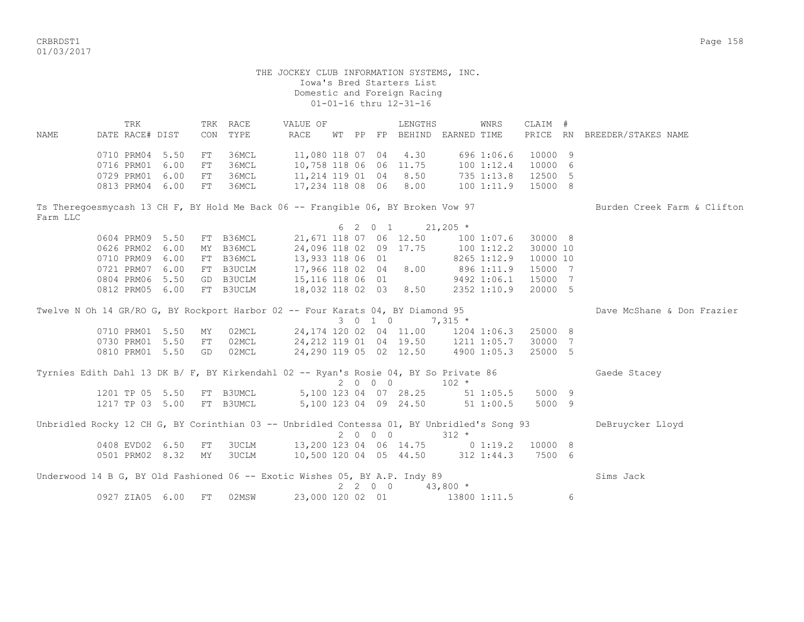CRBRDST1 Page 158 01/03/2017

 THE JOCKEY CLUB INFORMATION SYSTEMS, INC. Iowa's Bred Starters List Domestic and Foreign Racing 01-01-16 thru 12-31-16 TRK TRK RACE WALUE OF TRENGTHS WINRS CLAIM # NAME DATE RACE# DIST CON TYPE RACE WT PP FP BEHIND EARNED TIME PRICE RN BREEDER/STAKES NAME 0710 PRM04 5.50 FT 36MCL 11,080 118 07 04 4.30 696 1:06.6 10000 9 0716 PRM01 6.00 FT 36MCL 10,758 118 06 06 11.75 100 1:12.4 10000 6 0729 PRM01 6.00 FT 36MCL 11,214 119 01 04 8.50 735 1:13.8 12500 5 0813 PRM04 6.00 FT 36MCL 17,234 118 08 06 8.00 100 1:11.9 15000 8 Ts Theregoesmycash 13 CH F, BY Hold Me Back 06 -- Frangible 06, BY Broken Vow 97 Burden Creek Farm & Clifton Farm LLC 6 2 0 1 21,205  $*$ 0604 PRM09 5.50 FT B36MCL 21,671 118 07 06 12.50 100 1:07.6 30000 8<br>0626 PRM02 6.00 MY B36MCL 24,096 118 02 09 17.75 100 1:12.2 30000 10 0626 PRM02 6.00 MY B36MCL 24,096 118 02 09 17.75 100 1:12.2 30000 10<br>0710 PRM09 6.00 FT B36MCL 13,933 118 06 01 8265 1:12.9 10000 10 0710 PRM09 6.00 FT B36MCL 0721 PRM07 6.00 FT B3UCLM 17,966 118 02 04 8.00 896 1:11.9 15000 7 0804 PRM06 5.50 GD B3UCLM 15,116 118 06 01 9492 1:06.1 15000 7 0812 PRM05 6.00 FT B3UCLM 18,032 118 02 03 8.50 2352 1:10.9 20000 5 Twelve N Oh 14 GR/RO G, BY Rockport Harbor 02 -- Four Karats 04, BY Diamond 95 Dave McShane & Don Frazier 3 0 1 0 7,315 \* 0710 PRM01 5.50 MY 02MCL 24,174 120 02 04 11.00 1204 1:06.3 25000 8 0730 PRM01 5.50 FT 02MCL 24,212 119 01 04 19.50 1211 1:05.7 30000 7 0810 PRM01 5.50 GD 02MCL 24,290 119 05 02 12.50 4900 1:05.3 25000 5 Tyrnies Edith Dahl 13 DK B/ F, BY Kirkendahl 02 -- Ryan's Rosie 04, BY So Private 86 Gaede Stacey 2 0 0 0 102 \* 1201 TP 05 5.50 FT B3UMCL 5,100 123 04 07 28.25 51 1:05.5 5000 9 1217 TP 03 5.00 FT B3UMCL 5,100 123 04 09 24.50 51 1:00.5 5000 9 Unbridled Rocky 12 CH G, BY Corinthian 03 -- Unbridled Contessa 01, BY Unbridled's Song 93 DeBruycker Lloyd  $2 \t 0 \t 0 \t 312 \t \star$  0408 EVD02 6.50 FT 3UCLM 13,200 123 04 06 14.75 0 1:19.2 10000 8 0501 PRM02 8.32 MY 3UCLM 10,500 120 04 05 44.50 312 1:44.3 7500 6 Underwood 14 B G, BY Old Fashioned 06 -- Exotic Wishes 05, BY A.P. Indy 89 Sims Jack 2 2 0 0 43,800 \* 0927 ZIA05 6.00 FT 02MSW 23,000 120 02 01 13800 1:11.5 6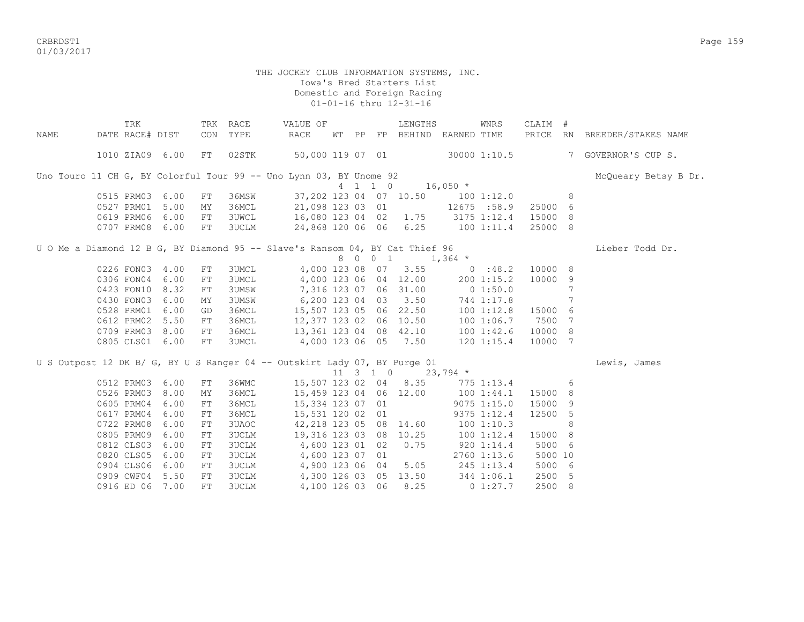CRBRDST1 Page 159 01/03/2017

# THE JOCKEY CLUB INFORMATION SYSTEMS, INC. Iowa's Bred Starters List Domestic and Foreign Racing 01-01-16 thru 12-31-16

|      | TRK             |      |            | TRK RACE     | VALUE OF                                                                     |    |                  | LENGTHS                            |                   | WNRS          | CLAIM # |   |                              |
|------|-----------------|------|------------|--------------|------------------------------------------------------------------------------|----|------------------|------------------------------------|-------------------|---------------|---------|---|------------------------------|
| NAME | DATE RACE# DIST |      |            | CON TYPE     | RACE                                                                         | WТ |                  | PP FP BEHIND EARNED TIME           |                   |               |         |   | PRICE RN BREEDER/STAKES NAME |
|      |                 |      |            |              |                                                                              |    |                  |                                    |                   |               |         |   |                              |
|      | 1010 ZIA09 6.00 |      | FT         | 02STK        | 50,000 119 07 01                                                             |    |                  |                                    |                   | 30000 1:10.5  |         |   | 7 GOVERNOR'S CUP S.          |
|      |                 |      |            |              | Uno Touro 11 CH G, BY Colorful Tour 99 -- Uno Lynn 03, BY Unome 92           |    |                  |                                    |                   |               |         |   | McQueary Betsy B Dr.         |
|      |                 |      |            |              |                                                                              |    | 4 1 1 0          |                                    | $16,050$ *        |               |         |   |                              |
|      | 0515 PRM03      | 6.00 | FT         | 36MSW        |                                                                              |    |                  | 37,202 123 04 07 10.50 100 1:12.0  |                   |               |         | 8 |                              |
|      | 0527 PRM01      | 5.00 | ΜY         | 36MCL        | 21,098 123 03 01                                                             |    |                  |                                    | 12675 :58.9       |               | 25000   | 6 |                              |
|      | 0619 PRM06      | 6.00 | FT         | 3UWCL        | 16,080 123 04 02 1.75 3175 1:12.4                                            |    |                  |                                    |                   |               | 15000   | 8 |                              |
|      | 0707 PRM08 6.00 |      | FT         | 3UCLM        | 24,868 120 06 06 6.25 100 1:11.4                                             |    |                  |                                    |                   |               | 25000 8 |   |                              |
|      |                 |      |            |              |                                                                              |    |                  |                                    |                   |               |         |   |                              |
|      |                 |      |            |              | U O Me a Diamond 12 B G, BY Diamond 95 -- Slave's Ransom 04, BY Cat Thief 96 |    |                  |                                    |                   |               |         |   | Lieber Todd Dr.              |
|      |                 |      |            |              |                                                                              |    |                  | 8 0 0 1 1,364 *                    |                   |               |         |   |                              |
|      | 0226 FON03 4.00 |      | FT         | 3UMCL        |                                                                              |    |                  | 4,000 123 08 07 3.55 0 :48.2       |                   |               | 10000 8 |   |                              |
|      | 0306 FON04 6.00 |      | FT         | 3UMCL        |                                                                              |    |                  | 4,000 123 06 04 12.00              |                   | 200 1:15.2    | 10000   | 9 |                              |
|      | 0423 FON10      | 8.32 | FT         | 3UMSW        | 7,316 123 07 06 31.00 0 1:50.0                                               |    |                  |                                    |                   |               |         | 7 |                              |
|      | 0430 FON03      | 6.00 | MΥ         | 3UMSW        | 6,200 123 04 03 3.50 744 1:17.8                                              |    |                  |                                    |                   |               |         | 7 |                              |
|      | 0528 PRM01      | 6.00 | GD         | 36MCL        | 15,507 123 05 06 22.50                                                       |    |                  |                                    |                   | 100 1:12.8    | 15000   | 6 |                              |
|      | 0612 PRM02      | 5.50 | FT         | 36MCL        | 12,377 123 02 06 10.50                                                       |    |                  |                                    |                   | 1001:06.7     | 7500    | 7 |                              |
|      | 0709 PRM03      | 8.00 | FT         | 36MCL        | 13,361 123 04 08 42.10                                                       |    |                  |                                    |                   | 1001:32.6     | 10000 8 |   |                              |
|      | 0805 CLS01      | 6.00 | FT         | 3UMCL        | 4,000 123 06 05 7.50 120 1:15.4                                              |    |                  |                                    |                   |               | 10000 7 |   |                              |
|      |                 |      |            |              | U S Outpost 12 DK B/ G, BY U S Ranger 04 -- Outskirt Lady 07, BY Purge 01    |    |                  |                                    |                   |               |         |   | Lewis, James                 |
|      |                 |      |            |              |                                                                              |    | $11 \t3 \t1 \t0$ |                                    | $23,794$ *        |               |         |   |                              |
|      | 0512 PRM03 6.00 |      | FT         | 36WMC        |                                                                              |    |                  | 15,507 123 02 04 8.35 775 1:13.4   |                   |               |         | 6 |                              |
|      | 0526 PRM03      | 8.00 | MY         | 36MCL        | 15,459 123 04 06 12.00                                                       |    |                  |                                    | 1001:44.1         |               | 15000   | 8 |                              |
|      | 0605 PRM04      | 6.00 | FT         | 36MCL        | 15,334 123 07 01                                                             |    |                  |                                    |                   | $9075$ 1:15.0 | 15000   | 9 |                              |
|      | 0617 PRM04      | 6.00 | FT         | 36MCL        | 15,531 120 02 01                                                             |    |                  |                                    |                   | 9375 1:12.4   | 12500   | 5 |                              |
|      | 0722 PRM08      | 6.00 | ${\rm FT}$ | 3UAOC        |                                                                              |    |                  | 42, 218 123 05 08 14.60 100 1:10.3 |                   |               |         | 8 |                              |
|      | 0805 PRM09      | 6.00 | ${\rm FT}$ | <b>3UCLM</b> | 19,316 123 03 08 10.25                                                       |    |                  |                                    | 100 1:12.4        |               | 15000   | 8 |                              |
|      | 0812 CLS03      | 6.00 | ${\rm FT}$ | <b>3UCLM</b> | 4,600 123 01 02                                                              |    |                  | 0.75                               | $920$ 1:14.4      |               | 5000 6  |   |                              |
|      | 0820 CLS05      | 6.00 | FT         | <b>3UCLM</b> | 4,600 123 07 01                                                              |    |                  |                                    |                   | 2760 1:13.6   | 5000 10 |   |                              |
|      | 0904 CLS06      | 6.00 | FT         | <b>3UCLM</b> | 4,900 123 06 04                                                              |    |                  |                                    | $5.05$ 245 1:13.4 |               | 5000 6  |   |                              |
|      | 0909 CWF04      | 5.50 | ${\rm FT}$ | <b>3UCLM</b> |                                                                              |    |                  | 4,300 126 03 05 13.50 344 1:06.1   |                   |               | 2500 5  |   |                              |
|      | 0916 ED 06 7.00 |      | ${\rm FT}$ | 3UCLM        |                                                                              |    |                  | 4,100 126 03 06 8.25               | $0\;1:27.7$       |               | 2500 8  |   |                              |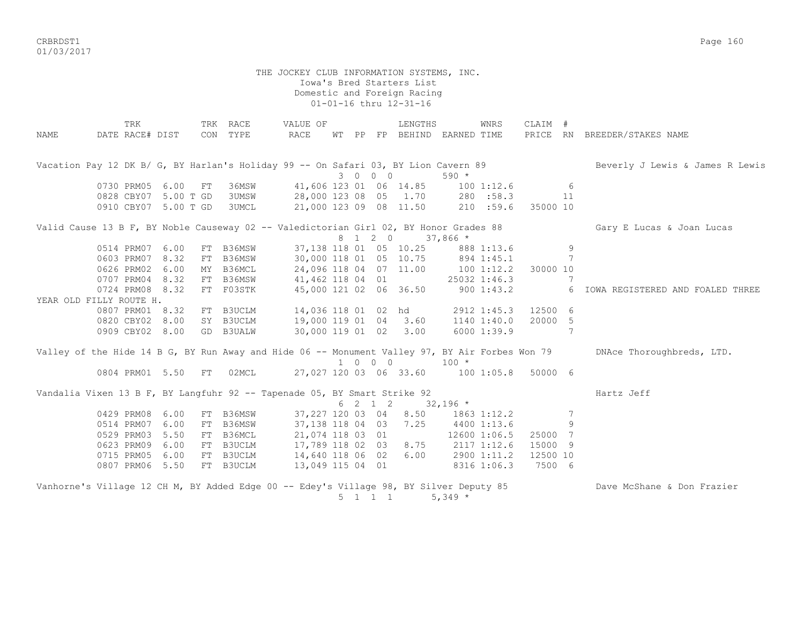CRBRDST1 Page 160 01/03/2017

> THE JOCKEY CLUB INFORMATION SYSTEMS, INC. Iowa's Bred Starters List Domestic and Foreign Racing 01-01-16 thru 12-31-16

TRK TRK RACE WALUE OF THE LENGTHS WINRS CLAIM # NAME DATE RACE# DIST CON TYPE RACE WT PP FP BEHIND EARNED TIME PRICE RN BREEDER/STAKES NAME Vacation Pay 12 DK B/ G, BY Harlan's Holiday 99 -- On Safari 03, BY Lion Cavern 89 Beverly J Lewis & James R Lewis 3 0 0 0 590 \* 0730 PRM05 6.00 FT 36MSW 41,606 123 01 06 14.85 100 1:12.6 6 0828 CBY07 5.00 T GD 3UMSW 28,000 123 08 05 1.70 280 :58.3 11 0910 CBY07 5.00 T GD 3UMCL 21,000 123 09 08 11.50 210 :59.6 35000 10 Valid Cause 13 B F, BY Noble Causeway 02 -- Valedictorian Girl 02, BY Honor Grades 88 Gary E Lucas & Joan Lucas 8 1 2 0 37,866 \* 0514 PRM07 6.00 FT B36MSW 37,138 118 01 05 10.25 888 1:13.6 9<br>0603 PRM07 8.32 FT B36MSW 30,000 118 01 05 10.75 894 1:45.1 7 0603 PRM07 8.32 FT B36MSW 0626 PRM02 6.00 MY B36MCL 24,096 118 04 07 11.00 100 1:12.2 30000 10 0707 PRM04 8.32 FT B36MSW 41,462 118 04 01 25032 1:46.3 7 0724 PRM08 8.32 FT F03STK 45,000 121 02 06 36.50 900 1:43.2 6 IOWA REGISTERED AND FOALED THREE YEAR OLD FILLY ROUTE H.<br>0807 PRM01 8.32 FT B3UCLM 0807 PRM01 8.32 FT B3UCLM 14,036 118 01 02 hd 2912 1:45.3 12500 6 0820 CBY02 8.00 SY B3UCLM 19,000 119 01 04 3.60 1140 1:40.0 20000 5 0909 CBY02 8.00 GD B3UALW 30,000 119 01 02 3.00 6000 1:39.9 7 Valley of the Hide 14 B G, BY Run Away and Hide 06 -- Monument Valley 97, BY Air Forbes Won 79 DNAce Thoroughbreds, LTD.  $1 \t0 \t0 \t0$   $100 \t\t\star$  0804 PRM01 5.50 FT 02MCL 27,027 120 03 06 33.60 100 1:05.8 50000 6 Vandalia Vixen 13 B F, BY Langfuhr 92 -- Tapenade 05, BY Smart Strike 92 Hartz Hartz Jeff  $6 \quad 2 \quad 1 \quad 2 \quad 32.196 \quad ^{\star}$ 0429 PRM08 6.00 FT B36MSW 37,227 120 03 04 8.50 1863 1:12.2 7 0514 PRM07 6.00 FT B36MSW 37,138 118 04 03 7.25 4400 1:13.6 9 0529 PRM03 5.50 FT B36MCL 21,074 118 03 01 12600 1:06.5 25000 7 0623 PRM09 6.00 FT B3UCLM 17,789 118 02 03 8.75 2117 1:12.6 15000 9 0715 PRM05 6.00 FT B3UCLM 14,640 118 06 02 6.00 2900 1:11.2 12500 10 0807 PRM06 5.50 FT B3UCLM 13,049 115 04 01 8316 1:06.3 7500 6 Vanhorne's Village 12 CH M, BY Added Edge 00 -- Edey's Village 98, BY Silver Deputy 85 Dave McShane & Don Frazier 5 1 1 1 5,349 \*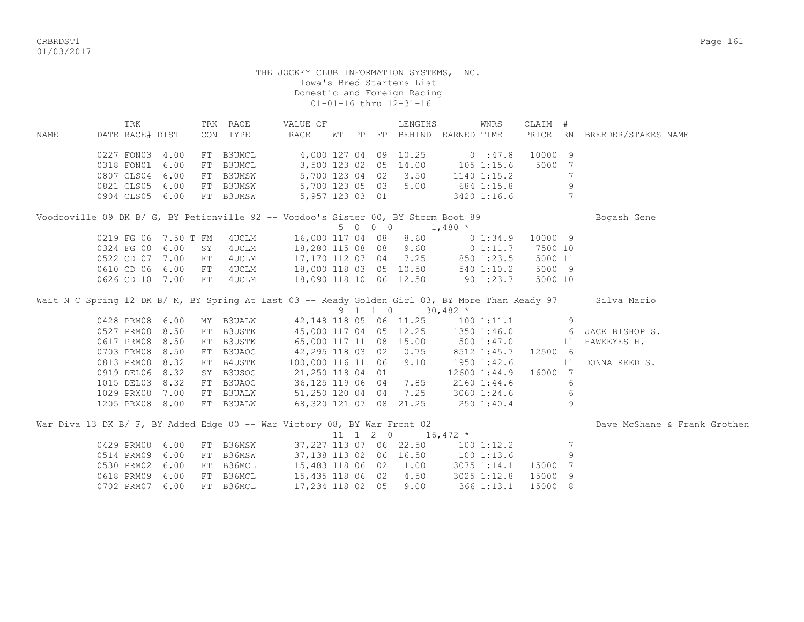CRBRDST1 Page 161 01/03/2017

#### THE JOCKEY CLUB INFORMATION SYSTEMS, INC. Iowa's Bred Starters List Domestic and Foreign Racing 01-01-16 thru 12-31-16

 TRK TRK RACE VALUE OF LENGTHS WNRS CLAIM # NAME DATE RACE# DIST CON TYPE RACE WT PP FP BEHIND EARNED TIME PRICE RN BREEDER/STAKES NAME 0227 FON03 4.00 FT B3UMCL 4,000 127 04 09 10.25 0 :47.8 10000 9 0318 FON01 6.00 FT B3UMCL 3,500 123 02 05 14.00 105 1:15.6 5000 7 0807 CLS04 6.00 FT B3UMSW 5,700 123 04 02 3.50 1140 1:15.2 7 0821 CLS05 6.00 FT B3UMSW 5,700 123 05 03 5.00 684 1:15.8 9 0904 CLS05 6.00 FT B3UMSW 5,957 123 03 01 3420 1:16.6 7 Voodooville 09 DK B/ G, BY Petionville 92 -- Voodoo's Sister 00, BY Storm Boot 89 Bogash Gene  $5 \t0 \t0 \t0 \t1,480 \t*$ 0219 FG 06 7.50 T FM 4UCLM 16,000 117 04 08 8.60 0 1:34.9 10000 9 0324 FG 08 6.00 SY 4UCLM 18,280 115 08 08 9.60 0 1:11.7 7500 10 0522 CD 07 7.00 FT 4UCLM 17,170 112 07 04 7.25 850 1:23.5 5000 11 0610 CD 06 6.00 FT 4UCLM 18,000 118 03 05 10.50 540 1:10.2 5000 9 0626 CD 10 7.00 FT 4UCLM 18,090 118 10 06 12.50 90 1:23.7 5000 10 Wait N C Spring 12 DK B/ M, BY Spring At Last 03 -- Ready Golden Girl 03, BY More Than Ready 97 Silva Mario  $9 \quad 1 \quad 1 \quad 0 \quad 30,482 \quad ^{\star}$ 0428 PRM08 6.00 MY B3UALW 42,148 118 05 06 11.25 100 1:11.1 9 0527 PRM08 8.50 FT B3USTK 45,000 117 04 05 12.25 1350 1:46.0 6 JACK BISHOP S. 0617 PRM08 8.50 FT B3USTK 65,000 117 11 08 15.00 500 1:47.0 11 HAWKEYES H. 0703 PRM08 8.50 FT B3UAOC 42,295 118 03 02 0.75 8512 1:45.7 12500 6<br>0813 PRM08 8.32 FT B4USTK 100,000 116 11 06 9.10 1950 1:42.6 11 0813 PRM08 8.32 FT B4USTK 100,000 116 11 06 9.10 1950 1:42.6 11 DONNA REED S. 0919 DEL06 8.32 SY B3USOC 21, 250 118 04 01 12600 1:44.9 16000 7 1015 DEL03 8.32 FT B3UAOC 36,125 119 06 04 7.85 2160 1:44.6 6 1029 PRX08 7.00 FT B3UALW 51,250 120 04 04 7.25 3060 1:24.6 6 1205 PRX08 8.00 FT B3UALW 68,320 121 07 08 21.25 250 1:40.4 9 War Diva 13 DK B/ F, BY Added Edge 00 -- War Victory 08, BY War Front 02 Dave McShane & Frank Grothen 11 1 2 0 16,472 \* 0429 PRM08 6.00 FT B36MSW 37,227 113 07 06 22.50 100 1:12.2 7 0514 PRM09 6.00 FT B36MSW 37,138 113 02 06 16.50 100 1:13.6 9 0530 PRM02 6.00 FT B36MCL 15,483 118 06 02 1.00 3075 1:14.1 15000 7 0618 PRM09 6.00 FT B36MCL 15,435 118 06 02 4.50 3025 1:12.8 15000 9

0702 PRM07 6.00 FT B36MCL 17,234 118 02 05 9.00 366 1:13.1 15000 8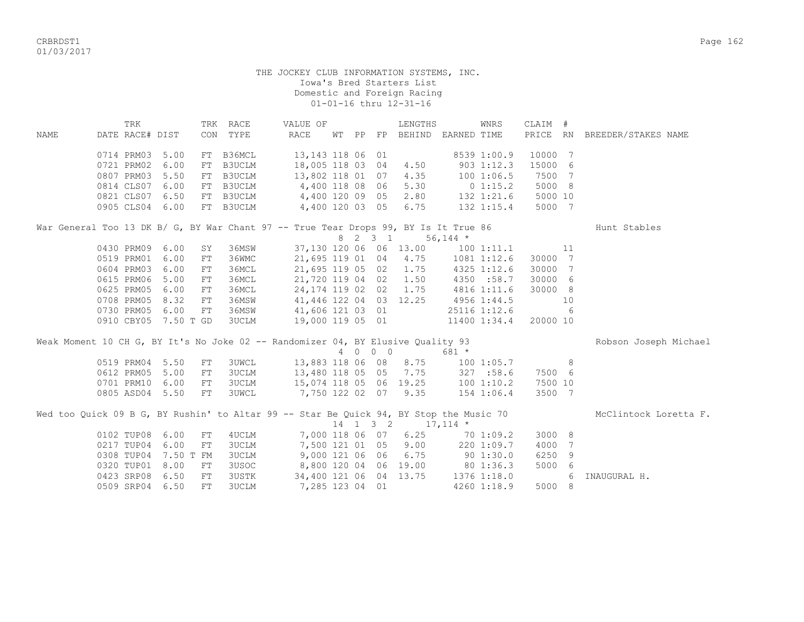CRBRDST1 Page 162 01/03/2017

|      | TRK             |                      |            | TRK RACE     | VALUE OF                                                                               |  |         | LENGTHS                           |              | WNRS         | CLAIM #        |     |                              |  |
|------|-----------------|----------------------|------------|--------------|----------------------------------------------------------------------------------------|--|---------|-----------------------------------|--------------|--------------|----------------|-----|------------------------------|--|
| NAME | DATE RACE# DIST |                      |            | CON TYPE     | RACE                                                                                   |  |         | WT PP FP BEHIND EARNED TIME       |              |              |                |     | PRICE RN BREEDER/STAKES NAME |  |
|      |                 |                      |            |              |                                                                                        |  |         |                                   |              |              |                |     |                              |  |
|      | 0714 PRM03      | 5.00                 |            | FT B36MCL    | 13, 143 118 06 01 8539 1:00.9                                                          |  |         |                                   |              |              | 10000 7        |     |                              |  |
|      | 0721 PRM02      | 6.00                 | FT         | B3UCLM       | 18,005 118 03 04 4.50                                                                  |  |         |                                   | $903$ 1:12.3 |              | 15000 6        |     |                              |  |
|      |                 | 0807 PRM03 5.50      | FT         | B3UCLM       | 13,802 118 01 07 4.35                                                                  |  |         |                                   | 1001:06.5    |              | 7500           | 7   |                              |  |
|      |                 | 0814 CLS07 6.00      | FT         | B3UCLM       | 4,400 118 08 06 5.30 0 1:15.2                                                          |  |         |                                   |              |              | 5000 8         |     |                              |  |
|      |                 | 0821 CLS07 6.50      |            | FT B3UCLM    | 4,400 120 09 05 2.80 132 1:21.6                                                        |  |         |                                   |              |              | 5000 10        |     |                              |  |
|      |                 | 0905 CLS04 6.00      |            | FT B3UCLM    | 4,400 120 03 05 6.75 132 1:15.4                                                        |  |         |                                   |              |              | 5000 7         |     |                              |  |
|      |                 |                      |            |              | War General Too 13 DK B/ G, BY War Chant 97 -- True Tear Drops 99, BY Is It True 86    |  |         |                                   |              |              |                |     | Hunt Stables                 |  |
|      |                 |                      |            |              |                                                                                        |  |         | 8 2 3 1 56,144 *                  |              |              |                |     |                              |  |
|      |                 | 0430 PRM09 6.00      | SY         | 36MSW        |                                                                                        |  |         | 37,130 120 06 06 13.00 100 1:11.1 |              |              | $\sim$ 11      |     |                              |  |
|      | 0519 PRM01      | 6.00                 | FT         | 36WMC        | 21,695 119 01 04 4.75 1081 1:12.6                                                      |  |         |                                   |              |              | 30000 7        |     |                              |  |
|      | 0604 PRM03      | 6.00                 | ${\rm FT}$ | 36MCL        | 21,695 119 05 02 1.75                                                                  |  |         |                                   | 4325 1:12.6  |              | 30000 7        |     |                              |  |
|      | 0615 PRM06      | 5.00                 | ${\rm FT}$ | 36MCL        | 21,720 119 04 02 1.50                                                                  |  |         |                                   |              | 4350 :58.7   | 30000 6        |     |                              |  |
|      | 0625 PRM05      | 6.00                 | FT         | 36MCL        | 24,174 119 02 02 1.75                                                                  |  |         |                                   | 4816 1:11.6  |              | 30000 8        |     |                              |  |
|      | 0708 PRM05      | 8.32                 | FT         | 36MSW        | 41,446 122 04 03 12.25                                                                 |  |         |                                   | 4956 1:44.5  |              | 10             |     |                              |  |
|      | 0730 PRM05      | 6.00                 | FT         | 36MSW        | 41,606 121 03 01                                                                       |  |         |                                   |              | 25116 1:12.6 |                | 6   |                              |  |
|      |                 | 0910 CBY05 7.50 T GD |            | <b>3UCLM</b> | 19,000 119 05 01                                                                       |  |         |                                   |              | 11400 1:34.4 | 20000 10       |     |                              |  |
|      |                 |                      |            |              |                                                                                        |  |         |                                   |              |              |                |     | Robson Joseph Michael        |  |
|      |                 |                      |            |              | Weak Moment 10 CH G, BY It's No Joke 02 -- Randomizer 04, BY Elusive Quality 93        |  | 4 0 0 0 |                                   | 681 *        |              |                |     |                              |  |
|      |                 | 0519 PRM04 5.50      | FT         | <b>3UWCL</b> | 13,883 118 06 08 8.75 100 1:05.7                                                       |  |         |                                   |              |              | 8 <sup>1</sup> |     |                              |  |
|      | 0612 PRM05      | 5.00                 | FT         | <b>3UCLM</b> | 13,480 118 05 05 7.75 327 :58.6                                                        |  |         |                                   |              |              | 7500 6         |     |                              |  |
|      |                 | 0701 PRM10 6.00      | FT         | <b>3UCLM</b> | 15,074 118 05 06 19.25 100 1:10.2                                                      |  |         |                                   |              |              | 7500 10        |     |                              |  |
|      |                 | 0805 ASD04 5.50      | FT         | <b>3UWCL</b> | 7,750 122 02 07 9.35 154 1:06.4                                                        |  |         |                                   |              |              | 3500 7         |     |                              |  |
|      |                 |                      |            |              |                                                                                        |  |         |                                   |              |              |                |     |                              |  |
|      |                 |                      |            |              | Wed too Quick 09 B G, BY Rushin' to Altar 99 -- Star Be Quick 94, BY Stop the Music 70 |  |         | $14$ 1 3 2 17, 114 *              |              |              |                |     | McClintock Loretta F.        |  |
|      |                 | 0102 TUP08 6.00      | FT         | 4UCLM        | 7,000 118 06 07 6.25 70 1:09.2                                                         |  |         |                                   |              |              | 3000 8         |     |                              |  |
|      |                 | 0217 TUP04 6.00      | FT         | <b>3UCLM</b> | 7,500 121 01 05 9.00 220 1:09.7                                                        |  |         |                                   |              |              | 4000           | 7   |                              |  |
|      |                 | 0308 TUP04 7.50 T FM |            | 3UCLM        | 9,000 121 06 06 6.75 90 1:30.0                                                         |  |         |                                   |              |              | 6250           | 9   |                              |  |
|      |                 | 0320 TUP01 8.00      | FT         | 3USOC        | 8,800 120 04 06 19.00 80 1:36.3                                                        |  |         |                                   |              |              | 5000           | - 6 |                              |  |
|      | 0423 SRP08      | 6.50                 | FT         | 3USTK        | 34,400 121 06 04 13.75                                                                 |  |         |                                   | 1376 1:18.0  |              |                | 6   | INAUGURAL H.                 |  |
|      |                 | 0509 SRP04 6.50      | FT         | 3UCLM        | 7,285 123 04 01                                                                        |  |         |                                   |              | 4260 1:18.9  | 5000 8         |     |                              |  |
|      |                 |                      |            |              |                                                                                        |  |         |                                   |              |              |                |     |                              |  |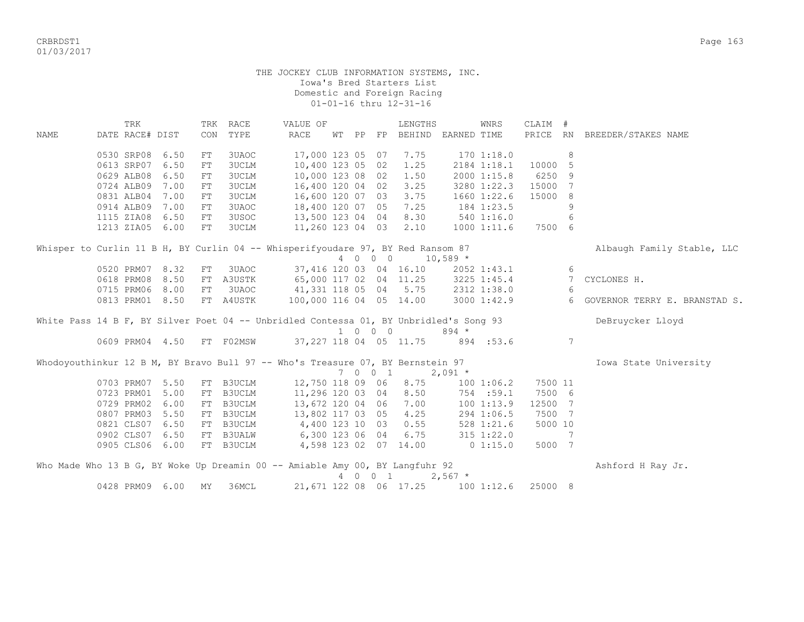CRBRDST1 Page 163 01/03/2017

#### THE JOCKEY CLUB INFORMATION SYSTEMS, INC. Iowa's Bred Starters List Domestic and Foreign Racing 01-01-16 thru 12-31-16

 TRK TRK RACE VALUE OF LENGTHS WNRS CLAIM # NAME DATE RACE# DIST CON TYPE RACE WT PP FP BEHIND EARNED TIME PRICE RN BREEDER/STAKES NAME 0530 SRP08 6.50 FT 3UAOC 17,000 123 05 07 7.75 170 1:18.0 8 0613 SRP07 6.50 FT 3UCLM 10,400 123 05 02 1.25 2184 1:18.1 10000 5 0629 ALB08 6.50 FT 3UCLM 10,000 123 08 02 1.50 2000 1:15.8 6250 9 0724 ALB09 7.00 FT 3UCLM 16,400 120 04 02 3.25 3280 1:22.3 15000 7 0831 ALB04 7.00 FT 3UCLM 16,600 120 07 03 3.75 1660 1:22.6 15000 8 0914 ALB09 7.00 FT 3UAOC 18,400 120 07 05 7.25 184 1:23.5 9 1115 ZIA08 6.50 FT 3USOC 13,500 123 04 04 8.30 540 1:16.0 6 1213 ZIA05 6.00 FT 3UCLM 11,260 123 04 03 2.10 1000 1:11.6 7500 6 Whisper to Curlin 11 B H, BY Curlin 04 -- Whisperifyoudare 97, BY Red Ransom 87 Albaugh Family Stable, LLC 4 0 0 0 10,589 \* 0520 PRM07 8.32 FT 3UAOC 37,416 120 03 04 16.10 2052 1:43.1 6 0618 PRM08 8.50 FT A3USTK 65,000 117 02 04 11.25 3225 1:45.4 7 CYCLONES H. 0715 PRM06 8.00 FT 3UAOC 41,331 118 05 04 5.75 2312 1:38.0 6 0813 PRM01 8.50 FT A4USTK 100,000 116 04 05 14.00 3000 1:42.9 6 GOVERNOR TERRY E. BRANSTAD S. White Pass 14 B F, BY Silver Poet 04 -- Unbridled Contessa 01, BY Unbridled's Song 93 DeBruycker Lloyd 1 0 0 0 894 \* 0609 PRM04 4.50 FT F02MSW 37,227 118 04 05 11.75 894 :53.6 7 Whodoyouthinkur 12 B M, BY Bravo Bull 97 -- Who's Treasure 07, BY Bernstein 97 The Manuscull Changer Manusculv 7 0 0 1 2,091 \* 0703 PRM07 5.50 FT B3UCLM 12,750 118 09 06 8.75 100 1:06.2 7500 11 0723 PRM01 5.00 FT B3UCLM 11,296 120 03 04 8.50 754 :59.1 7500 6 0729 PRM02 6.00 FT B3UCLM 13,672 120 04 06 7.00 100 1:13.9 12500 7<br>0807 PRM03 5.50 FT B3UCLM 13,802 117 03 05 4.25 294 1:06.5 7500 7 0807 PRM03 5.50 FT B3UCLM 0821 CLS07 6.50 FT B3UCLM 4,400 123 10 03 0.55 528 1:21.6 5000 10<br>0902 CLS07 6.50 FT B3UALW 6,300 123 06 04 6.75 315 1:22.0 7 0902 CLS07 6.50 FT B3UALW 6,300 123 06 04 6.75 315 1:22.0 7 0905 CLS06 6.00 FT B3UCLM 4,598 123 02 07 14.00 0 1:15.0 5000 7 Who Made Who 13 B G, BY Woke Up Dreamin 00 -- Amiable Amy 00, BY Langfuhr 92 Ashford H Ray Jr. 4 0 0 1 2,567 \* 0428 PRM09 6.00 MY 36MCL 21,671 122 08 06 17.25 100 1:12.6 25000 8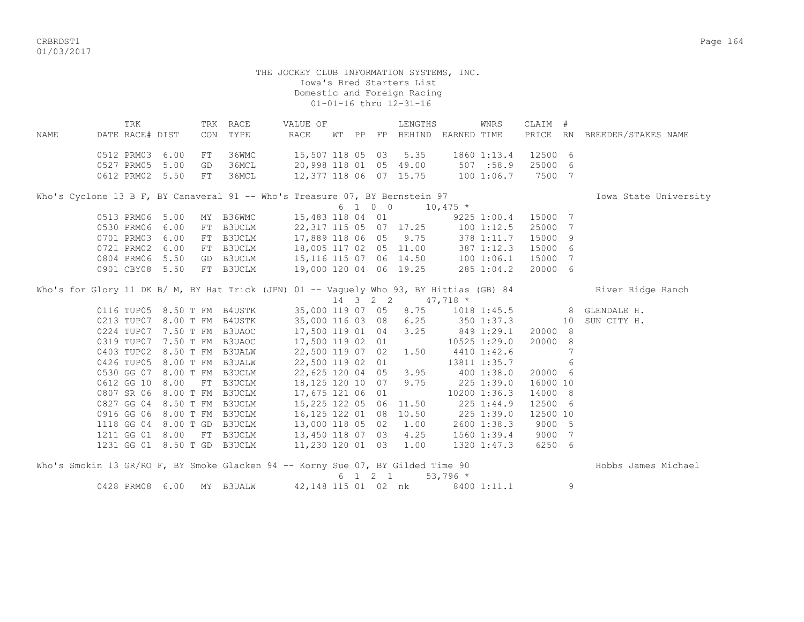crbs and the control of the control of the control of the control of the control of the control of the control of the control of the control of the control of the control of the control of the control of the control of the 01/03/2017

> THE JOCKEY CLUB INFORMATION SYSTEMS, INC. Iowa's Bred Starters List Domestic and Foreign Racing 01-01-16 thru 12-31-16

 TRK TRK RACE VALUE OF LENGTHS WNRS CLAIM # NAME DATE RACE# DIST CON TYPE RACE WT PP FP BEHIND EARNED TIME PRICE RN BREEDER/STAKES NAME 0512 PRM03 6.00 FT 36WMC 15,507 118 05 03 5.35 1860 1:13.4 12500 6 0527 PRM05 5.00 GD 36MCL 20,998 118 01 05 49.00 507 :58.9 25000 6 0612 PRM02 5.50 FT 36MCL 12,377 118 06 07 15.75 100 1:06.7 7500 7 Who's Cyclone 13 B F, BY Canaveral 91 -- Who's Treasure 07, BY Bernstein 97 The Manuscull Changer of Towa State University  $6 \quad 1 \quad 0 \quad 0 \quad 10,475 \star$  0513 PRM06 5.00 MY B36WMC 15,483 118 04 01 9225 1:00.4 15000 7 0530 PRM06 6.00 FT B3UCLM 22,317 115 05 07 17.25 100 1:12.5 25000 7 0701 PRM03 6.00 FT B3UCLM 17,889 118 06 05 9.75 378 1:11.7 15000 9 0721 PRM02 6.00 FT B3UCLM 18,005 117 02 05 11.00 387 1:12.3 15000 6 0804 PRM06 5.50 GD B3UCLM 15,116 115 07 06 14.50 100 1:06.1 15000 7 0901 CBY08 5.50 FT B3UCLM 19,000 120 04 06 19.25 285 1:04.2 20000 6 Who's for Glory 11 DK B/ M, BY Hat Trick (JPN) 01 -- Vaquely Who 93, BY Hittias (GB) 84 River Ridge Ranch  $14$  3 2 2  $47,718$  \*<br>35,000 119 07 05 8.75 101 0116 TUP05 8.50 T FM B4USTK 35,000 119 07 05 8.75 1018 1:45.5 8 GLENDALE H. 0213 TUP07 8.00 T FM B4USTK 35,000 116 03 08 6.25 350 1:37.3 10 SUN CITY H. 0224 TUP07 7.50 T FM B3UAOC 17,500 119 01 04 3.25 849 1:29.1 20000 8 0319 TUP07 7.50 T FM B3UAOC 17,500 119 02 01 10525 1:29.0 20000 8 0403 TUP02 8.50 T FM B3UALW 22,500 119 07 02 1.50 4410 1:42.6 7 0426 TUP05 8.00 T FM B3UALW 22,500 119 02 01 13811 1:35.7 6 0530 GG 07 8.00 T FM B3UCLM 22,625 120 04 05 3.95 400 1:38.0 20000 6 0612 GG 10 8.00 FT B3UCLM 18,125 120 10 07 9.75 225 1:39.0 16000 10 0807 SR 06 8.00 T FM B3UCLM 17,675 121 06 01 10200 1:36.3 14000 8 0827 GG 04 8.50 T FM B3UCLM 15,225 122 05 06 11.50 225 1:44.9 12500 6 0916 GG 06 8.00 T FM B3UCLM 16,125 122 01 08 10.50 225 1:39.0 12500 10 1118 GG 04 8.00 T GD B3UCLM 13,000 118 05 02 1.00 2600 1:38.3 9000 5 1211 GG 01 8.00 FT B3UCLM 13,450 118 07 03 4.25 1560 1:39.4 9000 7 1231 GG 01 8.50 T GD B3UCLM 11,230 120 01 03 1.00 1320 1:47.3 6250 6 Who's Smokin 13 GR/RO F, BY Smoke Glacken 94 -- Korny Sue 07, BY Gilded Time 90 Hobbs James Michael

 $6 \quad 1 \quad 2 \quad 1 \quad 53.796 \star$ 0428 PRM08 6.00 MY B3UALW 42,148 115 01 02 nk 8400 1:11.1 9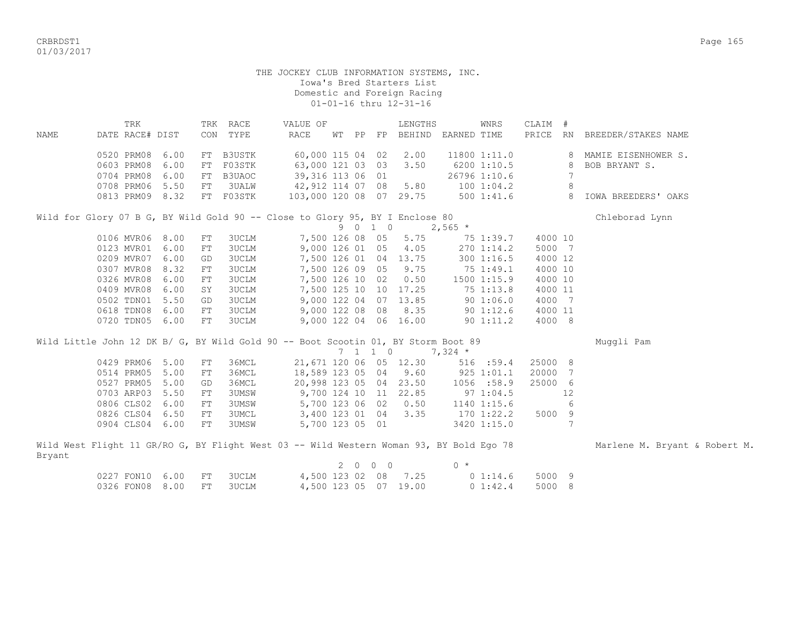CRBRDST1 Page 165 01/03/2017

|        | TRK             |      |            | TRK RACE      | VALUE OF                                                                                |             |                             | LENGTHS               |           | WNRS           | CLAIM # |    |                               |
|--------|-----------------|------|------------|---------------|-----------------------------------------------------------------------------------------|-------------|-----------------------------|-----------------------|-----------|----------------|---------|----|-------------------------------|
| NAME   | DATE RACE# DIST |      | CON        | TYPE          | <b>RACE</b>                                                                             |             | WT PP FP                    | BEHIND EARNED TIME    |           |                | PRICE   | RN | BREEDER/STAKES NAME           |
|        | 0520 PRM08      | 6.00 | FT         | <b>B3USTK</b> | 60,000 115 04 02                                                                        |             |                             | 2.00                  |           | 11800 1:11.0   |         | 8  | MAMIE EISENHOWER S.           |
|        | 0603 PRM08      | 6.00 | FT         | F03STK        | 63,000 121 03 03                                                                        |             |                             | 3.50                  |           | 6200 1:10.5    |         | 8  | BOB BRYANT S.                 |
|        | 0704 PRM08      | 6.00 | ${\rm FT}$ | B3UAOC        | 39,316 113 06 01                                                                        |             |                             |                       |           | 26796 1:10.6   |         |    |                               |
|        | 0708 PRM06      | 5.50 | FT         | 3UALW         | 42,912 114 07 08                                                                        |             |                             | 5.80                  |           | 1001:04.2      |         | 8  |                               |
|        | 0813 PRM09 8.32 |      |            | FT F03STK     | 103,000 120 08 07 29.75                                                                 |             |                             |                       |           | 500 1:41.6     |         | 8  | IOWA BREEDERS' OAKS           |
|        |                 |      |            |               |                                                                                         |             |                             |                       |           |                |         |    |                               |
|        |                 |      |            |               | Wild for Glory 07 B G, BY Wild Gold 90 -- Close to Glory 95, BY I Enclose 80            |             |                             |                       |           |                |         |    | Chleborad Lynn                |
|        |                 |      |            |               |                                                                                         |             | 9 0 1 0                     |                       | $2,565$ * |                |         |    |                               |
|        | 0106 MVR06 8.00 |      | FT         | 3UCLM         | 7,500 126 08 05                                                                         |             |                             | 5.75                  |           | 75 1:39.7      | 4000 10 |    |                               |
|        | 0123 MVR01 6.00 |      | FT         | 3UCLM         | 9,000 126 01 05                                                                         |             |                             | 4.05                  |           | 270 1:14.2     | 5000 7  |    |                               |
|        | 0209 MVR07 6.00 |      | GD         | 3UCLM         |                                                                                         |             |                             | 7,500 126 01 04 13.75 |           | 300 1:16.5     | 4000 12 |    |                               |
|        | 0307 MVR08      | 8.32 | FT         | 3UCLM         | 7,500 126 09 05                                                                         |             |                             | 9.75                  |           | 75 1:49.1      | 4000 10 |    |                               |
|        | 0326 MVR08      | 6.00 | FT         | 3UCLM         | 7,500 126 10 02                                                                         |             |                             | 0.50                  |           | 1500 1:15.9    | 4000 10 |    |                               |
|        | 0409 MVR08      | 6.00 | SY         | 3UCLM         |                                                                                         |             |                             | 7,500 125 10 10 17.25 |           | 75 1:13.8      | 4000 11 |    |                               |
|        | 0502 TDN01      | 5.50 | GD         | <b>3UCLM</b>  |                                                                                         |             |                             | 9,000 122 04 07 13.85 |           | 90 1:06.0      | 4000 7  |    |                               |
|        | 0618 TDN08      | 6.00 | FT         | 3UCLM         | 9,000 122 08 08                                                                         |             |                             | 8.35                  |           | 901:12.6       | 4000 11 |    |                               |
|        | 0720 TDN05 6.00 |      | ${\rm FT}$ | 3UCLM         |                                                                                         |             |                             | 9,000 122 04 06 16.00 |           | 901:11.2       | 4000 8  |    |                               |
|        |                 |      |            |               |                                                                                         |             |                             |                       |           |                |         |    |                               |
|        |                 |      |            |               | Wild Little John 12 DK B/ G, BY Wild Gold 90 -- Boot Scootin 01, BY Storm Boot 89       |             |                             |                       |           |                |         |    | Muggli Pam                    |
|        |                 |      |            |               |                                                                                         |             | $7 \quad 1 \quad 1 \quad 0$ |                       | $7,324$ * |                |         |    |                               |
|        | 0429 PRM06 5.00 |      | ${\rm FT}$ | 36MCL         | 21,671 120 06 05 12.30                                                                  |             |                             |                       |           | 516 :59.4      | 25000 8 |    |                               |
|        | 0514 PRM05      | 5.00 | FT         | 36MCL         | 18,589 123 05 04                                                                        |             |                             | 9.60                  |           | 925 1:01.1     | 20000 7 |    |                               |
|        | 0527 PRM05      | 5.00 | GD         | 36MCL         | 20,998 123 05 04 23.50                                                                  |             |                             |                       |           | 1056 :58.9     | 25000 6 |    |                               |
|        | 0703 ARP03      | 5.50 | FT         | 3UMSW         |                                                                                         |             |                             | 9,700 124 10 11 22.85 |           | $97 \t1:04.5$  |         | 12 |                               |
|        | 0806 CLS02      | 6.00 | FT         | 3UMSW         | 5,700 123 06 02                                                                         |             |                             | 0.50                  |           | 1140 1:15.6    |         | 6  |                               |
|        | 0826 CLS04      | 6.50 | FT         | 3UMCL         | 3,400 123 01 04                                                                         |             |                             | 3.35                  |           | $170$ $1:22.2$ | 5000 9  |    |                               |
|        | 0904 CLS04 6.00 |      | FT         | 3UMSW         | 5,700 123 05 01                                                                         |             |                             |                       |           | 3420 1:15.0    |         | 7  |                               |
|        |                 |      |            |               |                                                                                         |             |                             |                       |           |                |         |    |                               |
|        |                 |      |            |               | Wild West Flight 11 GR/RO G, BY Flight West 03 -- Wild Western Woman 93, BY Bold Ego 78 |             |                             |                       |           |                |         |    | Marlene M. Bryant & Robert M. |
| Bryant |                 |      |            |               |                                                                                         |             |                             |                       | $0 *$     |                |         |    |                               |
|        |                 |      |            |               |                                                                                         | $2 \quad 0$ | $0\quad 0$                  | 7.25                  |           |                |         |    |                               |
|        | 0227 FON10 6.00 |      | FT         | 3UCLM         | 4,500 123 02 08                                                                         |             |                             |                       |           | $0\;1:14.6$    | 5000 9  |    |                               |
|        | 0326 FON08 8.00 |      | FT         | <b>3UCLM</b>  |                                                                                         |             |                             | 4,500 123 05 07 19.00 |           | 0 1:42.4       | 5000 8  |    |                               |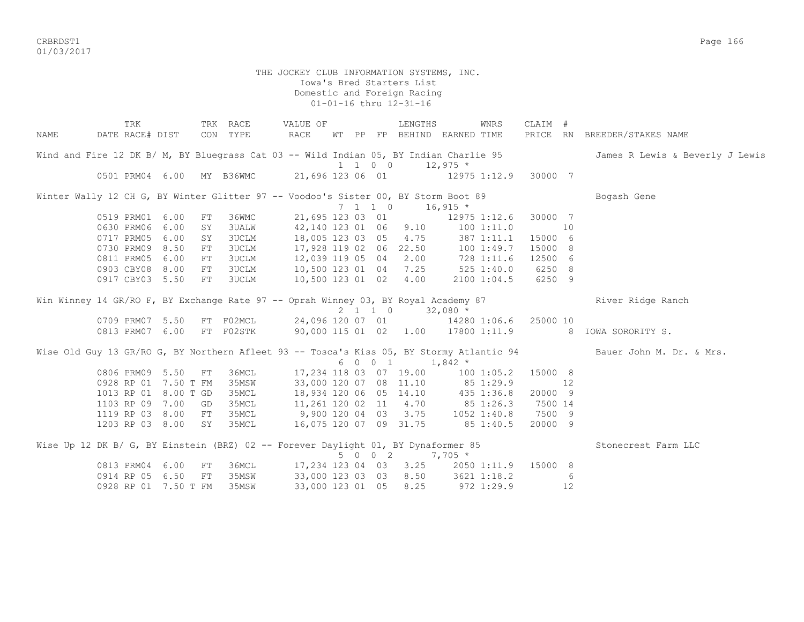CRBRDST1 Page 166 01/03/2017

> THE JOCKEY CLUB INFORMATION SYSTEMS, INC. Iowa's Bred Starters List Domestic and Foreign Racing 01-01-16 thru 12-31-16

 TRK TRK RACE VALUE OF LENGTHS WNRS CLAIM # NAME DATE RACE# DIST CON TYPE RACE WT PP FP BEHIND EARNED TIME PRICE RN BREEDER/STAKES NAME Wind and Fire 12 DK B/ M, BY Bluegrass Cat 03 -- Wild Indian 05, BY Indian Charlie 95 James R Lewis & Beverly J Lewis  $1 \quad 1 \quad 0 \quad 0 \quad 12.975$ \* 0501 PRM04 6.00 MY B36WMC 21,696 123 06 01 12975 1:12.9 30000 7 Winter Wally 12 CH G, BY Winter Glitter 97 -- Voodoo's Sister 00, BY Storm Boot 89 Bogash Gene 7 1 1 0 16,915 \* 0519 PRM01 6.00 FT 36WMC 21,695 123 03 01 12975 1:12.6 30000 7 0630 PRM06 6.00 SY 3UALW 42,140 123 01 06 9.10 100 1:11.0 10 0717 PRM05 6.00 SY 3UCLM 18,005 123 03 05 4.75 387 1:11.1 15000 6 0730 PRM09 8.50 FT 3UCLM 17,928 119 02 06 22.50 100 1:49.7 15000 8 0811 PRM05 6.00 FT 3UCLM 12,039 119 05 04 2.00 728 1:11.6 12500 6 0903 CBY08 8.00 FT 3UCLM 10,500 123 01 04 7.25 525 1:40.0 6250 8 0917 CBY03 5.50 FT 3UCLM 10,500 123 01 02 4.00 2100 1:04.5 6250 9 Win Winney 14 GR/RO F, BY Exchange Rate 97 -- Oprah Winney 03, BY Royal Academy 87 River Ridge Ranch  $2 \quad 1 \quad 1 \quad 0 \qquad 32,080 \quad ^{\star}$  0709 PRM07 5.50 FT F02MCL 24,096 120 07 01 14280 1:06.6 25000 10 0813 PRM07 6.00 FT F02STK 90,000 115 01 02 1.00 17800 1:11.9 8 IOWA SORORITY S. Wise Old Guy 13 GR/RO G, BY Northern Afleet 93 -- Tosca's Kiss 05, BY Stormy Atlantic 94 Bauer John M. Dr. & Mrs.  $6 \t0 \t0 \t1 \t1,842 \t*$  0806 PRM09 5.50 FT 36MCL 17,234 118 03 07 19.00 100 1:05.2 15000 8 0928 RP 01 7.50 T FM 35MSW 33,000 120 07 08 11.10 85 1:29.9 12 1013 RP 01 8.00 T GD 35MCL 18,934 120 06 05 14.10 435 1:36.8 20000 9 1103 RP 09 7.00 GD 35MCL 11,261 120 02 11 4.70 85 1:26.3 7500 14 9,900 120 04 03 3.75 1052 1:40.8 7500 9 1203 RP 03 8.00 SY 35MCL 16,075 120 07 09 31.75 85 1:40.5 20000 9 Wise Up 12 DK B/ G, BY Einstein (BRZ) 02 -- Forever Daylight 01, BY Dynaformer 85 Stonecrest Farm LLC 5 0 0 2 7,705 \* 0813 PRM04 6.00 FT 36MCL 17,234 123 04 03 3.25 2050 1:11.9 15000 8 0914 RP 05 6.50 FT 35MSW 33,000 123 03 03 8.50 3621 1:18.2 6 0928 RP 01 7.50 T FM 35MSW 33,000 123 01 05 8.25 972 1:29.9 12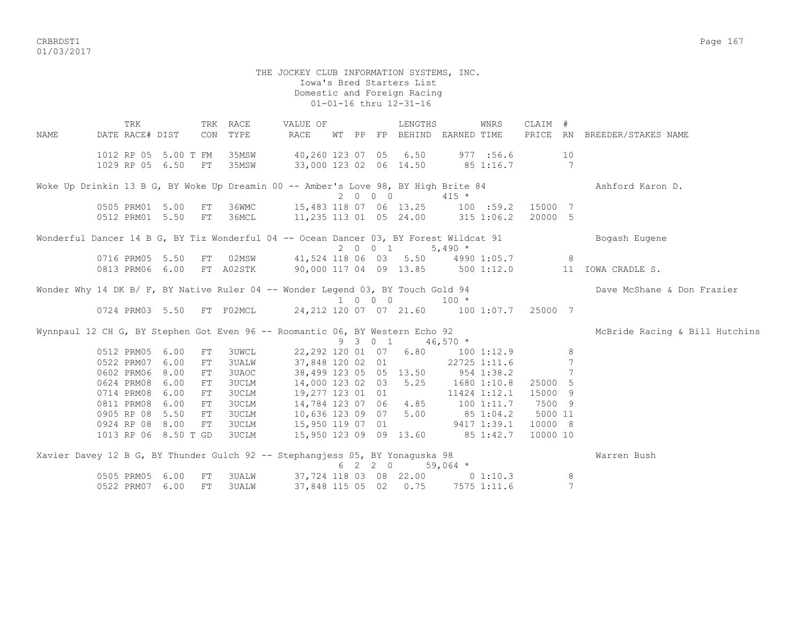crbs and the control of the control of the control of the control of the control of the control of the control of the control of the control of the control of the control of the control of the control of the control of the 01/03/2017

## THE JOCKEY CLUB INFORMATION SYSTEMS, INC. Iowa's Bred Starters List Domestic and Foreign Racing 01-01-16 thru 12-31-16

TRK TRK RACE WALUE OF TRENGTHS WINRS CLAIM # NAME DATE RACE# DIST CON TYPE RACE WT PP FP BEHIND EARNED TIME PRICE RN BREEDER/STAKES NAME 1012 RP 05 5.00 T FM 35MSW 40,260 123 07 05 6.50 977 :56.6 10 1029 RP 05 6.50 FT 35MSW 33,000 123 02 06 14.50 85 1:16.7 7 Woke Up Drinkin 13 B G, BY Woke Up Dreamin 00 -- Amber's Love 98, BY High Brite 84 Ashford Karon D.  $2 \t 0 \t 0 \t 415 \star$  0505 PRM01 5.00 FT 36WMC 15,483 118 07 06 13.25 100 :59.2 15000 7 0512 PRM01 5.50 FT 36MCL 11,235 113 01 05 24.00 315 1:06.2 20000 5 Wonderful Dancer 14 B G, BY Tiz Wonderful 04 -- Ocean Dancer 03, BY Forest Wildcat 91 Bogash Eugene 0716 PRM05 5.50 FT 02MSW 41,524 118 06 03 5.50 4990 41,524 118 06 03 5.50 4990 1:05.7 8 0813 PRM06 6.00 FT A02STK 90,000 117 04 09 13.85 500 1:12.0 11 IOWA CRADLE S. Wonder Why 14 DK B/ F, BY Native Ruler 04 -- Wonder Legend 03, BY Touch Gold 94 Dave McShane & Don Frazier  $0724$  PRM03 5.50 FT F02MCL  $24,212$  120 07 07 21.60 100 24,212 120 07 07 21.60 100 1:07.7 25000 7 Wynnpaul 12 CH G, BY Stephen Got Even 96 -- Roomantic 06, BY Western Echo 92 McBride Racing & Bill Hutchins<br>9 3 0 1 46,570 \*  $9 \t3 \t0 \t1 \t46,570 \t*$  0512 PRM05 6.00 FT 3UWCL 22,292 120 01 07 6.80 100 1:12.9 8 0522 PRM07 6.00 FT 3UALW 37,848 120 02 01 22725 1:11.6 7 0602 PRM06 8.00 FT 3UAOC 38,499 123 05 05 13.50 954 1:38.2 7 0624 PRM08 6.00 FT 3UCLM 14,000 123 02 03 5.25 1680 1:10.8 25000 5 0714 PRM08 6.00 FT 3UCLM 19,277 123 01 01 11424 1:12.1 15000 9 0811 PRM08 6.00 FT 3UCLM 14,784 123 07 06 4.85 100 1:11.7 7500 9 0905 RP 08 5.50 FT 3UCLM 10,636 123 09 07 5.00 85 1:04.2 5000 11 0924 RP 08 8.00 FT 3UCLM 15,950 119 07 01 9417 1:39.1 10000 8 1013 RP 06 8.50 T GO 3UCLM 15,950 113 09 09 13.60 85 1:42.7 10000 10 Xavier Davey 12 B G, BY Thunder Gulch 92 -- Stephangjess 05, BY Yonaguska 98 Warren Bush  $6 \quad 2 \quad 2 \quad 0 \qquad 59,064 \neq$  0505 PRM05 6.00 FT 3UALW 37,724 118 03 08 22.00 0 1:10.3 8 0522 PRM07 6.00 FT 3UALW 37,848 115 05 02 0.75 7575 1:11.6 7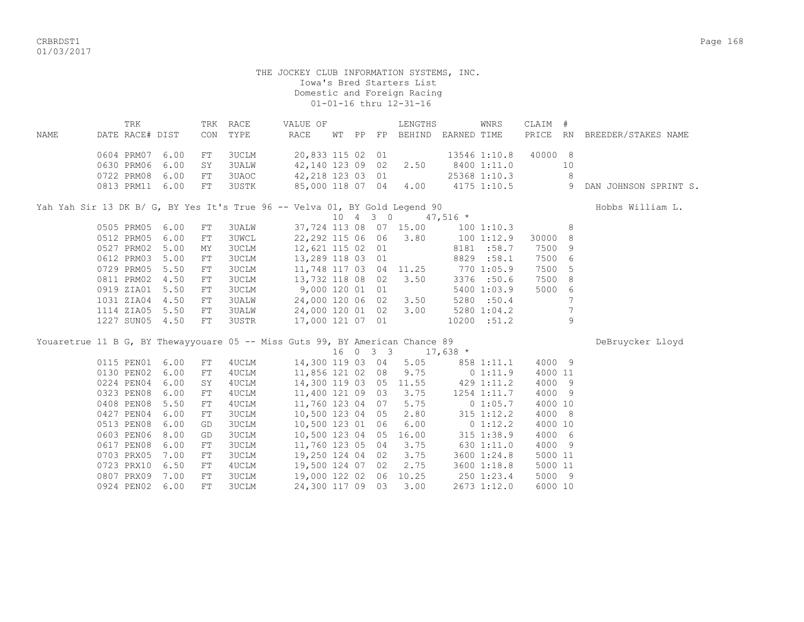CRBRDST1 Page 168 01/03/2017

## THE JOCKEY CLUB INFORMATION SYSTEMS, INC. Iowa's Bred Starters List Domestic and Foreign Racing 01-01-16 thru 12-31-16

|                                                                            | TRK             |      | TRK | RACE  | VALUE OF              |    |    |       | LENGTHS |             | WNRS         | CLAIM # |     |                          |
|----------------------------------------------------------------------------|-----------------|------|-----|-------|-----------------------|----|----|-------|---------|-------------|--------------|---------|-----|--------------------------|
| NAME                                                                       | DATE RACE# DIST |      | CON | TYPE  | RACE                  | WТ | PP | FP.   | BEHIND  | EARNED TIME |              | PRICE   | RN  | BREEDER/STAKES NAME      |
|                                                                            | 0604 PRM07      | 6.00 | FT  | 3UCLM | 20,833 115 02 01      |    |    |       |         |             | 13546 1:10.8 | 40000   | - 8 |                          |
|                                                                            | 0630 PRM06      | 6.00 | SY  | 3UALW | 42,140 123 09         |    |    | 02    | 2.50    |             | 8400 1:11.0  |         | 10  |                          |
|                                                                            | 0722 PRM08      | 6.00 | FT. | 3UAOC | 42,218 123 03 01      |    |    |       |         |             | 25368 1:10.3 |         | 8   |                          |
|                                                                            | 0813 PRM11      | 6.00 | FT  | 3USTK | 85,000 118 07         |    |    | 04    | 4.00    |             | 4175 1:10.5  |         | 9   | JOHNSON SPRINT S.<br>DAN |
|                                                                            |                 |      |     |       |                       |    |    |       |         |             |              |         |     |                          |
|                                                                            |                 |      |     |       |                       |    |    |       |         |             |              |         |     |                          |
| Yah Yah Sir 13 DK B/ G, BY Yes It's True 96 -- Velva 01, BY Gold Legend 90 |                 |      |     |       |                       |    |    |       |         |             |              |         |     | Hobbs William L.         |
|                                                                            |                 |      |     |       |                       | 10 |    | 4 3 0 |         | $47,516$ *  |              |         |     |                          |
|                                                                            | 0505 PRM05      | 6.00 | FT  | 3UALW | 37,724 113 08 07      |    |    |       | 15.00   |             | 100 1:10.3   |         | 8   |                          |
|                                                                            | 0512 PRM05      | 6.00 | FT  | 3UWCL | 22,292 115 06 06 3.80 |    |    |       |         |             | 1001:12.9    | 30000   | - 8 |                          |
|                                                                            | 0527 PRM02      | 5.00 | MY  | 3UCLM | 12,621 115 02 01      |    |    |       |         |             | 8181 :58.7   | 7500    | - 9 |                          |
|                                                                            | 0612 PRM03      | 5.00 | FT. | 3UCLM | 13,289 118 03 01      |    |    |       |         |             | 8829 :58.1   | 7500 6  |     |                          |

|  |                          |    | Youaretrue 11 B G, BY Thewayyouare 05 -- Miss Guts 99, BY American Chance 89 |                       |  |  |             |        | DeBruycker Lloyd |
|--|--------------------------|----|------------------------------------------------------------------------------|-----------------------|--|--|-------------|--------|------------------|
|  | 1227 SUN05 4.50 FT 3USTR |    |                                                                              | 17,000 121 07 01      |  |  | 10200 :51.2 |        |                  |
|  | 1114 ZIA05 5.50          | FT | 3UALW                                                                        | 24,000 120 01 02 3.00 |  |  | 5280 1:04.2 |        |                  |
|  | 1031 ZIA04 4.50 FT       |    | 3UALW                                                                        | 24,000 120 06 02 3.50 |  |  | 5280 : 50.4 |        |                  |
|  | 0919 ZIA01 5.50 FT       |    | 3UCLM                                                                        | 9,000 120 01 01       |  |  | 5400 1:03.9 | 5000 6 |                  |
|  | 0811 PRM02 4.50 FT       |    | 3UCLM                                                                        | 13,732 118 08 02 3.50 |  |  | 3376 :50.6  | 7500 8 |                  |

 $16$  0 3 3  $17,638$  \*<br>115 PEN01 6.00 FT 4UCLM 14,300 119 03 04 5.05 858 0115 PEN01 6.00 FT 4UCLM 14,300 119 03 04 5.05 858 1:11.1 4000 9 0130 PEN02 6.00 FT 4UCLM 11,856 121 02 08 9.75 0 1:11.9 4000 11 0224 PEN04 6.00 SY 4UCLM 14,300 119 03 05 11.55 429 1:11.2 4000 9 0323 PEN08 6.00 FT 4UCLM 11,400 121 09 03 3.75 1254 1:11.7 4000 9 0408 PEN08 5.50 FT 4UCLM 11,760 123 04 07 5.75 0 1:05.7 4000 10<br>0427 PEN04 6.00 FT 3UCLM 10,500 123 04 05 2.80 315 1:12.2 4000 8

 0427 PEN04 6.00 FT 3UCLM 10,500 123 04 05 2.80 315 1:12.2 4000 8 0513 PEN08 6.00 GD 3UCLM 10,500 123 01 06 6.00 0 1:12.2 4000 10 0603 PEN06 8.00 GD 3UCLM 10,500 123 04 05 16.00 315 1:38.9 4000 6 0617 PEN08 6.00 FT 3UCLM 11,760 123 05 04 3.75 630 1:11.0 4000 9 0703 PRX05 7.00 FT 3UCLM 19,250 124 04 02 3.75 3600 1:24.8 5000 11 0723 PRX10 6.50 FT 4UCLM 19,500 124 07 02 2.75 3600 1:18.8 5000 11 0807 PRX09 7.00 FT 3UCLM 19,000 122 02 06 10.25 250 1:23.4 5000 9 0924 PEN02 6.00 FT 3UCLM 24,300 117 09 03 3.00 2673 1:12.0 6000 10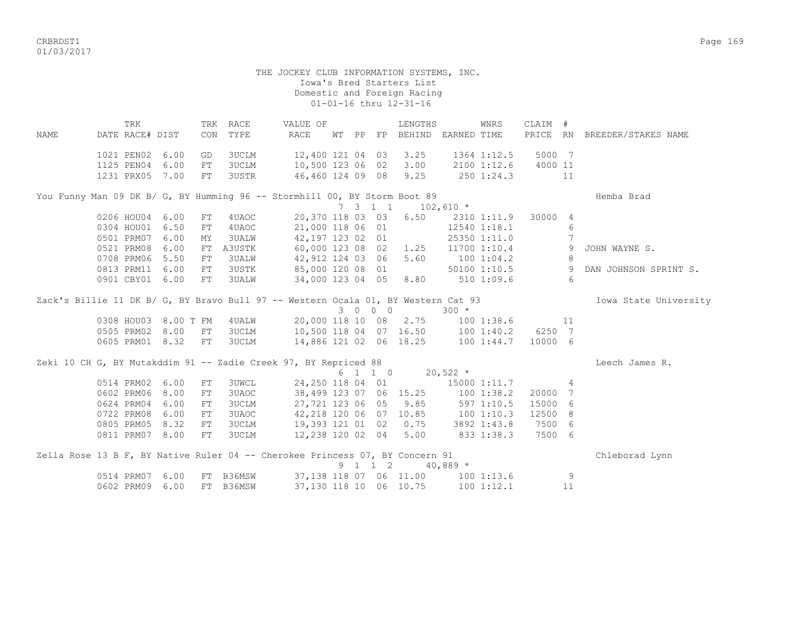CRBRDST1 Page 169 01/03/2017

#### THE JOCKEY CLUB INFORMATION SYSTEMS, INC. Iowa's Bred Starters List Domestic and Foreign Racing 01-01-16 thru 12-31-16

 TRK TRK RACE VALUE OF LENGTHS WNRS CLAIM # NAME DATE RACE# DIST CON TYPE RACE WT PP FP BEHIND EARNED TIME PRICE RN BREEDER/STAKES NAME 1021 PEN02 6.00 GD 3UCLM 12,400 121 04 03 3.25 1364 1:12.5 5000 7 1125 PEN04 6.00 FT 3UCLM 10,500 123 06 02 3.00 2100 1:12.6 4000 11 1231 PRX05 7.00 FT 3USTR 46,460 124 09 08 9.25 250 1:24.3 11 You Funny Man 09 DK B/ G, BY Humming 96 -- Stormhill 00, BY Storm Boot 89 Hemba Brad 7 3 1 1 102,610 \* 0206 HOU04 6.00 FT 4UAOC 20,370 118 03 03 6.50 2310 1:11.9 30000 4 0304 HOU01 6.50 FT 4UAOC 21,000 118 06 01 12540 1:18.1 6 0501 PRM07 6.00 MY 3UALW 42,197 123 02 01 25350 1:11.0 7 0521 PRM08 6.00 FT A3USTK 60,000 123 08 02 1.25 11700 1:10.4 9 JOHN WAYNE S. 0708 PRM06 5.50 FT 3UALW 42,912 124 03 06 5.60 100 1:04.2 8 0813 PRM11 6.00 FT 3USTK 85,000 120 08 01 50100 1:10.5 9 DAN JOHNSON SPRINT S. 0901 CBY01 6.00 FT 3UALW 34,000 123 04 05 8.80 510 1:09.6 6 Zack's Billie 11 DK B/ G, BY Bravo Bull 97 -- Western Ocala 01, BY Western Cat 93 Iowa State University<br>  $3 \t 0 \t 0 \t 300 \t \times$ 3 0 0 0 0308 HOU03 8.00 T FM 4UALW 20,000 118 10 08 2.75 100 1:38.6 11 0505 PRM02 8.00 FT 3UCLM 10,500 118 04 07 16.50 100 1:40.2 6250 7 0605 PRM01 8.32 FT 3UCLM 14,886 121 02 06 18.25 100 1:44.7 10000 6 Zeki 10 CH G, BY Mutakddim 91 -- Zadie Creek 97, BY Repriced 88 Leech James R. 6 1 1 0 20,522 \* 0514 PRM02 6.00 FT 3UWCL 24,250 118 04 01 15000 1:11.7 4 0602 PRM06 8.00 FT 3UAOC 38,499 123 07 06 15.25 100 1:38.2 20000 7 0624 PRM04 6.00 FT 3UCLM 27,721 123 06 05 9.85 597 1:10.5 15000 6 0722 PRM08 6.00 FT 3UAOC 42,218 120 06 07 10.85 100 1:10.3 12500 8 0805 PRM05 8.32 FT 3UCLM 19,393 121 01 02 0.75 3892 1:43.8 7500 6 0811 PRM07 8.00 FT 3UCLM 12,238 120 02 04 5.00 833 1:38.3 7500 6 Zella Rose 13 B F, BY Native Ruler 04 -- Cherokee Princess 07, BY Concern 91 Chleborad Lynn 9 1 1 2 40,889 \* 0514 PRM07 6.00 FT B36MSW 37,138 118 07 06 11.00 100 1:13.6 9 0602 PRM09 6.00 FT B36MSW 37,130 118 10 06 10.75 100 1:12.1 11